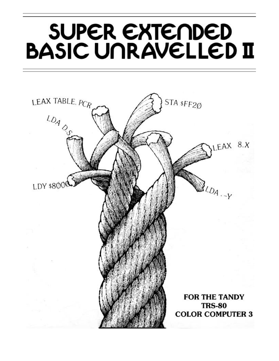# SUPER EXTENDED **BASIC UNRAVELLED II**

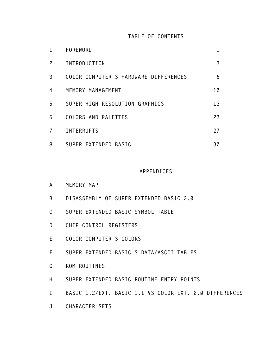# **TABLE OF CONTENTS**

|   | <b>FOREWORD</b>                       |    |
|---|---------------------------------------|----|
| 2 | INTRODUCTION                          | 3  |
| 3 | COLOR COMPUTER 3 HARDWARE DIFFERENCES | 6  |
| 4 | MEMORY MANAGEMENT                     | 10 |
| 5 | SUPER HIGH RESOLUTION GRAPHICS        | 13 |
| 6 | COLORS AND PALETTES                   | 23 |
| 7 | <b>INTERRUPTS</b>                     | 27 |
| 8 | SUPER EXTENDED BASIC                  | ЗØ |

# **[APPENDICES](#page-36-0)**

| MEMORY MAP<br>A |
|-----------------|
|-----------------|

- **B [DISASSEMBLY OF SUPER EXTENDED BASIC 2.0](#page-51-0)**
- **C [SUPER EXTENDED BASIC SYMBOL TABLE](#page-90-0)**
- **D [CHIP CONTROL REGISTERS](#page-94-0)**
- **E [COLOR COMPUTER 3 COLORS](#page-97-0)**
- **F [SUPER EXTENDED BASIC'S DATA/ASCII TABLES](#page-99-0)**
- **G [ROM ROUTINES](#page-100-0)**
- **H [SUPER EXTENDED BASIC ROUTINE ENTRY POINTS](#page-103-0)**
- **I [BASIC 1.2/EXT. BASIC 1.1 VS COLOR EXT. 2.0 DIFFERENCES](#page-107-0)**
- **J [CHARACTER SETS](#page-109-0)**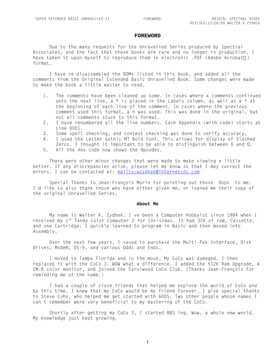#### **FOREWORD**

<span id="page-2-0"></span>Due to the many requests for the Unravelled Series produced by Spectral Associates, and the fact that these books are rare and no longer in production, I have taken it upon myself to reproduce them in electronic .PDF (Adobe Acrobat®) format.

I have re-disassembled the ROMs listed in this book, and added all the comments from the Original Extended Basic Unravelled Book. Some changes were made to make the book a little easier to read.

- 1. The comments have been cleaned up some. In cases where a comments continued onto the next line, a  $*$  is placed in the Labels column, as well as a  $*$  at the beginning of each line of the comment. In cases where the previous comment used this format,  $a = was used$ . This was done in the original, but not all comments stuck to this format.
- 2. I have renumbered all the line numbers. Each Appendix (with code) starts at Line 0001.
- 3. Some spell checking, and context checking was done to verify accuracy.
- 4. I used the Letter Gothic MT Bold Font. This allows for display of Slashed
- Zeros. I thought it important to be able to distinguish between 0 and O.
- 5. All the Hex code now shows the Opcodes.

There were other minor changes that were made to make viewing a little better. If any discrepancies arise, please let me know so that I may correct the errors. I can be contacted at: mailto:wzydhek@internetcds.com

Special Thanks to Jean-François Morin for pointing out those Oops to me. I d like to also thank those who have either given me, or loaned me their copy of the original Unravelled Series.

#### **About Me**

My name is Walter K. Zydhek. I've been a Computer Hobbyist since 1984 when I received my 1<sup>st</sup> Tandy Color Computer 2 for Christmas. It had 32K of ram, Cassette, and one Cartridge. I quickly learned to program in Basic and then moved into Assembly.

Over the next few years, I saved to purchase the Multi-Pak Interface, Disk Drives, Modem, OS-9, and various Odds and Ends.

I moved to Tampa Florida and in the move, My CoCo was damaged. I then replaced it with the CoCo 3. WOW what a difference. I added the 512K Ram Upgrade, A CM-8 color monitor, and joined the Carolwood CoCo Club. (Thanks Jean-François for reminding me of the name.)

I had a couple of close friends that helped me explore the world of CoCo and by this time, I knew that my CoCo would be my friend forever. I give special thanks to Steve Cohn, who helped me get started with ADOS. Two other people whose names I can't remember were very beneficial to my mastering of the CoCo.

Shortly after getting my CoCo 3, I started BBS ing. Wow, a whole new world. My knowledge just kept growing.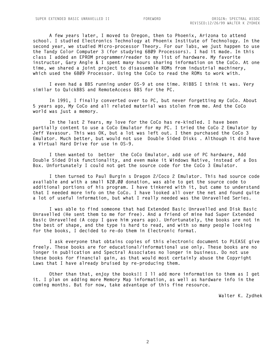**A few years later, I moved to Oregon, then to Phoenix, Arizona to attend school. I studied Electronics Technology at Phoenix Institute of Technology. In the second year, we studied Micro-processor Theory. For our labs, we just happen to use the Tandy Color Computer 3 (for studying 6809 Processors). I had it made. In this class I added an EPROM programmer/reader to my list of hardware. My favorite instructor, Gary Angle & I spent many hours sharing information on the CoCo. At one time, we shared a joint project to disassemble ROMs from industrial machinery, which used the 6809 Processor. Using the CoCo to read the ROMs to work with.**

**I even had a BBS running under OS-9 at one time. RiBBS I think it was. Very similar to QuickBBS and RemoteAccess BBS for the PC.**

**In 1991, I finally converted over to PC, but never forgetting my CoCo. About 5 years ago, My CoCo and all related material was stolen from me. And the CoCo world was just a memory.**

**In the last 2 Years, my love for the CoCo has re-kindled. I have been partially content to use a CoCo Emulator for my PC. I tried the CoCo 2 Emulator by Jeff Vavasour. This was OK, but a lot was left out. I then purchased the CoCo 3 Emulator. Much better, but would not use "Double Sided Disks". Although it did have a Virtual Hard Drive for use in OS-9.** 

**I then wanted to 'better' the CoCo Emulator, add use of PC hardware, Add Double Sided Disk functionality, and even make it Windows Native, instead of a Dos Box. Unfortunately I could not get the source code for the CoCo 3 Emulator.**

**I then turned to Paul Burgin's Dragon 2/Coco 2 Emulator. This had source code available and with a small \$20.00 donation, was able to get the source code to additional portions of his program. I have tinkered with it, but came to understand that I needed more info on the CoCo. I have looked all over the net and found quite a lot of useful information, but what I really needed was the Unravelled Series.**

**I was able to find someone that had Extended Basic Unravelled and Disk Basic Unravelled (He sent them to me for free). And a friend of mine had Super Extended Basic Unravelled (A copy I gave him years ago). Unfortunately, the books are not in the best of shape, and the type is hard to read, and with so many people looking for the books, I decided to re-do them in Electronic format.**

**I ask everyone that obtains copies of this electronic document to PLEASE give freely. These books are for educational/informational use only. These books are no longer in publication and Spectral Associates no longer in business. Do not use these books for financial gain, as that would most certainly abuse the Copyright Laws that I have already bruised by re-producing them.** 

**Other than that, enjoy the books!! I'll add more information to them as I get it. I plan on adding more Memory Map information, as well as hardware info in the coming months. But for now, take advantage of this fine resource.**

**Walter K. Zydhek**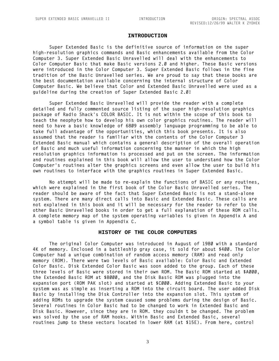#### **INTRODUCTION**

<span id="page-4-0"></span>**Super Extended Basic is the definitive source of information on the super high-resolution graphics commands and Basic enhancements available from the Color Computer 3. Super Extended Basic Unravelled will deal with the enhancements to Color Computer Basic that make Basic versions 2.0 and higher. These Basic versions were introduced in the Color Computer 3. Super Extended Basic follows in the fine tradition of the Basic Unravelled series. We are proud to say that these books are the best documentation available concerning the internal structure of Color Computer Basic. We believe that Color and Extended Basic Unravelled were used as a guideline during the creation of Super Extended Basic 2.0!**

**Super Extended Basic Unravelled will provide the reader with a complete detailed and fully commented source listing of the super high-resolution graphics package of Radio Shack's COLOR BASIC. It is not within the scope of this book to teach the neophyte how to develop his own color graphics routines. The reader will need to have a basic knowledge of 6809 assembly language programming to be able to take full advantage of the opportunities, which this book presents. It is also assumed that the reader is familiar with the contents of the Color Computer 3 Extended Basic manual which contains a general description of the overall operation of Basic and much useful information concerning the manner in which the high resolution graphics information is processed and put on the screen. The information and routines explained in this book will allow the user to understand how the Color Computer's routines alter the graphics screens and even allow the user to build his own routines to interface with the graphics routines in Super Extended Basic.**

**No attempt will be made to re-explain the functions of BASIC or any routines, which were explained in the first book of the Color Basic Unravelled series. The reader should be aware of the fact that Super Extended Basic is not a stand-alone system. There are many direct calls into Basic and Extended Basic. These calls are not explained in this book and it will be necessary for the reader to refer to the other Basic Unravelled books in order to get a full explanation of these ROM calls. A complete memory map of the system operating variables is given in Appendix A and a symbol table is given in Appendix C.**

#### **HISTORY OF THE COLOR COMPUTERS**

**The original Color Computer was introduced in August of 1980 with a standard 4K of memory. Enclosed in a battleship gray case, it sold for about \$400. The Color Computer had a unique combination of random access memory (RAM) and read only memory (ROM). There were two levels of Basic available: Color Basic and Extended Color Basic. Disk Extended Color Basic was soon added to the group. Each of these three levels of Basic were stored in their own ROM. The Basic ROM started at \$A000, the Extended Basic ROM at \$8000, and the Disk Basic ROM was plugged into the expansion port (ROM PAK slot) and started at \$C000. Adding Extended Basic to your system was as simple as inserting a ROM into the circuit board. The user added Disk Basic by installing the Disk Controller into the expansion slot. This system of adding ROMs to upgrade the system caused some problems during the design of Basic. Several routines in Color Basic had to be changed to work in Extended Basic and Disk Basic. However, since they are in ROM. they couldn't be changed. The problem was solved by the use of RAM hooks. Within Basic and Extended Basic, several routines jump to these vectors located in lower RAM (at \$15E). From here, control**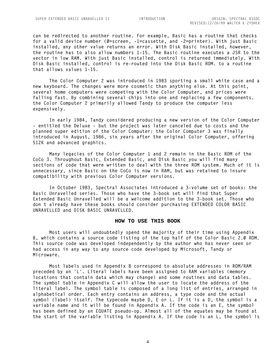**can be redirected to another routine. For example, Basic has a routine that checks for a valid device number (0=screen, -1=cassette, and -2=printer). With just Basic installed, any other value returns an error. With Disk Basic installed, however, the routine has to also allow numbers 1-15. The Basic routine executes a JSR to the vector in low RAM. With just Basic installed, control is returned immediately. With Disk Basic installed, control is re-routed into the Disk Basic ROM. to a routine that allows values 1-15.**

**The Color Computer 2 was introduced in 1983 sporting a small white case and a new keyboard. The changes were more cosmetic than anything else. At this point, several home computers were competing with the Color Computer, and prices were falling fast. By combining several chips into one and replacing a few components. the Color Computer 2 primarily allowed Tandy to produce the computer less expensively.**

**In early 1984, Tandy considered producing a new version of the Color Computer - entitled the Deluxe - but the project was later canceled due to costs and the planned super edition of the Color Computer: the Color Computer 3 was finally introduced in August, 1986, six years after the original Color Computer, offering 512K and advanced graphics.**

**Many legacies of the Color Computer 1 and 2 remain in the Basic ROM of the CoCo 3. Throughout Basic, Extended Basic, and Disk Basic you will find many sections of code that were written to deal with the three ROM system. Much of it is unnecessary, since Basic on the CoCo is now in RAM, but was retained to insure compatibility with previous Color Computer versions.**

**In October 1983, Spectral Associates introduced a 3-volume set of books: the Basic Unravelled series. Those who have the 3-book set will find that Super Extended Basic Unravelled will be a welcome addition to the 3-book set. Those who don't already have these books should consider purchasing EXTENDED COLOR BASIC UNRAVELLED and DISK BASIC UNRAVELLED.**

#### **HOW TO USE THIS BOOK**

**Most users will undoubtedly spend the majority of their time using Appendix B, which contains a source code listing of the top half of the Color Basic 2.0 ROM. This source code was developed independently by the author who has never seen or had access in any way to any source code developed by Microsoft, Tandy or Microware.**

**Most labels used in Appendix B correspond to absolute addresses in ROM/RAM preceded by an 'L'. Literal labels have been assigned to RAM variables (memory locations that contain data which may change) and some routines and data tables. The symbol table in Appendix C will allow the user to locate the address of the literal label. The symbol table is composed of a long list of entries, arranged in alphabetical order. Each entry contains an address, a type code and the actual symbol (label) itself. The typecode maybe D, E or L. If it is a D, the symbol is a variable name and it will be found in Appendix A. If the code is an E, the symbol has been defined by an EQUATE pseudo-op. Almost all of the equates may be found at the start of the variable listing in Appendix A. If the code is an L, the symbol is**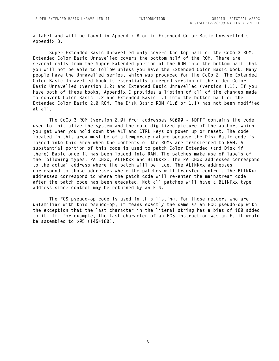**a label and will be found in Appendix B or in Extended Color Basic Unravelled's Appendix B.**

**Super Extended Basic Unravelled only covers the top half of the CoCo 3 ROM. Extended Color Basic Unravelled covers the bottom half of the ROM. There are several calls from the Super Extended portion of the ROM into the bottom half that you will not be able to follow unless you have the Extended Color Basic book. Many people have the Unravelled series, which was produced for the CoCo 2. The Extended Color Basic Unravelled book is essentially a merged version of the older Color Basic Unravelled (version 1.2) and Extended Basic Unravelled (version 1.1). If you have both of these books, Appendix I provides a listing of all of the changes made to convert Color Basic 1.2 and Extended Basic 1.1 into the bottom half of the Extended Color Basic 2.0 ROM. The Disk Basic ROM (1.0 or 1.1) has not been modified at all.**

**The CoCo 3 ROM (version 2.0) from addresses \$C000 - \$DFFF contains the code used to initialize the system and the cute digitized picture of the authors which you get when you hold down the ALT and CTRL keys on power up or reset. The code located in this area must be of a temporary nature because the Disk Basic code is loaded into this area when the contents of the ROMs are transferred to RAM. A substantial portion of this code is used to patch Color Extended (and Disk if there) Basic once it has been loaded into RAM. The patches make use of labels of the following types: PATCHxx, ALINKxx and BLINKxx. The PATCHxx addresses correspond to the actual address where the patch will be made. The ALINKxx addresses correspond to those addresses where the patches will transfer control. The BLINKxx addresses correspond to where the patch code will re-enter the mainstream code after the patch code has been executed. Not all patches will have a BLINKxx type address since control may be returned by an RTS.**

**The FCS pseudo-op code is used in this listing. For those readers who are unfamiliar with this pseudo-op, it means exactly the same as an FCC pseudo-op with the exception that the last character in the literal string has a bias of \$80 added to it. If, for example, the last character of an FCS instruction was an E, it would be assembled to \$05 (\$45+\$80).**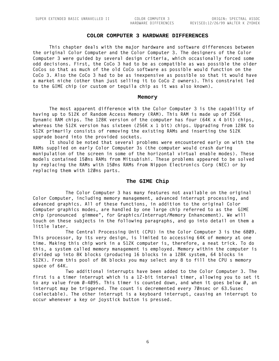#### **COLOR COMPUTER 3 HARDWARE DIFFERENCES**

<span id="page-7-0"></span>**This chapter deals with the major hardware and software differences between the original Color Computer and the Color Computer 3. The designers of the Color Computer 3 were guided by several design criteria, which occasionally forced some odd decisions. First, the CoCo 3 had to be as compatible as was possible the older CoCos so that as much of the old CoCo software as possible would function on the CoCo 3. Also the CoCo 3 had to be as inexpensive as possible so that it would have a market niche (other than just selling it to CoCo 2 owners). This constraint led to the GIME chip (or custom or tequila chip as it was also known).**

#### **Memory**

**The most apparent difference with the Color Computer 3 is the capability of having up to 512K of Random Access Memory (RAM). This RAM is made up of 256K Dynamic RAM chips. The 128K version of the computer has four (64K x 4 bit) chips, whereas the 512K version has sixteen (256K x 1 bit) chips. Upgrading from 128K to 512K primarily consists of removing the existing RAMs and inserting the 512K upgrade board into the provided sockets.**

**It should be noted that several problems were encountered early on with the RAMs supplied on early Color Computer 3s (the computer would crash during manipulation of the screen in some of the horizontal virtual enable modes). These models contained 150ns RAMs from Mitsubishi. These problems appeared to be solved by replacing the RAMs with 150ns RAMs from Nippon Electronics Corp (NEC) or by replacing them with 120ns parts.**

#### **The GIME Chip**

**The Color Computer 3 has many features not available on the original Color Computer, including memory management, advanced interrupt processing, and advanced graphics. All of these functions, in addition to the original Color Computer graphics modes, are handled by one large chip referred to as the 'GIME' chip (pronounced "gimmee", for Graphics/Interrupt/Memory Enhancement). We will touch on these subjects in the following paragraphs, and go into detail on them a little later.**

**The Central Processing Unit (CPU) in the Color Computer 3 is the 6809. This processor, by its very design, is limited to accessing 64K of memory at one time. Making this chip work in a 512K computer is, therefore, a neat trick. To do this, a system called memory management is employed. Memory within the computer is divided up into 8K blocks (producing 16 blocks in a 128K system, 64 blocks in 512K). From this pool of 8K blocks you may select any 8 to fill the CPU's memory space of 64K.**

**Two additional interrupts have been added to the Color Computer 3. The first is a timer interrupt which is a 12-bit interval timer, allowing you to set it to any value from 0-4095. This timer is counted down, and when it goes below 0, an interrupt may be triggered. The count is decremented every 70nsec or 63.5usec (selectable). The other interrupt is a keyboard interrupt, causing an interrupt to occur whenever a key or joystick button is pressed.**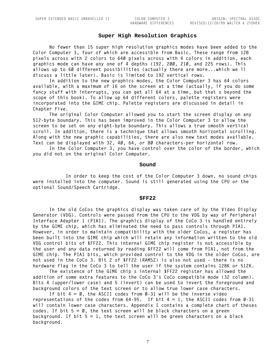#### **Super High Resolution Graphics**

**No fewer than 15 super high resolution graphics modes have been added to the Color Computer 3, four of which are accessible from Basic. These range from 128 pixels across with 2 colors to 640 pixels across with 4 colors in addition, each graphics mode can have any one of 4 depths (192, 200, 210, and 225 rows). This allows up to 60 different possibilities (actually there are more...which we'll discuss a little later). Basic is limited to 192 vertical rows.**

**In addition to the new graphics modes, the Color Computer 3 has 64 colors available, with a maximum of 16 on the screen at a time (actually, if you do some**  fancy stuff with interrupts, you can get all 64 at a time, but that s beyond the **scope of this book). To allow up 64 different colors, palette registers were incorporated into the GIME chip. Palette registers are discussed in detail in Chapter Five.**

**The original Color Computer allowed you to start the screen display on any 512-byte boundary. This has been improved in the Color Computer 3 to allow the screen to be set on any eight-byte boundary. This allows a true smooth vertical scroll. In addition, there is a technique that allows smooth horizontal scrolling. Along with the new graphic capabilities, there are also new text modes available. Text can be displayed with 32, 40, 64, or 80 characters-per horizontal row.**

**In the Color Computer 3, you have control over the color of the border, which you did not on the original Color Computer.**

#### **Sound**

**In order to keep the cost of the Color Computer 3 down, no sound chips were installed into the computer. Sound is still generated using the CPU or the optional Sound/Speech Cartridge.**

#### **\$FF22**

**In the old CoCos the graphics display was taken care of by the Video Display Generator (VDG). Controls were passed from the CPU to the VDG by way of Peripheral Interface Adapter 1 (PIA1). The graphics display of the CoCo 3 is handled entirely by the GIME chip, which has eliminated the need to pass controls through PIA1. However, in order to maintain compatibility with the older CoCos, a register has been built into the GIME chip which will retain any information written to the old VDG control bits of \$FF22. This internal GIME chip register is not accessible by the user and any data returned by reading \$FF22 will come from PIA1, not from the GIME chip. The PIA1 bits, which provided control to the VDG in the older CoCos, are not used in the CoCo 3. Bit 2 of \$FF22 (RAMSZ) is also not used - there is no hardware flag in the CoCo 3 to tell the user if the system contains 128K or 512K.**

**The existence of the GIME chip's internal \$FF22 register has allowed the addition of some extra features to the CoCo 3's CoCo compatible mode (32 column). Bits 4 (upper/lower case) and 5 (invert) can be used to invert the foreground and background colors of the text screen or to allow true lower case characters.**

If bit  $4 = \emptyset$ , the ASCII codes from  $\emptyset$ -31 will be the inverse video representations of the codes from  $64-95$ . If bit  $4 = 1$ , the ASCII codes from  $\emptyset$ -31 **will contain lower case characters. Appendix I contains a complete chart of theses codes. If bit 5 = 0, the text screen will be black characters on a green background. If bit 5 = 1, the text screen will be green characters on a black background.**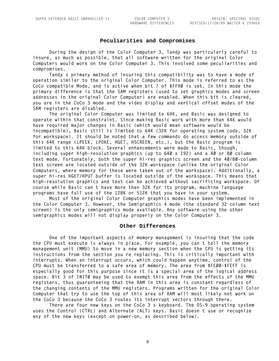#### **Peculiarities and Compromises**

**During the design of the Color Computer 3, Tandy was particularly careful to insure, as much as possible, that all software written for the original Color Computers would work on the Color Computer 3. This involved some peculiarities and compromises.**

**Tandy's primary method of insuring this compatibility was to have a mode of operation similar to the original Color Computer. This mode is referred to as the CoCo compatible Mode, and is active when bit 7 of \$FF90 is set. In this mode the primary difference is that the SAM registers (used to set graphics modes and screen addresses in the original Color Computer) are enabled. When this bit is cleared, you are in the CoCo 3 mode and the video display and vertical offset modes of the SAM registers are disabled.**

**The original Color Computer was limited to 64K, and Basic was designed to operate within that constraint. Since making Basic work with more than 64K would have required major changes in Basic (which would mean software would be incompatible), Basic still is limited to 64K (32K for operating system code, 32K for workspace). It should be noted that a few commands do access memory outside of this 64K range (LPEEK, LPOKE, HGET, HSCREEN, etc.), but the Basic program is limited to this 64K block. Several enhancements were made to Basic, though, including super high-resolution graphics (up to 640 x 192) and a 40 or 80 column text mode. Fortunately, both the super hi-res graphics screen and the 40/80-column text screen are located outside of the 32K workspace (unlike the original Color Computers, where memory for these were taken out of the workspace). Additionally, a super hi-res HGET/HPUT buffer is located outside of the workspace. This means that high-resolution graphics and text can be achieved without sacrificing workspace. Of course while Basic can't have more than 32K for its program, machine language programs have full use of the 128K or 512K that you have in your system.**

**Most of the original Color Computer graphics modes have been implemented in the Color Computer 3. However, the Semigraphics 4 mode (the standard 32 column text screen) is the only semigraphics mode available. Any software using the other semigraphics modes will not display properly on the Color Computer 3.** 

#### **Other Differences**

**One of the important aspects of memory management is insuring that the code the CPU must execute is always in place. For example, you can't tell the memory management unit (MMU) to move in a new memory section when the CPU is getting its**  instructions from the section you re replacing. This is critically important with **interrupts. When an interrupt occurs, which could happen anytime, control of the CPU must be transferred to a safe area of memory. The area from \$FE00-\$FEFF is especially good for this purpose since it is a special area of the logical address space. Bit 3 of INIT0 may be used to exempt this area from the effects of the MMU registers, thus guaranteeing that the RAM in this area is constant regardless of the changing contents of the MMU registers. Programs written for the original Color Computer that try to use the top of this area of RAM will most likely not work on the CoCo 3 because the CoCo 3 routes its interrupt vectors through there.**

**There are four new keys on the CoCo 3's keyboard. The OS-9 operating system uses the Control (CTRL) and Alternate (ALT) keys. Basic doesn't use or recognize any of the new keys (except on power-on, as described below).**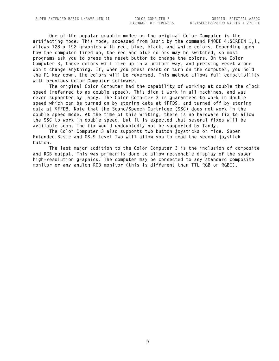**One of the popular graphic modes on the original Color Computer is the artifacting mode. This mode, accessed from Basic by the command PMODE 4:SCREEN 1,1, allows 128 x 192 graphics with red, blue, black, and white colors. Depending upon how the computer fired up, the red and blue colors may be switched, so most programs ask you to press the reset button to change the colors. On the Color Computer 3, these colors will fire up in a uniform way, and pressing reset alone won't change anything. If, when you press reset or turn on the computer, you hold the F1 key down, the colors will be reversed. This method allows full compatibility with previous Color Computer software.**

**The original Color Computer had the capability of working at double the clock speed (referred to as double speed). This didn't work in all machines, and was never supported by Tandy. The Color Computer 3 is guaranteed to work in double speed which can be turned on by storing data at \$FFD9, and turned off by storing data at \$FFD8. Note that the Sound/Speech Cartridge (SSC) does not work in the double speed mode. At the time of this writing, there is no hardware fix to allow the SSC to work in double speed, but it is expected that several fixes will be available soon. The fix would undoubtedly not be supported by Tandy.**

**The Color Computer 3 also supports two button joysticks or mice. Super Extended Basic and OS-9 Level Two will allow you to read the second joystick button.**

**The last major addition to the Color Computer 3 is the inclusion of composite and RGB output. This was primarily done to allow reasonable display of the super high-resolution graphics. The computer may be connected to any standard composite monitor or any analog RGB monitor (this is different than TTL RGB or RGBI).**

9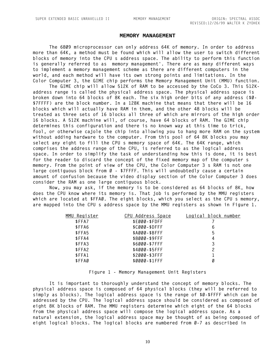#### **MEMORY MANAGEMENT**

<span id="page-11-0"></span>**The 6809 microprocessor can only address 64K of memory. In order to address more than 64K, a method must be found which will allow the user to switch different blocks of memory into the CPU's address space. The ability to perform this function is generally referred to as 'memory management'. There are as many different ways to implement a memory management scheme as there are different computers in the world, and each method will have its own strong points and limitations. In the Color Computer 3, the GIME chip performs the Memory Management Unit (MMU) function.**

**The GIME chip will allow 512K of RAM to be accessed by the CoCo 3. This 512Kaddress range is called the physical address space. The physical address space is broken down into 64 blocks of 8K each. The six high order bits of any address (\$0- \$7FFFF) are the block number. In a 128K machine that means that there will be 16 blocks which will actually have RAM in them, and the other 48 blocks will be treated as three sets of 16 blocks all three of which are mirrors of the high order 16 blocks. A 512K machine will, of course, have 64 blocks of RAM. The GIME chip determines this configuration and there is no known way at this time to trick, fool, or otherwise cajole the chip into allowing you to hang more RAM on the system without adding hardware to the computer. From this pool of 64 8K blocks you may**  select any eight to fill the CPU s memory space of 64K. The 64K range, which **comprises the address range of the CPU, is referred to as the logical address space. In order to simplify the task of understanding how this is done, it is best for the reader to discard the concept of the fixed memory map of the computer's memory. From the point of view of the CPU, the Color Computer 3's RAM is not one**  large contiguous block from Ø - \$7FFFF. This will undoubtedly cause a certain **amount of confusion because the video display section of the Color Computer 3 does consider the RAM as one large contiguous block.**

**Now, you may ask, if the memory is to be considered as 64 blocks of 8K, how does the CPU know where its memory is. That job is performed by the MMU registers which are located at \$FFA0. The eight blocks, which you select as the CPU's memory, are mapped into the CPU's address space by the MMU registers as shown in Figure 1.**

| MMU Register | CPU Address Space | Logical block number |
|--------------|-------------------|----------------------|
| \$FFA7       | $$E000-SFDF$      |                      |
| \$FFA6       | \$CØØØ-\$DFFF     | 6                    |
| \$FFA5       | $$A000 - $B$ FFF  | 5                    |
| \$FFA4       | \$8000-\$9FFF     | 4                    |
| \$FFA3       | $$6000 - $7$ FFF  | 3                    |
| \$FFA2       | \$4000-\$5FFF     | 2                    |
| \$FFA1       | \$2000-\$3FFF     |                      |
| \$FFAØ       | \$0000-\$1FFF     | Ø                    |
|              |                   |                      |

**Figure 1 - Memory Management Unit Registers**

**It is important to thoroughly understand the concept of memory blocks. The physical address space is composed of 64 physical blocks (they will be referred to simply as blocks). The logical address space is the range of \$0-\$FFFF which can be addressed by the CPU. The logical address space should be considered as composed of eight 8K blocks of RAM. The MMU registers determine which eight of the 64 blocks from the physical address space will compose the logical address space. As a natural extension, the logical address space may be thought of as being composed of eight logical blocks. The logical blocks are numbered from 0-7 as described in**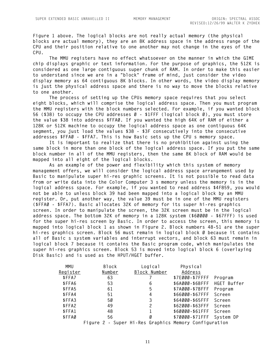**Figure 1 above. The logical blocks are not really actual memory (the physical blocks are actual memory), they are an 8K address space in the address range of the CPU and their position relative to one another may not change in the eyes of the CPU.**

**The MMU registers have no effect whatsoever on the manner in which the GIME chip displays graphic or text information. For the purpose of graphics, the 512K is considered as one large contiguous super chunk of RAM. In order to make this easier to understand since we are in a "block" frame of mind, just consider the video display memory as 64 contiguous 8K blocks. In other words, the video display memory is just the physical address space and there is no way to move the blocks relative to one another.**

**The process of setting up the CPUs memory space requires that you select eight blocks, which will comprise the logical address space. Then you must program the MMU registers with the block numbers selected. For example, if you wanted block 56 (\$38) to occupy the CPU addresses 0 - \$1FFF (logical block 0), you must store the value \$38 into address \$FFA0. If you wanted the high 64K of RAM of either a 128K or 512K machine to occupy the logical address space as one contiguous 64K segment, you just load the values \$38 - \$3F consecutively into the consecutive addresses \$FFA0 - \$FFA7. This is how Basic sets up the CPU's memory space.**

**It is important to realize that there is no prohibition against using the same block in more than one block of the logical address space. If you put the same block number in all of the MMU registers, then the same 8K block of RAM would be mapped into all eight of the logical blocks.**

**As an example of the power and flexibility which this system of memory management offers, we will consider the logical address space arrangement used by Basic to manipulate super hi-res graphic screens. It is not possible to read data from or write data into the Color Computer 3's memory unless the memory is in the logical address space. For example, if you wanted to read address \$4F859, you would not be able to unless block 39 had been mapped into a logical block by an MMU register. Or, put another way, the value 39 must be in one of the MMU registers (\$FFA0 - \$FFA7). Basic allocates 32K of memory for its super hi-res graphics screen. In order to manipulate the screen, the 32K screen must be in the logical address space. The bottom 32K of memory in a 128K system (\$60000 - \$67FFF) is used for the super hi-res screen by Basic. In order to access the screen, this memory is mapped into logical block 1 as shown in Figure 2. Block numbers 48-51 are the super hi-res graphics screen. Block 56 must remain in logical block 0 because it contains all of Basic's system variables and interrupt vectors, and block 63 must remain in logical block 7 because it contains the Basic program code, which manipulates the super hi-res graphics screen. Block 53 is moved into logical block 6 (overlaying Disk Basic) and is used as the HPUT/HGET buffer.**

| MMU      | <b>Block</b> | Logical                                      | Physical        |             |
|----------|--------------|----------------------------------------------|-----------------|-------------|
| Register | Number       | Block Number                                 | Address         |             |
| \$FFA7   | 63           |                                              | \$7E000-\$7FFFF | Program     |
| \$FFA6   | 53           | 6                                            | \$6A000-\$6BFFF | HGET Buffer |
| \$FFA5   | 61           | 5                                            | \$7A000-\$7BFFF | Program     |
| \$FFA4   | 51           | 4                                            | \$66000-\$67FFF | Screen      |
| \$FFA3   | 5Ø           | 3                                            | \$64000-\$65FFF | Screen      |
| \$FFA2   | 49           | 2                                            | \$62000-\$63FFF | Screen      |
| \$FFA1   | 48           |                                              | \$60000-\$61FFF | Screen      |
| \$FFAØ   | 56           | Ø                                            | \$70000-\$71FFF | System DP   |
|          | Figure 2     | - Super Hi-Res Graphics Memory Configuration |                 |             |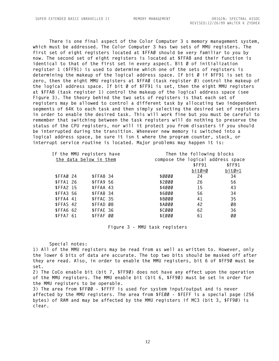**There is one final aspect of the Color Computer 3's memory management system, which must be addressed. The Color Computer 3 has two sets of MMU registers. The**  first set of eight registers located at \$FFAØ should be very familiar to you by **now. The second set of eight registers is located at \$FFA8 and their function is identical to that of the first set in every aspect. Bit 0 of initialization register 1 (\$FF91) is used to determine which one of the sets of registers is determining the makeup of the logical address space. If bit 0 if \$FF91 is set to zero, then the eight MMU registers at \$FFA0 (task register 0) control the makeup of the logical address space. If bit 0 of \$FF91 is set, then the eight MMU registers at \$FFA8 (task register 1) control the makeup of the logical address space (see Figure 3). The theory behind the two sets of registers is that each set of registers may be allowed to control a different task by allocating two independent segments of 64K to each task and then simply selecting the desired set of registers in order to enable the desired task. This will work fine but you must be careful to remember that switching between the task registers will do nothing to preserve the status of the CPU registers, nor will it protect you from disasters if you should be interrupted during the transition. Whenever new memory is switched into a logical address space, be sure it isn't where the program counter, stack, or interrupt service routine is located. Major problems may happen it is:**

| If the MMU registers have |                  | Then the following blocks         |
|---------------------------|------------------|-----------------------------------|
| the data below in them    |                  | compose the logical address space |
|                           |                  | \$FF91<br>\$FF91                  |
|                           |                  | $bit0=1$<br>bitØ=Ø                |
| \$FFAØ 24                 | \$FFA8 34        | \$0000<br>24<br>34                |
| <b>\$FFA1 26</b>          | <b>\$FFA9 56</b> | 56<br>\$2000<br>26                |
| \$FFA2 15                 | \$FFAA 43        | 43<br>\$4000<br>15                |
| \$FFA3 56                 | \$FFAB 34        | 34<br>\$6000<br>56                |
| \$FFA4 41                 | \$FFAC 35        | 35<br>41<br>\$8000                |
| \$FFAS 42                 | \$FFAD 08        | 42<br>Ø8<br>\$AØØØ                |
| \$FFA6 62                 | \$FFAE 36        | 62<br>36<br>\$CØØØ                |
| \$FFA7 61                 | \$FFAF 00        | \$E000<br>øø<br>61                |

**Figure 3 - MMU task registers**

#### **Special notes:**

**1) All of the MMU registers may be read from as well as written to. However, only the lower 6 bits of data are accurate. The top two bits should be masked off after they are read. Also, in order to enable the MMU registers, bit 6 of \$FF90 must be set.**

**2) The CoCo enable bit (bit 7, \$FF90) does not have any effect upon the operation of the MMU registers. The MMU enable bit (bit 6, \$FF90) must be set in order for the MMU registers to be operable.**

**3) The area from \$FF00 - \$FFFF is used for system input/output and is never affected by the MMU registers. The area from \$FE00 - \$FEFF is a special page (256 bytes) of RAM and may be affected by the MMU registers if MC3 (bit 3, \$FF90) is clear.**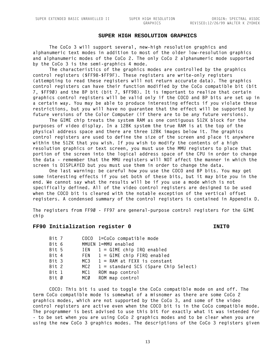#### **SUPER HIGH RESOLUTION GRAPHICS**

<span id="page-14-0"></span>**The CoCo 3 will support several, new-high resolution graphics and alphanumeric text modes in addition to most of the older low-resolution graphics and alphanumeric modes of the CoCo 2. The only CoCo 2 alphanumeric mode supported by the CoCo 3 is the semi-graphics 4 mode.**

**The characteristics of the graphics modes are controlled by the graphics control registers (\$FF98-\$FF9F). These registers are write-only registers (attempting to read these registers will not return accurate data). The graphics control registers can have their function modified by the CoCo compatible bit (bit 7, \$FF90) and the BP bit (bit 7, \$FF98). It is important to realize that certain graphics control registers will be valid only if the COCO and BP bits are set up in a certain way. You may be able to produce interesting effects if you violate these restrictions, but you will have no guarantee that the effect will be supported by future versions of the Color Computer (if there are to be any future versions).**

**The GIME chip treats the system RAM as one contiguous 512K block for the purposes of video display. In a 128K system the true RAM is at the top of the physical address space and there are three 128K images below it. The graphics control registers are used to define the size of the screen and place it anywhere within the 512K that you wish. If you wish to modify the contents of a high resolution graphics or text screen, you must use the MMU registers to place that portion of the screen into the logical address space of the CPU in order to change the data - remember that the MMU registers will NOT affect the manner in which the screen is DISPLAYED but you must use them in order to change the data.**

**One last warning: be careful how you use the COCO and BP bits. You may get some interesting effects if you set both of these bits, but it may bite you in the end. We cannot say what the results will be if you use a mode which is not specifically defined. All of the video control registers are designed to be used when the COCO bit is cleared with the notable exception of the vertical offset registers. A condensed summary of the control registers is contained in Appendix D.**

**The registers from FF90 - FF97 are general-purpose control registers for the GIME chip**

#### **FF90 Initialization register 0 INIT0**

| Bit 7 |     | COCO 1=CoCo compatible mode            |
|-------|-----|----------------------------------------|
| Bit 6 |     | MMUEN 1=MMU enabled                    |
| Bit 5 |     | $IEN$ 1 = GIME chip IRQ enabled        |
| Bit 4 |     | FEN $1 = GIME chip FIRQ enabled$       |
| Bit 3 |     | $MC3$ 1 = RAM at FEXX is constant      |
| Bit 2 | MC2 | $1 =$ standard SCS (Spare Chip Select) |
| Bit 1 | MC1 | ROM map control                        |
| Bit Ø | MCØ | ROM map control                        |

**COCO: This bit is used to toggle the CoCo compatible mode on and off. The term CoCo compatible mode is somewhat of a misnomer as there are some CoCo 2 graphics modes, which are not supported by the CoCo 3, and some of the video control registers are active even when the COCO bit is in the CoCo compatible mode. The programmer is best advised to use this bit for exactly what it was intended for - to be set when you are using CoCo 2 graphics modes and to be clear when you are using the new CoCo 3 graphics modes. The descriptions of the CoCo 3 registers given**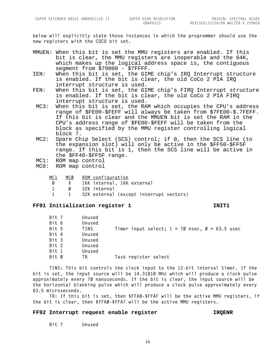**below will explicitly state those instances in which the programmer should use the new registers with the COCO bit set.**

- MMUEN: When this bit is set the MMU registers are enabled. If this bit is clear, the MMU registers are inoperable and the 64K, which makes up the logical address space is, the contiguous segment from \$70000 - \$7FFFF.
- IEN: When this bit is set, the GIME chip's IRQ Interrupt structure is enabled. If the bit is clear, the old CoCo 2 PIA IRQ interrupt structure is used.
- FEN: When this bit is set, the GIME chip's FIRQ Interrupt structure is enabled. If the bit is clear, the old CoCo 2 PIA FIRQ interrupt structure is used.
- MC3: When this bit is set, the RAM which occupies the CPU's address range of \$FE00-\$FEFF will always be taken from \$7FE00-\$.7FEFF. If this bit is clear and the MMUEN bit is set the RAM in the CPU's address range of \$FE00-\$FEFF will be taken from the block as specified by the MMU register controlling logical block 7.
- MC2: Spare Chip Select (SCS) control; if 0, then the SCS line (to the expansion slot) will only be active in the \$FF50-\$FF5F range. If this bit is 1, then the SCS line will be active in the \$FF40-\$FF5F range.
- MC1: ROM map control
- MC0: ROM map control
	- **MC1 MC0 ROM configuration**
	- **0 X 16K internal, 16K external**
	- **1 0 32K internal**
	- **1 1 32K external (except interrupt vectors)**

# **FF91 Initialization register 1 INIT1**

| Bit 7 | Unused |  |                                                         |  |  |  |
|-------|--------|--|---------------------------------------------------------|--|--|--|
| Bit 6 | Unused |  |                                                         |  |  |  |
| Bit 5 | TINS   |  | Timer input select; $1 = 70$ nsec, $\theta = 63.5$ usec |  |  |  |
| Bit 4 | Unused |  |                                                         |  |  |  |
| Bit 3 | Unused |  |                                                         |  |  |  |
| Bit 2 | Unused |  |                                                         |  |  |  |
| Bit 1 | Unused |  |                                                         |  |  |  |
| Bit Ø | ΤR     |  | Task register select                                    |  |  |  |

**TINS: This bit controls the clock input to the 12-bit interval timer. If the bit is set, the input source will be 14.31818 MHz which will produce a clock pulse approximately every 70 nanoseconds. If the bit is clear, the input source will be the horizontal blanking pulse which will produce a clock pulse approximately every 63.5 microseconds.**

**TR: If this bit is set, then \$FFA8-\$FFAF will be the active MMU registers, if the bit is clear, then \$FFA0-\$FFA7 will be the active MMU registers.**

#### **FF92 Interrupt request enable register IRQENR**

**Bit 7 Unused**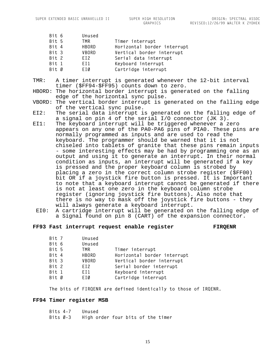| Bit 6 | Unused          |                             |
|-------|-----------------|-----------------------------|
| Bit 5 | TMR             | Timer interrupt             |
| Bit 4 | <b>HBORD</b>    | Horizontal border interrupt |
| Bit 3 | <b>VBORD</b>    | Vertical border interrupt   |
| Bit 2 | EI <sub>2</sub> | Serial data interrupt       |
| Bit 1 | EI1             | Keyboard interrupt          |
| Bit Ø | <b>ETØ</b>      | Cartridge interrupt         |
|       |                 |                             |

- TMR: A timer interrupt is generated whenever the 12-bit interval timer (\$FF94-\$FF95) counts down to zero.
- HBORD: The horizontal border interrupt is generated on the falling edge of the horizontal sync pulse.
- VBORD: The vertical border interrupt is generated on the falling edge of the vertical sync pulse.
- EI2: The serial data interrupt is generated on the falling edge of a signal on pin 4 of the serial I/O connector (JK 3).
- EI1: The keyboard interrupt will be triggered whenever a zero appears on any one of the PA0-PA6 pins of PIA0. These pins are normally programmed as inputs and are used to read the keyboard. The programmer should be warned that it is not chiseled into tablets of granite that these pins remain inputs - some interesting effects may be had by programming one as an output and using it to generate an interrupt. In their normal condition as inputs, an interrupt will be generated if a key is pressed and the proper keyboard column is strobed by placing a zero in the correct column strobe register (\$FF00) bit OR if a joystick fire button is pressed. It is Important to note that a keyboard interrupt cannot be generated if there is not at least one zero in the keyboard column strobe register (ignoring joystick fire buttons). Also note that there is no way to mask off the joystick fire buttons - they will always generate a keyboard interrupt.
	- EI0: A cartridge interrupt will be generated on the falling edge of a Signal found on pin 8 (CART) of the expansion connector.

### **FF93 Fast interrupt request enable register FIRQENR**

| Bit 7 | Unused       |                             |
|-------|--------------|-----------------------------|
| Bit 6 | Unused       |                             |
| Bit 5 | TMR          | Timer interrupt             |
| Bit 4 | <b>HBORD</b> | Horizontal border interrupt |
| Bit 3 | <b>VBORD</b> | Vertical border interrupt   |
| Bit 2 | EI2          | Serial border interrupt     |
| Bit 1 | EI1          | Keyboard interrupt          |
| Bit Ø | EIØ          | Cartridge interrupt         |
|       |              |                             |

**The bits of FIRQENR are defined identically to those of IRQENR.**

#### **FF94 Timer register MSB**

| Bits 4-7 | Unused |                                   |  |  |  |
|----------|--------|-----------------------------------|--|--|--|
| Bits Ø–3 |        | High order four bits of the timer |  |  |  |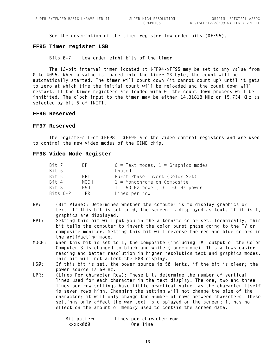**See the description of the timer register low order bits (\$FF95).**

#### **FF95 Timer register LSB**

**Bits 0-7 Low order eight bits of the timer**

**The 12-bit interval timer located at \$FF94-\$FF95 may be set to any value from 0 to 4095. When a value is loaded into the timer MS byte, the count will be automatically started. The timer will count down (it cannot count up) until it gets to zero at which time the initial count will be reloaded and the count down will restart. If the timer registers are loaded with 0, the count down process will be inhibited. The clock input to the timer may be either 14.31818 MHz or 15.734 KHz as selected by bit 5 of INIT1.**

#### **FF96 Reserved**

#### **FF97 Reserved**

**The registers from \$FF98 - \$FF9F are the video control registers and are used to control the new video modes of the GIME chip.**

#### **FF98 Video Mode Register**

| Bit. 7     | RP.  | $0 =$ Text modes, $1 =$ Graphics modes |
|------------|------|----------------------------------------|
| Bit 6      |      | Unused                                 |
| Bit 5      | RP T | Burst Phase Invert (Color Set)         |
| Rit. 4     | MOCH | $1 =$ Monochrome on Composite          |
| Rit. 3     | H50  | $1 = 50$ Hz power, $0 = 60$ Hz power   |
| Bits $0-2$ | I PR | Lines per row                          |

- **BP: (Bit Plane): Determines whether the computer is to display graphics or text. If this bit is set to 0, the screen is displayed as text. If it is 1, graphics are displayed.**
- **BPI: Setting this bit will put you in the alternate color set. Technically, this bit tells the computer to invert the color burst phase going to the TV or composite monitor. Setting this bit will reverse the red and blue colors in the artifacting mode.**
- **MOCH: When this bit is set to 1, the composite (including TV) output of the Color Computer 3 is changed to black and white (monochrome). This allows easier reading and better resolution in higher resolution text and graphics modes. This bit will not affect the RGB display.**
- **H50: If this bit is set, the power source is 50 Hertz, if the bit is clear; the power source is 60 Hz.**
- **LPR: (Lines Per character Row): These bits determine the number of vertical lines used for each character in the text display. The one, two and three lines per row settings have little practical value, as the character itself is seven rows high. Changing the setting will not change the size of the character; it will only change the number of rows between characters. These settings only affect the way text is displayed on the screen; it has no effect on the amount of memory used to contain the screen data.**

| Bit pattern |  | Lines per character row |  |
|-------------|--|-------------------------|--|
| xxxxx000    |  | One line                |  |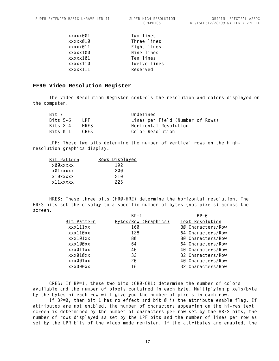| xxxxx001 | Two lines    |
|----------|--------------|
| xxxxx010 | Three lines  |
| xxxxx011 | Eight lines  |
| xxxxx100 | Nine lines   |
| xxxxx101 | Ten lines    |
| xxxxx110 | Twelve lines |
| xxxxx111 | Reserved     |

#### **FF99 Video Resolution Register**

**The Video Resolution Register controls the resolution and colors displayed on the computer.**

| Bit 7    |             | Undefined                        |
|----------|-------------|----------------------------------|
| Bits 5–6 | IPF         | Lines per Field (Number of Rows) |
| Bits 2–4 | HRES        | Horizontal Resolution            |
| Bits Ø–1 | <b>CRES</b> | Color Resolution                 |

**LPF: These two bits determine the number of vertical rows on the highresolution graphics display.**

| Bit Pattern | Rows Displayed |
|-------------|----------------|
| xØØxxxxx    | 192            |
| xØ1xxxxx    | 200            |
| x1Øxxxxx    | 210            |
| x11xxxxx    | 225            |

**HRES: These three bits (HR0-HR2) determine the horizontal resolution. The HRES bits set the display to a specific number of bytes (not pixels) across the screen.**

|                    | $BP=1$               | $BP = \emptyset$  |
|--------------------|----------------------|-------------------|
| <b>Bit Pattern</b> | Bytes/Row (Graphics) | Text Resolution   |
| xxx111xx           | 160                  | 80 Characters/Row |
| xxx110xx           | 128                  | 64 Characters/Row |
| xxx101xx           | 80                   | 80 Characters/Row |
| xxx100xx           | 64                   | 64 Characters/Row |
| xxx011xx           | 40                   | 40 Characters/Row |
| xxx010xx           | 32                   | 32 Characters/Row |
| xxx001xx           | 20                   | 40 Characters/Row |
| xxx000xx           | 16                   | 32 Characters/Row |
|                    |                      |                   |

**CRES: If BP=1, these two bits (CR0-CR1) determine the number of colors available and the number of pixels contained in each byte. Multiplying pixels/byte by the bytes hi each row will give you the number of pixels in each row.**

**If BP=0, then bit 1 has no effect and bit 0 is the attribute enable flag. If attributes are not enabled, the number of characters appearing on the hi-res text screen is determined by the number of characters per row set by the HRES bits, the number of rows displayed as set by the LPF bits and the number of lines per row as set by the LPR bits of the video mode register. If the attributes are enabled, the**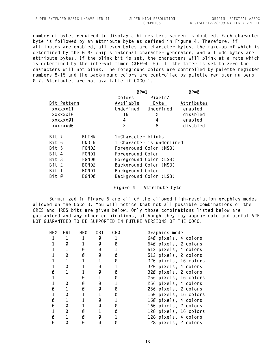**number of bytes required to display a hi-res text screen is doubled. Each character byte is followed by an attribute byte as defined in Figure 4. Therefore, if attributes are enabled, all even bytes are character bytes, the make-up of which is determined by the GIME chip's internal character generator, and all odd bytes are attribute bytes. If the blink bit is set, the characters will blink at a rate which is determined by the interval timer (\$FF94, 5). If the timer is set to zero the characters will not blink. The foreground colors are controlled by palette register numbers 8-15 and the background colors are controlled by palette register numbers 0-7. Attributes are not available if COCO=1.**

|             |                   | $BP=1$             |                           | $BP = \emptyset$ |
|-------------|-------------------|--------------------|---------------------------|------------------|
|             |                   | Colors             | Pixels/                   |                  |
| Bit Pattern |                   | Available          | Bvte                      | Attributes       |
| xxxxxx11    |                   | Undefined          | Undefined                 | enabled          |
| xxxxxx10    |                   | 16                 | 2                         | disabled         |
| xxxxxx01    |                   | 4                  | 4                         | enabled          |
| xxxxxx00    |                   | $\overline{c}$     | 8                         | disabled         |
| Bit 7       | <b>BLINK</b>      | 1=Character blinks |                           |                  |
| Bit 6       | <b>UNDLN</b>      |                    | 1=Character is underlined |                  |
| Bit 5       | FGND <sub>2</sub> |                    | Foreground Color (MSB)    |                  |
| Bit 4       | FGND1             | Foreground Color   |                           |                  |
| Bit 3       | FGNDØ             |                    | Foreground Color (LSB)    |                  |
| Bit 2       | BGND2             |                    | Background Color (MSB)    |                  |
| Bit 1       | BGND1             | Background Color   |                           |                  |
| Bit Ø       | BGNDØ             |                    | Background Color (LSB)    |                  |
|             |                   |                    |                           |                  |

#### **Figure 4 - Attribute byte**

**Summarized in Figure 5 are all of the allowed high-resolution graphics modes allowed on the CoCo 3. You will notice that not all possible combinations of the CRES and HRES bits are given below. Only those combinations listed below are guaranteed and any other combinations, although they may appear cute and useful ARE NOT GUARANTEED TO BE SUPPORTED IN FUTURE VERSIONS OF THE COCO.**

|   | HR2 HR1 | HRØ | CR1 | CRØ | Graphics mode         |
|---|---------|-----|-----|-----|-----------------------|
|   |         |     | Ø   |     | 640 pixels, 4 colors  |
|   | Ø       |     | Ø   | Ø   | 640 pixels, 2 colors  |
|   |         | Ø   | Ø   |     | 512 pixels, 4 colors  |
|   | Ø       | Ø   | Ø   | Ø   | 512 pixels, 2 colors  |
|   |         |     |     | Ø   | 320 pixels, 16 colors |
|   | Ø       |     | Ø   |     | 320 pixels, 4 colors  |
|   |         |     | Ø   | Ø   | 320 pixels, 2 colors  |
|   |         | Ø   |     | Ø   | 256 pixels, 16 colors |
|   | Ø       | Ø   | Ø   |     | 256 pixels, 4 colors  |
|   |         | Ø   | Ø   | Ø   | 256 pixels, 2 colors  |
|   | Ø       |     |     | Ø   | 160 pixels, 16 colors |
|   |         |     | Ø   |     | 160 pixels, 4 colors  |
| Ø | Ø       |     | Ø   | Ø   | 160 pixels, 2 colors  |
|   | Ø       | Ø   |     | Ø   | 128 pixels, 16 colors |
| Ø |         | Ø   | Ø   |     | 128 pixels, 4 colors  |
|   | Ø       | Ø   | Ø   |     | 128 pixels, 2 colors  |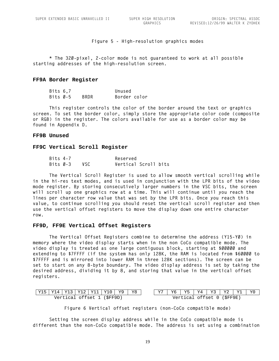#### **Figure 5 - High-resolution graphics modes**

**\* The 320-pixel, 2-color mode is not guaranteed to work at all possible starting addresses of the high-resolution screen.**

#### **FF9A Border Register**

| Bits 6,7 |      | Unused       |  |
|----------|------|--------------|--|
| Bits Ø–5 | BRDR | Border color |  |

**This register controls the color of the border around the text or graphics screen. To set the border color, simply store the appropriate color code (composite or RGB) in the register. The colors available for use as a border color may be found in Appendix D.**

#### **FF9B Unused**

# **FF9C Vertical Scroll Register**

| Bits 4-7 |      | Reserved             |  |
|----------|------|----------------------|--|
| Bits Ø–3 | VSC. | Vertical Scroll bits |  |

**The Vertical Scroll Register is used to allow smooth vertical scrolling while in the hi-res text modes, and is used in conjunction with the LPR bits of the video mode register. By storing consecutively larger numbers in the VSC bits, the screen will scroll up one graphics row at a time. This will continue until you reach the lines per character row value that was set by the LPR bits. Once you reach this value, to continue scrolling you should reset the vertical scroll register and then use the vertical offset registers to move the display down one entire character row.**

#### **FF9D, FF9E Vertical Offset Registers**

**The Vertical Offset Registers combine to determine the address (Y15-Y0) in memory where the video display starts when in the non CoCo compatible mode. The video display is treated as one large contiguous block, starting at \$00000 and extending to \$7FFFF (if the system has only 128K, the RAM is located from \$60000 to \$7FFFF and is mirrored into lower RAM in three 128K sections). The screen can be set to start on any 8-byte boundary. The video display address is set by taking the desired address, dividing it by 8, and storing that value in the vertical offset registers.**

| Y15   Y14   Y13   Y12   Y11   Y10   Y9 |  |                            | Y8 | Y7 | Y6 I |                            | Y5   Y4   Y3   Y2   Y1 |  | <b>Y0</b> |
|----------------------------------------|--|----------------------------|----|----|------|----------------------------|------------------------|--|-----------|
|                                        |  | Vertical offset 1 (\$FF9D) |    |    |      | Vertical offset 0 (\$FF9E) |                        |  |           |

**Figure 6 Vertical offset registers (non-CoCo compatible mode)**

**Setting the screen display address while in the CoCo compatible mode is different than the non-CoCo compatible mode. The address is set using a combination**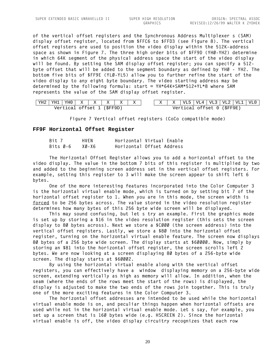**of the vertical offset registers and the Synchronous Address Multiplexer's (SAM) display offset register, located from \$FFC6 to \$FFD3 (see Figure 8). The vertical offset registers are used to position the video display within the 512K-address space as shown in Figure 7. The three high order bits of \$FF9D (YH0-YH2) determine in which 64K segment of the physical address space the start of the video display will be found. By setting the SAM display offset register; you can specify a 512** byte offset that will be added to the segment boundary as defined by YHØ - YH2. The bottom five bits of \$FF9E (YLØ-YL5) allow you to further refine the start of the **video display to any eight byte boundary. The video starting address may be determined by the following formula: start = YH\*64K+SAM\*512+YL\*8 where SAM represents the value of the SAM display offset register.**

| YH2 |          | YH1   YH0   X       | $X \parallel X$ | $- -$<br>▵ | -4 | $\mathbf{r}$<br>ឹ | ▵ |          |  | VL5   VL4   VL3   VL2   VL1 | VL0 |
|-----|----------|---------------------|-----------------|------------|----|-------------------|---|----------|--|-----------------------------|-----|
|     | Vertical | ' offset 1 (\$FF9D) |                 |            |    |                   |   | Vertical |  | offset 0 (SFF9E)            |     |

**Figure 7 Vertical offset registers (CoCo compatible mode)**

#### **FF9F Horizontal Offset Register**

| Bit 7    | <b>HVEN</b> | Horizontal Virtual Enable |
|----------|-------------|---------------------------|
| Bits Ø–6 | X0-X6       | Horizontal Offset Address |

**The Horizontal Offset Register allows you to add a horizontal offset to the video display. The value in the bottom 7 bits of this register is multiplied by two and added to the beginning screen address set in the vertical offset registers. For example, setting this register to 3 will make the screen appear to shift left 6 bytes.**

**One of the more interesting features incorporated into the Color Computer 3 is the horizontal virtual enable mode, which is turned on by setting bit 7 of the horizontal offset register to 1. When you are in this mode, the screen width is forced to be 256 bytes across. The value stored in the video resolution register determines how many bytes of this 256 byte wide screen will be displayed.**

**This may sound confusing, but let's try an example. First the graphics mode is set up by storing a \$16 in the video resolution register (this sets the screen display to 80 bytes across). Next we store a \$C000 (the screen address) into the vertical offset registers. Lastly, we store a \$80 into the horizontal offset register, turning on the horizontal virtual enable feature. The screen now displays 80 bytes of a 256 byte wide screen. The display starts at \$60000. Now, simply by storing an \$81 into the horizontal offset register, the screen scrolls left 2 bytes. We are now looking at a screen displaying 80 bytes of a 256-byte wide screen. The display starts at \$60002.**

**By using the horizontal virtual enable along with the vertical offset**  registers, you can effectively have a window displaying memory on a 256-byte wide **screen, extending vertically as high as memory will allow. In addition, when the seam (where the ends of the rows meet the start of the rows) is displayed, the display is adjusted to make the two ends of the rows join together. This is truly one of the more exciting features in the Color Computer 3.**

**The horizontal offset addresses are intended to be used while the horizontal virtual enable mode is on, and peculiar things happen when horizontal offsets are used while not in the horizontal virtual enable mode. Let's say, for example, you set up a screen that is 160 bytes wide (e.g. HSCREEN 2). Since the horizontal virtual enable is off, the video display circuitry recognizes that each row**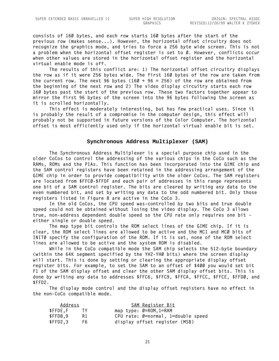**consists of 160 bytes, and each row starts 160 bytes after the start of the previous row (makes sense...). However, the horizontal offset circuitry does not recognize the graphics mode, and tries to force a 256 byte wide screen. This is not a problem when the horizontal offset register is set to 0. However, conflicts occur when other values are stored in the horizontal offset register and the horizontal virtual enable mode is off.**

**The results of this conflict are: 1) The horizontal offset circuitry displays the row as if it were 256 bytes wide. The first 160 bytes of the row are taken from**  the current row. The next 96 bytes  $(160 + 96 = 256)$  of the row are obtained from **the beginning of the next row and 2) The video display circuitry starts each row 160 bytes past the start of the previous row. These two factors together appear to mirror the first 96 bytes of the screen into the 96 bytes following the screen as it is scrolled horizontally.**

**This effect is moderately interesting, but has few practical uses. Since it is probably the result of a compromise in the computer design, this effect will probably not be supported in future versions of the Color Computer. The horizontal offset is most efficiently used only if the horizontal virtual enable bit is set.**

#### **Synchronous Address Multiplexer (SAM)**

**The Synchronous Address Multiplexer is a special purpose chip used in the older CoCos to control the addressing of the various chips in the CoCo such as the RAMs, ROMs and the PIAs. This function has been incorporated into the GIME chip and the SAM control registers have been retained in the addressing arrangement of the GIME chip in order to provide compatibility with the older CoCos. The SAM registers are located from \$FFC0-\$FFDF and each pair of addresses in this range represents one bit of a SAM control register. The bits are cleared by writing any data to the even numbered bit, and set by writing any data to the odd numbered bit. Only those registers listed in Figure 8 are active in the CoCo 3.**

**In the old CoCos, the CPU speed was-controlled by two bits and true double speed could not be obtained without losing the video display. The CoCo 3 allows true, non-address dependent double speed so the CPU rate only requires one bit either single or double speed.**

**The map type bit controls the ROM select lines of the GIME chip. If it is clear, the ROM select lines are allowed to be active and the MC1 and MC0 bits of INIT0 specify the configuration of the ROM. If it is set, none of the ROM select lines are allowed to be active and the system ROM is disabled.**

**While in the CoCo compatible mode the SAM chip selects the 512-byte boundary (within the 64K segment specified by the YH2-YH0 bits) where the screen display will start. This is done by setting or clearing the appropriate display offset register bits. For example, to set the SAM to an offset of \$400 you would set bit F1 of the SAM display offset and clear the other SAM display offset bits. This is done by writing any data to addresses \$FFC6, \$FFC9, \$FFCA, \$FFCC, \$FFCE, \$FFD0, and \$FFD2.**

**The display mode control and the display offset registers have no effect in the non-CoCo compatible mode.**

| Address  |     | SAM Register Bit                   |
|----------|-----|------------------------------------|
| \$FFDE,F | TY. | map type: $\emptyset$ =ROM, 1=RAM  |
| \$FFD8.9 | R1. | CPU rate: Ø=normal, 1=double speed |
| \$FFD2,3 | F6. | display offset register (MSB)      |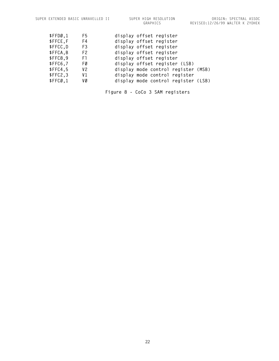| \$FFDØ,1  | F5             | display offset register             |
|-----------|----------------|-------------------------------------|
| \$FFCE, F | F4             | display offset register             |
| \$FFCC, D | F3             | display offset register             |
| \$FFCA, B | F <sub>2</sub> | display offset register             |
| \$FFC8,9  | F1.            | display offset register             |
| \$FFC6,7  | FØ             | display offset register (LSB)       |
| \$FFC4,5  | V 2            | display mode control register (MSB) |
| \$FFC2,3  | V1             | display mode control register       |
| \$FFCØ,1  | vø             | display mode control register (LSB) |

**Figure 8 - CoCo 3 SAM registers**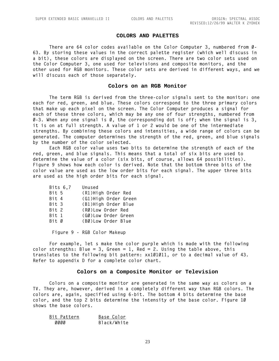#### **COLORS AND PALETTES**

<span id="page-24-0"></span>**There are 64 color codes available on the Color Computer 3, numbered from 0- 63. By storing these values in the correct palette register (which well discuss in a bit), these colors are displayed on the screen. There are two color sets used on the Color Computer 3, one used for televisions and composite monitors, and the other used for RGB monitors. These color sets are derived in different ways, and we will discuss each of those separately.**

## **Colors on an RGB Monitor**

**The term RGB is derived from the three-color signals sent to the monitor: one each for red, green, and blue. These colors correspond to the three primary colors that make up each pixel on the screen. The Color Computer produces a signal for each of these three colors, which may be any one of four strengths, numbered from 0-3. When any one signal is 0, the corresponding dot is off; when the signal is 3, it is on at full strength. A value of 1 or 2 would be one of the intermediate strengths. By combining these colors and intensities, a wide range of colors can be generated. The computer determines the strength of the red, green, and blue signals by the number of the color selected.**

**Each RGB color value uses two bits to determine the strength of each of the red, green, and blue signals. This means that a total of six bits are used to determine the value of a color (six bits, of course, allows 64 possibilities). Figure 9 shows how each color is derived. Note that the bottom three bits of the color value are used as the low order bits for each signal. The upper three bits are used as the high order bits for each signal.**

| Bits $6,7$ | Unused               |
|------------|----------------------|
| Bit 5      | (R1)High Order Red   |
| Bit 4      | (G1)High Order Green |
| Bit 3      | (B1)High Order Blue  |
| Bit 2      | (RØ) Low Order Red   |
| Bit 1      | (GØ) Low Order Green |
| Bit Ø      | (BØ) Low Order Blue  |
|            |                      |

 **Figure 9 - RGB Color Makeup**

For example, let s make the color purple which is made with the following **color strengths: Blue = 3, Green = 1, Red = 2. Using the table above, this translates to the following bit pattern: xx101011, or to a decimal value of 43. Refer to appendix D for a complete color chart.**

#### **Colors on a Composite Monitor or Television**

**Colors on a composite monitor are generated in the same way as colors on a TV. They are, however, derived in a completely different way than RGB colors. The colors are, again, specified using 6-bit. The bottom 4 bits determine the base color, and the top 2 bits determine the intensity of the base color. Figure 10 shows the base colors.**

| Bit Pattern | Base Color  |
|-------------|-------------|
| aaaa        | Black/White |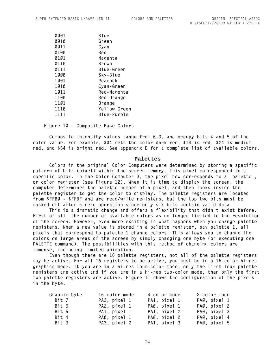| 0001 | Blue         |
|------|--------------|
| 0010 | Green        |
| 0011 | Cyan         |
| 0100 | Red          |
| 0101 | Magenta      |
| 0110 | Brown        |
| 0111 | Blue-Green   |
| 1000 | Sky-Blue     |
| 1001 | Peacock      |
| 1010 | Cyan-Green   |
| 1011 | Red-Magenta  |
| 1100 | Red-Orange   |
| 1101 | Orange       |
| 1110 | Yellow Green |
| 1111 | Blue-Purple  |
|      |              |

 **Figure 10 - Composite Base Colors**

**Composite intensity values range from 0-3, and occupy bits 4 and 5 of the color value. For example, \$04 sets the color dark red, \$14 is red, \$24 is medium red, and \$34 is bright red. See appendix D for a complete list of available colors.**

#### **Palettes**

**Colors in the original Color Computers were determined by storing a specific pattern of bits (pixel) within the screen memory. This pixel corresponded to a**  specific color. In the Color Computer 3, the pixel now corresponds to a palette, **or color register (see Figure 12). When it is time to display the screen, the computer determines the palette number of a pixel, and then looks inside the palette register to get the color to display. The palette registers are located from \$FFB0 - \$FFBF and are read/write registers, but the top two bits must be masked off after a read operation since only six bits contain valid data.**

**This is a dramatic change and offers a flexibility that didn't exist before. First of all, the number of available colors as no longer limited to the resolution of the screen. However, even more exciting is what happens when you change palette registers. When a new value is stored in a palette register, say palette 1, all pixels that correspond to palette 1 change colors. This allows you to change the colors on large areas of the screen by simply changing one byte (or executing one PALETTE command). The possibilities with this method of changing colors are immense, including limited animation.**

**Even though there are 16 palette registers, not all of the palette registers may be active. For all 16 registers to be active, you must be in a 16-color hi-res graphics mode. It you are in a hi-res four-color mode, only the first four palette registers are active and if you are in a hi-res two-color mode, then only the first two palette registers are active. Figure 11 shows the configuration of the pixels in the byte.**

| Graphic byte | 16-color mode | 4-color mode | 2-color mode |
|--------------|---------------|--------------|--------------|
| Bit 7        | PA3, pixel 1  | PA1, pixel 1 | PAØ, pixel 1 |
| Bit 6        | PA2, pixel 1  | PAØ, pixel 1 | PAØ, pixel 2 |
| Bit 5        | PA1, pixel 1  | PA1, pixel 2 | PAØ, pixel 3 |
| Bit 4        | PAØ, pixel 1  | PAØ, pixel 2 | PAØ, pixel 4 |
| Bit 3        | PA3, pixel 2  | PA1, pixel 3 | PAØ, pixel 5 |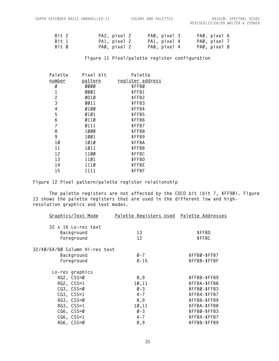| Bit 2 | PA2, pixel 2 | PAØ, pixel 3 | PAØ, pixel 6 |
|-------|--------------|--------------|--------------|
| Bit 1 | PA1, pixel 2 | PA1, pixel 4 | PAØ, pixel 7 |
| Bit Ø | PAØ, pixel 2 | PAØ, pixel 4 | PAØ, pixel 8 |

**Figure 11 Pixel/palette register configuration**

| Palette | Pixel bit   | Palette          |
|---------|-------------|------------------|
| number  | pattern     | register address |
| Ø       | <b>0000</b> | \$FFBØ           |
| 1       | 0001        | \$FFB1           |
| 2       | Ø01Ø        | \$FFB2           |
| 3       | 0011        | \$FFB3           |
| 4       | 0100        | \$FFB4           |
| 5       | 0101        | \$FFB5           |
| 6       | 0110        | \$FFB6           |
| 7       | 0111        | \$FFB7           |
| 8       | 1000        | \$FFB8           |
| 9       | 1001        | \$FFB9           |
| 1Ø      | 1010        | \$FFBA           |
| 11      | 1011        | \$FFBB           |
| 12      | 1100        | \$FFBC           |
| 13      | 1101        | \$FFBD           |
| 14      | 1110        | \$FFBE           |
| 15      | 1111        | \$FFBF           |

**Figure 12 Pixel pattern/palette register relationship**

**The palette registers are not affected by the COCO bit (bit 7, \$FF90). Figure 13 shows the palette registers that are used in the different low and highresolution graphics and text modes.**

| Graphics/Text Mode             | <u>Palette Registers Used Palette Addresses</u> |               |
|--------------------------------|-------------------------------------------------|---------------|
|                                |                                                 |               |
| 32 x 16 Lo-res text            |                                                 |               |
| Background                     | 13                                              | \$FFBD        |
| Foreground                     | 12                                              | \$FFBC        |
| 32/40/64/80 Column Hi-res text |                                                 |               |
| Background                     | $Ø - 7$                                         | \$FFBØ-\$FFB7 |
| Foreground                     | $8 - 15$                                        | \$FFB8-\$FFBF |
| Lo-res graphics                |                                                 |               |
| $RG2, CSS = \emptyset$         | 8,9                                             | \$FFB8-\$FFB9 |
| $RG2, CSS=1$                   | 10,11                                           | \$FFBA-\$FFBB |
| $CG3, CSS=0$                   | Ø-3                                             | \$FFBØ-\$FFB3 |
| $CG3, CSS=1$                   | $4 - 7$                                         | $$FFB4-$FFB7$ |
| RG3, CSS=0                     | 8,9                                             | \$FFB8-\$FFB9 |
| RG3, CSS=1                     | 10,11                                           | \$FFBA-\$FFBB |
| $CG6, CSS=Ø$                   | $\varnothing$ - 3                               | \$FFBØ-\$FFB3 |
| $CG6, CSS=1$                   | $4 - 7$                                         | \$FFB4-\$FFB7 |
| $RG6, CSS = \emptyset$         | 8,9                                             | \$FFB8-\$FFB9 |
|                                |                                                 |               |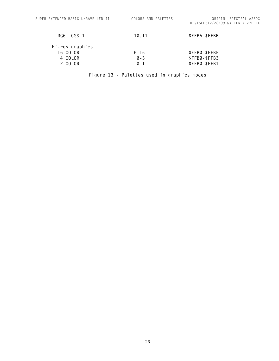| $RG6, CSS=1$    | 10.11              | \$FFBA-\$FFBB |
|-----------------|--------------------|---------------|
| Hi-res graphics |                    |               |
| 16 COLOR        | $\varnothing$ - 15 | $$FFBØ-$FFBF$ |
| 4 COLOR         | $\alpha$ - 3       | $$FFBØ-SFFB3$ |
| 2 COLOR         | ศ - 1              | \$FFBØ-\$FFB1 |
|                 |                    |               |

**Figure 13 - Palettes used in graphics modes**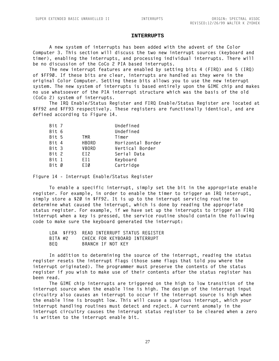#### **INTERRUPTS**

<span id="page-28-0"></span>**A new system of interrupts has been added with the advent of the Color Computer 3. This section will discuss the two new interrupt sources (keyboard and timer), enabling the interrupts, and processing individual interrupts. There will be no discussion of the CoCo 2 PIA based interrupts.**

**The new interrupt features are enabled by setting bits 4 (FIRQ) and 5 (IRQ) of \$FF90. If these bits are clear, interrupts are handled as they were in the original Color Computer. Setting these bits allows you to use the new interrupt system. The new system of interrupts is based entirely upon the GIME chip and makes no use whatsoever of the PIA interrupt structure which was the basis of the old (CoCo 2) system of interrupts.**

**The IRQ Enable/Status Register and FIRQ Enable/Status Register are located at \$FF92 and \$FF93 respectively. These registers are functionally identical, and are defined according to Figure 14.**

| Bit 7 |                 | Undefined         |
|-------|-----------------|-------------------|
| Bit 6 |                 | Undefined         |
| Bit 5 | <b>TMR</b>      | Timer             |
| Bit 4 | <b>HBORD</b>    | Horizontal Border |
| Bit 3 | VBORD           | Vertical Border   |
| Bit 2 | ET <sub>2</sub> | Serial Data       |
| Bit 1 | EI1             | Keyboard          |
| Bit Ø | EIØ             | Cartridge         |
|       |                 |                   |

**Figure 14 - Interrupt Enable/Status Register**

**To enable a specific interrupt, simply set the bit in the appropriate enable register. For example, in order to enable the timer to trigger an IRQ interrupt, simply store a \$20 in \$FF92. It is up to the interrupt servicing routine to determine what caused the interrupt, which is done by reading the appropriate status register. For example, if we have set up the interrupts to trigger an FIRQ interrupt when a key is pressed, the service routine should contain the following code to make sure the keyboard generated the interrupt:**

|         | LDA \$FF93 READ INTERRUPT STATUS REGISTER |                   |  |  |                              |  |
|---------|-------------------------------------------|-------------------|--|--|------------------------------|--|
| BITA #2 |                                           |                   |  |  | CHECK FOR KEYBOARD INTERRUPT |  |
| BEO     |                                           | BRANCH IF NOT KEY |  |  |                              |  |

**In addition to determining the source of the interrupt, reading the status register resets the interrupt flags (those same flags that told you where the interrupt originated). The programmer must preserve the contents of the status register if you wish to make use of their contents after the status register has been read.**

**The GIME chip interrupts are triggered on the high to low transition of the interrupt source when the enable line is high. The design of the interrupt input circuitry also causes an interrupt to occur if the interrupt source is high when the enable line is brought low. This will cause a spurious interrupt, which your interrupt handling routines must detect and reject. A current anomaly in the interrupt circuitry causes the interrupt status register to be cleared when a zero is written to the interrupt enable bit.**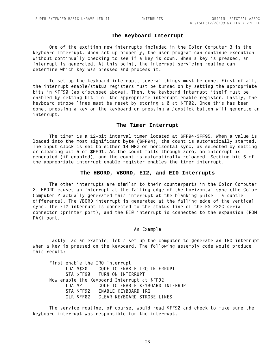### **The Keyboard Interrupt**

**One of the exciting new interrupts included in the Color Computer 3 is the keyboard interrupt. When set up properly, the user program can continue execution without continually checking to see if a key is down. When a key is pressed, an interrupt is generated. At this point, the interrupt servicing routine can determine which key was pressed and process it.**

**To set up the keyboard interrupt, several things must be done. First of all, the interrupt enable/status registers must be turned on by setting the appropriate bits in \$FF90 (as discussed above). Then, the keyboard interrupt itself must be enabled by setting bit 1 of the appropriate interrupt enable register. Lastly, the keyboard strobe lines must be reset by storing a 0 at \$FF02. Once this has been done, pressing a key on the keyboard or pressing a joystick button will generate an interrupt.**

### **The Timer Interrupt**

The timer is a 12-bit interval timer located at \$FF94-\$FF95. When a value is loaded into the most significant byte (\$FF94), the count is automatically started. The input clock is set to either 14 MHz or horizontal sync, as selected by setting or clearing bit 5 of \$FF91. As the count falls through zero, an interrupt is generated (if enabled), and the count is automatically reloaded. Setting bit 5 of the appropriate interrupt enable register enables the timer interrupt.

#### **The HBORD, VBORD, EI2, and EI0 Interrupts**

**The other interrupts are similar to their counterparts in the Color Computer 2. HBORD causes an interrupt at the falling edge of the horizontal sync (the Color Computer 2 actually generated this interrupt at the blanking pulse a subtle difference). The VBORD interrupt is generated at the falling edge of the vertical sync. The EI2 interrupt is connected to the status line of the RS-232C serial connector (printer port), and the EI0 interrupt is connected to the expansion (ROM PAK) port.**

#### **An Example**

Lastly, as an example, let s set up the computer to generate an IRQ interrupt **when a key is pressed on the keyboard. The following assembly code would produce this result:**

**First enable the IRO interrupt LDA #\$20 CODE TO ENABLE IRQ INTERRUPT STA \$FF90 TURN ON INTERRUPT Now enable the Keyboard Interrupt at \$FF92 LDA #2 CODE TO ENABLE KEYBOARD INTERRUPT STA \$FF92 ENABLE KEYBOARD IRQ CLR \$FF02 CLEAR KEYBOARD STROBE LINES**

**The service routine, of course, would read \$FF92 and check to make sure the keyboard interrupt was responsible for the interrupt.**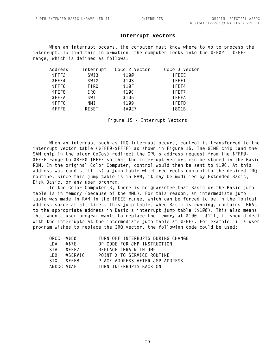#### **Interrupt Vectors**

**When an interrupt occurs, the computer must know where to go to process the interrupt. To find this information, the computer looks into the \$FF02 - \$FFFF range, which is defined as follows:**

| Address | Interrupt        | CoCo 2 Vector | CoCo 3 Vector |
|---------|------------------|---------------|---------------|
| \$FFF2  | SWI3             | \$100         | \$FEEE        |
| \$FFF4  | SWI <sub>2</sub> | \$103         | \$FEF1        |
| \$FFF6  | <b>FIRQ</b>      | \$10F         | \$FEF4        |
| \$FEF8  | IRQ              | \$10C         | \$FEF7        |
| \$FFFA  | SWI              | \$106         | \$FEFA        |
| \$FFFC  | NMI              | \$109         | \$FEFD        |
| \$FFFE  | <b>RESET</b>     | \$A027        | \$8C1B        |

**Figure 15 - Interrupt Vectors**

**When an interrupt such as IRQ interrupt occurs, control is transferred to the interrupt vector table (\$FFF0-\$FFFF) as shown in Figure 15. The GIME chip (and the**  SAM chip in the older CoCos) redirect the CPU s address request from the \$FFFØ-**\$FFFF range to \$BFF0-\$BFFF so that the interrupt vectors can be stored in the Basic ROM. In the original Color Computer, control would then be sent to \$10C. At this address was (and still is) a jump table which redirects control to the desired IRQ routine. Since this jump table is in RAM, it may be modified by Extended Basic, Disk Basic, or any user program.**

**In the Color Computer 3, there is no guarantee that Basic or the Basic jump table is in memory (because of the MMU). For this reason, an intermediate jump table was made in RAM in the \$FEEE range, which can be forced to be in the logical address space at all times. This jump table, when Basic is running, contains LBRAs**  to the appropriate address in Basic s interrupt jump table (\$100). This also means **that when a user program wants to replace the memory at \$100 - \$111, it should deal with the interrupts at the intermediate jump table at \$FEEE. For example, if a user program wishes to replace the IRQ vector, the following code could be used:**

| ORCC #\$50  |            | TURN OFF INTERRUPTS DURING CHANGE |
|-------------|------------|-----------------------------------|
| LDA         | #\$7E      | OP CODE FOR JMP INSTRUCTION       |
| STA         | SFEF7      | REPLACE LBRA WITH JMP             |
| LDX         | #SERVIC    | POINT X TO SERVICE ROUTINE        |
|             | STX \$FEF8 | PLACE ADDRESS AFTER JMP ADDRESS   |
| ANDCC #\$AF |            | TURN INTERRUPTS BACK ON           |

29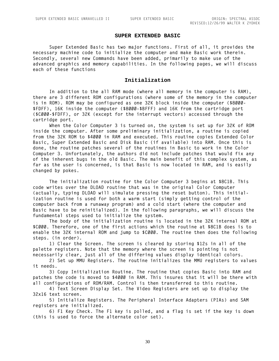#### **SUPER EXTENDED BASIC**

<span id="page-31-0"></span>**Super Extended Basic has two major functions. First of all, it provides the necessary machine code to initialize the computer and make Basic work therein. Secondly, several new Commands have been added, primarily to make use of the advanced graphics and memory capabilities. In the following pages, we will discuss each of these functions**

# **Initialization**

**In addition to the all RAM mode (where all memory in the computer is RAM), there are 3 different ROM configurations (where some of the memory in the computer is in ROM). ROM may be configured as one 32K block inside the computer (\$8000- \$FDFF), 16K inside the computer (\$8000-\$BFFF) and 16K from the cartridge port (\$C000-\$FDFF), or 32K (except for the interrupt vectors) accessed through the cartridge port.**

**When the Color Computer 3 is turned on, the system is set up for 32K of ROM inside the computer. After some preliminary initialization, a routine is copied from the 32K ROM to \$4000 in RAM and executed. This routine copies Extended Color Basic, Super Extended Basic and Disk Basic (if available) into RAM. Once this is done, the routine patches several of the routines in Basic to work in the Color Computer 3. Unfortunately, the authors did not include patches that would fix any of the inherent bugs in the old Basic. The main benefit of this complex system, as far as the user is concerned, is that Basic is now located in RAM, and is easily changed by pokes.**

**The initialization routine for the Color Computer 3 begins at \$8C1B. This code writes over the DLOAD routine that was in the original Color Computer (actually, typing DLOAD will simulate pressing the reset button). This initialization routine is used for both a warm start (simply getting control of the computer back from a runaway program) and a cold start (where the computer and Basic have to be reinitialized). In the following paragraphs, we will discuss the fundamental steps used to initialize the system.**

**The body of the initialization routine is located in the 32K internal ROM at \$C000. Therefore, one of the first actions which the routine at \$8C1B does is to enable the 32K internal ROM and jump to \$C000. The routine then does the following steps. (in order).**

**1) Clear the Screen. The screen is cleared by storing \$12s in all of the palette registers. Note that the memory where the screen is pointing is not necessarily clear, just all of the differing values display identical colors.**

**2) Set up MMU Registers. The routine initializes the MMU registers to values it needs.**

**3) Copy Initialization Routine. The routine that copies Basic into RAM and patches the code is moved to \$4000 in RAM. This insures that it will be there with all configurations of ROM/RAM. Control is then transferred to this routine.**

**4) Text Screen Display Set. The Video Registers are set up to display the 32x16 text screen.**

**5) Initialize Registers. The Peripheral Interface Adapters (PIAs) and SAM registers are initialized.**

**6) F1 Key Check. The F1 key is polled, and a flag is set if the key is down (this is used to force the alternate color set).**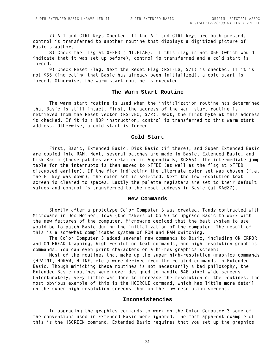**7) ALT and CTRL Keys Checked. If the ALT and CTRL keys are both pressed, control is transferred to another routine that displays a digitized picture of Basic's authors.**

**8) Check the flag at \$FFED (INT.FLAG). If this flag is not \$55 (which would indicate that it was set up before), control is transferred and a cold start is forced.**

**9) Check Reset Flag. Next the Reset Flag (RSTFLG, \$71) is checked. If it is not \$55 (indicating that Basic has already been initialized), a cold start is forced. Otherwise, the warm start routine is executed.**

#### **The Warm Start Routine**

**The warm start routine is used when the initialization routine has determined that Basic is still intact. First, the address of the warm start routine is retrieved from the Reset Vector (RSTVEC, \$72). Next, the first byte at this address is checked. If it is a NOP instruction, control is transferred to this warm start address. Otherwise, a cold start is forced.**

#### **Cold Start**

**First, Basic, Extended Basic, Disk Basic (if there), and Super Extended Basic are copied into RAM. Next, several patches are made in Basic, Extended Basic, and Disk Basic (these patches are detailed in Appendix B, \$C256). The intermediate jump table for the interrupts is then moved to \$FFEE (as well as the flag at \$FFED discussed earlier). If the flag indicating the alternate color set was chosen (i.e. the F1 key was down), the color set is selected. Next the low-resolution text screen is cleared to spaces. Lastly the palette registers are set to their default values and control is transferred to the reset address in Basic (at \$A027).**

#### **New Commands**

**Shortly after a prototype Color Computer 3 was created, Tandy contracted with Microware in Des Moines, Iowa (the makers of OS-9) to upgrade Basic to work with the new features of the computer. Microware decided that the best system to use would be to patch Basic during the initialization of the computer. The result of this is a somewhat complicated system of ROM and RAM switching.**

**The Color Computer 3 added several new commands to Basic, including ON ERROR and ON BREAK trapping, high-resolution text commands, and high-resolution graphics commands. You can even print characters on a hi-res graphics screen!**

**Most of the routines that make up the super high-resolution graphics commands (HPAINT, HDRAW, HLINE, etc…) were derived from the related commands in Extended Basic. Though mimicking these routines is not necessarily a bad philosophy, the Extended Basic routines were never designed to handle 640 pixel wide screens. Unfortunately, very little was done to increase the resolution of the routines. The most obvious example of this is the HCIRCLE command, which has little more detail on the super high-resolution screens than on the low-resolution screens.**

#### **Inconsistencies**

**In upgrading the graphics commands to work on the Color Computer 3 some of the conventions used in Extended Basic were ignored. The most apparent example of this is the HSCREEN command. Extended Basic requires that you set up the graphics**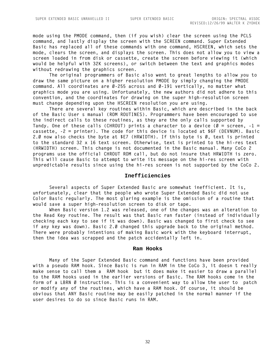**mode using the PMODE command, then (if you wish) clear the screen using the PCLS command, and lastly display the screen with the SCREEN command. Super Extended Basic has replaced all of these commands with one command, HSCREEN, which sets the mode, clears the screen, and displays the screen. This does not allow you to view a screen loaded in from disk or cassette, create the screen before viewing it (which would be helpful with 32K screens), or switch between the text and graphics modes without redrawing the graphics screen.**

**The original programmers of Basic also went to great lengths to allow you to draw the same picture on a higher resolution PMODE by simply changing the PMODE command. All coordinates are 0-255 across and 0-191 vertically, no matter what graphics mode you are using. Unfortunately, the new authors did not adhere to this convention, and the coordinates for drawing on the super high-resolution screen must change depending upon the HSCREEN resolution you are using.**

**There are several key routines within Basic, which are described in the back of the Basic User's manual (ROM ROUTINES). Programmers have been encouraged to use the indirect calls to these routines, as they are the only calls supported by**  Tandy. One of these calls (CHROUT) prints a character to a device  $\theta$  = screen, -1 = **cassette, -2 = printer). The code for this device is located at \$6F (DEVNUM). Basic 2.0 now also checks the byte at \$E7 (HRWIDTH). If this byte is 0, text is printed to the standard 32 x 16 text screen. Otherwise, text is printed to the hi-res text (HRWIDTH) screen. This change is not documented in the Basic manual. Many CoCo 2 programs use the official CHROUT ROM call, but do not insure that HRWIDTH is zero. This will cause Basic to attempt to write its message on the hi-res screen with unpredictable results since using the hi-res screen is not supported by the CoCo 2.**

## **Inefficiencies**

**Several aspects of Super Extended Basic are somewhat inefficient. It is, unfortunately, clear that the people who wrote Super Extended Basic did not use Color Basic regularly. The most glaring example is the omission of a routine that would save a super high-resolution screen to disk or tape.**

**When Basic version 1.2 was released, one of the changes was an alteration to the Read Key routine. The result was that Basic ran faster (instead of individually checking each key to see if it was down). Basic was changed to first check to see if any key was down). Basic 2.0 changed this upgrade back to the original method. There were probably intentions of making Basic work with the keyboard interrupt, then the idea was scrapped and the patch accidentally left in.**

#### **Ram Hooks**

**Many of the Super Extended Basic command and functions have been provided with a pseudo RAM hook. Since Basic is run in RAM in the CoCo 3, it doesn't really**  make sense to call them a RAM hook but it does make it easier to draw a parallel **to the RAM hooks used in the earlier versions of Basic. The RAM hooks come in the**  form of a LBRN Ø instruction. This is a convenient way to allow the user to patch **or modify any of the routines, which have a RAM hook. Of course, it should be obvious that ANY Basic routine may be easily patched in the normal manner if the user desires to do so since Basic runs in RAM.**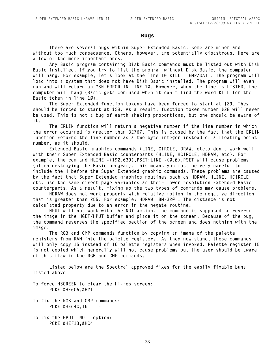#### **Bugs**

**There are several bugs within Super Extended Basic. Some are minor and without too much consequence. Others, however, are potentially disastrous. Here are a few of the more important ones.**

**Any Basic program containing Disk Basic commands must be listed out with Disk Basic installed. If you try to list the program without Disk Basic, the computer**  will hang. For example, let s look at the line 10 KILL TEMP/DAT. The program will **load into a system that does not have Disk Basic installed. The program will even**  run and will return an ?SN ERROR IN LINE 10. However, when the line is LISTED, the **computer will hang (Basic gets confused when it can't find the word KILL for the Basic token in line 10).**

**The Super Extended function tokens have been forced to start at \$29. They should be forced to start at \$28. As a result, function token number \$28 will never be used. This is not a bug of earth shaking proportions, but one should be aware of it.**

**The ERLIN function will return a negative number if the line number in which the error occurred is greater than 32767. This is caused by the fact that the ERLIN function returns the line number as a two-byte integer instead of a floating point number, as it should.**

**Extended Basic graphics commands (LINE, CIRCLE, DRAW, etc.) don't work well with their Super Extended Basic counterparts (HLINE, HCIRCLE, HDRAW, etc). For example, the command HLINE -(192,639),PSET:LINE -(0,0),PSET will cause problems (often destroying the Basic program). This means you must be very careful to include the H before the Super Extended graphic commands. These problems are caused by the fact that Super Extended graphics routines such as HDRAW, HLINE, HCIRCLE etc. use the same direct page variables as their lower resolution Extended Basic counterparts. As a result, mixing up the two types of commands may cause problems.**

**HDRAW does not work properly with relative motion in the negative direction**  that is greater than 255. For example: HDRAW BM-320 . The distance is not **calculated property due to an error in the negate routine.**

**HPUT will not work with the NOT action. The command is supposed to reverse the image in the HGET/HPUT buffer and place it on the screen. Because of the bug, the command reverses the specified section of the screen and does nothing with the image.**

**The RGB and CMP commands function by copying an image of the palette registers from RAM into the palette registers. As they now stand, these commands will only copy 15 instead of 16 palette registers when invoked. Palette register 15 is not copied which generally will not cause problems but the user should be aware of this flaw in the RGB and CMP commands.**

**Listed below are the Spectral approved fixes for the easily fixable bugs listed above.**

**To force HSCREEN to clear the hi-res screen: POKE &HE6C6,&H21**

**To fix the RGB and CMP commands: POKE &HE64C,16 -**

To fix the HPUT NOT option: **POKE &HEF13,&HC4**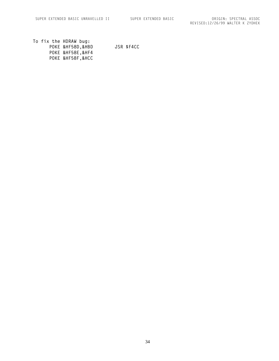**To fix the HDRAW bug: POKE &HF58D,&HBD JSR \$F4CC POKE &HF58E,&HF4 POKE &HF58F,&HCC**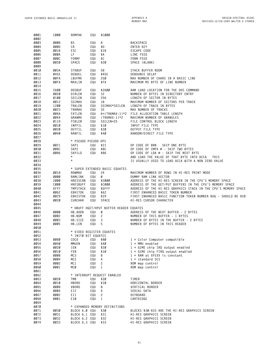| 0001<br>0002        |              |                                |            |                                         |                                                                                                                            |
|---------------------|--------------|--------------------------------|------------|-----------------------------------------|----------------------------------------------------------------------------------------------------------------------------|
|                     | cøøø         | ROMPAK                         | EQU        | \$C000                                  |                                                                                                                            |
|                     |              |                                |            |                                         |                                                                                                                            |
| 0003                | 0008         | ΒS                             | EQU        | 8                                       | <b>BACKSPACE</b>                                                                                                           |
| 0004                | 000D         | СR                             | EQU        | \$D                                     | ENTER KEY                                                                                                                  |
| 0005                | 001B         | ESC                            | EQU        | \$1B                                    | ESCAPE CODE                                                                                                                |
| 0006                | 000A         | LF                             | EQU        | \$А                                     | LINE FEED                                                                                                                  |
| 0007                | øøøc         | FORMF                          | EQU        | \$C                                     | FORM FEED                                                                                                                  |
| 0008                | 0020         | SPACE                          | EQU        | \$20                                    | SPACE (BLANK)                                                                                                              |
| 0009                |              |                                |            |                                         |                                                                                                                            |
| 0010                | 003A         | STKBUF                         | EQU        | 58                                      | STACK BUFFER ROOM                                                                                                          |
| 0011                | 045E         | DEBDEL                         | EQU        | \$45E                                   | DEBOUNCE DELAY                                                                                                             |
| 0012<br>0013        | ØØFA<br>ØØFA | LBUFMX<br>MAXLIN               | EQU<br>EQU | 250<br>\$FA                             | MAX NUMBER OF CHARS IN A BASIC LINE<br>MAXIMUM MS BYTE OF LINE NUMBER                                                      |
| 0014                |              |                                |            |                                         |                                                                                                                            |
| 0015                | 2600         | <b>DOSBUF</b>                  | EQU        | \$2600                                  | RAM LOAD LOCATION FOR THE DOS COMMAND                                                                                      |
| 0016                | 0020         | DIRLEN                         | EQU        | 32                                      | NUMBER OF BYTES IN DIRECTORY ENTRY                                                                                         |
| 0017                | 0100         | SECLEN                         | EQU        | 256                                     | LENGTH OF SECTOR IN BYTES                                                                                                  |
| 0018                | 0012         | SECMAX                         | EQU        | 18                                      | MAXIMUM NUMBER OF SECTORS PER TRACK                                                                                        |
| 0019                | 1200         | TRKLEN                         | EQU        | SECMAX*SECLEN                           | LENGTH OF TRACK IN BYTES                                                                                                   |
| 0020                | 0023         | TRKMAX                         | EQU        | 35                                      | MAX NUMBER OF TRACKS                                                                                                       |
| 0021                | 004A         | <b>FATLEN</b>                  | EQU        | $6+$ (TRKMAX-1)*2                       | FILE ALLOCATION TABLE LENGTH                                                                                               |
| 0022                | 0044         | GRANMX                         | EQU        | $(TRKMAX-1)*2$                          | MAXIMUM NUMBER OF GRANULES                                                                                                 |
| 0023                | 0119         | FCBLEN                         | EQU        | SECLEN+25                               | FILE CONTROL BLOCK LENGTH                                                                                                  |
| 0024                | 0010         | INPFIL                         | EQU        | \$10                                    | INPUT FILE TYPE                                                                                                            |
| 0025                | 0020         | OUTFIL                         | EQU        | \$20                                    | OUTPUT FILE TYPE                                                                                                           |
| 0026                | 0040         | RANFIL                         | EQU        | \$40                                    | RANDOM/DIRECT FILE TYPE                                                                                                    |
| 0027                |              |                                |            |                                         |                                                                                                                            |
| 0028                |              | * PSEUDO PSEUDO OPS            |            |                                         |                                                                                                                            |
| 0029                | 0021         | SKP1                           | EQU        | \$21                                    | OP CODE OF BRN<br>SKIP ONE BYTE                                                                                            |
| 0030                | 008C         | SKP2                           | EQU        | \$8C                                    | OP CODE OF CMPX # - SKIP TWO BYTES                                                                                         |
| 0031                | 0086         | SKP1LD                         | EQU        | \$86                                    | OP CODE OF LDA # - SKIP THE NEXT BYTE                                                                                      |
| 0032                |              | $^\star$                       |            |                                         | AND LOAD THE VALUE OF THAT BYTE INTO ACCA<br>THIS                                                                          |
| 0033                |              | $^\star$                       |            |                                         | IS USUALLY USED TO LOAD ACCA WITH A NON ZERO VALUE                                                                         |
| 0034                |              |                                |            |                                         |                                                                                                                            |
| 0035                |              |                                |            | * SUPER EXTENDED BASIC EQUATES          |                                                                                                                            |
| 0036                | 0018         | ROWMAX                         | EQU        | 24                                      | MAXIMUM NUMBER OF ROWS IN HI-RES PRINT MODE                                                                                |
| 0037                | <b>0000</b>  | RAMLINK                        | EQU        | Ø                                       | DUMMY RAM LINK VECTOR                                                                                                      |
| 0038                | 2000         | HRESSCRN                       | EQU        | \$2000                                  | ADDRESS OF THE HI-RES SCREEN IN THE CPU'S MEMORY SPACE                                                                     |
| 0039                | cøøø         | HRESBUFF                       | EQU        | \$CØØØ                                  | ADDRESS OF THE GET/PUT BUFFERS IN THE CPU'S MEMORY SPACE<br>ADDRESS OF THE HI-RES GRAPHICS STACK IN THE CPU'S MEMORY SPACE |
| <b>0040</b><br>0041 | DFFF<br>0062 | TMPSTACK<br>EBHITOK            | EQU<br>EQU | \$DFFF<br>\$62                          | FIRST ENHANCED BASIC TOKEN NUMBER                                                                                          |
| 0042                | 0029         | EBHISTOK                       | EQU        | \$29                                    | FIRST ENHANCED BASIC FUNCTION TOKEN NUMBER BUG - SHOULD BE \$28                                                            |
| 0043                | 0020         |                                | EQU        | SPACE                                   | HI-RES CURSOR CHARACTER                                                                                                    |
| 0044                |              |                                |            |                                         |                                                                                                                            |
|                     |              | CURCHAR                        |            |                                         |                                                                                                                            |
|                     |              |                                |            |                                         |                                                                                                                            |
| 0045                |              |                                |            | * HBUFF HGET/HPUT BUFFER HEADER EQUATES |                                                                                                                            |
| 0046                | <b>0000</b>  | HB.ADDR                        | EQU        | Ø                                       | ADDRESS OF THE NEXT BUFFER - 2 BYTES                                                                                       |
| 0047                | 0002         | HB.NUM                         | EQU        | $\overline{c}$                          | NUMBER OF THIS BUFFER - 1 BYTES                                                                                            |
| 0048<br>0049        | 0003<br>0005 | HB.SIZE<br>HB.LEN              | EQU<br>EQU | 3<br>5                                  | NUMBER OF BYTES IN THE BUFFER - 2 BYTES<br>NUMBER OF BYTES IN THIS HEADER                                                  |
| 0050                |              |                                |            |                                         |                                                                                                                            |
| 0051                |              | * VIDEO REGISTER EQUATES       |            |                                         |                                                                                                                            |
| 0052                |              | * INITØ BIT EQUATES            |            |                                         |                                                                                                                            |
| 0053                | 0080         | <b>COCO</b>                    | EQU        | \$8Ø                                    | $1 = Color Computer compatible$                                                                                            |
| 0054                | 0040         | MMUEN                          | EQU        | \$4Ø                                    | $1 = MMU$ enabled                                                                                                          |
| 0055                | 0020         | IEN                            | EQU        | \$20                                    | $1 =$ GIME chip IRQ output enabled                                                                                         |
| 0056                | 0010         | FEN                            | EQU        | \$10                                    | $1 =$ GIME chip FIRQ output enabled                                                                                        |
| 0057                | 0008         | MC3                            | EQU        | 8                                       | $1 = RAM$ at XFEXX is constant                                                                                             |
| 0058                | 0004         | MC 2                           | EQU        | 4                                       | $1 = standard SCS$                                                                                                         |
| 0059                | 0002         | MC1                            | EQU        | 2                                       | ROM map control                                                                                                            |
| <b>0060</b>         | 0001         | MCØ                            | EQU        | 1                                       | ROM map control                                                                                                            |
| 0061                |              |                                |            |                                         |                                                                                                                            |
| 0062                |              |                                |            | * INTERRUPT REQUEST ENABLED             |                                                                                                                            |
| 0063                | 0020         | TMR                            | EQU        | \$20                                    | TIMER                                                                                                                      |
| 0064                | 0010         | <b>HBORD</b>                   | EQU        | \$10                                    | HORIZONTAL BORDER                                                                                                          |
| 0065                | 0008         | VBORD                          | EQU        | 8                                       | VERTICAL BORDER                                                                                                            |
| 0066                | 0004         | EI2                            | EQU        | 4                                       | SERIAL DATA                                                                                                                |
| 0067                | 0002         | EI1                            | EQU        | 2                                       | KEYBOARD                                                                                                                   |
| 0068                | 0001         | EIØ                            | EQU        | 1                                       | CARTRIDGE                                                                                                                  |
| 0069                |              |                                |            |                                         |                                                                                                                            |
| 0070                |              |                                |            | * EXPANDED MEMORY DEFINITIONS           |                                                                                                                            |
| 0071                | 0030         | BLOCK 6.0 EQU                  |            | \$3Ø                                    | BLOCKS \$30-\$33 ARE THE HI-RES GRAPHICS SCREEN                                                                            |
| 0072<br>0073        | 0031<br>0032 | BLOCK 6.1 EQU<br>BLOCK 6.2 EQU |            | \$31<br>\$32                            | HI-RES GRAPHICS SCREEN<br>HI-RES GRAPHICS SCREEN                                                                           |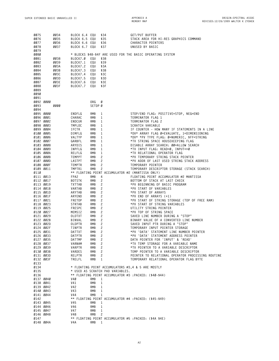| 0075         |                        | 0034         | BLOCK 6.4 EQU        |            | \$34                             | GET/PUT BUFFER                                                             |
|--------------|------------------------|--------------|----------------------|------------|----------------------------------|----------------------------------------------------------------------------|
| 0076         |                        | 0035         | BLOCK 6.5 EQU        |            | \$35                             | STACK AREA FOR HI-RES GRAPHICS COMMAND                                     |
| 0077         |                        | 0036         | BLOCK 6.6 EQU        |            | \$36                             | CHARACTER POINTERS                                                         |
| 0078         |                        | 0037         | BLOCK 6.7 EQU        |            | \$37                             | UNUSED BY BASIC                                                            |
| 0079         |                        |              |                      |            |                                  |                                                                            |
| 0080         |                        |              |                      |            |                                  | * BLOCKS \$48-\$4F ARE USED FOR THE BASIC OPERATING SYSTEM                 |
| 0081         |                        | 0038         | BLOCK7.0             | EQU        | \$38                             |                                                                            |
| 0082         |                        | 0039         | BLOCK7.1             | EQU        | \$39                             |                                                                            |
| 0083         |                        | 003A<br>003B | BLOCK7.2             | EQU<br>EQU | \$3A                             |                                                                            |
| 0084<br>0085 |                        | 003C         | BLOCK7.3             |            | \$3B<br>\$3C                     |                                                                            |
| 0086         |                        | 003D         | BLOCK7.4<br>BLOCK7.5 | EQU<br>EQU | \$3D                             |                                                                            |
| 0087         |                        | 003E         | BLOCK7.6             | EQU        | \$3E                             |                                                                            |
| 0088         |                        | 003F         | BLOCK7.7             | EQU        | \$3F                             |                                                                            |
| 0089         |                        |              |                      |            |                                  |                                                                            |
| 0090         |                        |              |                      |            |                                  |                                                                            |
| 0091         |                        |              |                      |            |                                  |                                                                            |
| 0092 0000    |                        |              |                      | ORG        | Ø                                |                                                                            |
| 0093         |                        | <b>0000</b>  |                      | SETDP Ø    |                                  |                                                                            |
| 0094         |                        |              |                      |            |                                  |                                                                            |
|              | 0095 0000              |              | ENDFLG               | RMB        | 1                                | STOP/END FLAG: POSITIVE=STOP, NEG=END                                      |
|              | 0096 0001              |              | CHARAC               | RMB        | 1                                | TERMINATOR FLAG 1                                                          |
|              | 0097 0002              |              | ENDCUR               | RMB        | 1                                | TERMINATOR FLAG 2                                                          |
|              | 0098 0003              |              | TMPLOC               | RMB        | 1                                | SCRATCH VARIABLE                                                           |
|              | 0099 0004              |              | IFCTR                | RMB        | 1                                | IF COUNTER - HOW MANY IF STATEMENTS IN A LINE                              |
|              | 0100 0005              |              | DIMFLG               | RMB        | 1                                | *DV* ARRAY FLAG Ø=EVALUATE, 1=DIMENSIONING                                 |
|              | 0101 0006              |              | VALTYP               | RMB        | 1                                | *DV* *PV TYPE FLAG: Ø=NUMERIC, \$FF=STRING                                 |
| 0102 0007    |                        |              | GARBFL               | RMB        | 1                                | *TV STRING SPACE HOUSEKEEPING FLAG                                         |
|              | 0103 0008              |              | ARYDIS               | RMB        | 1                                | DISABLE ARRAY SEARCH: ØØ=ALLOW SEARCH                                      |
| 0104 0009    |                        |              | INPFLG               | RMB        | 1                                | *TV INPUT FLAG: READ=Ø, INPUT⇔Ø                                            |
| 0105 000A    |                        |              | RELFLG               | RMB        | 1                                | *TV RELATIONAL OPERATOR FLAG                                               |
| 0106 000B    |                        |              | TEMPPT               | RMB        | 2                                | *PV TEMPORARY STRING STACK POINTER                                         |
|              | 0107 000D              |              | LASTPT               | RMB        | 2                                | *PV ADDR OF LAST USED STRING STACK ADDRESS                                 |
|              | 0108 000F              |              | TEMPTR               | RMB        | 2                                | TEMPORARY POINTER                                                          |
| 0109 0011    |                        |              | TMPTR1               | <b>RMB</b> | 2                                | TEMPORARY DESCRIPTOR STORAGE (STACK SEARCH)                                |
| 0110         |                        |              |                      |            |                                  | ** FLOATING POINT ACCUMULATOR #2 (MANTISSA ONLY)                           |
|              | 0111 0013              |              | FPA2                 | RMB        | 4                                | FLOATING POINT ACCUMULATOR #2 MANTISSA                                     |
|              | 0112 0017              |              | <b>BOTSTK</b>        | RMB        | 2                                | BOTTOM OF STACK AT LAST CHECK                                              |
| 0113 0019    |                        |              | TXTTAB               | RMB        | 2                                | *PV BEGINNING OF BASIC PROGRAM                                             |
| 0114 001B    |                        |              | VARTAB               | RMB        | $\overline{c}$                   | *PV START OF VARIABLES                                                     |
|              | 0115 001D              |              | ARYTAB               | RMB        | 2                                | *PV START OF ARRAYS                                                        |
| 0116 001F    |                        |              | ARYEND               | RMB        | 2                                | *PV END OF ARRAYS (+1)                                                     |
|              | 0117 0021              |              | FRETOP               | RMB        | 2                                | *PV START OF STRING STORAGE (TOP OF FREE RAM)                              |
| 0118 0023    |                        |              | STRTAB               | RMB        | $\overline{c}$                   | *PV START OF STRING VARIABLES                                              |
|              | 0119 0025              |              | FRESPC               | RMB        | 2                                | UTILITY STRING POINTER                                                     |
|              | 0120 0027              |              | MEMSIZ               | RMB        | 2                                | *PV TOP OF STRING SPACE                                                    |
|              | 0121 0029              |              | <b>OLDTXT</b>        | RMB        | 2                                | SAVED LINE NUMBER DURING A "STOP"                                          |
| 0122 002B    |                        |              | BINVAL               | RMB        | $\overline{c}$                   | BINARY VALUE OF A CONVERTED LINE NUMBER<br>SAVED INPUT PTR DURING A "STOP" |
|              | 0123 002D<br>0124 002F |              | OLDPTR               | RMB<br>RMB | 2<br>2                           | TEMPORARY INPUT POINTER STORAGE                                            |
| 0125 0031    |                        |              | TINPTR<br>DATTXT     | RMB        | $\overline{c}$                   | *PV 'DATA' STATEMENT LINE NUMBER POINTER                                   |
| 0126 0033    |                        |              | <b>DATPTR</b>        | <b>RMB</b> | $\overline{c}$                   | *PV 'DATA' STATEMENT ADDRESS POINTER                                       |
|              | 0127 0035              |              | DATTMP               | RMB        | $\mathbf{2}$                     | DATA POINTER FOR 'INPUT' & 'READ'                                          |
|              | 0128 0037              |              | VARNAM               | RMB        | $\mathbf{2}$                     | *TV TEMP STORAGE FOR A VARIABLE NAME                                       |
|              | 0129 0039              |              | VARPTR               | RMB        | $\mathbf{2}$                     | *TV POINTER TO A VARIABLE DESCRIPTOR                                       |
|              | 0130 003B              |              | VARDES               | RMB        | $\mathbf{2}$                     | TEMP POINTER TO A VARIABLE DESCRIPTOR                                      |
|              | 0131 003D              |              | RELPTR               | RMB        | 2                                | POINTER TO RELATIONAL OPERATOR PROCESSING ROUTINE                          |
| 0132 003F    |                        |              | TRELFL               | RMB        | $\mathbf{1}$                     | TEMPORARY RELATIONAL OPERATOR FLAG BYTE                                    |
| 0133         |                        |              |                      |            |                                  |                                                                            |
| 0134         |                        |              |                      |            |                                  | * FLOATING POINT ACCUMULATORS #3,4 & 5 ARE MOSTLY                          |
| 0135         |                        |              |                      |            | * USED AS SCRATCH PAD VARIABLES. |                                                                            |
| 0136         |                        |              |                      |            |                                  | ** FLOATING POINT ACCUMULATOR #3 :PACKED: (\$40-\$44)                      |
|              | 0137 0040              |              | V4Ø                  | RMB        | 1                                |                                                                            |
| 0138 0041    |                        |              | V41                  | RMB        | 1                                |                                                                            |
|              | 0139 0042              |              | V42                  | RMB        | $\mathbf{1}$                     |                                                                            |
|              | 0140 0043              |              | V43                  | RMB        | 1                                |                                                                            |
| 0141 0044    |                        |              | V44                  | <b>RMB</b> | 1                                |                                                                            |
| 0142         |                        |              |                      |            |                                  | ** FLOATING POINT ACCUMULATOR #4 :PACKED: (\$45-\$49)                      |
|              | 0143 0045              |              | V45                  | <b>RMB</b> | 1                                |                                                                            |
|              | 0144 0046              |              | V46                  | RMB        | 1                                |                                                                            |
|              | 0145 0047              |              | V47                  | RMB        | 1                                |                                                                            |
| 0146 0048    |                        |              | <b>V48</b>           | <b>RMB</b> | $\mathbf{2}$                     |                                                                            |
| 0147         |                        |              |                      |            |                                  | ** FLOATING POINT ACCUMULATOR #5 :PACKED: (\$4A \$4E)                      |
|              | 0148 004A              |              | V4A                  | RMB        | $\mathbf{1}$                     |                                                                            |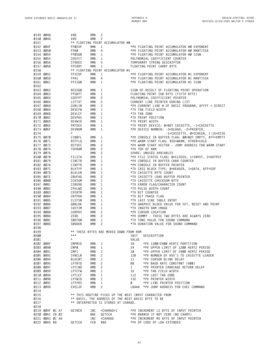| 0149 004B              |                 | V4B               | RMB        | 2                                                                            |                                                                                          |
|------------------------|-----------------|-------------------|------------|------------------------------------------------------------------------------|------------------------------------------------------------------------------------------|
| 0150 004D              |                 | V4D               | RMB        | $\overline{c}$                                                               |                                                                                          |
| 0151<br>0152 004F      |                 |                   |            | ** FLOATING POINT ACCUMULATOR #Ø                                             |                                                                                          |
| 0153 0050              |                 | FPØEXP<br>FPAØ    | RMB<br>RMB | 1<br>4                                                                       | *PV FLOATING POINT ACCUMULATOR #Ø EXPONENT<br>*PV FLOATING POINT ACCUMULATOR #Ø MANTISSA |
| 0154 0054              |                 | FPØSGN            | RMB        | 1                                                                            | *PV FLOATING POINT ACCUMULATOR #Ø SIGN                                                   |
| 0155 0055              |                 | COEFCT            | RMB        | 1                                                                            | POLYNOMIAL COEFFICIENT COUNTER                                                           |
| 0156 0056              |                 | STRDES            | RMB        | 5                                                                            | TEMPORARY STRING DESCRIPTOR                                                              |
| 0157 005B              |                 | FPCARY            | RMB        | 1                                                                            | FLOATING POINT CARRY BYTE                                                                |
| 0158                   |                 |                   |            | ** FLOATING POINT ACCUMULATOR #1                                             |                                                                                          |
| 0159 005C              |                 | FP1EXP            | RMB        | 1                                                                            | *PV FLOATING POINT ACCUMULATOR #1 EXPONENT                                               |
| 0160 005D              |                 | FPA1              | RMB        | 4                                                                            | *PV FLOATING POINT ACCUMULATOR #1 MANTISSA                                               |
| 0161 0061              |                 | FP1SGN            | RMB        | 1                                                                            | *PV FLOATING POINT ACCUMULATOR #1 SIGN                                                   |
| 0162                   |                 |                   |            |                                                                              |                                                                                          |
| 0163 0062              |                 | RESSGN            | RMB        | 1                                                                            | SIGN OF RESULT OF FLOATING POINT OPERATION                                               |
| 0164 0063              |                 | <b>FPSBYT</b>     | RMB        | 1                                                                            | FLOATING POINT SUB BYTE (FIFTH BYTE)                                                     |
| 0165 0064              |                 | COEFPT            | RMB        | 2                                                                            | POLYNOMIAL COEFFICIENT POINTER                                                           |
| 0166 0066              |                 | LSTTXT            | RMB        | 2                                                                            | CURRENT LINE POINTER DURING LIST                                                         |
| 0167 0068              |                 | CURLIN            | RMB        | 2                                                                            | *PV CURRENT LINE # OF BASIC PROGRAM, \$FFFF = DIRECT                                     |
| 0168 006A              |                 | <b>DEVCFW</b>     | RMB        | 1                                                                            | *TV TAB FIELD WIDTH                                                                      |
| 0169 006B              |                 | DEVLCF            | RMB        | 1                                                                            | *TV TAB ZONE                                                                             |
| 0170 006C              |                 | DEVPOS            | RMB        | 1                                                                            | *TV PRINT POSITION                                                                       |
| 0171 006D              |                 | DEVWID            | RMB        | 1                                                                            | *TV PRINT WIDTH                                                                          |
| 0172 006E              |                 | PRTDEV            | RMB        | 1                                                                            | *TV PRINT DEVICE: Ø=NOT CASSETTE, -1=CASSETTE                                            |
| 0173 006F<br>0174      |                 | DEVNUM<br>$\star$ | RMB        | 1                                                                            | *PV DEVICE NUMBER: -3=DLOAD, -2=PRINTER,<br>-1=CASSETTE, Ø=SCREEN, 1-15=DISK             |
| 0175 0070              |                 | CINBFL            | RMB        | 1                                                                            | *PV CONSOLE IN BUFFER FLAG: ØØ=NOT EMPTY, \$FF=EMPTY                                     |
| 0176 0071              |                 | RSTFLG            | RMB        | 1                                                                            | *PV WARM START FLAG: \$55=WARM, OTHER=COLD                                               |
| 0177 0072              |                 | RSTVEC            | RMB        | 2                                                                            | *PV WARM START VECTOR - JUMP ADDRESS FOR WARM START                                      |
| 0178 0074              |                 | <b>TOPRAM</b>     | RMB        | 2                                                                            | *PV TOP OF RAM                                                                           |
| 0179 0076              |                 |                   | RMB        | $\overline{c}$                                                               | SPARE: UNUSED VARIABLES                                                                  |
| 0180 0078              |                 | FILSTA            | RMB        | 1                                                                            | *PV FILE STATUS FLAG: Ø=CLOSED, 1=INPUT, 2=OUTPUT                                        |
| 0181 0079              |                 | CINCTR            | RMB        | 1                                                                            | *PV CONSOLE IN BUFFER CHAR COUNTER                                                       |
| 0182 007A              |                 | CINPTR            | RMB        | 2                                                                            | *PV CONSOLE IN BUFFER POINTER                                                            |
| 0183 007C              |                 | <b>BLKTYP</b>     | RMB        | 1                                                                            | *TV CASS BLOCK TYPE: Ø=HEADER, 1=DATA, \$FF=EOF                                          |
| 0184 007D              |                 | <b>BLKLEN</b>     | RMB        | 1                                                                            | *TV CASSETTE BYTE COUNT                                                                  |
| 0185 007E              |                 | CBUFAD            | RMB        | 2                                                                            | *TV CASSETTE LOAD BUFFER POINTER                                                         |
| 0186 0080              |                 | CCKSUM            | RMB        | 1                                                                            | *TV CASSETTE CHECKSUM BYTE                                                               |
| 0187 0081              |                 | CSRERR            | RMB        | 1                                                                            | *TV ERROR FLAG/CHARACTER COUNT                                                           |
| 0188 0082              |                 | CPULWD            | RMB        | 1                                                                            | *TV PULSE WIDTH COUNT                                                                    |
| 0189 0083              |                 | CPERTM            | RMB        | 1                                                                            | *TV BIT COUNTER                                                                          |
| 0190 0084              |                 | CBTPHA            | RMB        | 1                                                                            | *TV BIT PHASE FLAG                                                                       |
| 0191 0085              |                 | <b>CLSTSN</b>     | RMB        | 1                                                                            | *TV LAST SINE TABLE ENTRY                                                                |
| 0192 0086<br>0193 0087 |                 | GRBLOK            | RMB<br>RMB | 1<br>1                                                                       | *TV GRAPHIC BLOCK VALUE FOR SET, RESET AND POINT<br>*TV INKEY\$ RAM IMAGE                |
| 0194 0088              |                 | IKEYIM<br>CURPOS  | RMB        | 2                                                                            | *PV CURSOR LOCATION                                                                      |
| 0195 008A              |                 | ZERO              | RMB        | 2                                                                            | *PV DUMMY - THESE TWO BYTES ARE ALWAYS ZERO                                              |
| 0196 008C              |                 | SNDTON            | RMB        | 1                                                                            | *TV TONE VALUE FOR SOUND COMMAND                                                         |
| 0197 008D              |                 | SNDDUR            | RMB        | 2                                                                            | *TV DURATION VALUE FOR SOUND COMMAND                                                     |
| 0198                   |                 |                   |            |                                                                              |                                                                                          |
| 0199                   |                 |                   |            | ** THESE BYTES ARE MOVED DOWN FROM ROM                                       |                                                                                          |
| 0200                   |                 | $***$             |            |                                                                              | INIT<br>DESCRIPTION                                                                      |
| 0201                   |                 |                   |            |                                                                              | VALUE                                                                                    |
| 0202 008F              |                 | CMPMID            | RMB        | 1                                                                            | 18<br>*PV 1200/2400 HERTZ PARTITION                                                      |
| 0203 0090              |                 | CMPØ              | RMB        | 1                                                                            | 24<br>*PV UPPER LIMIT OF 1200 HERTZ PERIOD                                               |
| 0204 0091              |                 | CMP1              | RMB        | $\mathbf{1}$                                                                 | 1Ø<br>*PV UPPER LIMIT OF 2400 HERTZ PERIOD                                               |
| 0205 0092              |                 | SYNCLN            | RMB        | $\mathbf{2}$                                                                 | 128<br>*PV NUMBER OF \$55'S TO CASSETTE LEADER                                           |
| 0206 0094              |                 | BLKCNT            | RMB        | 1                                                                            | 11<br>*PV CURSOR BLINK DELAY                                                             |
| 0207 0095              |                 | LPTBTD            | RMB        | 2                                                                            | 88<br>*PV BAUD RATE CONSTANT (600)                                                       |
| 0208 0097              |                 | LPTLND            | RMB        | $\mathbf{2}$                                                                 | 1<br>*PV PRINTER CARRIAGE RETURN DELAY                                                   |
| 0209 0099              |                 | LPTCFW<br>LPTLCF  | RMB<br>RMB | $\mathbf{1}$<br>$\mathbf{1}$                                                 | 16<br>*PV TAB FIELD WIDTH<br>112<br>*PV LAST TAB ZONE                                    |
| 0210 009A<br>0211 009B |                 | LPTWID            | RMB        | $\mathbf{1}$                                                                 | 132<br>*PV PRINTER WIDTH                                                                 |
| 0212 009C              |                 | <b>LPTPOS</b>     | RMB        | 1                                                                            | *PV LINE PRINTER POSITION<br>Ø                                                           |
| 0213 009D              |                 | EXECJP            | RMB        | $\mathbf{2}^{\prime}$                                                        | LB4AA *PV JUMP ADDRESS FOR EXEC COMMAND                                                  |
| 0214                   |                 |                   |            |                                                                              |                                                                                          |
| 0215                   |                 |                   |            |                                                                              | ** THIS ROUTINE PICKS UP THE NEXT INPUT CHARACTER FROM                                   |
| 0216                   |                 |                   |            |                                                                              | ** BASIC. THE ADDRESS OF THE NEXT BASIC BYTE TO BE                                       |
| 0217                   |                 |                   |            | ** INTERPRETED IS STORED AT CHARAD.                                          |                                                                                          |
| 0218                   |                 |                   |            |                                                                              |                                                                                          |
|                        | 0219 009F 0C A7 | GETNCH            | INC        | <charad+1< td=""><td>*PV INCREMENT LS BYTE OF INPUT POINTER</td></charad+1<> | *PV INCREMENT LS BYTE OF INPUT POINTER                                                   |
|                        | 0220 00A1 26 02 |                   | BNE        | GETCCH                                                                       | *PV BRANCH IF NOT ZERO (NO CARRY)                                                        |
|                        | 0221 00A3 0C A6 |                   | INC        | <charad< td=""><td>*PV INCREMENT MS BYTE OF INPUT POINTER</td></charad<>     | *PV INCREMENT MS BYTE OF INPUT POINTER                                                   |
|                        | 0222 00A5 B6    | GETCCH            | FCB        | \$B6                                                                         | *PV OP CODE OF LDA EXTENDED                                                              |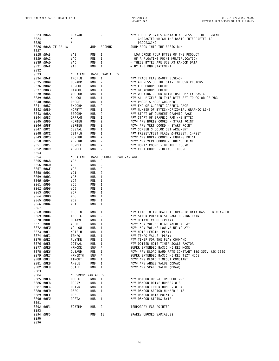| 0223 00A6<br>0224 |           |                    | CHARAD<br>$^\star$ |            | 2                                      | *PV THESE 2 BYTES CONTAIN ADDRESS OF THE CURRENT<br>CHARACTER WHICH THE BASIC INTERPRETER IS |
|-------------------|-----------|--------------------|--------------------|------------|----------------------------------------|----------------------------------------------------------------------------------------------|
| 0225              |           |                    | $^\star$           |            |                                        | PROCESSING                                                                                   |
|                   |           | 0226 00A8 7E AA 1A |                    | JMP        | <b>BROMHK</b>                          | JUMP BACK INTO THE BASIC RUM                                                                 |
| 0227              |           |                    |                    |            |                                        |                                                                                              |
|                   | 0228 00AB |                    | VAB                | RMB        | 1                                      | = LOW ORDER FOUR BYTES OF THE PRODUCT                                                        |
| 0229 00AC         |           |                    | VAC                | RMB        | 1                                      | = OF A FLOATING POINT MULTIPLICATION                                                         |
| 0230 00AD         |           |                    | VAD                | RMB        | 1                                      | = THESE BYTES ARE USE AS RANDOM DATA                                                         |
| 0231 00AE         |           |                    | VAE                | RMB        | 1                                      | = BY THE RND STATEMENT                                                                       |
| 0232              |           |                    |                    |            |                                        |                                                                                              |
| 0233              |           |                    |                    |            | * EXTENDED BASIC VARIABLES             |                                                                                              |
| 0234 00AF         |           |                    | TRCFLG             | RMB        | 1                                      | *PV TRACE FLAG Ø=OFF ELSE=ON                                                                 |
| 0235 00B0         |           |                    | USRADR             | RMB        | 2                                      | *PV ADDRESS OF THE START OF USR VECTORS                                                      |
|                   | 0236 00B2 |                    | FORCOL             | RMB        | 1                                      | *PV FOREGROUND COLOR                                                                         |
|                   | 0237 00B3 |                    | BAKCOL             | RMB        | 1                                      | *PV BACKGROUND COLOR                                                                         |
|                   | 0238 00B4 |                    | <b>WCOLOR</b>      | RMB        | 1                                      | *TV WORKING COLOR BEING USED BY EX BASIC                                                     |
| 0239 00B5         |           |                    | ALLCOL             | RMB        | 1                                      | *TV ALL PIXELS IN THIS BYTE SET TO COLOR OF VB3                                              |
|                   | 0240 00B6 |                    | PMODE              | RMB        | 1                                      | *PV PMODE'S MODE ARGUMENT                                                                    |
| 0241 00B7         |           |                    | ENDGRP             | RMB        | 2                                      | *PV END OF CURRENT GRAPHIC PAGE                                                              |
| 0242 00B9         |           |                    | HORBYT             | RMB        | 1                                      | *PV NUMBER OF BYTES/HORIZONTAL GRAPHIC LINE                                                  |
| 0243 00BA         |           |                    | BEGGRP             | RMB        | 2                                      | *PV START OF CURRENT GRAPHIC PAGE                                                            |
| 0244 00BC         |           |                    | GRPRAM             | RMB        | 1                                      | *PV START OF GRAPHIC RAM (MS BYTE)                                                           |
| 0245 00BD         |           |                    | HORBEG             | RMB        | 2                                      | *DV* *PV HORIZ COORD - START POINT                                                           |
|                   | 0246 00BF |                    | VERBEG             | RMB        | $\overline{c}$                         | *DV* *PV VERT COORD - START POINT                                                            |
| 0247 00C1         |           |                    | CSSYAL             | RMB        | 1                                      | *PV SCREEN'S COLOR SET ARGUMENT                                                              |
|                   | 0248 00C2 |                    | SETFLG             | RMB        | 1                                      | *PV PRESET/PSET FLAG: Ø=PRESET, 1=PSET                                                       |
|                   | 0249 00C3 |                    | HOREND             | RMB        | 2                                      | *DV* *PV HORIZ COORD - ENDING POINT                                                          |
| 0250 00C5         |           |                    | VEREND             | RMB        | 2                                      | *DV* *PV VERT COORD - ENDING POINT                                                           |
| 0251 00C7         |           |                    | HORDEF             | RMB        | 2                                      | *PV HORIZ COORD - DEFAULT COORD                                                              |
| 0252 00C9         |           |                    | VERDEF             | RMB        | 2                                      | *PV VERT COORD - DEFAULT COORD                                                               |
| 0253              |           |                    |                    |            |                                        |                                                                                              |
| 0254              |           |                    |                    |            | * EXTENDED BASIC SCRATCH PAD VARIABLES |                                                                                              |
|                   | 0255 00CB |                    | <b>VCB</b>         | RMB        | 2                                      |                                                                                              |
| 0256 00CD         |           |                    | VCD                | <b>RMB</b> | 2                                      |                                                                                              |
|                   | 0257 00CF |                    | <b>VCF</b>         | RMB        | 2                                      |                                                                                              |
| 0258 00D1         |           |                    | VD1                | RMB        | 2                                      |                                                                                              |
| 0259 00D3         |           |                    | VD3                | RMB        | 1                                      |                                                                                              |
| 0260 00D4         |           |                    | VD4                | RMB        | 1                                      |                                                                                              |
| 0261 00D5         |           |                    | VD5                | RMB        | 1                                      |                                                                                              |
| 0262 00D6         |           |                    | VD6                | RMB        | 1                                      |                                                                                              |
| 0263 00D7         |           |                    | VD7                | RMB        | 1                                      |                                                                                              |
|                   | 0264 00D8 |                    | VD8                | RMB        | 1                                      |                                                                                              |
| 0265 00D9         |           |                    | VD9                | RMB        | 1                                      |                                                                                              |
| 0266 00DA         |           |                    | VDA                | RMB        | 1                                      |                                                                                              |
| 0267              |           |                    |                    |            |                                        |                                                                                              |
| 0268 00DB         |           |                    | CHGFLG             | RMB        | 1                                      | *TV FLAG TO INDICATE IF GRAPHIC DATA HAS BEEN CHANGED                                        |
|                   | 0269 00DC |                    | TMPSTK             | RMB        | 2                                      | *TV STACK POINTER STORAGE DURING PAINT                                                       |
|                   | 0270 00DE |                    | <b>OCTAVE</b>      | RMB        | 1                                      | *PV OCTAVE VALUE (PLAY)                                                                      |
|                   | 0271 00DF |                    | VOLHI              | RMB        | 1                                      | *DV* *PV VOLUME HIGH VALUE (PLAY)                                                            |
| 0272 00E0         |           |                    | <b>VOLLOW</b>      | RMB        | 1                                      | *DV* *PV VOLUME LOW VALUE (PLAY)                                                             |
| 0273 00E1         |           |                    | NOTELN             | RMB        | 1                                      | *PV NOTE LENGTH (PLAY)                                                                       |
|                   |           |                    |                    | RMB        | 1                                      | *PV TEMPO VALUE (PLAY)                                                                       |
| 0274 00E2         | 0275 00E3 |                    | <b>TEMPO</b>       |            | 2                                      | *TV TIMER FOR THE PLAY COMMAND                                                               |
|                   |           |                    | PLYTMR<br>DOTYAL   | RMB<br>RMB |                                        |                                                                                              |
|                   | 0276 00E5 |                    |                    |            | 1<br>$^\star$                          | *TV DOTTED NOTE TIMER SCALE FACTOR                                                           |
|                   | 0277 00E6 |                    | <b>HRMODE</b>      | EQU        |                                        | SUPER EXTENDED BASIC HI-RES MODE                                                             |
|                   | 0278 00E6 |                    | <b>DLBAUD</b>      | RMB        | 1<br>$\star$                           | *DV* *PV DLOAD BAUD RATE CONSTANT \$B0=300, \$2C=1200                                        |
|                   | 0279 00E7 |                    | <b>HRWIDTH</b>     | EQU        |                                        | SUPER EXTENDED BASIC HI-RES TEXT MODE                                                        |
|                   | 0280 00E7 |                    | TIMOUT             | RMB        | 1                                      | *DV* *PV DLOAD TIMEOUT CONSTANT                                                              |
|                   | 0281 00E8 |                    | ANGLE              | RMB        | 1                                      | *DV* *PV ANGLE VALUE (DRAW)                                                                  |
|                   | 0282 00E9 |                    | SCALE              | <b>RMB</b> | 1                                      | *DV* *PV SCALE VALUE (DRAW)                                                                  |
| 0283              |           |                    |                    |            |                                        |                                                                                              |
| 0284              |           |                    | * DSKCON VARIABLES |            |                                        |                                                                                              |
|                   | 0285 00EA |                    | <b>DCOPC</b>       | <b>RMB</b> | 1                                      | *PV DSKCON OPERATION CODE Ø-3                                                                |
|                   | 0286 00EB |                    | DCDRV              | <b>RMB</b> | $\mathbf{1}$                           | *PV DSKCON DRIVE NUMBER Ø 3                                                                  |
|                   | 0287 00EC |                    | DCTRK              | <b>RMB</b> | $\mathbf{1}$                           | *PV DSKCON TRACK NUMBER Ø 34                                                                 |
|                   | 0288 00ED |                    | <b>DSEC</b>        | RMB        | $\mathbf{1}$                           | *PV DSKCON SECTOR NUMBER 1-18                                                                |
|                   | 0289 00EE |                    | DCBPT              | <b>RMB</b> | 2                                      | *PV DSKCON DATA POINTER                                                                      |
|                   | 0290 00F0 |                    | <b>DCSTA</b>       | RMB        | 1                                      | *PV DSKCON STATUS BYTE                                                                       |
| 0291              |           |                    |                    |            |                                        |                                                                                              |
|                   | 0292 00F1 |                    | <b>FCBTMP</b>      | RMB        | $\mathbf{2}$                           | TEMPORARY FCB POINTER                                                                        |
| 0293              |           |                    |                    |            |                                        |                                                                                              |
|                   | 0294 00F3 |                    |                    | RMB        | 13                                     | SPARE: UNUSED VARIABLES                                                                      |
| 0295              |           |                    |                    |            |                                        |                                                                                              |
| 0296              |           |                    |                    |            |                                        |                                                                                              |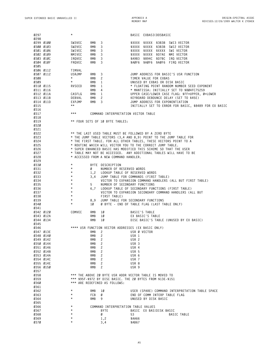| 0297<br>0298        |                        | $^\star$             |            |                                                            | BASIC<br>EXBASI(DOSBASIC                                                                                                        |
|---------------------|------------------------|----------------------|------------|------------------------------------------------------------|---------------------------------------------------------------------------------------------------------------------------------|
|                     | 0299 0100              | SW3VEC               | RMB        | 3                                                          | \$XXXX \$XXXX \$3B3B SWI3 VECTOR                                                                                                |
|                     | 0300 0103              | SW2VEC               | RMB        | 3                                                          | \$XXXX \$XXXX \$3B3B SWI2 VECTOR                                                                                                |
|                     | 0301 0106              | SWIVEC               | RMB        | 3                                                          | \$XXXX \$XXXX \$XXXX SWI VECTOR                                                                                                 |
|                     | 0302 0109<br>0303 010C | NMIVEC<br>IRQVEC     | RMB<br>RMB | 3<br>3                                                     | \$XXXX \$XXXX \$D7AE NMI VECTOR<br>\$A9B3 \$894C \$D7BC IRQ VECTOR                                                              |
|                     | 0304 010F              | FRQVEC               | RMB        | 3                                                          | \$AØF6 \$AØF6 \$AØF6 FIRQ VECTOR                                                                                                |
| 0305                |                        |                      |            |                                                            |                                                                                                                                 |
|                     | 0306 0112              | TIMVAL               |            |                                                            |                                                                                                                                 |
|                     | 0307 0112              | <b>USRJMP</b>        | RMB        | 3                                                          | JUMP ADDRESS FOR BASIC'S USR FUNCTION                                                                                           |
| 0308                |                        | $\star$              | RMB        | $2^{\circ}$                                                | TIMER VALUE FOR EXBAS                                                                                                           |
| 0309                |                        | $\star$              | RMB        | $\mathbf{1}$                                               | UNUSED BY EXBAS OR DISK BASIC                                                                                                   |
|                     | 0310 0115<br>0311 0116 | RVSEED               | RMB<br>RMB | 1<br>4                                                     | * FLOATING POINT RANDOM NUMBER SEED EXPONENT<br>* MANTISSA: INITIALLY SET TO \$804FC75259                                       |
|                     | 0312 011A              | CASFLG               | RMB        | 1                                                          | UPPER CASE/LOWER CASE FLAG: \$FF=UPPER, Ø=LOWER                                                                                 |
|                     | 0313 011B              | DEBVAL               | RMB        | $\mathbf{2}$                                               | KEYBOARD DEBOUNCE DELAY (SET TO \$45E)                                                                                          |
|                     | 0314 011D              | EXPJMP               | RMB        | 3                                                          | JUMP ADDRESS FOR EXPONENTIATION                                                                                                 |
| 0315                |                        | $\star\star$         |            |                                                            | INITIALLY SET TO ERROR FOR BASIC, \$8489 FOR EX BASIC                                                                           |
| 0316                |                        | $***$                |            |                                                            |                                                                                                                                 |
| 0317<br>0318        |                        |                      |            | COMMAND INTERPRETATION VECTOR TABLE                        |                                                                                                                                 |
| 0319                |                        |                      |            | ** FOUR SETS OF 10 BYTE TABLES:                            |                                                                                                                                 |
| 0320                |                        |                      |            |                                                            |                                                                                                                                 |
| 0321                |                        |                      |            |                                                            |                                                                                                                                 |
| 0322                |                        |                      |            |                                                            | ** THE LAST USED TABLE MUST BE FOLLOWED BY A ZERO BYTE                                                                          |
| 0323                |                        |                      |            |                                                            | * THE JUMP TABLE VECTORS (3,4 AND 8,9) POINT TO THE JUMP TABLE FOR                                                              |
| 0324<br>0325        |                        |                      |            |                                                            | * THE FIRST TABLE. FOR ALL OTHER TABLES, THESE VECTORS POINT TO A<br>* ROUTINE WHICH WILL VECTOR YOU TO THE CORRECT JUMP TABLE. |
| 0326                |                        |                      |            |                                                            | * SUPER ENHANCED BASIC HAS MODIFIED THIS SCHEME SO THAT THE USER                                                                |
| 0327                |                        |                      |            |                                                            | * TABLE MAY NOT BE ACCESSED. ANY ADDITIONAL TABLES WILL HAVE TO BE                                                              |
| 0328                |                        |                      |            | * ACCESSED FROM A NEW COMMAND HANDLER.                     |                                                                                                                                 |
| 0329                |                        |                      |            |                                                            |                                                                                                                                 |
| 0330                |                        | $\star$              |            | BYTE DESCRIPTION                                           |                                                                                                                                 |
| 0331<br>0332        |                        | $\star$<br>$^\star$  | Ø          | NUMBER OF RESERVED WORDS<br>LOOKUP TABLE OF RESERVED WORDS |                                                                                                                                 |
| 0333                |                        | $^\star$             | 1,2<br>3,4 |                                                            | JUMP TABLE FOR COMMANDS (FIRST TABLE)                                                                                           |
| 0334                |                        | $^\star$             |            |                                                            | VECTOR TO EXPANSION COMMAND HANDLERS (ALL BUT FIRST TABLE)                                                                      |
| 0335                |                        | $^\star$             | 5          | NUMBER OF SECONDARY FUNCTIONS                              |                                                                                                                                 |
| 0336                |                        | $^\star$             | 6,7        |                                                            | LOOKUP TABLE OF SECONDARY FUNCTIONS (FIRST TABLE)                                                                               |
| 0337                |                        | $^\star$             |            |                                                            | VECTOR TO EXPANSION SECONDARY COMMAND HANDLERS (ALL BUT                                                                         |
| 0338                |                        | $^\star$<br>$^\star$ |            | FIRST TABLE)                                               |                                                                                                                                 |
| 0339<br><b>0340</b> |                        | $\star$              | 8,9<br>10  |                                                            | JUMP TABLE FOR SECONDARY FUNCTIONS<br>Ø BYTE - END OF TABLE FLAG (LAST TABLE ONLY)                                              |
| 0341                |                        |                      |            |                                                            |                                                                                                                                 |
|                     | 0342 0120              | COMVEC               | RMB        | 1Ø                                                         | BASIC'S TABLE                                                                                                                   |
|                     | 0343 012A              |                      | RMB        | 1Ø                                                         | EX BASIC'S TABLE                                                                                                                |
|                     | 0344 0134              |                      | RMB        | 1Ø                                                         | DISC BASIC'S TABLE (UNUSED BY EX BASIC)                                                                                         |
| 0345<br>0346        |                        |                      |            |                                                            | **** USR FUNCTION VECTOR ADDRESSES (EX BASIC ONLY)                                                                              |
|                     | 0347 013E              |                      | RMB        | 2                                                          | USR Ø VECTOR                                                                                                                    |
|                     | 0348 0140              |                      | RMB        | 2                                                          | USR 1                                                                                                                           |
|                     | 0349 0142              |                      | RMB        | $\overline{c}$                                             | USR 2                                                                                                                           |
|                     | 0350 0144              |                      | RMB        | 2                                                          | USR 3                                                                                                                           |
|                     | 0351 0146              |                      | RMB        | 2                                                          | USR 4                                                                                                                           |
|                     | 0352 0148<br>0353 014A |                      | RMB<br>RMB | $\mathbf{2}$<br>2                                          | USR 5<br>USR 6                                                                                                                  |
|                     | 0354 014C              |                      | RMB        | 2                                                          | USR 7                                                                                                                           |
|                     | 0355 014E              |                      | RMB        | 2                                                          | USR 8                                                                                                                           |
|                     | 0356 0150              |                      | RMB        | $\overline{c}$                                             | USR 9                                                                                                                           |
| 0357                |                        |                      |            |                                                            |                                                                                                                                 |
| 0358                |                        |                      |            |                                                            | *** THE ABOVE 20 BYTE USR ADDR VECTOR TABLE IS MOVED TO                                                                         |
| 0359                |                        |                      |            |                                                            | *** \$95F-\$972 BY DISC BASIC. THE 20 BYTES FROM \$13E-\$151                                                                    |
| 0360<br>0361        |                        |                      |            | *** ARE REDEFINED AS FOLLOWS:                              |                                                                                                                                 |
| 0362                |                        | $^\star$             | RMB        | 1Ø                                                         | USER (SPARE) COMMAND INTERPRETATION TABLE SPACE                                                                                 |
| 0363                |                        | $^\star$             | FCB        | Ø                                                          | END OF COMM INTERP TABLE FLAG                                                                                                   |
| 0364                |                        | $^\star$             | RMB        | 9                                                          | UNUSED BY DISK BASIC                                                                                                            |
| 0365                |                        |                      |            |                                                            |                                                                                                                                 |
| 0366                |                        | $^\star$<br>$^\star$ |            | COMMAND INTERPRETATION TABLE VALUES                        |                                                                                                                                 |
| 0367<br>0368        |                        | $^\star$             |            | BYTE<br>Ø                                                  | BASIC EX BASIDISK BASIC<br>53<br>BASIC TABLE                                                                                    |
| 0369                |                        | $^\star$             |            | 1,2                                                        | \$AA66                                                                                                                          |
| 0370                |                        | $^\star$             |            | 3,4                                                        | \$AB67                                                                                                                          |
|                     |                        |                      |            |                                                            |                                                                                                                                 |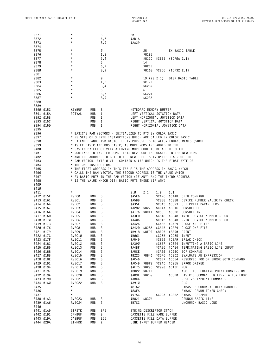| 0371        |           | $^\star$               |            | 5                                                                       | 20     |                                 |        |                            |                                                    |
|-------------|-----------|------------------------|------------|-------------------------------------------------------------------------|--------|---------------------------------|--------|----------------------------|----------------------------------------------------|
| 0372        |           | $^\star$               |            | 6,7                                                                     | \$AB1A |                                 |        |                            |                                                    |
|             |           | $^\star$               |            |                                                                         |        |                                 |        |                            |                                                    |
| 0373        |           |                        |            | 8,9                                                                     | \$AA29 |                                 |        |                            |                                                    |
| 0374        |           |                        |            |                                                                         |        |                                 |        |                            |                                                    |
| 0375        |           | $^\star$               |            | Ø                                                                       |        | 25                              |        |                            | EX BASIC TABLE                                     |
| 0376        |           | $^\star$               |            | 1,2                                                                     |        | \$8183                          |        |                            |                                                    |
| 0377        |           | $^\star$               |            | 3,4                                                                     |        |                                 |        | \$813C \$CE2E (\$CFØA 2.1) |                                                    |
| 0378        |           | $^\star$               |            | 5                                                                       |        | 14                              |        |                            |                                                    |
| 0379        |           | $^\star$               |            | 6,7                                                                     |        | \$821E                          |        |                            |                                                    |
| 0380        |           | $^\star$               |            | 8,9                                                                     |        |                                 |        | \$8168 \$CE56 (\$CF32 2.1) |                                                    |
| 0381        |           |                        |            |                                                                         |        |                                 |        |                            |                                                    |
| 0382        |           | $^\star$               |            | Ø                                                                       |        | 19 (20 2.1)                     |        |                            | DISK BASIC TABLE                                   |
| 0383        |           | $^\star$               |            | 1,2                                                                     |        | \$C17F                          |        |                            |                                                    |
| 0384        |           | $^\star$               |            | 3,4                                                                     |        | \$C2CØ                          |        |                            |                                                    |
| 0385        |           | $^\star$               |            | 5                                                                       |        | 6                               |        |                            |                                                    |
| 0386        |           | $^\star$               |            | 6,7                                                                     |        | \$C201                          |        |                            |                                                    |
| 0387        |           | $^\star$               |            |                                                                         |        | \$C236                          |        |                            |                                                    |
|             |           |                        |            | 8,9                                                                     |        |                                 |        |                            |                                                    |
| 0388        |           |                        |            |                                                                         |        |                                 |        |                            |                                                    |
| 0389        |           |                        |            |                                                                         |        |                                 |        |                            |                                                    |
|             | 0390 0152 | KEYBUF                 | RMB        | 8                                                                       |        | KEYBOARD MEMORY BUFFER          |        |                            |                                                    |
|             | 0391 015A | POTVAL                 | RMB        | 1                                                                       |        | LEFT VERTICAL JOYSTICK DATA     |        |                            |                                                    |
|             | 0392 015B |                        | RMB        | 1                                                                       |        | LEFT HORIZONTAL JOYSTICK DATA   |        |                            |                                                    |
|             | 0393 015C |                        | <b>RMB</b> | 1                                                                       |        | RIGHT VERTICAL JOYSTICK DATA    |        |                            |                                                    |
|             | 0394 015D |                        | <b>RMB</b> | 1                                                                       |        | RIGHT HORIZONTAL JOYSTICK DATA  |        |                            |                                                    |
| 0395        |           |                        |            |                                                                         |        |                                 |        |                            |                                                    |
| 0396        |           |                        |            | * BASIC'S RAM VECTORS - INITIALIZED TO RTS BY COLOR BASIC               |        |                                 |        |                            |                                                    |
| 0397        |           |                        |            | * 25 SETS OF 3 BYTE INSTRUCTIONS WHICH ARE CALLED BY COLOR BASIC        |        |                                 |        |                            |                                                    |
| 0398        |           |                        |            | * EXTENDED AND DISK BASIC. THEIR PURPOSE IS TO ALLOW ENHANCEMENTS (SUCH |        |                                 |        |                            |                                                    |
| 0399        |           |                        |            | * AS EX BASIC AND DOS BASIC) AS MORE ROMS ARE ADDED TO THE              |        |                                 |        |                            |                                                    |
| 0400        |           |                        |            | * SYSTEM BY EFFECTIVELY ALLOWING MORE CODE TO BE ADDED TO THE           |        |                                 |        |                            |                                                    |
| 0401        |           |                        |            | * ROUTINES IN EARLIER ROMS. THIS NEW CODE IS LOCATED IN THE NEW ROMS    |        |                                 |        |                            |                                                    |
| 0402        |           |                        |            | * AND THE ADDRESS TO GET TO THE NEW CODE IS IN BYTES 1 & 2 OF THE       |        |                                 |        |                            |                                                    |
|             |           |                        |            | * RAM VECTOR. BYTE Ø WILL CONTAIN A \$7E WHICH IS THE FIRST BYTE OF     |        |                                 |        |                            |                                                    |
| 0403        |           |                        |            |                                                                         |        |                                 |        |                            |                                                    |
| 0404        |           | * THE JMP INSTRUCTION. |            |                                                                         |        |                                 |        |                            |                                                    |
| 0405        |           |                        |            | * THE FIRST ADDRESS IN THIS TABLE IS THE ADDRESS IN BASIC WHICH         |        |                                 |        |                            |                                                    |
| 0406        |           |                        |            | * CALLS THE RAM VECTOR, THE SECOND ADDRESS IS THE VALUE WHICH           |        |                                 |        |                            |                                                    |
| 0407        |           |                        |            | * EX BASIC PUTS IN THE RAM VECTOR (IF ANY) AND THE THIRD ADDRESS        |        |                                 |        |                            |                                                    |
| 0408        |           |                        |            | * IS THE VALUE WHICH DISK BASIC PUTS THERE (IF ANY)                     |        |                                 |        |                            |                                                    |
| 0409        |           |                        |            |                                                                         |        |                                 |        |                            |                                                    |
| 0410        |           |                        |            |                                                                         |        |                                 |        |                            |                                                    |
| 0411        |           | $^\star$               |            |                                                                         | 2.Ø    | 2.1                             | 1.Ø    | 1.1                        |                                                    |
|             | 0412 015E | RVECØ                  | RMB        | 3                                                                       | \$A5F6 |                                 | \$C426 | \$C44B                     | OPEN COMMAND                                       |
|             | 0413 0161 | RVEC1                  | RMB        | 3                                                                       | \$A5B9 |                                 | \$C838 | <b>\$C888</b>              | DEVICE NUMBER VALIDITY CHECK                       |
|             | 0414 0164 | RVEC2                  | RMB        | 3                                                                       | \$A35F |                                 | \$C843 | \$C893                     | SET PRINT PARAMETERS                               |
|             | 0415 0167 | RVEC3                  | <b>RMB</b> | 3                                                                       | \$A282 | \$8273                          | \$CB4A | \$CC1C                     | CONSOLE OUT                                        |
|             | 0416 016A | RVEC4                  | RMB        | 3                                                                       | \$A176 | \$8CF1                          | \$C58F | \$C5BC                     | CONSOLE IN                                         |
|             |           |                        |            | 3                                                                       | \$A3ED |                                 | \$C818 | \$C848                     |                                                    |
|             | 0417 016D | RVEC5                  | RMB        |                                                                         |        |                                 |        |                            | INPUT DEVICE NUMBER CHECK                          |
|             | 0418 0170 | RVEC6                  | <b>RMB</b> | 3                                                                       | \$A406 |                                 | \$C81B | \$C84B                     | PRINT DEVICE NUMBER CHECK                          |
|             | 0419 0173 | RVEC7                  | <b>RMB</b> | 3                                                                       | \$A426 |                                 | \$CA3B | \$CAE9                     | CLOSE ALL FILES                                    |
|             | 0420 0176 | RVEC8                  | <b>RMB</b> | 3                                                                       | \$A42D | \$8286                          | \$CA4B | \$CAF9                     | CLOSE ONE FILE                                     |
|             | 0421 0179 | RVEC9                  | <b>RMB</b> | 3                                                                       | \$B918 | \$8E90                          | \$8E9Ø | \$8E9Ø                     | PRINT                                              |
|             | 0422 017C | RVEC10                 | <b>RMB</b> | 3                                                                       | \$BØ61 |                                 | \$CC5B | \$CD35                     | INPUT                                              |
|             | 0423 017F | RVEC11                 | RMB        | 3                                                                       | \$A549 |                                 |        | \$C859 \$C8A9              | BREAK CHECK                                        |
|             | 0424 0182 | RVEC12                 | RMB        | 3                                                                       | \$A390 |                                 |        |                            | \$C6B7 \$C6E4 INPUTTING A BASIC LINE               |
|             | 0425 0185 | RVEC13                 | RMB        | 3                                                                       | \$A4BF |                                 |        |                            | \$CA36 \$CAE4 TERMINATING BASIC LINE INPUT         |
|             | 0426 0188 | RVEC14                 | RMB        | 3                                                                       | \$A5CE |                                 |        |                            | \$CA6Ø \$C9ØC EOF COMMAND                          |
|             | 0427 018B | RVEC15                 | RMB        | 3                                                                       |        |                                 |        |                            | \$B223 \$8846 \$CDF6 \$CED2 EVALUATE AN EXPRESSION |
|             | 0428 018E | RVEC16                 | RMB        | 3                                                                       | \$AC46 |                                 |        |                            | \$C6B7 \$C6E4 RESERVED FOR ON ERROR GOTO COMMAND   |
|             | 0429 0191 | RVEC17                 | RMB        | 3                                                                       |        |                                 |        |                            | \$AC49 \$88FØ \$C24D \$C265 ERROR DRIVER           |
|             | 0430 0194 | RVEC18                 | RMB        | 3                                                                       |        | \$AE75 \$829C \$C990 \$CA3E RUN |        |                            |                                                    |
|             | 0431 0197 | RVEC19                 | RMB        | 3                                                                       |        | \$BD22 \$87EF                   |        |                            | ASCII TO FLOATING POINT CONVERSION                 |
|             |           |                        |            | 3                                                                       |        |                                 |        |                            | BASIC'S COMMAND INTERPRETATION LOOP                |
|             | 0432 019A | RVEC20                 | RMB        |                                                                         |        | \$AD9E \$82B9                   |        | \$C8BØ                     |                                                    |
|             | 0433 019D | RVEC21                 | RMB        | 3                                                                       | \$A8C4 |                                 |        |                            | RESET/SET/POINT COMMANDS                           |
|             | 0434 01A0 | RVEC22                 | RMB        | 3                                                                       | \$A910 |                                 |        |                            | <b>CLS</b>                                         |
| 0435        |           | $^\star$               |            |                                                                         | \$8162 |                                 |        |                            | EXBAS' SECONDARY TOKEN HANDLER                     |
| 0436        |           | $^\star$               |            |                                                                         | \$8AFA |                                 |        |                            | EXBAS' RENUM TOKEN CHECK                           |
| 0437        |           | $^\star$               |            |                                                                         | \$975C |                                 |        |                            | \$C29A \$C2B2 EXBAS' GET/PUT                       |
|             | 0438 01A3 | RVEC23                 | RMB        | 3                                                                       |        | \$B821 \$8304                   |        |                            | CRUNCH BASIC LINE                                  |
|             | 0439 01A6 | RVEC24                 | RMB        | 3                                                                       | \$B7C2 |                                 |        |                            | UNCRUNCH BASIC LINE                                |
| <b>0440</b> |           |                        |            |                                                                         |        |                                 |        |                            |                                                    |
|             | 0441 01A9 | <b>STRSTK</b>          | RMB        | $8*5$                                                                   |        | STRING DESCRIPTOR STACK         |        |                            |                                                    |
|             | 0442 01D1 | CFNBUF                 | RMB        | 9                                                                       |        | CASSETTE FILE NAME BUFFER       |        |                            |                                                    |
|             | 0443 01DA | CASBUF                 | RMB        | 256                                                                     |        | CASSETTE FILE DATA BUFFER       |        |                            |                                                    |
|             | 0444 02DA | LINHDR                 | RMB        | $\mathbf{2}$                                                            |        | LINE INPUT BUFFER HEADER        |        |                            |                                                    |
|             |           |                        |            |                                                                         |        |                                 |        |                            |                                                    |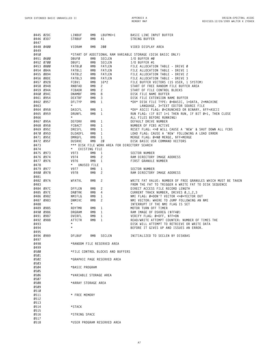| 0445 02DC              | LINBUF                   | RMB        | LBUFMX+1                                     | BASIC LINE INPUT BUFFER                                                                                              |
|------------------------|--------------------------|------------|----------------------------------------------|----------------------------------------------------------------------------------------------------------------------|
| 0446 03D7              | <b>STRBUF</b>            | RMB        | 41                                           | STRING BUFFER                                                                                                        |
| 0447                   |                          |            |                                              |                                                                                                                      |
| 0448 0400<br>0449      | VIDRAM                   | RMB        | 200                                          | VIDEO DISPLAY AREA                                                                                                   |
| 0450                   |                          |            |                                              | *START OF ADDITIONAL RAM VARIABLE STORAGE (DISK BASIC ONLY)                                                          |
| 0451 0600              | DBUFØ                    | RMB        | SECLEN                                       | I/O BUFFER #Ø                                                                                                        |
| 0452 0700              | DBUF1                    | <b>RMB</b> | <b>SECLEN</b>                                | I/O BUFFER #1                                                                                                        |
| 0453 0800              | FATBLØ                   | RMB        | FATLEN                                       | FILE ALLOCATION TABLE - DRIVE Ø                                                                                      |
| 0454 084A              | FATBL1                   | RMB        | FATLEN                                       | FILE ALLOCATION TABLE - DRIVE 1                                                                                      |
| 0455 0894              | FATBL2                   | RMB        | FATLEN                                       | FILE ALLOCATION TABLE - DRIVE 2                                                                                      |
| 0456 08DE              | FATBL3                   | RMB        | FATLEN                                       | FILE ALLOCATION TABLE - DRIVE 3                                                                                      |
| 0457 0928              | FCBV1                    | <b>RMB</b> | $16*2$                                       | FILE BUFFER VECTORS (15 USER, 1 SYSTEM)                                                                              |
| 0458 0948              | RNBFAD                   | <b>RMB</b> | $\mathbf{2}$                                 | START OF FREE RANDOM FILE BUFFER AREA                                                                                |
| 0459 094A<br>0460 094C | FCBADR<br><b>DNAMBF</b>  | RMB<br>RMB | 2<br>8                                       | START OF FILE CONTROL BLOCKS<br>DISK FILE NAME BUFFER                                                                |
| 0461 0954              | DEXTBF                   | RMB        | 3                                            | DISK FILE EXTENSION NAME BUFFER                                                                                      |
| 0462 0957              | DFLTYP                   | <b>RMB</b> | 1                                            | *DV* DISK FILE TYPE: Ø=BASIC, 1=DATA, 2=MACHINE                                                                      |
| 0463                   | $\star$                  |            |                                              | LANGUAGE, 3=TEXT EDITOR SOURCE FILE                                                                                  |
| 0464 0958              | DASCFL                   | <b>RMB</b> | 1                                            | *DV* ASCII FLAG: Ø=CRUNCHED OR BINARY, \$FF=ASCII                                                                    |
| 0465 0959              | DRUNFL                   | <b>RMB</b> | 1                                            | RUN FLAG: (IF BIT 1=1 THEN RUN, IF BIT 0=1, THEN CLOSE                                                               |
| 0466                   | $\star$                  |            |                                              | ALL FILES BEFORE RUNNING)                                                                                            |
| 0467 095A              | DEFDRV                   | RMB        | 1                                            | DEFAULT DRIVE NUMBER                                                                                                 |
| 0468 095B              | FCBACT                   | RMB        | 1                                            | NUMBER OF FCBS ACTIVE                                                                                                |
| 0469 095C              | DRESFL                   | RMB        | 1                                            | RESET FLAG: $\infty$ Ø WILL CAUSE A 'NEW' & SHUT DOWN ALL FCBS                                                       |
| 0470 095D              | DLOADFL<br>DMRGFL        | RMB        | 1                                            | LOAD FLAG: CAUSE A 'NEW' FOLLOWING A LOAD ERROR                                                                      |
| 0471 095E<br>0472 095F | <b>DUSRVC</b>            | RMB<br>RMB | 1<br>20                                      | MERGE FLAG: Ø=NØ MERGE, \$FF=MERGE<br>DISK BASIC USR COMMAND VECTORS                                                 |
| 0473                   |                          |            | *** DISK FILE WORK AREA FOR DIRECTORY SEARCH |                                                                                                                      |
| 0474                   | EXISTING FILE<br>$\star$ |            |                                              |                                                                                                                      |
| 0475 0973              | V973                     | RMB        | 1                                            | SECTOR NUMBER                                                                                                        |
| 0476 0974              | V974                     | RMB        | 2                                            | RAM DIRECTORY IMAGE ADDRESS                                                                                          |
| 0477 0976              | V976                     | RMB        | 1                                            | FIRST GRANULE NUMBER                                                                                                 |
| 0478                   | UNUSED FILE<br>$\star$   |            |                                              |                                                                                                                      |
| 0479 0977              | V977                     | RMB        | 1                                            | SECTOR NUMBER                                                                                                        |
| 0480 0978              | V978                     | RMB        | 2                                            | RAM DIRECTORY IMAGE ADDRESS                                                                                          |
| 0481                   |                          |            |                                              |                                                                                                                      |
| 0482 097A              | WFATVL                   | RMB        | 2                                            | WRITE FAT VALUE: NUMBER OF FREE GRANULES WHICH MUST BE TAKEN<br>FROM THE FAT TO TRIGGER A WRITE FAT TO DISK SEQUENCE |
| 0483<br>0484 097C      | DFFLEN                   | RMB        | 2                                            | DIRECT ACCESS FILE RECORD LENGTH                                                                                     |
| 0485 097E              | DRØTRK                   | RMB        | 4                                            | CURRENT TRACK NUMBER, DRIVES 0,1,2,3                                                                                 |
| 0486 0982              | NMIFLG                   | RMB        | $\mathbf{1}$                                 | NMI FLAG: Ø=DON'T VECTOR <>Ø=YECTOR OUT                                                                              |
| 0487 0983              | DNMIVC                   | RMB        | 2                                            | NMI VECTOR: WHERE TO JUMP FOLLOWING AN NMI                                                                           |
| 0488                   | $^\star$                 |            |                                              | INTERRUPT IF THE NMI FLAG IS SET                                                                                     |
| 0489 0985              | RDYTMR                   | <b>RMB</b> | 1                                            | MOTOR TURN OFF TIMER                                                                                                 |
| 0490 0986              | DRGRAM                   | RMB        | 1                                            | RAM IMAGE OF DSKREG (\$FF40)                                                                                         |
| 0491 0987              | DVERFL                   | RMB        | 1                                            | VERIFY FLAG: Ø=OFF, \$FF=ON                                                                                          |
| 0492 0988              | ATTCTR                   | RMB        | 1                                            | READ/WRITE ATTEMPT COUNTER: NUMBER OF TIMES THE                                                                      |
| 0493                   | $^\star$<br>$^\star$     |            |                                              | DISK WILL ATTEMPT TO RETRIEVE OR WRITE DATA                                                                          |
| 0494<br>0495           |                          |            |                                              | BEFORE IT GIVES UP AND ISSUES AN ERROR.                                                                              |
| 0496 0989              | DFLBUF                   | <b>RMB</b> | <b>SECLEN</b>                                | INITIALIZED TO SECLEN BY DISKBAS                                                                                     |
| 0497                   |                          |            |                                              |                                                                                                                      |
| 0498                   |                          |            | *RANDOM FILE RESERVED AREA                   |                                                                                                                      |
| 0499                   |                          |            |                                              |                                                                                                                      |
| 0500                   |                          |            | *FILE CONTROL BLOCKS AND BUFFERS             |                                                                                                                      |
| 0501                   |                          |            |                                              |                                                                                                                      |
| 0502                   |                          |            | *GRAPHIC PAGE RESERVED AREA                  |                                                                                                                      |
| 0503                   |                          |            |                                              |                                                                                                                      |
| 0504                   | *BASIC PROGRAM           |            |                                              |                                                                                                                      |
| 0505                   |                          |            |                                              |                                                                                                                      |
| 0506<br>0507           | *VARIABLE STORAGE AREA   |            |                                              |                                                                                                                      |
| 0508                   | *ARRAY STORAGE AREA      |            |                                              |                                                                                                                      |
| 0509                   |                          |            |                                              |                                                                                                                      |
| Ø51Ø                   |                          |            |                                              |                                                                                                                      |
| 0511                   | * FREE MEMORY            |            |                                              |                                                                                                                      |
| 0512                   |                          |            |                                              |                                                                                                                      |
| 0513                   |                          |            |                                              |                                                                                                                      |
| 0514                   | *STACK                   |            |                                              |                                                                                                                      |
| 0515                   |                          |            |                                              |                                                                                                                      |
| 0516                   | *STRING SPACE            |            |                                              |                                                                                                                      |
| 0517<br>0518           |                          |            | *USER PROGRAM RESERVED AREA                  |                                                                                                                      |
|                        |                          |            |                                              |                                                                                                                      |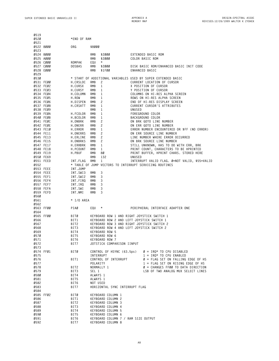| 0519      |           |               |                   |                |                                     |        |                                                              |
|-----------|-----------|---------------|-------------------|----------------|-------------------------------------|--------|--------------------------------------------------------------|
| 0520      |           | *END OF RAM   |                   |                |                                     |        |                                                              |
| 0521      |           |               |                   |                |                                     |        |                                                              |
| 0522 8000 |           | ORG           | \$8000            |                |                                     |        |                                                              |
| 0523      |           |               |                   |                |                                     |        |                                                              |
| 0524 8000 |           |               | RMB               | \$2000         |                                     |        | EXTENDED BASIC ROM                                           |
| 0525 A000 |           |               | RMB               | \$2000         |                                     |        | COLOR BASIC ROM                                              |
| 0526 C000 |           | ROMPAK        | EQU               | $\star$        |                                     |        |                                                              |
| 0527 C000 |           | <b>DOSBAS</b> | RMB               | \$2000         |                                     |        | DISK BASIC ROM/ENHANCED BASIC INIT CODE                      |
| 0528 E000 |           |               | <b>RMB</b>        | \$1FØØ         |                                     |        | ENHANCED BASIC                                               |
| 0529      |           |               |                   |                |                                     |        |                                                              |
| 0530      |           |               |                   |                |                                     |        | * START OF ADDITIONAL VARIABLES USED BY SUPER EXTENDED BASIC |
|           | 0531 FE00 | H.CRSLOC      | RMB               | 2              |                                     |        | CURRENT LOCATION OF CURSOR                                   |
|           | 0532 FE02 | H.CURSX       | RMB               | 1              |                                     |        | X POSITION OF CURSOR                                         |
| 0533 FE03 |           | H.CURSY       | RMB               | 1              |                                     |        | Y POSITION OF CURSOR                                         |
| 0534 FE04 |           | H.COLUMN      | RMB               | 1              |                                     |        | COLUMNS ON HI-RES ALPHA SCREEN                               |
| 0535 FE05 |           | H.ROW         | RMB               | 1              |                                     |        | ROWS ON HI-RES ALPHA SCREEN                                  |
| 0536 FE06 |           | H.DISPEN      | RMB               | $\mathbf{2}$   |                                     |        | END OF HI-RES DISPLAY SCREEN                                 |
|           | 0537 FE08 | H.CRSATT      | RMB               | 1              |                                     |        | CURRENT CURSOR'S ATTRIBUTES                                  |
|           | 0538 FE09 |               | RMB               | 1              |                                     | UNUSED |                                                              |
|           | 0539 FE0A | H.FCOLOR      | RMB               | 1              |                                     |        | FOREGROUND COLOR                                             |
|           | 0540 FE0B | H.BCOLOR      | RMB               | 1              |                                     |        | BACKGROUND COLOR                                             |
| 0541 FE0C |           | H.ONBRK       | RMB               | 2              |                                     |        | ON BRK GOTO LINE NUMBER                                      |
|           | 0542 FE0E | H.ONERR       | RMB               | 2              |                                     |        | ON ERR GOTO LINE NUMBER                                      |
|           | 0543 FE10 |               |                   |                |                                     |        | ERROR NUMBER ENCOUNTERED OR \$FF (NO ERROR)                  |
|           |           | H.ERROR       | RMB<br><b>RMB</b> | 1              |                                     |        |                                                              |
| 0544 FE11 |           | H.ONERRS      |                   | 2              |                                     |        | ON ERR SOURCE LINE NUMBER                                    |
| 0545 FE13 |           | H.ERLINE      | RMB               | 2              |                                     |        | LINE NUMBER WHERE ERROR OCCURRED                             |
|           | 0546 FE15 | H.ONBRKS      | RMB               | $\mathbf{2}$   |                                     |        | ON BRK SOURCE LINE NUMBER                                    |
|           | 0547 FE17 | H.ERRBRK      | RMB               | 1              |                                     |        | STILL UNKNOWN, HAS TO DO WITH ERR, BRK                       |
|           | 0548 FE18 | H.PCOUNT      | <b>RMB</b>        | 1              |                                     |        | PRINT COUNT, CHARACTERS TO BE HPRINTED                       |
|           | 0549 FE19 | H.PBUF        | RMB               | 80             |                                     |        | PRINT BUFFER, HPRINT CHARS. STORED HERE                      |
| 0550 FE69 |           |               | RMB               | 132            |                                     | UNUSED |                                                              |
| 0551 FEED |           | INT.FLAG      | RMB               | 1              |                                     |        | INTERRUPT VALID FLAG. Ø=NOT VALID, \$55=VALID                |
| 0552      |           |               |                   |                |                                     |        | * TABLE OF JUMP VECTORS TO INTERRUPT SERVICING ROUTINES      |
| 0553 FEEE |           | INT.JUMP      |                   |                |                                     |        |                                                              |
|           | 0554 FEEE | INT.SWI3      | RMB               | 3              |                                     |        |                                                              |
|           | 0555 FEF1 | INT.SWI2      | RMB               | 3              |                                     |        |                                                              |
|           | 0556 FEF4 | INT.FIRQ      | RMB               | 3              |                                     |        |                                                              |
|           | 0557 FEF7 | INT.IRQ       | RMB               | 3              |                                     |        |                                                              |
| 0558 FEFA |           | INT.SWI       | RMB               | 3              |                                     |        |                                                              |
| 0559 FEFD |           | INT.NMI       | RMB               | 3              |                                     |        |                                                              |
| 0560      |           |               |                   |                |                                     |        |                                                              |
| 0561      |           | * I/O AREA    |                   |                |                                     |        |                                                              |
| 0562      |           |               |                   |                |                                     |        |                                                              |
| 0563 FF00 |           | PIAØ          | EQU               | $^\star$       |                                     |        | PERIPHERAL INTERFACE ADAPTER ONE                             |
| 0564      |           |               |                   |                |                                     |        |                                                              |
| 0565 FF00 |           | BITØ          |                   |                |                                     |        | KEYBOARD ROW 1 AND RIGHT JOYSTICK SWITCH 1                   |
| 0566      |           | BIT1          |                   |                |                                     |        | KEYBOARD ROW 2 AND LEFT JOYSTICK SWITCH 1                    |
| 0567      |           | BIT2          |                   |                |                                     |        | KEYBOARD ROW 3 AND RIGHT JOYSTICK SWITCH 2                   |
| 0568      |           | BIT3          |                   |                |                                     |        | KEYBOARD ROW 4 AND LEFT JOYSTICK SWITCH 2                    |
| 0569      |           | BIT4          |                   | KEYBOARD ROW 5 |                                     |        |                                                              |
| 0570      |           | BIT5          |                   | KEYBOARD ROW 6 |                                     |        |                                                              |
| 0571      |           | BIT6          |                   | KEYBOARD ROW 7 |                                     |        |                                                              |
| 0572      |           | BIT7          |                   |                | JOTSTICK COMPARISON IINPUT          |        |                                                              |
| 0573      |           |               |                   |                |                                     |        |                                                              |
|           | 0574 FF01 | BITØ          |                   |                | CONTROL OF HSYNC (63.5ps)           |        | $\varnothing$ = IRQ* TO CPU DISABLED                         |
| 0575      |           |               | INTERRUPT         |                |                                     |        | $1 = IRQ* TO CPU ENABLED$                                    |
| 0576      |           | BIT1          |                   |                | CONTROL OF INTERRUPT                |        | $\varnothing$ = FLAG SET ON FALLING EDGE OF HS               |
| 0577      |           |               | POLARITY          |                |                                     |        | $1$ = FLAG SET ON RISING EDGE OF HS                          |
| 0578      |           | BIT2          |                   | NORMALLY 1     |                                     |        | $\varnothing$ = CHANGES FFØØ TO DATA DIRECTION               |
| 0579      |           | BIT3          | SEL 1             |                |                                     |        | LSB OF TWO ANALOG MUX SELECT LINES                           |
| 0580      |           | BIT4          | ALWAYS 1          |                |                                     |        |                                                              |
| 0581      |           | BIT5          | ALWAYS 1          |                |                                     |        |                                                              |
| 0582      |           | BIT6          | NOT USED          |                |                                     |        |                                                              |
| 0583      |           | BIT7          |                   |                | HORIZONTAL SYNC INTERRUPT FLAG      |        |                                                              |
| 0584      |           |               |                   |                |                                     |        |                                                              |
|           | 0585 FF02 | BITØ          |                   |                | KEYBOARD COLUMN 1                   |        |                                                              |
| 0586      |           | BIT1          |                   |                | KEYBOARD COLUMN 2                   |        |                                                              |
| 0587      |           | BIT2          |                   |                | KEYBOARD COLUMN 3                   |        |                                                              |
| 0588      |           | BIT3          |                   |                | KEYBOARD COLUMN 4                   |        |                                                              |
| 0589      |           |               |                   |                | KEYBOARD COLUMN 5                   |        |                                                              |
|           |           | BIT4          |                   |                |                                     |        |                                                              |
| Ø59Ø      |           | BIT5          |                   |                | KEYBOARD COLUMN 6                   |        |                                                              |
| 0591      |           | BIT6          |                   |                | KEYBOARD COLUMN 7 / RAM SIZE OUTPUT |        |                                                              |
| 0592      |           | BIT7          |                   |                | KEYBOARD COLUMN 8                   |        |                                                              |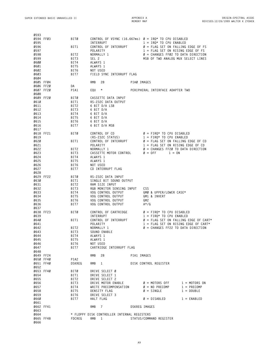| 0593        |           |              |                                                                   |               |                                                   |                 |
|-------------|-----------|--------------|-------------------------------------------------------------------|---------------|---------------------------------------------------|-----------------|
| 0594 FF03   |           | BITØ         | CONTROL OF VSYNC (16.667ms) $\varnothing = IRQ^*$ TO CPU DISABLED |               |                                                   |                 |
| 0595        |           |              | INTERRUPT                                                         |               | $1 = IRQ* TO CPU ENABLED$                         |                 |
| 0596        |           | BIT1         | CONTROL OF INTERRUPT                                              |               | $\varnothing$ = FLAG SET ON FALLING EDGE OF FS    |                 |
| 0597        |           |              | POLARITY                                                          |               | $1 = FLAG SET ON RISING EDGE OF FS$               |                 |
| 0598        |           | BIT2         | NORMALLY 1                                                        |               | $\varnothing$ = CHANGES FFØ2 TO DATA DIRECTION    |                 |
| 0599        |           | BIT3         | SEL 2                                                             |               | MSB OF TWO ANALOG MUX SELECT LINES                |                 |
| 0600        |           | BIT4         | ALWAYS 1                                                          |               |                                                   |                 |
| 0601        |           | BIT5         | ALWAYS 1                                                          |               |                                                   |                 |
| 0602        |           | BIT6         | NOT USED                                                          |               |                                                   |                 |
| 0603        |           | BIT7         | FIELD SYNC INTERRUPT FLAG                                         |               |                                                   |                 |
| 0604        |           |              |                                                                   |               |                                                   |                 |
| 0605 FF04   |           |              | RMB<br>28                                                         | PIAØ IMAGES   |                                                   |                 |
| 0606 FF20   |           | DA           |                                                                   |               |                                                   |                 |
| 0607 FF20   |           | PIA1         | $^\star$<br>EQU                                                   |               | PERIPHERAL INTERFACE ADAPTER TWO                  |                 |
| 0608        |           |              |                                                                   |               |                                                   |                 |
| 0609 FF20   |           |              | CASSETTE DATA INPUT                                               |               |                                                   |                 |
| <b>0610</b> |           | BITØ<br>BIT1 | RS-232C DATA OUTPUT                                               |               |                                                   |                 |
|             |           |              |                                                                   |               |                                                   |                 |
| 0611        |           | BIT2         | 6 BIT D/A LSB                                                     |               |                                                   |                 |
| 0612        |           | BIT3         | 6 BIT D/A                                                         |               |                                                   |                 |
| 0613        |           | BIT4         | 6 BIT D/A                                                         |               |                                                   |                 |
| 0614        |           | BIT5         | 6 BIT D/A                                                         |               |                                                   |                 |
| 0615        |           | BIT6         | 6 BIT D/A                                                         |               |                                                   |                 |
| 0616        |           | BIT7         | 6 BIT D/A MSB                                                     |               |                                                   |                 |
| 0617        |           |              |                                                                   |               |                                                   |                 |
| 0618 FF21   |           | BITØ         | CONTROL OF CD                                                     |               | $\varnothing$ = FIRQ* TO CPU DISABLED             |                 |
| 0619        |           |              | (RS-232C STATUS)                                                  |               | $1 =$ FIRQ* TO CPU ENABLED                        |                 |
| 0620        |           | BIT1         | CONTROL OF INTERRUPT                                              |               | $\varnothing$ = FLAG SET ON FALLING EDGE OF CD    |                 |
| 0621        |           |              | POLARITY                                                          |               | $1 = FLAG SET ON RISING EDGE OF CD$               |                 |
| 0622        |           | BIT2         | NORMALLY 1                                                        |               | $\emptyset$ = CHANGES FF2Ø TO DATA DIRECTION      |                 |
| 0623        |           | BIT3         | CASSETTE MOTOR CONTROL                                            |               | $\varnothing = 0FF$<br>$1 = 0N$                   |                 |
| 0624        |           | BIT4         | ALWAYS 1                                                          |               |                                                   |                 |
| 0625        |           | BIT5         | ALWAYS 1                                                          |               |                                                   |                 |
| 0626        |           | BIT6         | NOT USED                                                          |               |                                                   |                 |
| 0627        |           | BIT7         | CD INTERRUPT FLAG                                                 |               |                                                   |                 |
| 0628        |           |              |                                                                   |               |                                                   |                 |
| 0629 FF22   |           | BITØ         | RS-232C DATA INPUT                                                |               |                                                   |                 |
| 0630        |           | BIT1         | SINGLE BIT SOUND OUTPUT                                           |               |                                                   |                 |
| 0631        |           | BIT2         | RAM SIZE INPUT                                                    |               |                                                   |                 |
| 0632        |           | BIT3         | RGB MONITOR SENSING INPUT                                         |               | CSS.                                              |                 |
| 0633        |           | BIT4         | VDG CONTROL OUTPUT                                                |               | GMØ & UPPER/LOWER CASE*                           |                 |
| 0634        |           | BIT5         | VDG CONTROL OUTPUT                                                |               | GM1 & INVERT                                      |                 |
|             |           |              | VDG CONTROL OUTPUT                                                |               |                                                   |                 |
| 0635        |           | BIT6         |                                                                   |               | GM2                                               |                 |
| 0636        |           | BIT7         | VDG CONTROL OUTPUT                                                |               | $A^*/G$                                           |                 |
| 0637        |           |              |                                                                   |               |                                                   |                 |
| 0638 FF23   |           | BITØ         | CONTROL OF CARTRIDGE                                              |               | $\varnothing$ = FIRQ* TO CPU DISABLED             |                 |
| 0639        |           |              | INTERRUPT                                                         |               | $1 = \text{FIRQ* TO CPU ENABLED}$                 |                 |
| 0640        |           | BIT1         | CONTROL OF INTERRUPT                                              |               | $\varnothing$ = FLAG SET ON FALLING EDGE OF CART* |                 |
| 0641        |           |              | POLARITY                                                          |               | $1$ = FLAG SET ON RISING EDGE OF CART*            |                 |
| 0642        |           | BIT2         | NORMALLY 1                                                        |               | $\varnothing$ = CHANGES FF22 TO DATA DIRECTION    |                 |
| 0643        |           | BIT3         | SOUND ENABLE                                                      |               |                                                   |                 |
| 0644        |           | BIT4         | ALWAYS 1                                                          |               |                                                   |                 |
| 0645        |           | BIT5         | ALWAYS 1                                                          |               |                                                   |                 |
| 0646        |           | BIT6         | NOT USED                                                          |               |                                                   |                 |
| 0647        |           | BIT7         | CARTRIDGE INTERRUPT FLAG                                          |               |                                                   |                 |
| 0648        |           |              |                                                                   |               |                                                   |                 |
|             | 0649 FF24 |              | RMB<br>28                                                         | PIA1 IMAGES   |                                                   |                 |
|             | 0650 FF40 | PIA2         |                                                                   |               |                                                   |                 |
|             | 0651 FF40 | DSKREG       | RMB<br>$\mathbf{1}$                                               |               | DISK CONTROL REGISTER                             |                 |
| 0652        |           |              |                                                                   |               |                                                   |                 |
| 0653 FF40   |           | BITØ         | DRIVE SELECT Ø                                                    |               |                                                   |                 |
| 0654        |           | BIT1         | DRIVE SELECT 1                                                    |               |                                                   |                 |
| 0655        |           | BIT2         | DRIVE SELECT 2                                                    |               |                                                   |                 |
| 0656        |           | BIT3         | DRIVE MOTOR ENABLE                                                |               | $\varnothing$ = MOTORS OFF                        | $1 = MOTORS ON$ |
| 0657        |           | BIT4         | WRITE PRECOMPENSATION                                             |               | $\varnothing = \mathsf{NO} \mathsf{ PRECOMP}$     | $1 = PRECOMP$   |
| 0658        |           | BIT5         | DENSITY FLAG                                                      |               | $\varnothing =$ SINGLE                            | $1 = DOWBLE$    |
| 0659        |           | BIT6         | DRIVE SELECT 3                                                    |               |                                                   |                 |
| <b>0660</b> |           | BIT7         | HALT FLAG                                                         |               | $\varnothing =$ DISABLED                          | $1 = ENABLED$   |
| 0661        |           |              |                                                                   |               |                                                   |                 |
|             |           |              |                                                                   |               |                                                   |                 |
| 0662 FF41   |           |              | RMB<br>$7\phantom{.0}$                                            | DSKREG IMAGES |                                                   |                 |
| 0663        |           |              |                                                                   |               |                                                   |                 |
| 0664        |           |              | * FLOPPY DISK CONTROLLER INTERNAL REGISTERS                       |               |                                                   |                 |
|             | 0665 FF48 | FDCREG       | RMB<br>$\mathbf{1}$                                               |               | STATUS/COMMAND REGISTER                           |                 |
| 0666        |           |              |                                                                   |               |                                                   |                 |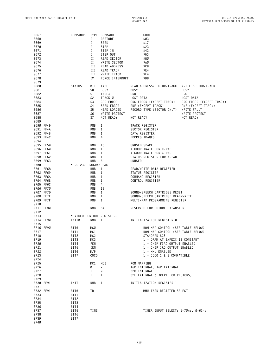| 0667<br>0668<br>0669<br>0670<br>0671<br>0672<br>0673<br>0674<br>0675<br>0676<br>0677<br>0678 | COMMANDS                                                     | I<br>I<br>Ι<br>I<br>I<br>П<br>П<br>ИI<br>ИI<br>Ш<br>I V                                 | TYPE COMMAND<br>RESTORE<br><b>SEEK</b><br><b>STEP</b><br>STEP IN<br>STEP OUT<br>READ SECTOR<br>WRITE SECTOR<br>READ ADDRESS<br>READ TRACK<br>WRITE TRACK<br>FORCE INTERRUPT | CODE<br>\$03<br>\$17<br>\$23<br>\$43<br>\$53<br>\$80<br>\$AØ<br>\$CØ<br>\$E4<br>\$F4<br>\$DØ                                                                                                                                                    |                                                                                                                                                      |
|----------------------------------------------------------------------------------------------|--------------------------------------------------------------|-----------------------------------------------------------------------------------------|-----------------------------------------------------------------------------------------------------------------------------------------------------------------------------|-------------------------------------------------------------------------------------------------------------------------------------------------------------------------------------------------------------------------------------------------|------------------------------------------------------------------------------------------------------------------------------------------------------|
| 0679<br>0680<br>0681<br>0682<br>0683<br>0684<br>0685<br>0686<br>0687<br>0688<br>0689         | <b>STATUS</b>                                                | BIT<br>SØ<br>S1<br>S <sub>2</sub><br>S <sub>3</sub><br>S4<br>S <sub>5</sub><br>S6<br>S7 | TYPE I<br><b>BUSY</b><br>INDEX<br>TRACK Ø<br>CRC ERROR<br>SEEK ERROR<br>HEAD LOADED<br>WRITE PROTECT<br>NOT READY                                                           | READ ADDRESS/SECTOR/TRACK<br><b>BUSY</b><br>DRQ<br>LOST DATA<br>CRC ERROR (EXCEPT TRACK)<br>RNF (EXCEPT TRACK)<br>RECORD TYPE (SECTOR ONLY)<br>NOT READY                                                                                        | WRITE SECTOR/TRACK<br><b>BUSY</b><br>DRQ<br>LOST DATA<br>CRC ERROR (EXCEPT TRACK)<br>RNF (EXCEPT TRACK)<br>WRITE FAULT<br>WRITE PROTECT<br>NOT READY |
| 0690 FF49<br>0691 FF4A<br>0692 FF4B<br>0693 FF4C<br>0694                                     |                                                              | RMB<br>RMB<br>RMB<br>RMB                                                                | $\mathbf{1}$<br>1<br>1<br>4                                                                                                                                                 | TRACK REGISTER<br>SECTOR REGISTER<br>DATA REGISTER<br>FDCREG IMAGES                                                                                                                                                                             |                                                                                                                                                      |
| 0695 FF50<br>0696 FF60<br>0697 FF61<br>0698 FF62<br>0699 FF63<br>0700                        | * RS-232 PROGRAM PAK                                         | RMB<br>RMB<br><b>RMB</b><br>RMB<br>RMB                                                  | 16<br>$\mathbf{1}$<br>$\mathbf{1}$<br>1<br>5                                                                                                                                | UNUSED SPACE<br>X COORDINATE FOR X-PAD<br>Y COORDINATE FOR X-PAD<br>STATUS REGISTER FOR X-PAD<br>UNUSED                                                                                                                                         |                                                                                                                                                      |
| 0701 FF68<br>0702 FF69<br>0703 FF6A<br>0704 FF6B<br>0705 FF6C<br>0706 FF70                   |                                                              | RMB<br><b>RMB</b><br>RMB<br>RMB<br>RMB<br>RMB                                           | 1<br>1<br>1<br>1<br>4<br>13                                                                                                                                                 | READ/WRITE DATA REGISTER<br>STATUS REGISTER<br>COMMAND REGISTER<br>CONTROL REGISTER                                                                                                                                                             |                                                                                                                                                      |
| 0707 FF7D<br>0708 FF7E<br>0709 FF7F<br>Ø71Ø<br>0711 FF80                                     |                                                              | RMB<br>RMB<br>RMB<br>RMB                                                                | $\mathbf{1}$<br>1<br>1<br>64                                                                                                                                                | SOUND/SPEECH CARTRIDGE RESET<br>SOUND/SPEECH CARTRIDGE READ/WRITE<br>MULTI-PAK PROGRAMMING REGISTER<br>RESERVED FOR FUTURE EXPANSION                                                                                                            |                                                                                                                                                      |
| 0712<br>0713<br>0714 FF90                                                                    | INITØ                                                        | <b>RMB</b>                                                                              | * VIDEO CONTROL REGISTERS<br>1                                                                                                                                              | INITIALIZATION REGISTER Ø                                                                                                                                                                                                                       |                                                                                                                                                      |
| 0715<br>0716 FF90<br>0717<br>0718<br>0719<br>0720<br>0721<br>0722<br>0723                    | BITØ<br>BIT1<br>BIT2<br>BIT3<br>BIT4<br>BIT5<br>BIT6<br>BIT7 | MCØ<br>MC1<br>MC <sub>2</sub><br>MC3<br>FEN<br>IEN<br>M/P<br><b>COCO</b>                |                                                                                                                                                                             | ROM MAP CONTROL (SEE TABLE BELOW)<br>ROM MAP CONTROL (SEE TABLE BELOW)<br>STANDARD SCS<br>$1 = DRAM AT OXFEXX IS CONSTANT$<br>$1 = CHIP$ FIRQ OUTPUT ENABLED<br>1 = CHIP IRQ OUTPUT ENABLED<br>$1 = MMU ENABLED$<br>$1 = COCO$ 1 & 2 COMPATIBLE |                                                                                                                                                      |
| 0724<br>0725<br>0726<br>0727<br>0728<br>0729                                                 |                                                              | MC 1<br>Ø<br>$\mathbf{1}$<br>$\mathbf{1}$                                               | MCØ<br><b>X</b><br>Ø<br>$\mathbf{1}$                                                                                                                                        | ROM MAPPING<br>16K INTERNAL, 16K EXTERNAL<br>32K INTERNAL<br>32L EXTERNAL (EXCEPT FOR VECTORS)                                                                                                                                                  |                                                                                                                                                      |
| 0730 FF91<br>0731                                                                            | INIT1                                                        | RMB                                                                                     | 1                                                                                                                                                                           | INITIALIZATION REGISTER 1                                                                                                                                                                                                                       |                                                                                                                                                      |
| 0732 FF91<br>0733<br>0734<br>0735<br>0736                                                    | BITØ<br>BIT1<br>BIT2<br>BIT3<br>BIT4                         | TR                                                                                      |                                                                                                                                                                             | MMU TASK REGISTER SELECT                                                                                                                                                                                                                        |                                                                                                                                                      |
| 0737<br>0738<br>0739<br>0740                                                                 | BIT5<br>BIT6<br>BIT7                                         | TINS                                                                                    |                                                                                                                                                                             | TIMER INPUT SELECT: 1=70ns, 0=63ns                                                                                                                                                                                                              |                                                                                                                                                      |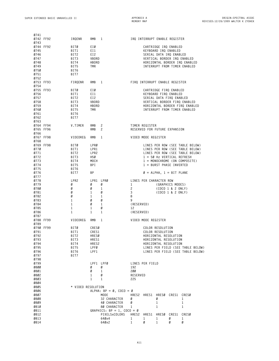| 0741<br>0742 FF92   | IRQENR                       | RMB               | 1                                                       |                  | IRQ INTERRUPT ENABLE REGISTER  |                              |                                                |                                                                    |
|---------------------|------------------------------|-------------------|---------------------------------------------------------|------------------|--------------------------------|------------------------------|------------------------------------------------|--------------------------------------------------------------------|
| 0743                |                              |                   |                                                         |                  |                                |                              |                                                |                                                                    |
| 0744 FF92           | BITØ                         | EIØ               |                                                         |                  |                                |                              | CARTRIDGE IRQ ENABLED                          |                                                                    |
| 0745                | BIT1                         | EI1               |                                                         |                  |                                |                              | KEYBOARD IRQ ENABLED                           |                                                                    |
| 0746                | BIT2                         | EI2               |                                                         |                  |                                |                              | SERIAL DATA IRQ ENABLED                        |                                                                    |
| 0747                | BIT3                         | <b>VBORD</b>      |                                                         |                  |                                |                              |                                                | VERTICAL BORDER IRQ ENABLED                                        |
| 0748                | BIT4                         | HBORD             |                                                         |                  |                                |                              |                                                | HORIZONTAL BORDER IRQ ENABLED                                      |
| 0749<br>0750        | BIT5<br>BIT6                 | TMR               |                                                         |                  |                                |                              |                                                | INTERRUPT FROM TIMER ENABLED                                       |
| 0751                | BIT7                         |                   |                                                         |                  |                                |                              |                                                |                                                                    |
| 0752                |                              |                   |                                                         |                  |                                |                              |                                                |                                                                    |
| 0753 FF93           | FIRQENR                      | RMB               | 1                                                       |                  | FIRQ INTERRUPT ENABLE REGISTER |                              |                                                |                                                                    |
| 0754                |                              |                   |                                                         |                  |                                |                              |                                                |                                                                    |
| 0755 FF93           | BITØ                         | EIØ               |                                                         |                  |                                |                              | CARTRIDGE FIRQ ENABLED                         |                                                                    |
| 0756                | BIT1                         | EI1               |                                                         |                  |                                |                              | KEYBOARD FIRQ ENABLED                          |                                                                    |
| 0757                | BIT2                         | EI2               |                                                         |                  |                                |                              | SERIAL DATA FIRQ ENABLED                       |                                                                    |
| 0758                | BIT3                         | VBORD             |                                                         |                  |                                |                              |                                                | VERTICAL BORDER FIRQ ENABLED                                       |
| 0759<br><b>Ø760</b> | BIT4<br>BIT5                 | HBORD<br>TMR      |                                                         |                  |                                |                              |                                                | HORIZONTAL BORDER FIRQ ENABLED<br>INTERRUPT FROM TIMER ENABLED     |
| 0761                | BIT6                         |                   |                                                         |                  |                                |                              |                                                |                                                                    |
| 0762                | BIT7                         |                   |                                                         |                  |                                |                              |                                                |                                                                    |
| 0763                |                              |                   |                                                         |                  |                                |                              |                                                |                                                                    |
| 0764 FF94           | V.TIMER                      | <b>RMB</b>        | 2                                                       |                  | TIMER REGISTER                 |                              |                                                |                                                                    |
| 0765 FF96           |                              | RMB               | $\overline{c}$                                          |                  | RESERVED FOR FUTURE EXPANSION  |                              |                                                |                                                                    |
| 0766                |                              |                   |                                                         |                  |                                |                              |                                                |                                                                    |
| 0767 FF98           | VIDEOREG                     | RMB               | 1                                                       |                  | VIDEO MODE REGISTER            |                              |                                                |                                                                    |
| 0768                |                              |                   |                                                         |                  |                                |                              |                                                |                                                                    |
| 0769 FF98<br>0770   | BITØ<br>BIT1                 | LPRØ<br>LPR1      |                                                         |                  |                                |                              |                                                | LINES PER ROW (SEE TABLE BELOW)<br>LINES PER ROW (SEE TABLE BELOW) |
| 0771                | BIT2                         | LPR2              |                                                         |                  |                                |                              |                                                | LINES PER ROW (SEE TABLE BELOW)                                    |
| 0772                | BIT3                         | H5Ø               |                                                         |                  |                                |                              | $1 = 50$ Hz VERTICAL REFRESH                   |                                                                    |
| 0773                | BIT4                         | MOCH              |                                                         |                  |                                |                              |                                                | $1 = MONOCHROME (ON COMPOSITE)$                                    |
| 0774                | BIT5                         | BPI               |                                                         |                  |                                |                              | $1 = BURST PHASE INVERTED$                     |                                                                    |
| 0775                | BIT6                         |                   |                                                         |                  |                                |                              |                                                |                                                                    |
| 0776                | BIT7                         | BP                |                                                         |                  |                                |                              | $\varnothing$ = ALPHA, 1 = BIT PLANE           |                                                                    |
| 0777<br>0778        | LPR2                         | LPR1 LPRØ         |                                                         |                  | LINES PER CHARACTER ROW        |                              |                                                |                                                                    |
| 0779                | Ø                            | Ø                 | Ø                                                       | $\mathbf{1}$     |                                |                              | (GRAPHICS MODES)                               |                                                                    |
| 0780                | Ø                            | Ø                 | 1                                                       | $\mathbf{2}$     |                                |                              | (COCO 1 & 2 ONLY)                              |                                                                    |
| 0781                | Ø                            | 1                 | Ø                                                       | 3                |                                |                              | (COCO 1 & 2 ONLY)                              |                                                                    |
| 0782                | Ø                            | 1                 | 1                                                       | 8                |                                |                              |                                                |                                                                    |
| 0783                | $\mathbf{1}$                 | Ø                 | Ø                                                       | 9                |                                |                              |                                                |                                                                    |
| 0784<br>0785        | $\mathbf{1}$<br>$\mathbf{1}$ | Ø<br>1            | 1<br>Ø                                                  | (RESERVED)<br>12 |                                |                              |                                                |                                                                    |
| 0786                | $\mathbf{1}$                 | 1                 | 1                                                       | (RESERVED)       |                                |                              |                                                |                                                                    |
| 0787                |                              |                   |                                                         |                  |                                |                              |                                                |                                                                    |
| 0788 FF99           | VIDEOREG                     | RMB               | 1                                                       |                  | VIDEO MODE REGISTER            |                              |                                                |                                                                    |
| 0789                |                              |                   |                                                         |                  |                                |                              |                                                |                                                                    |
| 0790 FF99           | BITØ                         | CRESØ             |                                                         |                  |                                | COLOR RESOLUTION             |                                                |                                                                    |
| 0791                | BIT1                         | CRES1             |                                                         |                  |                                | COLOR RESOLUTION             |                                                |                                                                    |
| 0792<br>0793        | BIT2<br>BIT3                 | HRESØ<br>HRES1    |                                                         |                  |                                |                              | HORIZONTAL RESOLUTION<br>HORIZONTAL RESOLUTION |                                                                    |
| 0794                | BIT4                         | HRES2             |                                                         |                  |                                |                              | HORIZONTAL RESOLUTION                          |                                                                    |
| 0795                | BIT5                         | LPFØ              |                                                         |                  |                                |                              |                                                | LINES PER FIELD (SEE TABLE BELOW)                                  |
| 0796                | BIT6                         | LPF1              |                                                         |                  |                                |                              |                                                | LINES PER FIELD (SEE TABLE BELOW)                                  |
| 0797                | BIT7                         |                   |                                                         |                  |                                |                              |                                                |                                                                    |
| 0798                |                              |                   |                                                         |                  |                                |                              |                                                |                                                                    |
| 0799                |                              | LPF1 LPFØ         |                                                         |                  | LINES PER FIELD                |                              |                                                |                                                                    |
| 0800                |                              | Ø                 | Ø                                                       | 192              |                                |                              |                                                |                                                                    |
| 0801<br>0802        |                              | Ø                 | 1                                                       | 200              |                                |                              |                                                |                                                                    |
| 0803                |                              | 1<br>$\mathbf{1}$ | Ø<br>1                                                  | RESERVED<br>225  |                                |                              |                                                |                                                                    |
| 0804                |                              |                   |                                                         |                  |                                |                              |                                                |                                                                    |
| 0805                | * VIDEO RESOLUTION           |                   |                                                         |                  |                                |                              |                                                |                                                                    |
| 0806                |                              |                   | ALPHA: $BP = \emptyset$ , $COCO = \emptyset$            |                  |                                |                              |                                                |                                                                    |
| 0807                |                              |                   | MODE                                                    |                  | HRES2 HRES1 HRESØ CRES1 CRESØ  |                              |                                                |                                                                    |
| 0808                |                              |                   | 32 CHARACTER                                            | Ø                |                                | Ø                            |                                                | $\mathbf{1}$                                                       |
| 0809<br>0810        |                              |                   | 40 CHARACTER                                            | Ø<br>1           |                                | $\mathbf{1}$<br>$\mathbf{1}$ |                                                | 1<br>$\mathbf{1}$                                                  |
| 0811                |                              |                   | 80 CHARACTER<br>GRAPHICS: $BP = 1$ , $COCO = \emptyset$ |                  |                                |                              |                                                |                                                                    |
| 0812                |                              |                   | PIXELSxCOLORS                                           |                  | HRES2 HRES1 HRESØ CRES1        |                              |                                                | CRESØ                                                              |
| 0813                |                              |                   | 640x4                                                   | $\mathbf{1}$     | $\mathbf{1}$                   | $\mathbf{1}$                 | Ø                                              | $\mathbf{1}$                                                       |
| 0814                |                              |                   | 640x2                                                   | $\mathbf{1}$     | Ø                              | $\mathbf{1}$                 | Ø                                              | Ø                                                                  |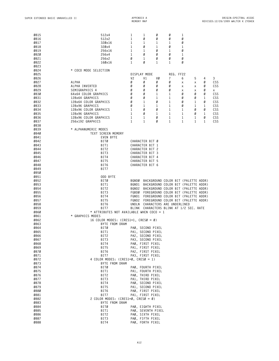| 0815        | 512x4                                    | 1              | 1<br>Ø                                    | Ø | 1         |   |   |     |
|-------------|------------------------------------------|----------------|-------------------------------------------|---|-----------|---|---|-----|
| 0816        | 512x2                                    | 1              | Ø<br>Ø                                    | Ø | Ø         |   |   |     |
|             |                                          |                |                                           |   |           |   |   |     |
| 0817        | 320×16                                   | 1              | 1<br>1                                    | 1 | Ø         |   |   |     |
| 0818        | 320x4                                    | $\mathbf{1}$   | Ø<br>1                                    | Ø | 1         |   |   |     |
| 0819        | 256x16                                   | 1              | 1<br>Ø                                    | 1 | Ø         |   |   |     |
|             |                                          |                |                                           |   |           |   |   |     |
| 0820        | 256x4                                    | 1              | Ø<br>Ø                                    | Ø | 1         |   |   |     |
| 0821        | 256x2                                    | Ø              | 1<br>Ø                                    | Ø | Ø         |   |   |     |
|             |                                          |                |                                           |   |           |   |   |     |
| 0822        | 160×16                                   | 1              | Ø<br>1                                    | 1 | Ø         |   |   |     |
| 0823        |                                          |                |                                           |   |           |   |   |     |
| 0824        | * COCO MODE SELECTION                    |                |                                           |   |           |   |   |     |
|             |                                          |                |                                           |   |           |   |   |     |
| 0825        |                                          |                | DISPLAY MODE                              |   | REG. FF22 |   |   |     |
| 0826        |                                          | V <sub>2</sub> | V1<br>٧Ø                                  | 7 | 6         | 5 | 4 | 3   |
|             |                                          | Ø              | Ø                                         |   |           |   |   |     |
| 0827        | ALPHA                                    |                | Ø                                         | Ø | х         | х | Ø | CSS |
| 0828        | ALPHA INVERTED                           | Ø              | Ø<br>Ø                                    | Ø | х         | X | Ø | CSS |
| 0829        | SEMIGRAPHICS 4                           | Ø              | Ø<br>Ø                                    | Ø | х         | Χ | Ø | X   |
|             |                                          |                |                                           |   |           |   |   |     |
| 0830        | 64x64 COLOR GRAPHICS                     | Ø              | Ø<br>1                                    | 1 | Ø         | Ø | Ø | CSS |
| 0831        | 128x64 GRAPHICS                          | Ø              | Ø<br>1                                    | 1 | Ø         | Ø | 1 | CSS |
|             |                                          |                |                                           |   |           |   |   |     |
| 0832        | 128x64 COLOR GRAPHICS                    | Ø              | Ø<br>1                                    | 1 | Ø         | 1 | Ø | CSS |
| 0833        | 128x96 GRAPHICS                          | Ø              | 1<br>1                                    | 1 | Ø         | 1 | 1 | CSS |
| 0834        | 128x96 COLOR GRAPHICS                    | 1              | Ø<br>Ø                                    | 1 | 1         | Ø | Ø | CSS |
|             |                                          |                |                                           |   |           |   |   |     |
| 0835        | 128x96 GRAPHICS                          | $\mathbf{1}$   | Ø<br>1                                    | 1 | 1         | Ø | 1 | CSS |
| 0836        | 128x96 COLOR GRAPHICS                    | 1              | Ø<br>1                                    | 1 | 1         | 1 | Ø | CSS |
|             |                                          |                |                                           |   |           |   |   |     |
| 0837        | 256x192 GRAPHICS                         | 1              | 1<br>Ø                                    | 1 | 1         | 1 | 1 | CSS |
| 0838        |                                          |                |                                           |   |           |   |   |     |
|             | * ALPHANUMERIC MODES                     |                |                                           |   |           |   |   |     |
| 0839        |                                          |                |                                           |   |           |   |   |     |
| Ø84Ø        | TEXT SCREEN MEMORY                       |                |                                           |   |           |   |   |     |
| 0841        | EVEN BYTE                                |                |                                           |   |           |   |   |     |
|             |                                          |                |                                           |   |           |   |   |     |
| 0842        | BITØ                                     |                | CHARACTER BIT Ø                           |   |           |   |   |     |
| 0843        | BIT1                                     |                | CHARACTER BIT 1                           |   |           |   |   |     |
| 0844        | BIT2                                     |                | CHARACTER BIT 2                           |   |           |   |   |     |
|             |                                          |                |                                           |   |           |   |   |     |
| 0845        | BIT3                                     |                | CHARACTER BIT 3                           |   |           |   |   |     |
| 0846        | BIT4                                     |                | CHARACTER BIT 4                           |   |           |   |   |     |
|             |                                          |                |                                           |   |           |   |   |     |
| 0847        | BIT5                                     |                | CHARACTER BIT 5                           |   |           |   |   |     |
| 0848        | BIT6                                     |                | CHARACTER BIT 6                           |   |           |   |   |     |
|             |                                          |                |                                           |   |           |   |   |     |
| 0849        | BIT7                                     |                |                                           |   |           |   |   |     |
| 0850        |                                          |                |                                           |   |           |   |   |     |
| 0851        | ODD BYTE                                 |                |                                           |   |           |   |   |     |
|             |                                          |                |                                           |   |           |   |   |     |
| 0852        | BITØ                                     | BGNDØ          | BACKGROUND COLOR BIT (PALETTE ADDR)       |   |           |   |   |     |
| 0853        | BIT1                                     |                | BGND1 BACKGROUND COLOR BIT (PALETTE ADDR) |   |           |   |   |     |
| 0854        | BIT2                                     |                | BGND2 BACKGROUND COLOR BIT (PALETTE ADDR) |   |           |   |   |     |
|             |                                          |                |                                           |   |           |   |   |     |
| 0855        | BIT3                                     |                | FGBDØ FOREGROUND COLOR BIT (PALETTE ADDR) |   |           |   |   |     |
| 0856        | BIT4                                     |                | FGND1 FOREGROUND COLOR BIT (PALETTE ADDR) |   |           |   |   |     |
|             |                                          |                |                                           |   |           |   |   |     |
| 0857        | BIT5                                     |                | FGND2 FOREGROUND COLOR BIT (PALETTE ADDR) |   |           |   |   |     |
| 0858        | BIT6                                     | UNDLN          | CHARACTERS ARE UNDERLINED                 |   |           |   |   |     |
| 0859        | BIT7                                     |                | BLINK CHARACTERS BLINK AT 1/2 SEC. RATE   |   |           |   |   |     |
|             |                                          |                |                                           |   |           |   |   |     |
| <b>0860</b> | * ATTRIBUTES NOT AVAILABLE WHEN COCO = 1 |                |                                           |   |           |   |   |     |
| 0861        | * GRAPHICS MODES                         |                |                                           |   |           |   |   |     |
| 0862        | 16 COLOR MODES: $(CRES1=1, CRES0 = 0)$   |                |                                           |   |           |   |   |     |
|             |                                          |                |                                           |   |           |   |   |     |
| 0863        | BYTE FROM DRAM                           |                |                                           |   |           |   |   |     |
| 0864        | BITØ                                     |                | PAØ, SECOND PIXEL                         |   |           |   |   |     |
|             |                                          |                |                                           |   |           |   |   |     |
| 0865        | BIT1                                     |                | PA1, SECOND PIXEL                         |   |           |   |   |     |
| 0866        | BIT2                                     |                | PA2, SECOND PIXEL                         |   |           |   |   |     |
| 0867        | BIT3                                     |                | PA3, SECOND PIXEL                         |   |           |   |   |     |
|             |                                          |                |                                           |   |           |   |   |     |
| 0868        | BIT4                                     |                | PAØ, FIRST PIXEL                          |   |           |   |   |     |
| 0869        | BIT5                                     |                | PA1, FIRST PIXEL                          |   |           |   |   |     |
| 0870        | BIT6                                     |                | PA2, FIRST PIXEL                          |   |           |   |   |     |
|             |                                          |                |                                           |   |           |   |   |     |
| 0871        | BIT7                                     |                | PA3, FIRST PIXEL                          |   |           |   |   |     |
| 0872        | 4 COLOR MODES: (CRES1=0, CRES0 = 1)      |                |                                           |   |           |   |   |     |
|             |                                          |                |                                           |   |           |   |   |     |
| 0873        | BYTE FROM DRAM                           |                |                                           |   |           |   |   |     |
| 0874        | BITØ                                     |                | PAØ, FOURTH PIXEL                         |   |           |   |   |     |
| 0875        | BIT1                                     |                | PA1, FOURTH PIXEL                         |   |           |   |   |     |
|             |                                          |                |                                           |   |           |   |   |     |
| 0876        | BIT2                                     |                | PAØ, THIRD PIXEL                          |   |           |   |   |     |
| 0877        | BIT3                                     |                | PA1, THIRD PIXEL                          |   |           |   |   |     |
|             |                                          |                |                                           |   |           |   |   |     |
| 0878        | BIT4                                     |                | PAØ, SECOND PIXEL                         |   |           |   |   |     |
| 0879        | BIT5                                     |                | PA1, SECOND PIXEL                         |   |           |   |   |     |
| 0880        | BIT6                                     |                | PAØ, FIRST PIXEL                          |   |           |   |   |     |
|             |                                          |                |                                           |   |           |   |   |     |
| 0881        | BIT7                                     |                | PA1, FIRST PIXEL                          |   |           |   |   |     |
| 0882        | 2 COLOR MODES: $(CRES1=Ø, CRESØ = Ø)$    |                |                                           |   |           |   |   |     |
| 0883        | BYTE FROM DRAM                           |                |                                           |   |           |   |   |     |
|             |                                          |                |                                           |   |           |   |   |     |
| 0884        | BITØ                                     |                | PAØ, EIGHTH PIXEL                         |   |           |   |   |     |
| 0885        | BIT1                                     |                | PAØ, SEVENTH PIXEL                        |   |           |   |   |     |
|             |                                          |                |                                           |   |           |   |   |     |
| 0886        | BIT2                                     |                | PAØ, SIXTH PIXEL                          |   |           |   |   |     |
| 0887        | BIT3                                     |                | PAØ, FIFTH PIXEL                          |   |           |   |   |     |
| 0888        | BIT4                                     |                | PAØ, FORTH PIXEL                          |   |           |   |   |     |
|             |                                          |                |                                           |   |           |   |   |     |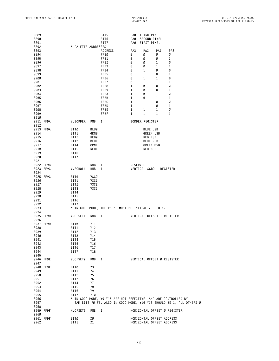| 0889<br>0890<br>0891 |                     |                  | BIT5<br>BIT6<br>BIT7                                            |          | PAØ, THIRD PIXEL<br>PAØ, SECOND PIXEL<br>PAØ, FIRST PIXEL |             |                                                                      |
|----------------------|---------------------|------------------|-----------------------------------------------------------------|----------|-----------------------------------------------------------|-------------|----------------------------------------------------------------------|
| 0892<br>0893         | * PALETTE ADDRESSES |                  |                                                                 |          |                                                           |             |                                                                      |
|                      |                     |                  | ADDRESS                                                         | PA3      | PA <sub>2</sub>                                           | PA1         | PAØ                                                                  |
| 0894                 |                     |                  | FFBØ                                                            | Ø        | Ø                                                         | Ø           | Ø                                                                    |
| 0895                 |                     |                  | FFB1                                                            | Ø        | Ø                                                         | Ø           | 1                                                                    |
| 0896                 |                     |                  | FFB2                                                            | Ø        | Ø                                                         | 1           | Ø                                                                    |
| 0897                 |                     |                  | FFB3                                                            | Ø        | Ø                                                         | $\mathbf 1$ | 1                                                                    |
| 0898                 |                     |                  | FFB4                                                            | Ø        | 1                                                         | Ø           | Ø                                                                    |
| 0899                 |                     |                  | FFB5                                                            | Ø        | 1                                                         | Ø           | 1                                                                    |
| 0900                 |                     |                  | FFB6                                                            | Ø        | 1                                                         | 1           | Ø                                                                    |
| 0901                 |                     |                  | FFB7                                                            | Ø        | 1                                                         | 1           | 1                                                                    |
| 0902                 |                     |                  | FFB8                                                            | 1        | Ø                                                         | Ø           | Ø                                                                    |
| 0903                 |                     |                  | FFB9                                                            | 1        | Ø                                                         | Ø           | 1                                                                    |
| 0904                 |                     |                  | FFBA                                                            | 1        | Ø                                                         | 1           | Ø                                                                    |
| 0905                 |                     |                  | FFBB                                                            | 1        | Ø                                                         | 1           | 1                                                                    |
| 0906                 |                     |                  | FFBC                                                            | 1        | 1                                                         | Ø           | Ø                                                                    |
| 0907                 |                     |                  | FFBD                                                            | 1        | 1                                                         | Ø           | 1                                                                    |
| 0908                 |                     |                  | FFBE                                                            | 1        | 1                                                         | 1           | Ø                                                                    |
|                      |                     |                  |                                                                 |          |                                                           |             |                                                                      |
| 0909                 |                     |                  | FFBF                                                            | 1        | 1                                                         | 1           | 1                                                                    |
| 0910                 |                     |                  |                                                                 |          |                                                           |             |                                                                      |
| 0911 FF9A            | V.BORDER            | RMB              | 1                                                               |          | BORDER REGISTER                                           |             |                                                                      |
| 0912                 |                     |                  |                                                                 |          |                                                           |             |                                                                      |
| 0913 FF9A            | BITØ                | <b>BLUØ</b>      |                                                                 |          | <b>BLUE LSB</b>                                           |             |                                                                      |
| 0914                 | BIT1                | GRNØ             |                                                                 |          | <b>GREEN LSB</b>                                          |             |                                                                      |
| 0915                 | BIT2                | REDØ             |                                                                 |          | RED LSB                                                   |             |                                                                      |
| 0916                 | BIT3                | BLU1             |                                                                 |          | <b>BLUE MSB</b>                                           |             |                                                                      |
| 0917                 | BIT4                | GRN1             |                                                                 |          | <b>GREEN MSB</b>                                          |             |                                                                      |
| 0918                 | BIT5                | RED1             |                                                                 |          | RED MSB                                                   |             |                                                                      |
| 0919                 | BIT6                |                  |                                                                 |          |                                                           |             |                                                                      |
|                      |                     |                  |                                                                 |          |                                                           |             |                                                                      |
| 0920                 | BIT7                |                  |                                                                 |          |                                                           |             |                                                                      |
| 0921                 |                     |                  |                                                                 |          |                                                           |             |                                                                      |
| 0922 FF9B            |                     | RMB              | 1                                                               | RESERVED |                                                           |             |                                                                      |
| 0923 FF9C            | V.SCROLL            | RMB              | 1                                                               |          | VERTICAL SCROLL REGISTER                                  |             |                                                                      |
| 0924                 |                     |                  |                                                                 |          |                                                           |             |                                                                      |
| 0925 FF9C            | BITØ                | VSCØ             |                                                                 |          |                                                           |             |                                                                      |
| 0926                 | BIT1                | VSC1             |                                                                 |          |                                                           |             |                                                                      |
| 0927                 | BIT2                | VSC <sub>2</sub> |                                                                 |          |                                                           |             |                                                                      |
| 0928                 | BIT3                | VSC3             |                                                                 |          |                                                           |             |                                                                      |
| 0929                 | BIT4                |                  |                                                                 |          |                                                           |             |                                                                      |
| 0930                 |                     |                  |                                                                 |          |                                                           |             |                                                                      |
|                      | BIT5                |                  |                                                                 |          |                                                           |             |                                                                      |
| 0931                 | BIT6                |                  |                                                                 |          |                                                           |             |                                                                      |
| 0932                 | BIT7                |                  |                                                                 |          |                                                           |             |                                                                      |
| 0933                 |                     |                  | * IN COCO MODE, THE VSC'S MUST BE INITIALIZED TO \$ØF           |          |                                                           |             |                                                                      |
| 0934                 |                     |                  |                                                                 |          |                                                           |             |                                                                      |
| 0935 FF9D            | V.OFSET1            | RMB              | 1                                                               |          | VERTICAL OFFSET 1 REGISTER                                |             |                                                                      |
| 0936                 |                     |                  |                                                                 |          |                                                           |             |                                                                      |
| 0937 FF9D            | BITØ                | Y11              |                                                                 |          |                                                           |             |                                                                      |
| 0938                 | BIT1                | Y12              |                                                                 |          |                                                           |             |                                                                      |
| 0939                 | BIT2                | Y13              |                                                                 |          |                                                           |             |                                                                      |
| Ø94Ø                 | BIT3                | Y14              |                                                                 |          |                                                           |             |                                                                      |
| 0941                 | BIT4                | Y15              |                                                                 |          |                                                           |             |                                                                      |
| 0942                 | BIT5                | Y16              |                                                                 |          |                                                           |             |                                                                      |
| 0943                 |                     | Y17              |                                                                 |          |                                                           |             |                                                                      |
|                      | BIT6                |                  |                                                                 |          |                                                           |             |                                                                      |
| 0944                 | BIT7                | Y18              |                                                                 |          |                                                           |             |                                                                      |
| 0945                 |                     |                  |                                                                 |          |                                                           |             |                                                                      |
| 0946 FF9E            | V.OFSETØ            | RMB              | 1                                                               |          | VERTICAL OFFSET Ø REGISTER                                |             |                                                                      |
| 0947                 |                     |                  |                                                                 |          |                                                           |             |                                                                      |
| 0948 FF9E            | BITØ                | Y3               |                                                                 |          |                                                           |             |                                                                      |
| 0949                 | BIT1                | Υ4               |                                                                 |          |                                                           |             |                                                                      |
| 0950                 | BIT2                | Y5               |                                                                 |          |                                                           |             |                                                                      |
| 0951                 | BIT3                | Υ6               |                                                                 |          |                                                           |             |                                                                      |
| 0952                 | BIT4                | Y7               |                                                                 |          |                                                           |             |                                                                      |
| 0953                 |                     | Y8               |                                                                 |          |                                                           |             |                                                                      |
|                      | BIT5                |                  |                                                                 |          |                                                           |             |                                                                      |
| 0954                 | BIT6                | Υ9               |                                                                 |          |                                                           |             |                                                                      |
| 0955                 | BIT7                | Y1Ø              |                                                                 |          |                                                           |             |                                                                      |
| 0956                 |                     |                  | * IN COCO MODE, Y9-Y15 ARE NOT EFFECTIVE, AND ARE CONTROLLED BY |          |                                                           |             |                                                                      |
| 0957                 |                     |                  |                                                                 |          |                                                           |             | SAM BITS FØ-F6. ALSO IN COCO MODE, Y16-Y18 SHOULD BE 1, ALL OTHERS Ø |
| 0958                 |                     |                  |                                                                 |          |                                                           |             |                                                                      |
| 0959 FF9F            | H.OFSETØ            | <b>RMB</b>       | 1                                                               |          |                                                           |             | HORIZONTAL OFFSET Ø REGISTER                                         |
| <b>0960</b>          |                     |                  |                                                                 |          |                                                           |             |                                                                      |
| 0961 FF9F            | BITØ                | хø               |                                                                 |          | HORIZONTAL OFFSET ADDRESS                                 |             |                                                                      |
| 0962                 | BIT1                | X1               |                                                                 |          | HORIZONTAL OFFSET ADDRESS                                 |             |                                                                      |
|                      |                     |                  |                                                                 |          |                                                           |             |                                                                      |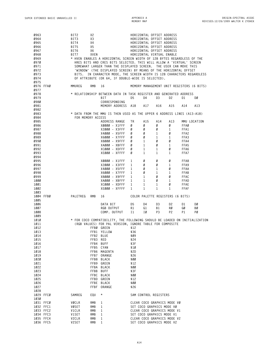| 0963<br>0964<br>0965<br>0966<br>0967<br>0968<br>0969<br>0970<br>0971<br>0972<br>0973<br>0974 | BIT2<br>BIT3<br>BIT4<br>BIT5<br>BIT6<br>BIT7<br>BITS. | X2<br>X3<br>Χ4<br>X5<br>X6<br>XVEN | * HVEN ENABLES A HORIZONTAL SCREEN WIDTH OF 128 BYTES REGARDLESS OF THE<br>HRES BITS AND CRES BITS SELECTED. THIS WILL ALLOW A 'VIRTUAL' SCREEN<br>SOMEWHAT LARGER THAN THE DISPLAYED SCREEN. THE USER CAN MOVE THIS<br>'WINDOW' (THE DISPLAYED SCREEN) BY MEANS OF THE HORIZONTAL OFFSET<br>IN CHARACTER MODE, THE SCREEN WIDTH IS 128 CHARACTERS REGARDLESS<br>OF ATTRIBUTE (OR 64, IF DOUBLE-WIDE IS SELECTED). | HORIZONTAL OFFSET ADDRESS<br>HORIZONTAL OFFSET ADDRESS<br>HORIZONTAL OFFSET ADDRESS<br>HORIZONTAL OFFSET ADDRESS<br>HORIZONTAL VIRTUAL ENABLE |          | HORIZONTAL OFFSET ADDRESS                                |                      |              |                                           |
|----------------------------------------------------------------------------------------------|-------------------------------------------------------|------------------------------------|--------------------------------------------------------------------------------------------------------------------------------------------------------------------------------------------------------------------------------------------------------------------------------------------------------------------------------------------------------------------------------------------------------------------|-----------------------------------------------------------------------------------------------------------------------------------------------|----------|----------------------------------------------------------|----------------------|--------------|-------------------------------------------|
| 0975<br>0976 FFA0<br>0977                                                                    | MMUREG                                                | RMB                                | 16                                                                                                                                                                                                                                                                                                                                                                                                                 |                                                                                                                                               |          |                                                          |                      |              | MEMORY MANAGEMENT UNIT REGISTERS (6 BITS) |
| 0978<br>0979                                                                                 |                                                       |                                    | * RELATIONSHIP BETWEEN DATA IN TASK REGISTER AND GENERATED ADDRESS<br>BIT                                                                                                                                                                                                                                                                                                                                          | D5                                                                                                                                            | D4       | D3                                                       | D2                   | D1           | DØ                                        |
| 0980<br>0981<br>0982                                                                         |                                                       |                                    | CORRESPONDING<br>MEMORY ADDRESS                                                                                                                                                                                                                                                                                                                                                                                    | A18                                                                                                                                           | A17      | A16                                                      | A15                  | A14          | A13                                       |
| 0983<br>0984                                                                                 | FOR MEMORY ACCESS                                     |                                    | * DATA FROM THE MMU IS THEN USED AS THE UPPER 6 ADDRESS LINES (A13-A18)                                                                                                                                                                                                                                                                                                                                            |                                                                                                                                               |          |                                                          |                      |              |                                           |
| 0985                                                                                         |                                                       |                                    | ADDRESS RANGE                                                                                                                                                                                                                                                                                                                                                                                                      | ΤR                                                                                                                                            | A15      | A14                                                      | A13                  | MMU LOCATION |                                           |
| 0986<br>0987                                                                                 |                                                       |                                    | X0000 - X1FFF<br>X2000 - X3FFF                                                                                                                                                                                                                                                                                                                                                                                     | Ø<br>Ø                                                                                                                                        | Ø<br>Ø   | Ø<br>Ø                                                   | Ø<br>1               | FFAØ<br>FFA1 |                                           |
| 0988                                                                                         |                                                       |                                    | X4000 - X5FFF                                                                                                                                                                                                                                                                                                                                                                                                      | Ø                                                                                                                                             | Ø        | 1                                                        | Ø                    | FFA2         |                                           |
| 0989                                                                                         |                                                       |                                    | X6000 - X7FFF                                                                                                                                                                                                                                                                                                                                                                                                      | Ø                                                                                                                                             | Ø        | 1                                                        | 1                    | FFA3         |                                           |
| 0990                                                                                         |                                                       |                                    | X8000 - X9FFF                                                                                                                                                                                                                                                                                                                                                                                                      | Ø                                                                                                                                             | 1        | Ø                                                        | Ø                    | FFA4         |                                           |
| 0991                                                                                         |                                                       |                                    | XAØØØ - XBFFF                                                                                                                                                                                                                                                                                                                                                                                                      | Ø                                                                                                                                             | 1        | Ø                                                        | 1                    | FFA5         |                                           |
| 0992                                                                                         |                                                       |                                    | XCØØØ - XDFFF                                                                                                                                                                                                                                                                                                                                                                                                      | Ø                                                                                                                                             | 1        | 1                                                        | Ø                    | FFA6         |                                           |
| 0993                                                                                         |                                                       |                                    | XEØØØ - XFFFF                                                                                                                                                                                                                                                                                                                                                                                                      | Ø                                                                                                                                             | 1        | 1                                                        | 1                    | FFA7         |                                           |
| 0994                                                                                         |                                                       |                                    |                                                                                                                                                                                                                                                                                                                                                                                                                    |                                                                                                                                               |          |                                                          |                      |              |                                           |
| 0995                                                                                         |                                                       |                                    | X0000 - X1FFF                                                                                                                                                                                                                                                                                                                                                                                                      | 1                                                                                                                                             | Ø        | Ø                                                        | Ø                    | FFA8         |                                           |
| 0996<br>0997                                                                                 |                                                       |                                    | X2000 - X3FFF<br>X4000 - X5FFF                                                                                                                                                                                                                                                                                                                                                                                     | 1                                                                                                                                             | Ø<br>Ø   | Ø<br>$\mathbf{1}$                                        | 1<br>Ø               | FFA9<br>FFAA |                                           |
| 0998                                                                                         |                                                       |                                    | X6000 - X7FFF                                                                                                                                                                                                                                                                                                                                                                                                      | 1<br>1                                                                                                                                        | Ø        | 1                                                        | 1                    | FFAB         |                                           |
| 0999                                                                                         |                                                       |                                    | X8000 - X9FFF                                                                                                                                                                                                                                                                                                                                                                                                      | 1                                                                                                                                             | 1        | Ø                                                        | Ø                    | FFAC         |                                           |
| 1000                                                                                         |                                                       |                                    | XAØØØ - XBFFF                                                                                                                                                                                                                                                                                                                                                                                                      | 1                                                                                                                                             | 1        | Ø                                                        | 1                    | FFAD         |                                           |
| 1001                                                                                         |                                                       |                                    | XCØØØ - XDFFF                                                                                                                                                                                                                                                                                                                                                                                                      | 1                                                                                                                                             | 1        | 1                                                        | Ø                    | FFAE         |                                           |
| 1002                                                                                         |                                                       |                                    | XEØØØ - XFFFF                                                                                                                                                                                                                                                                                                                                                                                                      | 1                                                                                                                                             | 1        | 1                                                        | 1                    | <b>FFAF</b>  |                                           |
| 1003<br>1004 FFB0                                                                            | PALETREG                                              | RMB                                | 16                                                                                                                                                                                                                                                                                                                                                                                                                 |                                                                                                                                               |          | COLOR PALETTE REGISTERS (6 BITS)                         |                      |              |                                           |
| 1005                                                                                         |                                                       |                                    |                                                                                                                                                                                                                                                                                                                                                                                                                    |                                                                                                                                               |          |                                                          |                      |              |                                           |
| 1006                                                                                         |                                                       |                                    | DATA BIT                                                                                                                                                                                                                                                                                                                                                                                                           | D5                                                                                                                                            | D4       | D3                                                       | D2                   | D1           | DØ                                        |
| 1007<br>1008                                                                                 |                                                       |                                    | RGB OUTPUT<br>COMP. OUTPUT                                                                                                                                                                                                                                                                                                                                                                                         | R1<br>11                                                                                                                                      | G1<br>ΙØ | B1<br>P3                                                 | RØ<br>P <sub>2</sub> | GØ<br>P1     | ВØ<br>PØ                                  |
| 1009                                                                                         |                                                       |                                    |                                                                                                                                                                                                                                                                                                                                                                                                                    |                                                                                                                                               |          |                                                          |                      |              |                                           |
| 1010                                                                                         |                                                       |                                    | * FOR COCO COMPATIBILITY, THE FOLLOWING SHOULD BE LOADED ON INITIALIZATION                                                                                                                                                                                                                                                                                                                                         |                                                                                                                                               |          |                                                          |                      |              |                                           |
| 1011                                                                                         |                                                       |                                    | (RGB VALUES) FOR PAL VERSION, IGNORE TABLE FOR COMPOSITE                                                                                                                                                                                                                                                                                                                                                           |                                                                                                                                               |          |                                                          |                      |              |                                           |
| 1012                                                                                         |                                                       |                                    | FFBØ GREEN                                                                                                                                                                                                                                                                                                                                                                                                         | \$12                                                                                                                                          |          |                                                          |                      |              |                                           |
| 1013                                                                                         |                                                       |                                    | FFB1 YELLOW                                                                                                                                                                                                                                                                                                                                                                                                        | \$36                                                                                                                                          |          |                                                          |                      |              |                                           |
| 1014                                                                                         |                                                       | FFB2 BLUE                          |                                                                                                                                                                                                                                                                                                                                                                                                                    | \$Ø9                                                                                                                                          |          |                                                          |                      |              |                                           |
| 1015                                                                                         |                                                       | FFB3                               | RED                                                                                                                                                                                                                                                                                                                                                                                                                | \$24                                                                                                                                          |          |                                                          |                      |              |                                           |
| 1016                                                                                         |                                                       | FFB4                               | <b>BUFF</b>                                                                                                                                                                                                                                                                                                                                                                                                        | \$3F                                                                                                                                          |          |                                                          |                      |              |                                           |
| 1017                                                                                         |                                                       | FFB5 CYAN                          |                                                                                                                                                                                                                                                                                                                                                                                                                    | \$1Ø                                                                                                                                          |          |                                                          |                      |              |                                           |
| 1018                                                                                         |                                                       |                                    | FFB6 MAGENTA                                                                                                                                                                                                                                                                                                                                                                                                       | \$2D                                                                                                                                          |          |                                                          |                      |              |                                           |
| 1019<br>1020                                                                                 |                                                       | FFB7<br>FFB8                       | ORANGE<br><b>BLACK</b>                                                                                                                                                                                                                                                                                                                                                                                             | \$26<br>\$00                                                                                                                                  |          |                                                          |                      |              |                                           |
| 1021                                                                                         |                                                       | FFB9                               | GREEN                                                                                                                                                                                                                                                                                                                                                                                                              | \$12                                                                                                                                          |          |                                                          |                      |              |                                           |
| 1022                                                                                         |                                                       | FFBA                               | BLACK                                                                                                                                                                                                                                                                                                                                                                                                              | \$00                                                                                                                                          |          |                                                          |                      |              |                                           |
| 1023                                                                                         |                                                       | FFBB                               | <b>BUFF</b>                                                                                                                                                                                                                                                                                                                                                                                                        | \$3F                                                                                                                                          |          |                                                          |                      |              |                                           |
| 1024                                                                                         |                                                       |                                    | FFBC BLACK                                                                                                                                                                                                                                                                                                                                                                                                         | \$00                                                                                                                                          |          |                                                          |                      |              |                                           |
| 1025                                                                                         |                                                       |                                    | FFBD GREEN                                                                                                                                                                                                                                                                                                                                                                                                         | \$12                                                                                                                                          |          |                                                          |                      |              |                                           |
| 1026                                                                                         |                                                       |                                    | FFBE BLACK                                                                                                                                                                                                                                                                                                                                                                                                         | \$00                                                                                                                                          |          |                                                          |                      |              |                                           |
| 1027                                                                                         |                                                       | FFBF                               | ORANGE                                                                                                                                                                                                                                                                                                                                                                                                             | \$26                                                                                                                                          |          |                                                          |                      |              |                                           |
| 1028<br>1029 FFC0                                                                            | SAMREG                                                | EQU                                | $^\star$                                                                                                                                                                                                                                                                                                                                                                                                           |                                                                                                                                               |          | SAM CONTROL REGISTERS                                    |                      |              |                                           |
| 1030                                                                                         |                                                       |                                    |                                                                                                                                                                                                                                                                                                                                                                                                                    |                                                                                                                                               |          |                                                          |                      |              |                                           |
| 1031 FFC0                                                                                    | VØCLR                                                 | <b>RMB</b>                         | 1                                                                                                                                                                                                                                                                                                                                                                                                                  |                                                                                                                                               |          | CLEAR COCO GRAPHICS MODE VØ                              |                      |              |                                           |
| 1032 FFC1                                                                                    | VØSET                                                 | RMB                                | 1                                                                                                                                                                                                                                                                                                                                                                                                                  |                                                                                                                                               |          | SET COCO GRAPHICS MODE VØ                                |                      |              |                                           |
| 1033 FFC2<br>1034 FFC3                                                                       | V1CLR                                                 | RMB                                | 1<br>1                                                                                                                                                                                                                                                                                                                                                                                                             |                                                                                                                                               |          | CLEAR COCO GRAPHICS MODE V1<br>SET COCO GRAPHICS MODE V1 |                      |              |                                           |
| 1035 FFC4                                                                                    | V1SET<br>V <sub>2</sub> CLR                           | RMB<br>RMB                         | 1                                                                                                                                                                                                                                                                                                                                                                                                                  |                                                                                                                                               |          | CLEAR COCO GRAPHICS MODE V2                              |                      |              |                                           |
| 1036 FFC5                                                                                    | V2SET                                                 | <b>RMB</b>                         | 1                                                                                                                                                                                                                                                                                                                                                                                                                  |                                                                                                                                               |          | SET COCO GRAPHICS MODE V2                                |                      |              |                                           |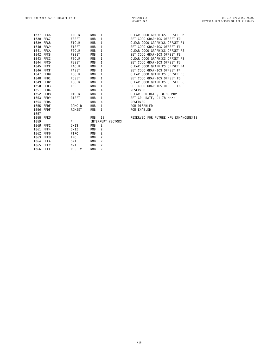|      | 1037 FFC6 | FØCLR         | <b>RMB</b> | 1                 | CLEAR COCO GRAPHICS OFFSET FØ        |
|------|-----------|---------------|------------|-------------------|--------------------------------------|
|      | 1038 FFC7 | FØSET         | <b>RMB</b> | 1                 | SET COCO GRAPHICS OFFSET FØ          |
|      | 1039 FFC8 | F1CLR         | <b>RMB</b> | $\mathbf{1}$      | CLEAR COCO GRAPHICS OFFSET F1        |
|      | 1040 FFC9 | F1SET         | <b>RMB</b> | $\mathbf{1}$      | SET COCO GRAPHICS OFFSET F1          |
|      | 1041 FFCA | F2CLR         | <b>RMB</b> | $\mathbf{1}$      | CLEAR COCO GRAPHICS OFFSET F2        |
|      | 1042 FFCB | F2SET         | <b>RMB</b> | $\mathbf{1}$      | SET COCO GRAPHICS OFFSET F2          |
|      | 1043 FFCC | F3CLR         | <b>RMB</b> | 1                 | CLEAR COCO GRAPHICS OFFSET F3        |
|      | 1044 FFCD | F3SET         | <b>RMB</b> | 1                 | SET COCO GRAPHICS OFFSET F3          |
|      | 1045 FFCE | F4CLR         | <b>RMB</b> | $\mathbf{1}$      | CLEAR COCO GRAPHICS OFFSET F4        |
|      | 1046 FFCF | F4SET         | <b>RMB</b> | 1                 | SET COCO GRAPHICS OFFSET F4          |
|      | 1047 FFD0 | F5CLR         | <b>RMB</b> | $\mathbf{1}$      | CLEAR COCO GRAPHICS OFFSET F5        |
|      | 1048 FFD1 | <b>F5SET</b>  | <b>RMB</b> | 1                 | SET COCO GRAPHICS OFFSET F5          |
|      | 1049 FFD2 | F6CLR         | <b>RMB</b> | 1                 | CLEAR COCO GRAPHICS OFFSET F6        |
|      | 1050 FFD3 | F6SET         | <b>RMB</b> | 1                 | SET COCO GRAPHICS OFFSET F6          |
|      | 1051 FFD4 |               | <b>RMB</b> | 4                 | RESERVED                             |
|      | 1052 FFD8 | R1CLR         | <b>RMB</b> | $\mathbf{1}$      | CLEAR CPU RATE, (Ø.89 MHz)           |
|      | 1053 FFD9 | R1SET         | <b>RMB</b> | 1                 | SET CPU RATE, (1.78 MHz)             |
|      | 1054 FFDA |               | <b>RMB</b> | $\overline{4}$    | RESERVED                             |
|      | 1055 FFDE | ROMCLR        | <b>RMB</b> | 1                 | ROM DISABLED                         |
|      | 1056 FFDF | ROMSET        | <b>RMB</b> | $\mathbf{1}$      | ROM ENABLED                          |
| 1057 |           |               |            |                   |                                      |
|      | 1058 FFE0 |               | <b>RMB</b> | 18                | RESERVED FOR FUTURE MPU ENHANCEMENTS |
| 1059 |           | $\star$       |            | INTERRUPT VECTORS |                                      |
|      | 1060 FFF2 | SWI3          | <b>RMB</b> | 2                 |                                      |
|      | 1061 FFF4 | SWI2          | <b>RMB</b> | 2                 |                                      |
|      | 1062 FFF6 | FIR0          | <b>RMB</b> | $\overline{c}$    |                                      |
|      | 1063 FFF8 | IRQ           | <b>RMB</b> | $\overline{c}$    |                                      |
|      | 1064 FFFA | SWI           | <b>RMB</b> | $\overline{c}$    |                                      |
|      | 1065 FFFC | NMI           | <b>RMB</b> | 2                 |                                      |
|      | 1066 FFFE | <b>RESETV</b> | <b>RMB</b> | $\overline{c}$    |                                      |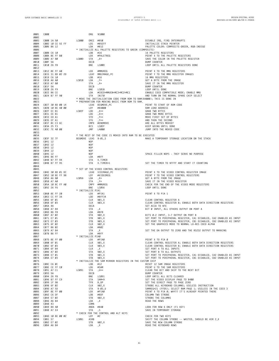| 0001<br>0002        | cooo                                 |              | ORG<br>\$C000                                                                                                              |                                                                                                                                            |
|---------------------|--------------------------------------|--------------|----------------------------------------------------------------------------------------------------------------------------|--------------------------------------------------------------------------------------------------------------------------------------------|
| 0003                | C000 1A 50                           | <b>LC000</b> | ORCC<br>#\$50                                                                                                              | DISABLE IRQ, FIRQ INTERRUPTS                                                                                                               |
| 0004<br>0005        | C002 10 CE 5E FF<br>C006 86 12       |              | LDS<br>#\$5EFF<br>LDA<br>#\$12                                                                                             | INITIALIZE STACK POINTER<br>PALETTE COLOR: COMPOSITE-GREEN, RGB-INDIGO                                                                     |
| 0006                |                                      |              | * INITIALIZE ALL PALETTE REGISTERS TO GREEN (COMPOSITE)                                                                    |                                                                                                                                            |
| 0007                | C008 C6 10                           |              | LDB<br>#16                                                                                                                 | 16 PALETTE REGISTERS                                                                                                                       |
| 0008<br>0009        | CØØA 8E FF BØ<br>CØØD A7 80          | LC00D        | LDX<br>#PALETREG<br>STA<br>, X+                                                                                            | POINT X TO THE PALETTE REGISTERS<br>SAVE THE COLOR IN THE PALETTE REGISTER                                                                 |
| 0010                | CØØF 5A                              |              | DECB                                                                                                                       | <b>BUMP COUNTER</b>                                                                                                                        |
| 0011<br>0012        | CØ10 26 FB                           |              | LCØØD<br>BNE                                                                                                               | LOOP UNTIL ALL PALETTE REGISTERS DONE                                                                                                      |
| 0013                | CØ12 8E FF AØ                        |              | LDX<br>#MMUREG                                                                                                             | POINT X TO THE MMU REGISTERS                                                                                                               |
| 0014                | CØ15 31 8D Ø2 2D                     |              | LEAY<br>MMUIMAGE,PC                                                                                                        | POINT Y TO THE MMU REGISTER IMAGES                                                                                                         |
| 0015<br>0016        | CØ19 C6 10<br>CØ1B A6 AØ             | LCØ1B        | LDB<br>#16<br>, Y+<br>LDA                                                                                                  | 16 MMU REGISTERS<br>GET A BYTE FROM THE IMAGE                                                                                              |
| 0017                | CØ1D A7 80                           |              | STA<br>, X+                                                                                                                | SAVE IT IN THE MMU REGISTER                                                                                                                |
| 0018<br>0019        | CØ1F 5A<br>CØ2Ø 26 F9                |              | DECB<br>BNE<br>LCØ1B                                                                                                       | BUMP COUNTER<br>LOOP UNTIL DONE                                                                                                            |
| 0020                | CØ22 86 CE                           |              | LDA<br>#COCO+MMUEN+MC3+MC2+MC1                                                                                             | ENABLE COCO COMPATIBLE MODE; ENABLE MMU                                                                                                    |
| 0021                | CØ24 B7 FF 90                        |              | STA<br>INITØ                                                                                                               | AND TURN ON THE NORMAL SPARE CHIP SELECT                                                                                                   |
| 0022<br>0023        |                                      |              | * MOVE THE INITIALIZATION CODE FROM ROM TO RAM(\$4000); THIS IS DONE IN<br>* PREPARATION FOR MOVING BASIC FROM ROM TO RAM. |                                                                                                                                            |
| 0024                | C027 30 8D 00 14                     |              | LEAX BEGMOVE, PC                                                                                                           | POINT TO START OF ROM CODE                                                                                                                 |
| 0025                | CØ2B 10 8E 40 00<br>CØ2F EC 81       | LCØ2F        | LDY<br>#\$4000<br>LDD                                                                                                      | RAM LOAD ADDRESS                                                                                                                           |
| 0026<br>0027        | CØ31 EE 81                           |              | $, X++$<br>LDU<br>, X++                                                                                                    | GRAB TWO BYTES<br>GRAB TWO MORE BYTES                                                                                                      |
| 0028                | CØ33 ED A1                           |              | STD<br>, Y++                                                                                                               | MOVE FIRST SET OF BYTES                                                                                                                    |
| 0029<br>0030        | CØ35 EF A1<br>CØ37 8C C3 6C          |              | STU<br>, Y++<br>CMPX #ENDMOVE                                                                                              | AND THEN THE SECOND<br>ARE ALL BYTES MOVED?                                                                                                |
| 0031                | CØ3A 25 F3                           |              | <b>BCS</b><br>LCØ2F                                                                                                        | KEEP GOING UNTIL DONE                                                                                                                      |
| 0032<br>0033        | CØ3C 7E 40 00                        |              | JMP<br>L4000                                                                                                               | JUMP INTO THE MOVED CODE                                                                                                                   |
| 0034                |                                      |              | * THE REST OF THE CODE IS MOVED INTO RAM TO BE EXECUTED                                                                    |                                                                                                                                            |
| 0035<br>0036        | CØ3F 32 7F<br>CØ41 12                |              | BEGMOVE LEAS \$-01,S<br>NOP                                                                                                | MAKE A TEMPORARY STORAGE LOCATION ON THE STACK                                                                                             |
| 0037                | CØ42 12                              |              | NOP                                                                                                                        |                                                                                                                                            |
| 0038                | CØ43 12                              |              | NOP                                                                                                                        |                                                                                                                                            |
| 0039<br>0040        | CØ44 12<br>CØ45 12                   |              | <b>NOP</b><br>NOP                                                                                                          | SPACE FILLER NOPS - THEY SERVE NO PURPOSE                                                                                                  |
| 0041                | CØ46 86 FF                           |              | #\$FF<br>LDA                                                                                                               |                                                                                                                                            |
| 0042<br>0043        | CØ48 B7 FF 94<br>CØ4B B7 FF 95       |              | STA<br>V.TIMER<br>STA<br>V.TIMER+1                                                                                         | SET THE TIMER TO \$FFFF AND START IT COUNTING                                                                                              |
| 0044                |                                      |              |                                                                                                                            |                                                                                                                                            |
| 0045                |                                      |              | * SET UP THE VIDEO CONTROL REGISTERS                                                                                       |                                                                                                                                            |
| 0046<br>0047        | CØ4E 30 8D 01 DC<br>CØ52 10 8E FF 98 |              | LEAX VIDIMAGE, PC<br>LDY<br>#VIDEOREG                                                                                      | POINT X TO THE VIDEO CONTROL REGISTER IMAGE<br>POINT Y TO THE VIDEO CONTROL REGISTERS                                                      |
| 0048                | C056 A6 80                           | LCØ56        | LDA<br>$, X +$                                                                                                             | GET A BYTE FROM THE IMAGE                                                                                                                  |
| 0049<br>0050        | C058 A7 A0<br>CØ5A 10 8C FF AØ       |              | STA<br>, Y+<br>CMPY #MMUREG                                                                                                | SAVE IT IN THE VIDEO REGISTER<br>CHECK FOR THE END OF THE VIDEO MODE REGISTERS                                                             |
| 0051                | CØ5E 26 F6                           |              | BNE<br>LC056                                                                                                               | LOOP UNTIL DONE                                                                                                                            |
| 0052                |                                      |              | * INITIALIZE PIA1                                                                                                          |                                                                                                                                            |
| 0053<br>0054        | C060 8E FF 20<br>CØ63 CC FF 34       |              | LDX<br>#PIA1<br>LDD<br>#\$FF34                                                                                             | POINT X TO PIA 1                                                                                                                           |
| 0055                | CØ66 6F Ø1                           |              | CLR<br>\$01,X                                                                                                              | CLEAR CONTROL REGISTER A                                                                                                                   |
| 0056<br>0057        | CØ68 6F 03<br>CØ6A 4A                |              | CLR<br>\$03,X<br>DECA                                                                                                      | CLEAR CONTROL REGISTER B; ENABLE BOTH DATA DIRECTION REGISTERS<br>SET ACCA TO \$FE                                                         |
| 0058                | CØ6B A7 84                           |              | STA<br>, X                                                                                                                 | BIT Ø INPUT, ALL OTHERS OUTPUT ON PORT A                                                                                                   |
| 0059                | CØ6D 86 F8                           |              | LDA<br>#\$F8                                                                                                               | BITS Ø-2 INPUT, 3-7 OUTPUT ON PORT B                                                                                                       |
| <b>0060</b><br>0061 | CØ6F A7 02<br>C071 E7 01             |              | STA<br>\$02,X<br>STB<br>\$01,X                                                                                             | SET PORT TO PERIPHERAL REGISTER, CA1 DISABLED, CA2 ENABLED AS INPUT                                                                        |
| 0062                | C073 E7 03                           |              | STB<br>\$03,X                                                                                                              | SET PORT TO PERIPHERAL REGISTER, CB1 DISABLED, CB2 ENABLED AS INPUT                                                                        |
| 0063<br>0064        | C075 6F 02<br>C077 86 02             |              | CLR<br>\$02,X<br>LDA<br>#\$02                                                                                              | SET THE GRAPHICS MODE TO NORMAL LO-RES COCO ALPHA                                                                                          |
| 0065                | CØ79 A7 84                           |              | <b>STA</b><br>, Х                                                                                                          | SET THE DA OUTPUT TO ZERO AND THE RS232 OUTPUT TO MARKING                                                                                  |
| 0066<br>0067        | CØ7B 86 FF                           |              | LDA<br>#\$FF<br>* INITIALIZE PIAØ                                                                                          |                                                                                                                                            |
| 0068                | C07D 8E FF 00                        |              | LDX<br>#PIAØ                                                                                                               | POINT X TO PIA Ø                                                                                                                           |
| 0069                | CØ8Ø 6F Ø1                           |              | <b>CLR</b><br>\$01,X                                                                                                       | CLEAR CONTROL REGISTER A; ENABLE BOTH DATA DIRECTION REGISTERS                                                                             |
| 0070<br>0071        | CØ82 6F Ø3<br>CØ84 6F 84             |              | <b>CLR</b><br>\$03, X<br>CLR<br>, X                                                                                        | CLEAR CONTROL REGISTER B; ENABLE BOTH DATA DIRECTION REGISTERS<br>SET PORT A TO ALL INPUTS                                                 |
| 0072                | C086 A7 02                           |              | <b>STA</b><br>\$02,X                                                                                                       | SET PORT B TO ALL OUTPUTS                                                                                                                  |
| 0073<br>0074        | C088 E7 01<br>CØ8A E7 Ø3             |              | STB<br>\$01, X<br><b>STB</b><br>\$03.X                                                                                     | SET PORT TO PERIPHERAL REGISTER, CA1 DISABLED, CA2 ENABLED AS INPUT<br>SET PORT TO PERIPHERAL REGISTER, CB1 DISABLED, CB2 ENABLED AS INPUT |
| 0075                |                                      |              | * INITIALIZE THE SAM MIRROR REGISTERS IN THE CUSTOM CHIP                                                                   |                                                                                                                                            |
| 0076                | CØ8C C6 ØC                           |              | LDB<br>#12                                                                                                                 | RESET 12 SAM IMAGE REGISTERS                                                                                                               |
| 0077<br>0078        | CØ8E CE FF CØ<br>CØ91 A7 C1          | LCØ91        | LDU<br>#SAM<br><b>STA</b><br>, U++                                                                                         | POINT U TO THE SAM REGISTERS<br>CLEAR THE BIT AND SKIP TO THE NEXT BIT                                                                     |
| 0079                | CØ93 5A                              |              | DECB                                                                                                                       | BUMP COUNTER                                                                                                                               |
| 0080<br>0081        | CØ94 26 FB<br>CØ96 B7 FF C9          |              | BNE<br>LC091<br>STA<br>SAM+9                                                                                               | LOOP UNTIL ALL BITS CLEARED<br>SET THE VIDEO DISPLAY PAGE TO \$400                                                                         |
| 0082                | CØ99 1F 9B                           |              | TFR<br>B, DP                                                                                                               | SET THE DIRECT PAGE TO PAGE ZERO                                                                                                           |
| 0083                | CØ9B 6F 02                           |              | \$02.X<br>CLR                                                                                                              | STROBE ALL KEYBOARD COLUMNS; USELESS INSTRUCTION                                                                                           |
| 0084<br>0085        | CØ9D A7 5D<br>CØ9F 8E FF ØØ          |              | $$ -03, U$<br>STA<br>LDX<br>#PIAØ                                                                                          | SAMREG+21 (FFD5); SELECT RAM PAGE 1; USELESS IN THE COCO 3<br>POINT X TO PIA Ø; WHY?? IT'S ALREADY POINTED THERE                           |
| 0086                | CØA2 C6 DF                           |              | LDB<br>#\$DF                                                                                                               | COLUMN TWO STROBE                                                                                                                          |
| 0087                | CØA4 E7 02                           |              | STB<br>\$02,X                                                                                                              | STROBE THE COLUMNS                                                                                                                         |
| 0088<br>0089        | CØA6 A6 84<br>CØA8 43                |              | LDA<br>, X<br>COMA                                                                                                         | READ THE ROWS                                                                                                                              |
| 0090                | CØA9 84 40                           |              | ANDA #\$40                                                                                                                 | LOOK FOR ROW 6 ONLY (F1 KEY)                                                                                                               |
| 0091<br>0092        | CØAB A7 E4                           |              | STA<br>. S<br>* CHECK FOR THE CONTROL AND ALT KEYS                                                                         | SAVE IN TEMPORARY STORAGE                                                                                                                  |
| 0093                | CØAD 10 8E 00 02                     |              | LDY<br>#2                                                                                                                  | CHECK FOR TWO KEYS                                                                                                                         |
| 0094<br>0095        | CØB1 57<br>CØB2 E7 02                | LCØB1        | ASRB<br>\$02,X<br>STB                                                                                                      | SHIFT THE COLUMN STROBE -- WASTED, SHOULD BE ASR 2, X<br>SAVE THE NEW COLUMN STROBE                                                        |
| 0096                | CØB4 A6 84                           |              | LDA<br>,Χ                                                                                                                  | READ THE KEYBOARD ROWS                                                                                                                     |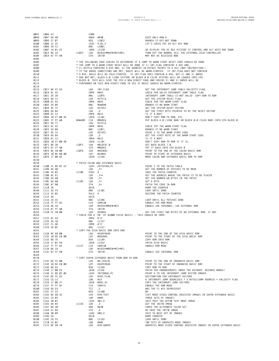| 0097<br>0098 | CØB6 43<br>CØB7 84 40                       |            | COMA          | ANDA #\$40                                                                        | KEEP ONLY ROW 6                                                                               |
|--------------|---------------------------------------------|------------|---------------|-----------------------------------------------------------------------------------|-----------------------------------------------------------------------------------------------|
| 0099         | CØB9 27 07                                  |            | BEQ           | LCØC2                                                                             | BRANCH IF KEY NOT DOWN                                                                        |
| 0100         | CØBB 31 3F                                  |            |               | $LEAY$ \$-01, Y                                                                   | LET'S CHECK FOT EH ALT KEY NOW                                                                |
| 0101         | CØBD 26 F2                                  |            | BNE           | LCØB1                                                                             |                                                                                               |
| 0102         | CØBF 16 Ø1 2E                               |            |               | LBRA LC1FØ                                                                        | GO DISPLAY THE HI-RES PICTURE IF CONTROL AND ALT KEYS ARE DOWN                                |
| 0103         | CØC2 86 CA                                  | LCØC2      | LDA           | #COCO+MMUEN+MC3+MC1                                                               | TURN OFF THE NORMAL SCS; THE EXTERNAL DISK CONTROLLER                                         |
| 0104         | CØC4 B7 FF 90                               |            | <b>STA</b>    | INITØ                                                                             | MAY NOT BE ACCESSED NOW                                                                       |
| 0105         |                                             |            |               |                                                                                   |                                                                                               |
| 0106         |                                             |            |               |                                                                                   | * THE FOLLOWING CODE CHECKS TO DETERMINE IF A JUMP TO WARM START RESET CODE SHOULD BE DONE.   |
| 0107         |                                             |            |               | * THE JUMP TO A WARM START RESET WILL BE DONE IF 1) INT.FLAG CONTAINS A \$55 AND, |                                                                                               |
| 0108         |                                             |            |               |                                                                                   | * 2) RSTFLG CONTAINS A \$55 AND, 3) THE ADDRESS IN RSTVEC POINTS TO A \$12 (NOP INSTRUCTION.) |
| 0109         |                                             |            |               |                                                                                   | * IF THE ABOVE CONDITIONS ARE MET, BASIC WILL BE WARM-STARTED. IF INT.FLAG DOES NOT CONTAIN   |
| 0110         |                                             |            |               |                                                                                   | * A \$55, BASIC WILL BE COLD-STARTED. IF INT.FLAG DOES CONTAIN A \$55, BUT 2) AND 3) ABOVE    |
| 0111         |                                             |            |               |                                                                                   | * ARE NOT MET, BLOCK 6.0 (128K SYSTEM) OR BLOCK 0.0 (512K SYSTEM) WILL BE LOADED INTO CPU     |
| 0112         |                                             |            |               |                                                                                   | * BLOCK Ø. THIS WILL GIVE THE CPU A NEW DIRECT PAGE AND CHECKS 2) AND 3) ABOVE WILL BE        |
| 0113         |                                             |            |               | * PERFORMED ON THIS NEW DIRECT PAGE TO SEE IF BASIC SHOULD BE WARM-STARTED.       |                                                                                               |
| 0114         |                                             |            |               |                                                                                   |                                                                                               |
| 0115         | CØC7 B6 FE ED                               |            | LDA           | INT.FLAG                                                                          | GET THE INTERRUPT JUMP TABLE VALIDITY FLAG.                                                   |
| 0116         | CØCA 81 55                                  |            |               | CMPA #\$55                                                                        | CHECK FOR VALID INTERRUPT JUMP TABLE FLAG                                                     |
| 0117         | CØCC 26 28                                  |            |               | BNE LCØF6                                                                         | INTERRUPT JUMP TABLE IS NOT VALID' COPY ROM TO RAM                                            |
| 0118         | CØCE 96 71                                  |            | LDA           | RSTFLG                                                                            | GET THE SYSTEM RESET FLAG                                                                     |
| 0119         | CØDØ 81 55                                  |            |               | CMPA #\$55                                                                        | CHECK FOR THE WARM START FLAG                                                                 |
| 0120         | CØD2 26 ØA                                  |            | BNE           | NOWARM                                                                            | BRANCH IF NO WARM START                                                                       |
| 0121         | CØD4 9E 72                                  |            | LDX           | RSTVEC                                                                            | GET THE SYSTEM RESET VECTOR                                                                   |
| 0122         | CØD6 A6 84                                  |            | LDA           | , X                                                                               | GET THE FIRST BYTE POINTED TO BY THE RESET VECTOR                                             |
| 0123         | CØD8 81 12                                  |            |               | CMPA #\$12                                                                        | IS IT A NOP?                                                                                  |
| 0124         | CØDA 10 27 00 AE                            |            |               | LBEQ LC18C                                                                        | DON'T COPY ROM TO RAM, ETC.                                                                   |
| 0125         | CØDE 7F FF AØ                               | NOWARM CLR |               | MMUREG                                                                            | PUT BLOCK 6.0 (128K RAM) OR BLOCK 0.0 (512K RAM) INTO CPU BLOCK 0                             |
| 0126         | CØE1 96 71                                  |            | LDA           | RSTFLG                                                                            |                                                                                               |
| 0127         | CØE3 81 55                                  |            |               | CMPA #\$55                                                                        | CHECK FOT THE WARM START FLAG                                                                 |
| 0128         | CØE5 26 ØA                                  |            | BNE           | LCØF1                                                                             | BRANCH IF NO WARM START                                                                       |
| 0129         | CØE7 9E 72                                  |            | LDX           | RSTVEC                                                                            | POINT X TO THE WARM START CODE                                                                |
| 0130         | CØE9 A6 84                                  |            | LDA           | ,Χ                                                                                | GET THE FIRST BYTE OF THE WARM START CODE                                                     |
| 0131         | CØEB 81 12                                  |            |               | CMPA #\$12                                                                        | IS IT A NOP?                                                                                  |
| 0132         | CØED 10 27 00 9B                            |            |               | LBEQ LC18C                                                                        | DON'T COPY ROM TO RAM IF IT IS.                                                               |
| 0133         | CØF1 86 38                                  | LCØF1      | LDA           | #BLOCK7.0                                                                         | GET BACK BLOCK 7.0                                                                            |
| 0134         | CØF3 B7 FF AØ                               |            | STA           | MMUREG                                                                            | PUT IT BACK INTO CPU BLOCK Ø                                                                  |
| 0135         | CØF6 8E CØ ØØ                               | LCØF6      | LDX           | #DOSBAS                                                                           | POINT TO THE END OF THE COLOR BASIC ROM                                                       |
| 0136         | CØF9 10 8E 80 00                            |            | LDY           | #EXBAS                                                                            | POINT TO START OF EXTENDED BASIC                                                              |
| 0137         | CØFD 17 00 AA                               |            |               | LBSR LC1AA                                                                        | MOVE COLOR AND EXTENDED BASIC ROM TO RAM                                                      |
| 0138         |                                             |            |               | * PATCH COLOR AND EXTENDED BASIC                                                  |                                                                                               |
| 0139         |                                             |            |               |                                                                                   |                                                                                               |
| 0140         | C100 31 8D 01 52                            |            |               | LEAY PATCHTAB, PC                                                                 | POINT Y TO THE PATCH TABLE                                                                    |
| 0141         | C104 A6 A0                                  |            | LDA           | , Y+                                                                              | GET THE NUMBER OF PATCHES TO BE MADE                                                          |
| 0142<br>0143 | C106 34 02<br>C108 AE A1                    | LC106      | PSHS A<br>LDX |                                                                                   | SAVE THE PATCH COUNTER<br>GET THE ADDRESS WHERE THE PATCH IS TO BE PLACED                     |
| 0144         | C10A E6 A0                                  |            | LDB           | , Y++                                                                             | GET THE NUMBER OB BYTES IN THE PATCH                                                          |
| 0145         | C10C A6 A0                                  | LC10C      | LDA           | , Y+<br>, Y+                                                                      | GET A BYTE                                                                                    |
| 0146         | C10E A7 80                                  |            | STA           |                                                                                   | PATCH THE CODE IN RAM                                                                         |
| 0147         | C110 5A                                     |            | DECB          | , X+                                                                              | BUMP THE COUNTER                                                                              |
| 0148         | C111 26 F9                                  |            | BNE           | LC10C                                                                             | LOOP UNTIL DONE                                                                               |
| 0149         | C113 35 02                                  |            | PULS A        |                                                                                   | RESTORE THE PATCH COUNTER                                                                     |
| 0150         | C115 4A                                     |            | DECA          |                                                                                   |                                                                                               |
| 0151         | C116 26 EE                                  |            | BNE           | LC106                                                                             | LOOP UNTIL ALL PATCHES DONE                                                                   |
| 0152         | C118 7F FF DE                               |            | CLR           | SAM+3Ø                                                                            | ENABLE THE ROM MODE                                                                           |
| 0153         | C11B 86 C8                                  |            | LDA           | #COCO+MMUEN+MC3                                                                   | ENABLE 16K INTERNAL, 16K EXTERNAL ROM                                                         |
| 0154         | C11D B7 FF 90                               |            | STA           | INITØ                                                                             |                                                                                               |
| 0155         | C120 FC C0 00                               |            | LDD           | DOSBAS                                                                            | GET THE FIRST TWO BYTES OF AN EXTERNAL ROM, IF ANY                                            |
| 0156         |                                             |            |               | * CHECK FOR A 'DK' AT \$C000 (DISK BASIC) - THIS SHOULD BE CMPD                   |                                                                                               |
| 0157         | C123 81 44                                  |            | CMPA #'D'     |                                                                                   |                                                                                               |
| 0158         | C125 26 10                                  |            | BNE           | LC137                                                                             |                                                                                               |
| 0159         | C127 C1 4B                                  |            | CMPB #'K'     |                                                                                   |                                                                                               |
| Ø16Ø         | C129 26 ØC                                  |            | BNE           | LC137                                                                             |                                                                                               |
| 0161         |                                             |            |               | * COPY THE DISK BASIC ROM INTO RAM                                                |                                                                                               |
| 0162         | C12B 8E EØ ØØ                               |            |               | LDX #SUPERVAR                                                                     | POINT TO THE END OF THE DISK BASIC ROM                                                        |
|              | 0163 C12E 10 8E C0 00                       |            | LDY           | #DOSBAS                                                                           | POINT TO THE START OF THE DISK BASIC ROM                                                      |
|              | Ø164 C132 8D 76                             |            |               | BSR LC1AA                                                                         | COPY ROM INTO RAM                                                                             |
|              | 0165 C134 17 01 EB                          |            |               | LBSR LC322                                                                        | PATCH DISK BASIC                                                                              |
|              | 0166 C137 7F FF DE                          | LC137      |               | CLR SAM+30                                                                        | ENABLE ROM MODE                                                                               |
|              | 0167 C13A 86 CA                             |            |               | LDA #COCO+MMUEN+MC3+MC1                                                           |                                                                                               |
|              | 0168 C13C B7 FF 90                          |            |               | STA INITØ                                                                         | ENABLE 32K INTERNAL ROM                                                                       |
| 0169         |                                             |            |               |                                                                                   |                                                                                               |
| 0170         |                                             |            |               | * COPY SUPER EXTENDED BASIC FROM ROM TO RAM                                       |                                                                                               |
|              | 0171 C13F 8E FE 00                          |            |               | LDX #H.CRSLOC                                                                     | POINT TO THE END OF ENHANCED BASIC ROM                                                        |
|              | 0172 C142 10 8E E0 00                       |            |               | LDY #SUPERVAR                                                                     | POINT TO THE START OF ENHANCED BASIC ROM                                                      |
|              | Ø173 C146 8D 62                             |            |               | BSR LC1AA<br>LBSR LC1DE                                                           | COPY ROM TO RAM<br>PATCH THE ENHANCEMENTS (MOVE THE AUTHORS' DECODED NAMES)                   |
|              | 0174 C148 17 00 93<br>0175 C14B 31 8D 02 0A |            |               | LEAY INTIMAGE, PC                                                                 | POINT X TO THE INTERRUPT JUMP VECTOR IMAGES                                                   |
|              | 0176 C14F 8E FE ED                          |            |               | LDX #INT.FLAG                                                                     | DESTINATION FOR INTERRUPT VECTORS                                                             |
|              | Ø177 C152 C6 13                             |            | LDB #19       |                                                                                   | 6 INTERRUPT JUMP ADDRESSES * 3 BYTES/JUMP ADDRESS + VALIDITY FLAG                             |
|              | 0178 C154 17 00 7F                          |            |               | LBSR MOVE.XY                                                                      | COPY THE INTERRUPT JUMP VECTORS                                                               |
|              | 0179 C157 7F FF DF                          |            |               | CLR SAM+31                                                                        | ENABLE THE RAM MODE                                                                           |
|              | Ø180 C15A 6D E4                             |            | TST , S       |                                                                                   | WAS THE F1 KEY DEPRESSED?                                                                     |
|              | Ø181 C15C 27 22                             |            |               | BEQ LC180                                                                         | NO                                                                                            |
|              |                                             |            |               | LDX #IM.TEXT                                                                      | TEXT MODE VIDEO CONTROL REGISTER IMAGES IN SUPER EXTENDED BASIC                               |
|              | 0182 C15E 8E E0 32<br>0183 C161 C6 03       |            |               | LDB #\$03                                                                         | THREE SETS OF IMAGES                                                                          |
|              | Ø184 C163 30 Ø1                             |            |               | LEAX \$01,X                                                                       | SKIP PAST THE \$FF90 TEXT MODE IMAGE                                                          |
|              | Ø185 C165 A6 84                             | LC165      | LDA , X       |                                                                                   | GET THE INITO IMAGE                                                                           |
|              | Ø186 C167 8A 2Ø                             |            |               | ORA #\$20                                                                         | FORCE THE ALTERNATE COLOR SET                                                                 |
|              | 0187 C169 A7 84                             |            | STA           | Χ.                                                                                | RE-SAVE THE INITØ IMAGE                                                                       |
|              | 0188 C16B 30 09                             |            |               | $LEAX$ \$09, X                                                                    | SKIP TO NEXT SET OF IMAGES                                                                    |
|              | Ø189 C16D 5A                                |            | DECB          |                                                                                   | BUMP COUNTER                                                                                  |
|              | 0190 C16E 26 F5                             |            |               | BNE LC165                                                                         | LOOP UNTIL DONE                                                                               |
|              | Ø191 C170 C6 Ø2                             |            |               | LDB #\$02                                                                         | TWO SETS OF GRAPHICS MODE IMAGES                                                              |
|              | 0192 C172 8E E0 70                          |            |               | LDX #IM.GRAPH                                                                     | GRAPHICS MODE VIDEO CONTROL REGISTER IMAGES IN SUPER EXTENDED BASIC                           |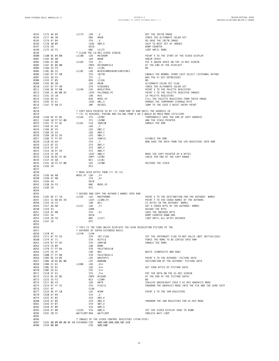| 0193<br>0194 | C175 A6 84<br>C177 8A 20                                                                  | LC175<br>LDA | , X<br>ORA #\$20                                                                                         | GET THE INITØ IMAGE<br>FORCE THE ALTERNATE COLOR SET                                                                                               |
|--------------|-------------------------------------------------------------------------------------------|--------------|----------------------------------------------------------------------------------------------------------|----------------------------------------------------------------------------------------------------------------------------------------------------|
| 0195         | C179 A7 84                                                                                |              | STA<br>, X                                                                                               | RE-SAVE THE INITØ IMAGE                                                                                                                            |
| 0196         | C17B 30 09                                                                                |              | LEAX \$09,X<br>DECB                                                                                      | SKIP TO NEXT SET OF IMAGES                                                                                                                         |
| 0197<br>0198 | C17D 5A<br>C17E 26 F5                                                                     |              |                                                                                                          | <b>BUMP COUNTER</b><br>LOOP UNTIL DONE                                                                                                             |
| 0199         |                                                                                           | LC180        | BNE<br>BNE LC175<br>* CLEAR THE LO-RES VIDEO SCREEN<br>1919 1924                                         |                                                                                                                                                    |
| 0200<br>0201 | C180 8E 04 00<br>C183 86 60                                                               | LDX          | #VIDRAM<br>LDA #\$60                                                                                     | POINT X TO THE START OF THE VIDEO DISPLAY<br>GREEN SPACE                                                                                           |
| 0202         | C185 A7 80                                                                                | LC185 STA    | , X+                                                                                                     | PUT A GREEN SPACE ON THE LO-RES SCREEN                                                                                                             |
| 0203<br>0204 |                                                                                           |              |                                                                                                          | AT THE END OF THE DISPLAY?<br>N <sub>0</sub>                                                                                                       |
| 0205         |                                                                                           |              | C18/ 8C 06 00<br>C18A 25 F9 BCS LC185<br>C18C 86 CE LC18C LC18C +COCO+MMUEN+MC3+MC2+MC1<br>C18E B7 FF 90 |                                                                                                                                                    |
| 0206<br>0207 | C18E B7 FF 90<br>C191 6D E4                                                               |              | STA INITØ<br>TST<br>, S                                                                                  | ENABLE THE NORMAL SPARE CHIP SELECT (EXTERNAL \$FF40)<br>WAS THE F1 KEY DEPRESSED?                                                                 |
| 0208         |                                                                                           |              |                                                                                                          | NO.                                                                                                                                                |
| 0209<br>0210 |                                                                                           |              |                                                                                                          | ALTERNATE COLOR SET FLAG<br>FORCE THE ALTERNATE COLOR SET                                                                                          |
| 0211         |                                                                                           |              |                                                                                                          | POINT X TO THE PALETTE REGISTERS                                                                                                                   |
| 0212<br>0213 | C19D 31 8D 00 95<br>C1A1 C6 10                                                            | LDB          | LEAY PALIMAGE, PC<br>#16                                                                                 | POINT Y TO THE PALETTE REGISTER IMAGES<br>16 PALETTE REGISTERS                                                                                     |
| 0214         | C1A3 8D 31                                                                                |              | BSR MOVE.XY                                                                                              | FILL THE PALETTE REGISTERS FROM THEIR IMAGE                                                                                                        |
| 0215<br>0216 | C1A5 32 61<br>C1A7 7E AØ 27                                                               |              | LEAS \$01,S<br>JMP<br>RESVEC                                                                             | REMOVE THE TEMPORARY STORAGE BYTE<br>JUMP TO THE COCO 2 RESET ENTRY POINT                                                                          |
| 0217         |                                                                                           |              |                                                                                                          |                                                                                                                                                    |
| 0218<br>0219 |                                                                                           |              |                                                                                                          | * COPY DATA POINTED TO BY (Y) FROM ROM TO RAM UNTIL THE ADDRESS IN<br>* (X) IS REACHED; PSHING AND PULING FROM U OR S WOULD BE MUCH MORE EFFICIENT |
| 0220         | C1AA BF 5F 02                                                                             | LC1AA        | STX L5FØ2                                                                                                | TEMPORARILY SAVE THE END OF COPY ADDRESS                                                                                                           |
| 0221<br>0222 | C1AD 10 FF 5F 00<br>C1B1 7F FF DE LC1B1 CLR SAM+30                                        |              | STS L5F00                                                                                                | AND THE STACK POINTER<br>ENABLE THE ROM                                                                                                            |
| 0223         | C1B4 EC A4                                                                                |              | LDD<br>, Y                                                                                               |                                                                                                                                                    |
| 0224<br>0225 | C1B6 AE 22<br>C1B8 EE 24                                                                  |              | LDX \$02,Y<br>LDU \$04, Y                                                                                |                                                                                                                                                    |
| 0226         | C1BA 10 EE 26                                                                             |              | LDS \$06, Y                                                                                              |                                                                                                                                                    |
| 0227<br>0228 | C1BD 7F FF DF<br>C1CG ED 14<br>C1CØ ED A4                                                 |              | CLR SAM+31<br>STD<br>, Y                                                                                 | DISABLE THE ROM<br>NOW SAVE THE DATA FROM THE CPU REGISTERS INTO ROM                                                                               |
| 0229         | C1C2 AF 22                                                                                |              | STX \$02, Y                                                                                              |                                                                                                                                                    |
| 0230<br>0231 | C1C4 EF 24                                                                                |              | STU<br>\$Ø4, Y<br>STS<br>\$06, Y                                                                         |                                                                                                                                                    |
| 0232         |                                                                                           |              | LEAY \$08,Y                                                                                              | MOVE THE COPY POINTER UP 8 BYTES                                                                                                                   |
| 0233<br>0234 | C1C4 EF 24<br>C1C6 10 EF 26<br>C1C9 31 28<br>C1CB 10 BC 5F 02<br>C1CF 25 E0<br>C1CF 25 EØ |              | CMPY L5F02<br>BCS<br>LC1B1                                                                               | CHECK FOR END OF THE COPY RANGE                                                                                                                    |
| 0235         | C1D1 10 FE 5F 00                                                                          |              | LDS<br>L5FØØ                                                                                             | RESTORE THE STACK                                                                                                                                  |
| 0236<br>0237 | C1D5 39                                                                                   |              | <b>RTS</b>                                                                                               |                                                                                                                                                    |
| 0238         |                                                                                           |              | * MOVE ACCB BYTES FROM (Y) TO (X)                                                                        |                                                                                                                                                    |
| 0239<br>0240 | C1D6 A6 A0<br>C1D8 A7 80                                                                  | MOVE.XY LDA  | , Y+<br>, X+<br>STA                                                                                      |                                                                                                                                                    |
| 0241         | C1DA 5A                                                                                   |              | DECB                                                                                                     |                                                                                                                                                    |
| 0242<br>0243 | C1DB 26 F9<br>C1DD 39                                                                     |              | BNE<br>MOVE.XY<br><b>RTS</b>                                                                             |                                                                                                                                                    |
| 0244         |                                                                                           |              |                                                                                                          |                                                                                                                                                    |
| 0245<br>0246 |                                                                                           |              | * DECODE AND COPY THE AUTHOR'S NAMES INTO RAM<br>C1DE 8E F7 1B LC1DE LDX #AUTHORMS<br>C1E1 31 9D 81 00   | POINT X TO THE DESTINATION FOR THE AUTHORS' NAMES                                                                                                  |
| 0247         | C1E1 31 8D 01 28                                                                          |              | LEAY LC30D,PC                                                                                            | POINT Y TO THE CODED NAMES OF THE AUTHORS                                                                                                          |
| 0248<br>0249 | C1E5 C6 15<br>C1E7 A6 A0                                                                  | LC1E7 LDA    | LDB #21<br>, Y+                                                                                          | 21 BYTES IN THE AUTHORS' NAMES<br>GET A CODED BYTE OF THE AUTHORS' NAMES                                                                           |
| 0250         | C1E9 43                                                                                   |              | COMA                                                                                                     | DECODE THE BYTE                                                                                                                                    |
| 0251<br>0252 | C1EA A7 80<br>C1EC 5A                                                                     |              | STA<br>, X+<br>DECB                                                                                      | SAVE THE UNCODED BYTE<br>BUMP COUNTER DOWN ONE.                                                                                                    |
| 0253         | C1ED 26 F8                                                                                |              | LC1E7<br>BNE                                                                                             | LOOP UNTIL ALL BYTES DECODED                                                                                                                       |
| 0254<br>0255 | C1EF 39                                                                                   |              | <b>RTS</b>                                                                                               |                                                                                                                                                    |
| 0256         |                                                                                           |              |                                                                                                          | * THIS IS THE CODE WHICH DISPLAYS THE HIGH RESOLUTION PICTURE OF THE                                                                               |
| 0257<br>0258 | C1FØ 4F                                                                                   | LC1FØ        | * AUTHORS OF SUPER EXTENDED BASIC<br>CLRA                                                                |                                                                                                                                                    |
|              | 0259 C1F1 B7 FE ED                                                                        |              | STA<br>INT.FLAG                                                                                          | SET THE INTERRUPT FLAG TO NOT VALID (NOT INITIALIZED)                                                                                              |
|              | 0260 C1F4 97 71<br>0261 C1F6 B7 FF DE                                                     |              | STA<br>RSTFLG<br>STA SAM+30                                                                              | FORCE THE ROMS TO BE COPIED INTO RAM<br><b>ENABLE THE ROMS</b>                                                                                     |
|              | 0262 C1F9 C6 09                                                                           |              | LDB<br>#\$09                                                                                             |                                                                                                                                                    |
| 0264         | 0263 C1FB F7 FF BA<br>C1FE C6 3F                                                          |              | STB<br>PALETREG+10<br>LDB<br>#63                                                                         | WHITE (COMPOSITE AND RGB)                                                                                                                          |
|              | 0265 C200 F7 FF BB                                                                        |              | STB<br>PALETREG+11                                                                                       |                                                                                                                                                    |
|              | 0266 C203 8E C4 05<br>C206 10 8E 0E 00                                                    |              | LDX #AUTHPIC<br>LDY #\$ØEØØ                                                                              | POINT X TO THE AUTHORS' PICTURE DATA<br>DESTINATION OF THE AUTHORS' PICTURE DATA                                                                   |
| 0267<br>0268 | C20A EC 81                                                                                | LC20A<br>LDD | , X++                                                                                                    |                                                                                                                                                    |
|              | 0269 C20C EE 81                                                                           |              | LDU<br>, X++                                                                                             | GET FOUR BYTES OF PICTURE DATA                                                                                                                     |
|              | 0270 C20E ED A1<br>0271 C210 EF A1                                                        |              | STD<br>, Y++<br>STU<br>$, Y++$                                                                           | PUT THE DATA ON THE HI-RES SCREEN                                                                                                                  |
| 0272         | C212 8C DC 05<br>0273 C215 25 F3                                                          |              | CMPX #LDCØ5<br>BCS<br>LC2ØA                                                                              | AT THE END OF THE PICTURE DATA?<br>N <sub>0</sub>                                                                                                  |
|              | 0274 C217 86 F9                                                                           |              | LDA #\$F9                                                                                                | 256x192 GREEN/BUFF COCO 2 HI-RES GRAPHICS MODE                                                                                                     |
|              | 0275 C219 B7 FF 22                                                                        |              | STA PIA1+2                                                                                               | PROGRAM THE GRAPHICS MODE INTO THE PIA AND THE GIME CHIP                                                                                           |
| 0277         | 0276 C21C4F<br>C21D 8E FF CØ                                                              |              | CLRA<br>LDX #SAM                                                                                         | POINT X TO THE SAM REGISTERS                                                                                                                       |
|              | 0278 C220 A7 84                                                                           |              | STA<br>, X                                                                                               |                                                                                                                                                    |
| 0280         | 0279 C222 A7 03<br>C224 A7 05                                                             |              | STA \$03, X<br>STA<br>\$05.X                                                                             | PROGRAM THE SAM REGISTERS FOR HI-RES MODE                                                                                                          |
| 0281         | C226 A7 07                                                                                |              | STA \$07, X                                                                                              |                                                                                                                                                    |
| 0282<br>0283 | C228 A7 09<br>C22A A7 ØB                                                                  | LC22A        | STA<br>\$09.X<br>STA<br>\$ØB,X                                                                           | SET THE VIDEO DISPLAY PAGE TO \$E00                                                                                                                |
| 0284         | C22C 20 FE                                                                                |              | WAITLOOP BRA WAITLOOP                                                                                    | ENDLESS WAIT LOOP                                                                                                                                  |
| 0285<br>0286 |                                                                                           |              | * IMAGES OF THE VIDEO CONTROL REGISTERS (FF98-FF9F)                                                      |                                                                                                                                                    |
|              | 0287    C22E 00 00 00 00 0F E0 VIDIMAGE FCB                                               |              | \$00,\$00,\$00,\$00,\$0F,\$E0<br>\$00,\$00<br>FCB                                                        |                                                                                                                                                    |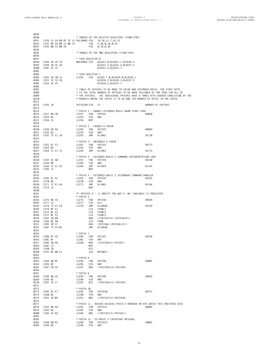| 0289                                  |                       |  |  |  |                                     |                   |                                                                    |                                                                                                                                                                 |
|---------------------------------------|-----------------------|--|--|--|-------------------------------------|-------------------|--------------------------------------------------------------------|-----------------------------------------------------------------------------------------------------------------------------------------------------------------|
| 0290<br>0291                          |                       |  |  |  | C236 12 24 0B 07 3F 1F PALIMAGE FCB |                   | * IMAGES OF THE PALETTE REGISTERS (FFBØ-FFBF)                      |                                                                                                                                                                 |
| 0292 C23C 09 26 00 12 00 3F           |                       |  |  |  |                                     | FCB               | 18, 36, 11, 7, 63, 31<br>9, 38, 0, 18, 0, 63                       |                                                                                                                                                                 |
| 0293                                  | C242 00 12 00 26      |  |  |  |                                     | FCB               | 0, 18, 0, 38                                                       |                                                                                                                                                                 |
| 0294<br>0295                          |                       |  |  |  |                                     |                   | * IMAGES OF THE MMU REGISTERS (FFAØ-FFAF)                          |                                                                                                                                                                 |
| 0296                                  |                       |  |  |  |                                     |                   |                                                                    |                                                                                                                                                                 |
| 0297<br>0298                          | C246 38 39 34         |  |  |  | * TASK REGISTER Ø<br>MMUIMAGE FCB   |                   | BLOCK7.0,BLOCK7.1,BLOCK6.4                                         |                                                                                                                                                                 |
| 0299                                  | C249 3B 3C 3D         |  |  |  |                                     |                   | BLOCK7.3, BLOCK7.4, BLOCK7.5                                       |                                                                                                                                                                 |
| 0300                                  | C24C 3E 3F            |  |  |  |                                     |                   | BLOCK7.6, BLOCK7.7                                                 |                                                                                                                                                                 |
| 0301<br>0302                          |                       |  |  |  | * TASK REGISTER 1                   |                   |                                                                    |                                                                                                                                                                 |
| 0303                                  | C24E 38 30 31         |  |  |  | LC24E FCB                           |                   | BLOCK 7.0,BLOCK6.0,BLOCK6.1                                        |                                                                                                                                                                 |
| 0304                                  | C251 32 33 3D         |  |  |  |                                     |                   | BLOCK6.2, BLOCK6.3, BLOCK7.5                                       |                                                                                                                                                                 |
| 0305<br>0306                          | C254 35 3F            |  |  |  |                                     |                   | BLOCK6.5, BLOCK7.7                                                 |                                                                                                                                                                 |
| 0307                                  |                       |  |  |  |                                     |                   |                                                                    | * TABLE OF PATCHES TO BE MADE TO COLOR AND EXTENDED BASIC. THE FIRST BYTE                                                                                       |
| 0308<br>0309                          |                       |  |  |  |                                     |                   |                                                                    | * IS THE TOTAL NUMBER OF PATCHES TO BE MADE FOLLOWED BY THE CODE FOR ALL OF<br>* THE PATCHES. THE INDIVIDUAL PATCHES HAVE A THREE BYTE HEADER CONSISTING OF THE |
| 0310                                  |                       |  |  |  |                                     |                   |                                                                    | * ADDRESS WHERE THE PATCH IS TO GO AND THE NUMBER OF BYTES IN THE PATCH.                                                                                        |
| 0311                                  |                       |  |  |  |                                     |                   |                                                                    |                                                                                                                                                                 |
| 0312<br>0313                          | C256 1B               |  |  |  | PATCHTAB FCB                        |                   | 27                                                                 | NUMBER OF PATCHES                                                                                                                                               |
| 0314                                  |                       |  |  |  |                                     |                   | * PATCH 1 - ENABLE EXTENDED BASIC WARM START CODE                  |                                                                                                                                                                 |
| 0315 C257 80 C0<br>0316 C259 01       |                       |  |  |  | LC257 FDB<br>LC259                  | FCB               | PATCH1<br>\$01                                                     | \$80CØ                                                                                                                                                          |
| 0317                                  | C25A 12               |  |  |  | LC25A                               | <b>NOP</b>        |                                                                    |                                                                                                                                                                 |
| 0318                                  |                       |  |  |  |                                     |                   |                                                                    |                                                                                                                                                                 |
| 0319<br>0320                          | C25B B8 D4            |  |  |  | LC25B FDB                           |                   | * PATCH 2 - CRUNCH A TOKEN<br>PATCH2                               | \$B8D4                                                                                                                                                          |
| 0321                                  | C25D 03               |  |  |  | LC25D                               | FCB               | \$03                                                               |                                                                                                                                                                 |
| 0322<br>0323                          | C25E 7E E1 38         |  |  |  | LC25E                               | JMP               | ALINK2                                                             | \$E138                                                                                                                                                          |
| 0324                                  |                       |  |  |  |                                     |                   | * PATCH 3 - UNCRUNCH A TOKEN                                       |                                                                                                                                                                 |
| 0325                                  | C261 B7 F3            |  |  |  | LC261                               | FDB               | PATCH3                                                             | \$B7F3                                                                                                                                                          |
| 0326 C263 03<br>0327                  | C264 7E E1 72         |  |  |  | LC263<br>LC264                      | FCB<br>JMP        | \$03<br>ALINK3                                                     | \$E172                                                                                                                                                          |
| 0328                                  |                       |  |  |  |                                     |                   |                                                                    |                                                                                                                                                                 |
| 0329<br>0330                          | C267 81 50            |  |  |  | LC267 FDB                           |                   | * PATCH 4 - EXTENDED BASIC'S COMMAND INTERPRETATION LOOP<br>PATCH4 | \$8150                                                                                                                                                          |
| Ø331 C269 Ø4                          |                       |  |  |  | LC269                               | FCB               | \$04                                                               |                                                                                                                                                                 |
| 0332 C26A 7E E1 92                    |                       |  |  |  | LC26A                               | JMP               | ALINK4                                                             | \$E192                                                                                                                                                          |
| 0333<br>0334                          | C26D 12               |  |  |  |                                     | NOP               |                                                                    |                                                                                                                                                                 |
| 0335                                  |                       |  |  |  |                                     |                   | * PATCH 5 - EXTENDED BASIC'S SECONDARY COMMAND HANDLER             |                                                                                                                                                                 |
| 0336<br>0337                          | C26E 81 6C<br>C270 04 |  |  |  | LC26E FDB<br>LC270                  | FCB               | PATCH5<br>\$04                                                     | \$816C                                                                                                                                                          |
| 0338                                  | C271 7E E1 A6         |  |  |  | LC271                               | JMP               | ALINK5                                                             | \$E1A6                                                                                                                                                          |
| 0339<br>0340                          | C274 12               |  |  |  |                                     | NOP               |                                                                    |                                                                                                                                                                 |
| 0341                                  |                       |  |  |  |                                     |                   | ** PATCHES 6 - 11 MODIFY THE WAY A '&H' VARIABLE IS PROCESSED      |                                                                                                                                                                 |
| 0342<br>0343                          | C275 88 34            |  |  |  | * PATCH 6<br>LC275                  | FDB               | PATCH6                                                             | \$8834                                                                                                                                                          |
| 0344 C277 12                          |                       |  |  |  | LC277                               | FCB               | \$12                                                               |                                                                                                                                                                 |
| 0345 C278 7E E3 F8<br>0346 C27B 0F 51 |                       |  |  |  | LC278                               | JMP               | ALINK6A                                                            | \$E3F8                                                                                                                                                          |
| 0347                                  | C27D ØF 52            |  |  |  |                                     | CLR<br>CLR        | FPAØ+1<br>FPAØ+2                                                   |                                                                                                                                                                 |
| 0348 C27F 0F 53                       |                       |  |  |  |                                     | CLR               | FPAØ+3                                                             |                                                                                                                                                                 |
| 0349 C281 20 B0<br>0350 C283 0F 50    |                       |  |  |  |                                     | BRA<br>CLR        | ((PATCH7+4)-(PATCH6+9))<br>FPAØ                                    |                                                                                                                                                                 |
| 0351                                  | C285 20 CF            |  |  |  |                                     | BRA               | (PATCH6A-(PATCH6+13))                                              |                                                                                                                                                                 |
| 0352                                  | C287 7E E4 ØC         |  |  |  |                                     | JMP               | ALINK6B                                                            |                                                                                                                                                                 |
| 0353<br>0354                          |                       |  |  |  | * PATCH 7                           |                   |                                                                    |                                                                                                                                                                 |
| 0355                                  | C28A 87 EB            |  |  |  | LC28A FDB PATCH7                    |                   |                                                                    | \$87EB                                                                                                                                                          |
| 0356 C28C 07<br>0357 C28D 20 4A       |                       |  |  |  | LC28C<br>LC28D                      | FCB<br>BRA        | \$07<br>((PATCH6+3)-PATCH7)                                        |                                                                                                                                                                 |
| 0358 C28F 12                          |                       |  |  |  |                                     | NOP               |                                                                    |                                                                                                                                                                 |
| Ø359 C290 39<br>0360                  | C291 8E 00 51         |  |  |  |                                     | <b>RTS</b><br>LDX | #FPAØ+1                                                            |                                                                                                                                                                 |
| 0361                                  |                       |  |  |  |                                     |                   |                                                                    |                                                                                                                                                                 |
| 0362                                  |                       |  |  |  | * PATCH 8                           |                   |                                                                    |                                                                                                                                                                 |
| 0363 C294 88 0C<br>0364 C296 02       |                       |  |  |  | LC294 FDB<br>LC296                  | FCB               | PATCH8<br>\$02                                                     | \$880C                                                                                                                                                          |
| Ø365 C297 20 35                       |                       |  |  |  | LC297                               |                   | BRA ((PATCH6+15)-PATCH8)                                           |                                                                                                                                                                 |
| 0366                                  |                       |  |  |  | * PATCH 9                           |                   |                                                                    |                                                                                                                                                                 |
| 0367<br>Ø368 C299 88 26               |                       |  |  |  | LC299 FDB PATCH9                    |                   |                                                                    | \$8826                                                                                                                                                          |
| 0369 C29B 02                          |                       |  |  |  | LC29B FCB \$02                      |                   |                                                                    |                                                                                                                                                                 |
| 0370 C29C 25 17<br>0371               |                       |  |  |  | LC29C                               |                   | BCS ((PATCH6+11)-PATCH9)                                           |                                                                                                                                                                 |
| 0372                                  |                       |  |  |  | * PATCH 10                          |                   |                                                                    |                                                                                                                                                                 |
| 0373 C29E 87 E7                       |                       |  |  |  | LC29E FDB PATCH10                   |                   |                                                                    | \$87E7                                                                                                                                                          |
| 0374 C2A0 02<br>0375 C2A1 26 05       |                       |  |  |  | LC2AØ FCB \$02<br>LC2A1             |                   | BNE ((PATCH7+3)-PATCH1Ø)                                           |                                                                                                                                                                 |
| 0376                                  |                       |  |  |  |                                     |                   |                                                                    |                                                                                                                                                                 |
| 0377<br>0378 C2A3 88 6A               |                       |  |  |  | LC2A3 FDB PATCH11                   |                   |                                                                    | * PATCH 11 - NEEDED BECAUSE PATCH 5 REMOVED AN RTS WHICH THIS ROUTINED USED<br>\$886A                                                                           |
| 0379 C2A5 02                          |                       |  |  |  | LC2A5 FCB \$02                      |                   |                                                                    |                                                                                                                                                                 |
| 0380<br>0381                          | C2A6 26 82            |  |  |  |                                     |                   | LC2A6 BNE ((PATCH7+3)-PATCH11)                                     |                                                                                                                                                                 |
| 0382                                  |                       |  |  |  |                                     |                   | * PATCH 12 - EX BASIC'S COPYRIGHT MESSAGE                          |                                                                                                                                                                 |
| 0383 C2A8 80 B2                       |                       |  |  |  | LC2A8 FDB                           |                   | PATCH12                                                            | \$80B2                                                                                                                                                          |
| 0384 C2AA 03                          |                       |  |  |  | LC2AA FCB \$03                      |                   |                                                                    |                                                                                                                                                                 |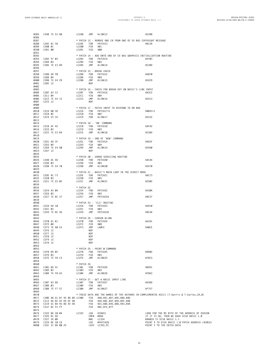| 0385                                         |                                                                                |  | C2AB 7E E2 88 LC2AB                                                              |                                       |                                | JMP ALINK12                                                                                                                                                                        |                                                                                                                                                                                                                                                                                | \$E288                                                                                                                                                                                                 |
|----------------------------------------------|--------------------------------------------------------------------------------|--|----------------------------------------------------------------------------------|---------------------------------------|--------------------------------|------------------------------------------------------------------------------------------------------------------------------------------------------------------------------------|--------------------------------------------------------------------------------------------------------------------------------------------------------------------------------------------------------------------------------------------------------------------------------|--------------------------------------------------------------------------------------------------------------------------------------------------------------------------------------------------------|
| 0386                                         |                                                                                |  |                                                                                  |                                       |                                |                                                                                                                                                                                    |                                                                                                                                                                                                                                                                                |                                                                                                                                                                                                        |
|                                              |                                                                                |  |                                                                                  |                                       |                                |                                                                                                                                                                                    |                                                                                                                                                                                                                                                                                |                                                                                                                                                                                                        |
|                                              |                                                                                |  |                                                                                  |                                       |                                |                                                                                                                                                                                    | 9397<br>9398 C2B8 AD FØ<br>9399 C2B8 AD FØ<br>9499 C2B8 2E E4 29 LC2B8 FDB PATCH15<br>9490 C2BB 7E E4 29 LC2BB JMP ALINK15<br>9491 C2BE 12<br>9492 NOP<br>9492                                                                                                                 |                                                                                                                                                                                                        |
|                                              |                                                                                |  |                                                                                  |                                       |                                |                                                                                                                                                                                    | 9402<br>9483<br>9484 C2BF A3 C2<br>9484 C2BF A3 C2<br>9486 C2C1 04<br>9486 C2C1 04<br>9486 C2C2 7E E4 13<br>9487 C2C5 12<br>9487 C2C5 12<br>9488<br>9488<br>9488<br>9488<br>9488<br>9488<br>9488<br>9488<br>9488<br>9488<br>9488<br>9488<br>9488<br>9488<br>9488<br>9488<br>94 |                                                                                                                                                                                                        |
| 0413                                         |                                                                                |  |                                                                                  |                                       |                                |                                                                                                                                                                                    |                                                                                                                                                                                                                                                                                | \$B03C+1<br>\$E532                                                                                                                                                                                     |
|                                              |                                                                                |  |                                                                                  |                                       |                                |                                                                                                                                                                                    | * PATCH 18 - 'ON' COMMAND<br>0415 C2CB AF 42 LC2CB FDB PATCH18<br>0416 C2CD 03 LC2CD FCB \$03<br>0417 C2CE 7E E3 B4 LC2CE JMP ALINK18 \$E3B4<br>0418 0417                                                                                                                      |                                                                                                                                                                                                        |
| 0418                                         |                                                                                |  |                                                                                  |                                       |                                |                                                                                                                                                                                    |                                                                                                                                                                                                                                                                                |                                                                                                                                                                                                        |
|                                              |                                                                                |  |                                                                                  |                                       |                                |                                                                                                                                                                                    |                                                                                                                                                                                                                                                                                | \$AC46<br>\$E470                                                                                                                                                                                       |
|                                              |                                                                                |  |                                                                                  |                                       |                                |                                                                                                                                                                                    |                                                                                                                                                                                                                                                                                | \$AC73<br>\$E502                                                                                                                                                                                       |
|                                              |                                                                                |  |                                                                                  |                                       |                                | JMP PATCH22A                                                                                                                                                                       |                                                                                                                                                                                                                                                                                | \$A30A<br>\$8C37                                                                                                                                                                                       |
| 0439                                         |                                                                                |  |                                                                                  |                                       |                                |                                                                                                                                                                                    |                                                                                                                                                                                                                                                                                | \$A910<br>\$8C46                                                                                                                                                                                       |
|                                              |                                                                                |  |                                                                                  |                                       |                                | 0445<br>0446 C2F0 A1 B1<br>0446 C2F0 A1 B1<br>0447 C2F2 08 LC2F0 FDB PATCH24<br>0449 C2F3 7E A0 CE<br>0450 C2F6 12<br>0450 C2F7 12<br>0455 C2F8 12<br>0455 C2F8 12<br>0455 C2F8 12 |                                                                                                                                                                                                                                                                                | \$A1B1                                                                                                                                                                                                 |
| 0452<br>0453                                 | C2F9 12<br>C2FA 12                                                             |  |                                                                                  |                                       | <b>NOP</b><br>N <sub>O</sub> P |                                                                                                                                                                                    |                                                                                                                                                                                                                                                                                | \$AØCE                                                                                                                                                                                                 |
| 0454<br>0455<br>0456<br>0457<br>0458<br>0459 | C2FB B9 02<br>C2FD 03<br>C2FE 7E F8 C3                                         |  |                                                                                  | LC2FB<br>LC2FD<br>LC2FE               | FDB<br>FCB<br>JMP              | * PATCH 25 - PRINT @ COMMAND<br>PATCH25<br>\$03<br>ALINK25                                                                                                                         |                                                                                                                                                                                                                                                                                | \$B902<br>\$F8C3                                                                                                                                                                                       |
| 0460<br>0461<br>0462<br>0463                 | C301 B9 5C<br>C303 03<br>C304 7E F8 A3                                         |  |                                                                                  | * PATCH 26<br>LC301<br>LC303<br>LC304 | FDB<br>FCB<br>JMP              | PATCH26<br>\$03<br>ALINK26                                                                                                                                                         |                                                                                                                                                                                                                                                                                | \$B95C<br>\$F8A3                                                                                                                                                                                       |
| 0464<br>0465<br>0466<br>0467<br>0468         | C307 A3 8D<br>C309 03<br>C3ØA 7E F7 57                                         |  |                                                                                  | LC307<br>LC309<br>LC3ØA               | FDB<br>FCB<br>JMP              | * PATCH 27 - GET A BASIC INPUT LINE<br>PATCH27<br>\$03<br>ALINK27                                                                                                                  |                                                                                                                                                                                                                                                                                | \$A38D<br>\$F757                                                                                                                                                                                       |
| 0469<br>0470<br>0471<br>0472<br>0473<br>0474 | C31F 8C F2 FF                                                                  |  | C30D AB D1 B7 9E 8D 8D LC30D<br>C313 96 8C DF D9 DF AB<br>C319 D1 BA 9E 8D 93 9A |                                       | FCB<br>FCB<br>FCB<br>FCB       | \$AB, \$D1, \$B7, \$9E, \$8D, \$8D<br>\$96, \$8C, \$DF, \$D9, \$DF, \$AB<br>\$D1, \$BA, \$9E, \$8D, \$93, \$9A<br>\$8C, \$F2, \$FF                                                 |                                                                                                                                                                                                                                                                                | * THESE DATA ARE THE NAMES OF THE AUTHORS IN COMPLEMENTED ASCII (T.Harris & T.Earles,CR,Ø)                                                                                                             |
| 0475<br>0476<br>0477<br>0478<br>0479<br>0480 | C322 B6 C0 04<br>C325 81 D6<br>C327 26 ØB<br>C329 8E CØ C6<br>C32C 31 8D 00 25 |  |                                                                                  | LC322                                 | LDA<br>BNE<br>LDX              | DCNVEC<br>CMPA #\$D6<br>LC334<br>#PATCH28<br>LEAY LC355, PC                                                                                                                        |                                                                                                                                                                                                                                                                                | LOOK FOR THE MS BYTE OF THE ADDRESS OF DSKCON<br>IF IT IS D6, THEN WE HAVE DISK BASIC 1.0<br>BRANCH IF DISK BASIC 1.1<br>POINT X TO DISK BASIC 1.0 PATCH ADDRESS (\$C0C6)<br>POINT Y TO THE PATCH DATA |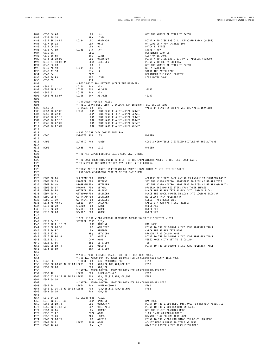**C334 8E C8 B4 LC334 LDX #PATCH30 POINT X TO DISK BASIC 1.1 KEYBOARD PATCH (\$C8B4) C337 86 12 LDA #\$12 OP CODE OF A NOP INSTRUCTION C339 C6 0B LDB #11 PATCH 11 BYTES C33B A7 80 LC33B STA ,X+ STORE A NOP C33D 5A DECB DECREMENT COUNTER C33E 26 FB BNE LC33B LOOP UNTIL DONE C340 8E C0 D9 LDX #PATCH29 POINT X TO DISK BASIC 1.1 PATCH ADDRESS (\$C0D9) C343 31 8D 00 0A LEAY LC351,PC POINT Y TO THE PATCH DATA C347 E6 A0 LDB ,Y+ GET THE NUMBER OF BYTES TO PATCH C349 A6 A0 LC349 LDA ,Y+ GET A PATCH BYTE C34B A7 80 STA ,X+ STORE THE PATCH BYTE C34D 5A DECB DECREMENT THE PATCH COUNTER C34E 26 F9 BNE LC349 LOOP UNTIL DONE C350 39 RTS \* DISK BASIC ROM PATCHES (COPYRIGHT MESSAGE) C351 03 LC351 FCB \$03 C352 7E E2 9D LC352 JMP ALINK29 \$E29D C355 03 LC355 FCB \$03 C356 7E E2 97 LC356 JMP ALINK28 \$E297 \* INTERRUPT VECTOR IMAGES \* THESE LBRAs WILL LINK TO BASIC'S RAM INTERRUPT VECTORS AT \$100 C359 55 INTIMAGE FCB \$55 VALIDITY FLAG (INTERRUPT VECTORS VALID/INVALID) C35A 16 02 0F LC35A LBRA (INTIMAGE+1)-(INT.JUMP)+SW3VEC C35D 16 02 0F LBRA (INTIMAGE+1)-(INT.JUMP)+SW2VEC 0508 C360 16 02 18 LBRA (INTIMAGE+1)-(INT.JUMP)+FRQVEC C363 16 02 12 LBRA (INTIMAGE+1)-(INT.JUMP)+IRQVEC C366 16 02 09 LBRA (INTIMAGE+1)-(INT.JUMP)+SWIVEC C369 16 02 09 LBRA (INTIMAGE+1)-(INT.JUMP)+NMIVEC \* END OF THE DATA COPIED INTO RAM C36C ENDMOVE RMB 153 UNUSED C405 AUTHPIC RMB \$1800 COCO 2 COMPATIBLE DIGITIZED PICTURE OF THE AUTHORS DC05 LDC05 RMB 1019 UNUSED \* THE NEW SUPER EXTENDED BASIC CODE STARTS HERE \* THE CODE FROM THIS POINT TO \$FDFF IS THE ENHANCEMENTS ADDED TO THE 'OLD' COCO BASIC \* TO SUPPORT THE NEW FEATURES AVAILABLE IN THE COCO 3. \* THESE ARE THE ONLY 'SANCTIONED BY TANDY' LEGAL ENTRY POINTS INTO THE SUPER \* EXTENDED (ENHANCED) PORTION OF THE BASIC ROM E000 00 E6 SUPERVAR FDB HRMODE ADDRESS OF DIRECT PAGE VARIABLES UNIQUE TO ENHANCED BASIC E002 E0 19 PRGTEXT FDB SETTEXT SET THE VIDEO CONTROL REGISTERS TO DISPLAY HI-RES TEXT 0530 E004 E0 4D PRGGRAPH FDB SETGRAPH SET THE VIDEO CONTROL REGISTERS TO DISPLAY HI-RES GRAPHICS E006 E0 97 PRGMMU FDB SETMMU PROGRAM THE MMU REGISTERS FROM THEIR IMAGES 0532 E008 E0 B5 GETTEXT FDB SELTEXT PLACE THE HI-RES TEXT SCREEN INTO LOGICAL BLOCK 1 E00A E0 A1 GETBLOK0 FDB SELBLOK0 PLACE THE BLOCK NUMBER IN ACCB INTO LOGICAL BLOCK 0 E00C E0 FF GETTASK0 FDB SELTASK0 RE-SELECT TASK REGISTER 0 E00E E1 19 GETTASK1 FDB SELTASK1 SELECT TASK REGISTER 1 E010 7E A0 5E LE010 JMP EXECCART EXECUTE A ROM CARTRIDGE (\$A05E) E013 00 00 SPARE0 FDB \$0000 UNDEFINED E015 00 00 SPARE1 FDB \$0000 UNDEFINED E017 00 00 SPARE2 FDB \$0000 UNDEFINED \* SET UP THE VIDEO CONTROL REGISTERS ACCORDING TO THE SELECTED WIDTH E019 34 32 SETTEXT PSHS Y,X,A E01B 10 21 1F E1 LBRN RAMLINK RAM HOOK E01F 8E E0 32 LDX #IM.TEXT POINT TO THE 32 COLUMN VIDEO MODE REGISTER TABLE E022 96 E7 LDA HRWIDTH CHECK THE HI-RES TEXT MODE E024 27 5C BEQ SETVIDEO BRANCH IF 32 COLUMN MODE E026 8E E0 3B LDX #LE03B POINT TO THE 40 COLUMN VIDEO MODE REGISTER TABLE 0548 E029 81 01 CMPA #\$01 VIDEO MODE WIDTH SET TO 40 COLUMN? E02B 27 55 BEQ SETVIDEO YES E02D 8E E0 44 LDX #LE044 POINT TO THE 80 COLUMN VIDEO MODE REGISTER TABLE E030 20 50 BRA SETVIDEO \* VIDEO MODE REGISTER IMAGES FOR THE HI-RES TEXT MODES 0554 \* INITIAL VIDEO CONTROL REGISTER DATA FOR 32 COLUMN COCO COMPATIBLE MODE E032 CC IM.TEXT FCB COCO+MMUEN+MC3+MC2 FF90 E033 00 00 00 00 0F E0 LE033 FCB \$00,\$00,\$00,\$00,\$0F,\$E0 FF98 E039 00 00 FCB \$00,\$00 \* INITIAL VIDEO CONTROL REGISTER DATA FOR 40 COLUMN HI-RES MODE E03B 4C LE03B FCB MMUEN+MC3+MC2 FF90 E03C 03 05 12 00 00 D8 LE03C FCB \$03,\$05,\$12,\$00,\$00,\$D8 FF98 E042 00 00 FCB \$00,\$00 \* INITIAL VIDEO CONTROL REGISTER DATA FOR 80 COLUMN HI-RES MODE E044 4C LE044 FCB MMUEN+MC3+MC2 FF90 E045 03 15 12 00 00 D8 LE045 FCB \$03,\$15,\$12,\$00,\$00,\$D8 FF98 E04B 00 00 FCB \$00,\$00 E04D 34 32 SETGRAPH PSHS Y,X,A E04F 10 21 1F AD LBRN RAMLINK RAM HOOK E053 8E E0 70 LDX #IM.GRAPH POINT TO THE VIDEO MODE RAM IMAGE FOR HSCREEN MODES 1,2 0570 E056 10 8E E0 6C LDY #RESTABLE POINT TO THE VIDEO RESOLUTION TABLE E05A 96 E6 LDA HRMODE GET THE HI-RES GRAPHICS MODE E05C 81 02 CMPA #\$02 1 OR 2 ARE 40 COLUMN MODES E05E 23 03 BLS LE063 BRANCH IF 40 COLUMN TEXT MODE 0574 E060 8E E0 79 LDX #LE079 POINT TO THE VIDEO RAM IMAGE FOR 80 COLUMN MODE E063 80 01 LE063 SUBA #\$01 ADJUST MODE NUMBERS TO START AT ZERO E065 A6 A6 LDA A,Y GRAB THE PROPER VIDEO RESOLUTION MODE**

**B6**

**C332 20 15 BRA LC349**

**C330 E6 A0 LDB ,Y+ GET THE NUMBER OF BYTES TO PATCH**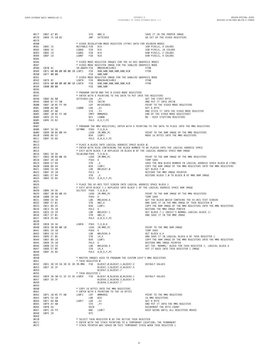**E067 A7 02 STA \$02,X SAVE IT IN THE PROPER IMAGE E069 7E E0 82 JMP SETVIDEO GO SET UP THE VIDEO REGISTERS \* VIDEO RESOLUTION MODE REGISTER (FF99) DATA FOR HSCREEN MODES E06C 15 RESTABLE FCB \$15 320 PIXELS, 4 COLORS 0582 E06D 1E LE06D FCB \$1E 320 PIXELS, 16 COLORS E06E 14 LE06E FCB \$14 640 PIXELS, 2 COLORS 0584 E06F 1D LE06F FCB \$1D 640 PIXELS, 4 COLORS \* VIDEO MODE REGISTER IMAGES FOR THE HI-RES GRAPHICS MODES \*** VIDEO MODE REGISTER IMAGE FOR THE 320x192 GRAPHICS MODE<br>0587 **\*** VIDEO MODE REGISTER IMAGE FOR THE 320x192 GRAPHICS MODE<br>0588 F070 4C **IM GRAPH FCR** MMILFN+MC3+MC2 **E070 4C IM.GRAPH FCB MMUEN+MC3+MC2 FF90 E071 80 00 00 00 00 C0 LE071 FCB \$80,\$00,\$00,\$00,\$00,\$C0 FF98 E077 00 00 FCB \$00,\$00 \* VIDEO MODE REGISTER IMAGE FOR THE 640x192 GRAPHICS MODE E079 4C LE079 FCB MMUEN+MC3+MC2 FF90 E07A 80 00 00 00 00 C0 LE07A FCB \$80,\$00,\$00,\$00,\$00,\$C0 FF98 E080 00 00 FCB \$00,\$00 \* PROGRAM INIT0 AND THE 8 VIDEO MODE REGISTERS \* ENTER WITH X POINTING TO THE DATA TO PUT INTO THE REGISTERS E082 A6 80 SETVIDEO LDA ,X+ GET THE FIRST BYTE 0599 E084 B7 FF 90 STA INIT0 AND PUT IT INTO INIT0 E087 10 8E FF 98 LDY #VIDEOREG POINT TO THE VIDEO MODE REGISTERS E08B A6 80 LE08B LDA ,X+ GET A BYTE E08D A7 A0 STA ,Y+ AND STICK IT INTO THE VIDEO MODE REGISTER E08F 10 8C FF A0 CMPY #MMUREG END OF THE VIDEO MODE REGISTERS? E093 25 F6 BCS LE08B NO - KEEP STUFFING REGISTERS E095 35 B2 PULS A,X,Y,PC \* PROGRAM THE MMU REGISTERS; ENTER WITH X POINTING TO THE DATA TO PLACE INTO THE MMU REGISTERS E097 34 36 SETMMU PSHS Y,X,B,A E099 30 8D 00 44 LEAX IM.MMU,PC POINT TO THE RAM IMAGE OF THE MMU REGISTERS E09D 8D 52 BSR LE0F1 MOVE 16 BYTES INTO THE MMU REGISTERS E09F 35 B6 PULS A,B,X,Y,PC \* PLACE A BLOCK INTO LOGICAL ADDRESS SPACE BLOCK 0. \* ENTER WITH ACCB CONTAINING THE BLOCK NUMBER TO BE PLACED INTO THE LOGICAL ADDRESS SPACE 0615 \* EXIT WITH BLOCK 7.0 REPLACED IN BLOCK 0 OF THE LOGICAL ADDRESS SPACE RAM IMAGE E0A1 34 36 SELBLOK0 PSHS Y,X,B,A E0A3 30 8D 00 3A LEAX IM.MMU,PC POINT TO THE RAM IMAGE OF THE MMU REGISTERS E0A7 34 10 PSHS X TEMP SAVE E0A9 E7 84 STB ,X SAVE THE NEW BLOCK NUMBER IN LOGICAL ADDRESS SPACE BLOCK 0 (TR0) E0AB 8D 44 BSR LE0F1 COPY THE RAM IMAGE OF THE MMU REGISTERS INTO THE MMU REGISTERS E0AD C6 38 LDB #BLOCK7.0 GET BLOCK 7.0 0622 E0AF 35 10 PULS X RESTORE THE MMU IMAGE POINTER E0B1 E7 84 STB ,X RESTORE BLOCK 7.0 TO BLOCK 0 OF MMU RAM IMAGE E0B3 35 B6 PULS A,B,X,Y,PC \* PLACE THE HI-RES TEXT SCREEN INTO LOGICAL ADDRESS SPACE BLOCK 1 \* EXIT WITH BLOCK 7.1 REPLACED INTO BLOCK 1 OF THE LOGICAL ADDRESS SPACE RAM IMAGE E0B5 34 36 SELTEXT PSHS Y,X,B,A E0B7 30 8D 00 26 LEAX IM.MMU,PC POINT TO THE RAM IMAGE OF THE MMU REGISTERS E0BB 34 10 PSHS X TEMP SAVE E0BD C6 36 LDB #BLOCK6.6 GET THE BLOCK WHICH CONTAINS THE HI-RES TEXT SCREEN E0BF E7 01 STB \$01,X AND SAVE IT IN THE MMU IMAGE OF TASK REGISTER 0 E0C1 8D 2E BSR LE0F1 COPY THE RAM IMAGE OF THE MMU REGISTERS INTO THE MMU REGISTERS E0C3 35 10 PULS X RESTORE THE MMU IMAGE PONTER E0C5 C6 39 LDB #BLOCK7.1 GET BLOCK 7.1 (BASIC'S NORMAL LOGICAL BLOCK 1) E0C7 E7 01 STB \$01,X AND SAVE IT IN THE MMU IMAGE E0C9 35 B6 PULS A,B,X,Y,PC E0CB 34 36 LE0CB PSHS Y,X,B,A E0CD 30 8D 00 10 LEAX IM.MMU,PC POINT TO THE MMU RAM IMAGE E0D1 34 10 PSHS X TEMP SAVE E0D3 C6 34 LDB #BLOCK6.4 GET BLOCK 6.4 E0D5 E7 0E STB 14,X AND SAVE IT IN LOGICAL BLOCK 6 OF TASK REGISTER 1 0644 E0D7 8D 18 BSR LE0F1 COPY THE RAM IMAGE OF THE MMU REGISTERS INTO THE MMU REGISTERS E0D9 35 10 PULS X RESTORE MMU IMAGE POINTER 0646 E0DB C6 35 LDB #BLOCK6.5 GET THE 'NORMAL' BLOCK FOR TASK REGISTER 1, LOGICAL BLOCK 6 0647 E0DD E7 0E STB 14,X PUT IT BACK INTO TASK REGISTER 1 IMAGE E0DF 35 B6 PULS A,B,X,Y,PC \* MASTER IMAGES USED TO PROGRAM THE CUSTOM CHIP'S MMU REGISTERS \* TASK REGISTER 0 E0E1 38 39 3A 3B 3C 3D IM.MMU FCB BLOCK7.0,BLOCK7.1,BLOCK7.2 DEFAULT VALUES E0E7 3E 3F BLOCK7.3,BLOCK7.4,BLOCK7.5**<br> **BLOCK7.3,BLOCK7.4,BLOCK7.5**<br> **BLOCK7.6 BLOCK7.7 BLOCK7.6,BLOCK7.7 \* TASK REGISTER 1 E0E9 38 30 31 32 33 3D LE0E9 FCB BLOCK7.0,BLOCK6.0,BLOCK6.1 DEFAULT VALUES EDEF 35 3F BLOCK6.2,BLOCK6.3,BLOCK7.5**<br> **0657 EDEF 35 3F BLOCK6.5,BLOCK6.3,BLOCK7.5**<br> **BLOCK6.5 BLOCK6.5 BLOCK6.5 BLOCK6 BLOCK6.5,BLOCK7.7 \* COPY 16 BYTES INTO THE MMU REGISTERS \* ENTER WITH X POINTING TO THE 16 BYTES E0F1 10 8E FF A0 LE0F1 LDY #MMUREG POINT TO THE MMU REGISTERS E0F5 C6 10 LDB #16 16 MMU REGISTERS E0F7 A6 80 LE0F7 LDA ,X+ GET A BYTE E0F9 A7 A0 STA ,Y+ AND PUT IT INTO THE MMU REGISTER E0FB 5A DECB DECREMENT THE BYTE COUNT E0FC 26 F9 BNE LE0F7 KEEP GOING UNTIL ALL REGISTERS MOVED E0FE 39 RTS \* SELECT TASK REGISTER 0 AS THE ACTIVE TASK REGISTER \* ENTER WITH THE STACK POINTING TO A TEMPORARY LOCATION; THE PERMANENT 0672 \* STACK POINTER WAS SAVED ON THIS TEMPORARY STACK WHEN TASK REGISTER 1**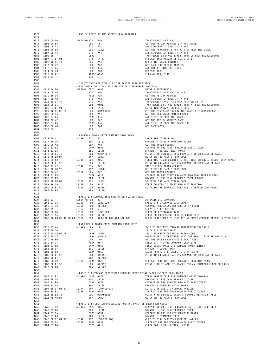| 0673<br>0674                                                                                                                                                 |                                                                                                                                                                                                                                                                            |                                                                                                                                                                                         | * WAS SELECTED AS THE ACTIVE TASK REGISTER                                                                                                                                                                                         |                                                                                                                                                                                                                                                                                                                                                                                                                                                                                                                                                                                                                                                                                                                         |
|--------------------------------------------------------------------------------------------------------------------------------------------------------------|----------------------------------------------------------------------------------------------------------------------------------------------------------------------------------------------------------------------------------------------------------------------------|-----------------------------------------------------------------------------------------------------------------------------------------------------------------------------------------|------------------------------------------------------------------------------------------------------------------------------------------------------------------------------------------------------------------------------------|-------------------------------------------------------------------------------------------------------------------------------------------------------------------------------------------------------------------------------------------------------------------------------------------------------------------------------------------------------------------------------------------------------------------------------------------------------------------------------------------------------------------------------------------------------------------------------------------------------------------------------------------------------------------------------------------------------------------------|
| 0675<br>0676<br>0677<br>0678<br>0679<br>0680<br>0681<br>0682<br>0683<br>0684<br>0685<br>0686<br>0687<br>0688                                                 | EØFF DD 40<br>E101 EC E4<br>E103 DD 42<br>E105 EC 62<br>E107 DD 44<br>E109 5F<br>E10A F7 FF 91<br>E10D 10 DE 44<br>E110 DC 42<br>E112 34 06<br>E114 DC 40<br>E116 1C AF<br>E118 39                                                                                         | SELTASKØ STD<br>LDD<br>STD<br>LDD<br>STD<br>CLRB<br>STB<br>LDS<br>LDD<br>LDD<br><b>RTS</b>                                                                                              | V40<br>, S<br>V42<br>\$02,S<br>V44<br>INIT1<br>V44<br>V42<br>PSHS B, A<br>V40<br>ANDCC #\$AF                                                                                                                                       | TEMPORARILY SAVE ACCD<br>GET THE RETURN ADDRESS OFF THE STACK<br>AND TEMPORARILY SAVE IT IN V42<br>GET THE PERMANENT STACK POINTER FROM THE STACK<br>AND TEMPORARILY SAVE IT IN V44<br>TASK REGISTER Ø AND TIMER INPUT OF 63.5 MICROSECONDS<br>PROGRAM INITIALIZATION REGISTER 1<br>RESET THE STACK POINTER<br>GET BACK THE RETURN ADDRESS<br>AND PUT IT ONTO THE STACK<br>RESTORE ACCD<br>TURN ON IRQ, FIRQ                                                                                                                                                                                                                                                                                                            |
| 0689<br>0690<br>0691<br>0692<br>0693<br>0694<br>0695<br>0696<br>0697<br>0698<br>0699<br>0700<br>0701<br>0702<br>0703<br>0704                                 | E119 1A 50<br>E11B DD 40<br>E11D 35 06<br>E11F DD 42<br>E121 10 DF 44<br>E124 C6 01<br>E126 F7 FF 91<br>E129 10 CE DF FF<br>E12D DC 44<br>E12F 34 06<br>E131 DC 42<br>E133 34 06<br>E135 DC 40<br>E137 39                                                                  | SELTASK1 ORCC #\$50<br>STD<br>STD<br><b>STS</b><br>LDB<br>STB<br>LDS<br>LDD<br>LDD<br>LDD<br><b>RTS</b>                                                                                 | * SELECT TASK REGISTER 1 AS THE ACTIVE TASK REGISTER<br>* EXIT WITH THE STACK POINTER SET TO A TEMPORARY LOCATION<br>V 40<br>PULS A, B<br>V42<br>V44<br>#\$01<br>INIT1<br>#TMPSTACK<br>V44<br>PSHS B, A<br>V42<br>PSHS B, A<br>V4Ø | DISABLE INTERRUPTS<br>TEMPORARILY SAVE ACCD IN V40<br>GET THE RETURN ADDRESS<br>AND TEMPORARILY SAVE IT IN V42<br>TEMPORARILY SAVE THE STACK POINTER IN V44<br>TASK REGISTER 1 AND TIMER INPUT AT 63.5 MICROSECONDS<br>SETUP INITIALIZATION REGISTER 1<br>PUT THE STACK JUST BELOW THE START OF ENHANCED BASIC<br>GET THE OLD STACK POINTER BACK<br>AND STUFF IT ONTO THE STACK<br>GET THE RETURN ADDRESS BACK<br>AND STUFF IT ONTO THE STACK TOO<br>GET BACK ACCD                                                                                                                                                                                                                                                      |
| 0705<br>0706<br>0707<br>0708<br>0709<br>0710<br>0711<br>0712<br>0713<br>0714<br>0715<br>0716<br>0717<br>0718<br>0719<br>0720<br>0721<br>0722<br>0723<br>0724 | E138 ØD 41<br>E13A 26 16<br>E13C 96 42<br>E13E 81 62<br>E140 23 06<br>E142 CE Ø1 1B<br>E145 7E B8 D7<br>E148 86 62<br>E14A CE E1 58<br>E14D 97 42<br>E14F 7E B8 9D<br>E152 96 42<br>E154 81 29<br>E156 23 03<br>E158 7E B8 D7<br>E15B 86 29<br>E15D CE E1 5D<br>E160 20 EB | ALINK2 TST<br>BNE<br>LDA<br><b>BLS</b><br>LDU<br>JMP<br>LE148<br>LDA<br>LDU<br>LE14D<br>STA<br>JMP<br>LE152<br>LDA<br><b>BLS</b><br>JMP<br>LE158<br>LE15B<br>LDA<br>LE15D<br>LDU<br>BRA | * CRUNCH A TOKEN PATCH ENTERED FROM \$B8D4<br>V41<br>LE152<br>V42<br>CMPA #\$62<br>LE148<br>#COMVEC-5<br>LB8D7<br>#\$62<br>LE158<br>V42<br>LB89D<br>V42<br>CMPA #\$29<br>LE15B<br>LB9D7<br>#\$29<br>#LE15D<br>LE14D                | CHECK THE TOKEN FLAG<br>BRANCH IF IT IS A FUNCTION TOKEN<br>GET THE TOKEN COUNTER<br>COMPARE TO THE FIRST ENHANCED BASIC TOKEN<br>BRANCH IF BEFORE FIRST TOKEN<br>POINT U TO EXTENDED COLOR BASIC'S INTERPRETATION TABLE<br>RE-ENTER THE MAIN STREAM CODE<br>FORCE THE TOKEN COUNTER TO THE FIRST ENHANCED BASIC TOKEN NUMBER<br>POINT TO ENHANCED BASIC'S COMMAND INTERPRETATION TABLE<br>SAVE THE NEW TOKEN COUNTER<br>RE-ENTER THE MAIN STREAM CODE<br>GET THE TOKEN COUNTER<br>COMPARE TO THE FIRST ENHANCED FUNCTION TOKEN NUMBER<br>BRANCH IF LESS THAN ENHANCED TOKEN NUMBER<br>RE-ENTER THE MAIN STREAM CODE<br>FORCE COUNTER TO FIRST ENHANCED FUNCTION<br>POINT TO THE ENHANCED FUNCTION INTERPRETATION TABLE |
| 0725<br>0726<br>0727<br>0728<br>0729<br>0730<br>0731<br>0732<br>0733                                                                                         | E162 17<br>E163 E1 C5<br>E165 E1 92<br>E167 05<br>E168 E2 64<br>E16A E1 A6<br>E16C 00 00 00 00 00 00 LE16C                                                                                                                                                                 | EBCOMTAB FCB<br>LE163<br>FDB<br>LE165<br>FDB<br>LE167<br>FCB<br>FDB<br>LE168<br>LE16A<br>FDB<br>FCB                                                                                     | * BASIC 2.0 COMMAND INTERPRETATION VECTOR TABLE<br>23<br>COMDIC20<br>ALINK4<br>5<br>FUNDIC20<br>ALINK5<br>\$00,\$00,\$00,\$00,\$00,\$00                                                                                            | 23 BASIC 2.0 COMMANDS<br>BASIC 2.0'S COMMAND DICTIONARY<br>COMMAND PROCESSING ROUTINE ENTRY POINT<br>5 BASIC 2.0 FUNCTIONS<br>FUNCTION DICTIONARY TABLE<br>FUNCTION PROCESSING ROUTINE ENTRY POINT<br>DUMMY SPACE USED TO SIMULATE AN EMPTY COMMAND INTERP. VECTOR TABLE                                                                                                                                                                                                                                                                                                                                                                                                                                                |
| 0734<br>0735<br>0736<br>0737<br>0738<br>0739<br>0740<br>0741<br>0742<br>0743<br>0744<br>0745<br>0746<br>0747<br>0748<br>0749                                 | E172 33 4A<br>E174 6D C4<br>E176 10 26 D6 7F<br>E17A 30 1F<br>E17C A6 80<br>E17E 84 7F<br>E180 81 62<br>E182 25 07<br>E184 80 62<br>E186 CE E1 58<br>E189 20 E7<br>E18B 8Ø 29<br>E18D CE E1 5D<br>E190 20 E0                                                               | ALINK3 LEAU 10, U<br>TST<br>LDA<br>LE18B<br>LDU<br>BRA                                                                                                                                  | * UNCRUNCH A TOKEN PATCH ENTERED FROM \$B7F3<br>, U<br>LBNE LD67F<br>$LEAX$ \$- $Ø1, X$<br>, X+<br>ANDA #\$7F<br>CMPA #\$62<br>BCS<br>LE18B<br>SUBA #\$62<br>LDU #LE158<br>BRA ALINK3<br>SUBA #\$29<br>#LE15D<br>ALINK3            | SKIP TO THE NEXT COMMAND INTERPRETATION TABLE<br>IS THIS A VALID TABLE?<br>YES - RE-ENTER THE MAIN STREAM CODE<br>UNNECESSARY INSTRUCTION; NEXT ONE SHOULD JUST BE LDA -1, X<br>GET THE TOKEN FROM BASIC'S INPUT LINE<br>STRIP OFF THE \$80 COMMAND TOKEN BIAS<br>FIRST LEGAL BASIC 2.0 COMMAND TOKEN NUMBER<br>BRANCH IF LEGAL TOKEN<br>ADJUST BASIC 2.0 TOKENS TO START AT 0<br>POINT TO ENHANCED BASIC'S COMMAND INTERPRETATION TABLE<br>SUBTRACT OUT THE FIRST ENHANCED FUNCTION TABLE<br>POINT U TO BE ABLE TO SEARCH FOR AN ENHANCED FUNCTION TOKEN                                                                                                                                                               |
| 0750<br>0751<br>0752<br>0753<br>0754<br>0755<br>0756<br>0757<br>0758<br>0759                                                                                 | E192 81 E2<br>E194 25 04<br>E196 81 F8<br>E198 23 Ø4<br>E19A 6E 9F 01 37<br>E19E 80 E2<br>E1AØ 8E E2 36<br>E1A3 7E AD D4                                                                                                                                                   | ALINK4 CMPA #\$E2<br><b>BLS</b><br>LE19A<br>JMP<br>LE19E<br>JMP                                                                                                                         | * BASIC 2.0 COMMAND PROCESSING ROUTINE ENTRY POINT PATCH ENTERED FROM \$8150<br>BCS<br>LE19A<br>CMPA #\$F8<br>LE19E<br>[COMVEC+23]<br>SUBA #\$E2<br>LDX<br>#COMDIS20<br>LADD4                                                      | TOKEN NUMBER OF FIRST ENHANCED BASIC COMMAND<br>BRANCH IF LESS THAN ENHANCED TOKEN<br>COMPARE TO THE HIGHEST ENHANCED BASIC TOKEN<br>BRANCH IF ENHANCED BASIC TOKEN<br>GO TO DISK BASIC'S COMMAND HANDLER<br>SUBTRACT OUT THE NON-ENHANCED BASIC TOKENS<br>POINT X TO ENHANCED BASIC'S COMMAND DISPATCH TABLE<br>RE-ENTER THE MAIN STREAM CODE                                                                                                                                                                                                                                                                                                                                                                          |
| 0760<br>0761<br>0762<br>0763<br>0764<br>0765<br>0766<br>0767<br>0768                                                                                         | E1A6 C1 52<br>E1A8 25 04<br>E1AA C1 5A<br>E1AC 23 04<br>E1AE 6E 9F 01 3C<br>E1B2 CØ 52<br>E1B4 C1 04                                                                                                                                                                       | ALINK5 CMPB #\$52<br><b>BLS</b><br>LE1AE<br>JMP<br>LE1B2                                                                                                                                | * BASIC 2.0 FUNCTION PROCESSING ROUTINE PATCH ENTERED FROM \$816C<br>BCS<br>LE1AE<br>CMPB #\$5A<br>LE1B2<br>[COMVEC+28]<br>SUBB #\$52<br>CMPB $#2*2$                                                                               | COMPARE TO THE FIRST ENHANCED BASIC FUNCTION TOKEN<br>BRANCH IF LESS THAN ENHANCED TOKEN<br>COMPARE TO THE HIGHEST FUNCTION TOKEN<br>BRANCH IF ENHANCED TOKEN<br>JUMP TO DISK BASIC'S FUNCTION HANDLER<br>SUBTRACT OUT THE NON-ENHANCED BASIC TOKENS<br>CHECK FOR LPEEK, BUTTON, HPOINT                                                                                                                                                                                                                                                                                                                                                                                                                                 |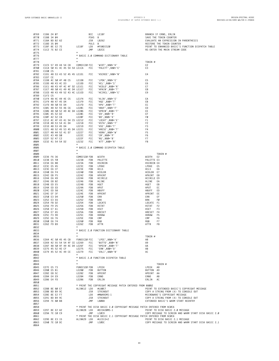| 0775<br>0776 |                                                                                                                                                                                                                                                          |                                | * BASIC 2.0 COMMAND DICTIONARY TABLE                                                                                                                                                                                                                                                 |                                                                        |
|--------------|----------------------------------------------------------------------------------------------------------------------------------------------------------------------------------------------------------------------------------------------------------|--------------------------------|--------------------------------------------------------------------------------------------------------------------------------------------------------------------------------------------------------------------------------------------------------------------------------------|------------------------------------------------------------------------|
| 0777         |                                                                                                                                                                                                                                                          | $\star$                        |                                                                                                                                                                                                                                                                                      |                                                                        |
| 0778         |                                                                                                                                                                                                                                                          | $\star$                        |                                                                                                                                                                                                                                                                                      | TOKEN #                                                                |
| 0779<br>0780 | E1C5 57 49 44 54 C8 COMDIC20 FCC<br>E1CA 50 41 4C 45 54 54 LE1CA                                                                                                                                                                                         | <b>FCC</b>                     | 'WIDT',\$80+'H'<br>'PALETT',\$80+'E'                                                                                                                                                                                                                                                 | E2<br>E3                                                               |
| 0781         | E1DØ C5                                                                                                                                                                                                                                                  |                                |                                                                                                                                                                                                                                                                                      |                                                                        |
| 0782         | E1D1 48 53 43 52 45 45 LE1D1                                                                                                                                                                                                                             | FCC                            | 'HSCREE',\$80+'N'                                                                                                                                                                                                                                                                    | E4                                                                     |
| 0783<br>0784 | E1D7 CE<br>E1D8 4C 50 4F 4B C5 LE1D8                                                                                                                                                                                                                     | FCC                            | '" - " - "<br>'HCOLO' ,\$80+'S<br>'HPAIN' ,\$80+'T<br>'HCIRCL' ,\$80+'T'                                                                                                                                                                                                             | E <sub>5</sub>                                                         |
| 0785         | E1DD 48 43 4C D3 LE1DD                                                                                                                                                                                                                                   | FCC                            |                                                                                                                                                                                                                                                                                      | E6                                                                     |
| 0786         | E1E1 48 43 4F 4C 4F D2 LE1E1                                                                                                                                                                                                                             | FCC                            |                                                                                                                                                                                                                                                                                      | E7                                                                     |
| 0787<br>0788 | E1E7 48 50 41 49 4E D4 LE1E7<br>E1ED 48 43 49 52 43 4C LE1ED                                                                                                                                                                                             | FCC<br>FCC                     |                                                                                                                                                                                                                                                                                      | E8<br>E9                                                               |
| 0789         | E1F3 C5                                                                                                                                                                                                                                                  |                                |                                                                                                                                                                                                                                                                                      |                                                                        |
| 0790         | E1F4 48 4C 49 4E C5 LE1F4                                                                                                                                                                                                                                | FCC                            | "HLIN',\$80+'E'<br>"Hel",\$80+'T'<br>"HPU",\$80+'T'<br>"HPRIN',\$80+'F'<br>"FR',\$80+'F'<br>"ER',\$80+'R'<br>"ER',\$80+'F'<br>"LOCAT',\$80+'F'<br>"HSE',\$80+'F'<br>"HEESE',\$80+'T'<br>"HRESE',\$80+'T'<br>"HDRA",\$80+'P'<br>"HDRA",\$80+'P'<br>"HDRA",\$80+'P'<br>"HDRA",\$80+'P' | EA                                                                     |
| 0791<br>0792 | E1F9 48 47 45 D4<br>E1FD 48 50 55 D4                                                                                                                                                                                                                     | LE1F9<br>FCC<br>LE1FD<br>FCC   |                                                                                                                                                                                                                                                                                      | EB<br>EC                                                               |
| 0793         | E201 48 42 55 46 C6 LE201 FCC                                                                                                                                                                                                                            |                                |                                                                                                                                                                                                                                                                                      | ED                                                                     |
| 0794         | E206 48 50 52 49 4E D4 LE206                                                                                                                                                                                                                             | FCC                            |                                                                                                                                                                                                                                                                                      | EE                                                                     |
| 0795         | E20C 45 52 D2<br>E20F 42 52 CB LE20F                                                                                                                                                                                                                     | LE20C<br>FCC                   |                                                                                                                                                                                                                                                                                      | EF<br>FØ                                                               |
| 0796<br>0797 | E212 4C 4F 43 41 54 C5 LE212 FCC                                                                                                                                                                                                                         | FCC                            |                                                                                                                                                                                                                                                                                      | F1                                                                     |
| 0798         | E218 48 53 54 41 D4 LE218 FCC                                                                                                                                                                                                                            |                                |                                                                                                                                                                                                                                                                                      | F <sub>2</sub>                                                         |
|              | 0799 E21D 48 53 45 D4<br>E221 48 52 45 53 45 D4 LE221 FCC                                                                                                                                                                                                | LE21D FCC                      |                                                                                                                                                                                                                                                                                      | F <sub>3</sub><br>F4                                                   |
| 0800         |                                                                                                                                                                                                                                                          |                                |                                                                                                                                                                                                                                                                                      | F <sub>5</sub>                                                         |
|              | 0801 E227 48 44 52 41 D7 LE227 FCC<br>0802 E22C 43 4D D0 LE22C FCC                                                                                                                                                                                       |                                |                                                                                                                                                                                                                                                                                      | F6                                                                     |
| 0803         |                                                                                                                                                                                                                                                          |                                | 'RG',\$80+'B'                                                                                                                                                                                                                                                                        | F7<br>F <sub>8</sub>                                                   |
| 0804<br>0805 |                                                                                                                                                                                                                                                          | $\star$                        | 'ATT',\$80+'R'                                                                                                                                                                                                                                                                       |                                                                        |
| 0806         |                                                                                                                                                                                                                                                          |                                | * BASIC 2.0 COMMAND DISPATCH TABLE                                                                                                                                                                                                                                                   |                                                                        |
| 0807         |                                                                                                                                                                                                                                                          | $\star$<br>$\star$             |                                                                                                                                                                                                                                                                                      |                                                                        |
| 0808         |                                                                                                                                                                                                                                                          |                                |                                                                                                                                                                                                                                                                                      | TOKEN #<br>WIDTH E2                                                    |
|              |                                                                                                                                                                                                                                                          |                                |                                                                                                                                                                                                                                                                                      | PALETTE E3                                                             |
|              |                                                                                                                                                                                                                                                          |                                |                                                                                                                                                                                                                                                                                      | HSCREEN E4<br>LPOKE E5                                                 |
|              |                                                                                                                                                                                                                                                          |                                |                                                                                                                                                                                                                                                                                      | HCLS<br>E6                                                             |
|              |                                                                                                                                                                                                                                                          |                                |                                                                                                                                                                                                                                                                                      | HCOLOR E7                                                              |
|              | 0808<br>0808<br>0810 E238 E5 F0<br>0811 E23A E6 88<br>0811 E23A E6 88<br>0812 E23C E5 45<br>0813 E23E E6 CF<br>0813 E23E E6 CF<br>0813 E242 E6 CF<br>0814 E240 E6 E44 E4 LE242<br>0816 E244 EA 49<br>0817 E246 E8 82<br>0821 E246 E8 LE244 FDB<br>0820 E |                                |                                                                                                                                                                                                                                                                                      | HPAINT E8<br>HCIRCLE E9                                                |
|              |                                                                                                                                                                                                                                                          |                                |                                                                                                                                                                                                                                                                                      | HLINE EA                                                               |
|              |                                                                                                                                                                                                                                                          |                                |                                                                                                                                                                                                                                                                                      | HGET<br>ЕB                                                             |
|              |                                                                                                                                                                                                                                                          |                                |                                                                                                                                                                                                                                                                                      | HPUT<br>EC                                                             |
|              |                                                                                                                                                                                                                                                          |                                |                                                                                                                                                                                                                                                                                      | HBUFF<br>ED<br>HPRINT EE                                               |
|              |                                                                                                                                                                                                                                                          |                                |                                                                                                                                                                                                                                                                                      | ERR<br>ΕF                                                              |
|              |                                                                                                                                                                                                                                                          |                                |                                                                                                                                                                                                                                                                                      | BRK<br>FØ<br>LOCATE F1                                                 |
| 0825         | E256 F9 25                                                                                                                                                                                                                                               | LE256<br>FDB                   |                                                                                                                                                                                                                                                                                      | HSTAT<br>F <sub>2</sub>                                                |
| 0826         |                                                                                                                                                                                                                                                          | LE258<br>FDB                   |                                                                                                                                                                                                                                                                                      | HSET<br>F3                                                             |
| 0827<br>0828 |                                                                                                                                                                                                                                                          | LE25A<br>FDB<br>FDB            |                                                                                                                                                                                                                                                                                      | HRESET F4<br>HDRAW<br>F <sub>5</sub>                                   |
| 0829         |                                                                                                                                                                                                                                                          | LE25C<br>LE25E<br>LE260<br>FDB | CMP                                                                                                                                                                                                                                                                                  | CMP<br>F6                                                              |
| 0830         |                                                                                                                                                                                                                                                          | FDB                            | RGB                                                                                                                                                                                                                                                                                  | RGB<br>F7                                                              |
| 0831<br>0832 | -<br>25A E7 65<br>25A E7 65<br>25E E6 76<br>25B E6 74<br>262 F9 B9                                                                                                                                                                                       | LE262<br>FDB<br>$\star$        | ATTR                                                                                                                                                                                                                                                                                 | ATTR<br>F8                                                             |
| 0833         |                                                                                                                                                                                                                                                          |                                | * BASIC 2.0 FUNCTION DICTIONARY TABLE                                                                                                                                                                                                                                                |                                                                        |
| 0834         |                                                                                                                                                                                                                                                          | $\star$                        |                                                                                                                                                                                                                                                                                      |                                                                        |
| 0835<br>0836 | E264 4C 50 45 45 CB                                                                                                                                                                                                                                      | FUNDIC20 FCC                   | 'LPEE',\$80+'K'                                                                                                                                                                                                                                                                      | TOKEN #<br>A8                                                          |
|              | 0837 E269 42 55 54 54 4F CE LE269 FCC                                                                                                                                                                                                                    |                                | 'BUTTO', \$80+'N'                                                                                                                                                                                                                                                                    | A9                                                                     |
|              | 0838 E26F 48 50 4F 49 4E D4 LE26F<br>0839 E275 45 52 4E CF                                                                                                                                                                                               | FCC<br>LE275 FCC               | 'HPOIN', \$80+'T'<br>'ERN',\$80+'O'                                                                                                                                                                                                                                                  | AA<br>AB                                                               |
| 0840         | E279 45 52 4C 49 CE                                                                                                                                                                                                                                      | LE279 FCC                      | 'ERLI', \$80+'N'                                                                                                                                                                                                                                                                     | AC                                                                     |
| 0841         |                                                                                                                                                                                                                                                          | $\star$                        |                                                                                                                                                                                                                                                                                      |                                                                        |
| 0842<br>0843 |                                                                                                                                                                                                                                                          |                                | * BASIC 2.0 FUNCTION DISPATCH TABLE                                                                                                                                                                                                                                                  |                                                                        |
| 0844         |                                                                                                                                                                                                                                                          | $\star$                        |                                                                                                                                                                                                                                                                                      | TOKEN #                                                                |
| 0845         | E27E E5 73                                                                                                                                                                                                                                               | FUNDIS20 FDB                   | LPEEK                                                                                                                                                                                                                                                                                | LPEEK<br>A8                                                            |
| 0846<br>0847 | E280 E5 B1<br>E282 E8 5C                                                                                                                                                                                                                                 | LE280<br>FDB<br>LE282<br>FDB   | <b>BUTTON</b><br>HPOINT                                                                                                                                                                                                                                                              | BUTTON A9<br>HPOINT AA                                                 |
| 0848         | E284 E4 E9                                                                                                                                                                                                                                               | LE284<br>FDB                   | ERNO                                                                                                                                                                                                                                                                                 | AB<br>ERNO                                                             |
| 0849         | E286 E4 FD                                                                                                                                                                                                                                               | LE286<br>FDB                   | ERLIN                                                                                                                                                                                                                                                                                | ERLIN<br>AC                                                            |
| 0850<br>0851 |                                                                                                                                                                                                                                                          |                                | * PRINT THE COPYRIGHT MESSAGE PATCH ENTERED FROM \$80B2                                                                                                                                                                                                                              |                                                                        |
| 0852         | E288 8E 8Ø E7                                                                                                                                                                                                                                            | ALINK12 LDX                    | #L80E7                                                                                                                                                                                                                                                                               | POINT TO EXTENDED BASIC'S COPYRIGHT MESSAGE                            |
| 0853         | E28B BD B9 9C                                                                                                                                                                                                                                            | JSR                            | STRINOUT                                                                                                                                                                                                                                                                             | COPY A STRING FROM (X) TO CONSOLE OUT                                  |
| 0854<br>0855 | E28E 8E E2 F7<br>E291 BD B9 9C                                                                                                                                                                                                                           | LDX<br>JSR                     | #MWAREMS-1<br>STRINOUT                                                                                                                                                                                                                                                               | MICROWARE'S COPYRIGHT MESSAGE<br>COPY A STRING FROM (X) TO CONSOLE OUT |
| 0856         | E294 7E 80 B8                                                                                                                                                                                                                                            | JMP                            | L80B8                                                                                                                                                                                                                                                                                | EXTENDED BASIC'S WARM START REENTRY                                    |
| 0857         |                                                                                                                                                                                                                                                          |                                |                                                                                                                                                                                                                                                                                      |                                                                        |
| 0858<br>0859 | E297 8E E2 A2                                                                                                                                                                                                                                            |                                | * PRINT THE DISK BASIC 2.0 COPYRIGHT MESSAGE PATCH ENTERED FROM \$C0C6<br>ALINK28 LDX #DISK2ØMS-1                                                                                                                                                                                    | POINT TO DISK BASIC 2.0 MESSAGE                                        |
| <b>0860</b>  | E29A 7E CØ C9                                                                                                                                                                                                                                            | JMP                            | LCØC9                                                                                                                                                                                                                                                                                | COPY MESSAGE TO SCREEN AND WARM START DISK BASIC 2.0                   |
| 0861<br>0862 | E29D 8E E3 15                                                                                                                                                                                                                                            | ALINK29 LDX                    | * PRINT THE DISK BASIC 2.1 COPYRIGHT MESSAGE PATCH ENTERED FROM \$C0C6<br>#LE313+2                                                                                                                                                                                                   | POINT TO DISK BASIC 2.1 MESSAGE                                        |
| 0863         | E2AØ 7E CØ DC                                                                                                                                                                                                                                            | JMP                            | LCØDC                                                                                                                                                                                                                                                                                | COPY MESSAGE TO SCREEN AND WARM START DISK BASIC 2.1                   |
| 0864         |                                                                                                                                                                                                                                                          |                                |                                                                                                                                                                                                                                                                                      |                                                                        |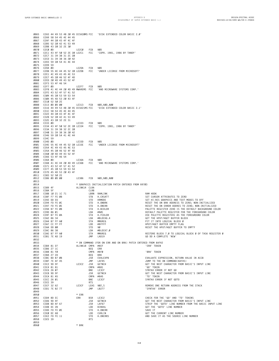**ORIGIN:SPECTRAL ASSOC REVISED:12/26/1999 WALTER K ZYDHEK**

| 0865<br>0866                                 | E2A3 44 49 53 4B 20 45 DISK20MS FCC<br>E2A9 58 54 45 4E 44 45<br>0867 E2AF 44 20 43 4F 4C 4F<br>0868 E2B5 52 20 42 41 53 49<br>0869 E2BB 43 20 32 2E 30                                  |                                                                    | 'DISK EXTENDED COLOR BASIC 2.0                                                                                     |                                                                                                                                                                                                                                                                                                                                                                                                    |
|----------------------------------------------|------------------------------------------------------------------------------------------------------------------------------------------------------------------------------------------|--------------------------------------------------------------------|--------------------------------------------------------------------------------------------------------------------|----------------------------------------------------------------------------------------------------------------------------------------------------------------------------------------------------------------------------------------------------------------------------------------------------------------------------------------------------------------------------------------------------|
|                                              | 0870 E2C0 0D<br>0871 E2C1 43 4F 50 52 2E 20 LE2C1<br>0872 E2C7 31 39 38 31 2C 20<br>0873 E2CD 31 39 38 36 20 42<br>0874 E2D3 59 20 54 41 4E 44<br>0875 E2D9 59                           | FCB<br>LE2CØ<br><b>FCC</b>                                         | \$ØD<br>'COPR. 1981, 1986 BY TANDY'                                                                                |                                                                                                                                                                                                                                                                                                                                                                                                    |
|                                              | 0876 E2DA 0D<br>0877 E2DB 55 4E 44 45 52 20 LE2DB<br>0878 E2E1 4C 49 43 45 4E 53<br>0879 E2E7 45 20 46 52 4F 4D<br>0880 E2ED 20 4D 49 43 52 4F<br>0881 E2F3 53 4F 46 54                  | FCB<br>LE2DA<br>FCC.                                               | \$ØD<br>'UNDER LICENSE FROM MICROSOFT'                                                                             |                                                                                                                                                                                                                                                                                                                                                                                                    |
|                                              | 0882 E2F7 0D<br>Ø883 E2F8 41 4E 44 20 4D 49 MWAREMS FCC<br>0884 E2FE 43 52 4F 57 41 52<br>0885 E304 45 20 53 59 53 54<br>0886 E30A 45 4D 53 20 43 4F<br>0887 E310 52 50 2E               | LE2F7<br>FCB                                                       | \$ØD<br>'AND MICROWARE SYSTEMS CORP.'                                                                              |                                                                                                                                                                                                                                                                                                                                                                                                    |
|                                              | 0888 E313 0D 0D 00<br>Ø889 E316 44 49 53 4B 20 45 DISK21MS FCC<br>0890 E31C 58 54 45 4E 44 45<br>0891 E322 44 20 43 4F 4C 4F<br>0892 E328 52 20 42 41 53 49<br>0893 E32E 43 20 32 2E 31  | LE313 FCB                                                          | \$0D,\$0D,\$00<br>'DISK EXTENDED COLOR BASIC 2.1'                                                                  |                                                                                                                                                                                                                                                                                                                                                                                                    |
|                                              | 0894 E333 0D<br>0895 E334 43 4F 50 52 2E 20 LE334<br>0896 E33A 31 39 38 32 2C 20<br>0897 E340 31 39 38 36 20 42<br>0898 E346 59 20 54 41 4E 44<br>0899 E34C 59<br>0900 E34D 0D           | LE333<br>FCB<br>FCC<br>LE33D<br>FCB                                | \$ØD<br>'COPR. 1981, 1986 BY TANDY'<br>\$ØD                                                                        |                                                                                                                                                                                                                                                                                                                                                                                                    |
|                                              | 0901 E34E 55 4E 44 45 52 20 LE33E<br>0902 E354 4C 49 43 45 4E 53<br>0903 E35A 45 20 46 52 4F 4D<br>0904 E360 20 4D 49 43 52 4F<br>0905 E366 53 4F 46 54<br>0906 E36A 0D                  | <b>FCC</b><br>LE36A<br>FCB                                         | 'UNDER LICENSE FROM MICROSOFT'<br>\$ØD                                                                             |                                                                                                                                                                                                                                                                                                                                                                                                    |
| 0907<br>0908<br>0909<br>0910<br>0911<br>0912 | E36B 41 4E 44 20 4D 49 LE36B<br>E371 43 52 4F 57 41 52<br>E377 45 20 53 59 53 54<br>E37D 45 4D 53 20 43 4F<br>E383 52 50 2E<br>E386 0D 0D 00                                             | <b>FCC</b><br>LE386                                                | 'AND MICROWARE SYSTEMS CORP.'<br>FCB \$00, \$00, \$00                                                              |                                                                                                                                                                                                                                                                                                                                                                                                    |
| 0913<br>0914<br>0915                         | E389 4F                                                                                                                                                                                  | ALINK14 CLRA                                                       | * GRAPHICS INITIALIZATION PATCH ENTERED FROM \$9703                                                                |                                                                                                                                                                                                                                                                                                                                                                                                    |
| 0916<br>0918<br>0924<br>0925                 | E38A 5F<br>0917 E38B 10 21 1C 71<br>E38F F7 FE 08<br>0919 E392 DD E6<br>0920 E394 FD FE 0C<br>0921 E397 FD FE 0E<br>0922 E39A B7 FE 0B<br>0923 E39D 86 01<br>E39F B7 FE ØA<br>E3A2 86 34 | CLRB<br>STB<br>STA<br>LDA<br>STA<br>LDA                            | LBRN RAMLINK<br>H.CRSATT<br>STD HRMODE<br>STD H.ONBRK<br>STD H.ONERR<br>H.BCOLOR<br>#\$01<br>H.FCOLOR<br>#BLOCK6.4 | RAM HOOK<br>SET CURSOR ATTRIBUTES TO ZERO<br>SET HI-RES GRAPHICS AND TEXT MODES TO OFF<br>RESET THE ON BRK ADDRESS TO ZERO; NON-INITIALIZED<br>RESET THE ON ERROR ADDRES TO ZERO; NON-INITIALIZED<br>PALETTE REGISTER ZERO IS THE DEFAULT BACKGROUND COLOR<br>DEFAULT PALETTE REGISTER FOR THE FOREGROUND COLOR<br>USE PALETTE REGISTER1 AS THE FOREGROUND COLOR<br>GET THE HPUT/HGET BUFFER BLOCK |
| 0926                                         | E3A4 B7 FF AØ<br>0927 E3A7 CC FF FF<br>0928 E3AA DD 00                                                                                                                                   | STA<br>LDD<br>STD                                                  | MMUREG<br>#\$FFFF<br>\$0                                                                                           | PIT IT INTO LOGICAL BLOCK Ø<br>HPUT/HGET BUFFER EMPTY FLAG<br>RESET THE HPUT/HGET BUFFER TO EMPTY                                                                                                                                                                                                                                                                                                  |
| 0929<br>0930<br>0931                         | E3AC 86 38<br>E3AE B7 FF AØ<br>E3B1 7E AD 19                                                                                                                                             | LDA<br>STA<br>JMP LAD19                                            | #BLOCK7.0<br>MMUREG                                                                                                | RESTORE BLOCK 7.0 TO LOGICAL BLOCK Ø OF TASK REGISTER Ø<br>GO DO A COMPLETE 'NEW                                                                                                                                                                                                                                                                                                                   |
| 0932<br>0933                                 | 0934 E3B4 81 EF<br>0935 E3B6 27 1C<br>0936 E3B8 81 F0<br>0937 E3BA 27 2A                                                                                                                 | ALINK18 CMPA #\$EF<br>BEQ ERR<br>CMPA #\$FØ<br>BEQ BRK             | * ON COMMAND (FOR ON ERR AND ON BRK) PATCH ENTERED FROM \$AF42                                                     | 'ERR' TOKEN<br>'BRK' TOKEN                                                                                                                                                                                                                                                                                                                                                                         |
|                                              | 0938 E3BC BD B7 0B<br>0939 E3BF 7E AF 45<br>0940 E3C2 9D 9F<br>Ø941 E3C4 81 81<br>0942 E3C6 26 07<br>0943 E3C8 9D 9F<br>0944 E3CA 81 A5<br>0945 E3CC 26 01<br>0946 E3CE 39               | JMP LAF45<br>LE3C2<br>CMPA #\$81<br>CMPA #\$A5<br>BNE LE3CF<br>RTS | JSR EVALEXPB<br>JSR GETNCH<br>BNE LE3CF<br>JSR GETNCH                                                              | EVALUATE EXPRESSION, RETURN VALUE IN ACCB<br>JUMP TO THE ON COMMAND(\$AF45)<br>GET THE NEXT CHARACTER FROM BASIC'S INPUT LINE<br>'GO' TOKEN<br>SYNTAX ERROR IF NOT GO<br>GET THE NEXT CHARACTER FROM BASIC'S INPUT LINE<br>'TO' TOKEN<br>SYNTAX ERROR IF NOT GOTO                                                                                                                                  |
| 0949                                         | 0947 E3CF 32 62<br>0948 E3D1 7E B2 77                                                                                                                                                    | LE3CF<br>LEAS \$02,S<br>JMP LB277                                  |                                                                                                                    | REMOVE ONE RETURN ADDRESS FROM THE STACK<br>'SYNTAX' ERROR                                                                                                                                                                                                                                                                                                                                         |
| 0950<br>0957<br>0958<br>0959<br>0960         | 0951 E3D4 8D EC<br>0952 E3D6 9D 9F<br>0953 E3D8 BD AF 67<br>0954 E3DB DC 2B<br>0955 E3DD FD FE 0E<br>0956 E3E0 DC 68<br>E3E2 FD FE 11<br>E3E5 39                                         | * ERR<br>ERR<br><b>RTS</b><br>* BRK                                | BSR LE3C2<br>JSR GETNCH<br>JSR LAF67<br>LDD BINVAL<br>STD H.ONERR<br>LDD CURLIN<br>STD H.ONERRS                    | CHECK FOR THE 'GO' AND 'TO' TOKENS<br>GET THE NEXT CHARACTER FROM BASIC'S INPUT LINE<br>STRIP THE 'GOTO' LINE NUMBER FROM THE BASIC INPUT LINE<br>GET THE 'GOTO' LINE NUMBER<br>SAVE IT<br>GET THE CURRENT LINE NUMBER<br>AND SAVE IT AS THE SOURCE LINE NUMBER                                                                                                                                    |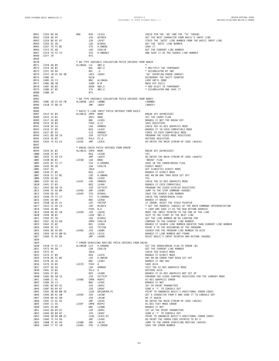| 0961<br>0962<br>0963<br>0964<br>0965<br>0966<br>0967 | E3E6 8D DA<br>E3E8 9D 9F<br>E3EA BD AF 67<br>E3ED DC 2B<br>E3EF FD FE ØC<br>E3F2 DC 68                                                                                                         | BRK<br>JSR GETNCH<br>JSR LAF67<br>IDD BINVAL | BSR<br><b>STD</b> | LE3C2<br>JSR GETNCH<br>LDD BINVAL<br>STD H.ONBRK<br>LDD CURLIN<br>H.ONBRKS | CHECK FOR THE 'GO' AND THE 'TO' TOKENS<br>GET THE NEXT CHARACTER FROM BASIC'S INPUT LINE<br>STRIP THE 'GOTO' LINE NUMBER FROM THE BASIC INPUT LINE<br>GET THE 'GOTO' LINE NUMBER<br>SAVE IT<br>GET THE CURRENT LINE NUMBER<br>AND SAVE IT AS THE SOURCE LINE NUMBER |
|------------------------------------------------------|------------------------------------------------------------------------------------------------------------------------------------------------------------------------------------------------|----------------------------------------------|-------------------|----------------------------------------------------------------------------|---------------------------------------------------------------------------------------------------------------------------------------------------------------------------------------------------------------------------------------------------------------------|
| 0968<br>0969                                         | E3F7 39                                                                                                                                                                                        |                                              | RTS               |                                                                            |                                                                                                                                                                                                                                                                     |
| 0970                                                 |                                                                                                                                                                                                |                                              |                   | * &H TYPE VARIABLE EVALUATION PATCH ENTERED FROM \$8834                    |                                                                                                                                                                                                                                                                     |
| 0971<br>0972                                         | E3F8 68 02<br>E3FA 69 Ø1                                                                                                                                                                       | ALINK6A LSL \$02,X                           | ROL               | \$01,X                                                                     | * MULTIPLY THE TEMPORARY                                                                                                                                                                                                                                            |
| 0973<br>0974                                         | E3FC 69 84<br>E3FE 10 25 D6 90                                                                                                                                                                 |                                              | ROL               | , X<br>LBCS LBA92                                                          | * ACCUMULATOR BY TWO<br>'OV' OVERFLOW ERROR (\$BA92)                                                                                                                                                                                                                |
| 0975                                                 | E402 5A                                                                                                                                                                                        |                                              | DECB              |                                                                            | DECREMENT THE SHIFT COUNTER                                                                                                                                                                                                                                         |
| 0976<br>0977                                         | E403 26 F3<br>E405 80 30                                                                                                                                                                       |                                              | SUBA #'Ø'         | BNE ALINK6A                                                                | LOOP UNTIL DONE<br>MASK OFF ASCII                                                                                                                                                                                                                                   |
| 0978                                                 | E407 AB 02                                                                                                                                                                                     |                                              |                   | ADDA \$02,X                                                                | * ADD DIGIT TO TEMPORARY                                                                                                                                                                                                                                            |
| 0979<br>0980                                         | E409 A7 02<br>E4ØB 39                                                                                                                                                                          |                                              | RTS               | STA \$02, X                                                                | * ACCUMULATOR AND SAVE IT                                                                                                                                                                                                                                           |
| 0981                                                 |                                                                                                                                                                                                |                                              |                   |                                                                            |                                                                                                                                                                                                                                                                     |
| 0982<br>0983                                         | E40C 10 25 A3 F0                                                                                                                                                                               | ALINK6B LBCS L8800                           |                   | * &H TYPE VARIABLE EVALUATION PATCH ENTERED FROM \$8843                    | ( \$8800)                                                                                                                                                                                                                                                           |
| 0984                                                 | E410 7E 88 3F                                                                                                                                                                                  |                                              | JMP               | L883F                                                                      | (\$883F)                                                                                                                                                                                                                                                            |
| 0985<br>0986                                         |                                                                                                                                                                                                |                                              |                   | * BASIC'S LINE INPUT PATCH ENTERED FROM \$A3C2                             |                                                                                                                                                                                                                                                                     |
| 0987                                                 | E413 81 03                                                                                                                                                                                     | ALINK16 CMPA #\$03                           |                   |                                                                            | BREAK KEY DEPRESSED?                                                                                                                                                                                                                                                |
| 0988<br>0989                                         | E415 1A 01<br>E417 26 ØD                                                                                                                                                                       |                                              | ORCC #\$01        | BNE LE426                                                                  | SET THE CARRY FLAG<br>BRANCH IF NOT THE BREAK KEY                                                                                                                                                                                                                   |
| 0990<br>0991                                         | E419 34 03<br>E41B 96 E6                                                                                                                                                                       |                                              | PSHS A,CC         | LDA HRMODE                                                                 | SAVE REGISTERS<br>CHECK THE HI-RES GRAPHICS MODE                                                                                                                                                                                                                    |
| 0992                                                 | E41D 27 05                                                                                                                                                                                     |                                              |                   | BEQ LE424                                                                  | BRANCH IF IN COCO COMPATIBLE MODE                                                                                                                                                                                                                                   |
| 0993<br>0994                                         | E41F ØF E6<br>E421 BD E0 19                                                                                                                                                                    |                                              |                   | CLR HRMODE<br>JSR SETTEXT                                                  | FORCE TO COCO COMPATIBLE MODE<br>PROGRAM THE VIDEO MODE REGISTERS                                                                                                                                                                                                   |
| 0995                                                 | E424 35 03                                                                                                                                                                                     | LE424 PULS CC,A                              |                   |                                                                            | RESTORE REGISTERS                                                                                                                                                                                                                                                   |
| 0996<br>0997                                         | E426 7E A3 C6                                                                                                                                                                                  | LE426                                        |                   | JMP LA3C6                                                                  | RE-ENTER THE MAIN STREAM OF CODE (\$A3C6)                                                                                                                                                                                                                           |
| 0998                                                 |                                                                                                                                                                                                |                                              |                   | * BREAK CHECK PATCH ENTERED FROM \$ADFØ                                    |                                                                                                                                                                                                                                                                     |
| 0999<br>1000                                         | E429 81 03<br>E42B 27 03                                                                                                                                                                       | ALINK15 CMPA #\$03                           | BEQ               | LE430                                                                      | BREAK KEY DEPRESSED?<br>YES                                                                                                                                                                                                                                         |
| 1001                                                 | E42D 7E AD F4                                                                                                                                                                                  |                                              | JMP               | LADF4                                                                      | RE-ENTER THE MAIN STREAM OF CODE (\$ADF4)                                                                                                                                                                                                                           |
| 1002<br>1003                                         | E430 86 01<br>E432 B7 FE 17                                                                                                                                                                    | LE430 LDA #\$01                              |                   |                                                                            | 'BREAK' FLAG<br>SAVE IN THE ERROR/BREAK FLAG                                                                                                                                                                                                                        |
| 1004                                                 | E435 96 68                                                                                                                                                                                     |                                              | LDA               | STA H.ERRBRK<br>LDA CURLIN                                                 | DIRECT MODE?                                                                                                                                                                                                                                                        |
| 1005<br>1006                                         | E437 4C<br>E438 27 05                                                                                                                                                                          |                                              | INCA<br>BEQ       | LE43F                                                                      | <b>\$FF SIGNIFIES DIRECT MODE</b><br>BRANCH IF DIRECT MODE                                                                                                                                                                                                          |
| 1007                                                 | E43A FC FE ØC                                                                                                                                                                                  |                                              | LDD               | H.ONBRK                                                                    | HAS AN ON BRK TRAP BEEN SET UP?                                                                                                                                                                                                                                     |
| 1008<br>1009                                         | E43D 26 0A<br>E43F 96 E6                                                                                                                                                                       | LE43F LDA HRMODE                             |                   | BNE LE449                                                                  | <b>YES</b><br>CHECK THE HI-RES GRAPHICS MODE                                                                                                                                                                                                                        |
| 1010                                                 | E441 27 03                                                                                                                                                                                     |                                              |                   | BEQ LE446                                                                  | BRANCH IF COCO COMPATIBLE                                                                                                                                                                                                                                           |
| 1011<br>1012                                         | E443 BD E0 19                                                                                                                                                                                  | LE446                                        | JSR<br>JMP        | SETTEXT<br>LAE09                                                           | PROGRAM THE VIDEO DISPLAY REGISTERS<br>JUMP TO THE STOP COMMAND (\$AEØ9)                                                                                                                                                                                            |
| 1013<br>1014                                         | E446 7E AE 09<br>E449 DD 2B<br>E44B 7D FE 17                                                                                                                                                   | LE449 STD                                    | TST               | BINVAL<br>H.ERRBRK                                                         | SAVE THE SEARCH LINE NUMBER<br>CHECK THE ERROR/BREAK FLAG                                                                                                                                                                                                           |
| 1015                                                 | E44E 26 08                                                                                                                                                                                     |                                              | BNE               | LE458                                                                      | BRANCH IF BREAK                                                                                                                                                                                                                                                     |
| 1016<br>1017                                         | E450 10 DE 21<br>E453 CC AD C4                                                                                                                                                                 |                                              | LDS               | FRETOP<br>LDD #LADC4                                                       | IF ERROR, RESET THE STACK POINTER<br>* GET THE ADDRESS (\$ADC4) OF THE MAIN COMMAND INTERPRETATION                                                                                                                                                                  |
| 1018                                                 | E456 34 06                                                                                                                                                                                     |                                              | PSHS B,A          |                                                                            | * LOOP AND SAVE IT AS THE NEW RETURN ADDRESS                                                                                                                                                                                                                        |
| 1019<br>1020                                         | E458 BD AE EB LE458<br>E45B 30 01                                                                                                                                                              |                                              |                   | JSR LAEEB<br>LEAX \$01,X                                                   | MOVE THE INPUT POINTER TO THE END OF THE LINE<br>SKIP TO THE START OF THE NEXT LINE                                                                                                                                                                                 |
| 1021                                                 | E45D DC 2B                                                                                                                                                                                     |                                              |                   | LDD BINVAL                                                                 | GET THE LINE NUMBER WE'RE LOOKING FOR                                                                                                                                                                                                                               |
| 1022<br>1023                                         | E45F 10 93 68<br>E462 22 02<br>E462 22 02                                                                                                                                                      |                                              |                   | CMPD CURLIN<br>BHI LE466                                                   | COMPARE TO THE CURRENT LINE NUMBER<br>BRANCH IF SEARCH LINE NUMBER GREATER THAN CURRENT LINE NUMBER                                                                                                                                                                 |
| 1024                                                 | E464 9E 19<br>E464 9E 19<br>E466 BD AD 05 LE466 JSR LAD05                                                                                                                                      |                                              |                   | LDX TXTTAB                                                                 | POINT X TO THE BEGINNING OF THE PROGRAM                                                                                                                                                                                                                             |
| 1025<br>1026                                         | E469 10 25 00 B1                                                                                                                                                                               | LBCS LE51E                                   |                   |                                                                            | SEARCH FOR THE PROGRAM LINE NUMBER IN ACCD<br>BRANCH IF LINE NUMBER NOT FOUND                                                                                                                                                                                       |
| 1027                                                 | E46D 7E AE BB                                                                                                                                                                                  |                                              |                   | JMP LAEBB                                                                  | RESET BASIC'S INPUT POINTER AND RETURN (\$AEBB)                                                                                                                                                                                                                     |
| 1028<br>1029                                         |                                                                                                                                                                                                |                                              |                   | * ERROR SERVICING ROUTINE PATCH ENTERED FROM \$AC46                        |                                                                                                                                                                                                                                                                     |
|                                                      | 1030 E470 7F FE 17 ALINK20 CLR H.ERRBRK<br>1031 E473 96 68                                                                                                                                     |                                              |                   | LDA CURLIN                                                                 | SET THE ERROR/BREAK FLAG TO ERROR (Ø)<br>GET THE CURRENT LINE NUMBER                                                                                                                                                                                                |
|                                                      | 1032 E475 4C                                                                                                                                                                                   |                                              | INCA              |                                                                            | CHECK FOR DIRECT MODE                                                                                                                                                                                                                                               |
|                                                      | 1033 E476 27 05<br>1034 E478 BE FE 0E                                                                                                                                                          |                                              |                   | BEQ LE47D<br>LDX H.ONERR                                                   | BRANCH IF DIRECT MODE<br>HAS AN ON ERROR TRAP BEEN SET UP?                                                                                                                                                                                                          |
|                                                      | 1035 E47B 26 36                                                                                                                                                                                |                                              |                   | BNE LE4B3                                                                  | BRANCH IF ONE HAS                                                                                                                                                                                                                                                   |
|                                                      | 1036 E47D 34 02<br>1037 E47F 96 E6                                                                                                                                                             | LE47D PSHS A                                 |                   | LDA HRMODE                                                                 | SAVE ACCA<br>TEST THE HI-RES GRAPHICS MODE                                                                                                                                                                                                                          |
|                                                      | 1038 E481 35 02                                                                                                                                                                                |                                              |                   | PULS A                                                                     | RESTORE ACCA                                                                                                                                                                                                                                                        |
|                                                      | 1039 E483 27 03<br>1040 E485 BD E0 19                                                                                                                                                          |                                              |                   | BEQ LE488<br>JSR SETTEXT                                                   | BRANCH IF HI-RES GRAPHICS NOT SET UP<br>PROGRAM THE VIDEO CONTROL REGISTERS FOR THE CURRENT MODE                                                                                                                                                                    |
|                                                      | 1941 E-198 C1 4C<br>1941 E488 C1 4C<br>1942 E488 C1 4C                                                                                                                                         |                                              |                   |                                                                            | HI-RES GRAPHICS ERROR                                                                                                                                                                                                                                               |
|                                                      | 1042 E48A 26 13<br>1043 E48C BD B9 5C                                                                                                                                                          |                                              |                   | BNE LE49F<br>JSR LB95C                                                     | BRANCH IF NOT<br>SET UP PRINT PARAMETERS                                                                                                                                                                                                                            |
|                                                      | 1044 E48F BD B9 AF                                                                                                                                                                             |                                              |                   | JSR LB9AF                                                                  | SEND A '?' TO CONSOLE OUT                                                                                                                                                                                                                                           |
|                                                      |                                                                                                                                                                                                |                                              |                   | LEAX BAS20ERR,PC                                                           | POINT TO ENHANCED BASIC'S ADDITIONAL ERROR CODES<br>GET A CHARACTER FROM X AND SEND IT TO CONSOLE OUT                                                                                                                                                               |
|                                                      | 1047 E499 BD AC A0                                                                                                                                                                             |                                              |                   | JSR LACAØ                                                                  | DO IT AGAIN                                                                                                                                                                                                                                                         |
| 1049                                                 | 1048 E49C 7E AC 65                                                                                                                                                                             |                                              |                   | JMP LAC65                                                                  | RE-ENTER THE MAIN STREAM OF CODE (\$AC65)<br>HI-RES TEXT MODE ERROR                                                                                                                                                                                                 |
|                                                      | 1050 E4A1 26 0D                                                                                                                                                                                |                                              |                   | BNE LE4BØ                                                                  | BRANCH IF NOT<br>SET UP THE PRINT PARAMETERS                                                                                                                                                                                                                        |
|                                                      |                                                                                                                                                                                                |                                              |                   |                                                                            | SEND A '?' TO CONSOLE OUT                                                                                                                                                                                                                                           |
|                                                      | 1951 E4A3 BD B9 SC<br>1951 E4A3 BD B9 SC<br>1952 E4A6 BD B9 AF JSR LB9AF<br>1953 E4A9 30 BD 00 21 LEAX LE4CE,PC<br>1955 E4B0 7E AC 49 LE4B0 JMP LE4249<br>1956 E4B3 F7 FE 10 LE4B3 STB H.ERROR |                                              |                   |                                                                            | POINT TO ENHANCED BASIC'S ADDITIONAL ERROR CODES<br>GO PRINT THE ERROR CODE POINTED TO BY X                                                                                                                                                                         |
|                                                      |                                                                                                                                                                                                |                                              |                   |                                                                            | JUMP TO THE ERROR SERVICING ROUTINE (\$AC49)                                                                                                                                                                                                                        |
|                                                      |                                                                                                                                                                                                |                                              |                   |                                                                            | SAVE THE ERROR NUMBER                                                                                                                                                                                                                                               |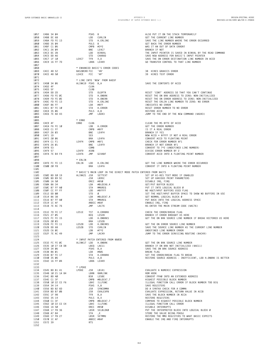| 1057         | E4B6 34 04                                                                                                                                           |                     | PSHS B                 |                                                                                                                                                                                                                                                                                                          | ALSO PUT IT ON THE STACK TEMPORARILY                                                       |
|--------------|------------------------------------------------------------------------------------------------------------------------------------------------------|---------------------|------------------------|----------------------------------------------------------------------------------------------------------------------------------------------------------------------------------------------------------------------------------------------------------------------------------------------------------|--------------------------------------------------------------------------------------------|
| 1058         | E4B8 DC 68                                                                                                                                           |                     |                        | LDD CURLIN                                                                                                                                                                                                                                                                                               | GET THE CURRENT LINE NUMBER                                                                |
| 1059         | E4BA FD FE 13                                                                                                                                        |                     |                        | STD H.ERLINE                                                                                                                                                                                                                                                                                             | SAVE THE LINE NUMBER WHERE THE ERROR OCCURRED                                              |
| 1060         | E4BD 35 04                                                                                                                                           |                     | PULS B                 |                                                                                                                                                                                                                                                                                                          | GET BACK THE ERROR NUMBER                                                                  |
|              | 1061 E4BF C1 06<br>1062 E4C1 26 04                                                                                                                   |                     | CMPB $\#3*2$           | BNE LE4C7                                                                                                                                                                                                                                                                                                | WAS IT AN OUT OF DATA ERROR?<br>BRANCH IF NOT                                              |
|              | 1063 E4C3 DC 2B                                                                                                                                      |                     |                        | LDD BINVAL                                                                                                                                                                                                                                                                                               | THE INPUT POINTER IS SAVED IN BINVAL BY THE READ COMMAND                                   |
|              | 1064 E4C5 DD A6                                                                                                                                      |                     |                        | STD CHARAD                                                                                                                                                                                                                                                                                               | SAVE NEW ADDRESS FOR BASIC'S INPUT POINTER                                                 |
|              | 1065 E4C7 1F 10                                                                                                                                      | LE4C7 TFR X,D       |                        |                                                                                                                                                                                                                                                                                                          | SAVE THE ON ERROR DESTINATION LINE NUMBER IN ACCD                                          |
| 1066         | E4C9 16 FF 7D                                                                                                                                        |                     | LBRA LE449             |                                                                                                                                                                                                                                                                                                          | GO TRANSFER CONTROL TO THAT LINE NUMBER                                                    |
| 1067         |                                                                                                                                                      |                     |                        |                                                                                                                                                                                                                                                                                                          |                                                                                            |
| 1068<br>1069 | E4CC 48 52                                                                                                                                           | BAS2ØERR FCC        |                        | * ENHANCED BASIC'S ERROR CODES<br>'HR'                                                                                                                                                                                                                                                                   | 38 HIRES GRAHICS ERROR                                                                     |
| 1070         | E4CE 48 50                                                                                                                                           | LE4CE FCC           |                        | 'HP'                                                                                                                                                                                                                                                                                                     | 39 HIRES TEXT ERROR                                                                        |
| 1071         |                                                                                                                                                      |                     |                        |                                                                                                                                                                                                                                                                                                          |                                                                                            |
| 1072         |                                                                                                                                                      |                     |                        | * LINE INTO 'NEW' FROM \$AD3F                                                                                                                                                                                                                                                                            |                                                                                            |
| 1073         | E4DØ 34 Ø6                                                                                                                                           | ALINK19 PSHS B,A    |                        |                                                                                                                                                                                                                                                                                                          | SAVE THE CONTENTS OF ACCD                                                                  |
| 1074         | E4D2 4F<br>E4D3 5F                                                                                                                                   |                     | CLRA                   |                                                                                                                                                                                                                                                                                                          |                                                                                            |
| 1075<br>1076 | E4D4 DD 2D                                                                                                                                           |                     | CLRB<br>STD            | OLDPTR                                                                                                                                                                                                                                                                                                   | RESET 'CONT' ADDRESS SO THAT YOU CAN'T CONTINUE                                            |
| 1077         | E4D6 FD FE ØC                                                                                                                                        |                     |                        | STD H.ONBRK                                                                                                                                                                                                                                                                                              | RESET THE ON BRK ADDRESS TO ZERO: NON-INITIALIZED                                          |
|              | 1078 E4D9 FD FE 0E                                                                                                                                   |                     |                        | STD H.ONERR                                                                                                                                                                                                                                                                                              | RESET THE ON ERROR ADDRESS TO ZERO: NON-INITIALIZED                                        |
| 1079         | E4DC FD FE 13                                                                                                                                        |                     |                        | STD H.ERLINE                                                                                                                                                                                                                                                                                             | RESET THE ERLIN LINE NUMBER TO ZERO: NO ERROR                                              |
|              | 1080 E4DF 86 FF                                                                                                                                      |                     | LDA #\$FF<br>STA H.ERF |                                                                                                                                                                                                                                                                                                          | INDICATES NO ERROR                                                                         |
| 1081<br>1082 | E4E1 B7 FE 10<br>E4E4 35 06                                                                                                                          |                     | PULS A,B               | STA H.ERROR                                                                                                                                                                                                                                                                                              | RESET ERROR NUMBER TO NO ERROR                                                             |
| 1083         | E4E6 7E AD 43                                                                                                                                        |                     | JMP                    | LAD43                                                                                                                                                                                                                                                                                                    | RESTORE ACCD<br>JUMP TO THE END OF THE NEW COMMAND (\$AD43)                                |
| 1084         |                                                                                                                                                      |                     |                        |                                                                                                                                                                                                                                                                                                          |                                                                                            |
| 1085         |                                                                                                                                                      | * ERNO              |                        |                                                                                                                                                                                                                                                                                                          |                                                                                            |
| 1086         | E4E9 4F                                                                                                                                              | ERNO                | CLRA                   |                                                                                                                                                                                                                                                                                                          | CLEAR THE MS BYTE OF ACCD                                                                  |
| 1087         | E4EA F6 FE 10                                                                                                                                        |                     |                        | LDB H.ERROR                                                                                                                                                                                                                                                                                              | GET THE ERROR NUMBER                                                                       |
| 1088<br>1089 | E4ED C1 FF<br>E4EF 26 03                                                                                                                             |                     | CMPB #\$FF<br>BNE      | LE4F4                                                                                                                                                                                                                                                                                                    | IS IT A REAL ERROR<br>BRANCH IF YES                                                        |
|              | 1090 E4F1 1D                                                                                                                                         |                     | SEX                    |                                                                                                                                                                                                                                                                                                          | NOW ACCD = $$FFFF IF NOT A REAL ERROR$                                                     |
| 1091         | E4F2 20 06                                                                                                                                           |                     |                        | BRA LE4FA                                                                                                                                                                                                                                                                                                | CONVERT ACCD TO FLOATING POINT                                                             |
| 1092         | E4F4 C1 F1                                                                                                                                           | LE4F4               |                        | CMPB #\$F1                                                                                                                                                                                                                                                                                               | CHECK FOR ERROR NUMBER \$F1                                                                |
| 1093         | E4F6 26 01                                                                                                                                           |                     | BNE                    | LE4F9                                                                                                                                                                                                                                                                                                    | BRANCH IF NOT ERROR \$F1                                                                   |
| 1094         | E4F8 53<br>E4F9 57                                                                                                                                   |                     | COMB                   |                                                                                                                                                                                                                                                                                                          | CONVERT TO 7*2 (UNDEFINED LINE NUMBER)                                                     |
| 1095<br>1096 | E4FA 7E B4 F4                                                                                                                                        | LE4F9<br>LE4FA      | ASRB<br>JMP            | GIVABF                                                                                                                                                                                                                                                                                                   | DIVIDE ERROR NUMBER BY 2<br>CONVERT ACCD INTO A FLOATING POINT NUMBER                      |
| 1097         |                                                                                                                                                      |                     |                        |                                                                                                                                                                                                                                                                                                          |                                                                                            |
| 1098         |                                                                                                                                                      | * ERLIN             |                        |                                                                                                                                                                                                                                                                                                          |                                                                                            |
| 1099         | E4FD FC FE 13                                                                                                                                        | ERLIN LDD           |                        | H.ERLINE                                                                                                                                                                                                                                                                                                 | GET THE LINE NUMBER WHERE THE ERROR OCCURRED                                               |
| 1100         | E500 20 F8                                                                                                                                           |                     | BRA                    | LE4FA                                                                                                                                                                                                                                                                                                    | CONVERT IT INTO A FLOATING POINT NUMBER                                                    |
| 1101<br>1102 |                                                                                                                                                      |                     |                        |                                                                                                                                                                                                                                                                                                          |                                                                                            |
|              | 1103 E502 BD E0 19                                                                                                                                   | ALINK21 JSR SETTEXT |                        | * BASIC'S MAIN LOOP IN THE DIRECT MODE PATCH ENTERED FROM \$AC73                                                                                                                                                                                                                                         | SET UP HI-RES TEXT MODE IF ENABLED                                                         |
|              | 1104 E505 BD B9 5C                                                                                                                                   | JSR LB95C           |                        |                                                                                                                                                                                                                                                                                                          | SET UP VARIOUS PRINT PARAMETERS                                                            |
|              | 1105 E508 1A 50                                                                                                                                      |                     | ORCC #\$50             |                                                                                                                                                                                                                                                                                                          | DISABLE IRQ, FIRQ                                                                          |
|              | 1106 E50A 86 34                                                                                                                                      |                     |                        | LDA #BLOCK6.4                                                                                                                                                                                                                                                                                            | GET/PUT BUFFER BLOCK                                                                       |
|              | 1107 E50C B7 FF A0                                                                                                                                   |                     |                        | STA MMUREG                                                                                                                                                                                                                                                                                               | PUT IT INTO LOGICAL BLOCK Ø                                                                |
| 1109         | 1108 E50F CC FF FF<br>E512 DD 00                                                                                                                     |                     | STD                    | LDD #\$FFFF<br>ø                                                                                                                                                                                                                                                                                         | NO HGET/HPUT BUFFERS USED FLAG<br>SET THE HGET/HPUT BUFFER SPACE TO SHOW NO BUFFERS IN USE |
|              | 1110 E514 86 38                                                                                                                                      |                     | LDA                    | #BLOCK7.4                                                                                                                                                                                                                                                                                                | GET NORMAL LOGICAL BLOCK Ø                                                                 |
|              | 1111 E516 B7 FF AØ                                                                                                                                   |                     | STA                    | MMUREG                                                                                                                                                                                                                                                                                                   | PUT BACK INTO THE LOGICAL ADDRESS SPACE                                                    |
|              | 1112 E519 1C AF                                                                                                                                      |                     | ANDCC #\$AF            |                                                                                                                                                                                                                                                                                                          | ENABLE IRQ, FIRQ                                                                           |
|              | 1113 E51B 7E AC 76                                                                                                                                   |                     | JMP                    | LAC76                                                                                                                                                                                                                                                                                                    | RE-ENTER THE MAIN STREAM CODE (\$AC76)                                                     |
| 1114         |                                                                                                                                                      |                     |                        |                                                                                                                                                                                                                                                                                                          | CHECK THE ERROR/BREAK FLAG                                                                 |
|              | 1115 E51E 7D FE 17<br>1116 E521 27 05                                                                                                                | LE51E TST           | BEQ                    | H.ERRBRK<br>LE528                                                                                                                                                                                                                                                                                        | BRANCH IF ERROR BROUGHT US HERE                                                            |
| 1117         | E523 FC FE 15                                                                                                                                        |                     | LDD                    | H.ONBRKS                                                                                                                                                                                                                                                                                                 | GET THE ON BRK SOURCE LINE NUMBER IF BREAK VECTORED US HERE                                |
|              | 1118 E526 20 03                                                                                                                                      |                     | BRA                    | LE52B                                                                                                                                                                                                                                                                                                    |                                                                                            |
|              | 1119 E528 FC FE 11                                                                                                                                   | LE528               | LDD                    | H.ONERRS                                                                                                                                                                                                                                                                                                 | GET THE ON ERROR SOURCE LINE NUMBER                                                        |
|              | 1120 E52B DD 68                                                                                                                                      | LE52B               | STD                    | CURLIN                                                                                                                                                                                                                                                                                                   | SAVE THE SOURCE LINE NUMBER AS THE CURRENT LINE NUMBER                                     |
| 1121         | E52D C6 ØE<br>1122 E52F 7E AC 49                                                                                                                     |                     | LDB<br>JMP             | $#7*2$<br>LAC49                                                                                                                                                                                                                                                                                          | UNDEFINED LINE NUMBER ERROR<br>JUMP TO THE ERROR SERVICING ROUTINE (\$AC49)                |
|              |                                                                                                                                                      |                     |                        |                                                                                                                                                                                                                                                                                                          |                                                                                            |
|              |                                                                                                                                                      |                     |                        |                                                                                                                                                                                                                                                                                                          |                                                                                            |
|              | * INPUT PATCH ENTERED FROM \$B03D<br>1126    E532 FC FE 0C    ALINK17 LDD H.ONBRK<br>1127    E539 34 de    ALINK17 LDD H.ONBRK<br>1127    E539 34 de |                     |                        |                                                                                                                                                                                                                                                                                                          | GET THE ON BRK SOURCE LINE NUMBER                                                          |
|              |                                                                                                                                                      |                     |                        |                                                                                                                                                                                                                                                                                                          | BRANCH IF ON BRK NOT INITIALIZED (\$AE11)                                                  |
|              | 1127 E539 34 06<br>1128 E53B 86 01                                                                                                                   |                     |                        | Lbcu<br>PSHS B,A<br>LDA #\$01<br>STA H.ERRBRK<br>PULS A,B<br>LBRA LE449                                                                                                                                                                                                                                  | SAVE THE ON BRK SOURCE ADDRESS<br>BREAK FLAG                                               |
|              |                                                                                                                                                      |                     |                        |                                                                                                                                                                                                                                                                                                          | SET THE ERROR/BREAK FLAG TO BREAK                                                          |
|              | 1129 E53D B7 FE 17<br>1130 E540 35 06                                                                                                                |                     |                        |                                                                                                                                                                                                                                                                                                          | RESTORE SOURCE ADDRESS - INEFFICIENT, LDD H.ONBRK IS BETTER                                |
|              | 1131 E542 16 FF Ø4                                                                                                                                   |                     |                        |                                                                                                                                                                                                                                                                                                          |                                                                                            |
| 1132         |                                                                                                                                                      |                     |                        |                                                                                                                                                                                                                                                                                                          |                                                                                            |
|              |                                                                                                                                                      |                     |                        |                                                                                                                                                                                                                                                                                                          |                                                                                            |
|              |                                                                                                                                                      |                     |                        |                                                                                                                                                                                                                                                                                                          | EVALUATE A NUMERIC EXPRESSION<br>ROM HOOK                                                  |
|              |                                                                                                                                                      |                     |                        |                                                                                                                                                                                                                                                                                                          | CONVERT FPAØ INTO AN EXTENDED ADDRESS                                                      |
|              |                                                                                                                                                      |                     |                        |                                                                                                                                                                                                                                                                                                          | HIGHEST POSSIBLE BLOCK NUMBER                                                              |
|              |                                                                                                                                                      |                     |                        |                                                                                                                                                                                                                                                                                                          | ILLEGAL FUNCTION CALL ERROR IF BLOCK NUMBER TOO BIG                                        |
|              |                                                                                                                                                      |                     |                        |                                                                                                                                                                                                                                                                                                          | SAVE REGISTERS                                                                             |
|              |                                                                                                                                                      |                     |                        |                                                                                                                                                                                                                                                                                                          | DO A SYNTAX CHECK FOR A COMMA                                                              |
|              |                                                                                                                                                      |                     |                        |                                                                                                                                                                                                                                                                                                          | EVALUATE EXPRESSION, RETURN VALUE IN ACCB<br>SAVE THE BLOCK NUMBER IN ACCA                 |
|              |                                                                                                                                                      |                     |                        |                                                                                                                                                                                                                                                                                                          | RESTORE REGISTERS                                                                          |
|              |                                                                                                                                                      |                     |                        |                                                                                                                                                                                                                                                                                                          | COMPARE TO HIGHEST POSSIBLE BLOCK NUMBER                                                   |
|              |                                                                                                                                                      |                     |                        |                                                                                                                                                                                                                                                                                                          | ILLEGAL FUNCTION CALL ERROR                                                                |
|              |                                                                                                                                                      |                     |                        |                                                                                                                                                                                                                                                                                                          | DISABLE INTERRUPTS                                                                         |
|              |                                                                                                                                                      |                     |                        |                                                                                                                                                                                                                                                                                                          | PUT THE INTERPRETED BLOCK INTO LOGICAL BLOCK Ø                                             |
|              |                                                                                                                                                      |                     |                        | 1132<br>1132<br>1133<br>1133<br>1134<br>1135<br>1136<br>1136<br>1136<br>1136<br>1136<br>1136<br>1136<br>1136<br>1136<br>1146<br>1136<br>1136<br>1156<br>1146<br>1156<br>1146<br>1146<br>1146<br>1146<br>1146<br>1146<br>1146<br>1146<br>1146<br>1146<br>1146<br>1146<br>1146<br>1146<br>1146<br>1146<br> | STORE THE VALUE BEING POKEd<br>RESTORE THE MMU REGISTERS TO WHAT BASIC EXPECTS             |
|              |                                                                                                                                                      |                     |                        |                                                                                                                                                                                                                                                                                                          | ENABLE THE IRQ AND FIRQ INTERRUPTS                                                         |
|              |                                                                                                                                                      |                     |                        |                                                                                                                                                                                                                                                                                                          |                                                                                            |
| 1152         |                                                                                                                                                      |                     |                        |                                                                                                                                                                                                                                                                                                          |                                                                                            |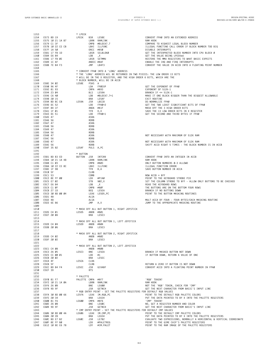| 1153         |                                   | * LPEEK                    |                                                                                                          |                                                                                                    |
|--------------|-----------------------------------|----------------------------|----------------------------------------------------------------------------------------------------------|----------------------------------------------------------------------------------------------------|
| 1154         | E573 8D 19                        | LPEEK<br>BSR               | LE58E                                                                                                    | CONVERT FPAØ INTO AN EXTENDED ADDRESS                                                              |
| 1155         | E575 10 21 1A 87                  |                            | LBRN RAMLINK<br>CMPB #BLOCK7.7                                                                           | RAM HOOK                                                                                           |
| 1156<br>1157 | E579 C1 3F<br>E57B 10 22 CE CB    |                            | LBHI ILLFUNC                                                                                             | COMPARE TO HIGHEST LEGAL BLOCK NUMBER<br>ILLEGAL FUNCTINO CALL ERROR IF BLOCK NUMBER TOO BIG       |
| 1158         | E57F 1A 50                        |                            | ORCC #\$50                                                                                               | DISABLE INTERRUPTS                                                                                 |
| 1159         | E581 17 FB 1D                     |                            | LBSR SELBLOKØ                                                                                            | GET THE INTERPRETED BLOCK NUMBER INTO CPU BLOCK Ø                                                  |
| 1160         | E584 E6 84                        | LDB                        | , Х                                                                                                      | GET THE VALUE BEING LPEEKed                                                                        |
| 1161         | E586 17 FB ØE                     |                            | LBSR SETMMU                                                                                              | RESTORE THE MMU REGISTERS TO WHAT BASIC EXPECTS                                                    |
| 1162<br>1163 | E589 1C AF<br>E58B 7E B4 F3       | JMP                        | ANDCC #\$AF<br>LB4F3                                                                                     | ENABLE THE IRQ AND FIRQ INTERRUPTS<br>CONVERT THE VALUE IN ACCB INTO A FLOATING POINT NUMBER       |
| 1164         |                                   |                            |                                                                                                          |                                                                                                    |
| 1165         |                                   |                            | * CONVERT FPAØ INTO A 'LONG' ADDRESS                                                                     |                                                                                                    |
| 1166         |                                   |                            | * THE 'LONG' ADDRESS WIL BE RETURNED IN TWO PIECES: THE LOW ORDER 13 BITS                                |                                                                                                    |
| 1167<br>1168 |                                   |                            | * WILL BE IN THE X REGISTER, AND THE HIGH ORDER 6 BITS, WHICH ARE THE<br>* BLOCK NUMBER, WILL BE IN ACCB |                                                                                                    |
| 1169         | E58E 34 02                        | LE58E<br>PSHS A            |                                                                                                          |                                                                                                    |
| 1170         | E590 96 4F                        | LDA                        | FPØEXP                                                                                                   | GET THE EXPONENT OF FPAØ                                                                           |
| 1171         | E592 81 93                        |                            | CMPA #\$93                                                                                               | EXPONENT OF 512K-1                                                                                 |
| 1172         | E594 23 04                        | <b>BLS</b>                 | LE59A                                                                                                    | BRANCH IF $\Leftarrow$ 512K-1<br>MAKE IT ONE BLOCK BIGGER THAN THE BIGGEST ALLOWABLE               |
| 1173<br>1174 | E596 C6 40<br>E598 20 15          | LDB<br>BRA                 | #BLOCK7.7+1<br>LE5AF                                                                                     | EXIT ROUTINE                                                                                       |
| 1175         | E59A BD BC C8                     | LE59A<br>JSR               | LBCC8                                                                                                    | DE-NORMALIZE FPAØ                                                                                  |
| 1176         | E59D DC 52                        | LDD                        | FPAØ+2                                                                                                   | GET THE TWO LEAST SIGNIFICANT BITS OF FPAØ                                                         |
| 1177         | E59F 84 1F                        |                            | ANDA #\$1F                                                                                               | MASK OFF THE 3 HIGH ORDER BITS                                                                     |
| 1178<br>1179 | E5A1 1F 01<br>E5A3 DC 51          | TFR<br>LDD                 | D, X<br>FPAØ+1                                                                                           | SAVE THE 13 LOW ORDER BITS IN X REGISTER<br>GET THE SECOND AND THIRD BYTES IF FPAØ                 |
| 1180         | E5A5 47                           | ASRA                       |                                                                                                          |                                                                                                    |
| 1181         | E5A6 56                           | RORB                       |                                                                                                          |                                                                                                    |
| 1182         | E5A7 47                           | ASRA                       |                                                                                                          |                                                                                                    |
| 1183<br>1184 | E5A8 56<br>E5A9 47                | RORB<br>ASRA               |                                                                                                          |                                                                                                    |
| 1185         | E5AA 56                           | RORB                       |                                                                                                          |                                                                                                    |
| 1186         | E5AB 47                           | ASRA                       |                                                                                                          | NOT NECESSARY WITH MAXIMUM OF 512K RAM                                                             |
| 1187         | E5AC 56                           | RORB                       |                                                                                                          |                                                                                                    |
| 1188<br>1189 | E5AD 47<br>E5AE 56                | ASRA<br>RORB               |                                                                                                          | NOT NECESSARY WITH MAXIMUM OF 512K RAM<br>SHIFT ACCD RIGHT 5 TIMES - THE BLOCK NUMBER IS IN ACCB   |
| 1190         | E5AF 35 82                        | LE5AF                      | PULS A, PC                                                                                               |                                                                                                    |
| 1191         |                                   |                            |                                                                                                          |                                                                                                    |
| 1192         |                                   | * BUTTON                   |                                                                                                          |                                                                                                    |
| 1193<br>1194 | E5B1 BD B3 ED<br>E5B4 10 21 1A 48 | BUTTON JSR                 | INTCNV<br>LBRN RAMLINK                                                                                   | CONVERT FPAØ INTO AN INTEGER IN ACCB<br>RAM HOOK                                                   |
| 1195         | E5B8 C1 03                        |                            | CMPB #\$03                                                                                               | ONLY BUTTON NUMBERS Ø-3 ALLOWD                                                                     |
| 1196         | E5BA 10 22 CE 8C                  |                            | LBHI ILLFUNC                                                                                             | ILLEGAL FUNCTION ERROR                                                                             |
| 1197<br>1198 | E5BE 1F 98<br>E5CØ 5F             | TFR<br>CLRB                | B,A                                                                                                      | SAVE BUTTON NUMBER IN ACCA                                                                         |
| 1199         | E5C1 53                           | COMB                       |                                                                                                          | NOW $ACCB = SFF$                                                                                   |
| 1200         | E5C2 8E FF 00                     | LDX                        | #PIAØ                                                                                                    | POINT TO THE KEYBOARD STROBE PIO                                                                   |
| 1201         | E5C5 E7 02                        | STB                        | \$02,X                                                                                                   | SET THE COLUMN STROBE TO \$FF - ALLOW ONLY BUTTONS TO BE CHECKED                                   |
| 1202<br>1203 | E5C7 E6 84<br>E5C9 C1 ØF          | LDB                        | ,Χ<br>CMPB #\$ØF                                                                                         | READ THE KEYBOARD ROWS<br>THE BUTTONS ARE ON THE BOTTOM FOUR ROWS                                  |
| 1204         | E5CB 27 1D                        | BEQ                        | LE5EA                                                                                                    | BRANCH IF NO BUTTONS DOWN                                                                          |
| 1205         | E5CD 30 8D 00 04                  |                            | LEAX LE5D5, PC                                                                                           | POINT TO THE BUTTON MASKING ROUTINES                                                               |
| 1206         | E5D1 48                           | ALSA                       |                                                                                                          |                                                                                                    |
| 1207<br>1208 | E5D2 48<br>E5D3 6E 86             | ALSA<br>JMP                |                                                                                                          | MULT ACCA BY FOUR - FOUR BYTES/EACH MASKING ROUTINE<br>JUMP TO THE APPROPRIATE MASKING ROUTINE     |
| 1209         |                                   |                            | A,X                                                                                                      |                                                                                                    |
| 1210         |                                   |                            | * MASK OFF ALL BUT BUTTON 1, RIGHT JOYSTICK                                                              |                                                                                                    |
| 1211         | E5D5 C4 01                        | LE5D5                      | ANDB #\$01                                                                                               |                                                                                                    |
| 1212<br>1213 | E5D7 20 0A                        | BRA                        | LE5E3                                                                                                    |                                                                                                    |
| 1214         |                                   |                            | * MASK OFF ALL BUT BUTTON 1, LEFT JOYSTICK                                                               |                                                                                                    |
| 1215         | E5D9 C4 04                        | LE5D9                      | ANDB #\$04                                                                                               |                                                                                                    |
| 1216<br>1217 | E5DB 20 06                        | BRA                        | LE5E3                                                                                                    |                                                                                                    |
| 1218         |                                   |                            | * MASK OFF ALL BUT BUTTON 2, RIGHT JOYSTICK                                                              |                                                                                                    |
| 1219         | E5DD C4 02                        | ANDB #\$02                 |                                                                                                          |                                                                                                    |
| 1220<br>1221 | E5DF 20 02                        | BRA                        | LE5E3                                                                                                    |                                                                                                    |
| 1222         |                                   |                            | * MASK OFF ALL BUT BUTTON 2, LEFT JOYSTICK                                                               |                                                                                                    |
| 1223         | E5E1 C4 08                        |                            | ANDB #\$08                                                                                               |                                                                                                    |
| 1224         | E5E3 26 05                        | LE5E3<br>BNE               | LE5EA                                                                                                    | BRANCH IF MASKED BUTTON NOT DOWN                                                                   |
| 1225<br>1226 | E5E5 CC 00 01<br>E5E8 20 02       | LDD<br>BRA                 | #1<br>LE5EC                                                                                              | IF BUTTON DOWN, RETURN A VALUE OF ONE                                                              |
| 1227         | E5EA 4F                           | LE5EA<br>CLRA              |                                                                                                          |                                                                                                    |
| 1228         | E5EB 5F                           | CLRB                       |                                                                                                          | RETURN A ZERO IF BUTTON IS NOT DOWN                                                                |
| 1229<br>1230 | E5EC BD B4 F4<br>E5EF 39          | LE5EC<br>JSR<br><b>RTS</b> | GIVABF                                                                                                   | CONVERT ACCD INTO A FLOATING POINT NUMBER IN FPAØ                                                  |
| 1231         |                                   |                            |                                                                                                          |                                                                                                    |
| 1232         |                                   | * PALETTE                  |                                                                                                          |                                                                                                    |
| 1233         | E5FØ 81 F7                        | PALETTE CMPA               | #\$F7                                                                                                    | 'RGB' TOKEN?                                                                                       |
| 1234<br>1235 | E5F2 10 21 1A 0A<br>E5F6 26 08    | LBRN<br>BNE                | RAMLINK<br>LE600                                                                                         | RAM HOOK<br>NOT THE 'RGB' TOKEN, CHECK FOR 'CMP'                                                   |
| 1236         | E5F8 9D 9F                        | <b>JSR</b>                 | <b>GETNCH</b>                                                                                            | GET THE NEXT CHARACTER FROM BASIC'S INPUT LINE                                                     |
| 1237         |                                   |                            | * RGB ENTRY POINT - SET THE PALETTE REGISTERS FOR DEFAULT RGB VALUES                                     |                                                                                                    |
| 1238<br>1239 | E5FA 30 8D 00 66                  | LE5FA<br>BRA               | LEAX IM.RGB, PC<br>LE634                                                                                 | POINT TO THE DEFAULT RGB PALETTE COLORS<br>PUT THE DATA POINTED TO BY X INTO THE PALETTE REGISTERS |
| 1240         | E5FE 20 34<br>E600 81 F6          | <b>LE600</b>               | CMPA #\$F6                                                                                               | 'CMP' TOKEN?                                                                                       |
| 1241         | E602 26 08                        | BNE                        | LE6ØC                                                                                                    | NO, GET A REGISTER NUMBER AND COLOR                                                                |
| 1242         | E604 9D 9F                        | JSR                        | GETNCH                                                                                                   | GET THE NEXT CHARACTER FROM BASIC'S INPUT LINE                                                     |
| 1243<br>1244 | E606 30 8D 00 4A                  | LE606                      | * CMP ENTRY POINT - SET THE PALETTE REGISTERS FOR DEFAULT CMP VALUES<br>LEAX IM.CMP, PC                  | POINT TO THE DEFAULT CMP PALETTE COLORS                                                            |
| 1245         | E60A 20 28                        | BRA                        | LE634                                                                                                    | PUT THE DATA POINTED TO BY X INTO THE PALETTE REGISTERS                                            |
| 1246         | E60C BD E7 B2                     | LE60C<br>JSR               | LE7B2                                                                                                    | EVALUATE TWO EXPRESSIONS, NORMALLY A HORIZONTAL & VERTICAL COORDINATE                              |
| 1247<br>1248 | E60F 8E FF B0<br>E612 10 8E E6 78 | LDX<br>LDY                 | #PALETREG<br>#IM.PALET                                                                                   | POINT TO THE GIME CHIP'S PALETTE REGISTERS<br>POINT TO THE RAM IMAGE OF THE PALETTE REGISTERS      |
|              |                                   |                            |                                                                                                          |                                                                                                    |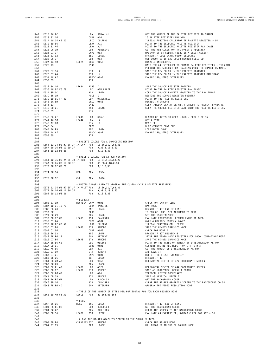**E616 96 2C LDA BINVAL+1 GET THE NUMBER OF THE PALETTE REGISTER TO CHANGE E618 81 10 CMPA #16 16 PALETTE REGISTERS MAXIMUM** 1251 E61A 10 24 CE 2C LBCC ILLFUNC ILLEGAL FUNCTION CALLERROR IF PALETTE REGISTER > 15<br>1252 E61E 30 86 LEAX A,X POINT TO T **E620 31 A6 LEAY A,Y POINT TO THE SELECTED PALETTE REGISTER RAM IMAGE 1254 E622 D6 C0 LDB VERBEG+1 GET THE NEW COLOR FOR THE PALETTE REGISTER E624 C1 3F CMPB #63 MAXIMUM OF 64 COLORS (ZERO IS A LEGIT COLOR) 1256 E626 23 02 BLS LE62A BRANCH IF LEGITIMATE COLOR SELECTED E628 C6 3F LDB #63 USE COLOR 63 IF BAD COLOR NUMBER SELECTED E62A 1A 50 LE62A ORCC #\$50 DISABLE INTERRUPTS E62C 13 SYNC WAIT FOR AN INTERRUPT TO CHANGE PALETTE REGISTERS - THIS WILL PREVENT THE SCREEN FROM FLASHING WHEN THE CHANGE IS MADE. 1261 E62D E7 84 STB ,X SAVE THE NEW COLOR IN THE PALETTE REGISTER E62F E7 A4 STB ,Y SAVE THE NEW COLOR IN THE PALETTE REGISTER RAM IMAGE 1263 E631 1C AF ANDCC #\$AF ENABLE IRQ, FIRQ INTERRUPTS E633 39 RTS E634 34 10 LE634 PSHS X SAVE THE SOURCE REGISTER POINTER E636 10 8E E6 78 LDY #IM.PALET POINT TO THE PALETTE REGISTER RAM IMAGE E63A 8D 0C BSR LE648 COPY THE SOURCE PALETTE REGISTER TO THE RAM IMAGE E63C 35 10 PULS X RESTORE THE SOURCE REGISTER POINTER E63E 10 8E FF B0 LDY #PALETREG POINT TO THE PALETTE REGISTERS E642 1A 50 ORCC #\$50 DIABLE INTERRUPTS E644 13 SYNC COPY IMMEDIATELY AFTER AN INTERRUPT TO PREVENT SPARKING E645 8D 01 BSR LE648 COPY THE SOURCE REGISTER DATE INTO THE PALETTE REGISTERS 128 E648 C6 0F LE648 LDB #16-1 NUMBER OF BYTES TO COPY - BUG - SHOULD BE 16 E64A A6 80 LE64A LDA ,X+ GET A BYTE 1278 E64C A7 A0 STA ,Y+ MOVE IT E64E 5A DECB BUMP COUNTER DOWN ONE E64F 26 F9 BNE LE64A LOOP UNTIL DONE E651 1C AF ANDCC #\$AF ENABLE IRQ, FIRQ INTERRUPTS**  $F653 39$  **\* PALETTE COLORS FOR A COMPOSITE MONITOR 1285 E654 12 24 0B 07 3F 1F IM.CMP FCB 18,36,11,7,63,31 E65A 09 26 00 12 00 3F FCB 9,38,0,18,0,63 E660 00 12 00 26 FCB 0,18,0,38 \* PALETTE COLORS FOR AN RGB MONITOR E664 12 36 09 24 3F 1B IM.RGB FCB 18,54,9,36,63,27 E66A 2D 26 00 12 00 3F FCB 45,38,0,18,0,63 E670 00 12 00 26 FCB 0,18,0,38 E674 20 84 RGB BRA LE5FA E676 20 8E CMP BRA LE606 \* MASTER IMAGES USED TO PROGRAM THE CUSTOM CHIP'S PALETTE REGISTERS E678 12 24 0B 07 3F 1F IM.PALET FCB 18,36,11,7,63,31 1300 E67E 09 26 00 12 00 3F FCB 9,38,0,18,0,63 E684 00 12 00 26 FCB 0,18,0,38 \* HSCREEN E688 81 00 HSCREEN CMPA #\$00 CHECK FOR END OF LINE E68A 10** 21 19 72 **LBRN RAMLIN**<br>1305 **E68A 10** 21 19 72 **LBRN RAMLIN**<br>1306 **E68E 26 03 BNE** LE693 **E68E 26 03 BNE LE693 BRANCH IF NOT END OF LINE** 1307 E690'SF (LRB CLRB CLRB ) COMMENT TO ZERO CONSUMENT TO 2009<br>1308 E691 20:09 BRA LE69C (STEER SET THE HSCREEN MODE<br>1309 E693 BD B7:0B LE693 JSR EVALEXPB (EVALUATE EXPRESSION, RETURN VALUE IN ACCB **E696 C1 04 CMPB #\$04 ONLY 4 HSCREEN MODES ALLOWED E698 10 22 CD AE LBHI ILLFUNC ILLEGAL FUNCTION CALL ERROR E69C D7 E6 LE69C STB HRMODE SAVE THE HI-RES GRAPHICS MODE E69E C1 00 CMPB #\$00 CHECK FOR MODE 0 E6A0 26 03 BNE LE6A5 BRANCH IF NOT HSCREEN 0 E6A2 7E E0 19 JMP SETTEXT SETUP THE VIDEO MODE REGISTERS FOR COCO COMPATIBLE MODE E6A5 D7 E6 LE6A5 STB HRMODE SAVE THE HI-RES GRAPHICS MODE E6A7 8E E6 CB LDX #LE6CB POINT TO THE TABLE OF NUMBER OF BYTES/HORIZONTAL ROW E6AA C0 01 SUBB #\$01 CONVERT THE HI-RES MODE FROM 1-4 TO 0-3 E6AC A6 85 LDA B,X GET THE NUMBER OF BYTES/HORIZONTAL ROW E6AE 97 B9 STA HORBYT AND SAVE IT 1321 E6B0 C1 01 CMPB #\$01 ONE OF THE FIRST TWO MODES? E6B2 2E 05 BGT LE6B9 BRANCH IF NOT E6B4 CC 00 A0 LDD #160 HORIZONTAL CENTER OF 320 COORDINATE SCREEN E6B7 20 03 BRA LE6BC E6B9 CC 01 40 LE6B9 LDD #320 HORIZONTAL CENTER OF 640 COORDINATE SCREEN E6BC DD C7 LE6BC STD HORDEF SAVE AS HORIZONTAL DEFAULT COORD E6BE CC 00 60 LDD #96 VERTICAL CENTER COORDINATE E6C1 DD C9 STD VERDEF SAVE AS VERTICAL DEFAULT E6C3 F6 FE 0B LDB H.BCOLOR GET THE BACKGROUND COLOR E6C6 8D 10 BSR CLRHIRES CLEAR THE HI-RES GRAPHICS SCREEN TO THE BACKGROUND COLOR E6C8 7E E0 4D JMP SETGRAPH GROGRAM THE VIDEO RESOLUTION MODE \* TABLE OF THE NUMBER OF BYTES PER HORIZONTAL ROW FOR EACH HSCREEN MODE E6CB 50 A0 50 A0 LE6CB FCB 80,160,80,160 \* HCLS E6CF 26 05 HCLS BNE LE6D6 BRANCH IF NOT END OF LINE E6D1 F6 FE 0B LDB H.BCOLOR GET THE BACKGROUND COLOR E6D4 20 02 BRA CLRHIRES CLEAR THE SCREEN TO THE BACKGROUND COLOR E6D6 8D 36 LE6D6 BSR LE70E EVALUATE AN EXPRESSION, SYNTAX CHECK FOR NOT > 16 \* CLEAR THE HI-RES GRAPHICS SCREEN TO THE COLOR IN ACCB E6D8 0D E6 CLRHIRES TST HRMODE CHECK THE HI-RES MODE**

**E6DA 27 13 BEQ LE6EF HR' ERROR IF IN THE 32 COLUMN MODE**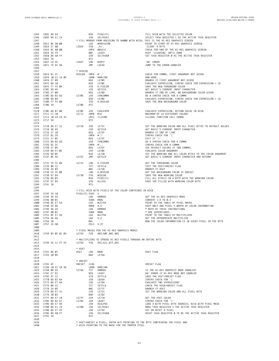| 1345<br>1346<br>1347<br>1348                                                                                                                                         | E6DC 8D 64<br>E6DE BD E1 19<br>E6E1 8E 20 00                                                                                                                                                                                                                                        |                                                             | BSR<br>JSR<br>LDX                                                                                                   | PIXELFIL<br>SELTASK1<br>#HRESSCRN                                                                                                                              | FILL ACCB WITH THE SELECTED COLOR<br>SELECT TASK REGISTER 1 AS THE ACTIVE TASK REGISTER<br>* FILL MEMORY FROM HRESSCRN TO \$A000 WITH ACCB; THIS IS THE HI-RES GRAPHICS SCREEN<br>POINT TO START OF HI-RES GRAPHICS SCREEN                                                                                                                                                                                                                                                                                      |
|----------------------------------------------------------------------------------------------------------------------------------------------------------------------|-------------------------------------------------------------------------------------------------------------------------------------------------------------------------------------------------------------------------------------------------------------------------------------|-------------------------------------------------------------|---------------------------------------------------------------------------------------------------------------------|----------------------------------------------------------------------------------------------------------------------------------------------------------------|-----------------------------------------------------------------------------------------------------------------------------------------------------------------------------------------------------------------------------------------------------------------------------------------------------------------------------------------------------------------------------------------------------------------------------------------------------------------------------------------------------------------|
| 1349<br>1350<br>1351<br>1352                                                                                                                                         | E6E4 E7 80<br>E6E6 8C A0 00<br>E6E9 26 F9<br>E6EB BD EØ FF                                                                                                                                                                                                                          | LE6E4                                                       | STB<br>BNE<br>JSR                                                                                                   | , X+<br>CMPX #BASIC<br>LE6E4<br>SELTASKØ                                                                                                                       | 'CLEAR' A BYTE<br>CHECK FOR END OF THE HI-RES GRAPHICS SCREEN<br>KEEP 'CLEARING' UNTIL DONE<br>SET TASK REGISTER Ø AS THE ACTIVE TASK REGISTER                                                                                                                                                                                                                                                                                                                                                                  |
| 1353<br>1354<br>1355                                                                                                                                                 | E6EE 39<br>E6EF C6 4C<br>E6F1 7E AC 46                                                                                                                                                                                                                                              | LE6EF                                                       | <b>RTS</b><br>LDB<br>JMP                                                                                            | #38*2<br>LAC46                                                                                                                                                 | 'HR' ERROR<br>JUMP TO THE ERROR HANDLER                                                                                                                                                                                                                                                                                                                                                                                                                                                                         |
| 1356<br>1357<br>1358<br>1359<br>1360<br>1361<br>1362<br>1363<br>1364<br>1365<br>1366<br>1367<br>1368                                                                 | E6F4 81 2C<br>E6F6 10 21 19 06<br>E6FA 27 09<br>E6FC 8D 10<br>E6FE F7 FE ØA<br>E701 9D A5<br>E703 27 08<br>E705 BD B2 6D<br>E708 8D 04<br>E70A F7 FE 0B<br>E7ØD 39                                                                                                                  | * HCOLOR<br>HCOLOR CMPA #','<br>LE705<br>LE7ØD              | BEQ<br>BSR<br>STB<br>JSR<br>BEQ<br>JSR<br>BSR<br>STB<br><b>RTS</b>                                                  | LBRN RAMLINK<br>LE705<br>LE7ØE<br>H.FCOLOR<br>GETCCH<br>LE7ØD<br>SYNCOMMA<br>LE7ØE<br>H.BCOLOR                                                                 | CHECK FOR COMMA, FIRST ARGUMENT NOT GIVEN<br>RAM HOOK<br>BRANCH IF FIRST ARGUMENT NOT GIVEN<br>EVALUATE EXPRESSION, SYNTAX CHECK FOR EXPRESSION > 16<br>SAVE THE NEW FORGROUND COLOR<br>GET BASIC'S CURRENT INPUT CHARACTER<br>BRANCH IF END OF LINE, NO BACKGROUND COLOR GIVEN<br>DO A SYNTAX CHECK FOR A COMMA<br>EVALUATE EXPRESSION, SYNTAX CHECK FOR EXPRESSION > 16<br>SAVE THE NEW BACKGROUND COLOR                                                                                                      |
| 1369<br>1370<br>1371<br>1372<br>1373                                                                                                                                 | E7ØE BD B7 ØB<br>E711 C1 10<br>E713 10 24 CD 33<br>E717 39                                                                                                                                                                                                                          | LE7ØE<br>LE711                                              | JSR<br>CMPB #16<br>LBCC<br><b>RTS</b>                                                                               | EVALEXPB<br>ILLFUNC                                                                                                                                            | EVALUATE EXPRESSION, RETURN VALUE IN ACCB<br>MAXIMUM OF 16 DIFFERENT COLORS<br>ILLEGAL FUNCTION CALL ERROR                                                                                                                                                                                                                                                                                                                                                                                                      |
| 1374<br>1375<br>1376<br>1377<br>1378<br>1379<br>1380<br>1381<br>1382<br>1383<br>1384<br>1385<br>1386                                                                 | E718 BD E7 31<br>E71B 9D A5<br>E71D 27 10<br>E71F 81 29<br>E721 27 ØC<br>E723 BD B2 6D<br>E726 81 2C<br>E728 27 05<br>E72A BD E7 ØE<br>E72D 8D ØC<br>E72F ØE A5                                                                                                                     | LE718<br>LE72F                                              | JSR<br>JSR<br>BEQ<br>$CMPA$ #')'<br>BEQ<br>JSR<br>CMPA #','<br>BEQ<br>JSR<br>BSR<br>JMP                             | LE731<br>GETCCH<br>LE72F<br>LE72F<br>SYNCOMMA<br>LE72F<br>LE7ØE<br>LE73B<br>GETCCH                                                                             | SET THE WORKING COLOR AND ALL PIXEL BYTES TO DEFAULT VALUES<br>GET BASIC'S CURRENT INPUT CHARACTER<br>BRANCH IF END OF LINE<br>SYNTAX CHECK FOR ')'<br>EXIT IF ')'<br>DO A SYNTAX CHECK FOR A COMMA<br>SYNTAX CHECK FOR A COMMA<br>USE DEFAULT COLORS IF TWO COMMAS<br>EVALUATE COLOR ARGUMENT<br>SET THE WORKING AND ALL COLOR BYTES TO THE COLOR ARGUMENT<br>GET BASIC'S CURRENT INPUT CHARACTER AND RETURN                                                                                                   |
| 1387<br>1388<br>1389<br>1390<br>1391<br>1392<br>1393<br>1394                                                                                                         | E731 F6 FE ØA<br>E734 ØD C2<br>E736 26 03<br>E738 F6 FE ØB<br>E73B D7 B4<br>E73D 8D 03<br>E73F D7 B5<br>E741 39                                                                                                                                                                     | LE731<br>LE73B                                              | LDB<br>TST<br>BNE<br>LDB<br>STB<br>BSR<br><b>STB</b><br><b>RTS</b>                                                  | H.FCOLOR<br>SETFLG<br>LE73B<br>H.BCOLOR<br>WCOLOR<br>PIXELFIL<br>ALLCOL                                                                                        | GET THE FOREGOUND COLOR<br>TEST THE HSET/HRESET FLAG<br>BRANCH IF HSET<br>GET THE BACKGROUND COLOR IF HRESET<br>SAVE THE NEW WORKING COLOR<br>FILL ALL PIXELS IN A BYTE WITH THE WORKING COLOR<br>SAVE THE FILLED WITH WORKING COLOR BYTE                                                                                                                                                                                                                                                                       |
| 1395<br>1396<br>1397<br>1398<br>1399<br>1400<br>1401<br>1402<br>1403<br>1404<br>1405<br>1406<br>1407<br>1408                                                         | E742 34 10<br>E744 96 E6<br>E746 80 01<br>E748 8E E7 59<br>E74B E4 86<br>E74D 96 E6<br>E74F 80 01<br>E751 8E E7 5D<br>E754 A6 86<br>E756 3D<br>E757 35 90                                                                                                                           | PIXELFIL PSHS X                                             | LDA<br>SUBA #\$01<br>LDX<br>ANDB A, X<br>LDA<br>SUBA #\$01<br>LDX<br>LDA<br>MUL<br>PULS X, PC                       | * FILL ACCB WITH PIXELS OF THE COLOR CONTAINED IN ACCB<br>HRMODE<br>#LE759<br>HRMODE<br>#LE75D<br>A,X                                                          | GET THE HI-RES GRAPHICS MODE<br>CONVERT 1-4 TO 0-3<br>POINT TO THE TABLE OF PIXEL MASKS<br>KEEP ONLY ONE PIXEL'S WORTH OF COLOR INFORMATION<br>* BOTH OF THESE INSTRUCTIONS<br>* ARE SUPERFLUOUS<br>POINT TO THE TABLE OF MULTIPLIERS<br>GET THE APPROPRIATE MULTIPLIER<br>NOW THE COLOR INFORMATION IS IN EVERY PIXEL IN THE BYTE                                                                                                                                                                              |
| 1409<br>1410<br>1411                                                                                                                                                 | E759 03 0F 01 03                                                                                                                                                                                                                                                                    | LE759                                                       | FCB                                                                                                                 | * PIXEL MASKS FOR THE HI-RES GRAPHICS MODES<br>\$03, \$0F, \$01, \$03                                                                                          |                                                                                                                                                                                                                                                                                                                                                                                                                                                                                                                 |
| 1412<br>1413<br>1414                                                                                                                                                 | E75D 55 11 FF 55                                                                                                                                                                                                                                                                    | LE75D                                                       | FCB                                                                                                                 | * MULTIPLIERS TO SPREAD HI-RES PIXELS THROUGH AN ENTIRE BYTE<br>\$55, \$11, \$FF, \$55                                                                         |                                                                                                                                                                                                                                                                                                                                                                                                                                                                                                                 |
| 1415<br>1416<br>1417                                                                                                                                                 | E761 86 01<br>E763 20 05                                                                                                                                                                                                                                                            | * HSET<br>HSET                                              | LDA<br>BRA                                                                                                          | #\$01<br>LE76A                                                                                                                                                 | HSET FLAG                                                                                                                                                                                                                                                                                                                                                                                                                                                                                                       |
| 1418<br>1419<br>1420<br>1421<br>1422<br>1423<br>1424<br>1425<br>1426<br>1427<br>1428<br>1429<br>1430<br>1431<br>1432<br>1433<br>1434<br>1435<br>1436<br>1437<br>1438 | E765 4F<br>E766 10 21 18 96<br>E76A ØD E6<br>E76C 27 81<br>E76E 97 C2<br>E770 BD B2 6A<br>E773 BD E7 AA<br>E776 ØD C2<br>E778 26 05<br>E77A BD E7 31<br>E77D 20 03<br>E77F BD E7 18<br>E782 BD B2 67<br>E785 BD E7 DA<br>E788 BD E1 19<br>E78B BD E7 92<br>E78E BD EØ FF<br>E791 39 | * HRESET<br>HRESET CLRA<br>LE76A<br>LE77F<br>LE782<br>LE788 | TST<br>BEQ<br>STA<br>JSR<br>JSR<br>TST<br>BNE<br>JSR<br>BRA<br>JSR<br>JSR<br>JSR<br>JSR<br>JSR<br>JSR<br><b>RTS</b> | LBRN RAMLINK<br>HRMODE<br>LE6EF<br>SETFLG<br>LB26A<br>LE7AA<br>SETFLG<br>LE77F<br>LE731<br>LE782<br>LE718<br>LB267<br>HCALPOS<br>SELTASK1<br>LE792<br>SELTASKØ | HRESET FLAG<br>IS THE HI-RES GRAPHICS MODE ENABLED?<br>HR' ERROR IF HI-RES MODE NOT ENABLED<br>SAVE THE HSET/HRESET FLAG<br>SYNTAX CHECK FOR '('<br>EVALUATE TWO EXPRESSIONS<br>CHECK THE HSER/HRESET FLAG<br>BRANCH IF HSET<br>SET THE WORKING COLOR AND ALL PIXEL BYTE<br>GET THE HSET COLOR<br>SYNTAX CHECK FOR ')'<br>LOAD X WITH PIXEL BYTE ADDRESS; ACCA WITH PIXEL MASK<br>MAKE TASK REGISTER 1 THE ACTIVE TASK REGISTER<br>SET OR RESET A PIXEL<br>RESET TASK REGISTER Ø TO BE THE ACTIVE TASK REGISTER |
| 1439<br>1440                                                                                                                                                         |                                                                                                                                                                                                                                                                                     |                                                             |                                                                                                                     | * HSET/HRESET A PIXEL; ENTER W/X POINTING TO THE BYTE CONTAINING THE PIXEL AND<br>* ACCA POINTING TO THE MASK FOR THE PROPER PIXEL                             |                                                                                                                                                                                                                                                                                                                                                                                                                                                                                                                 |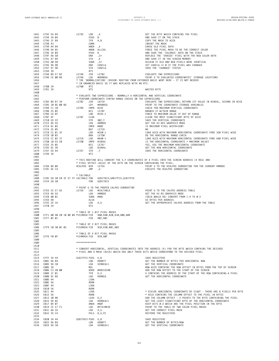| 1441<br>1442<br>1443<br>1444<br>1445<br>1446<br>1447<br>1448<br>1449<br>1450<br>1451 | E792 E6 84<br>E794 34 04<br>E796 1F 89<br>E798 43<br>E799 A4 84<br>E79B D4 B5<br>E79D 34 04<br>E79F AA EØ<br>E7A1 A7 84<br>E7A3 AØ EØ<br>E7A5 9A DB |  |                                     | LE792                  | LDB<br>PSHS B<br>TFR<br>COMA<br>ANDA<br>PSHS B<br>ORA<br>STA<br>SUBA, S+<br>ORA | ,Х<br>A, B<br>, X<br>ANDB ALLCOL<br>, S+<br>, X<br>CHGFLG                         | GET THE BYTE WHICH CONTAINS THE PIXEL<br>AND SAVE IT ON THE STACK<br>COPY THE MASK TO ACCB<br>INVERT THE MASK<br>ERASE OLD PIXEL DATA<br>FORCE THE PIXEL MASK TO BE THE CORRECT COLOR<br>AND SAVE THE 'COLORED' DATA ON THE STACK<br>REPLACE THE 'ERASED' PIXEL WITH THE NEW COLOR DATA<br>AND SAVE IT IN THE SCREEN MEMORY<br>ACCA=Ø IF OLD AND NEW PIXELS WERE IDENTICAL<br>SET CHGFLG $\infty$ Ø IF THE PIXEL WAS CHANGED |
|--------------------------------------------------------------------------------------|-----------------------------------------------------------------------------------------------------------------------------------------------------|--|-------------------------------------|------------------------|---------------------------------------------------------------------------------|-----------------------------------------------------------------------------------|------------------------------------------------------------------------------------------------------------------------------------------------------------------------------------------------------------------------------------------------------------------------------------------------------------------------------------------------------------------------------------------------------------------------------|
| 1452<br>1453<br>1454<br>1455<br>1456                                                 | E7A7 97 DB<br>E7A9 39<br>E7AA BD E7 B2<br>E7AD CE 00 BD                                                                                             |  |                                     | LE7AA<br>LE7AD         | STA<br><b>RTS</b><br>JSR<br>LDU                                                 | CHGFLG<br>LE7B2<br>#HORBEG<br>* IN ENHANCED BASIC SO IT WAS REPLACED WITH AN RTS. | SAVE THE 'CHANGED' STATUS<br>EVALUATE TWO EXPRESSIONS<br>POINT U TO EVALUATED COORDINATES' STORAGE LOCATIONS<br>* THE 'NORMALIZATION' (\$9320) ROUTINE FROM EXTENDED BASIC WENT HERE - IT IS NOT NEEDED                                                                                                                                                                                                                      |
| 1457<br>1458<br>1459                                                                 | E7BØ 39<br>E7B1 39                                                                                                                                  |  |                                     | LE7BØ                  | <b>RTS</b><br><b>RTS</b>                                                        |                                                                                   | WASTED BYTE                                                                                                                                                                                                                                                                                                                                                                                                                  |
| 1460<br>1461                                                                         |                                                                                                                                                     |  |                                     |                        |                                                                                 | * EVALUATE TWO EXPRESSIONS - NORMALLY A HORIZONTAL AND VERTICAL COORDINATE        |                                                                                                                                                                                                                                                                                                                                                                                                                              |
| 1462<br>1463                                                                         | E7B2 BD B7 34                                                                                                                                       |  |                                     | LE7B2                  | JSR                                                                             | * PERFORM COORDINATE SYNTAX RANGE CHECKS ON THE EXPRESSIONS<br>LB734              | EVALUATE TWO EXPRESSIONS; RETURN 1ST VALUE IN BINVAL, SECOND IN ACCB                                                                                                                                                                                                                                                                                                                                                         |
| 1464<br>1465                                                                         | E7B9 C1 C0                                                                                                                                          |  | E7B5 10 8E 00 BD                    | LE7B9                  | LDY<br>CMPB #192                                                                | #HORBEG                                                                           | POINT TO THE COORDINATE STORAGE VARIABLES<br>CHECK FOR MAXIMUM VERTICAL COORDINATE                                                                                                                                                                                                                                                                                                                                           |
| 1466<br>1467                                                                         | E7BB 25 02<br>E7BD C6 BF                                                                                                                            |  |                                     |                        | <b>BCS</b><br>LDB                                                               | LE7BF<br>#192-1                                                                   | BRANCH IF WITHIN RANGE<br>FORCE TO MAXIMUM VALUE IF OUT OF RANGE                                                                                                                                                                                                                                                                                                                                                             |
| 1468<br>1469                                                                         | E7BF 4F<br>E7CØ ED 22                                                                                                                               |  |                                     | LE7BF                  | CLRA<br>STD                                                                     | \$02,Y                                                                            | CLEAR THE MOST SIGNIFICANT BYTE OF ACCD<br>SAVE THE VERTICAL COORDINATE                                                                                                                                                                                                                                                                                                                                                      |
| 1470<br>1471                                                                         | E7C2 96 E6<br>E7C4 81 02                                                                                                                            |  |                                     |                        | LDA<br>CMPA #\$02                                                               | HRMODE                                                                            | GET THE HI-RES GRAPHICS MODE<br>IS MAXIMUM PIXEL WIDTH=320?                                                                                                                                                                                                                                                                                                                                                                  |
| 1472<br>1473                                                                         | E7C6 2E 05<br>E7C8 CC 01 3F                                                                                                                         |  |                                     |                        | BGT<br>LDD                                                                      | LE7CD<br>#320-1                                                                   | NO<br>LOAD ACCD WITH MAXIMUM HORIZONTAL COORDINATE FORE 320 PIXEL WIDE                                                                                                                                                                                                                                                                                                                                                       |
| 1474                                                                                 | E7CB 20 03                                                                                                                                          |  |                                     |                        | BRA                                                                             | LE7DØ                                                                             | DO THE HORIZONTAL RANGE CHECK                                                                                                                                                                                                                                                                                                                                                                                                |
| 1475<br>1476                                                                         | E7CD CC 02 7F<br>E7DØ 10 93 2B                                                                                                                      |  |                                     | LE7CD<br>LE7DØ         | LDD                                                                             | #640-1<br>CMPD BINVAL                                                             | LOAD ACCD WITH MAXIMUM HORIZONTAL COORDINATE FORE 640 PIXEL WIDE<br>IS THE HORIZONTAL COORDINATE > MAXIMUM VALUE?                                                                                                                                                                                                                                                                                                            |
| 1477<br>1478                                                                         | E7D3 25 02<br>E7D5 DC 2B                                                                                                                            |  |                                     |                        | <b>BCS</b><br>LDD                                                               | LE7D7<br>BINVAL                                                                   | YES, USE THE MAXIMUM HORIZONTAL COORDINATE<br>GET THE NEW HORIZONTAL COORDINATE                                                                                                                                                                                                                                                                                                                                              |
| 1479<br>1480                                                                         | E7D7 ED A4<br>E7D9 39                                                                                                                               |  |                                     | LE7D7                  | STD<br><b>RTS</b>                                                               | ,Υ                                                                                | SAVE THE HORIZONTAL COORDINATE                                                                                                                                                                                                                                                                                                                                                                                               |
| 1481<br>1482<br>1483<br>1484                                                         | E7DA 8D ØA                                                                                                                                          |  |                                     | HCALPOS BSR            |                                                                                 | * PIXEL OFFSET (ACCA) OF THE BYTE ON THE SCREEN CONTAINING THE PIXEL.<br>LE7E6    | * THIS ROUTINE WILL CONVERT THE X,Y COORDINATES OF A PIXEL INTO THE SCREEN ADDRESS (X REG) AND<br>POINT U TO THE HCALPOS SUBROUTINE FOR THE CURRENT HRMODE                                                                                                                                                                                                                                                                   |
| 1485<br>1486                                                                         | E7DC 6E C4                                                                                                                                          |  |                                     |                        | JMP                                                                             | , U                                                                               | EXECUTE THE HCALPOS SUBROUTINE                                                                                                                                                                                                                                                                                                                                                                                               |
| 1487<br>1488<br>1489<br>1490                                                         | E7E4 E8 20                                                                                                                                          |  | E7DE E8 20 E8 3F E7 FF CALTABLE FDB | * CALTABLE             | FDB                                                                             | G2BITBIX, G4BITPIX, G1BITPIX<br>G2BITBIX                                          |                                                                                                                                                                                                                                                                                                                                                                                                                              |
| 1491<br>1492<br>1493<br>1494<br>1495<br>1496<br>1497                                 | E7E6 CE E7 DE<br>E7E9 96 E6<br>E7EB 80 01<br>E7ED 48<br>E7EE EE C6<br>E7FØ 39                                                                       |  |                                     | LE7E6                  | LDU<br>LDA<br>SUBA #\$01<br>ALSA<br>LDU<br><b>RTS</b>                           | * POINT U TO THE PROPER CALPOS SUBROUTINE<br>#CALTABLE<br>HRMODE<br>A,U           | POINT U TO THE CALPOS ADDRESS TABLE<br>GET THE HI-RS GRAPHICS MODE<br>(DECA WOULD DO) CONVERT FROM 1-4 TO Ø-3<br>X2 BYTES PER ADDRESS<br>GET THE APPROPRIATE CALPOS ADDRESS FROM THE TABLE                                                                                                                                                                                                                                   |
| 1498<br>1499<br>1500<br>1501<br>1502                                                 | E7F7 02 01                                                                                                                                          |  | E7F1 80 40 20 10 08 04 PIX1MASK FCB |                        | FCB                                                                             | * TABLE OF 1 BIT PIXEL MASKS<br>\$80,\$40,\$20,\$10,\$08,\$04<br>\$02,\$01        |                                                                                                                                                                                                                                                                                                                                                                                                                              |
| 1503<br>1504<br>1505                                                                 |                                                                                                                                                     |  | E7F9 CØ 30 ØC Ø3                    |                        |                                                                                 | * TABLE OF 2 BIT PIXEL MASKS<br>PIX2MASK FCB \$C0, \$30, \$0C, \$03               |                                                                                                                                                                                                                                                                                                                                                                                                                              |
| 1506<br>1507                                                                         | E7FD FØ ØF                                                                                                                                          |  |                                     | PIX4MASK FCB \$FØ,\$ØF |                                                                                 | * TABLE OF 4 BIT PIXEL MASKS                                                      |                                                                                                                                                                                                                                                                                                                                                                                                                              |
| 1508<br>1509                                                                         |                                                                                                                                                     |  |                                     | **************         |                                                                                 |                                                                                   |                                                                                                                                                                                                                                                                                                                                                                                                                              |
| 1510<br>1511<br>1512<br>1513                                                         |                                                                                                                                                     |  |                                     |                        |                                                                                 |                                                                                   | * CONVERT HORIZONTAL, VERTICAL COORDINATES INTO THE ADDRESS (X) FOR THE BYTE WHICH CONTAINS THE DESIRED<br>* PIXEL AND A MASK (ACCA) WHICH HAS ONLY THOSE BITS WHICH CORRESPOND TO THE DESIRED PIXEL                                                                                                                                                                                                                         |
| 1514 E7FF 34 44<br>1515 E801 D6 B9                                                   |                                                                                                                                                     |  |                                     | G1BITPIX PSHS U.B      | LDB                                                                             | HORBYT                                                                            | SAVE REGISTERS<br>GET THE NUMBER OF BYTES PER HORIZONTAL ROW                                                                                                                                                                                                                                                                                                                                                                 |
| 1516 E803 96 CO<br>1517 E805 3D                                                      |                                                                                                                                                     |  |                                     |                        | LDA<br>MUL                                                                      | VERBEG+1                                                                          | GET THE VERTICAL COORDINATE<br>NOW ACCD CONTAINS THE ROW OFFSET IN BYTES FROM THE TOP OF SCREEN                                                                                                                                                                                                                                                                                                                              |
| 1518<br>1519                                                                         | E806 C3 20 00<br>E809 1F 01                                                                                                                         |  |                                     |                        | TFR                                                                             | ADDD #HRESSCRN<br>D,X                                                             | ADD THE ROW OFFSET TO THE START OF THE SCREEN<br>X CONTAINS THE ADDRESS OF THE START OF THE ROW CONTAINING A PIXEL                                                                                                                                                                                                                                                                                                           |
| 1520<br>1521                                                                         | E8ØB DC BD<br>E80D 44                                                                                                                               |  |                                     |                        | LDD<br>LSRA                                                                     | HORBEG                                                                            | GET THE HORIZONTAL COORDINATE                                                                                                                                                                                                                                                                                                                                                                                                |
| 1522 E80E 56                                                                         |                                                                                                                                                     |  |                                     |                        | RORB                                                                            |                                                                                   |                                                                                                                                                                                                                                                                                                                                                                                                                              |
| 1523 E80F 44<br>1524 E810 56                                                         |                                                                                                                                                     |  |                                     |                        | LSRA<br>RORB                                                                    |                                                                                   |                                                                                                                                                                                                                                                                                                                                                                                                                              |
| 1525 E811 44<br>1526 E812 56                                                         |                                                                                                                                                     |  |                                     |                        | LSRA<br>RORB                                                                    |                                                                                   | * DIVIDE HORIZONTAL COORDINATE BY EIGHT - THERE ARE 8 PIXELS PER BYTE<br>* ACCD CONTAINS THE COLUMN OFFSET TO THE PIXEL IN BYTES                                                                                                                                                                                                                                                                                             |
| 1527<br>1528                                                                         | E813 30 8B<br>E815 96 BE                                                                                                                            |  |                                     |                        | LEAX D, X                                                                       | LDA HORBEG+1                                                                      | ADD THE COLUMN OFFSET - X POINTS TO THE BYTE CONTAINING THE PIXEL<br>GET THE LEAST SIGNIFICANT BYTE OF THE HORIZONTAL COORDINATE                                                                                                                                                                                                                                                                                             |
| 1529                                                                                 | E817 84 07                                                                                                                                          |  |                                     |                        |                                                                                 | ANDA #\$07<br>LDU #PIX1MASK                                                       | KEEP BITS Ø-2 WHICH ARE THE PIXEL POSITION IN THE BYTE                                                                                                                                                                                                                                                                                                                                                                       |
| 1530<br>1531                                                                         | E819 CE E7 F1<br>E81C A6 C6                                                                                                                         |  |                                     |                        | LDA A,U                                                                         |                                                                                   | POINT TO THE TABLE OF TWO COLOR PIXEL MASKS<br>GET THE CORRECT PIXEL MASK                                                                                                                                                                                                                                                                                                                                                    |
| 1532<br>1533                                                                         | E81E 35 C4                                                                                                                                          |  |                                     |                        |                                                                                 | PULS B, U, PC                                                                     | RESTORE THE REGISTERS                                                                                                                                                                                                                                                                                                                                                                                                        |
| 1534 E820 34 44<br>1535 E822 D6 B9<br>1536 E824 96 CØ                                |                                                                                                                                                     |  |                                     | G2BITBIX PSHS U,B      | LDB                                                                             | HORBYT<br>LDA VERBEG+1                                                            | SAVE REGISTERS<br>GET THE NUMBER OF BYTES/ROW<br>GET THE VERTICAL COORDINATE                                                                                                                                                                                                                                                                                                                                                 |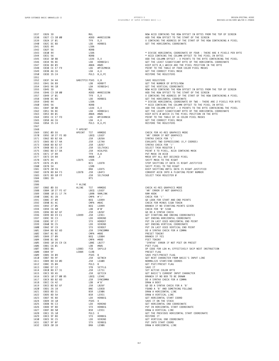| 1537<br>1538<br>1539<br>1540<br>1541                                                                                                         | E826 3D<br>E827 C3 20 00<br>E82A 1F 01<br>E82C DC BD<br>E82E 44                                                                                                                                                                                                                                                                                                                                                                                                                                    | LDD<br>LSRA                                                                                                                                                                 | MUL<br>ADDD #HRESSCRN<br>~~~ n x<br>HORBEG                                                                                                                                                                                 | NOW ACCD CONTAINS THE ROW OFFSET IN BYTES FROM THE<br>ADD THE ROW OFFSET TO THE START OF THE SCREEN<br>X CONTAINS THE ADDRESS OF THE START OF THE ROW CONT<br>GET THE HORIZONTAL COORDINATE                                                                                                                                                                                                                                                                                                                                                                                                                                                                                                                                                                                             |
|----------------------------------------------------------------------------------------------------------------------------------------------|----------------------------------------------------------------------------------------------------------------------------------------------------------------------------------------------------------------------------------------------------------------------------------------------------------------------------------------------------------------------------------------------------------------------------------------------------------------------------------------------------|-----------------------------------------------------------------------------------------------------------------------------------------------------------------------------|----------------------------------------------------------------------------------------------------------------------------------------------------------------------------------------------------------------------------|-----------------------------------------------------------------------------------------------------------------------------------------------------------------------------------------------------------------------------------------------------------------------------------------------------------------------------------------------------------------------------------------------------------------------------------------------------------------------------------------------------------------------------------------------------------------------------------------------------------------------------------------------------------------------------------------------------------------------------------------------------------------------------------------|
| 1542<br>1543<br>1544<br>1545<br>1546<br>1547<br>1548<br>1549<br>1550<br>1551                                                                 | E82F 56<br>E830 44<br>E831 56<br>E832 30 8B<br>E834 96 BE<br>E836 84 03<br>E838 CE E7 F9<br>E83B A6 C6<br>E83D 35 C4                                                                                                                                                                                                                                                                                                                                                                               | RORB<br>LSRA<br>RORB<br>LEAX D,X<br>LDA<br>ANDA #\$03<br>LDA                                                                                                                | HORBEG+1<br>LDU #PIX2MASK<br>A,U<br>PULS B, U, PC                                                                                                                                                                          | * DIVIDE HORIZONTAL COORDINATE BY FOUR - THERE ARE<br>* ACCD CONTAINS THE COLUMN OFFSET TO THE PIXEL IN B<br>ADD THE COLUMN OFFSET - X POINTS TO THE BYTE CONTAI<br>GET THE LEAST SIGNIFICANT BYTE OF THE HORIZONTAL CO<br>KEEP BITS Ø,1 WHICH ARE THE PIXEL POSITION IN THE B<br>POINT TO THE TABLE OF FOUR COLOR PIXEL MASKS<br>GET THE CORRECT PIXEL MASK<br>RESTORE THE REGISTERS                                                                                                                                                                                                                                                                                                                                                                                                   |
| 1552<br>1553<br>1554<br>1555<br>1556<br>1557<br>1558<br>1559<br>1560<br>1561<br>1562<br>1563<br>1564<br>1565<br>1566<br>1567                 | E83F 34 44 G4BITPIX PSHS U, B<br>E841 D6 B9<br>E843 96 CØ<br>E845 3D<br>E846 C3 20 00<br>E849 1F 01<br>E84B DC BD<br>E84D 44<br>E84E 56<br>E84F 30 8B<br>E851 96 BE<br>E853 84 01<br>E855 CE E7 FD<br>F858 A6 C6<br>E858 A6 C6<br>E85A 35 C4                                                                                                                                                                                                                                                       | LDB<br>LDA<br>MUL<br>TFR<br>LDD<br>LSRA<br>RORB<br>LEAX D,X<br>ANDA #\$01<br>LDA A,U                                                                                        | HORBYT<br>VERBEG+1<br>ADDD #HRESSCRN<br>D, X<br>HORBEG<br>LDA HORBEG+1<br>LDU #PIX4MASK<br>PULS B, U, PC                                                                                                                   | SAVE REGISTERS<br>GET THE NUMBER OF BYTES/ROW<br>GET THE VERTICAL COORDINATE<br>NOW ACCD CONTAINS THE ROW OFFSET IN BYTES FROM THE<br>ADD THE ROW OFFSET TO THE START OF THE SCREEN<br>X CONTAINS THE ADDRESS OF THE START OF THE ROW CONT<br>GET THE HORIZONTAL COORDINATE<br>* DIVIDE HORIZONTAL COORDINATE BY TWO - THERE ARE 2<br>* ACCD CONTAINS THE COLUMN OFFSET TO THE PIXEL IN B<br>ADD THE COLUMN OFFSET - X POINTS TO THE BYTE CONTAI<br>GET THE LEAST SIGNIFICANT BYTE OF THE HORIZONTAL CO<br>KEEP BITS Ø WHICH IS THE PIXEL POSITION IN THE BYTE<br>POINT TO THE TABLE OF 16 COLOR PIXEL MASKS<br>GET THE CORRECT PIXEL MASK<br>RESTORE THE REGISTERS                                                                                                                     |
| 1568<br>1569<br>1570<br>1571<br>1572<br>1573<br>1574<br>1575<br>1576<br>1577<br>1578<br>1579<br>1580<br>1581<br>1582<br>1583<br>1584<br>1585 | E85C ØD E6<br>E85E 10 27 FE 8D<br>E862 BD B2 6A<br>2 b ∪ 2<br>2 b 2 665 B D 2 1 9<br>2 666 B D 2 6 7<br>2 666 B D 2 7 D 4<br>2 666 B D 2 7 D 4<br>2 671 1 F 89<br>2 7 73 E 4 84<br>2 1 LE875<br>LE875<br>LE875<br>LE875<br>LE875<br>LE875<br>R D 2 1<br>R B C LSRA<br>R B C LSRA<br>R B C LSRA<br>E879 20 FA<br>E87B BD B4 F3<br>FR7F BD F4 FF<br>E87E BD EØ FF<br>E881 39                                                                                                                         | * HPOINT<br>HPOINT TST HRMODE<br>JSR<br>JSR<br><b>RTS</b>                                                                                                                   | LBEQ LE6EF<br>JSR LB26A<br>LE7AA<br>LB267<br>SELTASK1<br>HCALPOS<br>A,B<br>, X<br>LE87B<br>BRA LE875<br>LB4F3<br>SELTASKØ                                                                                                  | CHECK FOR HI-RES GRAPHICS MODE<br>'HR' ERROR IF NOT GRAPHICS<br>SYNTAX CHECK FOR '('<br>EVALUATE TWO EXPRESSIONS (X, Y COORDS)<br>SYNTAX CHECK FOR ')'<br>SELECT TASK REGSTER 1<br>POINT X TO PIXEL, ACCA CONTAINS MASK<br>PUT MASK IN ACCB<br>MASK OFF ALL BUT DESIRED PIXEL<br>SHIFT MASK TO THE RIGHT<br>STOP SHIFTING IF DATA IS RIGHT JUSTIFIED<br>SHIFT PIXEL TO THE RIGHT<br>KEEP SHIFTING UNTIL DATA IS RIGHT JUSTIFIED<br>CONVERT ACCB INTO A FLOATING POINT NUMBER<br>SELECT TASK REGISTER Ø                                                                                                                                                                                                                                                                                  |
| 1586<br>1587<br>1588<br>1589<br>1590<br>1591<br>1592<br>1593<br>1594<br>1595                                                                 | E882 0D E6<br>E884 10 27 FE 67<br>E888 10 21 17 74<br>E88C 81 28<br>E88E 27 09<br>E890 81 AC<br>E892 27 05<br>E894 C6 40<br>E896 BD B2 6F                                                                                                                                                                                                                                                                                                                                                          | * HLINE<br>HLINE<br>TST<br>LBEQ LE6EF<br>CMPA #'('<br>BEQ<br>CMPA #\$AC<br>BEQ<br>LDB<br>JSR<br>JSR<br>LE899 JSR                                                            | HRMODE<br>LBRN RAMLINK<br>LE899<br>LE899<br>#'@'<br>LB26F                                                                                                                                                                  | CHECK HI-RES GRAPHICS MODE<br>'HR' ERROR IF NOT GRAPHICS<br>RAM HOOK<br>CHECK FOR '('<br>GO LOOK FOR START AND END POINTS<br>CHECK FOR MINUS SIGN TOKEN<br>BRANCH IF NO STARTING POINTS GIVEN<br>CHECK FOR '@' SIGN<br>GO DO A SYNTAX CHECK                                                                                                                                                                                                                                                                                                                                                                                                                                                                                                                                             |
| 1596<br>1597<br>1598<br>1599<br>1600<br>1601<br>1602<br>1603                                                                                 | E899 BD E9 E1<br>E89C 9E C3<br>E8A9 27 09<br>1604 E8AB 81 BD<br>1605 E8AD 10 26 C9 C6<br>1606 E8B1 C6 01                                                                                                                                                                                                                                                                                                                                                                                           | LDX<br>STX<br>LDX<br>STX<br>JSR<br>LDB #\$01                                                                                                                                | LE9E1<br>HOREND<br>HORDEF<br>VEREND<br>VERDEF<br>SYNCOMMA<br>CMPA #\$BE<br>BEQ LE8B4<br>CMPA #\$BD<br>LBNE LB277                                                                                                           | GET STARTING AND ENDING COORDINATES<br>GET ENDING HORIZONTAL COORDINATE<br>PUT IN LAST USED HORIZONTAL END POINT<br>GET ENDING VERTICAL COORDINATE<br>PUT IN LAST USED VERTICAL END POINT<br>DO A SYNTAX CHECK FOR A COMMA<br>PRESET TOKEN?<br>BRANCK IF YES<br>PSET TOKEN?<br>'SYNTAX' ERROR IF NOT PSET OR PRESET<br>PSET FLAG                                                                                                                                                                                                                                                                                                                                                                                                                                                        |
| 1609<br>1617<br>1625<br>1627                                                                                                                 | 1607 E8B3 86<br>1608 E8B4 5F<br>E8B5 34 04<br>1610 E8B7 9D 9F<br>1611 E8B9 BD EA ØD<br>1612 E8BC 35 Ø4<br>1613 E8BE D7 C2<br>1614 E8CØ BD E7 31<br>1615 E8C3 9D A5<br>1616 E8C5 10 27 00 85<br>E8C9 BD B2 6D<br>1618 E8CC C6 42<br>1619 E8CE BD B2 6F<br>1620 E8D1 26 18<br>1621 E8D3 8D 31<br>1622 E8D5 8D 5A<br>1623 E8D7 9E BD<br>1624 E8D9 34 10<br>E8DB 9E C3<br>1626 E8DD 9F BD<br>E8DF 8D 50<br>1628 E8E1 35 10<br>1629 E8E3 9F BD<br>1630 E8E5 9E C5<br>1631 E8E7 9F BF<br>1632 E8E9 20 1B | LE8B3 FCB<br>LE8B4<br>CLRB<br>PSHS B<br>JSR<br>PULS B<br>JSR<br>LDB<br>JSR<br>BNE<br>BSR<br>BSR<br>LDX<br>PSHS X<br>LDX<br>STX<br>BSR<br>PULS X<br>STX<br>LDX<br>STX<br>BRA | SKP1LD<br>GETNCH<br>JSR LEAØD<br>STB SETFLG<br>JSR LE731<br>JSR GETCCH<br>LBEQ LE94E<br>SYNCOMMA<br>#'B'<br>LB26F<br>LE8EB<br>LE906<br>LE931<br>HORBEG<br>HOREND<br>HORBEG<br>LE931<br>HORBEG<br>VEREND<br>VERBEG<br>LE906 | OP CODE FOR LDA #; EFFECTIVELY SKIP NEXT INSTRUCTIO<br>PRESET FLAG<br>SAVE PSET/PRESET FLAG<br>GET NEXT CHARACTER FROM BASIC'S INPUT LINE<br>NORMALIZE START/END COORDS<br>GET PSET/PRESET FLAG<br>SAVE IT<br>SET ACTIVE COLOR BYTE<br>GET BASIC'S CURRENT INPUT CHARACTER<br>BRANCH IF NO BOX TO BE DRAWN<br>DO A SYNTAX CHECK FOR A COMMA<br>DRAW A BOX?<br>GO DO A SYNTAX CHECK FOR A 'B'<br>FOUND A 'B' AND SOMETHING FOLLOWS<br>DRAW A HORIZONTAL LINE<br>DRAW A VERTICAL LINE<br>GET HORIZONTAL START COORD<br>SAVE IT ON THE STACK<br>GET HORIZONTAL END COORDINATE<br>PUT IN HORIZONTAL START COORDINATE<br>DRAW A VERTICAL LINE<br>GET THE PREVIOUS HORIZONTAL START COORDINATE<br>RESTORE IT<br>GET VERTICAL END COORDINATE<br>PUT INTO START COORD<br>DRAW A HORIZONTAL LINE |

 **E826 3D MUL NOW ACCD CONTAINS THE ROW OFFSET IN BYTES FROM THE TOP OF SCREEN 1538 E827 C3 20 00 ADDD #HRESSCRN ADD THE ROW OFFSET TO THE START OF THE SCREEN 1539 E82A 1F 01 TFR D,X X CONTAINS THE ADDRESS OF THE START OF THE ROW CONTAINING A PIXEL E82C DC BD LDD HORBEG GET THE HORIZONTAL COORDINATE**

 **E830 44 LSRA \* DIVIDE HORIZONTAL COORDINATE BY FOUR - THERE ARE 4 PIXELS PER BYTE 1544 E831 56 RORB \* ACCD CONTAINS THE COLUMN OFFSET TO THE PIXEL IN BYTES E832 30 8B LEAX D,X ADD THE COLUMN OFFSET - X POINTS TO THE BYTE CONTAINING THE PIXEL 1546 E834 96 BE LDA HORBEG+1 GET THE LEAST SIGNIFICANT BYTE OF THE HORIZONTAL COORDINATE E836 84 03 ANDA #\$03 KEEP BITS 0,1 WHICH ARE THE PIXEL POSITION IN THE BYTE E83D 35 C4 PULS B,U,PC RESTORE THE REGISTERS**

 **E83F 34 44 G4BITPIX PSHS U,B SAVE REGISTERS E841 D6 B9 LDB HORBYT GET THE NUMBER OF BYTES/ROW E843 96 C0 LDA VERBEG+1 GET THE VERTICAL COORDINATE** 1555 E845 3D MUL<br>1556 E846 C3 20 00 ADDD #HRESSCRN ADD THE ROW OFFSET TO THE START OF THE SCREEN 1557 E849 1F 01<br>1558 E84B DC BD HORBEG LOD HORBEG (STRIKE ADDRESS OF THE START OF THE ROW CONTAINING A PIXEL<br>1559 E84B A4 LOD HORBEG (STRIKE A DIVIDE HORIZONTAL COORDINATE BY TWO - THERE ARE 2 PIXELS PER BYTE<br>1560 E84E 56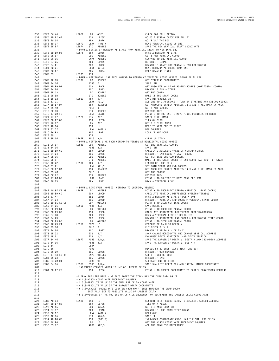| 1633         | E8EB C6 46                     | LE8EB | LDB         | $#$ 'F'                                                                    | CHECK FOR FILL OPTION                                                                                     |
|--------------|--------------------------------|-------|-------------|----------------------------------------------------------------------------|-----------------------------------------------------------------------------------------------------------|
| 1634         | E8ED BD B2 6F                  |       | JSR         | LB26F                                                                      | GO DO A SYNTAX CHECK FOR AN 'F'                                                                           |
| 1635         | E8FØ 20 04                     |       | BRA         | LE8F6                                                                      | GO 'FILL' THE BOX                                                                                         |
| 1636         | E8F2 30 1F                     | LE8F2 |             | $LEAX$ \$-01, X                                                            | MOVE VERTICAL COORD UP ONE                                                                                |
| 1637         | E8F4 9F BF                     | LE8F4 | <b>STX</b>  | VERBEG                                                                     | SAVE THE NEW VERTICAL START COORDINATE                                                                    |
| 1638         |                                |       |             | * DRAW A SERIES OF HORIZONTAL LINES FROM VERTICAL START TO VERTICAL END    |                                                                                                           |
| 1639         | E8F6 BD E9 06                  | LE8F6 | JSR         | LE906                                                                      | DRAW A HORIZONTAL LINE                                                                                    |
| 1640<br>1641 | E8F9 9E BF<br>E8FB 9C C5       |       | LDX         | VERBEG<br>CMPX VEREND                                                      | GET START VERTICAL COORD<br>COMPARE TO END VERTICAL COORD                                                 |
| 1642         | E8FD 27 06                     |       | BEQ         | LE905                                                                      | RETURN IF EQUAL                                                                                           |
| 1643         | E8FF 24 F1                     |       | BCC         | LE8F2                                                                      | BRANCH IF START HORIZONTAL > END HORIZONTAL                                                               |
| 1644         | E901 30 01                     |       |             | LEAX \$01,X                                                                | MOVE HORIZONTAL COORD DOWN ONE                                                                            |
| 1645         | E903 20 EF                     |       | BRA         | LE8F4                                                                      | KEEP DRAWING LINES                                                                                        |
| 1646         | E905 39                        | LE905 | RTS         |                                                                            |                                                                                                           |
| 1647         |                                |       |             |                                                                            | * DRAW A HORIZONTAL LINE FROM HOREND TO HORBEG AT VERTICAL COORD VERBEG; COLOR IN ALLCOL                  |
| 1648         | E906 9E BD                     | LE906 | LDX         | HORBEG                                                                     | GET STARTING COORDINATES                                                                                  |
| 1649         | E908 34 10<br>E90A BD E9 DB    |       | PSHS<br>JSR | $\mathsf{X}$                                                               | SAVE 'EM<br>GET ABSOLUTE VALUE OF HOREND-HORBEG (HORIZONTAL COORD)                                        |
| 1650<br>1651 | E90D 24 04                     |       | BCC         | LE9DB<br>LE913                                                             | BRANCH IF END > START                                                                                     |
| 1652         | E90F 9E C3                     |       | LDX         | HOREND                                                                     | GET END COORD                                                                                             |
| 1653         | E911 9F BD                     |       | STX         | HORBEG                                                                     | MAKE IT THE START COORD                                                                                   |
| 1654         | E913 1F 02                     | LE913 | TFR         | D, Y                                                                       | SAVE DIFFERENCE IN Y                                                                                      |
| 1655         | E915 31 21                     |       | LEAY        | \$01,Y                                                                     | ADD ONE TO DIFFERENCE - TURN ON STARTING AND ENDING COORDS                                                |
| 1656         | E917 BD E7 DA                  |       | JSR         | HCALPOS                                                                    | GET ABSOLUTE SCREEN ADDRESS IN X AND PIXEL MASK IN ACCA                                                   |
| 1657         | E91A 35 40                     |       | PULS U      |                                                                            | GET START COORDS                                                                                          |
| 1658         | E91C DF BD                     |       | STU         | HORBEG                                                                     | RESTORE THEM                                                                                              |
| 1659         | E91E 17 00 F5                  |       |             | LBSR LEA16                                                                 | POINT U TO ROUTINE TO MOVE PIXEL POINTERS TO RIGHT                                                        |
| 1660<br>1661 | E921 97 D7<br>E923 BD E7 88    | LE921 | STA<br>JSR  | VD7<br>LE788                                                               | SAVEL PIXEL MASK<br>TURN ON PIXEL                                                                         |
| 1662         | E926 96 D7                     |       | LDA         | VD7                                                                        | GET OLD PIXEL MASK                                                                                        |
| 1663         | E928 AD C4                     |       | JSR         | , U                                                                        | MOVE TO NEXT ONE TO RIGHT                                                                                 |
| 1664         | E92A 31 3F                     |       |             | $LEAY$ \$- $Ø1, Y$                                                         | DEC COUNTER                                                                                               |
| 1665         | E92C 26 F3                     |       | BNE         | LE921                                                                      | LOOP IF NOT DONE                                                                                          |
| 1666         | E92E 39                        |       | RTS         |                                                                            |                                                                                                           |
| 1667         | E92F 35 06                     | LE92F | PULS A, B   |                                                                            | CLEAN UP STACK                                                                                            |
| 1668         |                                |       |             | * DRAW A VERTICAL LINE FROM VEREND TO VERBEG AT HORIZONTAL COORD HORBEG    |                                                                                                           |
| 1669         | E931 DC BF                     | LE931 | LDD         | VERBEG                                                                     | GET END VERTICAL COORDS                                                                                   |
| 1670         | E933 34 06                     |       | PSHS B, A   |                                                                            | SAVE 'EM                                                                                                  |
| 1671<br>1672 | E935 BD E9 CD<br>E938 24 04    |       | JSR<br>BCC  | LE9CD<br>LE93E                                                             | CALCULATE ABSOLUTE VALUE OF VEREND-VERBEG<br>BRANCH IF END COORD > START COORD                            |
| 1673         | E93A 9E C5                     |       | LDX         | VEREND                                                                     | GET VERTICAL END COORDINATE                                                                               |
| 1674         | E93C 9F BF                     |       | STX         | VERBEG                                                                     | MAKE IT THE START COORD IF END COORD WAS RIGHT OF START                                                   |
| 1675         | E93E 1F 02                     | LE93E | TFR         | D, Y                                                                       | LENGTH OF LINE TO Y                                                                                       |
| 1676         | E940 31 21                     |       |             | LEAY \$01, Y                                                               | SET BOTH START AND END COORDS                                                                             |
| 1677         | E942 BD E7 DA                  |       | JSR         | HCALPOS                                                                    | GET ABSOLUTE SCREEN ADDRESS IN X AND PIXEL MASK IN ACCA                                                   |
| 1678         | E945 35 40                     |       | PULS U      |                                                                            | GET END COORDS                                                                                            |
| 1679         | E947 DF BF                     |       | STU         | VERBEG                                                                     | RESTORE THEM                                                                                              |
| 1680<br>1681 | E949 17 00 D5<br>E94C 20 D3    |       | BRA         | LBSR LEA21<br>LE921                                                        | POINT U TO ROUTINE TO MOVE DOWN ONE ROW<br>DRAW A VERTICAL LINE                                           |
| 1682         |                                |       |             |                                                                            |                                                                                                           |
| 1683         |                                |       |             | * DRAW A LINE FROM (HORBEG, VERBEG) TO (HOREND, VEREND)                    |                                                                                                           |
| 1684         | E94E 10 8E E9 B8               | LE94E | LDY         | #LE9B8                                                                     | POINT Y TO INCREMENT VERBEG (VERTICAL START COORD)                                                        |
| 1685         | E952 BD E9 CD                  |       | <b>JSR</b>  | LE9CD                                                                      | CALCULATE VERTICAL DIFFERENCE (VEREND-VERBEG)                                                             |
| 1686         | E955 27 AF                     |       | BEQ         | LE906                                                                      | DRAW A HORIZONTAL LINE IF DELTA V=0                                                                       |
| 1687         | E957 24 04                     |       | BCC         | LE95D                                                                      | BRANCH IF VERTICAL END COORD > VERTICAL START COORD                                                       |
| 1688         | E959 10 8E E9 C6               |       | LDY         | #LE9C6                                                                     | POINT Y TO DECR VERTICAL COORD                                                                            |
| 1689         | E95D 34 06                     | LE95D | PSHS B, A   |                                                                            | SAVE DELTA V                                                                                              |
| 1690<br>1691 | E95F CE E9 B1<br>E962 BD E9 DB |       | LDU<br>JSR  | #LE9B1<br>LE9DB                                                            | POINT U TO INCR HORIZONTAL COORD<br>CALCULATE HORIZONTAL DIFFERENCE (HOREND-HORBEG)                       |
| 1692         | E965 27 C8                     |       | BEQ         | LE92F                                                                      | DRAW A VERTICAL LINE IF DELTA H=0                                                                         |
| 1693         | E967 24 03                     |       | BCC         | LE96C                                                                      | BRANCH IF HORIZONTAL END COORD > HORIZONTAL START COORD                                                   |
| 1694         | E969 CE E9 BF                  |       | LDU         | #LE9BF                                                                     | POINT U TO DECR HORIZONTAL COORD                                                                          |
| 1695         | E96C 10 A3 E4                  | LE96C | CMPD        | , s                                                                        | COMPARE DELTA H TO DELTA V                                                                                |
| 1696         | E96F 35 10                     |       | PULS X      |                                                                            | PUT DELTA V IN X                                                                                          |
| 1697         | E971 24 04                     |       | BCC         | LE977                                                                      | BRANCH IF DELTA H > DELTA V                                                                               |
| 1698         | E973 1E 32                     |       | EXG         | U,Y                                                                        | SWAP CHANGE HORIZONTAL AND CHANGE VERTICAL ADDRESS                                                        |
| 1699<br>1700 | E975 1E Ø1<br>E977 34 46       | LE977 | EXG D.X     |                                                                            | EXCHANGE DELTA HORIZONTAL AND DELTA VERTICAL<br>SAVE THE LARGER OF DELTA V, DELTA H AND INCR/DECR ADDRESS |
| 1701         | E979 34 06                     |       | PSHS B, A   | PSHS U,B,A                                                                 | SAVE THE LARGER OF DELTA V, DELTA H                                                                       |
| 1702         | E97B 44                        |       | LSRA        |                                                                            |                                                                                                           |
| 1703         | E97C 56                        |       | RORB        |                                                                            | DIVIDE BY 2, SHIFT ACCD RIGHT ONE BIT                                                                     |
| 1704         | E97D 25 09                     |       | BCS         | LE988                                                                      | BRANCH IF ODD NUMBER                                                                                      |
| 1705         | E97F 11 83 E9 B9               |       |             | CMPU #LE9B9                                                                | SEE IF INCR OR DECR                                                                                       |
| 1706         | E983 25 03                     |       |             | BCS LE988                                                                  | BRANCH IF INCR                                                                                            |
| 1707         | E985 83 00 01                  |       | SUBD #1     |                                                                            | SUBTRACT ONE IF DECR                                                                                      |
| 1708         | E988 34 16                     | LE988 |             | PSHS X, B, A                                                               | SAVE SMALLEST DELTA (X) AND INITIAL MINOR COORDINATE                                                      |
| 1709<br>1710 | E98A BD E7 E6                  |       |             | * INCREMENT COUNTER WHICH IS 1/2 OF LARGEST DELTA<br>JSR LE7E6             | POINT U TO PROPER COORDINATE TO SCREEN CONVERSION ROUTINE                                                 |
| 1711         |                                |       |             |                                                                            |                                                                                                           |
| 1712         |                                |       |             | ** DRAW THE LINE HERE - AT THIS POINT THE STACK HAS THE DRAW DATA ON IT    |                                                                                                           |
| 1713         |                                |       |             | * Ø 1, S=MINOR COORDINATE INCREMENT COUNTER                                |                                                                                                           |
| 1714         |                                |       |             | * 2 3, S=ABSOLUTE VALUE OF THE SMALLEST DELTA COORDINATE                   |                                                                                                           |
| 1715         |                                |       |             | * 4 5, S=ABSOLUTE VALUE OF THE LARGEST DELTA COORDINATE                    |                                                                                                           |
| 1716         |                                |       |             | * 6 7, S=LARGEST COORDINATE COUNTER (HOW MANY TIMES THROUGH THE DRAW LOOP) |                                                                                                           |
| 1717         |                                |       |             | INITIALLY SET TO ABSOLUTE VALUE OF LARGEST DELTA                           |                                                                                                           |
| 1718<br>1719 |                                |       |             |                                                                            | * 8 9, S=ADDRESS OF THE ROUTINE WHICH WILL INCREMENT OR DECREMENT THE LARGEST DELTA COORDINATE            |
| 1720         | E98D AD C4                     | LE98D | JSR         | ,U                                                                         | CONVERT (X, Y) COORDINATES TO ABSOLUTE SCREEN ADDRESS                                                     |
| 1721         | E98F BD E7 88                  |       | JSR         | LE788                                                                      | TURN ON A PIXEL                                                                                           |
| 1722         | E992 AE 66                     |       | LDX         | \$06.S                                                                     | GET DISTANCE COUNTER                                                                                      |
| 1723         | E994 27 17                     |       | BEQ         | LE9AD                                                                      | BRANCH IF LINE COMPLETELY DRAWN                                                                           |
| 1724         | E996 30 1F                     |       |             | $LEAX$ \$-01, X                                                            | DECR ONE                                                                                                  |
| 1725         | E998 AF 66                     |       | STX         | \$06,S                                                                     | SAVE IT                                                                                                   |
| 1726         | E99A AD F8 08                  |       | JSR         | [\$08,S]                                                                   | INCR/DECR COORDINATE WHICH HAS THE SMALLEST DELTA                                                         |
| 1727         | E99D EC E4                     |       | LDD         | , S                                                                        | GET THE MINOR COORDINATE INCREMENT COUNTER                                                                |
| 1728         | E99F E3 62                     |       |             | ADDD \$02,S                                                                | ADD THE SMALLEST DIFFERENCE                                                                               |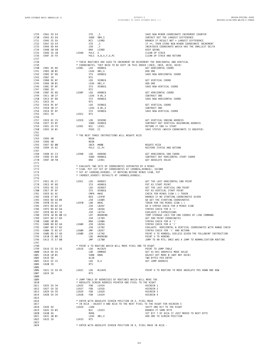| 1729<br>1730<br>1731<br>1732<br>1733<br>1734<br>1735<br>1736 | E9A1 ED E4<br>E9A3 A3 64<br>E9A5 25 E6<br>E9A7 ED E4<br>E9A9 AD A4<br>E9AB 20 E0<br>E9AD 35 10<br>E9AF 35 F6                   | STD<br><b>BCS</b><br>STD<br><b>JSR</b><br>BRA<br>LE9AD        | , S<br>SUBD \$04,S<br>LE98D<br>, S<br>$, \Upsilon$<br>LE98D<br>PULS X<br>PULS A, B, X, Y, U, PC                                                                                                                                               | SAVE NEW MINOR COORDINATE INCREMENT COUNTER<br>SUBTACT OUT THE LARGEST DIFFERENCE<br>BRANCH IF RESULT NOT > LARGEST DIFFERENCE<br>IF >=, THEN STORE NEW MINOR COORDINATE INCREMENT<br>INCR/DECR COORDINATE WHICH HAS THE SMALLEST DELTA<br>KEEP GOING<br>CLEAN UP STACK<br>CLEAN UP STACK AND RETURN |
|--------------------------------------------------------------|--------------------------------------------------------------------------------------------------------------------------------|---------------------------------------------------------------|-----------------------------------------------------------------------------------------------------------------------------------------------------------------------------------------------------------------------------------------------|------------------------------------------------------------------------------------------------------------------------------------------------------------------------------------------------------------------------------------------------------------------------------------------------------|
| 1737<br>1738<br>1739<br>1740<br>1741<br>1742<br>1743         | E9B1 9E BD<br>E9B3 30 01<br>E9B5 9F BD<br>E9B7 39                                                                              | LE9B1<br>LDX<br><b>STX</b><br><b>RTS</b>                      | * THESE ROUTINES ARE USED TO INCREMENT OR DECREMENT THE HORIZONTAL AND VERTICAL<br>* COORDINATES. THEY NEED TO BE KEPT IN THIS ORDER (INCR, INCR, DECR, DECR)<br>HORBEG<br>$LEAX$ \$01, X<br>HORBEG                                           | GET HORIZONTAL COORD<br>ADD ONE<br>SAVE NEW HORIZONTAL COORD                                                                                                                                                                                                                                         |
| 1744<br>1745<br>1746                                         | E9B8 9E BF<br>E9BA 30 01<br>E9BC 9F BF                                                                                         | LDX<br><b>STX</b>                                             | VERBEG<br>LEAX \$01,X<br>VERBEG                                                                                                                                                                                                               | GET VERTICAL COORD<br>ADD ONE<br>SAVE NEW VERTICAL COORD                                                                                                                                                                                                                                             |
| 1747<br>1748<br>1749<br>1750                                 | E9BE 39<br>E9BF 9E BD<br>E9C1 30 1F<br>E9C3 9F BD                                                                              | <b>RTS</b><br>LE9BF<br>LDX<br><b>STX</b>                      | HORBEG<br>$LEAX$ \$-01, X<br>HORBEG                                                                                                                                                                                                           | GET HORIZONTAL COORD<br>SUBTRACT ONE<br>SAVE NEW HORIZONTAL COORD                                                                                                                                                                                                                                    |
| 1751<br>1752<br>1753<br>1754                                 | E9C5 39<br>E9C6 9E BF<br>E9C8 30 1F<br>E9CA 9F BF                                                                              | <b>RTS</b><br>LDX<br><b>STX</b>                               | VERBEG<br>$LEAX$ \$-01, X<br>VERBEG                                                                                                                                                                                                           | GET VERTICAL COORD<br>SUBTRACT ONE<br>SAVE NEW VERTICAL COORD                                                                                                                                                                                                                                        |
| 1755<br>1756                                                 | E9CC 39                                                                                                                        | LE9CC<br><b>RTS</b>                                           |                                                                                                                                                                                                                                               |                                                                                                                                                                                                                                                                                                      |
| 1757<br>1758<br>1759<br>1760                                 | E9CD DC C5<br>E9CF 93 BF<br>E9D1 24 F9<br>E9D3 34 Ø1                                                                           | LE9CD<br>LDD<br>LE9D1<br>BCC                                  | VEREND<br>SUBD VERBEG<br>LE9CC<br>PSHS CC                                                                                                                                                                                                     | GET VERTICAL ENDING ADDRESS<br>SUBTRACT OUT VERTICAL BEGINNING ADDRESS<br>RETURN IF END >= START<br>SAVE STATUS (WHICH COORDINATE IS GREATER)                                                                                                                                                        |
| 1761<br>1762                                                 |                                                                                                                                |                                                               | * THE NEXT THREE INSTRUCTIONS WILL NEGATE ACCD                                                                                                                                                                                                |                                                                                                                                                                                                                                                                                                      |
| 1763<br>1764                                                 | E9D5 40<br>E9D6 50                                                                                                             | NEGA<br>NEGB                                                  |                                                                                                                                                                                                                                               |                                                                                                                                                                                                                                                                                                      |
| 1765<br>1766                                                 | E9D7 82 00<br>E9D9 35 81                                                                                                       |                                                               | SBCA #\$00<br>PULS CC, PC                                                                                                                                                                                                                     | NEGATE ACCB<br>RESTORE STATUS AND RETURN                                                                                                                                                                                                                                                             |
| 1767<br>1768<br>1769<br>1770<br>1771                         | E9DB DC C3<br>E9DD 93 BD<br>E9DF 20 F0                                                                                         | LE9DB<br>LDD<br>BRA                                           | HOREND<br>SUBD HORBEG<br>LE9D1                                                                                                                                                                                                                | GET HORIZONTAL END COORD<br>SUBTRACT OUT HORIZONTAL START COORD<br>GET ABSOLUTE VALUE                                                                                                                                                                                                                |
| 1772<br>1773<br>1774<br>1775<br>1776                         |                                                                                                                                |                                                               | * EVALUATE TWO SETS OF COORDINATES SEPERATED BY A MINUS<br>* SIGN. PUT 1ST SET OF COORDINATES AT (HORBEG, VERBEG), SECOND<br>* SET AT (HOREND, VEREND). IF NOTHING BEFORE MINUS SIGN, PUT<br>* (HORDEF, VERDEF) DEFAULTS AT (HORBEG, VERBEG). |                                                                                                                                                                                                                                                                                                      |
| 1777<br>1778<br>1779<br>1780                                 | E9E1 9E C7<br>E9E3 9F BD<br>E9E5 9E C9<br>E9E7 9F BF                                                                           | LE9E1<br>LDX<br><b>STX</b><br>LDX<br><b>STX</b>               | HORDEF<br>HORBEG<br>VERDEF<br>VERBEG                                                                                                                                                                                                          | GET THE LAST HORIZONTAL END POINT<br>PUT AS START POINT<br>GET THE LAST VERTICAL END POINT<br>PUT AS VERTICAL START POINT                                                                                                                                                                            |
| 1781<br>1782<br>1783<br>1784<br>1785<br>1786<br>1787<br>1788 | E9E9 81 AC<br>E9EB 27 03<br>E9ED BD EA Ø4<br>E9FØ C6 AC<br>E9F2 BD B2 6F<br>E9F5 BD B2 6A<br>E9F8 BD B7 34<br>E9FB 10 8E 00 C3 | BEQ<br>JSR<br>LE9FØ<br>LDB<br>JSR<br>JSR<br><b>JSR</b><br>LDY | CMPA #\$AC<br>LE9FØ<br>LEAØ4<br>#\$AC<br>LB26F<br>LB26A<br>LB734<br>#HOREND                                                                                                                                                                   | CHECK FOR MINUS SIGN (-) TOKEN<br>BRANCH IF NO STARTING COORDINATES GIVEN<br>GO GET THE STARTING COORDINATES<br>TOKEN FOR THE MINUS SIGN (-)<br>DO A SYNTAX CHECK FOR A MINUS SIGN<br>SYNTAX CHECK FOR A '('<br>EVALUATE 2 EXPRESSIONS<br>TEMP STORAGE LOCS FOR END COORDS OF LINE COMMAND           |
| 1789<br>1790                                                 | E9FF BD E7 B9<br>EA02 20 06                                                                                                    | JSR<br>BRA                                                    | LE7B9<br>LEAØA                                                                                                                                                                                                                                | GET END POINT COORDINATES<br>SYNTAX CHECK FOR A ')'                                                                                                                                                                                                                                                  |
| 1791<br>1792<br>1793<br>1794                                 | EAØ4 BD B2 6A<br>EA07 BD E7 B2<br>EAØA 7E B2 67<br>EAØD BD E7 AD                                                               | LEAØ4<br>JSR<br>JSR<br>LEAØA<br>JMP<br>LEAØD<br>JSR           | LB26A<br>LE7B2<br>LB267<br>LE7AD                                                                                                                                                                                                              | SYNTAX CHECK FOR A '('<br>EVALUATE HORIZONTAL & VERTICAL COORDINATES WITH RANGE CHECK<br>SYNTAX CHECK FOR ')' AND RETURN<br>POINT U TO HORBEG; USELESS GIVEN THE FOLLOWINF INSTRUCTION                                                                                                               |
| 1795                                                         | EA10 CE 00 C3<br>1796 EA13 7E E7 BØ                                                                                            | LDU<br>JMP                                                    | #HOREND<br>LE7BØ                                                                                                                                                                                                                              | POINT U TO HOREND<br>JUMP TO AN RTS; ONCE WAS A JUMP TO NORMALIZATION ROUTINE                                                                                                                                                                                                                        |
| 1797<br>1798                                                 | 1799 EA16 CE EA 25<br>1800 EA19 D6 E6<br>1801 EA1B C0 01<br>1802 EA1D 58<br>1803 EA1E EE C5<br>1804 EA20 39                    | LEA16 LDU #LEA25<br>LDB<br>ALSB<br>LDU<br><b>RTS</b>          | * POINT U TO ROUTINE WHICH WILL MOVE PIXEL ONE TO RIGHT<br>HRMODE<br>SUBB #\$01<br>B,U                                                                                                                                                        | POINT TO JUMP TABLE<br>GET HI-RES GRAPHICS MODE VALUE<br>ADJUST OUT MODE Ø (WHY NOT DECB)<br>TWO BYTES PER ENTRY<br>GET JUMP ADDRESS                                                                                                                                                                 |
| 1805<br>1807<br>1808                                         | 1806 EA21 CE EA 45 LEA21<br>EA24 39                                                                                            | LDU<br><b>RTS</b>                                             | #LEA45                                                                                                                                                                                                                                        | POINT U TO ROUTINE TO MOVE ABSOLUTE POS DOWN ONE ROW                                                                                                                                                                                                                                                 |
| 1809                                                         |                                                                                                                                |                                                               | * JUMP TABLE OF ADDRESSES OF ROUTINES WHICH WILL MOVE THE                                                                                                                                                                                     |                                                                                                                                                                                                                                                                                                      |
| 1810                                                         | 1811 EA25 EA 34                                                                                                                | LEA25                                                         | * ABSOLUTE SCREEN ADDRESS POINTER ONE PIXEL TO THE RIGHT<br>FDB LEA34                                                                                                                                                                         | HSCREEN 1                                                                                                                                                                                                                                                                                            |
|                                                              | 1812 EA27 EA 3D<br>1813 EA29 EA 2D<br>1814 EA2B EA 34                                                                          | LEA27<br>FDB<br>LEA29 FDB LEA2D<br>LEA2B FDB LEA34            | LEA3D                                                                                                                                                                                                                                         | HSCREEN 2<br>HSCREEN 3<br>HSCREEN 4                                                                                                                                                                                                                                                                  |
| 1815<br>1816                                                 |                                                                                                                                |                                                               | * ENTER WITH ABSOLUTE SCREEN POSITION IN X, PIXEL MASK                                                                                                                                                                                        |                                                                                                                                                                                                                                                                                                      |
| 1817                                                         | 1818 EA2D 44                                                                                                                   |                                                               | * IN ACCA - ADJUST X AND ACCA TO THE NEXT PIXEL TO THE RIGHT FOR HSCREEN 3                                                                                                                                                                    |                                                                                                                                                                                                                                                                                                      |
|                                                              | 1819 EA2E 24 03                                                                                                                | LEA2D<br>LSRA                                                 | BCC LEA33                                                                                                                                                                                                                                     | SHIFT ONE BIT TO THE RIGHT<br>BRANCH IF SAME BYTE                                                                                                                                                                                                                                                    |
|                                                              | 1820 EA30 46<br>1821 EA31 30 01                                                                                                | RORA                                                          | LEAX \$01,X                                                                                                                                                                                                                                   | SET BIT 7 OF ACCA IF JUST MOVED TO NEXT BYTE<br>ADD ONE TO SCREEN POSITION                                                                                                                                                                                                                           |
| 1823<br>1824                                                 | 1822 EA33 39                                                                                                                   | LEA33<br><b>RTS</b>                                           | * ENTER WITH ABSOLUTE SCREEN POSITION IN X, PIXEL MASK IN ACCA -                                                                                                                                                                              |                                                                                                                                                                                                                                                                                                      |
|                                                              |                                                                                                                                |                                                               |                                                                                                                                                                                                                                               |                                                                                                                                                                                                                                                                                                      |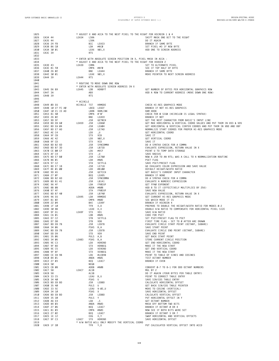APPENDIX B<br>DISASSEMBLY OF SUPER EXTENDED BASIC 1.1

| 1825         |                                |           |                   |                                                                  | * ADJUST X AND ACCA TO THE NEXT PIXEL TO THE RIGHT FOR HSCREEN 1 & 4                                                          |
|--------------|--------------------------------|-----------|-------------------|------------------------------------------------------------------|-------------------------------------------------------------------------------------------------------------------------------|
| 1826<br>1827 | EA34 44<br>EA35 44             | LEA34     | LSRA<br>LSRA      |                                                                  | SHIFT MASK ONE BIT TO THE RIGHT<br>DO IT AGAIN                                                                                |
| 1828         | EA36 24 FB                     |           | BCC               | LEA33                                                            | BRANCH IF SAME BYTE                                                                                                           |
| 1829<br>1830 | EA38 86 CØ<br>EA3A 30 01       |           | LDA               | #\$CØ<br>$LEAX$ \$01, X                                          | SET PIXEL #3 IF NEW BYTE<br>ADD ONE TO SCREEN ADDRESS                                                                         |
| 1831         | EA3C 39                        |           | <b>RTS</b>        |                                                                  |                                                                                                                               |
| 1832         |                                |           |                   | * ENTER WITH ABSOLUTE SCREEN POSITION IN X, PIXEL MASK IN ACCA - |                                                                                                                               |
| 1833<br>1834 |                                |           |                   | * ADJUST X AND ACCA TO THE NEXT PIXEL TO THE RIGHT FOR HSREEN 2  |                                                                                                                               |
| 1835         | EA3D 43                        | LEA3D     | COMA              |                                                                  | SET TO ALTERNATE PIXEL                                                                                                        |
| 1836<br>1837 | EA3E 81 FØ<br>EA40 26 02       |           | CMPA #\$FØ<br>BNE | LEA44                                                            | SEE IF TOP HALF OF BYTE<br>BRANCH IF SAME BYTE                                                                                |
| 1838         | EA42 30 01                     |           |                   | $LEAX$ \$01, X                                                   | MOVE POINTER TO NEXT SCREEN ADDRESS                                                                                           |
| 1839         | EA44 39                        | LEA44     | <b>RTS</b>        |                                                                  |                                                                                                                               |
| 1840<br>1841 |                                |           |                   | * ROUTINE TO MOVE DOWN ONE ROW                                   |                                                                                                                               |
| 1842         |                                |           |                   | * ENTER WITH ABSOLUTE SCREEN ADDRESS IN X                        |                                                                                                                               |
| 1843         | EA45 D6 B9                     | LEA45     | LDB               | HORBYT                                                           | GET NUMBER OF BYTES PER HORIZONTAL GRAPHICS ROW                                                                               |
| 1844<br>1845 | EA47 3A<br>EA48 39             |           | ABX<br><b>RTS</b> |                                                                  | ADD A ROW TO CURRENT ADDRESS (MOVE DOWN ONE ROW)                                                                              |
| 1846         |                                |           |                   |                                                                  |                                                                                                                               |
| 1847         |                                | * HCIRCLE |                   |                                                                  |                                                                                                                               |
| 1848<br>1849 | EA49 ØD E6<br>EA4B 10 27 FC A0 |           | HCIRCLE TST       | HRMODE<br>LBEQ LE6EF                                             | CHECK HI-RES GRAPHICS MODE<br>BRANCH IF NOT HI-RES GRAPHICS                                                                   |
| 1850         | EA4F 10 21 15 AD               |           |                   | LBRN RAMLINK                                                     | RAM HOOK                                                                                                                      |
| 1851         | EA53 81 40                     |           |                   | CMPA #'@'                                                        | CHECK FOR @ SIGN (HCIRCLE@ IS LEGAL SYNTAX)                                                                                   |
| 1852<br>1853 | EA55 26 02<br>EA57 9D 9F       |           | BNE<br>JSR        | LEA59<br>GETNCH                                                  | BRANCH IF NOT<br>GET THE NEXT CHARACTER FROM BASIC'S INPUT LINE                                                               |
| 1854         | EA59 BD EB 60                  | LEA59     | JSR               | LEB60                                                            | GET MAX HORIZONTAL & VERTICAL COORD VALUES AND PUT THEM IN VD3 & VD5                                                          |
| 1855         | EA5C BD EA 04                  |           | JSR               | LEAØ4                                                            | GET HORIZONTAL & VERTICAL CENTER COORDS AND PUT THEM IN VBD AND VBF<br>NORMALIZE START COORDS FOR PROPER HI-RES GRAPHICS MODE |
| 1856<br>1857 | EA5F BD E7 AD<br>EA62 AE C4    |           | JSR<br>LDX        | LE7AD<br>, U                                                     | GET HORIZONTAL COORD                                                                                                          |
| 1858         | EA64 9F CB                     |           | <b>STX</b>        | VCB                                                              | SAVE IT                                                                                                                       |
| 1859         | EA66 AE 42                     |           | LDX               | \$02.U                                                           | GET VERTICAL COORD                                                                                                            |
| 1860<br>1861 | EA68 9F CD<br>EA6A BD B2 6D    |           | STX<br>JSR        | VCD<br>SYNCOMMA                                                  | SAVE IT<br>DO A SYNTAX CHECK FOR A COMMA                                                                                      |
| 1862         | EA6D BD B7 3D                  |           | JSR               | LB73D                                                            | EVALUATE EXPRESSION, RETURN VALUE IN X                                                                                        |
| 1863         | EA70 CE 00 CF                  |           | LDU               | #VCF                                                             | POINT U TO TEMP DATA STORAGE                                                                                                  |
| 1864<br>1865 | EA73 AF C4<br>EA75 BD E7 BØ    |           | <b>STX</b><br>JSR | , U<br>LE7BØ                                                     | SAVE RADIUS<br>NOW A JSR TO AN RTS; WAS A CALL TO A NORMALIZATION ROUTINE                                                     |
| 1866         | EA78 86 01                     |           | LDA               | #\$01                                                            | PSET FLAG                                                                                                                     |
| 1867         | EA7A 97 C2                     |           | STA               | SETFLG<br>LE718                                                  | SAVE PSET/PRESET FLAG                                                                                                         |
| 1868<br>1869 | EA7C BD E7 18<br>EA7F 8E 01 00 |           | JSR<br>LDX        | #\$100                                                           | GO EVALUATE COLOR EXPRESSION AND SAVE VALUE<br>DEFAULT HEIGHT/WIDTH RATIO                                                     |
| 1870         | EA82 9D A5                     |           | JSR               | GETCCH                                                           | GET BASIC'S CURRENT INPUT CHARACTER                                                                                           |
| 1871         | EA84 27 ØF                     |           | BEQ               | LEA95                                                            | BRANCH IF NONE                                                                                                                |
| 1872<br>1873 | EA86 BD B2 6D<br>EA89 BD B1 41 |           | JSR<br>JSR        | SYNCOMMA<br>LB141                                                | DO A SYNTAX CHECK FOR A COMMA<br>EVALUATE A NUMERIC EXPRESSION                                                                |
| 1874         | EA8C 96 4F                     |           | LDA               | FPØEXP                                                           | GET FPAØ EXPONENT                                                                                                             |
| 1875         | EA8E 8B 08                     |           |                   | ADDA #\$08                                                       | ADD 8 TO IT (EFFECTIVELY MULTIPLIES BY 256)                                                                                   |
| 1876<br>1877 | EA9Ø 97 4F<br>EA92 BD B7 40    |           | STA<br>JSR        | FPØEXP<br>LB740                                                  | SAVE NEW VALUE<br>EVALUATE EXPRESSION, RETURN VALUE IN X                                                                      |
| 1878         | EA95 96 E6                     | LEA95     | LDA               | <b>HRMODE</b>                                                    | GET CURRENT HI-RES GRAPHICS MODE                                                                                              |
| 1879<br>1880 | EA97 81 02<br>EA99 22 04       |           | BHI               | CMPA #\$02<br>LEA9F                                              | SEE WHICH MODE IT IS<br>BRANCH IF HSCREEN 4                                                                                   |
| 1881         | EA9B 1F 10                     |           | TFR               | X, D                                                             | PREPARE TO DOUBLE THE HEIGHT/WIDTH RATIO FOR MODES Ø-2                                                                        |
| 1882         | EA9D 30 8B                     |           | LEAX D, X         |                                                                  | DOUBLE H/W RATIO TO COMPENSATE FOR HORIZONTAL PIXEL SIZE                                                                      |
| 1883<br>1884 | EA9F 9F D1<br>EAA1 C6 01       | LEA9F     | STX<br>LDB        | VD1<br>#\$01                                                     | SAVE H/W RATIO<br>CODE FOR PSET                                                                                               |
| 1885         | EAA3 D7 C2                     |           | STB               | SETFLG                                                           | SET PSET/PRESET FLAG TO PSET                                                                                                  |
| 1886         | EAA5 D7 D8                     |           | STB               | VD8                                                              | FIRST TIME FLAG - SET TO Ø AFTER ARC DRAWN                                                                                    |
| 1887<br>1888 | EAA7 BD EB 7B<br>EAAA 34 06    |           | JSR<br>PSHS B, A  | LEB7B                                                            | EVALUATE CIRCLE START POINT (OCTANT, SUBARC)<br>SAVE START POINT                                                              |
| 1889         | EAAC BD EB 7B                  |           | JSR               | LEB7B                                                            | EVALUATE CIRCLE END POINT (OCTANT, SUBARC)                                                                                    |
| 1890         | EAAF DD D9                     |           | STD               | VD9                                                              | SAVE END POINT                                                                                                                |
| 1891<br>1892 | EAB1 35 06<br>EAB3 34 06       | LEAB3     | PULS A, B<br>PSHS | B, A                                                             | GET BACK START POINT<br>STORE CURRENT CIRCLE POSITION                                                                         |
| 1893         | EAB5 9E C3                     |           | LDX               | HOREND                                                           | GET END HORIZONTAL COORD                                                                                                      |
| 1894         | EAB7 9F BD                     |           | STX               | HORBEG                                                           | MAKE IT THE NEW START                                                                                                         |
| 1895<br>1896 | EAB9 9E C5<br>EABB 9F BF       |           | LDX.<br>STX       | VEREND<br>VERBEG                                                 | GET END VERTICAL COORD<br>MAKE IT THE NEW START                                                                               |
| 1897         | EABD CE EB 9B                  |           | LDU               | #LEB9B                                                           | POINT TO TABLE OF SINES AND COSINES                                                                                           |
| 1898         | EACØ 84 Ø1                     |           |                   | ANDA #\$01                                                       | TEST OCTANT NUMBER                                                                                                            |
| 1899<br>1900 | EAC2 27 03<br>EAC4 50          |           | BEQ<br>NEGB       | LEAC7                                                            | <b>BRANCH IF EVEN</b>                                                                                                         |
| 1901         | EAC5 CB 08                     |           |                   | ADDB #\$08                                                       | CONVERT Ø-7 TO 8-1 FOR ODD OCTANT NUMBERS                                                                                     |
| 1902         | EAC7 58                        | LEAC7     | ALSB              |                                                                  | MUL BY 2                                                                                                                      |
| 1903<br>1904 | EAC8 58<br>EAC9 33 C5          |           | ALSB<br>LEAU B,U  |                                                                  | DO IT AGAIN (FOUR BYTES PER TABLE ENTRY)<br>POINT TO CORRECT TABLE ENTRY                                                      |
| 1905         | EACB 34 40                     |           | PSHS U            |                                                                  | SAVE SIN/COS TABLE ENTRY                                                                                                      |
| 1906         | EACD BD EB BD                  |           | JSR               | LEBBD                                                            | CALCULATE HORIZONTAL OFFSET                                                                                                   |
| 1907<br>1908 | EADØ 35 40<br>EAD2 33 5E       |           | PULS U            | LEAU \$-02,U                                                     | GET BACK SIN/COS TABLE POINTER<br>MOVE TO COSINE (VERTICAL)                                                                   |
| 1909         | EAD4 34 10                     |           | PSHS X            |                                                                  | SAVE HORIZONTAL OFFSET                                                                                                        |
| 1910         | EAD6 BD EB BD                  |           | JSR               | LEBBD                                                            | CALCULATE VERTICAL OFFSET                                                                                                     |
| 1911<br>1912 | EAD9 35 20<br>EADB A6 E4       |           | PULS Y<br>LDA     | , S                                                              | PUT HORIZONTAL OFFSET IN Y<br>GET OCTANT NUMBER                                                                               |
| 1913         | EADD 84 03                     |           | ANDA #\$03        |                                                                  | MASK OFF BOTTOM TWO BITS                                                                                                      |
| 1914         | EADF 27 06                     |           | BEQ               | LEAE7                                                            | BRANCH IF OCTANT Ø OR 4                                                                                                       |
| 1915<br>1916 | EAE1 81 03<br>EAE3 27 02       |           | BEQ               | CMPA #\$03<br>LEAE7                                              | NOW SEE IF BOTH BITS WERE SET<br>BRANCH IF OCTANT 3 OR 7                                                                      |
| 1917         | EAE5 1E 12                     |           | EXG               | X.Y                                                              | SWAP HORIZONTAL AND VERTICAL OFFSETS                                                                                          |
| 1918         | EAE7 9F C3                     | LEAE7     | <b>STX</b>        | HOREND                                                           | SAVE HORIZONTAL OFFSET                                                                                                        |
| 1919<br>1920 | EAE9 1F 20                     |           | TFR               | * H/W RATIO WILL ONLY MODIFY THE VERTICAL COORD<br>Y, D          | PUT CALCULATED VERTICAL OFFSET INTO ACCD                                                                                      |
|              |                                |           |                   |                                                                  |                                                                                                                               |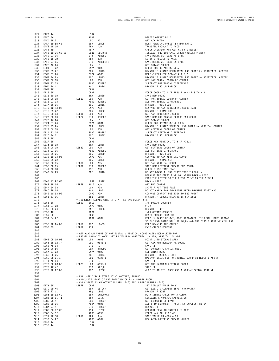| 1921 | EAEB 44            |           | LSRA       |              |                                                                           |
|------|--------------------|-----------|------------|--------------|---------------------------------------------------------------------------|
| 1922 | EAEC 56            |           | RORB       |              | DIVIDE OFFSET BY 2                                                        |
| 1923 | EAED 9E D1         |           | LDX        | VD1          | GET H/W RATIO                                                             |
| 1924 | EAEF BD EB CB      |           | JSR        | LEBCB        | MULT VERTICAL OFFSET BY H/W RATIO                                         |
| 1925 | EAF2 1F 20         |           | TFR Y.D    |              | TRANSFER PRODUCT TO ACCD                                                  |
| 1926 | EAF4 4D            |           | TSTA       |              | CHECK OVERFLOW AND GET MS BYTE RESULT                                     |
| 1927 | EAF5 10 26 C9 51   |           |            | LBNE ILLFUNC | ILLEGAL FUNCTION CALL ERROR (RESULT > 255)                                |
| 1928 | EAF9 D7 C5         |           | STB        | VEREND       | SAVE DELTA VERTICAL MS BYTE                                               |
| 1929 | EAFB 1F 30         |           | TFR U,D    |              | LS BYTE RESULT TO ACCA                                                    |
| 1930 | EAFD 97 C6         |           | STA        | VEREND+1     | SAVE DELTA VERTICAL LS BYTE                                               |
| 1931 | EAFF A6 E4         |           | LDA        | , S          | GET OCTANT NUMBER                                                         |
|      |                    |           |            | CMPA #\$02   |                                                                           |
| 1932 | EB01 81 02         |           |            |              | CHECK FOR OCTANT 0,1,6,7                                                  |
| 1933 | EB03 25 0E         |           | BCS        | LEB13        | BRANCH IF SUBARC HORIZONTAL END POINT >= HORIZONTAL CENTER                |
| 1934 | EB05 81 06         |           |            | CMPA #\$06   | MORE CHECKS FOR OCTANT 0,1,6,7                                            |
| 1935 | EB07 24 0A         |           | BCC        | LEB13        | BRANCH IF SUBARC HORIZONTAL END POINT >= HORIZONTAL CENTER                |
| 1936 | EBØ9 DC CB         |           | LDD        | VCB          | GET HORIZONTAL COORD OF CENTER                                            |
| 1937 | EBØB 93 C3         |           |            | SUBD HOREND  | SUBTRACT HORIZONTAL DIFFERENCE                                            |
| 1938 | EBØD 24 11         |           | BCC        | LEB2Ø        | BRANCH IF NO UNDERFLOW                                                    |
| 1939 | EBØF 4F            |           | CLRA       |              |                                                                           |
| 1940 | EB10 5F            |           | CLRB       |              | FORCE COORD TO Ø IF RESULT WAS LESS THAN Ø                                |
| 1941 | EB11 20 0D         |           | BRA        | LEB20        | SAVE NEW COORD                                                            |
| 1942 | EB13 DC CB         | LEB13     | LDD        | VCB          | GET HORIZONTAL COORD OF CENTER                                            |
| 1943 | EB15 D3 C3         |           |            | ADDD HOREND  | ADD HORIZONTAL DIFFERENCE                                                 |
| 1944 | EB17 25 05         |           | BCS        | LEB1E        | BRANCH IF OVERFLOW                                                        |
|      |                    |           |            |              |                                                                           |
| 1945 | EB19 10 93 D3      |           | CMPD VD3   |              | COMPARE TO MAX HORIZONTAL COORDINATE                                      |
| 1946 | EB1C 25 02         |           |            | BCS LEB20    | BRANCH IF < MAX HOR                                                       |
| 1947 | EB1E DC D3         | LEB1E     | LDD        | VD3          | GET MAX HORIZONTAL COORD                                                  |
| 1948 | EB2Ø DD C3         | LEB2Ø     | STD        | HOREND       | SAVE NEW HORIZONTAL SUBARC END COORD                                      |
| 1949 | EB22 A6 E4         |           | LDA        | , S          | GET OCTANT NUMBER                                                         |
| 1950 | EB24 81 04         |           |            | CMPA #\$04   | CHECK FOR OCTANT Ø,1,2 OR 3                                               |
| 1951 | EB26 25 ØA         |           | <b>BCS</b> | LEB32        | BRANCH IF SUBARC VERTICAL END POINT >= VERTICAL CENTER                    |
| 1952 | EB28 DC CD         |           | LDD        | VCD          | GET VERTICAL COORD OF CENTER                                              |
| 1953 | EB2A 93 C5         |           |            | SUBD VEREND  | SUBTRACT VERTICAL DIFFERENCE                                              |
| 1954 | EB2C 24 11         |           | BCC        | LEB3F        | BRANCH IF NO UNDERFLOW                                                    |
| 1955 | EB2E 4F            |           | CLRA       |              |                                                                           |
| 1956 | EB2F 5F            |           | CLRB       |              | FORCE NEW VERTICAL TO Ø IF MINUS                                          |
|      |                    |           |            | LEB3F        | SAVE NEW COORD                                                            |
| 1957 | EB30 20 0D         | LEB32 LDD | BRA        |              |                                                                           |
| 1958 | EB32 DC CD         |           |            | VCD          | GET VERTICAL COORD OF CENTER                                              |
| 1959 | EB34 D3 C5         |           |            | ADDD VEREND  | ADD VERTICAL DIFFERENCE                                                   |
| 1960 | EB36 25 05         |           | BCS        | LEB3D        | BRANCH IF OVERFLOW                                                        |
| 1961 | EB38 10 93 D5      |           | CMPD VD5   |              | COMPARE TO MAX VERTICAL COORD                                             |
| 1962 | EB3B 25 02         |           | BCS        | LEB3F        | BRANCH IF < MAX VER                                                       |
| 1963 | EB3D DC D5         | LEB3D     | LDD        | VD5          | GET MAX VERTICAL COORD                                                    |
| 1964 | EB3F DD C5         | LEB3F     | STD        | VEREND       | SAVE NEW VERTICAL SUBARC END COORD                                        |
| 1965 | EB41 0D D8         |           | TST        | VD8          | CHECK FIRST TIME FLAG                                                     |
| 1966 | EB43 26 03         |           | BNE        | LEB48        | DO NOT DRAWE A LINE FIRST TIME THROUGH -                                  |
| 1967 |                    |           |            |              | BECAUSE THE FIRST TIME YOU WOULD DRAW A LINE                              |
| 1968 |                    |           |            |              | FROM THE CENTER TO THE FIRST POINT ON THE CIRCLE                          |
| 1969 | EB45 17 FE 06      |           |            | LBSR LE94E   | DRAW A LINE                                                               |
| 1970 | EB48 35 06         | LEB48     | PULS A,B   |              |                                                                           |
|      |                    |           |            |              | GET END COORDS                                                            |
| 1971 | EB4A 04 D8         |           | LSR VD8    |              | SHIFT FIRST TIME FLAG                                                     |
| 1972 | EB4C 25 05         |           | BCS        | LEB53        | DO NOT CHECK FOR END POINT AFTER DRAWING FIRST ARC                        |
| 1973 | EB4E 10 93 D9      |           | CMPD VD9   |              | COMPARE CURRENT POSITION TO END POINT                                     |
| 1974 | EB51 27 ØC         |           | BEQ        | LEB5F        | BRANCH IF CIRCLE DRAWING IS FINISHED                                      |
| 1975 |                    |           |            |              | * INCREMENT SUBARC CTR, IF . 7 THEN INC OCTANT CTR                        |
| 1976 | EB53 5C            | LEB53     | INCB       |              | INC SUBARC COUNTER                                                        |
| 1977 | EB54 C1 08         |           |            | CMPB #\$08   | > 7?                                                                      |
| 1978 | EB56 26 04         |           | BNE        | LEB5C        | BRANCH IF NOT                                                             |
| 1979 | EB58 4C            |           | INCA       |              | INCR OCTANT COUNTER                                                       |
| 1980 | EB59 5F            |           | CLRB       |              | RESET SUBARC COUNTER                                                      |
| 1981 | EB5A 84 07         |           |            | ANDA #\$07   | KEEP IN RANGE OF 0-7; ONCE ACCA=ACCB, THIS WILL MAKE ACCA=0               |
|      |                    |           |            |              |                                                                           |
| 1982 |                    |           |            |              | SO THE END POINT WILL BE (Ø,Ø) AND THE CIRCLE ROUTINE WILL END            |
| 1983 | EB5C 7E EA B3      | LEB5C     | JMP        | LEAB3        | KEEP DRAWING THE CIRCLE                                                   |
| 1984 | EB5F 39            | LEB5F     | <b>RTS</b> |              | EXIT CIRCLE ROUTINE                                                       |
| 1985 |                    |           |            |              |                                                                           |
| 1986 |                    |           |            |              | * GET MAXIMUM VALUE OF HORIZONTAL & VERTICAL COORDINATES NORMALIZED FOR   |
| 1987 |                    |           |            |              | * PROPER GRAPHICS MODE. RETURN VALUES: HORIZONTAL IN VD3, VERTICAL IN VD5 |
| 1988 | EB60 CE 00 D3      | LEB60     |            | LDU #VD3     | POINT U TO STORAGE AREA                                                   |
|      | 1989 EB63 8E 02 7F |           | LDX        | #640-1       | GET MAXIMUM HORIZONTAL COORD                                              |
|      | 1990 EB66 AF C4    |           | STX        | , U          | SAVE IT                                                                   |
|      | 1991 EB68 96 E6    |           | LDA        | HRMODE       | GET CURRENT GRAPHICS MODE                                                 |
|      | 1992 EB6A 81 02    |           |            | CMPA #\$02   | SEE WHICH MODE                                                            |
|      | 1993 EB6C 2E 05    |           |            | BGT LEB73    | BRANCH IF MODES 3 OR 4                                                    |
|      | 1994 EB6E 8E Ø1 3F |           |            | LDX #320-1   | MAXIMUM VALUE FOR HORIZONTAL COORD IN MODES 1 AND 2                       |
| 1995 | EB71 AF C4         |           | STX        | , U          | SAVE IT                                                                   |
|      | 1996 EB73 8E ØØ BF | LEB73     |            | LDX #192-1   | GET THE MAXIMUM VERTICAL COORD                                            |
|      | 1997 EB76 AF 42    |           |            |              |                                                                           |
|      | 1998 EB78 7E E7 BØ |           | STX<br>JMP | \$02,U       | SAVE IT<br>JUMP TO AN RTS; ONCE WAS A NORMALIZATION ROUTINE               |
|      |                    |           |            | LE7BØ        |                                                                           |
| 1999 |                    |           |            |              |                                                                           |
| 2000 |                    |           |            |              | * EVALUATE CIRCLE START POINT (OCTANT, SUBARC)                            |
| 2001 |                    |           |            |              | * CALCULATE START OF END POINT WHICH IS A NUMBER FROM                     |
| 2002 |                    |           |            |              | * Ø-63 SAVED AS AN OCTANT NUMBER (Ø-7) AND SUBARC NUMBER (Ø-7)            |
| 2003 | EB7B 5F            | LEB7B     | CLRB       |              | SET DEFAULT VALUE TO Ø                                                    |
| 2004 | EB7C 9D A5         |           | JSR        | GETCCH       | GET BASIC'S CURRENT INPUT CHARACTER                                       |
|      | 2005 EB7E 27 11    |           | BEQ        | LEB91        | BRANCH IF NONE                                                            |
|      | 2006 EB80 BD B2 6D |           | JSR        | SYNCOMMA     | DO A SYNTAX CHECK FOR A COMMA                                             |
| 2007 | EB83 BD B1 41      |           |            | JSR LB141    | EVALUATE A NUMERIC EXPRESSION                                             |
|      | 2008 EB86 96 4F    |           |            | LDA FPØEXP   | GET EXPONENT OF FPAØ                                                      |
|      | 2009 EB88 8B 06    |           |            | ADDA #\$06   | ADD 6 TO EXPONENT - MULTIPLY EXPONENT BY 64                               |
|      | 2010 EB8A 97 4F    |           |            | STA FPØEXP   | RESAVE IT                                                                 |
|      |                    |           |            |              |                                                                           |
| 2011 | EB8C BD B7 ØE      |           | JSR        | LB7ØE        | CONVERT FPAØ TO INTEGER IN ACCB                                           |
|      | 2012 EB8FC43F      |           |            | ANDB #\$3F   | FORCE MAX VALUE OF 63                                                     |
|      | 2013 EB91 1F 98    | LEB91     | TFR B,A    |              | SAVE VALUE IN ACCA ALSO                                                   |
|      | 2014 EB93 C4 07    |           |            | ANDB #\$07   | NOW ACCB CONTAINS SUBARC NUMBER                                           |
|      | 2015 EB95 44       |           | LSRA       |              |                                                                           |
|      | 2016 EB96 44       |           | LSRA       |              |                                                                           |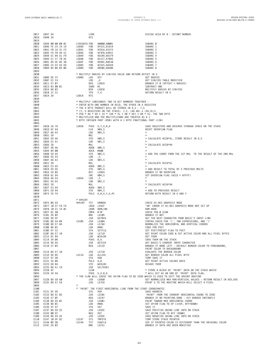| 2017         | EB97 44                        |              | LSRA       |                                                                    | DIVIDE ACCA BY 8 - OCTANT NUMBER                                                         |
|--------------|--------------------------------|--------------|------------|--------------------------------------------------------------------|------------------------------------------------------------------------------------------|
| 2018         | EB98 39                        |              | <b>RTS</b> |                                                                    |                                                                                          |
| 2019         |                                |              |            |                                                                    |                                                                                          |
| 2020         | EB99 00 00 00 01               | CIRCDATA FDB |            | \$0000,\$0001                                                      | SUBARC Ø                                                                                 |
| 2021         | EB9D FE C5 19 19               | LEB9D        | FDB        | \$FEC5, \$1919                                                     | SUBARC 1                                                                                 |
| 2022         | EBA1 FB 16 31 F2               | LEBA1        | FDB        | \$FB16,\$31F2                                                      | SUBARC 2                                                                                 |
| 2023         | EBA5 F4 FB 4A 51               | LEBA5        | FDB        | \$F4FB,\$4A51                                                      | SUBARC 3                                                                                 |
| 2024         | EBA9 EC 84 61 F9               | LEBA9        | FDB        | \$EC84,\$61F9                                                      | SUBARC 4                                                                                 |
| 2025         | EBAD E1 C7 78 AE               | LEBAB        | FDB        | \$E1C7,\$78AE                                                      | SUBARC 5                                                                                 |
| 2026         | EBB1 D4 DC 8E 3B               | LEBAF        | FDB        | \$D4DC, \$8E3B                                                     | SUBARC 6                                                                                 |
| 2027         | EBB5 C5 E5 A2 69               | LEBB5        | FDB        | \$C5E5, \$A269                                                     | SUBARC 7                                                                                 |
| 2028         | EBB9 B5 06 B5 06               | LEBB9        | FDB        | \$B506,\$B506                                                      | SUBARC 8                                                                                 |
| 2029         |                                |              |            |                                                                    |                                                                                          |
| 2030         |                                |              |            | * MULTIPLY RADIUS BY SIN/COS VALUE AND RETURN OFFSET IN X          |                                                                                          |
| 2031         | EBBD 9E CF                     | LEBBD        | LDX        | <b>VCF</b>                                                         | <b>GET RADIUS</b>                                                                        |
| 2032         | EBBF EC C4                     |              | LDD        | . U                                                                | GET SIN/COS TABLE MODIFIER                                                               |
| 2033         | EBC1 27 07                     |              | BEQ        | LEBCA                                                              | BRANCH IF Ø (OFFSET = RADIUS)                                                            |
| 2034         | EBC3 83 00 01                  |              | SUBD #1    |                                                                    | SUBTRACT ONE                                                                             |
| 2035         | EBC6 8D 03                     |              | BSR        | LEBCB                                                              | MULTIPLY RADIUS BY SIN/COS                                                               |
| 2036         | EBC8 1F 21                     |              | TFR        | Y, X                                                               | RETURN RESULT IN X                                                                       |
| 2037         | EBCA 39                        | LEBCA        | <b>RTS</b> |                                                                    |                                                                                          |
| 2038         |                                |              |            |                                                                    |                                                                                          |
| 2039         |                                |              |            | * MULTIPLY (UNSIGNED) TWO 16 BIT NUMBERS TOGETHER -                |                                                                                          |
| 2040         |                                |              |            | * ENTER WITH ONE NUMBER IN ACCD, THE OTHER IN X REGISTER           |                                                                                          |
| 2041         |                                |              |            | * THE 4 BYTE PRODUCT WILL BE STORED IN 4,S - 7,S                   |                                                                                          |
| 2042         |                                |              |            | * (Y, U REGISTERS ON THE STACK). I.E. (AA AB) x (XH,XL)=           |                                                                                          |
| 2043         |                                |              |            | * 256 * AA * XH + 16 * (AA * XL + AB * HX) + AB * XL. THE TWO BYTE |                                                                                          |
| 2044         |                                |              |            | * MULTIPLIER AND THE MULTIPLICAND ARE TREATED AS A 1               |                                                                                          |
| 2045         |                                |              |            | * BYTE INTEGER PART (MSB) WITH A 1 BYTE FRACTIONAL PART (LSB)      |                                                                                          |
| 2046         |                                |              |            |                                                                    |                                                                                          |
| 2047         | EBCB 34 76                     | LEBCB        |            | PSHS U.Y.X.B.A                                                     | SAVE REGISTERS AND RESERVE STORAGE SPACE ON THE STACK                                    |
| 2048         | EBCD 6F 64                     |              | CLR        | \$04,S                                                             | RESET OVERFLOW FLAG                                                                      |
| 2049         | EBCF A6 63                     |              | LDA        | \$03,S                                                             | $\equiv$                                                                                 |
| 2050         | EBD1 3D                        |              | MUL        |                                                                    | $\qquad \qquad =\qquad \qquad$                                                           |
| 2051         | EBD2 ED 66                     |              | STD        | \$06,S                                                             | = CALCULATE ACCB*XL, STORE RESULT IN 6,S                                                 |
| 2052         | EBD4 EC 61                     |              | LDD        | \$01,S                                                             |                                                                                          |
| 2053         | EBD6 3D                        |              | MUL        |                                                                    | * CALCULATE ACCB*XH                                                                      |
| 2054         | EBD7 EB 66                     |              |            | ADDB \$06,S                                                        |                                                                                          |
| 2055         | EBD9 89 00                     |              |            | ADCA #\$00                                                         |                                                                                          |
| 2056         | EBDB ED 65                     |              | STD        | \$05,S                                                             | = ADD THE CARRY FROM THE 1ST MUL TO THE RESULT OF THE 2ND MUL                            |
| 2057         | EBDD E6 E4                     |              | LDB        | , S                                                                |                                                                                          |
| 2058         | EBDF A6 63                     |              | LDA        | \$03,S                                                             |                                                                                          |
| 2059         | EBE1 3D                        |              | MUL        |                                                                    | * CALCULATE ACCA*XL                                                                      |
| 2060         | EBE2 E3 65                     |              |            | ADDD \$05,S                                                        |                                                                                          |
| 2061         | EBE4 ED 65                     |              | STD        | \$05,S                                                             | = ADD RESULT TO TOTAL OF 2 PREVIOUS MULTS                                                |
| 2062         | EBE6 24 02                     |              | <b>BCC</b> | LEBEA                                                              | BRANCH IF NO OVERFLOW                                                                    |
| 2063         | EBE8 6C 64                     |              | INC        | \$04,S                                                             | SET OVERFLOW FLAG (ACCD > \$FFFF)<br>$\star$                                             |
| 2064         | EBEA A6 E4                     | LEBEA        | LDA        | , S                                                                |                                                                                          |
| 2065         | EBEC E6 62                     |              | LDB        | \$02,S                                                             |                                                                                          |
| 2066         | EBEE 3D                        |              | MUL        |                                                                    | * CALCULATE ACCA*XH                                                                      |
| 2067         | EBEF E3 64                     |              |            | ADDD \$04,S                                                        |                                                                                          |
| 2068         | EBF1 ED 64                     |              | STD        | \$04,S                                                             | = ADD TO PREVIOUS RESULT                                                                 |
| 2069         | EBF3 35 F6                     |              |            | PULS A, B, X, Y, U, PC                                             | RETURN WITH RESULT IN U AND Y                                                            |
| 2070<br>2071 |                                | * HPAINT     |            |                                                                    |                                                                                          |
| 2072         |                                |              |            |                                                                    |                                                                                          |
| 2073         | EBF5 ØD E6<br>EBF7 10 27 FA F4 | HPAINT TST   | LBEQ       | HRMODE<br>LE6EF                                                    | CHECK HI-RES GRAPHICS MODE<br>'HR' ERROR IF HI-RES GRAPHICS MODE NOT SET UP              |
| 2074         | EBFB 10 21 14 01               |              | LBRN       | RAMLINK                                                            | RAM HOOK                                                                                 |
| 2075         | EBFF 81 40                     |              |            | CMPA #'@'                                                          | CHECK FOR @ SIGN                                                                         |
| 2076         | ECØ1 26 02                     |              | BNE        | LEC05                                                              | BRANCH IF NOT                                                                            |
| 2077         | EC03 9D 9F                     |              | JSR        | GETNCH                                                             | GET THE NEXT CHARACTER FROM BASIC'S INPUT LINE                                           |
| 2078         | ECØ5 BD EA Ø4                  | LEC05        | JSR        | LEAØ4                                                              | SYNTAX CHECK FOR '(', TWO EXPRESSIONS, AND ')'                                           |
| 2079         | ECØ8 BD E7 AD                  |              | JSR        | LE7AD                                                              | NORMALIZE THE HORIZONTAL AND VERTICAL COORDS                                             |
| 2080         | ECØB 86 Ø1                     |              | LDA        | #\$01                                                              | CODE FOR PSET                                                                            |
| 2081         | ECØD 97 C2                     |              | <b>STA</b> | SETFLG                                                             | SET PSET/PRESET FLAG TO PSET                                                             |
| 2082         | ECØF BD E7 18                  |              | <b>JSR</b> | LE718                                                              | GET PAINT COLOR CODE & SET ACTIVE COLOR AND ALL PIXEL BYTES                              |
| 2083         | EC12 DC B4                     |              | LDD        | WCOLOR                                                             | GET THEM                                                                                 |
| 2084         | EC14 34 06                     |              |            | PSHS B, A                                                          | SAVE THEM ON THE STACK                                                                   |
| 2085         | EC16 9D A5                     |              | JSR        | GETCCH                                                             | GET BASIC'S CURRENT INPUT CHARACTER                                                      |
| 2086         | EC18 27 03                     |              | BEQ        | LEC1D                                                              | BRANCH IF NONE LEFT - DEFAULT BORDER COLOR TO FOREGROUND,                                |
| 2087         |                                |              |            |                                                                    | PAINT COLOR TO BACKGROUND                                                                |
| 2088         | EC1A BD E7 18                  |              | JSR        | LE718                                                              | EVALUATE THE BORDER COLOR                                                                |
| 2089         | EC1D 96 B5                     | LEC1D        | LDA        | ALLCOL                                                             | GET BORDER COLOR ALL PIXEL BYTE                                                          |
| 2090         | EC1F 97 D8                     |              | STA        | VD8                                                                | TEMP SAVE IT                                                                             |
| 2091         | EC21 35 06                     |              |            | PULS A, B                                                          | GET PAINT ACTIVE COLORS BACK                                                             |
| 2092         | EC23 DD B4                     |              | STD        | WCOLOR                                                             | RESAVE THEM                                                                              |
| 2093         | EC25 BD E1 19                  |              | JSR        | SELTASK1                                                           |                                                                                          |
| 2094         | EC28 4F                        |              | CLRA       |                                                                    | * STORE A BLOCK OF 'PAINT' DATA ON THE STACK WHICH                                       |
| 2095         | EC29 34 56                     |              |            | PSHS U, X, B, A                                                    | * WILL ACT AS AN END OF 'PAINT' DATA FLAG.                                               |
| 2096         |                                |              |            |                                                                    | * THE CLRA WILL CAUSE THE UP/DN FLAG TO BE ZERO WHICH IS USED TO EXIT THE HPAINT ROUTINE |
| 2097         | EC2B BD EB 60                  |              | JSR        | LEB60<br>LE7E6                                                     | GET NORMALIZED MAX HOR/VERTICAL VALUES - RETURN RESULT IN VD3, VD5                       |
| 2098         | EC2E BD E7 E6                  |              | JSR        |                                                                    | POINT U TO THE ROUTINE WHICH WILL SELECT A PIXEL                                         |
| 2099<br>2100 |                                |              |            | * 'PAINT' THE FIRST HORIZONTAL LINE FROM THE START COORDINATES     |                                                                                          |
| 2101         | EC31 DF D9                     |              | STU        | VD9                                                                | SAVE ADDRESS                                                                             |
| 2102         | EC33 BD EC BE                  |              | JSR        | LECBE                                                              | 'PAINT' FROM THE CURRENT HORIZONTAL COORD TO ZERO                                        |
| 2103         | EC36 27 ØF                     |              | BEQ        | LEC47                                                              | BRANCH IF NO PAINTING DONE - HIT BORDER INSTANTLY                                        |
| 2104         | EC38 BD ED 01                  |              | JSR        | LEDØ1                                                              | PAINT TOWARD MAX HORIZONTAL COORD                                                        |
| 2105         | EC3B 86 01                     |              | LDA        | #\$01                                                              | SET UP/DN FLAG TO UP (1=UP, \$FF=DOWN)                                                   |
| 2106         | EC3D 97 D7                     |              | STA        | VD7                                                                | SAVE IT                                                                                  |
| 2107         | EC3F BD ED 2E                  |              | JSR        | LED2E                                                              | SAVE POSITIVE GOING LINE INFO ON STACK                                                   |
| 2108         | EC42 00 D7                     |              | NEG        | VD7                                                                | SET UP/DN FLAG TO \$FF (DOWN)                                                            |
| 2109         | EC44 BD ED 2E                  |              | JSR        | LED2E                                                              | SAVE NEGATIVE GOING LINE INFO ON STACK                                                   |
| 2110         | EC47 10 DF DC                  | LEC47        | <b>STS</b> | TMPSTK                                                             | TEMP STORE STACK POINTER                                                                 |
| 2111         | EC4A ØD DB                     | LEC4A        | TST        | CHGFLG                                                             | SEE IF PAINTED COLOR IS DIFFERENT THAN THE ORIGINAL COLOR                                |
| 2112         | EC4C 26 03                     |              | BNE        | LEC51                                                              | BRANCH IF DATA HAS BEEN MODIFIED                                                         |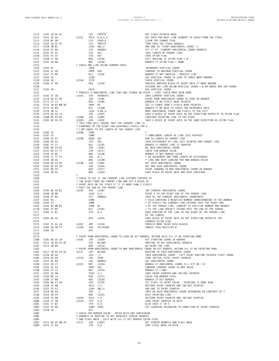| 2113 | EC4E 10 DE DC                       | LDS                  | TMPSTK                                                                            | GET STACK POINTER BACK                                                                              |
|------|-------------------------------------|----------------------|-----------------------------------------------------------------------------------|-----------------------------------------------------------------------------------------------------|
| 2114 | EC51 35 56                          | LEC51                | PULS A, B, X, U                                                                   | GET DATA FOR NEXT LINE SEGMENT TO CHECK FROM THE STACK                                              |
| 2115 | EC53 ØF DB                          | CLR                  | CHGFLG                                                                            | CLEAR THE CHANGE FLAG                                                                               |
| 2116 | EC55 10 DF DC                       | <b>STS</b>           | TMPSTK                                                                            | TEMP SAVE THE STACK ADDRESS                                                                         |
| 2117 | EC58 30 01                          |                      | LEAX \$01,X                                                                       | ADD ONE TO 'START HORIZONTAL COORD -1'                                                              |
| 2118 | EC5A 9F BD                          | STX                  | HORBEG                                                                            | PIT IT AT 'CURRENT HORIZONTAL COORD ADDRESS'                                                        |
| 2119 | EC5C DF D1                          | STU                  | VD1                                                                               | SAVE LENGTH OF PARENT LINE                                                                          |
| 2120 | EC5E 97 D7                          | STA                  | VD7                                                                               | SAVE UP/DN FLAG                                                                                     |
| 2121 | EC60 27 58                          | BEQ                  | LECBA                                                                             | EXIT ROUTINE IF UP/DN FLAG = $\emptyset$                                                            |
|      | EC62 2B 06                          |                      | LEC6A                                                                             |                                                                                                     |
| 2122 |                                     | BMI                  |                                                                                   | BRANCH IF UP/DN FLAG = DOWN                                                                         |
| 2123 |                                     |                      | * CHECK ONE LINE BELOW CURRENT DATA                                               |                                                                                                     |
| 2124 | EC64 5C                             | INCB                 |                                                                                   | INCREMENT VERTICAL COORD                                                                            |
| 2125 | EC65 D1 D6                          |                      | CMPB VD6                                                                          | COMPARE TO MAXIMUM VERTICAL COORD                                                                   |
| 2126 | EC67 23 05                          | BLS                  | LEC6E                                                                             | BRANCH IF NOT GREATER - PROCESS LINE                                                                |
| 2127 | EC69 5F                             | CLRB                 |                                                                                   | SET VERTICAL COORD TO ZERO TO FORCE WRAP AROUND                                                     |
| 2128 | EC6A 5D                             | LEC6A<br><b>TSTB</b> |                                                                                   | CHECK VERTICAL COORD                                                                                |
| 2129 | EC6B 27 DD                          | BEQ                  | LEC4A                                                                             | PROCESS ANOTHER BLOCK OF PAINT DATA IF WRAP AROUND -                                                |
|      |                                     |                      |                                                                                   | DISCARD ANY LINE BELOW VERTICAL COORD = $\emptyset$ OR ABOVE MAX VER COORD                          |
| 2130 |                                     |                      |                                                                                   |                                                                                                     |
| 2131 | EC6D 5A                             | DECB                 |                                                                                   | DEC VERTICAL COORD                                                                                  |
| 2132 |                                     |                      | * PROCESS A HORIZONTAL LINE THAT WAS STORED ON STACK - LIMIT CHECK HAVE BEEN DONE |                                                                                                     |
| 2133 | EC6E D7 CØ                          | STB<br>LEC6E         | VERBEG+1                                                                          | SAVE CURRENT VERTICAL COORD                                                                         |
| 2134 | EC70 BD EC BE                       | JSR                  | LECBE                                                                             | PAINT FROM HORIZONTAL COORD TO ZERO OR BORDER                                                       |
| 2135 | EC73 27 11                          | BEQ                  | LEC86                                                                             | BRANCH IF NO PIXELS WERE PAINTED                                                                    |
| 2136 | EC75 10 83 00 03                    |                      | CMPD #3                                                                           | SEE IF FEWER THAN 3 PIXELS WERE PAINTED                                                             |
| 2137 | EC79 25 05                          | BCS                  | LEC80                                                                             | BRANCH IF NO NEED TO CHECK FOR PAINTABLE DATA                                                       |
| 2138 | EC7B 30 1E                          |                      | $LEAX$ \$-02, X                                                                   | MOVE HORIZONTAL COORD TWO PIXELS TO THE LEFT                                                        |
|      |                                     |                      |                                                                                   |                                                                                                     |
| 2139 | EC7D BD ED 15                       | JSR                  | LED15                                                                             | SAVE A BLOCK OF PAINT DATA IN THE DIRECTION OPPOSITE TO UP/DN FLAG                                  |
| 2140 | EC80 BD ED 01                       | LEC80<br>JSR         | LEDØ1                                                                             | CONTINUE PAINTING LINE TO THE RIGHT                                                                 |
| 2141 | EC83 BD ED 2E                       | <b>JSR</b><br>LEC83  | LED2E                                                                             | SAVE A BLOCK OF PAINT DATA IN THE SAME DIRECTION AS UP/DN FLAG                                      |
| 2142 |                                     |                      | * THIS CODE WILL INSURE THAT THE CURRENT LINE IS                                  |                                                                                                     |
| 2143 |                                     |                      | * EXAMINED TO THE RIGHT FOR PAINTABLE PIXELS FOR A                                |                                                                                                     |
| 2144 |                                     |                      | * LINE EQUAL TO THE LENGTH OF THE PARENT LINE                                     |                                                                                                     |
| 2145 | EC86 43                             | LEC86<br>COMA        |                                                                                   | *                                                                                                   |
| 2146 | EC87 53                             | COMB                 |                                                                                   | * COMPLEMENT LENGTH OF LINE JUST PAINTED                                                            |
| 2147 | EC88 D3 D1                          | LEC88                | ADDD VD1                                                                          | ADD TO LENGTH OF PARENT LINE                                                                        |
|      |                                     |                      |                                                                                   |                                                                                                     |
| 2148 | EC8A DD D1                          | STD                  | VD1                                                                               | SAVE DIFFERENCE OF LINE JUST PAINTED AND PARENT LINE                                                |
| 2149 | EC8C 2F 17                          | BLE                  | LECA5                                                                             | BRANCH IF PARENT LINE IS SHORTER                                                                    |
| 2150 | EC8E BD E9 B1                       | JSR                  | LE9B1                                                                             | GO INCR HORIZONTAL COORD                                                                            |
| 2151 | EC91 BD EC F1                       | JSR                  | LECF1                                                                             | CHECK FOR BORDER COLOR                                                                              |
| 2152 | EC94 26 05                          | BNE                  | LEC9B                                                                             | BRANCH IF NOT BORDER COLOR                                                                          |
| 2153 | EC96 CC FF FF                       | LDD                  | $# - 1$                                                                           | * GO DECREMENT ONE FROM LENGTH OF DIFFERENCE                                                        |
| 2154 | EC99 20 ED                          | BRA                  | LEC88                                                                             | * LINE AND KEEP LOOKING FOR NON BORDER COLOR                                                        |
| 2155 | EC9B BD E9 BF                       | LEC9B<br>JSR         | LE9BF                                                                             | GET DECR HORIZONTAL COORD                                                                           |
| 2156 | EC9E BD ED 3A                       | <b>JSR</b>           | LED3A                                                                             | GET AND SAVE HORIZONTAL COORD                                                                       |
|      |                                     |                      |                                                                                   |                                                                                                     |
| 2157 | ECA1 8D 24                          | <b>BSR</b>           | LECC7                                                                             | PAINT FORWARD TO MAX HORIZONTAL COORD OR BORDER                                                     |
| 2158 | ECA3 20 DE                          | BRA                  | LEC83                                                                             | SAVE BLOCK OF PAINT DATA AND KEEP CHECKING                                                          |
| 2159 |                                     |                      |                                                                                   |                                                                                                     |
| 2160 |                                     |                      | * CHECK TO SEE IF THE CURRENT LINE EXTENDS FURTHER TO                             |                                                                                                     |
| 2161 |                                     |                      | * THE RIGHT THAN THE PARENT LINE AND PUT A BLOCK OF                               |                                                                                                     |
| 2162 |                                     |                      | * PAINT DATA ON THE STACK IF IT IS MORE THAN 2 PIXELS                             |                                                                                                     |
| 2163 |                                     |                      | * PAST THE END OF THE PARENT LINE                                                 |                                                                                                     |
| 2164 | ECA5 BD E9 B1                       | LECA5<br>JSR         | LE9B1                                                                             | INC CURRENT HORIZONTAL COORD                                                                        |
|      |                                     |                      |                                                                                   |                                                                                                     |
| 2165 | ECA8 30 8B                          |                      | LEAX D.X                                                                          | POINT X TO THE RIGHT END OF THE PARENT LINE                                                         |
| 2166 | ECAA 9F BD                          | STX                  | HORBEG                                                                            | SAVE AS THE CURRENT HORIZONTAL COORDINATE                                                           |
| 2167 | ECAC 43                             | COMA                 |                                                                                   | = ACCA CONTAINS A NEGATIVE NUMBER CORRESPONDING TO THE NUMBER                                       |
| 2168 | ECAD 53                             | COMB                 |                                                                                   | = OF PIXELS THE CURRENT LINE EXTENDS PAST THE RIGHT END                                             |
| 2169 | ECAE 83 00 01                       | SUBD #1              |                                                                                   | = OF THE PARENT LINE. CONVERT TO POSITIVE NUMBER AND BRANCH                                         |
| 2170 | ECB1 2F 04                          | BLE                  | LECB7                                                                             | = IF THE LINE DOESN'T EXTEND PAST THE END OF THE PARENT.                                            |
| 2171 | ECB3 1F 01                          | TFR                  | D, X                                                                              | SAVE PORTION OF THE LINE TO THE RIGHT OF THE PARENT LINE                                            |
| 2172 |                                     |                      |                                                                                   | AS THE LENGTH                                                                                       |
|      |                                     |                      |                                                                                   |                                                                                                     |
| 2173 | ECB5 8D 5E                          | BSR                  | LED15                                                                             | SAVE BLOCK OF PAINT DATA IN THE DIRECTION OPPOSITE THE                                              |
| 2174 |                                     |                      |                                                                                   | CURRENT UP/DN FLAG                                                                                  |
| 2175 | ECB7 7E EC 4A                       | JMP<br>LECB7         | LEC4A                                                                             | PROCESS MORE PAINT DATA BLOCKS                                                                      |
| 2176 | ECBA BD EØ FF                       | LECBA<br>JSR         | SELTASKØ                                                                          | ENABLE TASK REGISTER Ø                                                                              |
| 2177 | ECBD 39                             | <b>RTS</b>           |                                                                                   |                                                                                                     |
| 2178 |                                     |                      |                                                                                   |                                                                                                     |
| 2179 |                                     |                      |                                                                                   | * PAINT FROM HORIZONTAL COORD TO ZERO OR HIT BORDER; RETURN WITH Z=1 IF NO PAINTING DONE            |
| 2180 | ECBE BD ED 3A                       | LECBE<br>JSR         | LED3A                                                                             | PUT STARTING COORD IN HOREND                                                                        |
| 2181 | ECC1 10 8E E9 BF                    | LDY                  | #LE9BF                                                                            | ROUTINE TO DEC HORIZONTAL ADDRESS                                                                   |
|      |                                     |                      | LECCD                                                                             |                                                                                                     |
| 2182 | ECC5 20 06                          | BRA                  |                                                                                   | GO PAINT THE LINE                                                                                   |
| 2183 |                                     |                      |                                                                                   | * PAINT FROM HORIZONTAL COORD TO MAX HORIZONTAL COORD OR HIT BORDER; RETURN Z=1 IF NO PAINTING DONE |
| 2184 | ECC7 10 8E E9 B1                    | LECC7<br>LDY         | #LE9B1                                                                            | ROUTINE TO INCR HORIZONTAL COORD                                                                    |
| 2185 | ECCB AD A4                          | JSR                  | ,Υ                                                                                | INCR HORIZONTAL COORD - LEFT PAINT ROUTINE PAINTED FIRST COORD                                      |
| 2186 | ECCD DE 8A                          | LECCD                | LDU ZERO                                                                          | ZERO INITIAL PIXEL PAINT COUNTER                                                                    |
| 2187 | ECCF 9E BD                          |                      | LDX HORBEG                                                                        | GET HORIZONTAL COORD                                                                                |
| 2188 | ECD1 2B 17                          | LECD1<br>BMI         | LECEA                                                                             | BRANCH IF HORIZONTAL COORD IS > \$7F OR < $\emptyset$                                               |
| 2189 | ECD3 9C D3                          |                      | CMPX VD3                                                                          | COMPARE CURRENT COORD TO MAX VALUE                                                                  |
| 2190 | ECD5 22 13                          |                      | BHI LECEA                                                                         | BRANCH IF $>$ MAX                                                                                   |
|      |                                     |                      | PSHS U, Y                                                                         |                                                                                                     |
| 2191 | ECD7 34 60                          |                      |                                                                                   | SAVE PAINT COUNTER AND INC/DEC POINTER                                                              |
| 2192 | ECD9 8D 16                          |                      | BSR LECF1                                                                         | CHECK FOR BORDER PIXEL                                                                              |
| 2193 | ECDB 27 ØB                          | BEQ                  | LECE8                                                                             | BRANCH IF HIT BORDER                                                                                |
| 2194 | ECDD BD E7 92                       |                      | JSR LE792                                                                         | SET PIXEL TO PAINT COLOR - PAINTING IS DONE HERE                                                    |
| 2195 | ECEØ 35 60                          |                      | PULS Y,U                                                                          | RESTORE PAINT COUNTER AND INC/DEC POINTER                                                           |
| 2196 | ECE2 33 41                          |                      | LEAU \$01,U                                                                       | ADD ONE TO PAINT COUNTER                                                                            |
| 2197 | ECE4 AD A4                          | JSR                  | ,Υ                                                                                | INCR OR DECR HORIZONTAL COORD DEPENDING ON CONTENTS OF Y                                            |
| 2198 | ECE6 20 E9                          |                      | BRA LECD1                                                                         | KEEP PAINTING LINE                                                                                  |
|      |                                     |                      |                                                                                   |                                                                                                     |
| 2199 | ECE8 35 60                          | LECE8                | PULS Y,U                                                                          | RESTORE PAINT COUNTER AND INC/DEC POINTER                                                           |
| 2200 | ECEA 1F 30                          | LECEA                | TFR U,D                                                                           | SAVE PAINT COUNTER IN ACCD                                                                          |
| 2201 | ECEC 1F 01                          |                      | TFR D, X                                                                          | ALSO SAVE IT IN X                                                                                   |
| 2202 | ECEE 93 8A                          |                      | SUBD ZERO                                                                         | SET COUNTERS ACCORDING TO CONDITION OF PAINT COUNTER                                                |
| 2203 |                                     | <b>RTS</b>           |                                                                                   |                                                                                                     |
| 2204 | ECFØ 39                             |                      |                                                                                   |                                                                                                     |
|      |                                     |                      | * CHECK FOR BORDER COLOR - ENTER WITH VD9 CONTAINING                              |                                                                                                     |
| 2205 |                                     |                      | * ADDRESS OF ROUTINE TO GET ABSOLUTE SCREEN ADDRESS                               |                                                                                                     |
|      |                                     |                      |                                                                                   |                                                                                                     |
| 2206 |                                     |                      | * AND PIXEL MASK - EXIT WITH Z=1 IF HIT BORDER COLOR PIXEL                        |                                                                                                     |
| 2207 | ECF1 AD 9F 00 D9<br>2208 ECF5 1F 89 | LECF1                | JSR [VD9]<br>TFR A,B                                                              | GET SCREEN ADDRESS AND PIXEL MASK<br>COPY PIXEL MASK IN ACCB                                        |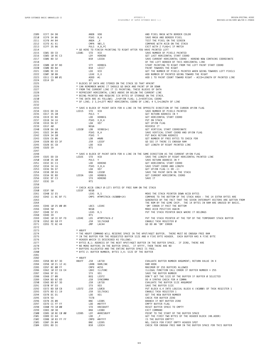| 2209<br>2210<br>2211<br>2212<br>2213<br>2214 | ECF7 D4 D8<br>ECF9 34 06<br>ECFB A4 84<br>ECFD A1 61<br>ECFF 35 86 |         | ANDB VD8<br><b>PSHS</b><br>ANDA | B,A<br>, X<br>CMPA \$01,S<br>PULS A, B, PC<br>* GO HERE TO FINISH PAINTING TO RIGHT AFTER YOU HAVE PAINTED LEFT                  | AND PIXEL MASK WITH BORDER COLOR<br>SAVE MASK AND BORDER PIXEL<br>TEST THE PIXEL ON THE SCREEN<br>COMPARE WITH ACCB ON THE STACK<br>EXIT WITH Z FLAG=1 IF MATCH                                                  |
|----------------------------------------------|--------------------------------------------------------------------|---------|---------------------------------|----------------------------------------------------------------------------------------------------------------------------------|------------------------------------------------------------------------------------------------------------------------------------------------------------------------------------------------------------------|
| 2215<br>2216<br>2217<br>2218                 | EDØ1 DD CD<br>ED03 10 9E C3<br>EDØ6 8D 32                          | LEDØ1   | STD<br>LDY<br><b>BSR</b>        | VCD<br>HOREND<br>LED3A                                                                                                           | SAVE NUMBER OF PIXELS PAINTED<br>GET LAST HORIZONTAL START COORD<br>SAVE CURRENT HORIZONTAL COORD - HOREND NOW CONTAINS COORDINATE<br>OF THE LEFT BORDER OF THIS HORIZONTAL LINE                                 |
| 2219<br>2220                                 | EDØ8 10 9F BD<br>EDØB 8D BA                                        |         | <b>STY</b><br><b>BSR</b>        | HORBEG<br>LECC7                                                                                                                  | START PAINTING TO RIGHT FROM THE LEFT PAINT START COORD<br>PAINT TOWARDS THE RIGHT                                                                                                                               |
| 2221                                         | EDØD 9E CD                                                         |         | LDX                             | VCD                                                                                                                              | GET THE NUMBER OF PIXELS PAINTED WHEN GOING TOWARDS LEFT PIXELS                                                                                                                                                  |
| 2222<br>2223                                 | EDØF 30 8B<br>ED11 C3 00 01                                        |         | LEAX D, X<br>ADDD               | #1                                                                                                                               | ADD NUMBER OF PAINTED GOING TOWARD THE RIGHT<br>ADD 1 TO PAINT COUNT TOWARD RIGHT - ACCD=LENGTH OF PAINTED LINE                                                                                                  |
| 2224<br>2225                                 | ED14 39                                                            |         | <b>RTS</b>                      | * BLOCKS OF DATA ARE STORED ON THE STACK SO THAT HPAINT                                                                          |                                                                                                                                                                                                                  |
| 2226<br>2227                                 |                                                                    |         |                                 | * CAN REMEMBER WHERE IT SHOULD GO BACK AND PAINT UP OR DOWN<br>* FROM THE CURRENT LINE IT IS PAINTING. THESE BLOCKS OF DATA      |                                                                                                                                                                                                                  |
| 2228                                         |                                                                    |         |                                 | * REPRESENT HORIZONTAL LINES ABOVE OR BELOW THE CURRENT LINE                                                                     |                                                                                                                                                                                                                  |
| 2229<br>2230                                 |                                                                    |         |                                 | * BEING PAINTED AND REQUIRE SIX BYTES OF STORAGE ON THE STACK.<br>* THE DATA ARE AS FOLLOWS: , S=UP/DN FLAG; 1, S=VERTICAL COORD |                                                                                                                                                                                                                  |
| 2231<br>2232                                 |                                                                    |         |                                 | * OF LINE; 2 3, S=LEFT MOST HORIZONTAL COORD OF LINE; 4 5, S=LENGTH OF LINE                                                      |                                                                                                                                                                                                                  |
| 2233                                         |                                                                    |         |                                 |                                                                                                                                  | * SAVE A BLOCK OF PAINT DATA FOR A LINE IN THE OPPOSITE DIRECTION OF THE CURREN UP/DN FLAG                                                                                                                       |
| 2234<br>2235                                 | ED15 DD CB<br>ED17 35 20                                           | LED15   | STD<br>PULS Y                   | VCB                                                                                                                              | SAVE NUMBER OF PIXELS PAINTED<br>GET RETURN ADDRESS IN Y                                                                                                                                                         |
| 2236<br>2237                                 | ED19 DC BD<br>ED1B 34 16                                           |         | LDD                             | HORBEG<br>PSHS X, B, A                                                                                                           | GET HORIZONTAL START COORD<br>PUT ON STACK                                                                                                                                                                       |
| 2238                                         | ED1D 96 D7                                                         |         | LDA                             | VD7                                                                                                                              | GET UP/DN FLAG                                                                                                                                                                                                   |
| 2239<br>2240                                 | ED1F 40<br>ED20 D6 C0                                              | LED20   | NEGA<br>LDB                     | VERBEG+1                                                                                                                         | REVERSE IT<br>GET VERTICAL START COORDINATE                                                                                                                                                                      |
| 2241<br>2242                                 | ED22 34 06                                                         |         | PSHS B, A<br>PSHS Y             |                                                                                                                                  | SAVE VERTICAL START COORD AND UP/DN FLAG<br>PUT BACK RETURN ADDRESS                                                                                                                                              |
| 2243                                         | ED24 34 20<br>ED26 C6 06                                           |         | LDB                             | #\$06                                                                                                                            | GET NUMBER OF FREE BYTES TO CHECK FOR                                                                                                                                                                            |
| 2244<br>2245                                 | ED28 BD ED 3F<br>ED2B DC CB                                        |         | JSR<br>LDD                      | LED3F<br>VCB                                                                                                                     | GO SEE IF THERE IS ENOUGH RAM<br>GET LENGTH OF RIGHT PAINTED LINE                                                                                                                                                |
| 2246                                         | ED2D 39                                                            |         | <b>RTS</b>                      |                                                                                                                                  |                                                                                                                                                                                                                  |
| 2247<br>2248                                 |                                                                    |         |                                 |                                                                                                                                  | * SAVE A BLOCK OF PAINT DATA FOR A LINE IN THE SAME DIRECTION AS THE CURRENT UP/DN FLAG                                                                                                                          |
| 2249<br>2250                                 | ED2E DD CB<br>ED30 35 20                                           | LED2E   | STD<br>PULS Y                   | VCB                                                                                                                              | SAVE THE LENGTH OF RIGHT HORIZONTAL PAINTED LINE<br>SAVE RETURN ADDRESS IN Y                                                                                                                                     |
| 2251                                         | ED32 DC C3                                                         |         | LDD                             | HOREND                                                                                                                           | GET HORIZONTAL START COORD                                                                                                                                                                                       |
| 2252<br>2253                                 | ED34 34 16<br>ED36 96 D7                                           |         | LDA                             | PSHS X, B, A<br>VD7                                                                                                              | SAVE START COORD AND LENGTH<br>GET UP/DN FLAG $(1 \tOR -1)$                                                                                                                                                      |
| 2254                                         | ED38 20 E6                                                         |         | BRA                             | LED20                                                                                                                            | SAVE THE PAINT DATA ON THE STACK                                                                                                                                                                                 |
| 2255<br>2256                                 | ED3A 9E BD<br>ED3C 9F C3                                           | LED3A   | LDX<br><b>STX</b>               | HORBEG<br>HOREND                                                                                                                 | GET CURRENT HORIZONTAL COORD<br>SAVE IT                                                                                                                                                                          |
| 2257<br>2258                                 | ED3E 39                                                            |         | <b>RTS</b>                      |                                                                                                                                  |                                                                                                                                                                                                                  |
| 2259                                         |                                                                    |         |                                 | * CHECK ACCB (ONLY Ø-127) BYTES OF FREE RAM ON THE STACK                                                                         |                                                                                                                                                                                                                  |
| 2260<br>2261                                 | ED3F 50<br>ED40 32 E5                                              | LED3F   | NEGB<br>LEAS                    | B,S                                                                                                                              | MOVE THE STACK POINTER DOWN ACCB BYTES                                                                                                                                                                           |
| 2262<br>2263<br>2264                         | ED42 11 8C BF F1                                                   |         |                                 | CMPS #TMPSTACK-(\$2000+14)                                                                                                       | COMPARE TO THE BOTTOM OF THE STACK AREA - THE 14 EXTRA BYTES ARE<br>GENERATED BY THE FACT THAT THE SEVEN INTERRUPT VECTORS ARE GOTTEN FROM<br>THE ROM BY THE GIME CHIP. THE 14 BYTES IN RAM ARE UNUSED BY BASIC. |
| 2265<br>2266                                 | ED46 10 25 00 04<br>ED4A 50                                        |         | NEGB                            | LBCS LED4E                                                                                                                       | 'OM' ERROR IF PAST THE BOTTOM<br>MAKE ACCB POSITIVE AGAIN                                                                                                                                                        |
| 2267                                         | ED4B 32 E5                                                         |         | LEAS                            | B,S                                                                                                                              | PUT THE STACK POINTER BACK WHERE IT BELONGS                                                                                                                                                                      |
| 2268<br>2269                                 | ED4D 39<br>ED4E 10 CE DF FD                                        | LED4E   | <b>RTS</b><br>LDS               | #TMPSTACK-2                                                                                                                      | PUT THE STACK POINTER AT THE TOP OF THE TEMPORARY STACK BUFFER                                                                                                                                                   |
| 2270                                         | ED52 BD EØ FF<br>ED55 7E AC 44                                     |         | JSR                             | SELTASKØ                                                                                                                         | ENABLE TASK REGISTER Ø                                                                                                                                                                                           |
| 2271<br>2272                                 |                                                                    |         | JMP                             | LAC44                                                                                                                            | GO DO AN 'OM' ERROR                                                                                                                                                                                              |
| 2273<br>2274                                 |                                                                    | * HBUFF |                                 |                                                                                                                                  | * THE HBUFF COMMAND WILL RESERVE SPACE IN THE HPUT/HGET BUFFER. THERE MUST BE ENOUGH FREE RAM                                                                                                                    |
| 2275                                         |                                                                    |         |                                 |                                                                                                                                  | * IN THE BUFFER FOR THE REQUESTED BUFFER SIZE AND A FIVE BYTE HEADER. EACH BUFFER HAS A FIVE BYTE                                                                                                                |
| 2276<br>2277                                 |                                                                    |         |                                 | * HEADER WHICH IS DESCRIBED AS FOLLOWS:                                                                                          | * BYTES 0,1: ADDRESS OF THE NEXT HPUT/HGET BUFFER IN THE BUFFER SPACE. IF ZERO, THERE ARE                                                                                                                        |
| 2278<br>2279                                 |                                                                    |         |                                 | * NO MORE BUFFERS IN THE BUFFER SPACE. IF \$FFFF, THEN THERE ARE NO<br>* BUFFERS ALLOCATED AND THE ENTIRE BUFFER SPACE IS FREE.  |                                                                                                                                                                                                                  |
| 2280                                         |                                                                    |         |                                 | * BYTE 2: BUFFER NUMBER; BYTES 3,4: SIZE OF THE BUFFER                                                                           |                                                                                                                                                                                                                  |
| 2281<br>2282                                 |                                                                    | * HBUFF |                                 |                                                                                                                                  |                                                                                                                                                                                                                  |
| 2283                                         | ED58 BD B7 3D<br>2284 ED5B 10 21 12 A1                             | HBUFF   | JSR                             | LB73D<br>LBRN RAMLINK                                                                                                            | EVALUATE BUFFER NUMBER ARGUMENT; RETURN VALUE IN X<br>RAM HOOK                                                                                                                                                   |
|                                              | 2285 ED5F 8C 00 FF                                                 |         |                                 | CMPX #255                                                                                                                        | MAXIMUM OF 255 BUFFERS ALLOWED                                                                                                                                                                                   |
| 2287                                         | 2286 ED62 10 22 C6 E4<br>ED66 9F D1                                |         | STX                             | LBHI ILLFUNC<br>VD1                                                                                                              | ILLEGAL FUNCTION CALL ERROR IF BUFFER NUMBER > 255<br>SAVE THE BUFFER NUMBER                                                                                                                                     |
|                                              | 2288 ED68 27 08                                                    |         | BEQ                             | LED72                                                                                                                            | DON'T GET THE SIZE OF THE BUFFER IF BUFFER Ø SELECTED                                                                                                                                                            |
|                                              | 2289 ED6A BD B2 6D<br>2290 ED6D BD B7 3D                           |         | JSR<br>JSR                      | SYNCOMMA<br>LB73D                                                                                                                | DO A SYNTAX CHECK FOR A COMMA<br>EVALUATE THE BUFFER SIZE ARGUMENT                                                                                                                                               |
|                                              | 2291 ED7Ø 9F D3                                                    |         | <b>STX</b>                      | VD3                                                                                                                              | SAVE THE BUFFER SIZE                                                                                                                                                                                             |
|                                              | 2292 ED72 BD EØ CB<br>2293 ED75 BD E1 19                           | LED72   | JSR<br>JSR                      | LEØCB<br>SELTASK1                                                                                                                | PUT BLOCK 6.4 INTO LOGICAL BLOCK 6 (\$C000) OF TASK REGISTER 1<br>ENABLE TASK REGISTER 1                                                                                                                         |
|                                              | 2294 ED78 DC D1                                                    |         | LDD                             | VD1                                                                                                                              | GET THE NEW BUFFER NUMBER                                                                                                                                                                                        |
| 2295                                         | ED7A 5D<br>2296 ED7B 26 08                                         |         | <b>TSTB</b><br>BNE              | LED85                                                                                                                            | CHECK FOR BUFFER ZERO<br>BRANCH IF NOT BUFFER ZERO                                                                                                                                                               |
|                                              | 2297 ED7D CC FF FF                                                 |         | LDD                             | #\$FFFF                                                                                                                          | EMPTY BUFFER FLAG                                                                                                                                                                                                |
| 2299                                         | 2298 ED80 FD C0 00<br>ED83 20 38                                   |         | STD<br>BRA                      | HRESBUFF<br>LEDBD                                                                                                                | RESET BUFFER SPACE TO EMPTY<br>EXIT COMMAND                                                                                                                                                                      |
|                                              | 2300 ED85 10 8E C0 00<br>2301 ED89 EC A4                           | LED85   | LDY<br>LDD                      | #HRESBUFF<br>,Υ                                                                                                                  | POINT TO THE START OF THE BUFFER SPACE<br>GET THE FIRST TWO BYTES OF THE HEADER BLOCK (HB.ADDR)                                                                                                                  |
|                                              | 2302 ED8B 10 83 FF FF                                              |         |                                 | CMPD #\$FFFF                                                                                                                     | IS THE BUFFER EMPTY?                                                                                                                                                                                             |
|                                              | 2303 ED8F 26 04<br>2304 ED91 8D 31                                 |         | BNE<br><b>BSR</b>               | LED95<br>LEDC4                                                                                                                   | NO; CHECK FOR FIRST EMPTY HEADER SPOT<br>CHECK FOR ENOUGH FREE RAM IN THE BUFFER SPACE FOR THIS BUFFER                                                                                                           |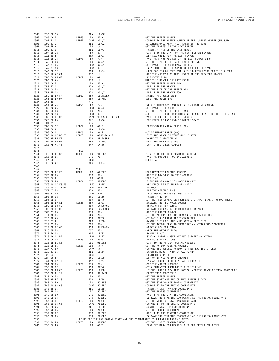| 2305         | ED93 20 1B                           |                    | BRA               | LEDBØ                       |                                                                                                                                              |
|--------------|--------------------------------------|--------------------|-------------------|-----------------------------|----------------------------------------------------------------------------------------------------------------------------------------------|
| 2306         | ED95 D6 D2                           | LED95              | LDB               | $VD1+1$                     | GET THE BUFFER NUMBER                                                                                                                        |
| 2307<br>2308 | ED97 E1 22<br>ED99 27 37             | LED97              |                   | CMPB \$02, Y<br>BEQ LEDD2   | COMPARE TO THE BUFFER NUMBER OF THE CURRENT HEADER (HB.NU<br>RE-DIMENSIONED ARRAY (DD) ERROR IF THE SAME                                     |
| 2309         | ED9B EE A4                           |                    | LDU               | , ү                         | GET THE ADDRESS OF THE NEXT BUFFER                                                                                                           |
| 2310         | ED9D 27 04                           |                    | BEQ               | LEDA3                       | BRANCH IF THIS IS THE LAST HEADER                                                                                                            |
| 2311         | ED9F 1F 32                           |                    | TFR U, Y          |                             | POINT Y TO THE START OF THE NEXT BUFFER HEADER                                                                                               |
| 2312<br>2313 | EDA1 20 F4<br>EDA3 1F 23             | LEDA3 TFR Y,U      |                   | BRA LED97                   | KEEP SEARCHING FOR THE LAST HEADER<br>SAVE THE START ADDRESS OF THE LAST HEADER IN U                                                         |
| 2314         | EDA5 EC 23                           |                    | LDD               | \$03, Y                     | GET THE SIZE OF THE LAST HEADER (HB.SIZE)                                                                                                    |
| 2315         | EDA7 31 25                           |                    |                   | LEAY \$05, Y                | SKIP PAST THE HEADER DATA (HB.LEN)                                                                                                           |
| 2316         | EDA9 31 AB                           |                    | LEAY D, Y         |                             | NOW Y POINTS TOT THE START OF FREE BUFFER SPACE                                                                                              |
| 2317<br>2318 | EDAB 8D 17<br>EDAD 10 AF C4          |                    | STY, U            | BSR LEDC4                   | CHECK FOR ENOUGH FREE RAM IN THE BUFFER SPACE FOR THIS BU<br>SAVE THE ADDRESS OF THIS HEADER IN THE PREVIOUS HEADER                          |
| 2319         | EDBØ CC ØØ ØØ                        | LEDBØ LDD          |                   | #0                          | LAST ENTRY FLAG                                                                                                                              |
| 2320         | EDB3 ED A4                           |                    | STD               | , Y                         | MAKE THIS HEADER THE LAST ENTRY                                                                                                              |
| 2321         | EDB5 D6 D2                           |                    | LDB               | $VD1+1$                     | GET THE BUFFER NUMBER AND                                                                                                                    |
| 2322<br>2323 | EDB7 E7 22<br>EDB9 DC D3             |                    | STB<br>LDD        | \$02, Y<br>VD3              | SAVE IT IN THE HEADER<br>GET THE SIZE OF THE BUFFER AND                                                                                      |
| 2324         | EDBB ED 23                           |                    | STD               | \$03, Y                     | SAVE IT IN THE HEADER TOO                                                                                                                    |
| 2325         | EDBD BD EØ FF                        | LEDBD JSR SELTASKØ |                   |                             | ENABLE TASK REGISTER Ø                                                                                                                       |
| 2326         | EDCØ BD EØ 97                        |                    | JSR               | SETMMU                      | RESET MMU REGISTERS                                                                                                                          |
| 2327         | EDC3 39                              |                    | <b>RTS</b>        |                             |                                                                                                                                              |
| 2328<br>2329 | EDC4 1F 21<br>EDC6 30 05             | LEDC4 TFR Y,X      |                   | LEAX \$05,X                 | USE X A TEMPORARY POINTER TO THE START OF BUFFER<br>SKIP PAST THE HEADER                                                                     |
| 2330         | EDC8 DC D3                           |                    | LDD               | VD3                         | GET THE SIZE OF THE BUFFER AND                                                                                                               |
| 2331         | EDCA 30 8B                           |                    | LEAX D, X         |                             | ADD IT TO THE BUFFER POINTER WHICH NOW POINTS TO THE BUFF                                                                                    |
| 2332         | EDCC 8C DF 00                        |                    |                   | CMPX #HRESBUFF+\$1F00       | PAST THE END OF THE BUFFER SPACE?                                                                                                            |
| 2333<br>2334 | EDCF 22 05<br>EDD1 39                |                    | RTS               | BHI LEDD6                   | 'OM' ERROR IF PAST END OF BUFFER SPACE                                                                                                       |
| 2335         | EDD2 C6 12                           | LEDD2 LDB #9*2     |                   |                             | REDIMENSIONED ARRAY ERROR (DD)                                                                                                               |
| 2336         | EDD4 20 02                           |                    |                   | BRA LEDD8                   |                                                                                                                                              |
| 2337         | EDD6 C6 ØC                           | LEDD6 LDB          |                   | #6*2                        | OUT OF MEMORY ERROR (OM)                                                                                                                     |
| 2338<br>2339 | EDD8 10 CE DF FD<br>EDDC BD EØ FF    | LEDD8 LDS          |                   | #TMPSTACK-2<br>JSR SELTASKØ | RESET THE STACK TO TEMPORARY LOCATON<br>ENABLE TASK REGISTER Ø                                                                               |
| 2340         | EDDF BD EØ 97                        |                    | JSR               | SETMMU                      | RESET THE MMU REGISTERS                                                                                                                      |
| 2341         | EDE2 7E AC 46                        |                    | JMP               | LAC46                       | JUMP TO THE ERROR HANDLER                                                                                                                    |
| 2342         |                                      |                    |                   |                             |                                                                                                                                              |
| 2343         | EDE5 8E EE CØ                        | * HGET             |                   |                             | POINT X TO THE HGET MOVEMENT ROUTINE                                                                                                         |
| 2344<br>2345 | EDE8 9F D5                           | HGET               | LDX<br><b>STX</b> | #LEECØ<br>VD5               | SAVE THE MOVEMENT ROUTINE ADDRESS                                                                                                            |
| 2346         | EDEA 5F                              |                    | CLRB              |                             | HGET FLAG                                                                                                                                    |
| 2347         | EDEB 20 07                           |                    | BRA               | LEDF4                       |                                                                                                                                              |
| 2348<br>2349 |                                      | * HPUT             |                   |                             |                                                                                                                                              |
| 2350         | EDED 8E EE EF                        | HPUT LDX #LEEEF    |                   |                             | HPUT MOVEMENT ROUTINE ADDRESS                                                                                                                |
| 2351         | EDFØ 9F D5                           |                    | <b>STX</b>        | VD5                         | SAVE THE MOVEMENT ROUTINE ADDRESS                                                                                                            |
| 2352         | EDF2 C6 01                           |                    | LDB               | #\$01                       | HPUT FLAG                                                                                                                                    |
| 2353         | EDF4 ØD E6                           | LEDF4 TST HRMODE   |                   |                             | IS THE HI-RES GRAPHICS MODE ENABLED?                                                                                                         |
| 2354<br>2355 | EDF6 10 27 F8 F5<br>EDFA 10 21 12 02 |                    |                   | LBEQ LE6EF<br>LBRN RAMLINK  | 'HR' ERROR IF NOT IN HI-RES MODE<br>RAM HOOK                                                                                                 |
| 2356         | EDFE D7 D8                           |                    | STB VD8           |                             | SAVE THE GET/PUT FLAG                                                                                                                        |
| 2357         | EEØØ 81 40                           |                    | CMPA #'@'         |                             | ALLOW HGET@, HPUT@ AS LEGAL SYNTAX                                                                                                           |
| 2358         | EE02 26 02                           |                    |                   | BNE LEEØ6                   | BRANCH IF NOT @                                                                                                                              |
| 2359<br>2360 | EE04 9D 9F<br>EE06 BD E9 E1          | LEEØ6 JSR LE9E1    |                   | JSR GETNCH                  | GET THE NEXT CHARACTER FROM BASIC'S INPUT LINE IF @ WAS T<br>EVALUATE THE RECTANGLE BOUNDS                                                   |
| 2361         | EEØ9 BD B2 6D                        |                    |                   | JSR SYNCOMMA                | SYNTAX CHECK FOR COMMA                                                                                                                       |
| 2362         | EEØC BD B7 ØB                        |                    |                   | JSR EVALEXPB                | EVALUATE EXPRESSION, RETURN VALUE IN ACCB                                                                                                    |
| 2363         | EEØF D7 D3                           |                    | STB               | VD3                         | SAVE THE BUFFER NUMBER                                                                                                                       |
| 2364<br>2365 | EE11 ØF D4<br>EE13 9D A5             |                    | CLR VD4           | JSR GETCCH                  | SET THE ACTION FLAG TO SHOW AN ACTION SPECIFIED<br>GET BASIC'S CURRENT INPUT CHARACTER                                                       |
| 2366         | EE15 27 21                           |                    | BEQ               | LEE38                       | BRANCH IF END OF LINE - NO ACTION SPECIFIED                                                                                                  |
| 2367         | EE17 03 D4                           |                    | COM               | VD4                         | SET THE ACTION FLAG TO SHOW THAT AN ACTION WAS SPECIFIED                                                                                     |
| 2368         | EE19 BD B2 6D                        |                    | JSR               | SYNCOMMA                    | SYNTAX CHECK FOR COMMA                                                                                                                       |
| 2369         | EE1C ØD D8                           |                    | TST               | VD8                         | CHECK THE GET/PUT FLAG                                                                                                                       |
| 2370<br>2371 | EE1E 26 03<br>EE20 16 C4 54          |                    | BNE               | LEE23<br>LBRA LB277         | BRANCH IF PUT<br>'SYNTAX' ERROR - HGET MAY NOT SPECIFY AN ACTION                                                                             |
| 2372         | EE23 C6 05                           | LEE23              | LDB               | #\$05                       | FIVE POSSIBLE ACTIONS                                                                                                                        |
| 2373         | EE25 8E EE EØ                        |                    | LDX               | #LEEEØ                      | POINT TO THE ACTION ROUTINE ADDRESS                                                                                                          |
|              | 2374 EE28 EE 81                      | LEE28              | LDU               | , X++                       | GET THE ACTION ROUTINE ADDRESS                                                                                                               |
| 2375<br>2376 | EE2A A1 80<br>EE2C 27 06             |                    | CMPA<br>BEQ       | , X+<br>LEE34               | COMPARE THE DESIRED ACTION TO THIS ROUTINE'S TOKEN<br>SEARCH NO MORE - A MATCH WAS FOUND                                                     |
| 2377         | EE2E 5A                              |                    | DECB              |                             | DECREMENT COUNTER                                                                                                                            |
| 2378         | EE2F 26 F7                           |                    | BNE               | LEE28                       | LOOP UNTIL ALL ACTIONS CHECKED                                                                                                               |
| 2379         | EE31 7E B2 77                        |                    | JMP               | LB277                       | 'SYNTAX' ERROR IF ILLEGAL ACTION DESIRED                                                                                                     |
| 2380         | EE34 DF D5<br>2381 EE36 9D 9F        | LEE34              | STU<br>JSR        | VD5<br>GETNCH               | SAVE THE ACTION ADDRESS<br>GET A CHARACTER FROM BASIC'S INPUT LINE                                                                           |
| 2382         | EE38 BD EØ CB                        | LEE38              | <b>JSR</b>        | LEØCB                       | PUT THE HBUFF BLOCK INTO LOGICAL ADDRESS SPACE OF TASK RE                                                                                    |
| 2383         | EE3B BD E1 19                        |                    | JSR               | SELTASK1                    | SELECT TASK REGISTER 1                                                                                                                       |
| 2384         | EE3E D6 D3                           |                    | LDB               | VD3                         | GET THE BUFFER NUMBER                                                                                                                        |
|              | 2385 EE4Ø BD EF 18                   |                    | <b>JSR</b>        | LEF18                       | GET THE START AND END OF THIS BUFFER'S DATA                                                                                                  |
| 2387         | 2386 EE43 DC BD<br>EE45 10 93 C3     |                    | LDD               | HORBEG<br>CMPD HOREND       | GET THE STARING HORIZONTAL COORDINATE<br>COMPARE IT TO THE ENDING COORDINATE                                                                 |
| 2388         | EE48 2F 06                           |                    | BLE               | LEE5Ø                       | BRANCH IF START <= END COORDINATE                                                                                                            |
| 2389         | EE4A 9E C3                           |                    | LDX               | HOREND                      | GET THE ENDING COORDINATE                                                                                                                    |
|              | 2390 EE4C 9F BD                      |                    | <b>STX</b>        | HORBEG                      | SAVE IT AS THE STARTING COORDINATE                                                                                                           |
| 2391<br>2392 | EE4E DD C3<br>EE50 DC BF             | LEE5Ø              | STD<br>LDD        | HOREND<br>VERBEG            | NOW SAVE THE STARTING COORDINATE AS THE ENDING COORDINATE<br>GET THE VERTICAL STARTING COORDINATE                                            |
| 2393         | EE52 10 93 C5                        |                    |                   | CMPD VEREND                 | COMPARE IT TO THE ENDING COORDINATE                                                                                                          |
| 2394         | EE55 2F 06                           |                    | BLE               | LEE5D                       | BRANCH IF START <= END COORDINATE                                                                                                            |
| 2395         | EE57 9E C5                           |                    | LDX               | VEREND                      | GET THE ENDING COORDINATE                                                                                                                    |
| 2396         | EE59 9F BF<br>EE5B DD C5             |                    | <b>STX</b><br>STD | VERBEG                      | SAVE IT AS THE STARTING COORDINATE                                                                                                           |
| 2397<br>2398 |                                      |                    |                   | VEREND                      | NOW SAVE THE STARTING COORDINATE AS THE ENDING COORDINATE<br>* ROUND OFF THE HORIZONTAL START AND END COORDINATES TO AN EVEN NUMBER OF BYTES |
| 2399         | EE5D 96 E6                           | LEE5D              | LDA               | HRMODE                      | GET THE HI-RES GRAPHICS MODE                                                                                                                 |
|              | 2400 EE5F C6 F8                      |                    | LDB               | #\$F8                       | ROUND OFF MASK FOR HSCREEN 3 (EIGHT PIXELS PER BYTE)                                                                                         |

 **ED97 E1 22 LED97 CMPB \$02,Y COMPARE TO THE BUFFER NUMBER OF THE CURRENT HEADER (HB.NUM) 2308 ED99 27 37 BEQ LEDD2 RE-DIMENSIONED ARRAY (DD) ERROR IF THE SAME EDA9 31 AB LEAY D,Y NOW Y POINTS TOT THE START OF FREE BUFFER SPACE 2317 EDAB 8D 17 BSR LEDC4 CHECK FOR ENOUGH FREE RAM IN THE BUFFER SPACE FOR THIS BUFFER EDAD 10 AF C4 STY ,U SAVE THE ADDRESS OF THIS HEADER IN THE PREVIOUS HEADER EDB3 ED A4 STD ,Y MAKE THIS HEADER THE LAST ENTRY EDBB ED 23 STD \$03,Y SAVE IT IN THE HEADER TOO EDCA 30 8B LEAX D,X ADD IT TO THE BUFFER POINTER WHICH NOW POINTS TO THE BUFFER END 2332 EDCC 8C DF 00 CMPX #HRESBUFF+\$1F00 PAST THE END OF THE BUFFER SPACE? EDE2 7E AC 46 JMP LAC46 JUMP TO THE ERROR HANDLER EE04 9D 9F JSR GETNCH GET THE NEXT CHARACTER FROM BASIC'S INPUT LINE IF @ WAS THERE EE15 27 21 BEQ LEE38 BRANCH IF END OF LINE - NO ACTION SPECIFIED 2367 EE17 03 D4 COM VD4 SET THE ACTION FLAG TO SHOW THAT AN ACTION WAS SPECIFIED EE38 BD E0 CB LEE38 JSR LE0CB PUT THE HBUFF BLOCK INTO LOGICAL ADDRESS SPACE OF TASK REGISTER 1 EE4E DD C3 STD HOREND NOW SAVE THE STARTING COORDINATE AS THE ENDING COORDINATE**

**B25**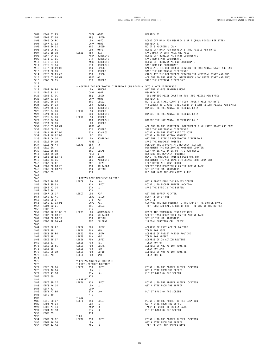| 2401         | EE61 81 03                     |                | CMPA #\$03        |                                                                        | HSCREEN 3?                                                                                                       |
|--------------|--------------------------------|----------------|-------------------|------------------------------------------------------------------------|------------------------------------------------------------------------------------------------------------------|
| 2402         | EE63 27 08                     |                | BEQ               | LEE6D                                                                  |                                                                                                                  |
| 2403<br>2404 | EE65 C6 FC<br>EE67 81 02       |                | LDB<br>CMPA #\$02 | #\$FC                                                                  | ROUND OFF MASK FOR HSCREEN 1 OR 4 (FOUR PIXELS PER BYTE)<br>HSCREEN 2?                                           |
| 2405         | EE69 26 02                     |                | BNE               | LEE6D                                                                  | NO IT'S HSCREEN 1 OR 4                                                                                           |
| 2406         | EE6B C6 FE                     |                | LDB               | #\$FE                                                                  | ROUND OFF MASK FOR HSCREEN 2 (TWO PIXELS PER BYTE)                                                               |
| 2407<br>2408 | EE6D 1F 98<br>EE6F 94 BE       | LEE6D          | TFR               | B, A<br>ANDA HORBEG+1                                                  | SAVE MASK IN BOTH ACCA AND ACCB<br>ROUND OFF HORIZONTAL START COORDINATE                                         |
| 2409         | EE71 97 BE                     |                | STA               | HORBEG+1                                                               | SAVE NEW START COORDINATE                                                                                        |
| 2410         | EE73 D4 C4                     |                |                   | ANDB HOREND+1                                                          | ROUND OFF HORIZONTAL END COORDINATE                                                                              |
| 2411<br>2412 | EE75 D7 C4<br>EE77 BD E9 DB    |                | STB<br>JSR        | HOREND+1<br>LE9DB                                                      | SAVE NEW END COORDINATE                                                                                          |
| 2413         | EE7A DD C3                     |                | STD               | HOREND                                                                 | CALCULATE THE DIFFERENCE BETWEEN THE HORIZONTAL START AND END<br>SAVE THE HORIZONTAL DIFFERENCE                  |
| 2414         | EE7C BD E9 CD                  |                | JSR               | LE9CD                                                                  | CALCULATE THE DIFFERENCE BETWEEN THE VERTICAL START AND END                                                      |
| 2415         | EE7F C3 00 01                  |                | ADDD #1           |                                                                        | ADD ONE TO THE VERTICAL DIFFERENCE (INCLUSIVE START AND END)                                                     |
| 2416<br>2417 | EE82 DD C5                     |                | STD               | VEREND                                                                 | SAVE THE VERTICAL DIFFERENCE                                                                                     |
| 2418         |                                |                |                   | * CONVERT THE HORIZONTAL DIFFERENCE (IN PIXELS) INTO A BYTE DIFFERENCE |                                                                                                                  |
| 2419         | EE84 96 E6                     |                | LDA               | HRMODE                                                                 | GET THE HI-RES GRAPHICS MODE                                                                                     |
| 2420<br>2421 | EE86 81 02<br>EE88 27 ØC       |                | CMPA #\$02<br>BEQ | LEE96                                                                  | HSCREEN 2?<br>YES; DIVIDE PIXEL COUNT BY TWO (TWO PIXELS PER BYTE)                                               |
| 2422         | EE8A 81 03                     |                | CMPA #\$03        |                                                                        | HSCREEN 3?                                                                                                       |
| 2423         | EE8C 26 04                     |                | BNE               | LEE92                                                                  | NO; DIVIDE PIXEL COUNT BY FOUR (FOUR PIXELS PER BYTE)                                                            |
| 2424<br>2425 | EE8E 04 C3<br>EE90 06 C4       |                | LSR<br><b>ROR</b> | HOREND<br>HOREND+1                                                     | * HSCREEN 3; DIVIDE PIXEL COUNT BY EIGHT (EIGHT PIXELS PER BYTE)<br>DIVIDE THE HORIZONTAL DIFFERENCE BY 2        |
| 2426         | EE92 04 C3                     | LEE92          | LSR               | HOREND                                                                 |                                                                                                                  |
| 2427         | EE94 06 C4                     |                | <b>ROR</b>        | HOREND+1                                                               | DIVIDE THE HORIZONTAL DIFFERENCE BY 2                                                                            |
| 2428<br>2429 | EE96 04 C3<br>EE98 06 C4       | LEE96          | LSR<br><b>ROR</b> | HOREND<br>HOREND+1                                                     | DIVIDE THE HORIZONTAL DIFFERENCE BY 2                                                                            |
| 2430         | EE9A DC C3                     |                | LDD               | HOREND                                                                 |                                                                                                                  |
| 2431         | EE9C C3 00 01                  |                | ADDD              | #1                                                                     | ADD ONE TO THE HORIZONTAL DIFFERENCE (INCLUSIVE START AND END)                                                   |
| 2432<br>2433 | EE9F DD C3<br>EEA1 BD E7 DA    |                | STD<br>JSR        | HOREND<br><b>HCALPOS</b>                                               | SAVE THE HORIZONTAL DIFFERENCE<br>POINT X TO THE FIRST BYTE TO MOVE                                              |
| 2434         | EEA4 10 9E D5                  |                | LDY               | VD5                                                                    | POINT Y TO THE ACTION ADDRESS                                                                                    |
| 2435         | EEA7 D6 C4                     | LEEA7          | LDB               | HOREND+1                                                               | GET THE LS BYTE OF HORIZONTAL DIFFERENCE                                                                         |
| 2436<br>2437 | EEA9 34 10<br>EEAB AD A4       | LEEAB          | PSHS X<br>JSR     | ,Υ                                                                     | SAVE THE MOVEMENT POINTER<br>PERFORM THE APPROPRIATE MOVEMENT ACTION                                             |
| 2438         | EEAD 5A                        |                | DECB              |                                                                        | DECREMENT THE HORIZONTAL MOVEMENT COUNTER                                                                        |
| 2439         | EEAE 26 FB                     |                | BNE               | LEEAB                                                                  | LOOP UNTIL ALL BYTES ON THIS ROW MOVED                                                                           |
| 2440<br>2441 | EEBØ 35 10<br>EEB2 BD EA 45    |                | PULS X<br>JSR     | LEA45                                                                  | RESTORE THE MOVEMENT POINTER<br>MOVE THE MOVEMENT POINTER DOWN ONE ROW                                           |
| 2442         | EEB5 ØA C6                     |                | DEC               | VEREND+1                                                               | DECREMENT THE VERTICAL DIFFERENCE (ROW COUNTER)                                                                  |
| 2443         | EEB7 26 EE                     |                | BNE               | LEEA7                                                                  | LOOP UNTIL ALL ROWS MOVED                                                                                        |
| 2444<br>2445 | EEB9 BD EØ FF<br>EEBC BD EØ 97 |                | JSR<br>JSR        | SELTASKØ<br>SETMMU                                                     | SELECT TASK REGISTER Ø AS THE ACTIVE TASK<br>SET UP THE MMU REGISTERS                                            |
| 2446         | EEBF 39                        |                | <b>RTS</b>        |                                                                        | WHY NOT MAKE THE JSR ABOVE A JMP                                                                                 |
| 2447         |                                |                |                   |                                                                        |                                                                                                                  |
| 2448<br>2449 | EECØ A6 80                     | LEECØ          | LDA               | * HGET'S BYTE MOVEMENT ROUTINE<br>, X+                                 | GET A BBYTE FROM THE HI-RES SCREEN                                                                               |
| 2450         | EEC2 8D 03                     |                | <b>BSR</b>        | LEEC7                                                                  | POINT U TO PROPER BUFFER LOCATION                                                                                |
| 2451         | EEC4 A7 C4                     |                | <b>STA</b>        | , U                                                                    | SAVE THE BYTE IN THE BUFFER                                                                                      |
| 2452<br>2453 | EEC6 39<br>EEC7 DE CF          | LEEC7          | <b>RTS</b><br>LDU | VCF                                                                    | GET THE BUFFER POINTER                                                                                           |
| 2454         | EEC9 33 41                     |                | LEAU              | \$01,U                                                                 | BUMP IT UP BY ONE                                                                                                |
| 2455         | EECB DF CF                     |                | STU               | <b>VCF</b>                                                             | SAVE IT                                                                                                          |
| 2456<br>2457 | EECD 11 93 D1<br>EEDØ 22 01    |                | CMPU<br>BHI       | VD1<br>LEED3                                                           | COMPARE THE NEW POINTER TO THE END OF THE BUFFER SPACE<br>'FC' FUNCTION CALL ERROR IF PAST THE END OF THE BUFFER |
| 2458         | EED2 39                        |                | <b>RTS</b>        |                                                                        |                                                                                                                  |
| 2459         | EED3 10 CE DF FD               | LEED3          | LDS               | #TMPSTACK-2                                                            | RESET THE TEMPORARY STACK POINTER                                                                                |
| 2460<br>2461 | EED7 BD EØ FF<br>EEDA BD EØ 97 |                | JSR<br><b>JSR</b> | SELTASKØ<br>SETMMU                                                     | SELECT TASK REGISTER Ø AS THE ACTIVE TASK<br>SET UP THE MMU REGISTERS                                            |
| 2462         | EEDD 7E B4 4A                  |                | JMP               | ILLFUNC                                                                | ILLEGAL FUNCTION CALL ERROR                                                                                      |
| 2463         |                                |                |                   |                                                                        |                                                                                                                  |
| 2464<br>2465 | EEEØ EE EF<br>EEE2 BD          | LEEEØ<br>LEEE2 | FDB<br>FCB        | LEEEF<br>\$BD                                                          | ADDRESS OF PSET ACTION ROUTINE<br>TOKEN FOR PSET                                                                 |
| 2466         | EEE3 EE F6                     | LEEE3          | FDB               | LEEF6                                                                  | ADDRESS OF PRESET ACTION ROUTINE                                                                                 |
| 2467         | EEE5 BE                        | LEEE5          | <b>FCB</b>        | \$ B E                                                                 | TOKEN FOR PRESET                                                                                                 |
| 2468<br>2469 | EEE6 EF 07<br>EEE8 B1          | LEEE6<br>LEEE8 | FDB<br>FCB        | LEFØ7<br>\$B1                                                          | ADDRESS OF OR ACTION ROUTINE<br>TOKEN FOR OR                                                                     |
| 2470         | EEE9 EE FE                     | LEEE9          |                   | FDB LEEFE                                                              | ADDRESS OF AND ACTION ROUTINE                                                                                    |
| 2471         | EEEB BØ                        | LEEEB          | FCB \$BØ          |                                                                        | TOKEN FOR AND                                                                                                    |
| 2472<br>2473 | EEEC EF 10<br>EEEE A8          | LEEEC<br>LEEEE | FCB               | FDB LEF10<br>\$A8                                                      | ADDRESS OF NOT ACTION ROUTINE<br>TOKEN FOR NOT                                                                   |
| 2474         |                                |                |                   |                                                                        |                                                                                                                  |
| 2475         |                                |                |                   | * HPUT'S MOVEMENT ROUTINES                                             |                                                                                                                  |
| 2476<br>2477 | EEEF 8D D6                     | LEEEF          | BSR LEEC7         | * PSET (DEFAULT ROUTINE)                                               | POINT U TO THE PROPER BUFFER LOCATION                                                                            |
| 2478         | EEF1 A6 C4                     |                | LDA               | , U                                                                    | GET A BYTE FROM THE BUFFER                                                                                       |
| 2479         | EEF3 A7 80                     |                | STA               | , X+                                                                   | PUT IT BACK ON THE SCREEN                                                                                        |
| 2480<br>2481 | EEF5 39                        | * PRESET       | <b>RTS</b>        |                                                                        |                                                                                                                  |
| 2482         | EEF6 8D CF                     | LEEF6          | BSR               | LEEC7                                                                  | POINT U TO THE PROPER BUFFER LOCATION                                                                            |
| 2483         | EEF8 A6 C4                     |                | LDA               | , U                                                                    | GET A BYTE FROM THE BUFFER                                                                                       |
| 2484<br>2485 | EEFA 43<br>EEFB A7 80          |                | COMA<br>STA       | $, X+$                                                                 | PUT IT BACK ON THE SCREEN                                                                                        |
| 2486         | EEFD 39                        |                | <b>RTS</b>        |                                                                        |                                                                                                                  |
| 2487         |                                | * AND          |                   |                                                                        |                                                                                                                  |
| 2488<br>2489 | EEFE 8D C7<br>EFØØ A6 C4       | LEEFE          | LDA               | BSR LEEC7<br>, U                                                       | POINT U TO THE PROPER BUFFER LOCATION<br>GET A BYTE FROM THE BUFFER                                              |
| 2490         | EFØ2 A4 84                     |                | ANDA , X          |                                                                        | 'AND' IT WITH THE SCREEN DATA                                                                                    |
| 2491         | EF04 A7 80                     |                | STA               | , X+                                                                   | PUT IT BACK ON THE SCREEN                                                                                        |
| 2492<br>2493 | EFØ6 39                        | $*$ OR         | <b>RTS</b>        |                                                                        |                                                                                                                  |
| 2494         | EFØ7 8D BE                     | LEFØ7          | BSR               | LEEC7                                                                  | POINT U TO THE PROPER BUFFER LOCATION                                                                            |
| 2495         | EFØ9 A6 C4                     |                | LDA               | , U                                                                    | GET A BYTE FROM THE BUFFER                                                                                       |
|              | 2496 EFØB AA 84                |                | ORA               | , X                                                                    | 'OR' IT WITH THE SCREEN DATA                                                                                     |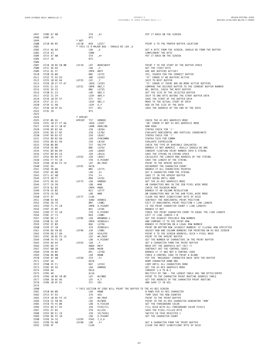| 2497         | EFØD A7 80                        | STA                               | , X+                                                                       | PUT IT BACK ON THE SCREEN                                                                                       |
|--------------|-----------------------------------|-----------------------------------|----------------------------------------------------------------------------|-----------------------------------------------------------------------------------------------------------------|
| 2498<br>2499 | EFØF 39                           | <b>RTS</b><br>$*$ NOT             |                                                                            |                                                                                                                 |
| 2500<br>2501 | EF10 8D B5                        | LEF10<br><b>BSR</b>               | LEEC7<br>* THIS IS A MAJOR BUG - SHOULD BE LDA ,U                          | POINT U TO THE PROPER BUFFER LOCATION                                                                           |
| 2502         | EF12 A6 84                        | LDA                               | ,Χ                                                                         | GET A BYTE FROM THE SCREEN, SHOULD BE FROM THE BUFFER                                                           |
| 2503<br>2504 | EF14 43<br>EF15 A7 80             | COMA<br>STA                       | , X+                                                                       | COMPLEMENT THE BYTE<br>PUT IT BACK ON THE SCREEN                                                                |
| 2505         | EF17 39                           | <b>RTS</b>                        |                                                                            |                                                                                                                 |
| 2506<br>2507 | EF18 10 8E C0 00                  | LEF18<br>LDY                      | #HRESBUFF                                                                  | POINT Y TO THE START OF THE BUFFER SPACE                                                                        |
| 2508         | EF1C A6 A4                        | LDA                               | , Y                                                                        | GET THE FIRST BYTE                                                                                              |
| 2509<br>2510 | EF1E 81 FF<br>EF20 26 0A          | CMPA<br>BNE                       | #\$FF<br>LEF2C                                                             | ARE ANY BUFFERS ACTIVE?<br>YES, SEARCH FOR THE CORRECT BUFFER                                                   |
| 2511<br>2512 | EF22 7E EE D3<br>EF25 10 AE A4    | JMP<br>LEF25<br>LDY               | LEED3<br>, Y                                                               | 'FC' ERROR IF NO BUFFERS ACTIVE<br>SKIP TO NEXT BUFFER                                                          |
| 2513         | EF28 10 27 FF A7                  | LBEQ                              | LEED3                                                                      | 'FC' ERROR IF THERE ARE NO MORE ACTIVE BUFFERS                                                                  |
| 2514<br>2515 | EF2C E1 22<br>EF2E 26 F5          | CMPB<br>LEF2C<br>BNE              | \$02, Y<br>LEF25                                                           | COMPARE THE DESIRED BUFFER TO THE CURRENT BUFFER NUMBER<br>NO, MATCH, CHECK THE NEXT BUFFER                     |
| 2516         | EF30 EC 23                        | LDD                               | \$03, Y                                                                    | GET THE SIZE OF THE SELECTED BUFFER                                                                             |
| 2517<br>2518 | EF32 31 24<br>EF34 10 9F CF       | STY                               | LEAY \$04, Y<br>VCF                                                        | SKIP TO ONE BYTE BEFORE THE START BUFFER DATA<br>SAVE THE START OF THE BUFFER DATA                              |
| 2519<br>2520 | EF37 31 21<br>EF39 31 AB          |                                   | LEAY \$01, Y<br>LEAY D, Y                                                  | MOVE TO THE ACTUAL START OF DATA<br>ADD IN THE SIZE OF THE DATA                                                 |
| 2521         | EF3B 10 9F D1                     | STY                               | VD1                                                                        | SAVE THE ADDRESS OF THE END OF THE DATA                                                                         |
| 2522<br>2523 | EF3E 39                           | <b>RTS</b>                        |                                                                            |                                                                                                                 |
| 2524         |                                   | * HPRINT                          |                                                                            |                                                                                                                 |
| 2525<br>2526 | EF3F ØD E6<br>EF41 10 27 F7 AA    | HPRINT TST                        | HRMODE<br>LBEQ LE6EF                                                       | CHECK THE HI-RES GRAPHICS MODE<br>'HR' ERROR IF NOT HI-RES GRAPHICS MODE                                        |
| 2527<br>2528 | EF45 10 21 10 B7<br>EF49 BD B2 6A | JSR                               | LBRN RAMLINK<br>LB26A                                                      | RAM HOOK<br>SYNTAX CHECK FOR '('                                                                                |
| 2529         | EF4C BD E7 B2                     | JSR                               | LE7B2                                                                      | EVALUATE HORIZONTAL AND VERTICAL COORDINATE                                                                     |
| 2530<br>2531 | EF4F BD B2 67<br>EF52 BD B2 6D    | JSR<br>JSR                        | LB267<br>SYNCOMMA                                                          | SYNTAX CHECK FOR ')'<br>SYNTAX CECK FOR COMMA                                                                   |
| 2532         | EF55 BD B1 56                     | JSR                               | LB156                                                                      | EVALUATE EXPRESSION                                                                                             |
| 2533<br>2534 | EF58 0D 06<br>EF5A 26 06          | TST<br>BNE                        | VALTYP<br>LEF62                                                            | CHECK THE TYPE OF VARIABLE EVALUATED<br>BRANCH IF NOT NUMERIC - REALLY SHOULD BE BMI                            |
| 2535<br>2536 | EF5C BD BD D9<br>EF5F BD B5 16    | JSR<br><b>JSR</b>                 | LBDD9<br>LB516                                                             | CONVERT FLOATING POINT NUMBER INTO A STRING<br>SAVE THE STRING IN STRING SPACE                                  |
| 2537         | EF62 BD B6 57                     | <b>JSR</b><br>LEF62               | LB657                                                                      | CALCULATE THE LENGTH AND ADDRESS OF THE STRING                                                                  |
| 2538<br>2539 | EF65 F7 FE 18<br>EF68 10 8E FE 19 | <b>STB</b><br>LDY                 | H.PCOUNT<br>#H.PBUF                                                        | SAVE THE LENGTH OF THE STRING<br>POINT TO THE HPRINT BUFFER                                                     |
| 2540         | EF6C 5A                           | DECB<br>LEF6C                     |                                                                            | DECREMENT THE CHARACTER COUNT                                                                                   |
| 2541<br>2542 | EF6D 2B 06<br>EF6F A6 80          | BMI<br>LDA                        | LEF75<br>, X+                                                              | BRANCH IF ALL CHARACTERS PRINTED<br>GET A CHARACTER FROM THE STRING                                             |
| 2543<br>2544 | EF71 A7 A0<br>EF73 20 F7          | <b>STA</b><br>BRA                 | , Y+<br>LEF6C                                                              | SAVE IT IN THE HPRINT BUFFER<br>KEEP GOING UNTIL DONE                                                           |
| 2545         | EF75 96 E6                        | LEF75<br>LDA                      | HRMODE                                                                     | GET THE HI-RES GRAPHICS MODE                                                                                    |
| 2546<br>2547 | EF77 C6 28<br>EF79 81 03          | LDB<br>CMPA                       | #40<br>#\$03                                                               | 40 CHARACTERS MAX IN THE 320 PIXEL WIDE MODE<br>CHECK THE HSCREEN MODE                                          |
| 2548<br>2549 | EF7B 25 02<br>EF7D C6 50          | <b>BCS</b><br>LDB                 | LEF7F<br>#80                                                               | BRANCH IF 40 COLUMN RESOLUTION<br>80 CHARACTERS MAX IN THE 640 PIXEL WIDE MODE                                  |
| 2550<br>2551 | EF7F 4F                           | LEF7F<br>CLRA                     |                                                                            | CLEAR THE MOST SIGNIFICANT BYTE OF ACCD                                                                         |
| 2552         | EF80 93 BD<br>EF82 2B 7D          | SUBD<br>BMI                       | HORBEG<br>LFØØ1                                                            | SUBTRACT THE HORIZONTAL PRINT POSITION<br>EXIT IF HORIZONTAL PRINT POSITION > LINE LENGTH                       |
| 2553<br>2554 | EF84 F1 FE 18<br>EF87 22 05       | CMPB<br>BHI                       | H.PCOUNT<br>LEF8E                                                          | IS THE PRINT CHARACTER COUNT > LINE LENGTH?<br>BRANCH IF NOT                                                    |
| 2555         | EF89 F7 FE 18                     | STB                               | H.PCOUNT                                                                   | FORCE THE PRINT CHARACTER COUNT TO EQUAL THE LINE LENGTH                                                        |
| 2556<br>2557 | EF8C 27 73<br>EF8E 86 17          | BEQ<br>LEF8E<br>LDA               | LFØØ1<br>#ROWMAX-1                                                         | EXIT IF LINE LENGTH = $\theta$<br>GET THE HIGHEST POSSIBLE ROW NUMBER                                           |
| 2558<br>2559 | EF90 91 C0<br>EF92 2C 02          | BGE                               | CMPA VERBEG+1<br>LEF96                                                     | AND COMPARE IT TO THE PRINT ROW<br>BRANCH IF PRINTING ON A LEGAL ROW NUMBER                                     |
| 2560         | EF94 97 CØ                        | <b>STA</b>                        | VERBEG+1                                                                   | PRINT ON BOTTOM ROW (HIGHEST NUMBER) IF ILLEGAL ROW SPECIFIED                                                   |
| 2561<br>2562 | EF96 BD FØ 8C<br>EF99 BD E7 DA    | LEF96<br><b>JSR</b><br><b>JSR</b> | LFØ8C<br><b>HCALPOS</b>                                                    | ADJUST ROW AND COLUMN NUMBERS FOR PRINTING ON HI-RES SCREEN<br>POINT X TO THE SCREEN ADDRESS; ACCA = PIXEL MASK |
| 2563         | EF9C 10 8E FE 19                  |                                   | LDY<br>#H.PBUF                                                             | POINT TO THE HPRINT BUFFER                                                                                      |
| 2564<br>2565 | EFAØ F6 FE 18<br>EFA3 A6 A4       | LDB<br>LEFA3<br>LDA               | H.PCOUNT<br>,Υ                                                             | GET THE NUMBER OF CHARACTERS IN THE PRINT BUFFER<br>GET A CHARACTER FROM THE PRINT BUFFER                       |
| 2566<br>2567 | EFA5 84 7F<br>EFA7 80 20          |                                   | ANDA #\$7F<br>SUBA #\$20                                                   | MASK OFF THE GRAPHICS BIT (BIT 7)<br>SUBTRACT OUT THE CONTROL CODES                                             |
| 2568         | EFA9 2A 02                        | BPL                               | LEFAD                                                                      | BRANCH IF IT WAS NOT A CONTROL CODE                                                                             |
| 2569<br>2570 | EFAB 86 00<br>EFAD A7 AØ          | LDA<br>LEFAD<br>STA               | #\$00<br>, Y+                                                              | FORCE A CONTROL CODE TO PRINT A BLANK<br>PUT THE 'MASSAGED' CHARACTER BACK INTO THE BUFFER                      |
| 2571         | EFAF 5A                           | DECB                              |                                                                            | BUMP CHARACTER DOWN ONE                                                                                         |
| 2572<br>2573 | EFBØ 2E F1<br>EFB2 96 E6          | BGT<br>LDA                        | LEFA3<br>HRMODE                                                            | LOOP UNTIL ALL CHARACTERS DONE<br>GET THE HI-RES GRAPHICS MODE                                                  |
| 2574<br>2575 | EFB4 4A<br>EFB5 48                | DECA<br>ALSA                      |                                                                            | CONVERT 1-4 TO 0-3<br>MULTIPLY BY TWO - THE LOOKUP TABLE HAS TWO BYTES/ENTRY                                    |
| 2576         | EFB6 10 8E F0 02                  | LDY                               | #LF002                                                                     | POINT TO THE CHARACTER PRINT ROUTINE ADDRESS TABLE                                                              |
| 2577<br>2578 | EFBA 10 AE A6<br>EFBD 10 9F D1    | LDY<br>STY                        | A, Y<br>VD1                                                                | GET THE ADDRESS OF THE CHARACTER PRINT ROUTINE<br>AND SAVE IT IN VD1                                            |
| 2579         |                                   |                                   |                                                                            |                                                                                                                 |
| 2580<br>2581 | EFCØ 86 08                        | LDA                               | * THIS SECTION OF CODE WILL PRINT THE BUFFER TO THE HI-RES SCREEN<br>#\$08 | 8 ROWS PER HI-RES CHARACTER                                                                                     |
| 2582<br>2583 | EFC2 97 D3<br>EFC4 10 8E FE 19    | STA<br>LDY                        | VD3<br>#H.PBUF                                                             | TEMP SAVE THE ROW COUNTER<br>POINT TO THE PRINT BUFFER                                                          |
| 2584         | EFC8 CE FØ 9D                     | LDU                               | #LFØ9D                                                                     | POINT TO THE HI-RES CHARACTER GENERATOR 'ROM'                                                                   |
| 2585<br>2586 | EFCB F6 FE ØA<br>EFCE BD E7 42    | LDB<br>JSR                        | H.FCOLOR<br>PIXELFIL                                                       | GET THE FOREGROUND COLOR<br>FILL ACCB WITH ALL FOREGROUND COLOR PIXELS                                          |
| 2587         | EFD1 D7 B5                        | STB                               | ALLCOL                                                                     | SAVE THE PIXEL-FILLED BYTE                                                                                      |
| 2588<br>2589 | EFD3 BD E1 19<br>EFD6 B6 FE 18    | JSR<br>LDA                        | SELTASK1<br>H.PCOUNT                                                       | SWITCH IN TASK REGISTER 1<br>GET THE CHARACTER COUNT                                                            |
| 2590<br>2591 | EFD9 34 32<br>EFDB E6 AØ          | LEFD9<br>LEFDB<br>LDB             | PSHS Y, X, A<br>, Y+                                                       | GET A CHARACTER FROM THE PRINT BUFFER                                                                           |
| 2592         | EFDD 4F                           | CLRA                              |                                                                            | CLEAR THE MOST SIGNIFICANT BYTE OF ACCD                                                                         |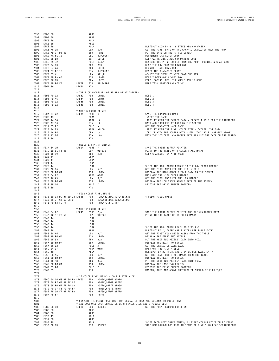**EFDE 58 ALSB EFDF 58 ALSB EFE0 49 ROLA EFE1 58 ALSB EFE2 49 ROLA MULTIPLY ACCD BY 8 - 8 BYTES PER CHARACTER 2598 EFE3 A6 CB LDA D,U GET THE FIRST BYTE OF THE GRAPHIC CHARACTER FROM THE 'ROM' EFE5 AD 9F 00 D1 JSR [VD1] PUT THE BYTE ON THE HI-RES SCREEN 2600 EFE9 7A FE 18 DEC H.PCOUNT DECREMENT CHARACTER COUNT EFEC 2E ED BGT LEFDB KEEP GOING UNTIL ALL CHARACTERS DONE 2602 EFEE 35 32 PULS A,X,Y RESTORE THE PRINT BUFFER POINTER, 'ROM' POINTER & CHAR COUNT EFF0 0A D3 DEC VD3 BUMP THE ROW COUNTER DOWN ONE EFF2 27 0A BEQ LEFFE BRANCH IF ALL ROWS DONE EFF4 B7 FE 18 STA H.PCOUNT RESET THE CHARACTER COUNT EFF7 33 41 LEAU \$01,U ADJUST THE 'ROM' POINTER DOWN ONE ROW 2607 EFF9 BD EA 45 JSR LEA45 MOVE X DONW ONE HI-RES ROW EFFC 20 DB BRA LEFD9 KEEP LOOPING UNTIL THE WHOLE ROW IS DONE EFFE BD E0 FF LEFFE JSR SELTASK0 MAKE TASK REGISTER 0 ACTIVE F001 39 LF001 RTS \* TABLE OF ADDRESSES OF HI-RES PRINT DRIVERS F002 F0 1A LF002 FDB LF01A MODE 1 F004 F0 45 LF004 FDB LF045 MODE 2 F006 F0 0A LF006 FDB LF00A MODE 3 F008 F0 1A LF008 FDB LF01A MODE 4 \* MODE 3 PRINT DRIVER F00A 34 02 LF00A PSHS A SAVE THE CHARACTER MASK F00C 43 COMA INVERT THE MASK F00D A4 84 ANDA ,X 'AMD' IT WITH THE SCREEN DATA - CREATE A HOLE FOR THE CHARACTER 2622 F00F A7 84 STA ,X DATA AND THEN PUT IT BACK ON THE SCREEN F011 35 02 PULS A GET THE CHARACTER MASK BACK F013 94 B5 ANDA ALLCOL 'AND' IT WITH THE PIXEL COLOR BYTE - 'COLOR' THE DATA F015 AA 84 ORA ,X 'OR' IT WITH THE SCREEN DATA - FILL THE 'HOLE' CREATED ABOVE 2626 F017 A7 80 STA ,X+ WITH THE 'COLORED' CHARACTER DATA AND PUT THE DATA ON THE SCREEN F019 39 RTS \* MODES 1,4 PRINT DRIVER F01A 34 20 LF01A PSHS Y SAVE THE PRINT BUFFER POINTER 2631 F01C 10 8E F0 35 LDY #LF035 POINT TO THE TABLE OF 4 COLOR PIXEL MASKS F020 1F 89 TFR A,B COPY CHARACTER DATA TO ACCB F022 44 LSRA F023 44 LSRA F024 44 LSRA F025 44 LSRA SHIFT THE HIGH ORDER NIBBLE TO THE LOW ORDER NIBBLE F026 A6 A6 LDA A,Y GET THE PIXEL MASK FOR THE HIGH NIBBLE 2638 F028 BD F0 0A JSR LF00A DISPLAY THE HIGH ORDER NIBBLE DATA ON THE SCREEN F02B C4 0F ANDB #\$0F MASK OFF THE HIGH ORDER NIBBLE 2640 F02D A6 A5 LDA B,Y GET THE PIXEL MASK FOR THE LOW NIBBLE F02F BD F0 0A JSR LF00A DISPLAY THE LOW ORDER NIBBLE DATA ON THE SCREEN F032 35 20 PULS Y RESTORE THE PRINT BUFFER POINTER F034 39 RTS \* FOUR COLOR PIXEL MASKS F035 00 03 0C 0F 30 33 LF035 FCB \$00,\$03,\$0C,\$0F,\$30,\$33 4 COLOR PIXEL MASKS F03B 3C 3F C0 C3 CC CF FCB \$3C,\$3F,\$C0,\$C3,\$CC,\$CF F041 F0 F3 FC FF FCB \$F0,\$F3,\$FC,\$FF \* MODE 2 PRINT DRIVER F045 34 22 LF045 PSHS Y,A SAVE THE PRINT BUFFER POINTER AND THE CHARACTER DATA F047 10 8E F0 6C LDY #LF06C POINT TO THE TABLE OF 16 COLOR MASKS F047 10 8E F0 6C LDY**<br> **2653 F04B 44 LSRA**<br> **2654 F04C 44 LSRA F04C 44 LSRA F04D 44 LSRA F04E 44 LSRA SHIFT THE HIGH ORDER PIXEL TO BITS 0-3 F04F 48 ALSA MULTIPLY BY 2, THERE ARE 2 BYTES PER TABLE ENTRY 2658 F050 EC A6 LDD A,Y GET THE FIRST FOUR PIXEL MASKS FROM THE TABLE F052 BD F0 0A JSR LF00A DISPLAY THE FIRST TWO PIXELS 2660 F055 1F 98 TFR B,A PUT THE NEXT TWO PIXELS' DATA INTO ACCA F057 BD F0 0A JSR LF00A DISPLAY THE NEXT TWO PIXELS 2662 F05A 35 02 PULS A GET THE CHARACTER DATA BACK F05C 84 0F ANDA #\$0F MASK OFF THE HIGH NIBBLE 2664 F05E 48 ALSA MULTIPLY BY 2, THERE ARE 2 BYTES PER TABLE ENTRY 2665 F05F EC A6 LDD A,Y GET THE LAST FOUR PIXEL MASKS FROM THE TABLE 2666 F061 BD F0 0A JSR LF00A DISPLAY THE NEXT TWO PIXELS F064 1F 98 TFR B,A PUT THE NEXT TWO PIXELS' DATA INTO ACCA F066 BD F0 0A JSR LF00A DISPLAY THE LAST TWO PIXELS F069 35 20 PULS Y RESTORE THE PRINT BUFFER POINTER F06B 39 RTS WASTED; THIS AND ABOVE INSTRUCTION SHOULD BE PULS Y,PC \* 16 COLOR PIXEL MASKS - DOUBLE BYTE WIDE F06C 00 00 00 0F 00 F0 LF06C FDB \$0000,\$000F,\$00F0 F072 00 FF 0F 00 0F 0F FDB \$00FF,\$0F00,\$0F0F 2675 F078 0F F0 0F FF F0 00 FDB \$0FF0,\$0FFF,\$F000 F07E F0 0F F0 F0 F0 FF FDB \$F00F,\$F0F0,\$F0FF F084 FF 00 FF 0F FF F0 FDB \$FF00,\$FF0F,\$FFF0 F08A FF FF FDB \$FFFF \* CONVERT THE PRINT POSITION FROM CHARACTER ROWS AND COLUMNS TO PIXEL ROWS \* AND COLUMNS; EACH CHARACTER IS 8 PIXELS WIDE AND 8 PIXELS DEEP. F08C DC BD LF08C LDD HORBEG GET THE PRINT COLUMN POSITION F08E 58 ALSB F08F 58 ALSB F090 49 ROLA F091 58 ALSB F092 49 ROLA SHIFT ACCD LEFT THREE TIMES; MULTIPLY COLUMN POSITION BY EIGHT F093 DD BD STD HORBEG SAVE NEW COLUMN POSITION IN TERMS OF PIXELS (8 PIXELS/CHARACTER)**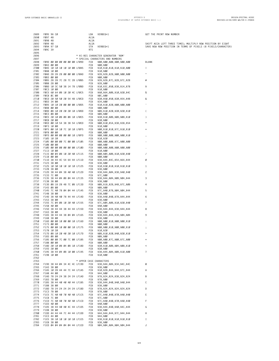| 2689         | FØ95 96 CØ                                           | VERBEG+1<br>LDA                                               | GET THE PRINT ROW NUMBER                                      |
|--------------|------------------------------------------------------|---------------------------------------------------------------|---------------------------------------------------------------|
| 2690         | FØ97 48                                              | ALSA                                                          |                                                               |
| 2691         | FØ98 48                                              | ALSA                                                          |                                                               |
| 2692         | FØ99 48                                              | ALSA                                                          | SHIFT ACCA LEFT THREE TIMES; MULTIPLY ROW POSITION BY EIGHT   |
| 2693         | FØ9A 97 CØ                                           | STA<br>VERBEG+1                                               | SAVE NEW ROW POSITION IN TERMS OF PIXELS (8 PIXELS/CHARACTER) |
| 2694         | FØ9C 39                                              | <b>RTS</b>                                                    |                                                               |
| 2695<br>2696 |                                                      | * HI-RES CHARACTER GENERATOR 'ROM'                            |                                                               |
| 2697         |                                                      | * SPECIAL CHARACTERS AND NUMBERS                              |                                                               |
| 2698         | F09D 00 00 00 00 00 00 00 LF09D                      | FCB<br>\$00,\$00,\$00,\$00,\$00,\$00                          | BLANK                                                         |
| 2699         | FØA3 00 00                                           | FCB<br>\$00,\$00                                              |                                                               |
| 2700         | FØA5 10 10 10 10 10 00 LF0A5                         | FCB<br>\$10, \$10, \$10, \$10, \$10, \$00                     | -1                                                            |
| 2701         | FØAB 10 00                                           | FCB<br>\$10,\$00                                              |                                                               |
| 2702         | FØAD 28 28 28 00 00 00 LFØAD                         | FCB<br>\$28,\$28,\$28,\$00,\$00,\$00                          | Ħ                                                             |
| 2703<br>2704 | FØB3 00 00<br>FØB5 28 28 7C 28 7C 28 LFØB5           | FCB<br>\$00,\$00<br>FCB<br>\$28, \$28, \$7C, \$28, \$7C, \$28 | #                                                             |
| 2705         | FØBB 28 00                                           | FCB<br>\$28,\$00                                              |                                                               |
| 2706         | FØBD 10 3C 50 38 14 78 LFØBD                         | FCB<br>\$10, \$3C, \$50, \$38, \$14, \$78                     | \$                                                            |
| 2707         | FØC3 10 00                                           | FCB<br>\$10,\$00                                              |                                                               |
| 2708         | FØC5 60 64 08 10 20 4C LF0C5                         | FCB<br>\$60, \$64, \$08, \$10, \$20, \$40                     | %                                                             |
| 2709         | FØCB ØC ØØ                                           | FCB<br>\$0C,\$00                                              |                                                               |
| 2710<br>2711 | FØCD 20 50 50 20 54 48 LFØCD<br>FØD3 34 00           | \$20, \$50, \$50, \$20, \$54, \$48<br>FCB<br>FCB<br>\$34,\$00 | &                                                             |
| 2712         | FØD5 10 10 20 00 00 00 LF0D5                         | FCB<br>\$10,\$10,\$20,\$00,\$00,\$00                          |                                                               |
| 2713         | FØDB 00 00                                           | FCB<br>\$00,\$00                                              |                                                               |
| 2714         | FØDD Ø8 10 20 20 20 10 LFØDD                         | FCB<br>\$08,\$10,\$20,\$20,\$20,\$10                          | $\overline{\phantom{a}}$                                      |
| 2715         | FØE3 08 00                                           | FCB<br>\$08,\$00                                              |                                                               |
| 2716         | FØE5 20 10 08 08 08 10 LF0E5                         | FCB<br>\$20, \$10, \$08, \$08, \$08, \$10                     | $\lambda$                                                     |
| 2717         | FØEB 20 00<br>FØED 00 10 54 38 38 54 LFØED           | FCB<br>\$20,\$00<br>FCB<br>\$00, \$10, \$54, \$38, \$38, \$54 | $\star$                                                       |
| 2718<br>2719 | FØF3 10 00                                           | FCB<br>\$10,\$00                                              |                                                               |
| 2720         | FØF5 00 10 10 7C 10 10 LFØF5                         | FCB<br>\$00,\$10,\$10,\$7C,\$10,\$10                          | $\overline{+}$                                                |
| 2721         | FØFB 00 00                                           | FCB<br>\$00,\$00                                              |                                                               |
| 2722         | FØFD 00 00 00 00 00 00 10 LFØFD                      | FCB<br>\$00,\$00,\$00,\$00,\$00,\$10                          |                                                               |
| 2723         | F103 10 20                                           | FCB<br>\$10,\$20                                              |                                                               |
| 2724         | F105 00 00 00 7C 00 00 LF105                         | FCB<br>\$00,\$00,\$00,\$7C,\$00,\$00                          |                                                               |
| 2725         | F10B 00 00                                           | FCB<br>\$00,\$00                                              |                                                               |
| 2726<br>2727 | F10D 00 00 00 00 00 00 LF10D<br>F113 10 00           | FCB<br>\$00,\$00,\$00,\$00,\$00,\$00<br>FCB<br>\$10,\$00      |                                                               |
| 2728         | F115 00 04 08 10 20 40 LF115                         | FCB<br>\$00,\$04,\$08,\$10,\$20,\$40                          | $\prime$                                                      |
| 2729         | F11B 00 00                                           | FCB<br>\$00,\$00                                              |                                                               |
| 2730         | F11D 38 44 4C 54 64 44 LF11D                         | FCB<br>\$38, \$44, \$4C, \$54, \$64, \$44                     | Ø                                                             |
| 2731         | F123 38 00                                           | FCB<br>\$38,\$00                                              |                                                               |
| 2732         | F125 10 30 10 10 10 10 LF125                         | FCB<br>\$10, \$30, \$10, \$10, \$10, \$10                     | -1                                                            |
| 2733         | F12B 38 00                                           | FCB<br>\$38,\$00                                              |                                                               |
| 2734<br>2735 | F12D 38 44 04 38 40 40 LF12D<br>F133 7C 00           | FCB<br>\$38, \$44, \$04, \$38, \$40, \$40<br>FCB<br>\$7C,\$00 | $\overline{c}$                                                |
| 2736         | F135 38 44 04 08 04 44 LF135                         | FCB<br>\$38, \$44, \$04, \$08, \$04, \$44                     | 3                                                             |
| 2737         | F13B 38 00                                           | FCB<br>\$38,\$00                                              |                                                               |
| 2738         | F13D 08 18 28 48 7C 08 LF13D                         | FCB<br>\$08, \$18, \$28, \$48, \$7C, \$08                     | 4                                                             |
| 2739         | F143 08 00                                           | FCB<br>\$08,\$00                                              |                                                               |
| 2740         | F145 7C 40 78 04 04 44 LF145                         | FCB<br>\$7C, \$40, \$78, \$04, \$04, \$44                     | 5                                                             |
| 2741<br>2742 | F14B 38 00<br>F14D 38 40 40 78 44 44 LF14D           | FCB<br>\$38,\$00<br>FCB<br>\$38, \$40, \$40, \$78, \$44, \$44 | 6                                                             |
| 2743         | F153 38 00                                           | FCB<br>\$38,\$00                                              |                                                               |
| 2744         | F155 7C 04 08 10 20 40 LF155                         | \$7C, \$04, \$08, \$10, \$20, \$40<br>FCB                     | 7                                                             |
| 2745         | F15B 40 00                                           | FCB<br>\$40,\$00                                              |                                                               |
| 2746         | F15D 38 44 44 38 44 44 LF15D                         | FCB<br>\$38, \$44, \$44, \$38, \$44, \$44                     | 8                                                             |
| 2747         | F163 38 00                                           | FCB<br>\$38,\$00                                              |                                                               |
| 2748         | F165 38 44 44 38 04 04 LF165                         | \$38, \$44, \$44, \$38, \$04, \$04<br>FCB                     | 9                                                             |
| 2749<br>2750 | F16B 38 00<br>F16D 00 00 10 00 00 10 LF16D           | FCB<br>\$38,\$00<br>FCB<br>\$00,\$00,\$10,\$00,\$00,\$10      |                                                               |
| 2751         | F173 00 00                                           | FCB<br>\$00,\$00                                              | ÷                                                             |
| 2752         | F175 00 00 10 00 00 10 LF175                         | FCB<br>\$00,\$00,\$10,\$00,\$00,\$10                          | ;                                                             |
| 2753         | F17B 10 20                                           | FCB<br>\$10,\$20                                              |                                                               |
| 2754         | F17D 08 10 20 40 20 10 LF17D                         | FCB<br>\$08, \$10, \$20, \$40, \$20, \$10                     | $\geq$                                                        |
|              | 2/55 F183 08 00                                      | FCB<br>508,500                                                |                                                               |
| 2756<br>2757 | F185 00 00 7C 00 7C 00 LF185<br>F18B 00 00           | \$00,\$00,\$7C,\$00,\$7C,\$00<br>FCB<br>\$00,\$00<br>FCB      |                                                               |
| 2758         | F18D 20 10 08 04 08 10 LF18D                         | FCB<br>\$20,\$10,\$08,\$04,\$08,\$10                          | $\,<\,$                                                       |
| 2759         | F193 20 00                                           | FCB<br>\$20,\$00                                              |                                                               |
| 2760         | F195 38 44 04 08 10 00 LF195                         | FCB<br>\$38, \$44, \$04, \$08, \$10, \$00                     | $\ddot{\cdot}$                                                |
| 2761         | F19B 10 00                                           | FCB<br>\$10,\$00                                              |                                                               |
| 2762         |                                                      |                                                               |                                                               |
| 2763         | F19D 38 44 04 34 4C 4C LF19D                         | * UPPER CASE CHARACTERS<br><b>FCB</b>                         | ø                                                             |
| 2764<br>2765 | F1A3 38 00                                           | \$38, \$44, \$04, \$34, \$4C, \$4C<br>FCB<br>\$38,\$00        |                                                               |
| 2766         | F1A5 10 28 44 44 7C 44 LF1A5                         | FCB<br>\$10,\$28,\$44,\$44,\$7C,\$44                          | A                                                             |
| 2767         | F1AB 44 00                                           | FCB<br>\$44,\$00                                              |                                                               |
| 2768         | F1AD 78 24 24 38 24 24 LF1AD                         | FCB \$78, \$24, \$24, \$38, \$24, \$24                        | B                                                             |
| 2769         | F1B3 78 00                                           | FCB \$78, \$00                                                |                                                               |
|              | 2770 F1B5 38 44 40 40 40 44 LF1B5                    | \$38,\$44,\$40,\$40,\$40,\$44<br>FCB                          | C                                                             |
|              | 2771 F1BB 38 00<br>2772 F1BD 78 24 24 24 24 24 LF1BD | FCB \$38, \$00<br>FCB<br>\$78,\$24,\$24,\$24,\$24,\$24        | D                                                             |
| 2773         | F1C3 78 00                                           | FCB<br>\$78,\$00                                              |                                                               |
| 2774         | F1C5 7C 40 40 70 40 40 LF1C5                         | FCB<br>\$7C, \$40, \$40, \$70, \$40, \$40                     | E                                                             |
|              | 2775 F1CB 7C 00                                      | FCB<br>\$7C,\$00                                              |                                                               |
|              | 2776 F1CD 7C 40 40 70 40 40 LF1CD                    | FCB<br>\$7C,\$40,\$40,\$70,\$40,\$40                          | F                                                             |
| 2777         | F1D3 40 00                                           | FCB<br>\$40,\$00                                              |                                                               |
|              | 2778 F1D5 38 44 40 40 4C 44 LF1D5                    | \$38,\$44,\$40,\$40,\$4C,\$44<br>FCB                          | G                                                             |
| 2779<br>2780 | F1DB 38 00<br>F1DD 44 44 44 7C 44 44 LF1DD           | FCB<br>\$38,\$00<br>FCB<br>\$44,\$44,\$44,\$7C,\$44,\$44      | H                                                             |
| 2781         | F1E3 44 00                                           | FCB<br>\$44,\$00                                              |                                                               |
| 2782         | F1E5 38 10 10 10 10 10 LF1E5                         | FCB<br>\$38, \$10, \$10, \$10, \$10, \$10                     | $\mathbf{I}$                                                  |
| 2783         | F1EB 38 00                                           | FCB<br>\$38,\$00                                              |                                                               |
| 2784         | F1ED 04 04 04 04 04 44 LF1ED                         | FCB<br>\$04, \$04, \$04, \$04, \$04, \$44                     | J                                                             |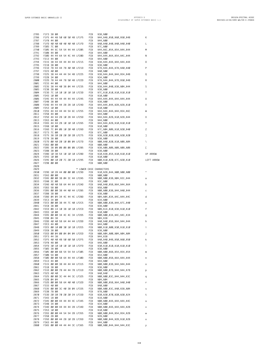**F28D 10 38 54 10 10 10 LF28D FCB \$10,\$38,\$54,\$10,\$10,\$10 UP ARROW**

**F295 00 10 20 7C 20 10 LF295 FCB \$00,\$10,\$20,\$7C,\$20,\$10 LEFT ARROW**

| 2785         | F1F3 38 00 |  |  |  |                              | FCB        | \$38,\$00                                       |   |
|--------------|------------|--|--|--|------------------------------|------------|-------------------------------------------------|---|
| 2786         |            |  |  |  | F1F5 44 48 50 60 50 48 LF1F5 | FCB        | \$44, \$48, \$50, \$60, \$50, \$48              | К |
| 2787         | F1FB 44 00 |  |  |  |                              | FCB        | \$44,\$00                                       |   |
| 2788         |            |  |  |  | F1FD 40 40 40 40 40 40 LF1FD | FCB        | \$40,\$40,\$40,\$40,\$40,\$40                   | L |
| 2789         | F203 7C 00 |  |  |  |                              | FCB        | \$7C,\$00                                       |   |
| 2790         |            |  |  |  | F205 44 6C 54 54 44 44 LF205 | FCB        | \$44, \$6C, \$54, \$54, \$44, \$44              | M |
| 2791         | F20B 44 00 |  |  |  |                              | FCB        | \$44,\$00                                       |   |
| 2792         |            |  |  |  | F20D 44 44 64 54 4C 44 LF20D | FCB        | \$44, \$44, \$64, \$54, \$4C, \$44              | N |
| 2793         | F213 44 00 |  |  |  |                              | FCB        | \$44,\$00                                       |   |
| 2794         |            |  |  |  | F215 38 44 44 44 44 44 LF215 | FCB        | \$38, \$44, \$44, \$44, \$44, \$44              | 0 |
| 2795         | F21B 38 00 |  |  |  |                              | FCB        | \$38,\$00                                       |   |
| 2796         |            |  |  |  | F21D 78 44 44 78 40 40 LF21D | FCB        | \$78, \$44, \$44, \$78, \$40, \$40              | P |
| 2797         | F223 40 00 |  |  |  |                              | FCB        | \$40,\$00                                       |   |
| 2798<br>2799 | F22B 34 00 |  |  |  | F225 38 44 44 44 54 48 LF225 | FCB<br>FCB | \$38, \$44, \$44, \$44, \$54, \$48<br>\$34,\$00 | Q |
| 2800         |            |  |  |  | F22D 78 44 44 78 50 48 LF22D | FCB        |                                                 | R |
| 2801         | F233 44 00 |  |  |  |                              | FCB        | \$78, \$44, \$44, \$78, \$50, \$48<br>\$44,\$00 |   |
| 2802         |            |  |  |  | F235 38 44 40 38 04 44 LF235 | FCB        | \$38, \$44, \$40, \$38, \$04, \$44              | S |
| 2803         | F23B 38 00 |  |  |  |                              | FCB        | \$38,\$00                                       |   |
| 2804         |            |  |  |  | F23D 7C 10 10 10 10 10 LF23D | FCB        | \$7C, \$10, \$10, \$10, \$10, \$10              | Τ |
| 2805         | F243 10 00 |  |  |  |                              | FCB        | \$10,\$00                                       |   |
| 2806         |            |  |  |  | F245 44 44 44 44 44 44 LF245 | FCB        | \$44, \$44, \$44, \$44, \$44, \$44              | U |
| 2807         | F24B 38 00 |  |  |  |                              | FCB        | \$38,\$00                                       |   |
| 2808         |            |  |  |  | F24D 44 44 44 28 28 10 LF24D | FCB        | \$44, \$44, \$44, \$28, \$28, \$10              | V |
| 2809         | F253 10 00 |  |  |  |                              | FCB        | \$10,\$00                                       |   |
| 2810         |            |  |  |  | F255 44 44 44 44 54 6C LF255 | FCB        | \$44, \$44, \$44, \$44, \$54, \$60              | W |
| 2811         | F25B 44 00 |  |  |  |                              | FCB        | \$44,\$00                                       |   |
| 2812         |            |  |  |  | F25D 44 44 28 10 28 44 LF25D | FCB        | \$44, \$44, \$28, \$10, \$28, \$44              | Χ |
| 2813         | F263 44 00 |  |  |  |                              | FCB        | \$44,\$00                                       |   |
| 2814         |            |  |  |  | F265 44 44 28 10 10 10 LF265 | FCB        | \$44, \$44, \$28, \$10, \$10, \$10              | Υ |
| 2815         | F26B 10 00 |  |  |  |                              | FCB        | \$10,\$00                                       |   |
| 2816         |            |  |  |  | F26D 7C 04 08 10 20 40 LF26D | FCB        | \$7C, \$04, \$08, \$10, \$20, \$40              | Z |
| 2817         | F273 7C 00 |  |  |  |                              | FCB        | \$7C,\$00                                       |   |
| 2818         |            |  |  |  | F275 38 20 20 20 20 20 LF275 | FCB        | \$38,\$20,\$20,\$20,\$20,\$20                   | J |
| 2819         | F27B 38 00 |  |  |  |                              | FCB        | \$38,\$00                                       |   |
| 2820         |            |  |  |  | F27D 00 40 20 10 08 04 LF27D | FCB        | \$00, \$40, \$20, \$10, \$08, \$04              | Λ |
| 2821         | F283 00 00 |  |  |  |                              | FCB        | \$00,\$00                                       |   |
| 2822         |            |  |  |  | F285 38 08 08 08 08 08 LF285 | FCB        | \$38, \$08, \$08, \$08, \$08, \$08              | c |
| 2823         | F28B 38 00 |  |  |  |                              | FCB        | \$38,\$00                                       |   |
| 2824         |            |  |  |  | F28D 10 38 54 10 10 10 LF28D | FCB        | \$10, \$38, \$54, \$10, \$10, \$10              | U |
| 2825<br>2826 | F293 10 00 |  |  |  | F295 00 10 20 7C 20 10 LF295 | FCB<br>FCB | \$10,\$00<br>\$00,\$10,\$20,\$7C,\$20,\$10      | L |
| 2827         | F29B 00 00 |  |  |  |                              | FCB        | \$00,\$00                                       |   |
| 2828         |            |  |  |  |                              |            |                                                 |   |
| 2829         |            |  |  |  |                              |            | * LOWER CASE CHARACTERS                         |   |
| 2830         |            |  |  |  | F29D 10 28 44 00 00 00 LF29D | FCB        | \$10, \$28, \$44, \$00, \$00, \$00              |   |
| 2831         | F2A3 00 00 |  |  |  |                              |            | \$00,\$00                                       |   |
|              |            |  |  |  |                              | FCB        |                                                 |   |
| 2832         |            |  |  |  | F2A5 00 00 38 04 3C 44 LF2A5 | FCB        | \$00,\$00,\$38,\$04,\$3C,\$44                   | a |
| 2833         | F2AB 3C 00 |  |  |  |                              | FCB        | \$3C,\$00                                       |   |
| 2834         |            |  |  |  | F2AD 40 40 58 64 44 64 LF2AD | FCB        | \$40, \$40, \$58, \$64, \$44, \$64              | b |
| 2835         | F2B3 58 00 |  |  |  |                              | FCB        | \$58,\$00                                       |   |
| 2836         |            |  |  |  | F2B5 00 00 38 44 40 44 LF2B5 | FCB        | \$00, \$00, \$38, \$44, \$40, \$44              | c |
| 2837         | F2BB 38 00 |  |  |  |                              | FCB        | \$38,\$00                                       |   |
| 2838         |            |  |  |  | F2BD 04 04 34 4C 44 4C LF2BD | FCB        | \$04, \$04, \$34, \$4C, \$44, \$4C              | d |
| 2839         | F2C3 34 00 |  |  |  |                              | FCB        | \$34,\$00                                       |   |
| 2840         |            |  |  |  | F2C5 00 00 38 44 7C 40 LF2C5 | FCB        | \$00,\$00,\$38,\$44,\$7C,\$40                   | e |
| 2841         | F2CB 38 00 |  |  |  |                              | FCB        | \$38,\$00                                       |   |
| 2842<br>2843 | F2D3 10 00 |  |  |  | F2CD 08 14 10 38 10 10 LF2CD | FCB<br>FCB | \$08,\$14,\$10,\$38,\$10,\$10<br>\$10,\$00      | f |
| 2844         |            |  |  |  | F2D5 00 00 34 4C 4C 34 LF2D5 | FCB        | \$00,\$00,\$34,\$4C,\$4C,\$34                   | g |
| 2845         | F2DB 04 38 |  |  |  |                              | FCB        | \$04, \$38                                      |   |
| 2846         |            |  |  |  | F2DD 40 40 58 64 44 44 LF2DD | FCB        | \$40, \$40, \$58, \$64, \$44, \$44              | h |
| 2847         | F2E3 44 00 |  |  |  |                              | FCB        | \$44,\$00                                       |   |
| 2848         |            |  |  |  | F2E5 00 10 00 30 10 10 LF2E5 | FCB        | \$00, \$10, \$00, \$30, \$10, \$10              | i |
| 2849         | F2EB 38 00 |  |  |  |                              | FCB        | \$38,\$00                                       |   |
| 2850         | F2ED 00 04 |  |  |  | 00 04 04 04 LF2ED            | FCB        | \$00,\$04,\$00,\$04,\$04,\$04                   | j |
| 2851         | F2F3 44 38 |  |  |  |                              | FCB        | \$44,\$38                                       |   |
| 2852         |            |  |  |  | F2F5 40 40 48 50 60 50 LF2F5 | FCB        | \$40, \$40, \$48, \$50, \$60, \$50              | k |
| 2853         | F2FB 48 00 |  |  |  |                              | FCB        | \$48,\$00                                       |   |
| 2854         |            |  |  |  | F2FD 30 10 10 10 10 10 LF2FD | FCB        | \$30, \$10, \$10, \$10, \$10, \$10              | 1 |
| 2855         | F303 38 00 |  |  |  |                              | FCB        | \$38,\$00                                       |   |
| 2856         |            |  |  |  | F305 00 00 68 54 54 54 LF305 | FCB        | \$00, \$00, \$68, \$54, \$54, \$54              | m |
| 2857         | F30B 54 00 |  |  |  |                              | FCB        | \$54,\$00                                       |   |
| 2858         | F313 44 00 |  |  |  | F30D 00 00 58 64 44 44 LF30D | FCB<br>FCB | \$00, \$00, \$58, \$64, \$44, \$44              | n |
| 2859<br>2860 |            |  |  |  | F315 00 00 38 44 44 44 LF315 | FCB        | \$44,\$00<br>\$00, \$00, \$38, \$44, \$44, \$44 | 0 |
| 2861         | F31B 38 00 |  |  |  |                              | FCB        | \$38,\$00                                       |   |
| 2862         |            |  |  |  | F31D 00 00 78 44 44 78 LF31D | FCB        | \$00,\$00,\$78,\$44,\$44,\$78                   | p |
| 2863         | F323 40 40 |  |  |  |                              | FCB        | \$40,\$40                                       |   |
| 2864         |            |  |  |  | F325 00 00 3C 44 44 3C LF325 | FCB        | \$00,\$00,\$3C,\$44,\$44,\$3C                   | q |
| 2865         | F32B 04 04 |  |  |  |                              | FCB        | \$04,\$04                                       |   |
| 2866         |            |  |  |  | F32D 00 00 58 64 40 40 LF32D | FCB        | \$00,\$00,\$58,\$64,\$40,\$40                   | r |
| 2867         | F333 40 00 |  |  |  |                              | FCB        | \$40,\$00                                       |   |
| 2868         |            |  |  |  | F335 00 00 3C 40 38 04 LF335 | FCB        | \$00, \$00, \$3C, \$40, \$38, \$04              | S |
| 2869         | F33B 78 00 |  |  |  |                              | FCB        | \$78,\$00                                       |   |
| 2870         |            |  |  |  | F33D 20 20 70 20 20 24 LF33D | FCB        | \$20, \$20, \$70, \$20, \$20, \$24              | t |
| 2871<br>2872 | F343 18 00 |  |  |  | F345 00 00 44 44 44 4C LF345 | FCB<br>FCB | \$18,\$00                                       | u |
| 2873         | F34B 34 00 |  |  |  |                              | FCB        | \$00,\$00,\$44,\$44,\$44,\$4C                   |   |
| 2874         |            |  |  |  | F34D 00 00 44 44 44 28 LF34D | FCB        | \$34,\$00<br>\$00, \$00, \$44, \$44, \$44, \$28 | V |
| 2875         | F353 10 00 |  |  |  |                              | FCB        | \$10,\$00                                       |   |
| 2876         |            |  |  |  | F355 00 00 44 54 54 28 LF355 | FCB        | \$00,\$00,\$44,\$54,\$54,\$28                   | W |
| 2877         | F35B 28 00 |  |  |  |                              | FCB        | \$28,\$00                                       |   |
| 2878         |            |  |  |  | F35D 00 00 44 28 10 28 LF35D | FCB        | \$00,\$00,\$44,\$28,\$10,\$28                   | х |
| 2879<br>2880 | F363 44 00 |  |  |  | F365 00 00 44 44 44 3C LF365 | FCB<br>FCB | \$44,\$00<br>\$00, \$00, \$44, \$44, \$44, \$30 | у |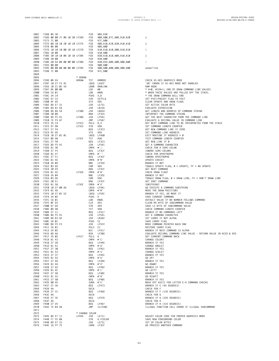| 2881<br>2882<br>2883<br>2884<br>2885<br>2886<br>2887<br>2888<br>2889<br>2890<br>2891<br>2892<br>2893<br>2894                                                                                         | F36B 04 38<br>F36D 00 00 7C 08 10 20 LF36D<br>F373 7C 00<br>F375 08 10 10 20 10 10 LF375<br>F37B 08 00<br>F37D 10 10 10 00 10 10 LF37D<br>F383 10 00<br>F385 20 10 10 08 10 10 LF385<br>F38B 20 00<br>F38D 20 54 08 00 00 00 LF38D<br>F393 00 00<br>F395 00 00 00 00 00 00 LF395<br>F39B 7C 00                                                            |                           | FCB<br>FCB<br>FCB<br>FCB<br>FCB<br>FCB<br>FCB<br>FCB<br>FCB<br>FCB<br>FCB<br>FCB<br>FCB                                                                                                                                                                                                 | \$04, \$38<br>\$00,\$00,\$7C,\$08,\$10,\$20<br>\$7C,\$00<br>\$08,\$10,\$10,\$20,\$10,\$10<br>\$08,\$00<br>\$10, \$10, \$10, \$00, \$10, \$10<br>\$10,\$00<br>\$20, \$10, \$10, \$08, \$10, \$10<br>\$20,\$00<br>\$20, \$54, \$08, \$00, \$00, \$00<br>\$00,\$00<br>\$00,\$00,\$00,\$00,\$00,\$00<br>\$7C,\$00 | z<br>₹<br>J.<br>}<br>underline                                                                                                                                                                                                                                                                                                                                                                                                                                                                                                                                                                |
|------------------------------------------------------------------------------------------------------------------------------------------------------------------------------------------------------|-----------------------------------------------------------------------------------------------------------------------------------------------------------------------------------------------------------------------------------------------------------------------------------------------------------------------------------------------------------|---------------------------|-----------------------------------------------------------------------------------------------------------------------------------------------------------------------------------------------------------------------------------------------------------------------------------------|---------------------------------------------------------------------------------------------------------------------------------------------------------------------------------------------------------------------------------------------------------------------------------------------------------------|-----------------------------------------------------------------------------------------------------------------------------------------------------------------------------------------------------------------------------------------------------------------------------------------------------------------------------------------------------------------------------------------------------------------------------------------------------------------------------------------------------------------------------------------------------------------------------------------------|
| 2895<br>2896<br>2897<br>2898<br>2899<br>2900<br>2901<br>2902<br>2903<br>2904<br>2905<br>2906                                                                                                         | F39D ØD E6<br>F39F 10 27 F3 4C<br>F3A3 10 21 0C 59<br>F3A7 8E 00 00<br>F3AA C6 01<br>F3AC 34 14<br>F3AE D7 C2<br>F3BØ 9F D5<br>F3B2 BD E7 31<br>F3B5 BD B1 56<br>F3B8 BD B6 54                                                                                                                                                                            | * HDRAW<br>HDRAW<br>LF3B8 | TST<br>LBEQ<br>LBRN<br>LDX<br>LDB<br>PSHS<br>STB<br><b>STX</b><br>JSR<br>JSR<br>JSR                                                                                                                                                                                                     | HRMODE<br>LE6EF<br>RAMLINK<br>#Ø<br>#\$01<br>X, B<br>SETFLG<br>VD5<br>LE731<br>LB156<br>LB654                                                                                                                                                                                                                 | CHECK HI-RES GRAPHICS MODE<br>'HR' ERROR IF HI-RES MODE NOT ENABLED<br>RAM HOOK<br>* X=Ø, ACCB=1; END OF DRAW COMMAND LINE VALUES<br>* WHEN THESE VALUES ARE PULLED OFF THE STACK,<br>* THE DRAW COMMAND WILL END<br>SET PSET/PRESET FLAG TO PSET<br>CLEAR UPDATE AND DRAW FLAGS<br>SET ACTIVE COLOR BYTE<br>EVALUATE EXPRESSION<br>GET LENGTH AND ADDRESS OF COMMAND STRING                                                                                                                                                                                                                  |
| 2907<br>2908<br>2909<br>2910                                                                                                                                                                         | F3BB 20 08<br>F3BD BD F5 91<br>F3CØ 7E F5 A7                                                                                                                                                                                                                                                                                                              | LF3BD                     | BRA<br>JSR<br>JMP<br>PULS B, X                                                                                                                                                                                                                                                          | LF3C5<br>LF591<br>LF5A7                                                                                                                                                                                                                                                                                       | INTERPRET THE COMMAND STRING<br>GET THE NEXT CHARACTER FROM THE COMMAND LINE<br>EVALUATE A DECIMAL VALUE IN COMMAND LINE                                                                                                                                                                                                                                                                                                                                                                                                                                                                      |
| 2911<br>2912<br>2913                                                                                                                                                                                 | F3C3 35 14<br>F3C5 D7 D8<br>F3C7 27 FA<br>F3C9 9F D9                                                                                                                                                                                                                                                                                                      | LF3C3<br>LF3C5            | STB<br>BEQ<br><b>STX</b>                                                                                                                                                                                                                                                                | VD8<br>LF3C3<br>VD9                                                                                                                                                                                                                                                                                           | GET NEXT COMMAND LINE TO BE INTERPRETED FROM THE STACK<br>SET COMMAND LENGTH COUNTER<br>GET NEW COMMAND LINE IF ZERO<br>SET COMMAND LINE ADDRESS                                                                                                                                                                                                                                                                                                                                                                                                                                              |
| 2914<br>2915<br>2916<br>2917<br>2918<br>2919<br>2920<br>2921<br>2922                                                                                                                                 | F3CB 10 27 01 01<br>F3CF ØD D8<br>F3D1 27 FØ<br>F3D3 BD F5 91<br>F3D6 81 3B<br>F3D8 27 F5<br>F3DA 81 27<br>F3DC 27 F1<br>F3DE 81 4E                                                                                                                                                                                                                       | LF3CF                     | LBEQ<br>TST<br>BEQ<br>JSR<br>$CMPA$ #';'<br>BEQ<br>CMPA #'''<br>BEQ<br>CMPA #'N'                                                                                                                                                                                                        | LF4DØ<br>VD8<br>LF3C3<br>LF591<br>LF3CF<br>LF3CF                                                                                                                                                                                                                                                              | EXIT ROUTINE IF ADDRESS = $\emptyset$<br>TEST COMMAND LENGTH COUNTER<br>GET NEW LINE IF Ø<br>GET A COMMAND CHARACTER<br>CHECK FOR A SEMI-COLON<br>IGNORE SEMI-COLONS<br>CHECK FOR APOSTROPHE<br>IGNORE APOSTROPHE<br>UPDATE CHECK?                                                                                                                                                                                                                                                                                                                                                            |
| 2923<br>2924<br>2925<br>2926<br>2927<br>2928<br>2929                                                                                                                                                 | F3EØ 26 Ø4<br>F3E2 03 D5<br>F3E4 20 E9<br>F3E6 81 42<br>F3E8 26 04<br>F3EA 03 D6<br>F3EC 20 E1                                                                                                                                                                                                                                                            | LF3E6                     | BNE<br>COM<br>BRA<br>CMPA #'B'<br>BNE<br>COM<br>BRA                                                                                                                                                                                                                                     | LF3E6<br>VD5<br>LF3CF<br>LF3EE<br>VD6<br>LF3CF                                                                                                                                                                                                                                                                | BRANCH IF NOT<br>TOGGLE UPDATE FLAG; $\emptyset$ = update, FF = NO UPDATE<br>GET NEXT COMMAND<br>CHECK DRAW FLAG?<br>BRANCH IF NOT<br>TOGGLE DRAW FLAG; $\emptyset$ = DRAW LINE, FF = DON'T DRAW LINE<br>GET ENXT COMMAND                                                                                                                                                                                                                                                                                                                                                                     |
| 2930<br>2931<br>2932<br>2933<br>2934<br>2935<br>2936<br>2937<br>2938<br>2939<br>2940                                                                                                                 | F3EE 81 58<br>F3FØ 10 27 00 AD<br>F3F4 81 4D<br>F3F6 10 27 01 52<br>F3FA 34 02<br>F3FC C6 01<br>F3FE ØF D3<br>F400 D7 D4<br>F402 0D D8<br>F404 27 11<br>F406 BD F5 91                                                                                                                                                                                     | LF3EE                     | CMPA #'X'<br>LBEQ<br>CMPA #'M'<br>LBEQ<br>PSHS<br>LDB<br>CLR<br>STB<br>TST<br>BEQ<br>JSR                                                                                                                                                                                                | LF4A1<br>LF54C<br>A<br>#\$01<br>VD3<br>VD4<br>VD8<br>LF417<br>LF591                                                                                                                                                                                                                                           | SUBSTRING?<br>GO EXECUTE A COMMAND SUBSTRING<br>MOVE THE DRAW POSITION?<br>BRANCH IF YES, GO MOVE IT<br>SAVE CURRENT COMMAND<br>DEFAULT VALUE IF NO NUMBER FOLLOWS COMMAND<br>CLEAR MS BYTE OF SUBCOMMAND VALUE<br>SAVE LS BYTE OF SUBCOMMAND VALUE<br>CHECK COMMAND LENGTH COUNTER<br>BRANCH IF NO COMMANDS LEFT<br>GET A COMMAND CHARACTER                                                                                                                                                                                                                                                  |
| 2941<br>2942<br>2943<br>2944<br>2945                                                                                                                                                                 | F409 BD B3 A2<br>F40C 34 01<br>F40E BD F5 F2<br>F411 35 Ø1<br>F413 24 02                                                                                                                                                                                                                                                                                  |                           | JSR<br>PSHS<br>JSR<br>PULS<br>BCC                                                                                                                                                                                                                                                       | LB3A2<br>- CC<br>LF5F2<br>cc<br>LF417                                                                                                                                                                                                                                                                         | SET CARRY IF NOT ALPHA<br>SAVE CARRY FLAG<br>MOVE COMMAND POINTER BACK ONE<br>RESTORE CARRY FLAG<br>BRANCH IF NEXT COMMAND IS ALPHA                                                                                                                                                                                                                                                                                                                                                                                                                                                           |
| 2946<br>2947<br>2948<br>2949<br>2950<br>2951<br>2952<br>2953<br>2954<br>2955<br>2956<br>2957<br>2958<br>2959<br>2960<br>2961<br>2962<br>2964<br>2965<br>2966<br>2967<br>2968<br>2969<br>2970<br>2971 | F415 8D A6<br>F417 35 02<br>F419 81 43<br>F41B 27 28<br>F41D 81 41<br>F41F 27 30<br>F421 81 53<br>F423 27 37<br>F425 81 55<br>F427 27 6D<br>F429 81 44<br>F42B 27 65<br>F42D 81 4C<br>F42F 27 5B<br>F431 81 52<br>F433 27 50<br>F435 80 45<br>2963 F437 27 3A<br>F439 4A<br>F43A 27 31<br>F43C 4A<br>F43D 27 3E<br>F43F 4A<br>F440 27 25<br>F442 7E B4 4A | LF417                     | BSR<br>PULS A<br>CMPA #'C'<br>BEQ LF445<br>CMPA #'A'<br>BEQ LF451<br>CMPA #'S'<br>BEQ LF45C<br>CMPA #'U'<br>BEQ LF496<br>CMPA #'D'<br>BEQ LF492<br>CMPA #'L'<br>BEQ LF48C<br>CMPA #'R'<br>BEQ<br>SUBA #'E'<br>BEQ LF473<br>DECA<br>BEQ LF46D<br>DECA<br>BEQ LF47D<br>DECA<br>BEQ<br>JMP | LF3BD<br>LF485<br>LF467<br>ILLFUNC                                                                                                                                                                                                                                                                            | EVALUATE DECIMAL COMMAND LINE VALUE - RETURN VALUE IN<br>GET CURRENT COMMAND BACK<br>CHANGE COLOR?<br><b>BRANCH IF YES</b><br>CHANGE ANGLE?<br>BRANCH IF YES<br>CHANGE SCALE?<br><b>BRANCH IF YES</b><br>GO UP?<br>BRANCH IF YES<br>GO DOWN?<br>BRANCH IF YES<br>GO LEFT?<br>BRANCH IF YES<br>GO RIGHT?<br>BRANCH IF YES<br>MASK OFF ASCII FOR LETTER E-H COMMAND CHECKS<br>BRANCH IF E (45 DEGREES)<br>CHECK FOR F<br>BRANCH IF F (135 DEGREES)<br>CHECK FOR G<br>BRANCH IF G (225 DEGREES)<br>CHECK FOR H<br>BRANCH IF H (315 DEGREES)<br>ILLEGAL FUNCTION CALL ERROR IF ILLEGAL SUBCOMMAND |
| 2972<br>2973<br>2974<br>2975<br>2976                                                                                                                                                                 | F445 BD E7 11<br>F448 F7 FE ØA<br>F44B BD E7 31<br>F44E 16 FF 7E                                                                                                                                                                                                                                                                                          | * CHANGE COLOR<br>LF445   | JSR<br><b>STB</b><br>JSR LE731                                                                                                                                                                                                                                                          | LE711<br>H.FCOLOR<br>LBRA LF3CF                                                                                                                                                                                                                                                                               | ADJUST COLOR CODE FOR PROPER GRAPHICS MODE<br>SAVE NEW FOREGROUND COLOR<br>SET UP COLOR BYTES<br>GO PROCESS ANOTHER COMMAND                                                                                                                                                                                                                                                                                                                                                                                                                                                                   |

 **F395 00 00 00 00 00 00 LF395 FCB \$00,\$00,\$00,\$00,\$00,\$00 underline F3B2 BD E7 31 JSR LE731 SET ACTIVE COLOR BYTE F3B5 BD B1 56 JSR LB156 EVALUATE EXPRESSION F3B8 BD B6 54 LF3B8 JSR LB654 GET LENGTH AND ADDRESS OF COMMAND STRING F3C9 9F D9 STX VD9 SET COMMAND LINE ADDRESS F3DA 81 27 CMPA #''' CHECK FOR APOSTROPHE F3DC 27 F1 BEQ LF3CF IGNORE APOSTROPHE F3DE 81 4E CMPA #'N' UPDATE CHECK? F3E0 26 04 BNE LF3E6 BRANCH IF NOT F3E2 03 D5 COM VD5 TOGGLE UPDATE FLAG; 0 = UPDATE, FF = NO UPDATE F3EC 20 E1 BRA LF3CF GET ENXT COMMAND F3EE 81 58 LF3EE CMPA #'X' SUBSTRING? F411 35 01 PULS CC RESTORE CARRY FLAG** 2945 F413 24 02 BCC LF417 BRANCH IF NEXT COMMAND IS ALPHA<br>2946 F415 8D A6 BSR LF3BD EVALUATE DECIMAL COMMAND LIN **F417 35 02 LF417 PULS A GET CURRENT COMMAND BACK F419 81 43 CMPA #'C' CHANGE COLOR? F41B 27 28 BEQ LF445 BRANCH IF YES F41D 81 41 CMPA #'A' CHANGE ANGLE? F41F 27 30 BEQ LF451 BRANCH IF YES F421 81 53 CMPA #'S' CHANGE SCALE? F423 27 37 BEQ LF45C BRANCH IF YES F427 27 6D BEQ LF496 BRANCH IF YES F42B 27 65 BEQ LF492 BRANCH IF YES F42F 27 5B BEQ LF48C BRANCH IF YES F433 27 50 BEQ LF485 BRANCH IF YES F43C 4A DECA CHECK FOR G F43D 27 3E BEQ LF47D BRANCH IF G (225 DEGREES) F43F 4A DECA CHECK FOR H**

**B31**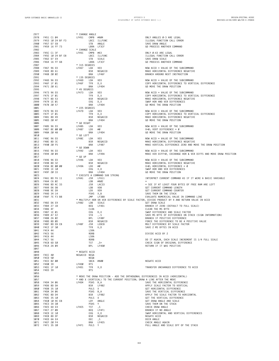| 2977 |                    | * CHANGE ANGLE     |                                                                                |                                                                                                |
|------|--------------------|--------------------|--------------------------------------------------------------------------------|------------------------------------------------------------------------------------------------|
| 2978 | F451 C1 04         | LF451              | CMPB #\$04                                                                     | ONLY ANGLES Ø-3 ARE LEGAL                                                                      |
| 2979 | F453 10 24 BF F3   |                    | LBCC ILLFUNC                                                                   | ILLEGAL FUNCTION CALL ERROR                                                                    |
|      | F457 D7 E8         | <b>STB</b>         |                                                                                | SAVE DRAW ANGLE                                                                                |
| 2980 |                    |                    | ANGLE                                                                          |                                                                                                |
| 2981 | F459 16 FF 73      |                    | LBRA LF3CF                                                                     | GO PROCESS ANOTHER COMMAND                                                                     |
| 2982 |                    | * CHANGE SCALE     |                                                                                |                                                                                                |
| 2983 | F45C C1 3F         | LF45C<br>CMPB #63  |                                                                                | ONLY Ø-63 ARE LEGAL                                                                            |
| 2984 | F45E 10 24 BF E8   |                    | LBCC ILLFUNC                                                                   | ILLEGAL FUNCTION CALL ERROR                                                                    |
|      |                    |                    |                                                                                |                                                                                                |
| 2985 | F462 D7 E9         | STB                | SCALE                                                                          | SAVE DRAW SCALE                                                                                |
| 2986 | F464 16 FF 68      |                    | LBRA LF3CF                                                                     | GO PROCESS ANOTHER COMMAND                                                                     |
| 2987 |                    | * 315 DEGREES      |                                                                                |                                                                                                |
| 2988 | F467 96 D3         | LF467<br>LDA       | VD3                                                                            | NOW ACCD = VALUE OF THE SUBCOMMAND                                                             |
|      |                    |                    |                                                                                |                                                                                                |
| 2989 | F469 8D 61         | BSR                | NEGACCD                                                                        | MAKE HORIZONTAL DIFFERENCE NEGATIVE                                                            |
| 2990 | F46B 20 02         | BRA                | LF46F                                                                          | BRANCH AROUND NEXT INSTRUCTION                                                                 |
| 2991 |                    | * 135 DEGREES      |                                                                                |                                                                                                |
| 2992 | F46D 96 D3         | LF46D<br>LDA       | VD3                                                                            | NOW ACCD = VALUE OF THE SUBCOMMAND                                                             |
|      |                    |                    |                                                                                |                                                                                                |
| 2993 | F46F 1F 01         | LF46F<br>TFR       | D, X                                                                           | COPY HORIZONTAL DIFFERENCE TO VERTICAL DIFFERENCE                                              |
| 2994 | F471 20 61         | BRA                | LF4D4                                                                          | GO MOVE THE DRAW POSITION                                                                      |
| 2995 |                    | * 45 DEGREES       |                                                                                |                                                                                                |
| 2996 | F473 96 D3         | LF473<br>LDA       | VD3                                                                            | NOW ACCD = VALUE OF THE SUBCOMMAND                                                             |
|      |                    |                    |                                                                                |                                                                                                |
| 2997 | F475 1F 01         | TFR                | D,X                                                                            | COPY HORIZONTAL DIFFERENCE TO VERTICAL DIFFERENCE                                              |
| 2998 | F477 8D 53         | BSR                | NEGACCD                                                                        | MAKE HORIZONTAL DIFFERENCE NEGATIVE                                                            |
| 2999 | F479 1E Ø1         | EXG                | D,X                                                                            | SWAP HOR AND VER DIFFERENCES                                                                   |
| 3000 | F47B 20 57         | BRA                | LF4D4                                                                          | GO MOVE THE DRAW POSITION                                                                      |
|      |                    |                    |                                                                                |                                                                                                |
| 3001 |                    | * 225 DEGREES      |                                                                                |                                                                                                |
| 3002 | F47D 96 D3         | LF47D<br>LDA       | VD3                                                                            | NOW ACCD = VALUE OF THE SUBCOMMAND                                                             |
| 3003 | F47F 1F 01         | TFR                | D, X                                                                           | COPY HORIZONTAL DIFFERENCE TO VERTICAL DIFFERENCE                                              |
| 3004 | F481 8D 49         | BSR                | NEGACCD                                                                        | MAKE HORIZONTAL DIFFERENCE NEGATIVE                                                            |
|      | F483 20 4F         |                    | LF4D4                                                                          | GO MOVE THE DRAW POSITION                                                                      |
| 3005 |                    | BRA                |                                                                                |                                                                                                |
| 3006 |                    | * GO RIGHT         |                                                                                |                                                                                                |
| 3007 | F485 96 D3         | LF485<br>LDA       | VD3                                                                            | NOW ACCD = VALUE OF THE SUBCOMMAND                                                             |
| 3008 | F487 8E 00 00      | LF487<br>LDX       | #0                                                                             | $X = \emptyset$ ; VERT DIFFERENCE = $\emptyset$                                                |
|      |                    |                    |                                                                                |                                                                                                |
| 3009 | F48A 20 48         | BRA                | LF4D4                                                                          | GO MOVE THE DRAW POSITION                                                                      |
| 3010 |                    | * GO LEFT          |                                                                                |                                                                                                |
| 3011 | F48C 96 D3         | LF48C<br>LDA       | VD3                                                                            | NOW ACCD = VALUE OF THE SUBCOMMAND                                                             |
| 3012 | F48E 8D 3C         | BSR                | NEGACCD                                                                        | MAKE HORIZONTAL DIFFERENCE NEGATIVE                                                            |
|      |                    |                    |                                                                                |                                                                                                |
| 3013 | F490 20 F5         | BRA                | LF487                                                                          | MAKE VERTICAL DIFFERENCE ZERO AND MOVE THE DRAW POSITION                                       |
| 3014 |                    | * GO DOWN          |                                                                                |                                                                                                |
| 3015 | F492 96 D3         | LF492<br>LDA       | VD3                                                                            | NOW ACCD = VALUE OF THE SUBCOMMAND                                                             |
|      |                    |                    |                                                                                | MAKE VER DIFF=0, EXCHANGE HOR & VER DIFFS AND MOVE DRAW POSITION                               |
| 3016 | F494 20 04         | BRA                | LF49A                                                                          |                                                                                                |
| 3017 |                    | $*$ GO UP          |                                                                                |                                                                                                |
| 3018 | F496 96 D3         | LF496<br>LDA       | VD3                                                                            | NOW ACCD = VALUE OF THE SUBCOMMAND                                                             |
| 3019 | F498 8D 32         | BSR                | NEGACCD                                                                        | MAKE HORIZONTAL DIFFERENCE NEGATIVE                                                            |
| 3020 | F49A 8E 00 00      | LF49A<br>LDX       | #Ø                                                                             | $X = \emptyset$ ; HORIZONTAL DIFFERENCE = $\emptyset$                                          |
|      |                    |                    |                                                                                |                                                                                                |
| 3021 | F49D 1E 10         | EXG                | X,D                                                                            | SWAP HOR AND VER DIFFERENCES                                                                   |
| 3022 | F49F 20 33         | BRA                | LF4D4                                                                          | GO MOVE THE DRAW POSITION                                                                      |
| 3023 |                    |                    | * EXECUTE A COMMAND SUB STRING                                                 |                                                                                                |
| 3024 | F4A1 BD F6 11      | LF4A1              | JSR LF611                                                                      | INTERPRET CURRENT COMMAND AS IF IT WERE A BASIC VARIABLE                                       |
|      |                    |                    |                                                                                |                                                                                                |
| 3025 | F4A4 C6 02         | LDB                | #\$02                                                                          |                                                                                                |
| 3026 | F4A6 BD AC 33      |                    | JSR LAC33                                                                      | = SEE IF AT LEAST FOUR BYTES OF FREE RAM ARE LEFT                                              |
| 3027 | F4A9 D6 D8         | LDB                | VD8                                                                            | GET CURRENT COMMAND LENGTH                                                                     |
| 3028 | F4AB 9E D9         | LDX                | VD9                                                                            | GET CURRENT COMMAND COUNTER                                                                    |
|      |                    |                    |                                                                                |                                                                                                |
| 3029 | F4AD 34 14         | PSHS X, B          |                                                                                | SAVE THEM ON THE STACK                                                                         |
| 3030 | F4AF 7E F3 B8      | JMP                | LF3B8                                                                          | EVALUATE NUMERICAL VALUE IN COMMAND LINE                                                       |
| 3031 |                    |                    |                                                                                | * MULTIPLY HOR OR VER DIFFERENCE BY SCALE FACTOR, DIVIDE PRODUCT BY 4 AND RETURN VALUE IN ACCD |
| 3032 | F4B2 D6 E9         | LF4B2<br>LDB       | SCALE                                                                          | GET DRAW SCALE                                                                                 |
|      |                    |                    |                                                                                |                                                                                                |
| 3033 | F4B4 27 1B         | BEQ                | LF4D1                                                                          | BRANCH IF ZERO (DEFAULT TO FULL SCALE)                                                         |
| 3034 | F4B6 4F            | CLRA               |                                                                                | CLEAR THE MS BYTE                                                                              |
| 3035 | F4B7 1E 01         | EXG D, X           |                                                                                | SWAP DIFFERENCE AND SCALE FACTOR                                                               |
| 3036 | F4B9 A7 E2         | STA                |                                                                                | SAVE MS BYTE OF DIFFERENCE ON STACK (SIGN INFORMATION)                                         |
|      |                    |                    | , - S                                                                          |                                                                                                |
| 3037 | F4BB 2A 02         | BPL                | LF4BF                                                                          | BRANCH IF POSITIVE DIFFERENCE                                                                  |
| 3038 | F4BD 8D ØD         | BSR                | NEGACCD                                                                        | FORCE THE DIFFERENCE TO BE A POSITIVE VALUE                                                    |
| 3039 | F4BF BD EB CB      | LF4BF<br>JSR       | LEBCB                                                                          | MULT DIFFERENCE BY SCALE FACTOR                                                                |
| 3040 | F4C2 1F 30         | TFR                | U,D                                                                            | SAVE 2 MS BYTES IN ACCD                                                                        |
|      |                    |                    |                                                                                |                                                                                                |
| 3041 | F4C4 44            | LSRA               |                                                                                |                                                                                                |
| 3042 | F4C5 56            | RORB               |                                                                                | DIVIDE ACCD BY 2                                                                               |
| 3043 | 1406 44            | LSRA               |                                                                                |                                                                                                |
| 3044 | F4C7 56            | RORB               |                                                                                | DO IT AGAIN, EACH SCALE INCREMENT IS 1/4 FULL SCALE                                            |
|      |                    |                    |                                                                                | CHECK SIGN OF ORIGINAL DIFFERENCE                                                              |
|      | 3045 F4C8 6D E0    | TST                | , S+                                                                           |                                                                                                |
|      | 30/46 F4CA 2A 0/4  | BPL                | LF4DØ                                                                          | RETURN IF IT WAS POSITIVE                                                                      |
| 3047 |                    |                    |                                                                                |                                                                                                |
| 3048 |                    | * NEGATE ACCD      |                                                                                |                                                                                                |
|      |                    |                    |                                                                                |                                                                                                |
| 3049 | F4CC 40            | NEGACCD NEGA       |                                                                                |                                                                                                |
| 3050 | F4CD 50            | NEGB               |                                                                                |                                                                                                |
|      | 3051 F4CE 82 00    | SBCA #\$00         |                                                                                | NEGATE ACCD                                                                                    |
|      | 3052 F4D0 39       | LF4DØ<br>RTS       |                                                                                |                                                                                                |
|      |                    |                    |                                                                                |                                                                                                |
| 3053 | F4D1 1F 10         | LF4D1<br>TFR       | X,D                                                                            | TRANSFER UNCHANGED DIFFERENCE TO ACCD                                                          |
| 3054 | F4D3 39            | <b>RTS</b>         |                                                                                |                                                                                                |
| 3055 |                    |                    |                                                                                |                                                                                                |
| 3056 |                    |                    | * MOVE THE DRAW POSITION - ADD THE ORTHOGONAL DIFFERENCES IN ACCD (HORIZONTAL) |                                                                                                |
|      |                    |                    |                                                                                |                                                                                                |
| 3057 |                    |                    | * AND X (VERTICAL) TO THE CURRENT POSITION; DRAW A LINE AFTER THE MOVE         |                                                                                                |
| 3058 | F4D4 34 06         | LF4D4<br>PSHS B, A |                                                                                | SAVE THE HORIZONTAL DIFFERENCE                                                                 |
| 3059 | F4D6 8D DA         | BSR                | LF4B2                                                                          | APPLY SCALE FACTOR TO VERTICAL                                                                 |
|      | 3060 F4D8 35 10    | PULS X             |                                                                                | GET HORIZONTAL DIFFERENCE                                                                      |
|      |                    |                    |                                                                                |                                                                                                |
|      | 3061 F4DA 34 06    | PSHS B, A          |                                                                                | SAVE THE VERTICAL DIFFERENCE                                                                   |
|      | 3062 F4DC 8D D4    | BSR                | LF4B2                                                                          | APPLY THE SCALE FACTOR TO HORIZONTAL                                                           |
| 3063 | F4DE 35 10         | PULS X             |                                                                                | GET THE VERTICAL DIFFERENCE                                                                    |
|      |                    |                    |                                                                                |                                                                                                |
|      | 3064 F4E0 10 9E E8 | LDY                | ANGLE                                                                          | GET DRAW ANGLE AND SCALE                                                                       |
|      | 3065 F4E3 34 20    | PSHS Y             |                                                                                | SAVE THEM ON THE STACK                                                                         |
|      | 3066 F4E5 6D E4    | TST<br>LF4E5       | , S                                                                            | CHECK DRAW ANGLE                                                                               |
|      |                    |                    |                                                                                |                                                                                                |
| 3067 | F4E7 27 08         | BEQ                | LF4F1                                                                          | BRANCH IF NO ANGLE                                                                             |
| 3068 | F4E9 1E 10         | EXG                | X,D                                                                            | SWAP HORIZONTAL AND VERTICAL DIFFERENCES                                                       |
|      | 3069 F4EB 8D DF    | BSR                | NEGACCD                                                                        | NEGATE ACCD                                                                                    |
|      | 3070 F4ED 6A E4    | DEC                | , S                                                                            | DECR ANGLE                                                                                     |
|      |                    |                    |                                                                                |                                                                                                |
| 3071 | F4EF 20 F4         | BRA                | LF4E5                                                                          | CHECK ANGLE AGAIN                                                                              |
|      | 3072 F4F1 35 20    | LF4F1<br>PULS Y    |                                                                                | PULL ANGLE AND SCALE OFF OF THE STACK                                                          |
|      |                    |                    |                                                                                |                                                                                                |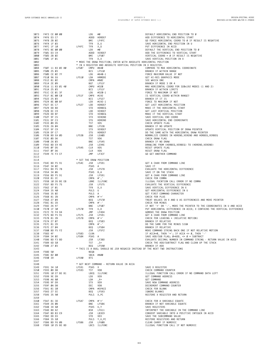| 3073         |                                    |       | LDU                   | #Ø                                                                          |                                                                                                          |
|--------------|------------------------------------|-------|-----------------------|-----------------------------------------------------------------------------|----------------------------------------------------------------------------------------------------------|
| 3074         | F4F3 CE 00 00<br>F4F6 D3 C7        |       | ADDD                  | HORDEF                                                                      | DEFAULT HORIZONTAL END POSITION TO Ø<br>ADD DIFFERENCE TO HORIZONTAL START                               |
| 3075         | F4F8 2B 02                         |       | BMI                   | LF4FC                                                                       | GO FORCE HORIZONTAL COORD TO Ø IF RESULT IS NEGATIVE                                                     |
| 3076         | F4FA 1F 03                         |       | TFR                   | D,U                                                                         | SAVE HORIZONTAL END POSITION IN U                                                                        |
| 3077         | F4FC 1F 10                         | LF4FC | TFR                   | X,D                                                                         | PUT DIFFERENCE IN ACCD                                                                                   |
| 3078         | F4FE 8E 00 00                      |       | LDX                   | #Ø                                                                          | DEFAULT THE VERTICAL END POSITION TO Ø                                                                   |
| 3079         | F501 D3 C9                         |       |                       | ADDD VERDEF                                                                 | ADD THE DIFFERENCE TO VERTICAL START                                                                     |
| 3080         | F503 2B 02                         |       | BMI                   | LF507                                                                       | VERTICAL COORD = Ø IF RESULT IS NEGATIVE                                                                 |
| 3081         | F505 1F 01                         |       | TFR                   | D,X                                                                         | SAVE VERTICAL POSITION IN X                                                                              |
| 3082         |                                    |       |                       | * MOVE THE DRAW POSITION; ENTER WITH ABSOLUTE HORIZONTAL POSITION           |                                                                                                          |
| 3083         |                                    |       |                       | * IN U REGISTER AND ABSOULTE VERTICAL POSITION IN X REGISTER.               |                                                                                                          |
| 3084         | F507 11 83 02 80                   | LF507 | CMPU #640             |                                                                             | COMPARE TO MAX HORIZONTAL COORDINATE                                                                     |
| 3085         | F50B 25 03                         |       | <b>BCS</b>            | LF510                                                                       | BRANCH IF WITHIN RANGE                                                                                   |
| 3086         | F50D CE 02 7F                      |       | LDU                   | #640-1                                                                      | FORCE MAXIMUM VALUE IF NOT                                                                               |
| 3087<br>3088 | F510 96 E6<br>F512 81 02           | LF510 | LDA<br>CMPA #\$02     | HRMODE                                                                      | GET HI-RES GRAPHICS MODE<br>SEE WHICH ONE                                                                |
| 3089         | F514 2E 09                         |       | BGT                   | LF51F                                                                       | BRANCH IF MODE 3 OR 4                                                                                    |
| 3090         | F516 11 83 01 40                   |       | CMPU #320             |                                                                             | MAX HORIZONTAL COORD FOR 320x192 MODES (1 AND 2)                                                         |
| 3091         | F51A 25 03                         |       | BCS                   | LF51F                                                                       | BRANCH IF WITHIN LIMITS                                                                                  |
| 3092         | F51C CE 01 3F                      |       |                       | LDU #320-1                                                                  | FORCE TO MAXIMUM IF NOT                                                                                  |
| 3093         | F51F 8C 00 C0                      | LF51F | CMPX #192             |                                                                             | IS VERTICAL COORD WITHIN RANGE?                                                                          |
| 3094         | F522 25 03                         |       | BCS                   | LF527                                                                       | BRANCH IF IT IS                                                                                          |
| 3095         | F524 8E 00 BF                      |       | LDX                   | #192-1                                                                      | FORCE TO MAXIMUM IF NOT                                                                                  |
| 3096         | F527 DC C7                         | LF527 | LDD                   | HORDEF                                                                      | GET LAST HORIZONTAL POSITION                                                                             |
| 3097         | F529 DD BD                         |       | STD                   | HORBEG                                                                      | MAKE IT THE HORIZONTAL START                                                                             |
| 3098         | F52B DC C9                         |       | LDD                   | VERDEF                                                                      | GET LAST VERTICAL POSITION                                                                               |
| 3099<br>3100 | F52D DD BF<br>F52F 9F C5           |       | STD<br><b>STX</b>     | VERBEG<br>VEREND                                                            | MAKE IT THE VERTICAL START<br>SAVE VERTICAL END COORD                                                    |
| 3101         | F531 DF C3                         |       | STU                   | HOREND                                                                      | SAVE HORIZONTAL END COORDINATE                                                                           |
| 3102         | F533 0D D5                         |       | TST                   | VD5                                                                         | CHECK UPDATE FLAG                                                                                        |
| 3103         | F535 26 04                         |       | BNE                   | LF53B                                                                       | BRANCH IF NO UPDATE                                                                                      |
| 3104         | F537 9F C9                         |       | <b>STX</b>            | VERDEF                                                                      | UPDATE VERTICAL POSITION OF DRAW POINTER                                                                 |
| 3105         | F539 DF C7                         |       | STU                   | HORDEF                                                                      | DO THE SAME WITH THE HORIZONTAL DRAW POINTER                                                             |
| 3106         | F53B BD EA ØD                      | LF53B | JSR                   | LEAØD                                                                       | NORMALIZE COORDS IN HOREND, VEREND AND HORBEG, VERBEG                                                    |
| 3107         | F53E 0D D6                         |       | TST                   | VD6                                                                         | CHECK DRAW FLAG                                                                                          |
| 3108         | F540 26 03                         |       | BNE                   | LF545                                                                       | BRANCH IF NO DRAW                                                                                        |
| 3109         | F542 BD E9 4E                      |       | JSR                   | LE94E                                                                       | DRAWLINE FROM (HORBEG, VERBEG) TO (HOREND, VEREND)                                                       |
| 3110         | F545 ØF D5                         | LF545 | CLR                   | VD5                                                                         | RESET UPDATE FLAG                                                                                        |
| 3111         | F547 ØF D6                         |       | CLR                   | VD6                                                                         | RESET DRAW FLAG                                                                                          |
| 3112         | F549 7E F3 CF                      |       | JMP                   | LF3CF                                                                       | GO GET ANOTHER COMMAND                                                                                   |
| 3113<br>3114 |                                    |       |                       | * SET THE DRAW POSITION                                                     |                                                                                                          |
| 3115         | F54C BD F5 91                      | LF54C | JSR                   | LF591                                                                       | GET A CHAR FROM COMMAND LINE                                                                             |
| 3116         | F54F 34 02                         |       | PSHS A                |                                                                             | SAVE IT                                                                                                  |
| 3117         | F551 BD F5 78                      |       |                       | JSR LF578                                                                   | EVALUATE THE HORIZONTAL DIFFERENCE                                                                       |
| 3118         | F554 34 06                         |       | PSHS B, A             |                                                                             | SAVE IT ON THE STACK                                                                                     |
| 3119         | F556 BD F5 91                      |       | JSR                   | LF591                                                                       | GET A CHAR FROM COMMAND LINE                                                                             |
| 3120         | F559 81 2C                         |       | $CMPA$ #','           |                                                                             | CHECK FOR COMMA                                                                                          |
| 3121         | F55B 10 26 BE EB                   |       |                       | LBNE ILLFUNC                                                                | ILLEGAL FUCNTION CALL ERROR IF NO COMMA                                                                  |
| 3122         | F55F BD F5 75                      |       | JSR                   | LF575                                                                       | EVALUATE THE VERTICAL DIFFERENCE                                                                         |
| 3123         | F562 1F 01                         |       | TFR                   | D,X                                                                         | SAVE VERTICAL DIFFERENCE IN X                                                                            |
| 3124         | F564 35 40                         |       | PULS U                |                                                                             | GET HORIZONTAL DIFFERENCE IN U                                                                           |
| 3125<br>3126 | F566 35 02<br>F568 81 2B           |       | PULS A<br>$CMPA$ #'+' |                                                                             | GET FIRST COMMAND CHARACTER<br>CHECK FOR PLUS                                                            |
| 3127         | F56A 27 04                         |       | BEQ                   | <b>LF570</b>                                                                | TREAT VALUES IN X AND U AS DIFFERENCES AND MOVE POINTER                                                  |
| 3128         | F56C 81 2D                         |       | $CMPA$ #'-'           |                                                                             | CHECK FOR MINUS                                                                                          |
| 3129         | F56E 26 97                         |       | BNE                   | LF507                                                                       | IF NOT '+' OR '-', MOVE THE POINTER TO THE COORDINATES IN U AND ACCD                                     |
| 3130         | F570 1F 30                         | LF570 | TFR                   | U,D                                                                         | PUT HORIZONTAL DIFFERENCE IN ACCD; X CONTAINS THE VERTICAL DIFFERENCE                                    |
| 3131         | F572 7E F4 D4                      |       | JMP                   | LF4D4                                                                       | GOMOVE THE DRAW POSITION                                                                                 |
| 3132         | F575 BD F5 91                      | LF575 | JSR                   | LF591                                                                       | GET A CHAR FROM COMMAND LINE                                                                             |
| 3133         | F578 81 2B                         | LF578 | $CMPA$ #'+'           |                                                                             | CHECK FOR LEADING + (RELATIVE MOTION)                                                                    |
| 3134         | F57A 27 07                         |       | BEQ                   | LF583                                                                       | BRANCH IF RELATIVE                                                                                       |
| 3135         | F57C 81 2D                         |       | $CMPA$ #'-'           |                                                                             | DO THE SAME FOR THE MINUS SIGN                                                                           |
| 3136         | F57E 27 04                         |       | BEQ                   | LF584                                                                       | BRANCH IF RELATIVE                                                                                       |
| 3137         | F580 BD F5 F2<br>F583 4F           | LF583 | JSR<br>CLRA           | LF5F2                                                                       | MOVE COMMAND STRING BACK ONE IF NOT RELATIVE MOTION<br>IF ACCA=0, THEN '+'; IF ACCA $\infty$ 0, THEN '-' |
| 3138<br>3139 | F584 34 Ø2                         | LF584 | PSHS A                |                                                                             | SAVE ADD/SUB FLAG; Ø=ADD, $\infty$ Ø = SUBTRACT                                                          |
| 3140         | F586 BD F3 BD                      |       | JSR LF3BD             |                                                                             | EVALUATE DECIMAL NUMBER IN COMMAND STRING - RETURN VALUE IN ACCD                                         |
| 3141         | F589 6D EØ                         |       | TST                   | , S+                                                                        | CHECK THE ADD/SUBTRACT FLAG AND CLEAN UP THE STACK                                                       |
| 3142         | F58B 27 03                         |       | BEQ                   | LF590                                                                       | BRANCH IF ADD                                                                                            |
| 3143         |                                    |       |                       | * THIS IS A BUG; SHOULD BE JSR NEGACCD INSTEAD OF THE NEXT TWO INSTRUCTIONS |                                                                                                          |
| 3144         | F58D 50                            |       | NEGB                  |                                                                             |                                                                                                          |
|              | 3145 F58E 82 00                    |       | SBCA #\$00            |                                                                             |                                                                                                          |
| 3146         | F590 39                            | LF590 | <b>RTS</b>            |                                                                             |                                                                                                          |
| 3147         |                                    |       |                       |                                                                             |                                                                                                          |
| 3148<br>3149 | F591 34 10                         | LF591 | PSHS X                | * GET NEXT COMMAND - RETURN VALUE IN ACCA                                   | SAVE X REGISTER                                                                                          |
| 3150         | F593 ØD D8                         | LF593 | TST                   | VD8                                                                         | CHECK COMMAND COUNTER                                                                                    |
|              | 3151 F595 10 27 BE B1              |       |                       | LBEQ ILLFUNC                                                                | ILLEGAL FUNCTION CALL ERROR IF NO COMMAND DATA LEFT                                                      |
|              | 3152 F599 9E D9                    |       | LDX                   | VD9                                                                         | GET COMMAND ADDRESS                                                                                      |
|              | 3153 F59B A6 80                    |       | LDA                   | $, X +$                                                                     | GET COMMAND                                                                                              |
|              | 3154 F59D 9F D9                    |       | STX                   | VD9                                                                         | SAVE NEW COMMAND ADDRESS                                                                                 |
|              | 3155 F59F ØA D8                    |       | DEC VD8               |                                                                             | DECREMENT COMMAND COUNTER                                                                                |
|              | 3156 F5A1 81 20                    |       |                       | CMPA #SPACE                                                                 | CHECK FOR BLANK                                                                                          |
| 3157         | F5A3 27 EE                         |       |                       | BEQ LF593                                                                   | IGNORE BLANKS                                                                                            |
| 3158         | F5A5 35 90                         |       | PULS X, PC            |                                                                             | RESTORE X REGISTER AND RETURN                                                                            |
| 3159         |                                    |       | $CMPA$ #'='           |                                                                             |                                                                                                          |
|              | 3160 F5A7 81 3D<br>3161 F5A9 26 ØB | LF5A7 |                       | BNE LF5B6                                                                   | CHECK FOR A VARIABLE EQUATE<br>BRANCH IF NOT VARIABLE EQUATE                                             |
| 3162         | F5AB 34 60                         |       | PSHS U, Y             |                                                                             | SAVE REGISTERS                                                                                           |
| 3163         | F5AD 8D 62                         |       |                       | BSR LF611                                                                   | INTERPRET THE VARIABLE IN THE COMMAND LINE                                                               |
|              | 3164 F5AF BD B3 E9                 |       |                       | JSR LB3E9                                                                   | CONVERT VARIABLE INTO A POSITIVE INTEGER IN ACCD                                                         |
|              | 3165 F5B2 DD D3                    |       | STD VD3               |                                                                             | SAVE THE SUBCOMMAND VALUE                                                                                |
| 3166         | F5B4 35 EØ                         |       |                       | PULS Y, U, PC                                                               | RESTORE REGISTERS AND RETURN                                                                             |
| 3167         | F5B6 BD F6 08                      | LF5B6 |                       | JSR LF608                                                                   | CLEAR CARRY IF NUMERIC                                                                                   |
| 3168         | F5B9 10 25 BE 8D                   |       |                       | LBCS ILLFUNC                                                                | ILLEGAL FUNCTION CALL IF NOT NUMERIC                                                                     |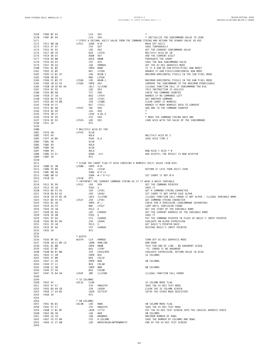| 3169         | F5BD ØF D3                               |                           | CLR<br>VD3                             | $\star$                                                                                                                               |
|--------------|------------------------------------------|---------------------------|----------------------------------------|---------------------------------------------------------------------------------------------------------------------------------------|
| 3170<br>3171 | F5BF ØF D4                               |                           | CLR<br>VD4                             | * INITIALIZE THE SUBCOMMAND VALUE TO ZERO<br>* STRIP A DECIMAL ASCII VALUE FROM THE COMMAND STRING AND RETURN THE BINARY VALUE IN VD3 |
| 3172         | F5C1 80 30                               |                           | LF5C1 SUBA #'Ø'                        | MASK OFF ASCII                                                                                                                        |
| 3173         | F5C3 97 D7                               |                           | STA<br>VD7<br>LDD                      | SAVE TEMPORARILY                                                                                                                      |
| 3174<br>3175 | F5C5 DC D3<br>F5C7 8D 34                 |                           | VD3<br>BSR LF5FD                       | GET THE CURRENT SUBCOMMAND VALUE<br>MULTIPLY ACCD BY 10                                                                               |
| 3176         | F5C9 DB D7                               |                           | ADDB VD7                               | ADD THE CURRENT DIGIT                                                                                                                 |
| 3177<br>3178 | F5CB 89 00<br>F5CD DD D3                 |                           | ADCA #\$00<br>STD VD3                  | PROPAGATE THE CARRY<br>SAVE THE NEW SUBCOMMAND VALUE                                                                                  |
| 3179         | F5CF 96 E6                               |                           | LDA HRMODE                             | GET THE HI-RES GRAPHICS MODE                                                                                                          |
| 3180         | F5D1 81 02                               |                           | CMPA #\$02                             | IS IT A 640 OR 320 BYTES/PIXEL ROW MODE?                                                                                              |
| 3181<br>3182 | F5D3 2E 05<br>F5D5 CC 01 3F              |                           | BGT<br>LF5DA<br>LDD #320-1             | BRANCH IF 640 PIXELS/HORIZONTAL ROW MODE<br>MAXIMUM HORIZONTAL PIXELS IN THE 320 PIXEL MODE                                           |
| 3183         | F5D8 20 03                               |                           | BRA LF5DD                              |                                                                                                                                       |
| 3184         | F5DA CC 02 7F                            |                           | LF5DA LDD #640-1                       | MAXIMUM HORIZONTAL PIXELS IN THE 640 PIXEL MODE                                                                                       |
| 3185<br>3186 | F5DD 10 93 D3<br>F5EØ 10 2D BE 66        |                           | LF5DD CMPD VD3<br>LBLT ILLFUNC         | COMPARE THE SUBCOMMAND TO THE MAXIMUM PERMISSABLE<br>ILLEGAL FUNCTION CALL IF SUBCOMMAND TOO BIG                                      |
| 3187         | F5E4 DC D3                               |                           | LDD<br>VD3                             | THIS INSTRUCTION IS USELESS                                                                                                           |
| 3188<br>3189 | F5E6 ØD D8<br>F5E8 27 10                 |                           | TST<br>VD8<br>BEQ<br>LF5FA             | CHECK THE COMMAND COUNTER<br>BRANCH IF NO COMMANDS LEFT                                                                               |
| 3190         | F5EA BD F5 91                            |                           | JSR<br>LF591                           | GET ANOTHER COMMAND                                                                                                                   |
| 3191         | F5ED BD F6 08                            |                           | JSR LF608                              | CLEAR CARRY IF NUMERIC                                                                                                                |
| 3192<br>3193 | F5FØ 24 CF<br>F5F2 ØC D8                 | LF5F2                     | BCC<br>LF5C1<br>INC VD8                | BRANCH IF MORE NUMERIC DATA TO CONVERT<br>ADD ONE TO THE COMMAND COUNTER                                                              |
| 3194         | F5F4 9E D9                               |                           | LDX<br>VD9                             |                                                                                                                                       |
| 3195         | F5F6 30 1F                               |                           | $LEAX$ \$-01, X                        |                                                                                                                                       |
| 3196<br>3197 | F5F8 9F D9<br>F5FA DC D3                 | LF5FA                     | STX<br>VD9<br>LDD<br>VD3               | * MOVE THE COMMAND STRING BACK ONE<br>LOAD ACCD WITH THE VALUE OF THE SUBCOMMAND                                                      |
| 3198         | F5FC 39                                  |                           | <b>RTS</b>                             |                                                                                                                                       |
| 3199<br>3200 |                                          |                           | * MULTIPLY ACCD BY TEN                 |                                                                                                                                       |
| 3201         | F5FD 58                                  | LF5FD ALSB                |                                        |                                                                                                                                       |
|              | 3202 F5FE 49                             |                           | ROLA                                   | MULTIPLY ACCD BY 2                                                                                                                    |
| 3203<br>3204 | F5FF 34 06<br>F601 58                    |                           | PSHS B,A<br>ALSB                       | SAVE ACCD TIME 2                                                                                                                      |
| 3205         | F602 49                                  |                           | ROLA                                   |                                                                                                                                       |
| 3206         | F603 58                                  |                           | ALSB                                   |                                                                                                                                       |
| 3207<br>3208 | F604 49<br>F605 E3 E1                    |                           | ROLA<br>ADDD, S++                      | NOW ACCD = $ACCD * 8$<br>ADD ACCD*2; THE RESULT IS NOW ACCD*10                                                                        |
| 3209         | F607 39                                  |                           | <b>RTS</b>                             |                                                                                                                                       |
| 3210<br>3211 |                                          |                           |                                        | * CLEAR THE CARRY FLAG IF ACCA CONTAINS A NUMERIC ASCII VALUE (\$30-\$39)                                                             |
| 3212         | F608 81 30                               |                           | LF608 CMPA #'0'                        |                                                                                                                                       |
| 3213         | F60A 25 04<br>F6ØC 80 3A                 |                           | BCS LF610<br>SUBA #'9'+1               | RETURN IF LESS THAN ASCII ZERO                                                                                                        |
| 3214<br>3215 | F60E 80 C6                               |                           | SUBA #- $('9'+1)$                      | SET CARRY IF NOT 0-9                                                                                                                  |
| 3216         | F610 39                                  | LF610                     | RTS                                    |                                                                                                                                       |
| 3217<br>3218 | F611 9E D9                               | LF611 LDX VD9             |                                        | * INTERPRET THE CURRENT COMMAND STRING AS IF IT WERE A BASIC VARIABLE<br>GET THE COMMAND POINTER                                      |
| 3219         | F613 34 10                               |                           | PSHS X                                 | SAVE IT                                                                                                                               |
| 3220         | F615 BD F5 91                            |                           | JSR LF591                              | GET A COMMAND STRING CHARACTER                                                                                                        |
| 3221<br>3222 | F618 BD B3 A2<br>F61B 10 25 BE 2B        |                           | JSR LB3A2<br>LBCS ILLFUNC<br>JSR LF591 | SET CARRY IF NOT UPPER CASE ALPHA<br>ILLEGAL FUNCTION CALL ERROR IF NOT ALPHA – ILLEGAL VARIABLE NAME                                 |
| 3223         | F61F BD F5 91                            |                           | LF61F JSR LF591                        | GET COMMAND STRING CHARACTER                                                                                                          |
| 3224<br>3225 | F622 81 3B<br>F624 26 F9                 |                           | $CMPA$ #';'<br>BNE LF61F               | CHECK FOR A SEMICOLON (SUBCOMMAND SEPARATOR)<br>LOOP UNTIL SEMICOLON FOUND                                                            |
| 3226         | F626 35 10                               |                           | PULS X                                 | GET THE START OF THE VARIABLE NAME                                                                                                    |
| 3227<br>3228 | F628 DE A6<br>F62A 34 40                 |                           | LDU<br>CHARAD<br>PSHS U                | GET THE CURRENT ADDRESS OF THE VARIABLE NAME<br>SAVE IT                                                                               |
| 3229         | F62C 9F A6                               |                           | STX<br>CHARAD                          | PUT THE COMMAND POINTER IN PLACE OF BASIC'S INPUT POINTER                                                                             |
| 3230         | F62E BD B2 84                            |                           | JSR<br>LB284                           | EVALUATE AN ALPHA EXPRESSION                                                                                                          |
| 3231<br>3232 | F631 35 10<br>F633 9F A6                 |                           | PULS X<br>STX<br>CHARAD                | GET BASIC'S POINTER BACK<br>RESTORE BASIC'S INPUT POINTER                                                                             |
| 3233         | F635 39                                  |                           | <b>RTS</b>                             |                                                                                                                                       |
| 3234<br>3235 |                                          | * WIDTH                   |                                        |                                                                                                                                       |
|              | 3236 F636 ØF E6                          | WIDTH                     | CLR<br>HRMODE                          | TURN OFF HI-RES GRAPHICS MODE                                                                                                         |
|              | 3237 F638 10 21 09 C4                    |                           | LBRN RAMLINK                           | RAM HOOK                                                                                                                              |
|              | 3238 F63C 81 00<br>3239 F63E 27 ØF       |                           | CMPA #\$00<br>BEQ LF64F                | TEST FOR END OF LINE - NO ARGUMENT GIVEN<br>'FC' ERROR IF NO ARGUMENT                                                                 |
|              | 3240 F640 BD B7 0B                       |                           | JSR EVALEXPB                           | EVALUATE EXPRESSION, RETURN VALUE IN ACCB                                                                                             |
| 3241         | F643 C1 20<br>3242 F645 27 ØB            |                           | CMPB #32                               | 32 COLUMNS                                                                                                                            |
|              | 3243 F647 C1 28                          |                           | BEQ COL32<br>CMPB #40                  | 40 COLUMNS                                                                                                                            |
|              | 3244 F649 27 11                          |                           | BEQ<br>COL4Ø                           |                                                                                                                                       |
|              | 3245 F64B C1 50<br>3246 F64D 27 2A       |                           | CMPB #80<br>BEQ COL80                  | 80 COLUMNS                                                                                                                            |
|              | 3247 F64F 7E B4 4A                       | LF64F                     | JMP<br>ILLFUNC                         | ILLEGAL FUNCTION CALL ERROR                                                                                                           |
| 3248         |                                          | * 32 COLUMNS              |                                        |                                                                                                                                       |
| 3249         | 3250 F652 4F                             | COL32                     | CLRA                                   | 32 COLUMN MODE FLAG                                                                                                                   |
|              | 3251 F653 97 E7                          |                           | STA HRWIDTH                            | SAVE THE HI-RES TEXT MODE                                                                                                             |
|              | 3252 F655 BD A9 28<br>3253 F658 17 E9 BE |                           | JSR LA928<br>LBSR SETTEXT              | CLEAR THE 32 COLUMN SCREEN<br>SETUP THE VIDEO MODE REGISTERS                                                                          |
|              | 3254 F65B 39                             |                           | <b>RTS</b>                             |                                                                                                                                       |
| 3255         |                                          |                           |                                        |                                                                                                                                       |
| 3256<br>3257 | F65C 86 01                               | * 40 COLUMNS<br>COL4Ø LDA | #\$01                                  | 40 COLUMN MODE FLAG                                                                                                                   |
| 3258         | F65E 97 E7                               |                           | STA<br>HRWIDTH                         | SAVE THE HI-RES TEXT MODE                                                                                                             |
| 3259         | F660 17 01 0F<br>3260 F663 86 28         |                           | LBSR LF772<br>LDA<br>#40               | PUT THE HI-RES TEXT SCREEN INTO THE LOGICAL ADDRESS SPACE<br>40 COLUMNS                                                               |
|              | 3261 F665 C6 18                          |                           | LDB<br>#ROWMAX                         | MAXIMUM NUMBER OF ROWS                                                                                                                |
|              | 3262 F667 FD FE Ø4                       |                           | STD<br>H.COLUMN                        | SAVE THE NUMBER OF COLUMNS AND ROWS                                                                                                   |
| 3264         | 3263 F66A CC 27 80                       |                           | LDD #HRSCREEN+40*ROWMAX*2              | END OF THE HI-RES TEXT SCREEN                                                                                                         |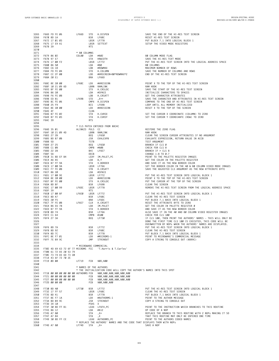**F74D A7 80 LF74D STA ,X+ SAVE A NOP**

 **F66D FD FE 06 LF66D STD H.DISPEN SAVE THE END OF THE HI-RES TEXT SCREEN F670 8D 1A BSR LF68C RESET HI-RES TEXT SCREEN 3267 F672 17 01 03 LBSR LF778 PUT BLOCK 7.1 INTO LOGICAL BLOCK 1 F675 17 E9 A1 LBSR SETTEXT SETUP THE VIDEO MODE REGISTERS**  $F678$  39 **\* 80 COLUMNS F679 86 02 COL80 LDA #\$02 80 COLUMN MODE FLAG F67B 97 E7 STA HRWIDTH SAVE THE HI-RES TEXT MODE F67D 17 00 F2 LBSR LF772 PUT THE HI-RES TEXT SCREEN INTO THE LOGICAL ADDRESS SPACE F680 86 50 LDA #80 80 COLUMNS F682 C6 18 LDB #ROWMAX MAXIMUM NUMBER OF ROWS F684 FD FE 04 STD H.COLUMN SAVE THE NUMBER OF COLUMNS AND ROWS F687 CC 2F 00 LDD #HRSCREEN+80\*ROWMAX\*2 END OF THE HI-RES TEXT SCREEN F68A 20 E1 BRA LF66D F68C 8E 20 00 LF68C LDX #HRESSCRN POINT X TO THE TOP OF THE HI-RES TEXT SCREEN F68F 10 21 09 6D LBRN RAMLINK RAM HOOK F693 BF FE 00 STX H.CRSLOC SAVE THE START OF THE HI-RES TEXT SCREEN F696 86 20 LDA #SPACE INITIALIZE CHARACTERS TO SPACES F698 F6 FE 08 LDB H.CRSATT GET THE CHARACTER ATTRIBUTES F69B ED 81 LF69B STD ,X++ SAVE THE CHARACTER AND ATTRIBUTES IN HI-RES TEXT SCREEN 3287 F69D BC FE 06 CMPX H.DISPEN COMPARE TO THE END OF HI-RES TEXT SCREEN 3288 F6A0 25 F9 BCS LF69B LOOP UNTIL ALL MEMORY INITIALIZED F6A2 8E 20 00 LDX #HRESSCRN RESET X TO THE TOP OF THE SCREEN F6A5 4F CLRA F6A6 B7 FE 02 STA H.CURSX SET THE CURSOR X COORDINATE (COLUMN) TO ZERO 3292 F6A9 B7 FE 03 STA H.CURSY SET THE CURSOR Y COORDIANTE (ROW) TO ZERO F6AC 39 RTS \* CLS PATCH ENTERED FROM \$8C4C F6AD 35 01 ALINK23 PULS CC RESTORE THE ZERO FLAG F6AF 10 21 09 4D LBRN RAMLINK RAM HOOK F6B3 27 2B BEQ LF6E0 CLEAR THE SCREEN CURSOR ATTRIBUTES IF NO ARGUMENT F6B5 BD B7 0B JSR EVALEXPB EVALUATE EXPRESSION, RETURN VALUE IN ACCB F6B8 5D TSTB TEST ARGUMENT F6B9 27 25 BEQ LF6E0 BRANCH IF CLS 0 F6BB C1 08 CMPB #\$08 CHECK FOR CLS 8 3303 F6BD 22 28 BHI LF6E7 BRANCH IF > CLS 8 F6BF 5A DECB CHANGE 1-8 TO 0-7 3305 F6C0 31 8D EF B4 LEAY IM.PALET,PC POINT TO THE PALETTE REGISTER IMAGES F6C4 A6 A5 LDA B,Y GET THE COLOR IN THE PALETTE REGISTER F6C6 B7 FF 9A STA V.BORDER AND SAVE IT AS THE NEW BORDER COLOR F6C9 17 00 9A LBSR LF766 SET THE BORDER COLOR IN THE 40 & 80 COLUMN VIDEO MODE IMAGES F6CC F7 FE 08 STB H.CRSATT SAVE THE ADJUSTED CLS ARGUMENT AS THE NEW ATTRIBUTE BYTE F6CF 86 20 LDA #SPACE F6D1 17 00 9E LBSR LF772 PUT THE HI-RES TEXT SCREEN INTO LOGICAL BLOCK 1 3312 F6D4 8E 20 00 LDX #HRESSCRN POINT X TO THE TOP OF THE HI-RES TEXT SCREEN 3313 F6D7 BF FE 00 STX H.CRSLOC PUT THE CURSOR AT THE TOP OF THE SCREEN F6DA 8D BF BSR LF69B CLEAR THE SCREEN F6DC 17 00 99 LF6DC LBSR LF778 REMOVE THE HI-RES TEXT SCREEN FROM THE LOGICAL ADDRESS SPACE F6DF 39 RTS F6E0 17 00 8F LF6E0 LBSR LF772 PUT THE HI-RES TEXT SCREEN INTO LOGICAL BLOCK 1 F6E3 8D A7 BSR LF68C CLEAR THE HI-RES TEXT SCREEN F6E5 20 F5 BRA LF6DC PUT BLOCK 7.1 BACK INTO LOGICAL BLOCK 1 F6E7 7F FE 08 LF6E7 CLR H.CRSATT RESET THE ATTRIBUTE BYTE TO ZERO 3321 F6EA B6 E6 78 LDA IM.PALET GET THE COLOR IN PALETTE REGISTER 0 F6ED B7 FF 9A STA V.BORDER AND SAVE IT AS THE NEW BORDER COLOR F6F0 8D 74 BSR LF766 ALSO SAVE IT IN THE 40 AND 80 COLUMN VIDEO REGISTER IMAGES F6F2 C1 64 CMPB #100 CHECK FOR CLS 100 F6F4 27 3A BEQ LF730 IF CLS 100, THEN PRINT THE AUTHORS' NAMES - THIS WILL ONLY BE DONE THE FIRST TIME CLS 100 IS EXECUTED, THIS CODE WILL BE 3327 OVERWRITTEN BY NOPs WHEN THE AUTHORS' NAMES ARE DISPLAYED. 3328 F6F6 8D 7A BSR LF772 PUT THE HI-RES TEXT SCREEN INTO LOGICAL BLOCK 1 F6F8 8D 92 BSR LF68C CLEAR THE HI-RES TEXT SCREEN F6FA 8D 7C BSR LF778 PUT BLOCK 7.1 BACK INTO LOGICAL BLOCK 1 F6FC 8E F7 01 LDX #MICROMS-1 POINT TO MICROWARE'S COMMERCIAL MESSAGE F6FF 7E B9 9C JMP STRINOUT COPY A STRING TO CONSOLE OUT (\$B99C) \* MICROWARE COMMERCIAL F702 4D 69 63 72 6F 77 MICROMS FCC 'T.Harris & T.Earles' F708 61 72 65 20 53 79 3337 F70E 73 74 65 6D 73 20 3338 F714 43 6F 72 70 2E F719 0D 00 LF719 FCB \$0D,\$00 \* NAMES OF THE AUTHORS \* THE INITIALIZATION CODE WILL COPY THE AUTHOR'S NAMES INTO THIS SPOT F71B 00 00 00 00 00 00 AUTHORMS FCB \$00,\$00,\$00,\$00,\$00,\$00 F721 00 00 00 00 00 00 FCB \$00,\$00,\$00,\$00,\$00,\$00 F727 00 00 00 00 00 00 FCB \$00,\$00,\$00,\$00,\$00,\$00 F72D 00 00 00 FCB \$00,\$00,\$00 F730 8D 40 LF730 BSR LF772 PUT THE HI-RES TEXT SCREEN INTO LOGICAL BLOCK 1 F732 17 FF 57 LBSR LF68C CLEAR THE HI-RES TEXT SCREEN 3350 F735 8D 41 BSR LF778 PUT BLOCK 7.1 BACK INTO LOGICAL BLOCK 1 F737 8E F7 1A LDX #AUTHORMS-1 POINT TO THE AUTHOR MESSAGE F73A BD B9 9C JSR STRINOUT COPY A STRING TO CONSOLE OUT F73D 34 10 PSHS X F73F 30 8D FF B1 LEAX LF6F4,PC POINT TO THE INSTRUCTION WHICH BRANCHES TO THIS ROUTINE F743 86 12 LDA #\$12 OP CODE OF A NOP 3356 F745 A7 80 STA ,X+ REPLACE THE BRANCH TO THIS ROUTINE WITH 2 NOPs MAKING IT SO F747 A7 84 STA ,X THAT THIS ROUTINE MAY ONLY BE ENTERED ONE TIME 3358 F749 30 8D FF CE LEAX AUTHORMS,PC POINT TO THE AUTHORS CODED NAMES \* REPLACE THE AUTHORS' NAMES AND THE CODE THAT DISPLAYS THEM WITH NOPs**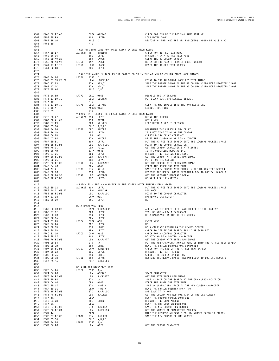| 3361         | F74F 8C F7 4D                  |                     |                           | CMPX #LF74D                                                          | CHECK FOR END OF THE DISPLAY NAME ROUTINE                                                                      |
|--------------|--------------------------------|---------------------|---------------------------|----------------------------------------------------------------------|----------------------------------------------------------------------------------------------------------------|
| 3362<br>3363 | F752 25 F9<br>F754 35 10       |                     | BCS LF74D<br>PULS X       |                                                                      | LOOP UNTIL DONE<br>RESTORE X; THIS AND THE RTS FOLLOWING SHOULD BE PULS X, PC                                  |
| 3364         | F756 39                        |                     | <b>RTS</b>                |                                                                      |                                                                                                                |
| 3365         |                                |                     |                           |                                                                      |                                                                                                                |
| 3366<br>3367 | F757 ØD E7                     | ALINK27 TST         |                           | * GET AN INPUT LINE FOR BASIC PATCH ENTERED FROM \$A38D<br>HRWIDTH   | CHECK FOR HI-RES TEXT MODE                                                                                     |
| 3368         | F759 26 06                     |                     | BNE                       | LF761                                                                | BRANCH IF IN A HI-RES TEXT MODE                                                                                |
| 3369         | F75B BD A9 28                  |                     | JSR                       | LA928                                                                | CLEAR THE 32 COLUMN SCREEN                                                                                     |
| 3370         | F75E 7E A3 90                  | LF75E               | JMP                       | LA390                                                                | RE-ENTER THE MAIN STREAM OF CODE (\$A390)                                                                      |
| 3371<br>3372 | F761 17 FF 7C<br>F764 20 F8    | LF761               | LBSR LF6EØ<br>BRA         | LF75E                                                                | RESET THE HI-RES TEXT SCREEN                                                                                   |
| 3373         |                                |                     |                           |                                                                      |                                                                                                                |
| 3374         |                                |                     |                           |                                                                      | * SAVE THE VALUE IN ACCA AS THE BORDER COLOR IN THE 40 AND 80 COLUMN VIDEO MODE IMAGES                         |
| 3375         | F766 34 20                     | LF766               | PSHS Y                    | LEAY LE8CF, PC                                                       |                                                                                                                |
| 3376<br>3377 | F768 31 8D E8 CF<br>F76C A7 23 |                     | STA                       | \$Ø3, Y                                                              | POINT TO THE 40 COLUMN MODE REGISTER IMAGE<br>SAVE THE BORDER COLOR IN THE 40 COLUMN VIDEO MODE REGISTER IMAGE |
| 3378         | F76E A7 2C                     |                     | STA                       | \$ØC,Y                                                               | SAVE THE BORDER COLOR IN THE 80 COLUMN VIDEO MODE REGISTER IMAGE                                               |
| 3379         | F770 35 AØ                     |                     | PULS Y, PC                |                                                                      |                                                                                                                |
| 3380<br>3381 | F772 1A 50                     | LF772               | ORCC #\$50                |                                                                      | DISABLE THE INTERRUPTS                                                                                         |
| 3382         | F774 17 E9 3E                  |                     |                           | LBSR SELTEXT                                                         | PUT BLOCK 6.6 INTO LOGICAL BLOCK 1                                                                             |
| 3383         | F777 39                        |                     | <b>RTS</b>                |                                                                      |                                                                                                                |
| 3384         | F778 17 E9 1C                  | LF778               |                           | LBSR SETMMU                                                          | COPY THE MMU IMAGES INTO THE MMU REGISTERS                                                                     |
| 3385<br>3386 | F77B 1C AF<br>F77D 39          |                     | ANDCC #\$AF<br><b>RTS</b> |                                                                      | ENABLE IRQ, FIRQ                                                                                               |
| 3387         |                                |                     |                           | * PATCH 24 - BLINK THE CURSOR PATCH ENTERED FROM \$AØD4              |                                                                                                                |
| 3388         | F77E 8D 07                     | ALINK24 BSR         |                           | LF787                                                                | BLINK THE CURSOR                                                                                               |
| 3389<br>3390 | F780 BD A1 CB<br>F783 27 F9    |                     | JSR                       | KEYIN<br>BEQ ALINK24                                                 | GET A KEY<br>LOOP UNTIL A KEY IS PRESSED                                                                       |
| 3391         | F785 35 94                     |                     |                           | PULS B, X, PC                                                        |                                                                                                                |
| 3392         | F787 ØA 94                     | LF787               | DEC                       | <b>BLKCNT</b>                                                        | DECREMENT THE CURSOR BLINK DELAY                                                                               |
| 3393         | F789 26 1D                     |                     | BNE                       | LF7A8                                                                | IT'S NOT TIME TO BLINK THE CURSOR                                                                              |
| 3394<br>3395 | F78B C6 ØB<br>F78D D7 94       |                     | LDB<br>STB                | #11<br>BLKCNT                                                        | CURSOR BLINK DELAY CONSTANT<br>RESET THE CURSOR BLINK DELAY COUNTER                                            |
| 3396         | F78F 8D E1                     |                     | BSR                       | LF772                                                                | PUT THE HI-RES TEXT SCREEN INTO THE LOGICAL ADDRESS SPACE                                                      |
| 3397         | F791 BE FE 00                  |                     | LDX                       | H.CRSLOC                                                             | POINT TO THE CURSOR CHARACTER                                                                                  |
| 3398         | F794 A6 01<br>F796 85 40       |                     | LDA                       | \$01.X                                                               | GET THE CURSOR CHARACTER'S ATTRIBUTES                                                                          |
| 3399<br>3400 | F798 27 05                     |                     | BITA #\$40<br>BEQ         | LF79F                                                                | IS THE UNDERLINE MODE ACTIVE?<br>BRANCH IF NOT ACTIVE UNDERLINE                                                |
| 3401         | F79A B6 FE 08                  |                     | LDA                       | H.CRSATT                                                             | GET THE CURSOR ATTRIBUTES RAM IMAGE                                                                            |
| 3402         | F79D 20 05                     |                     | BRA                       | LF7A4                                                                | PUT IT ON THE SCREEN                                                                                           |
| 3403<br>3404 | F79F B6 FE 08<br>F7A2 8A 4Ø    | LF79F               | LDA<br>ORA                | H.CRSATT<br>#\$40                                                    | GET THE CURSOR ATTRIBUTES RAM IMAGE<br>FORCE THE UNDERLINE ATTRIBUTE                                           |
| 3405         | F7A4 A7 01                     | LF7A4               | STA                       | \$01,X                                                               | SAVE THE NEW CURSOR ATTRIBUTES IN THE HI-RES TEXT SCREEN                                                       |
| 3406         | F7A6 8D DØ                     |                     | BSR                       | LF778                                                                | RESTORE THE NORMAL BASIC PROGRAM BLOCK TO LOGICAL BLOCK 1                                                      |
| 3407         | F7A8 8E Ø4 5E                  | LF7A8               | LDX                       | #DEBDEL                                                              | GET THE KEYBOARD DEBOUNCE DELAY                                                                                |
| 3408<br>3409 | F7AB 7E A7 D3                  |                     | JMP                       | LA7D3                                                                | GO WAIT A WHILE (\$A7D3)                                                                                       |
| 3410         |                                |                     |                           | * PATCH 22 - PUT A CHARACTER ON THE SCREEN PATCH ENTERED FROM \$BC3D |                                                                                                                |
| 3411         | F7AE 8D C2                     | ALINK22 BSR LF772   |                           |                                                                      | PUT THE HI-RES TEXT SCREEN INTO THE LOGICAL ADDRESS SPACE                                                      |
| 3412         | F7BØ 10 21 08 4C               |                     |                           | LBRN RAMLINK                                                         | RAM HOOK                                                                                                       |
| 3413<br>3414 | F7B4 BE FE 00<br>F7B7 81 08    |                     | LDX<br>CMPA #BS           | H.CRSLOC                                                             | POINT TO THE CURSOR CHARACTER<br>BACKSPACE CHARACTER?                                                          |
|              | F7B9 26 09                     |                     | BNE                       | LF7C4                                                                | N <sub>0</sub>                                                                                                 |
| 3415         |                                |                     |                           |                                                                      |                                                                                                                |
| 3416         |                                |                     |                           |                                                                      |                                                                                                                |
| 3417         |                                | DO A BACKSPACE HERE |                           |                                                                      |                                                                                                                |
| 3418<br>3419 | F7BB 8C 20 00<br>F7BE 27 1E    |                     | BEQ                       | CMPX #HRESSCRN                                                       | ARE WE AT THE UPPER LEFT-HAND CORNER OF THE SCREEN?                                                            |
| 3420         | F7CØ 8D 20                     |                     | BSR                       | LF7DE<br>LF7E2                                                       | YES, DO NOT ALLOW A BACKSPACE<br>DO A BACKSPACE ON THE HI-RES SCREEN                                           |
| 3421         | F7C2 20 1A                     |                     | BRA                       | LF7DE                                                                |                                                                                                                |
| 3422<br>3423 | F7C4 81 ØD<br>F7C6 26 04       | LF7C4               | CMPA #CR<br>BNE           |                                                                      | <b>ENTER KEY?</b><br>N <sub>0</sub>                                                                            |
| 3424         | F7C8 8D 5D                     |                     | BSR                       | LF7CC<br>LF827                                                       | DO A CARRIAGE RETURN ON THE HI-RES SCREEN                                                                      |
| 3425         | F7CA 20 0B                     |                     | BRA                       | LF7D7                                                                | CHECK TO SEE IF THE SCREEN SHOULD BE SCROLLED                                                                  |
| 3426         | F7CC 81 20                     | LF7CC               | CMPA #\$20                |                                                                      | CHECK FOR A CONTROL CHARACTER                                                                                  |
| 3427<br>3428 | F7CE 25 ØE<br>F7DØ F6 FE Ø8    |                     | <b>BCS</b><br>LDB         | LF7DE<br>H.CRSATT                                                    | DO NOTHING IF A CONTROL CHARACTER<br>GET THE CURSOR ATTRIBUTES RAM IMAGE                                       |
| 3429         | F7D3 ED 84                     |                     | STD                       | , Х                                                                  | PUT THE NEW CHARACTER AND ATTRIBUTES INTO THE HI-RES TEXT SCREEN                                               |
|              | 3430 F7D5 8D 30                |                     | <b>BSR</b>                | LF807                                                                | MOVE THE CURSOR FORWARD ONE CHARACTER                                                                          |
| 3431         | F7D7 BC FE 06                  | LF7D7               |                           | CMPX H.DISPEN                                                        | CHECK FOR THE END OF THE HI-RES TEXT SCREEN                                                                    |
| 3432<br>3433 | F7DA 25 02<br>F7DC 8D 76       |                     | <b>BCS</b><br>BSR LF854   | LF7DE                                                                | BRANCH IF NOT AT THE END<br>SCROLL THE SCREEN UP ONE ROW                                                       |
| 3434         | F7DE 8D 98                     | LF7DE               | BSR LF778                 |                                                                      | RESTORE THE NORMAL BASIC PROGRAM BLOCK TO LOGICAL BLOCK 1                                                      |
| 3435         | F7EØ 35 96                     |                     |                           | PULS A, B, X, PC                                                     |                                                                                                                |
| 3436         |                                |                     |                           |                                                                      |                                                                                                                |
| 3437<br>3438 | F7E2 34 06                     | LF7E2               | PSHS B, A                 | DO A HI-RES BACKSPACE HERE                                           |                                                                                                                |
| 3439         | F7E4 86 20                     |                     |                           | LDA #SPACE                                                           | SPACE CHARACTER                                                                                                |
| 3440         | F7E6 F6 FE 08                  |                     |                           | LDB H.CRSATT                                                         | GET THE ATTRIBUTES RAM IMAGE                                                                                   |
| 3441<br>3442 | F7E9 ED 84<br>F7EB CA 40       |                     | STD<br>ORB #\$40          | , X                                                                  | SAVE A SPACE ON THE SCREEN AT THE OLD CURSOR POSITION<br>FORCE THE UNDERLINE ATTRIBUTE                         |
| 3443         | F7ED ED 1E                     |                     |                           | STD $$-02, X$                                                        | SAVE AN UNDERLINED SPACE AS THE NEW CURSOR CHARACTER                                                           |
| 3444         | F7EF 30 1E                     |                     |                           | $LEAX$ \$-02, X                                                      | MOVE THE CURSOR POINTER BACK TWO                                                                               |
| 3445         | F7F1 BF FE 00                  |                     |                           | STX H.CRSLOC                                                         | AND SAVE IT IN RAM                                                                                             |
| 3446<br>3447 | F7F4 FC FE 02<br>F7F7 4A       |                     | DECA                      | LDD H.CURSX                                                          | GET THE COLUMN AND ROW POSITION OF THE OLD CURSOR<br>BUMP THE COLUMN NUMBER DOWN ONE                           |
| 3448         | F7F8 2A 08                     |                     | BPL                       | LF802                                                                | BRANCH IF NO WRAP-AROUND                                                                                       |
| 3449         | F7FA 5A                        |                     | DECB                      |                                                                      | BUMP THE ROW COUNTER DOWN ONE                                                                                  |
| 3450         | F7FB F7 FE 03                  |                     | STB                       | H.CURSY                                                              | SAVE THE NEW CURSOR ROW NUMBER                                                                                 |
| 3451<br>3452 | F7FE B6 FE 04<br>F801 4A       |                     | LDA<br>DECA               | H.COLUMN                                                             | GET THE NUMBER OF CHARACTERS PER ROW<br>MAKE THE HIGHEST ALLOWABLE COLUMN NUMBER (ZERO IS FIRST)               |
| 3453         | F802 B7 FE 02                  | LF802               |                           | STA H.CURSX                                                          | SAVE THE NEW CURSOR COLUMN NUMBER                                                                              |
| 3454<br>3455 | F805 35 86<br>F807 34 06       | LF807               | PSHS B, A                 | PULS A, B, PC                                                        |                                                                                                                |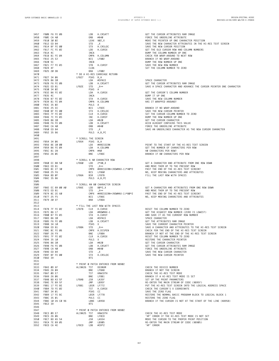| 3457                                                                 | F80B F6 FE 08                         | LDB                 | H.CRSATT                            | GET THE CURSOR ATTRIBUTES RAM IMAGE                           |
|----------------------------------------------------------------------|---------------------------------------|---------------------|-------------------------------------|---------------------------------------------------------------|
| 3458                                                                 | F80E CA 40                            |                     | ORB #\$40                           | FORCE THE UNDERLINE ATTRIBUTE                                 |
| 3459                                                                 | F810 30 02                            |                     | LEAX \$02,X                         | MOVE THE POINTER UP ONE CHARACTER POSITION                    |
| 3460                                                                 | F812 ED 84                            | STD                 | , X                                 | SAVE THE NEW CHARACTER ATTRIBUTES IN THE HI-RES TEXT SCREEN   |
| 3461                                                                 | F814 BF FE 00                         | STX                 | H.CRSLOC                            | SAVE THE NEW CURSOR POSITION                                  |
| 3462                                                                 | F817 FC FE 02                         | LDD                 | H.CURSX                             | GET THE OLD CURSOR ROW AND COLUMN NUMBERS                     |
| 3463                                                                 | F81A 4C                               | INCA                |                                     | BUMP THE COLUMN NUMBER UP ONE                                 |
| 3464                                                                 | F81B B1 FE 04                         |                     | CMPA H.COLUMN                       | CHECK FOR WRAP-AROUND TO NEXT ROW                             |
| 3465                                                                 | F81E 25 E2                            | BCS                 | LF802                               | BRANCH IF NO WRAP-AROUND                                      |
| 3466                                                                 | F820 5C                               | INCB                |                                     | BUMP THE ROW NUMBER UP ONE                                    |
| 3467                                                                 | F821 F7 FE 03                         | STB                 | H.CURSY                             | SAVE THE NEW ROW NUMBER                                       |
| 3468                                                                 | F824 4F                               | CLRA                |                                     | SET THE COLUMN NUMBER TO ZERO                                 |
| 3469                                                                 | F825 20 DB                            | BRA                 | LF802                               |                                                               |
| 347Ø                                                                 |                                       |                     | * DO A HI-RES CARRIAGE RETURN       |                                                               |
| 3471                                                                 | F827 34 06                            | LF827               | PSHS B, A                           |                                                               |
| 3472                                                                 | F829 86 20                            | LDA                 | #SPACE                              | SPACE CHARACTER                                               |
| 3473                                                                 | F82B F6 FE 08                         | LDB                 | H.CRSATT                            | GET THE CURSOR ATTRIBUTES RAM IMAGE                           |
| 3474                                                                 | LF82E<br>F82E ED 81                   | STD                 | , χ++                               | SAVE A SPACE CHARACTER AND ADVANCE THE CURSOR POINTER ONE CH  |
| 3475                                                                 | F830 34 02                            |                     | PSHS A                              |                                                               |
| 3476                                                                 | F832 B6 FE 02                         | LDA                 | H.CURSX                             | GET THE CURSOR'S COLUMN NUMBER                                |
| 3477                                                                 | F835 4C                               | INCA                |                                     | BUMP IT UP ONE                                                |
| 3478                                                                 | F836 B7 FE 02<br>F839 B1 FE 04        | STA                 | H.CURSX                             | SAVE THE NEW COLUMN NUMBER                                    |
| 3479                                                                 |                                       |                     | CMPA H.COLUMN                       | HAS IT WRAPPED AROUND?                                        |
| 3480                                                                 | F83C 35 02                            |                     | PULS A                              |                                                               |
| 3481                                                                 | F83E 25 EE                            | BCS                 | LF82E                               | BRANCH IF NO WRAP-AROUND                                      |
| 3482                                                                 |                                       | STX                 | H.CRSLOC                            | SAVE THE NEW CURSOR POINTER                                   |
| 3483                                                                 | F840 BF FE 00<br>F843 7F FE 02        | CLR                 | H.CURSX                             | SET THE CURSOR COLUMN NUMBER TO ZERO                          |
| 3484                                                                 | F846 7C FE 03                         | INC                 | H.CURSY                             | BUMP THE ROW NUMBER UP ONE                                    |
| 3485                                                                 | F849 86 20                            | LDA                 | #\$20                               | GET THE CURSOR CHARACTER                                      |
| 3486                                                                 | F84B F6 FE 08                         | LDB                 | H.CRSATT                            | ACCB ALREADY CONTAINS THIS VALUE                              |
| 3487                                                                 | F84E CA 40                            | ORB                 | #\$40                               | FORCE THE UNDERLINE ATTRIBUTE                                 |
| 3488                                                                 | F850 ED 84                            | STD                 | , X                                 | SAVE AN UNDERLINED CHARACTER AS THE NEW CURSOR CHARACTER      |
| 3489                                                                 | F852 35 86                            |                     | PULS A, B, PC                       |                                                               |
| 3490                                                                 |                                       |                     |                                     |                                                               |
| 3491                                                                 |                                       | * SCROLL THE SCREEN |                                     |                                                               |
| 3492                                                                 | F854 34 06                            | LF854               | PSHS B, A                           |                                                               |
| 3493                                                                 | F856 8E 20 00                         | LDX                 | #HRESSCRN                           | POINT TO THE START OF THE HI-RES TEXT SCREEN                  |
| 3494                                                                 | F859 B6 FE 04                         | LDA                 | H.COLUMN                            | GET THE NUMBER OF CHARACTERS PER ROW                          |
| 3495                                                                 | F85C 81 28                            |                     | CMPA #40                            | 40 CHARACTERS PER ROW?                                        |
| 3496                                                                 | F85E 26 ØE                            | BNE                 | LF86E                               | BRANCH IF 80 CHARACTERS PER ROW                               |
| 3497                                                                 |                                       |                     |                                     |                                                               |
| 3498                                                                 |                                       |                     | * SCROLL A 40 CHARACTER ROW         |                                                               |
| 3499                                                                 | F860 EC 88 50                         | LF860<br>LDD        | $2*40, X$                           | GET A CHARACTER AND ATTRIBUTE FROM ONE ROW DOWN               |
| 3500                                                                 | F863 ED 81                            | STD                 | , X++                               | AND MOVE THEM UP TO THE PRESENT ROW                           |
|                                                                      |                                       |                     | CMPX #HRESSCRN+(ROWMAX-1)*40*2      |                                                               |
| 3501                                                                 | F865 8C 27 30                         |                     |                                     | PAST THE END OF THE HI-RES TEXT SCREEN?                       |
| 3502                                                                 | F868 25 F6                            | BCS                 | LF860                               | NO, KEEP MOVING CHARACTERS AND ATTRIBUTES                     |
| 3503                                                                 | F86A 8D ØF                            | LF86A<br>BSR        | LF87B                               | FILL THE LAST ROW WITH SPACES                                 |
| 3504                                                                 | F86C 35 86                            |                     | PULS A, B, PC                       |                                                               |
| 3505                                                                 |                                       |                     |                                     |                                                               |
| 3506                                                                 |                                       |                     | * SCROLL AN 80 CHARACTER SCREEN     |                                                               |
| 3507                                                                 | F86E EC 89 00 A0                      | LF86E<br>LDD        | $80*2, X$                           | GET A CHARACTER AND ATTRIBUTES FROM ONE ROW DOWN              |
| 3508                                                                 | F872 ED 81                            | STD                 | , X++                               | AND MOVE THEM UP TO THE PRESENT ROW                           |
| 3509                                                                 | F874 8C 2E 60                         |                     | CMPX #HRESSCRN+(ROWMAX-1)*80*2      | PAST THE END OF THE HI-RES TEXT SCREEN?                       |
| 3510                                                                 | F877 25 F5                            | BCS                 | LF86E                               | NO, KEEP MOVING CHARACTERS AND ATTRIBUTES                     |
| 3511                                                                 | F879 20 EF                            | BRA                 | LF86A                               |                                                               |
| 3512                                                                 |                                       |                     |                                     |                                                               |
| 3513                                                                 |                                       |                     | * FILL THE LAST ROW WITH SPACES     |                                                               |
| 3514                                                                 | F87B 7F FE 02                         | LF87B<br>CLR        | H.CURSX                             | RESET THE COLUMN NUMBER TO ZERO                               |
| 3515                                                                 | F87E 86 17                            | LDA                 | #ROWMAX-1                           | GET THE HIGHEST ROW NUMBER (ZERO IS LOWEST)                   |
| 3516                                                                 |                                       | STA                 | H.CURSY                             | AND SAVE IT AS THE CURRENT ROW NUMBER                         |
| 3517                                                                 | F880 B7 FE 03                         |                     |                                     |                                                               |
|                                                                      | F883 86 20                            | LDA                 | #SPACE                              | SPACE CHARACTER                                               |
|                                                                      | F885 F6 FE 08                         | LDB                 | H.CRSATT                            | GET THE ATTRIBUTES RAM IMAGE                                  |
|                                                                      | F888 34 10                            |                     | PSHS X                              | SAVE THE CURRENT CHARACTER POINTER                            |
| 3518<br>3519<br>3520                                                 | F88A ED 81                            | LF88A<br>STD        | , X++                               | SAVE A CHARACTER AND ATTRIBUTES TO THE HI-RES TEXT SCREEN     |
| 3521                                                                 | F88C BC FE 06                         |                     | CMPX H.DISPEN                       | CHECK FOR THE END OF THE HI-RES TEXT SCREEN                   |
| 3522                                                                 | F88F 26 F9                            | BNE                 | LF88A                               | BRANCH IF NOT AT THE END OF THE HI-RES TEXT SCREEN            |
| 3523                                                                 | F891 7F FE 02                         |                     | CLR H.CURSX                         | RESET THE COLUMN NUMBER TO ZERO                               |
| 3524                                                                 | F894 35 10                            |                     | PULS X                              | RESTORE THE CHARACTER POINTER                                 |
|                                                                      | 3525 F896 86 20                       |                     | LDA #\$20                           | GET THE CURSOR CHARACTER                                      |
|                                                                      | 3526 F898 F6 FE Ø8                    |                     | LDB H.CRSATT                        | GET THE CURSOR ATTRIBUTES RAM IMAGE                           |
| 3527                                                                 | F89B CA 40                            |                     | ORB #\$40                           | FORCE THE UNDERLINE ATTRIBUTE                                 |
|                                                                      |                                       | STD                 |                                     |                                                               |
|                                                                      | 3528 F89D ED 84<br>3529 F89F BF FE 00 | STX                 | , X<br>H.CRSLOC                     | SAVE THE NEW CURSOR CHARACTER<br>SAVE THE NEW CURSOR POINTER  |
|                                                                      | 3530 F8A2 39                          | RTS                 |                                     |                                                               |
|                                                                      |                                       |                     |                                     |                                                               |
| 3531<br>3532                                                         |                                       |                     | * PRINT @ PATCH ENTERED FROM \$B902 |                                                               |
|                                                                      |                                       |                     |                                     |                                                               |
|                                                                      | 3533 F8A3 ØD 6F                       | ALINK26 TST         | DEVNUM                              | CHECK THE DEVICE NUMBER                                       |
| 3534                                                                 | F8A5 26 04<br>3535 F8A7 ØD E7         | BNE<br>TST          | LF8AB                               | BRANCH IF NOT THE SCREEN                                      |
|                                                                      |                                       | BNE                 | HRWIDTH                             | CHECK THE HI-RES TEXT MODE                                    |
|                                                                      | 3536 F8A9 26 06                       |                     | LF8B1                               | BRANCH IF A HI-RES TEXT MODE IS SET                           |
|                                                                      | F8AB BD A3 5F                         | LF8AB<br>JSR        | LA35F                               | SET UP THE PRINT PARAMETERS                                   |
|                                                                      | 3538 F8AE 7E B9 5F                    |                     | JMP LB95F                           | RE-ENTER THE MAIN STREAM OF CODE (\$B95F)                     |
|                                                                      | 3539 F8B1 17 FE BE                    | LF8B1               | LBSR LF772                          | PUT THE HI-RES TEXT SCREEN INTO THE LOGICAL ADDRESS SPACE     |
|                                                                      | 3540 F8B4 7D FE 02                    |                     | TST H.CURSX                         | CHECK THE CURSOR'S X COORDINATE                               |
|                                                                      | F8B7 34 01                            |                     | PSHS CC                             | SAVE THE ZERO FLAG                                            |
|                                                                      | 3542 F8B9 17 FE BC                    |                     | LBSR LF778                          | RESTORE THE NORMAL BASIC PROGRAM BLOCK TO LOGICAL BLOCK 1     |
|                                                                      | 3543 F8BC 35 Ø1                       |                     | PULS CC                             | RESTORE THE ZERO FLAG                                         |
|                                                                      | F8BE 10 26 C0 96                      |                     | LBNE LB958                          | BRANCH IF THE CURSOR IS NOT AT THE START OF THE LINE (\$B958) |
|                                                                      | F8C2 39                               | <b>RTS</b>          |                                     |                                                               |
|                                                                      |                                       |                     |                                     |                                                               |
|                                                                      |                                       |                     | * PRINT @ PATCH ENTERED FROM \$B902 |                                                               |
|                                                                      | F8C3 ØD E7                            | ALINK25 TST         | HRWIDTH                             | CHECK THE HI-RES TEXT MODE                                    |
|                                                                      | F8C5 26 06                            | BNE                 | LF8CD                               | 'HP' ERROR IF THE HI-RES TEXT MODE IS NOT SET                 |
| 3537<br>3541<br>3544<br>3545<br>3546<br>3547<br>3548<br>3549<br>3550 | F8C7 BD A5 54                         | JSR                 | LA554                               | MOVE THE CURSOR TO THE PROPER PRINT POSITION                  |
| 3551<br>3552                                                         | F8CA 7E B9 05<br>F8CD C6 4E           | JMP<br>LF8CD        | LB905<br>$LDB$ #39*2                | RE-ENTER THE MAIN STREAM OF CODE (\$B905)<br>'HP' ERROR       |

| 346 L<br>3462<br>3463<br>3464<br>3465<br>3466 | F814 BF FE 00<br>F817 FC FE 02<br>F81A 4C<br>F81B B1 FE 04<br>F81E 25 E2<br>F820 5C | 51X<br>LDD<br>INCA<br>BCS<br>INCB | H.CRSLUC<br>H.CURSX<br>CMPA H.COLUMN<br>LF802 | SAVE THE NEW CURSUR PUSITION<br>GET THE OLD CURSOR ROW AND COLUMN NUMBERS<br>BUMP THE COLUMN NUMBER UP ONE<br>CHECK FOR WRAP-AROUND TO NEXT ROW<br>BRANCH IF NO WRAP-AROUND<br>BUMP THE ROW NUMBER UP ONE |
|-----------------------------------------------|-------------------------------------------------------------------------------------|-----------------------------------|-----------------------------------------------|-----------------------------------------------------------------------------------------------------------------------------------------------------------------------------------------------------------|
| 3467<br>3468                                  | F821 F7 FE 03<br>F824 4F                                                            | STB<br>CLRA                       | H.CURSY                                       | SAVE THE NEW ROW NUMBER<br>SET THE COLUMN NUMBER TO ZERO                                                                                                                                                  |
| 3469                                          | F825 20 DB                                                                          | BRA                               | LF802                                         |                                                                                                                                                                                                           |
| 3470                                          |                                                                                     |                                   | * DO A HI-RES CARRIAGE RETURN                 |                                                                                                                                                                                                           |
| 3471                                          | F827 34 06                                                                          | LF827                             | PSHS B, A                                     |                                                                                                                                                                                                           |
| 3472<br>3473                                  | F829 86 20<br>F82B F6 FE 08                                                         | LDA<br>LDB                        | #SPACE<br>H.CRSATT                            | SPACE CHARACTER<br>GET THE CURSOR ATTRIBUTES RAM IMAGE                                                                                                                                                    |
| 3474                                          | F82E ED 81                                                                          | LF82E<br>STD                      | , X++                                         | SAVE A SPACE CHARACTER AND ADVANCE THE CURSOR POINTER ONE CHARACTER                                                                                                                                       |
| 3475                                          | F830 34 02                                                                          | PSHS A                            |                                               |                                                                                                                                                                                                           |
| 3476                                          | F832 B6 FE 02                                                                       | LDA                               | H.CURSX                                       | GET THE CURSOR'S COLUMN NUMBER                                                                                                                                                                            |
| 3477<br>3478                                  | F835 4C<br>F836 B7 FE 02                                                            | INCA<br>STA                       | H.CURSX                                       | BUMP IT UP ONE<br>SAVE THE NEW COLUMN NUMBER                                                                                                                                                              |
| 3479                                          | F839 B1 FE 04                                                                       |                                   | CMPA H.COLUMN                                 | HAS IT WRAPPED AROUND?                                                                                                                                                                                    |
| 3480                                          | F83C 35 02                                                                          | PULS A                            |                                               |                                                                                                                                                                                                           |
| 3481                                          | F83E 25 EE                                                                          | BCS                               | LF82E                                         | BRANCH IF NO WRAP-AROUND                                                                                                                                                                                  |
| 3482<br>3483                                  | F840 BF FE 00<br>F843 7F FE 02                                                      | STX<br>CLR                        | H.CRSLOC<br>H.CURSX                           | SAVE THE NEW CURSOR POINTER<br>SET THE CURSOR COLUMN NUMBER TO ZERO                                                                                                                                       |
| 3484                                          | F846 7C FE 03                                                                       | INC                               | H.CURSY                                       | BUMP THE ROW NUMBER UP ONE                                                                                                                                                                                |
| 3485                                          | F849 86 20                                                                          |                                   | LDA #\$20                                     | GET THE CURSOR CHARACTER                                                                                                                                                                                  |
| 3486                                          | F84B F6 FE 08                                                                       | LDB                               | H.CRSATT                                      | ACCB ALREADY CONTAINS THIS VALUE                                                                                                                                                                          |
| 3487<br>3488                                  | F84E CA 40<br>F850 ED 84                                                            | ORB<br>STD                        | #\$40<br>, X                                  | FORCE THE UNDERLINE ATTRIBUTE<br>SAVE AN UNDERLINED CHARACTER AS THE NEW CURSOR CHARACTER                                                                                                                 |
| 3489                                          | F852 35 86                                                                          |                                   | PULS A, B, PC                                 |                                                                                                                                                                                                           |
| 3490                                          |                                                                                     |                                   |                                               |                                                                                                                                                                                                           |
| 3491                                          |                                                                                     | * SCROLL THE SCREEN               |                                               |                                                                                                                                                                                                           |
| 3492<br>3493                                  | F854 34 06<br>F856 8E 20 00                                                         | LF854                             | PSHS B, A<br>LDX #HRESSCRN                    | POINT TO THE START OF THE HI-RES TEXT SCREEN                                                                                                                                                              |
| 3494                                          | F859 B6 FE 04                                                                       |                                   | LDA H.COLUMN                                  | GET THE NUMBER OF CHARACTERS PER ROW                                                                                                                                                                      |
| 3495                                          | F85C 81 28                                                                          |                                   | CMPA #40                                      | 40 CHARACTERS PER ROW?                                                                                                                                                                                    |
| 3496                                          | F85E 26 ØE                                                                          | BNE                               | LF86E                                         | BRANCH IF 80 CHARACTERS PER ROW                                                                                                                                                                           |
| 3497<br>3498                                  |                                                                                     |                                   | * SCROLL A 40 CHARACTER ROW                   |                                                                                                                                                                                                           |
| 3499                                          | F860 EC 88 50                                                                       | LF86Ø<br>LDD                      | $2*40. X$                                     | GET A CHARACTER AND ATTRIBUTE FROM ONE ROW DOWN                                                                                                                                                           |
| 3500                                          | F863 ED 81                                                                          | STD                               | $, X++$                                       | AND MOVE THEM UP TO THE PRESENT ROW                                                                                                                                                                       |
| 3501<br>3502                                  | F865 8C 27 30<br>F868 25 F6                                                         |                                   | CMPX #HRESSCRN+(ROWMAX-1)*40*2<br>BCS LF860   | PAST THE END OF THE HI-RES TEXT SCREEN?<br>NO, KEEP MOVING CHARACTERS AND ATTRIBUTES                                                                                                                      |
| 3503                                          | F86A 8D ØF                                                                          | LF86A                             | BSR LF87B                                     | FILL THE LAST ROW WITH SPACES                                                                                                                                                                             |
| 3504                                          | F86C 35 86                                                                          |                                   | PULS A, B, PC                                 |                                                                                                                                                                                                           |
| 3505                                          |                                                                                     |                                   |                                               |                                                                                                                                                                                                           |
| 3506<br>3507                                  | F86E EC 89 00 A0                                                                    | LF86E<br>LDD                      | * SCROLL AN 80 CHARACTER SCREEN<br>80*2.X     | GET A CHARACTER AND ATTRIBUTES FROM ONE ROW DOWN                                                                                                                                                          |
| 3508                                          | F872 ED 81                                                                          | STD                               | , X++                                         | AND MOVE THEM UP TO THE PRESENT ROW                                                                                                                                                                       |
| 3509                                          | F874 8C 2E 60                                                                       |                                   | CMPX #HRESSCRN+(ROWMAX-1)*80*2                | PAST THE END OF THE HI-RES TEXT SCREEN?                                                                                                                                                                   |
| 3510<br>3511                                  | F877 25 F5<br>F879 20 EF                                                            | BCS<br>BRA                        | LF86E<br>LF86A                                | NO, KEEP MOVING CHARACTERS AND ATTRIBUTES                                                                                                                                                                 |
| 3512                                          |                                                                                     |                                   |                                               |                                                                                                                                                                                                           |
| 3513                                          |                                                                                     |                                   | * FILL THE LAST ROW WITH SPACES               |                                                                                                                                                                                                           |
| 3514                                          | F87B 7F FE 02                                                                       | LF87B                             | CLR H.CURSX                                   | RESET THE COLUMN NUMBER TO ZERO                                                                                                                                                                           |
| 3515<br>3516                                  | F87E 86 17<br>F880 B7 FE 03                                                         |                                   | LDA #ROWMAX-1<br>STA H.CURSY                  | GET THE HIGHEST ROW NUMBER (ZERO IS LOWEST)<br>AND SAVE IT AS THE CURRENT ROW NUMBER                                                                                                                      |
| 3517                                          | F883 86 20                                                                          |                                   | LDA #SPACE                                    | SPACE CHARACTER                                                                                                                                                                                           |
| 3518                                          | F885 F6 FE 08                                                                       | LDB                               | H.CRSATT                                      | GET THE ATTRIBUTES RAM IMAGE                                                                                                                                                                              |
| 3519<br>3520                                  | F888 34 10<br>F88A ED 81                                                            | PSHS X<br>LF88A<br>STD            |                                               | SAVE THE CURRENT CHARACTER POINTER                                                                                                                                                                        |
| 3521                                          | F88C BC FE 06                                                                       |                                   | , X++<br>CMPX H.DISPEN                        | SAVE A CHARACTER AND ATTRIBUTES TO THE HI-RES TEXT SCREEN<br>CHECK FOR THE END OF THE HI-RES TEXT SCREEN                                                                                                  |
| 3522                                          | F88F 26 F9                                                                          | BNE                               | LF88A                                         | BRANCH IF NOT AT THE END OF THE HI-RES TEXT SCREEN                                                                                                                                                        |
| 3523                                          | F891 7F FE 02                                                                       | CLR                               | H.CURSX                                       | RESET THE COLUMN NUMBER TO ZERO                                                                                                                                                                           |
| 3524<br>3525                                  | F894 35 10<br>F896 86 20                                                            | LDA                               | PULS X<br>#\$20                               | RESTORE THE CHARACTER POINTER<br>GET THE CURSOR CHARACTER                                                                                                                                                 |
| 3526                                          | F898 F6 FE 08                                                                       | LDB                               | H.CRSATT                                      | GET THE CURSOR ATTRIBUTES RAM IMAGE                                                                                                                                                                       |
| 3527                                          | F89B CA 40                                                                          | ORB                               | #\$40                                         | FORCE THE UNDERLINE ATTRIBUTE                                                                                                                                                                             |
| 3528                                          | F89D ED 84                                                                          | STD                               | .Χ                                            | SAVE THE NEW CURSOR CHARACTER                                                                                                                                                                             |
| 3529<br>3530                                  | F89F BF FE 00<br>F8A2 39                                                            | STX<br><b>RTS</b>                 | H.CRSLOC                                      | SAVE THE NEW CURSOR POINTER                                                                                                                                                                               |
| 3531                                          |                                                                                     |                                   |                                               |                                                                                                                                                                                                           |
| 3532                                          |                                                                                     |                                   | * PRINT @ PATCH ENTERED FROM \$B902           |                                                                                                                                                                                                           |
|                                               | 3533 F8A3 ØD 6F                                                                     | ALINK26 TST DEVNUM                |                                               | CHECK THE DEVICE NUMBER                                                                                                                                                                                   |
| 3534<br>3535                                  | F8A5 26 04<br>F8A7 ØD E7                                                            | BNE                               | LF8AB<br>TST HRWIDTH                          | BRANCH IF NOT THE SCREEN<br>CHECK THE HI-RES TEXT MODE                                                                                                                                                    |
|                                               | 3536 F8A9 26 06                                                                     |                                   | BNE LF8B1                                     | BRANCH IF A HI-RES TEXT MODE IS SET                                                                                                                                                                       |
|                                               | 3537 F8AB BD A3 5F                                                                  | LF8AB                             | JSR LA35F                                     | SET UP THE PRINT PARAMETERS                                                                                                                                                                               |
| 3538<br>3539                                  | F8AE 7E B9 5F<br>F8B1 17 FE BE                                                      | LF8B1                             | JMP LB95F                                     | RE-ENTER THE MAIN STREAM OF CODE (\$B95F)<br>PUT THE HI-RES TEXT SCREEN INTO THE LOGICAL ADDRESS SPACE                                                                                                    |
| 3540                                          | F8B4 7D FE 02                                                                       |                                   | LBSR LF772<br>TST H.CURSX                     | CHECK THE CURSOR'S X COORDINATE                                                                                                                                                                           |
| 3541                                          | F8B7 34 Ø1                                                                          |                                   | PSHS CC                                       | SAVE THE ZERO FLAG                                                                                                                                                                                        |
| 3542                                          | F8B9 17 FE BC                                                                       |                                   | LBSR LF778                                    | RESTORE THE NORMAL BASIC PROGRAM BLOCK TO LOGICAL BLOCK 1                                                                                                                                                 |
| 3543                                          | F8BC 35 01<br>3544 F8BE 10 26 C0 96                                                 |                                   | PULS CC<br>LBNE LB958                         | RESTORE THE ZERO FLAG<br>BRANCH IF THE CURSOR IS NOT AT THE START OF THE LINE (\$B958)                                                                                                                    |
| 3546                                          | 3545 F8C2 39                                                                        | <b>RTS</b>                        |                                               |                                                                                                                                                                                                           |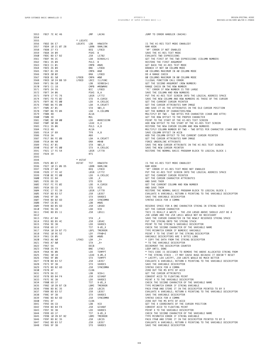| 3553                               | F8CF 7E AC 46                                      |  |  |                                     | JMP              | LAC46                                      | JUMP TO ERROR HANDLER (\$AC46)                                                                |
|------------------------------------|----------------------------------------------------|--|--|-------------------------------------|------------------|--------------------------------------------|-----------------------------------------------------------------------------------------------|
| 3554                               |                                                    |  |  |                                     |                  |                                            |                                                                                               |
| 3555                               |                                                    |  |  | * LOCATE                            |                  |                                            |                                                                                               |
| 3556                               | F8D2 D6 E7                                         |  |  | LOCATE LDB                          |                  | HRWIDTH                                    | IS THE HI-RES TEXT MODE ENABLED?                                                              |
| 3557                               | F8D4 10 21 07 28                                   |  |  |                                     |                  | LBRN RAMLINK                               | RAM HOOK                                                                                      |
| 3558                               | F8D8 27 F3                                         |  |  |                                     |                  | BEQ LF8CD<br>PSHS B                        | 'HP' ERROR IF NOT ENABLED                                                                     |
| 3559<br>3560                       | F8DA 34 04<br>F8DC BD E7 B2                        |  |  |                                     |                  | JSR LE7B2                                  | SAVE THE HI-RES TEXT MODE<br>EVALUATE TWO EXPRESSIONS                                         |
| 3561                               | F8DF 96 2C                                         |  |  |                                     |                  | LDA BINVAL+1                               | GET THE FIRST OF THE TWO EXPRESSIONS (COLUMN NUMBER)                                          |
| 3562                               | F8E1 35 04                                         |  |  |                                     | LDA p⊥<br>PULS B |                                            | RESTORE THE FIRST ARGUMENT                                                                    |
| 3563                               | F8E3 C1 01                                         |  |  |                                     | CMPB #\$01       |                                            | GET BACK THE HI-RES TEXT MODE                                                                 |
| 3564                               | F8E5 26 04                                         |  |  |                                     |                  | BNE LF8EB                                  | BRANCH IF NOT 40 COLUMN MODE                                                                  |
| 3565                               | F8E7 81 28                                         |  |  |                                     | CMPA #40         |                                            | 40 COLUMNS MAXIMUM IN 40 COLUMN MODE                                                          |
| 3566                               | F8E9 20 02                                         |  |  |                                     |                  | BRA LF8ED                                  | DO A RANGE CHECK                                                                              |
| 3567                               | F8EB 81 50                                         |  |  | LF8EB CMPA #80                      |                  |                                            | 80 COLUMNS MAXIMUM IN 80 COLUMN MODE                                                          |
| 3568                               |                                                    |  |  | F8ED 10 24 BB 59 LF8ED LBCC ILLFUNC |                  |                                            | ILLEGAL FUNCTION CALL ERROR                                                                   |
| 3569                               | F8F1 D6 CØ                                         |  |  |                                     |                  | LDB VERBEG+1                               | GET THE SECOND ARGUMENT (ROW NUMBER)                                                          |
| 3570                               | F8F3 C1 18                                         |  |  |                                     |                  | CMPB #ROWMAX                               | RANGE CHECK ON THE ROW NUMBER                                                                 |
| 3571                               |                                                    |  |  |                                     | BCC LF8ED        |                                            | 'FC' ERROR IF ROW NUMBER IS TOO LARGE                                                         |
| 3572                               | 5.5 01 18<br>F8F5 24 F6<br>F8F7 34 06<br>F8F0 17 F |  |  |                                     | PSHS B, A        |                                            | SAVE THE COLUMN AND ROW NUMBERS                                                               |
| 3573                               | F8F9 17 FE 76                                      |  |  |                                     |                  | LBSR LF772                                 | PUT THE HI-RES TEXT SCREEN INTO THE LOGICAL ADDRESS SPACE                                     |
| 3574                               | F8FC FD FE 02                                      |  |  |                                     |                  | STD H.CURSX                                | SAVE THE NEW COLUMN AND ROW NUMBERS AS THOSE OF THE CURSOR                                    |
| 3575                               | F8FF BE FE 00                                      |  |  |                                     |                  | LDX H.CRSLOC                               | GET THE CURRENT CURSOR POINTER                                                                |
| 3576                               | F902 B6 FE 08                                      |  |  |                                     |                  |                                            | GET THE CURSOR ATTRIBUTES RAM IMAGE                                                           |
| 3577<br>3578                       | F905 A7 01<br>F907 B6 FE 04                        |  |  |                                     |                  | LDA H.CRSATT<br>STA \$Ø1,X<br>LDA H.COLUMN | AND SAVE IT AS THE ATTRIBUTES IN THE OLD CURSOR POSITION                                      |
| 3579                               | F9ØA 48                                            |  |  |                                     | ALSA             |                                            | GET THE NUMBER OF CHARACTERS/ROW<br>MULTIPLY BY TWO - TWO BYTES PER CHARACTER (CHAR AND ATTR) |
| 3580                               | F90B 3D                                            |  |  |                                     | MUL              |                                            | GET THE ROW OFFSET TO THE PROPER CHARACTER                                                    |
| 3581                               | F90C 8E 20 00                                      |  |  |                                     | LDX              | #HRESSCRN                                  | POINT TO THE START OF THE HI-RES TEXT SCREEN                                                  |
| 3582                               | F90F 30 8B                                         |  |  |                                     | LEAX D,X         |                                            | ADD ROW OFFSET TO THE START OF THE HI-RES TEXT SCREEN                                         |
| 3583                               | F911 35 06                                         |  |  |                                     | PULS A,B         |                                            | RESTORE THE NEW CURSOR COLUMN AND ROW NUMBERS                                                 |
| 3584 F913 48                       |                                                    |  |  |                                     | ALSA             |                                            | MULTIPLY COLUMN NUMBER BY TWO - TWO BYTES PER CHARACTER (CHAR                                 |
| 3585                               | F914 1F 89                                         |  |  |                                     | TFR              | A,B                                        | SAVE COLUMN OFFSET IN ACCB                                                                    |
| 3586                               | F916 3A                                            |  |  |                                     | ABX              |                                            | ADD THE COLUMN OFFSET TO THE CURRENT CURSOR POINTER                                           |
| 3587                               | F917 B6 FE 08                                      |  |  |                                     | LDA              | H.CRSATT                                   | GET THE CURSOR ATTRIBUTES RAM IMAGE                                                           |
| 3588                               | F91A 8A 4Ø                                         |  |  |                                     | ORA #\$40        |                                            | FORCE UNDERLINE ATTRIBUTE                                                                     |
| 3589                               | F91C A7 01                                         |  |  |                                     |                  |                                            | SAVE THE NEW CURSOR ATTRIBUTE IN THE HI-RES TEXT SCREEN                                       |
| 3590                               | F91E BF FE 00                                      |  |  |                                     |                  | STA \$01,X<br>STX H.CRSLOC                 | SAVE THE NEW CURSOR POINTER                                                                   |
| 3591                               | F921 17 FE 54                                      |  |  |                                     | LBSR LF778       |                                            | RESTORE THE NORMAL BASIC PROGRAM BLOCK TO LOGICAL BLOCK 1                                     |
| 3592                               | F924 39                                            |  |  |                                     | <b>RTS</b>       |                                            |                                                                                               |
| 3593                               |                                                    |  |  |                                     |                  |                                            |                                                                                               |
| 3594                               |                                                    |  |  | * HSTAT                             |                  |                                            |                                                                                               |
| 3595                               | F925 ØD E7                                         |  |  | HSTAT TST HRWIDTH                   |                  |                                            | IS THE HI-RES TEXT MODE ENABLED?                                                              |
| 3596                               | F927 10 21 06 D5                                   |  |  |                                     |                  | LBRN RAMLINK                               | RAM HOOK                                                                                      |
| 3597                               | F92B 27 AØ                                         |  |  |                                     |                  | BEQ LF8CD<br>LBSR LF772                    | 'HP' ERROR IF HI-RES TEXT MODE NOT ENABLED                                                    |
| 3598                               | F92D 17 FE 42                                      |  |  |                                     |                  |                                            | PUT THE HI-RES TEXT SCREEN INTO THE LOGICAL ADDRESS SPACE                                     |
| 3599                               | F930 BE FE 00                                      |  |  |                                     |                  | LDX H.CRSLOC                               | GET THE CURRENT CURSOR POINTER                                                                |
| 3600                               | F933 EC 84                                         |  |  |                                     | LDD, X           |                                            | GET THE CURSOR CHARACTER ATTRIBUTES                                                           |
| 3601                               | F935 DD CB                                         |  |  |                                     | STD VCB          |                                            | AND SAVE THEM                                                                                 |
| 3602                               | F937 FC FE 02                                      |  |  |                                     |                  | LDD H.CURSX                                | GET THE CURRENT COLUMN AND ROW NUMBER                                                         |
| 3603                               | F93A DD CD                                         |  |  |                                     | STD VCD          |                                            | AND SAVE THEM                                                                                 |
| 3604                               | F93C 17 FE 39                                      |  |  |                                     |                  | LBSR LF778                                 | RESTORE THE NORMAL BASIC PROGRAM BLOCK TO LOGICAL BLOCK 1                                     |
| 3605                               | F93F BD B3 57                                      |  |  |                                     | JSR              | LB357<br>STX VARDES                        | EVALUATE A VARIABLE; RETURN X POINTING TO THE VARIABLE DESCRI                                 |
| 3606<br>3607                       | F942 9F 3B<br>F944 BD B2 6D                        |  |  |                                     |                  | JSR SYNCOMMA                               | SAVE THE VARIABLE DESCRIPTOR<br>SYNTAX CHECK FOR A COMMA                                      |
| 3608                               | F947 C6 01                                         |  |  |                                     | LDB #\$01        |                                            |                                                                                               |
| 3609                               | F949 BD B5 6D                                      |  |  |                                     | JSR LB56D        |                                            | RESERVE SPACE FOR A ONE CHARACTER STRING IN STRING SPACE                                      |
| 3610                               | F94C 96 CB                                         |  |  |                                     | LDA              | VCB                                        | GET THE CURSOR CHARACTER                                                                      |
| 3611                               | F94E BD B5 11                                      |  |  |                                     | JSR              | LB511                                      | THIS IS REALLY A WASTE - THE JSR LB56D ABOVE SHOULD JUST BE A                                 |
| 3612                               |                                                    |  |  |                                     |                  |                                            | JSR LB50D AND THE JSR LB511 WOULD NOT BE NECESSARY                                            |
| 3613                               | F951 A7 84                                         |  |  |                                     | STA              | , X                                        | SAVE THE CURSOR CHARACTER IN THE NEWLY RESERVED STRING SPACE                                  |
| 3614                               | F953 BD B5 4C                                      |  |  |                                     | JSR              | LB54C                                      | PUT THE STRING ONTO THE STRING STACK                                                          |
| 3615                               | F956 9E 3B                                         |  |  |                                     |                  | LDX VARDES                                 | POINT TO THE STRING'S VARIABLE DESCRIPTOR                                                     |
| 3616                               | F958 6D 1F                                         |  |  |                                     |                  | TST \$-01, X                               | CHECK THE SECOND CHARACTER OF THE VARIABLE NAME                                               |
| 3617                               | F95A 10 2A B7 F3                                   |  |  |                                     |                  | LBPL TMERROR                               | TYPE MISMATCH ERROR IF NUMERIC VARIABLE                                                       |
| 3618                               | F95E 10 9E 52                                      |  |  |                                     |                  | LDY FPAØ+2                                 | POINT Y TO THE START OF THE STRING DESCRIPTOR                                                 |
| 3619                               | F961 C6 05                                         |  |  |                                     | LDB #\$05        |                                            | VARIABLE DESCRIPTORS ARE 5 BYTES LONG                                                         |
| 3620 F963 A6 A0                    |                                                    |  |  | LF963                               | LDA              | , Y+                                       | * COPY THE DATA FROM THE STRING DESCRIPTOR                                                    |
| 3621 F965 A7 80                    |                                                    |  |  |                                     | STA              | , X+                                       | * TO THE VARIABLE DESCRIPTOR                                                                  |
| 3622 F967 5A                       |                                                    |  |  |                                     | DECB             |                                            | DECREMENT THE DESCRIPTOR COUNTER                                                              |
| 3623 F968 26 F9                    |                                                    |  |  |                                     | BNE              | LF963                                      | LOOP UNTIL DONE                                                                               |
| 3624 F96A 9E ØB                    |                                                    |  |  |                                     |                  | LDX TEMPPT                                 | * THIS CODE IS DESIGNED TO REMOVE THE ABOVE ALLOCATED STRING                                  |
| 3625 F96C 30 1B                    |                                                    |  |  |                                     |                  | $LEAX$ \$-05, X                            | * THE STRING STACK - IT MAY CAUSE BUGS BECAUSE IT DOESN'T RES                                 |
| 3626 F96E 9F ØB                    |                                                    |  |  |                                     | STX              | TEMPPT                                     | * LASTPT; LDX LASTPT, JSR LB675 WOULD BE MUCH BETTER                                          |
| 3627 F970 BD B3 57                 |                                                    |  |  |                                     | JSR              | LB357                                      | EVALUATE A VARIABLE; RETURN X POINTING TO THE VARIABLE DESCRI                                 |
| 3628 F973 9F 3B                    |                                                    |  |  |                                     | STX              | VARDES                                     | SAVE THE VARIABLE DESCRIPTOR                                                                  |
| 3629 F975 BD B2 6D                 |                                                    |  |  |                                     | JSR              | SYNCOMMA                                   | SYNTAX CHECK FOR A COMMA                                                                      |
| 3630 F978 4F                       |                                                    |  |  |                                     | CLRA             |                                            | ZERO OUT THE MS BYTE OF ACCD                                                                  |
| 3631 F979 D6 CC                    |                                                    |  |  |                                     | LDB              | $VCB+1$                                    | GET THE CURSOR ATTRIBUTES                                                                     |
| 3632 F97B BD B4 F4                 |                                                    |  |  |                                     |                  | JSR GIVABF                                 | CONVERT ACCD TO FLOATING POINT                                                                |
| 3633 F97E 9E 3B<br>3634 F980 6D 1F |                                                    |  |  |                                     |                  | LDX VARDES<br>TST \$-01, X                 | POINT X TO THE VARIABLE DESCRIPTOR<br>CHECK THE SECOND CHARACTER OF THE VARIABLE NAME         |
| 3635 F982 10 2B B7 CB              |                                                    |  |  |                                     |                  | LBMI TMERROR                               | TYPE MISMATCH ERROR IF STRING VARIABLE                                                        |
| 3636 F986 BD BC 35                 |                                                    |  |  |                                     | JSR              | LBC35                                      | PACK FPAØ AND STORE IT IN THE DESCRIPTOR POINTED TO BY X                                      |
| 3637 F989 BD B3 57                 |                                                    |  |  |                                     | JSR              | LB357                                      | EVALUATE A VARIABLE; RETURN X POINTING TO THE VARIABLE DESCRI                                 |
| 3638 F98C 9F 3B                    |                                                    |  |  |                                     | STX              | VARDES                                     | SAVE THE VARIABLE DESCRIPTOR                                                                  |
| 3639 F98E BD B2 6D                 |                                                    |  |  |                                     | JSR              | SYNCOMMA                                   | SYNTAX CHECK FOR A COMMA                                                                      |
| 3640 F991 4F                       |                                                    |  |  |                                     | CLRA             |                                            | ZERO OUT THE MS BYTE OF ACCD                                                                  |
| 3641 F992 D6 CD                    |                                                    |  |  |                                     | LDB              | VCD                                        | GET THE X COORDINATE OF THE CURSOR POSITION                                                   |
| 3642 F994 BD B4 F4                 |                                                    |  |  |                                     | JSR              | GIVABF                                     | CONVERT ACCD TO FLOATING POINT                                                                |
| 3643 F997 9E 3B                    |                                                    |  |  |                                     | LDX              | VARDES                                     | POINT X TO THE VARIABLE DESCRIPTOR                                                            |
| 3644 F999 6D 1F                    |                                                    |  |  |                                     |                  | $TST$ \$- $Ø1, X$                          | CHECK THE SECOND CHARACTER OF THE VARIABLE NAME                                               |
| 3645 F99B 10 2B B7 B2              |                                                    |  |  |                                     |                  | LBMI TMERROR                               | TYPE MISMATCH ERROR IF STRING VARIABLE                                                        |
| 3646 F99F BD BC 35                 |                                                    |  |  |                                     |                  | JSR LBC35                                  | PACK FPAØ AND STORE IT IN THE DESCRIPTOR POINTED TO BY X                                      |
| 3647 F9A2 BD B3 57                 |                                                    |  |  |                                     | JSR LB357        |                                            | EVALUATE A VARIABLE; RETURN X POINTING TO THE VARIABLE DESCRI                                 |
| 3648 F9A5 9F 3B                    |                                                    |  |  |                                     |                  | STX VARDES                                 | SAVE THE VARIABLE DESCRIPTOR                                                                  |

 **F8D2 D6 E7 LOCATE LDB HRWIDTH IS THE HI-RES TEXT MODE ENABLED? F8E3 C1 01 CMPB #\$01 GET BACK THE HI-RES TEXT MODE F8E9 20 02 BRA LF8ED DO A RANGE CHECK F8EB 81 50 LF8EB CMPA #80 80 COLUMNS MAXIMUM IN 80 COLUMN MODE F8F3 C1 18 CMPB #ROWMAX RANGE CHECK ON THE ROW NUMBER F8F9 17 FE 76 LBSR LF772 PUT THE HI-RES TEXT SCREEN INTO THE LOGICAL ADDRESS SPACE 3574 F8FC FD FE 02 STD H.CURSX SAVE THE NEW COLUMN AND ROW NUMBERS AS THOSE OF THE CURSOR 3575 F8FF BE FE 00 LDX H.CRSLOC GET THE CURRENT CURSOR POINTER F902 B6 FE 08 LDA H.CRSATT GET THE CURSOR ATTRIBUTES RAM IMAGE F905 A7 01 STA \$01,X AND SAVE IT AS THE ATTRIBUTES IN THE OLD CURSOR POSITION 3578 F907 B6 FE 04 LDA H.COLUMN GET THE NUMBER OF CHARACTERS/ROW 3579 F90A 48 ALSA MULTIPLY BY TWO - TWO BYTES PER CHARACTER (CHAR AND ATTR) 3580 F90B 3D MUL GET THE ROW OFFSET TO THE PROPER CHARACTER F911 35 06 PULS A,B RESTORE THE NEW CURSOR COLUMN AND ROW NUMBERS F913 48 ALSA MULTIPLY COLUMN NUMBER BY TWO - TWO BYTES PER CHARACTER (CHAR AND ATTR) F91A 8A 40 ORA #\$40 FORCE UNDERLINE ATTRIBUTE 3589 F91C A7 01 STA \$01,X SAVE THE NEW CURSOR ATTRIBUTE IN THE HI-RES TEXT SCREEN F91E BF FE 00 STX H.CRSLOC SAVE THE NEW CURSOR POINTER 3591 F921 17 FE 54 LBSR LF778 RESTORE THE NORMAL BASIC PROGRAM BLOCK TO LOGICAL BLOCK 1**

 **F9A2 BD B3 57 JSR LB357 EVALUATE A VARIABLE; RETURN X POINTING TO THE VARIABLE DESCRIPTOR F9A5 9F 3B STX VARDES SAVE THE VARIABLE DESCRIPTOR**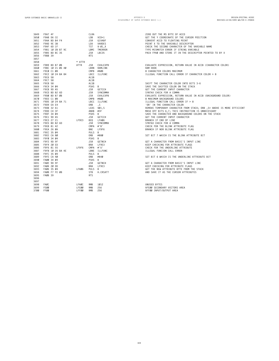| 3649 |                                                                                                                                                                                                                                |                 | CLRA                       |                    | ZERO OUT THE MS BYTE OF ACCD                                                                                                                                                                                                                             |
|------|--------------------------------------------------------------------------------------------------------------------------------------------------------------------------------------------------------------------------------|-----------------|----------------------------|--------------------|----------------------------------------------------------------------------------------------------------------------------------------------------------------------------------------------------------------------------------------------------------|
| 3650 |                                                                                                                                                                                                                                |                 |                            |                    | GET THE Y COORDINATE OF THE CURSOR POSITION                                                                                                                                                                                                              |
| 3651 | F9A7 4F<br>F9AB D6 CE<br>F9AB BD B4 F4<br>F9AD 9E 3B<br>F9AF 6D 1F<br>F9AF 6D 1F<br>F9B1 1Ø 2B B7 9C<br>F9B1 1Ø 2B B7 9C<br>F9B1 10 2B B7 9C<br>F9B1 10 2B B7 9C<br>F9B1 10 2B B7 9C<br>LBMT TMERROR<br>1SR LBC35<br>1SR LBC35 |                 |                            |                    | CONVERT ACCD TO FLOATING POINT                                                                                                                                                                                                                           |
| 3652 |                                                                                                                                                                                                                                |                 |                            |                    | POINT X TO THE VARIABLE DESCRIPTOR                                                                                                                                                                                                                       |
| 3653 |                                                                                                                                                                                                                                |                 |                            |                    | CHECK THE SECOND CHARACTER OF THE VARIABLE NAME                                                                                                                                                                                                          |
| 3654 |                                                                                                                                                                                                                                |                 |                            |                    | TYPE MISMATCH ERROR IF STRING VARIABLE                                                                                                                                                                                                                   |
| 3655 | F9B5 BD BC 35                                                                                                                                                                                                                  |                 | JSR                        | LBC35              | PACK FPAØ AND STORE IT IN THE DESCRIPTOR POINTE                                                                                                                                                                                                          |
| 3656 | F9B8 39                                                                                                                                                                                                                        |                 | <b>RTS</b>                 |                    |                                                                                                                                                                                                                                                          |
| 3657 |                                                                                                                                                                                                                                |                 |                            |                    |                                                                                                                                                                                                                                                          |
| 3658 |                                                                                                                                                                                                                                | * ATTR          |                            |                    |                                                                                                                                                                                                                                                          |
| 3659 | F9B9 BD B7 ØB                                                                                                                                                                                                                  | ATTR            |                            | JSR EVALEXPB       | EVALUATE EXPRESSION, RETURN VALUE IN ACCB (CHAR                                                                                                                                                                                                          |
| 3660 |                                                                                                                                                                                                                                |                 |                            | LBRN RAMLINK       | RAM HOOK                                                                                                                                                                                                                                                 |
|      | F9BC 10 21 06 40<br>F9C0 C1 08                                                                                                                                                                                                 |                 |                            |                    |                                                                                                                                                                                                                                                          |
| 3661 |                                                                                                                                                                                                                                |                 | CMPB #\$08<br>LBCC ILLFUNC |                    | 8 CHARACTER COLORS MAXIMUM                                                                                                                                                                                                                               |
| 3662 |                                                                                                                                                                                                                                |                 |                            |                    | ILLEGAL FUNCTION CALL ERROR IF CHARACTER COLOR                                                                                                                                                                                                           |
| 3663 |                                                                                                                                                                                                                                |                 | ALSB                       |                    |                                                                                                                                                                                                                                                          |
| 3664 |                                                                                                                                                                                                                                |                 | ALSB                       |                    |                                                                                                                                                                                                                                                          |
| 3665 |                                                                                                                                                                                                                                |                 |                            |                    |                                                                                                                                                                                                                                                          |
| 3666 | F9C2 10 24 BA 84<br>F9C6 58<br>F9C7 58<br>F9C8 58<br>F9C9 34 04<br>F9C8 90 A5                                                                                                                                                  |                 |                            |                    |                                                                                                                                                                                                                                                          |
| 3667 |                                                                                                                                                                                                                                |                 |                            |                    |                                                                                                                                                                                                                                                          |
| 3668 | F9CD BD B2 6D                                                                                                                                                                                                                  |                 |                            |                    |                                                                                                                                                                                                                                                          |
| 3669 | F9DØ BD B7 ØB<br>F9DØ BD B7 ØB                                                                                                                                                                                                 |                 |                            |                    |                                                                                                                                                                                                                                                          |
| 3670 |                                                                                                                                                                                                                                |                 |                            |                    |                                                                                                                                                                                                                                                          |
| 3671 | F9D5 10 24 BA 71                                                                                                                                                                                                               |                 | CMPB #\$08<br>LBCC ILLFUNC |                    |                                                                                                                                                                                                                                                          |
| 3672 | F9D9 EA E4                                                                                                                                                                                                                     |                 |                            |                    |                                                                                                                                                                                                                                                          |
| 3673 | F9DB 32 61                                                                                                                                                                                                                     |                 |                            |                    | ALSB<br>ALSB<br>ALSB<br>ALSB<br>ALSB<br>ALSB<br>SAVE THE CHARACTER COLOR ON THE STACK<br>JSR SYNCOMMA<br>JSR SYNCOMMA<br>JSR SYNCOMMA<br>SER SYNCOMMA<br>SERVELTIFIC UCREAL FUNCION CALL ERROR IF > 8<br>COLLIFUNC<br>COLOR BEAR STALL AND BACKGROUND CO |
| 3674 | F9DD C4 3F                                                                                                                                                                                                                     |                 |                            |                    |                                                                                                                                                                                                                                                          |
| 3675 | F9DF 34 04                                                                                                                                                                                                                     |                 |                            |                    |                                                                                                                                                                                                                                                          |
| 3676 | F9E1 9D A5                                                                                                                                                                                                                     |                 |                            |                    |                                                                                                                                                                                                                                                          |
| 3677 | F9E3 27 21                                                                                                                                                                                                                     | LF9E3 BEQ LFAØ6 |                            |                    |                                                                                                                                                                                                                                                          |
| 3678 | F9E5 BD B2 6D                                                                                                                                                                                                                  |                 |                            |                    |                                                                                                                                                                                                                                                          |
| 3679 |                                                                                                                                                                                                                                |                 |                            |                    |                                                                                                                                                                                                                                                          |
| 3680 |                                                                                                                                                                                                                                |                 |                            |                    |                                                                                                                                                                                                                                                          |
| 3681 |                                                                                                                                                                                                                                |                 | PULS B                     |                    |                                                                                                                                                                                                                                                          |
| 3682 | $-9688142$<br>F9EA 26 ØA<br>F9EC 35 Ø4<br>F9EE CA 80<br>F9EA 34 Ø4                                                                                                                                                             |                 | ORB #\$80                  |                    | SET BIT 7 WHICH IS THE BLINK ATTRIBUTE BIT                                                                                                                                                                                                               |
| 3683 | F9FØ 34 Ø4                                                                                                                                                                                                                     |                 | PSHS B                     |                    |                                                                                                                                                                                                                                                          |
| 3684 | F9F2 9D 9F                                                                                                                                                                                                                     |                 | JSR                        | GETNCH             | GET A CHARACTER FROM BASIC'S INPUT LINE                                                                                                                                                                                                                  |
| 3685 | F9F4 20 ED                                                                                                                                                                                                                     |                 | BRA LF9E3                  |                    | KEEP CHECKING FOR ATTRIBUTE FLAGS                                                                                                                                                                                                                        |
| 3686 | F9F6 81 55                                                                                                                                                                                                                     | LF9F6 CMPA #'U' |                            |                    | CHECK FOR THE UNDERLINE ATTRIBUTE                                                                                                                                                                                                                        |
| 3687 |                                                                                                                                                                                                                                |                 |                            |                    |                                                                                                                                                                                                                                                          |
|      | F9F8 10 26 BA 4E                                                                                                                                                                                                               |                 | LBNE ILLFUNC               |                    | ILLEGAL FUNCION CALL ERROR                                                                                                                                                                                                                               |
| 3688 | F9FC 35 04                                                                                                                                                                                                                     |                 | PULS B                     |                    |                                                                                                                                                                                                                                                          |
| 3689 | F9FE CA 40                                                                                                                                                                                                                     |                 | ORB #\$40                  |                    | SET BIT 6 WHICH IS THE UNDERLINE ATTRIBUTE BIT                                                                                                                                                                                                           |
| 3690 | FA00 34 04                                                                                                                                                                                                                     |                 | PSHS B                     |                    |                                                                                                                                                                                                                                                          |
| 3691 | FAØ2 9D 9F                                                                                                                                                                                                                     |                 | JSR GETNCH                 | NCH<br>E3<br>RSATT | GET A CHARACTER FROM BASIC'S INPUT LINE                                                                                                                                                                                                                  |
| 3692 | FA04 20 DD                                                                                                                                                                                                                     |                 | BRA LF9E3                  |                    | KEEP CHECKING FOR ATTRIBUTE FLAGS                                                                                                                                                                                                                        |
| 3693 | FAØ6 35 Ø4                                                                                                                                                                                                                     | LFAØ6           | PULS B                     |                    | GET THE NEW ATTRIBUTE BYTE FROM THE STACK                                                                                                                                                                                                                |
| 3694 | FAØ8 F7 FE Ø8                                                                                                                                                                                                                  |                 | <b>STB</b>                 | H.CRSATT           | AND SAVE IT AS THE CURSOR ATTRIBUTES                                                                                                                                                                                                                     |
| 3695 | FAØB 39                                                                                                                                                                                                                        |                 | <b>RTS</b>                 |                    |                                                                                                                                                                                                                                                          |
| 3696 |                                                                                                                                                                                                                                |                 |                            |                    |                                                                                                                                                                                                                                                          |
| 3697 |                                                                                                                                                                                                                                |                 |                            |                    |                                                                                                                                                                                                                                                          |
| 3698 | FAØC                                                                                                                                                                                                                           | LFAØC           | RMB                        | 1012               | UNUSED BYTES                                                                                                                                                                                                                                             |
| 3699 | <b>FEØØ</b>                                                                                                                                                                                                                    | <b>LFEØØ</b>    | RMB                        | 256                | \$FEØØ SECONDARY VECTORS AREA                                                                                                                                                                                                                            |
| 3700 | FFØØ                                                                                                                                                                                                                           | LFFØØ           | <b>RMB</b>                 | 256                | \$FFØØ INPUT/OUTPUT AREA                                                                                                                                                                                                                                 |

**F9B5 BD BC 35 JSR LBC35 PACK FPA0 AND STORE IT IN THE DESCRIPTOR POINTED TO BY X**

 **F9B9 BD B7 0B ATTR JSR EVALEXPB EVALUATE EXPRESSION, RETURN VALUE IN ACCB (CHARACTER COLOR) F9C0 C1 08 CMPB #\$08 8 CHARACTER COLORS MAXIMUM F9C2 10 24 BA 84 LBCC ILLFUNC ILLEGAL FUNCTION CALL ERROR IF CHARACTER COLOR > 8**

3669 F9D8 DB 79 BB 369 FONLEXPE EXPRESSION, RETURN MALLIE IN ACCB (BACKGROUND COLOR)<br>1972 F9D9 C1 BB 369 CMPB #1608 SAXIMUM BACKGROUND COLORS<br>1972 F9D9 EA EA 1989 SAILBOX DR SAN SERVICION CALL ERROR IF > 8<br>1973 F9DB 32 61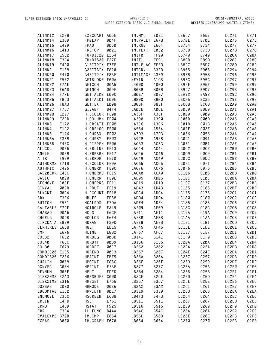| ALINK12        | E288        | EXECCART        | AØ5E        | IM.MMU        | EØE1              | LB657 | B657        | LC271 | C271                          |
|----------------|-------------|-----------------|-------------|---------------|-------------------|-------|-------------|-------|-------------------------------|
| ALINK14        | E389        | FPØEXP          | 004F        | IM.PALET      | E678              | LB7ØE | B7ØE        | LC275 | C275                          |
| ALINK15        | E429        | FPAØ            | 0050        | IM.RGB        | E664              | LB734 | B734        | LC277 | C277                          |
| ALINK16        | E413        | <b>FRETOP</b>   | 0021        | IM.TEXT       | EØ32              | LB73D | <b>B73D</b> | LC278 | C278                          |
| ALINK17        | E532        | FUNDIC2Ø        | E264        | INITØ         | FF9Ø              | LB740 | B740        | LC28A | C28A                          |
| ALINK18        | E3B4        | FUNDIS20 E27E   |             | INIT1         | FF91              | LB89D | <b>B89D</b> | LC28C | C28C                          |
|                |             |                 |             |               |                   |       |             |       |                               |
| ALINK19        | E4DØ        | G1BITPIX E7FF   |             | INT.FLAG FEED |                   | LB8D7 | <b>B8D7</b> | LC28D | C28D                          |
| ALINK2         | E138        | G2BITBIX E82Ø   |             | INTCNV        | B3ED              | LB905 | B905        | LC294 | C294                          |
| ALINK2Ø        | E47Ø        | G4BITPIX        | E83F        | INTIMAGE C359 |                   | LB958 | B958        | LC296 | C296                          |
| ALINK21        | E502        | GETBLOKØ        | EØØA        | KEYIN         | A1CB              | LB95C | <b>B95C</b> | LC297 | C297                          |
| ALINK22        | F7AE        | <b>GETCCH</b>   | <b>ØØA5</b> | L4000         | 4000              | LB95F | <b>B95F</b> | LC299 | C299                          |
| ALINK23        | F6AD        | <b>GETNCH</b>   | ØØ9F        | L8ØB8         | 80B8              | LB9D7 | B9D7        | LC29B | C29B                          |
| ALINK24        | <b>F77E</b> | GETTASKØ        | EØØC        | L80E7         | 80E7              | LBA92 | <b>BA92</b> | LC29C | C29C                          |
| ALINK25        | F8C3        | GETTASK1        | EØØE        | L8800         | 8800              | LBC35 | <b>BC35</b> | LC29E | C29E                          |
| ALINK26        | F8A3        | GETTEXT         | E008        | L883F         | 883F              | LBCC8 | BCC8        | LC2AØ | C2AØ                          |
| ALINK27        | F757        | GIVABF          | <b>B4F4</b> | LAØCE         | AØCE              | LBDD9 | BDD9        | LC2A1 | C2A1                          |
|                |             |                 |             |               |                   |       |             |       |                               |
| ALINK28        | E297        | H.BCOLOR FEØB   |             | LA35F         | A35F              | LC000 | cøøø        | LC2A3 | C2A3                          |
| ALINK29        | E29D        | H.COLUMN        | FEØ4        | LA39Ø         | A39Ø              | LCØØD | CØØD        | LC2A5 | C2A5                          |
| ALINK3         | E172        | H.CRSATT        | FEØ8        | LA3C6         | A3C6              | LCØ1B | CØ1B        | LC2A6 | C2A6                          |
| ALINK4         | E192        | H.CRSLOC        | FEØØ        | LA554         | A554              | LCØ2F | CØ2F        | LC2A8 | C2A8                          |
| ALINK5         | E1A6        | H.CURSX         | FEØ2        | LA7D3         | A7D3              | LCØ56 | CØ56        | LC2AA | C <sub>2</sub> AA             |
| ALINK6A        | E3F8        | H.CURSY         | FEØ3        | LA928         | A928              | LCØ91 | CØ91        | LC2AB | C2AB                          |
| ALINK6B        | E4ØC        | H.DISPEN FEØ6   |             | LAC33         | AC33              | LCØB1 | CØB1        | LC2AE | C <sub>2</sub> AE             |
| ALLCOL         | <b>ØØB5</b> | H.ERLINE FE13   |             | LAC44         | AC44              | LCØC2 | CØC2        | LC2BØ | C2BØ                          |
| ANGLE          | ØØE8        | H.ERRBRK FE17   |             | LAC46         | AC46              | LCØC9 | CØC9        | LC2B1 | C2B1                          |
| ATTR           | F9B9        | H.ERROR         | FE1Ø        | LAC49         | AC49              | LCØDC | CØDC        | LC2B2 | C2B2                          |
|                |             |                 |             |               |                   |       |             |       |                               |
| AUTHORMS       | F71B        | H.FCOLOR FEØA   |             | LAC65         | AC65              | LCØF1 | CØF1        | LC2B4 | C2B4                          |
| AUTHPIC        | C405        | H.ONBRK         | FEØC        | LAC76         | AC76              | LCØF6 | CØF6        | LC2B5 | C2B5                          |
| BAS2ØERR E4CC  |             | H.ONBRKS FE15   |             | LACAØ         | ACAØ              | LC106 | C106        | LC2B8 | C2B8                          |
| <b>BASIC</b>   | A000        | H.ONERR         | FEØE        | LADØ5         | ADØ5              | LC10C | C1ØC        | LC2BA | C2BA                          |
| <b>BEGMOVE</b> | CØ3F        | H.ONERRS        | <b>FE11</b> | LAD19         | AD19              | LC137 | C137        | LC2BB | C2BB                          |
| <b>BINVAL</b>  | 002B        | H.PBUF          | <b>FE19</b> | LAD43         | AD43              | LC165 | C165        | LC2BF | C2BF                          |
| <b>BLKCNT</b>  | 0094        | H.PCOUNT        | <b>FE18</b> | LADC4         | ADC4              | LC175 | C175        | LC2C1 | C2C1                          |
| <b>BRK</b>     | E3E6        | <b>HBUFF</b>    | ED58        | LADD4         | ADD4              | LC180 | C180        | LC2C2 | C2C2                          |
| <b>BUTTON</b>  | E5B1        | <b>HCALPOS</b>  | E7DA        | LADF4         | ADF4              | LC185 | C185        | LC2C6 | C2C6                          |
| CALTABLE E7DE  |             | HCIRCLE         | EA49        | LAEØ9         | AEØ9              | LC18C | C18C        | LC2C8 | C2C8                          |
| CHARAD         | ØØA6        | HCLS            | E6CF        | LAE11         | AE11              | LC19A | C19A        | LC2C9 | C <sub>2</sub> C <sub>9</sub> |
|                |             |                 |             |               |                   |       |             |       |                               |
| CHGFLG         | ØØDB        | <b>HCOLOR</b>   | E6F4        | LAEBB         | AEBB              | LC1AA | C1AA        | LC2CB | C <sub>2</sub> C <sub>B</sub> |
| CIRCDATA EB99  |             | <b>HDRAW</b>    | F39D        | LAEEB         | AEEB              | LC1B1 | C1B1        | LC2CD | C <sub>2</sub> C <sub>D</sub> |
| CLRHIRES E6D8  |             | HGET            | EDE5        | LAF45         | AF45              | LC1DE | C1DE        | LC2CE | C <sub>2</sub> C <sub>E</sub> |
| CMP            | E676        | HLINE           | E882        | LAF67         | AF67              | LC1E7 | C1E7        | LC2D1 | C2D1                          |
| COL32          | F652        | HORBEG          | ØØBD        | LB141         | B141              | LC1FØ | C1FØ        | LC2D3 | C2D3                          |
| COL4Ø          | F65C        | HORBYT          | ØØB9        | LB156         | B156              | LC2ØA | C2ØA        | LC2D4 | C2D4                          |
| COL8Ø          | F679        | HORDEF          | ØØC7        | LB262         | B262              | LC22A | C22A        | LC2D8 | C2D8                          |
| COMDIC20       | E1C5        | HOREND          | ØØC3        | LB267         | B267              | LC24E | C24E        | LC2DA | C2DA                          |
| COMDIS20 E236  |             | HPAINT          | EBF5        | LB26A         | <b>B26A</b>       | LC257 | C257        | LC2DB | C2DB                          |
| CURLIN         | 0068        | HPOINT          | E85C        | LB26F         | <b>B26F</b>       | LC259 | C259        | LC2DE | C2DE                          |
| <b>DCNVEC</b>  | CØØ4        | HPRINT          | EF3F        | LB277         | B277              | LC25A | C25A        | LC2EØ | C2EØ                          |
|                |             |                 |             |               |                   |       |             |       |                               |
| <b>DEVNUM</b>  | 006F        | HPUT            | EDED        | LB284         | B284              | LC25B | C25B        | LC2E1 | C2E1                          |
| DISK2ØMS E2A3  |             | <b>HRESBUFF</b> | <b>CØØØ</b> | LB2CE         | B <sub>2</sub> CE | LC25D | C25D        | LC2E4 | C2E4                          |
| DISK21MS E316  |             | HRESET          | E765        | LB357         | B357              | LC25E | C25E        | LC2E6 | C2E6                          |
| <b>DOSBAS</b>  | <b>C000</b> | HRMODE          | ØØE6        | LB3A2         | B3A2              | LC261 | C261        | LC2E7 | C2E7                          |
| EBCOMTAB E162  |             | HRWIDTH         | ØØE7        | LB3E9         | B3E9              | LC263 | C263        | LC2EA | C2EA                          |
| ENDMOVE        | C36C        | <b>HSCREEN</b>  | E688        | LB4F3         | B4F3              | LC264 | C264        | LC2EC | C2EC                          |
| ERLIN          | E4FD        | <b>HSET</b>     | E761        | LB511         | B511              | LC267 | C267        | LC2ED | C2ED                          |
| ERNO           | E4E9        | <b>HSTAT</b>    | F925        | LB516         | B516              | LC269 | C269        | LC2FØ | C2FØ                          |
| ERR            | E3D4        | <b>ILLFUNC</b>  | <b>B44A</b> | LB54C         | <b>B54C</b>       | LC26A | C26A        | LC2F2 | C <sub>2F2</sub>              |
| EVALEXPB B7ØB  |             | IM.CMP          | E654        | LB56D         | <b>B56D</b>       | LC26E | C26E        | LC2F3 | C2F3                          |
|                |             |                 |             |               |                   |       |             |       |                               |
| EXBAS          | 8000        | IM.GRAPH E070   |             | LB654         | B654              | LC27Ø | C270        | LC2FB | C2FB                          |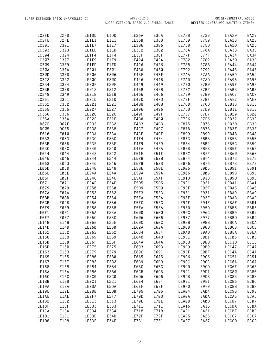| LC2FD | C2FD              | LE1DD        | E1DD | LE36A | E36A | LE73B | E73B | LEA29 | EA29 |
|-------|-------------------|--------------|------|-------|------|-------|------|-------|------|
| LC2FE | C <sub>2</sub> FE | LE1E1        | E1E1 | LE36B | E36B | LE759 | E759 | LEA2B | EA2B |
| LC301 | C301              | LE1E7        | E1E7 | LE386 | E386 | LE75D | E75D | LEA2D | EA2D |
|       |                   |              |      |       |      |       |      |       |      |
| LC303 | C303              | LE1ED        | E1ED | LE3C2 | E3C2 | LE76A | E76A | LEA33 | EA33 |
| LC304 | C304              | LE1F4        | E1F4 | LE3CF | E3CF | LE77F | E77F | LEA34 | EA34 |
| LC307 | C307              | LE1F9        | E1F9 | LE424 | E424 | LE782 | E782 | LEA3D | EA3D |
| LC309 | C3Ø9              | LE1FD        | E1FD | LE426 | E426 | LE788 | E788 | LEA44 | EA44 |
|       |                   |              |      |       |      |       |      |       |      |
| LC3ØA | C3ØA              | LE201        | E201 | LE430 | E43Ø | LE792 | E792 | LEA45 | EA45 |
| LC3ØD | C3ØD              | LE206        | E206 | LE43F | E43F | LE7AA | E7AA | LEA59 | EA59 |
| LC322 | C322              | LE2ØC        | E2ØC | LE446 | E446 | LE7AD | E7AD | LEA95 | EA95 |
|       |                   |              |      |       |      |       |      |       |      |
| LC334 | C334              | LE2ØF        | E2ØF | LE449 | E449 | LE7BØ | E7BØ | LEA9F | EA9F |
| LC33B | C33B              | LE212        | E212 | LE458 | E458 | LE7B2 | E7B2 | LEAB3 | EAB3 |
| LC349 | C349              | LE218        | E218 | LE466 | E466 | LE7B9 | E7B9 | LEAC7 | EAC7 |
| LC351 | C351              | LE21D        | E21D | LE47D | E47D | LE7BF | E7BF | LEAE7 | EAE7 |
|       |                   |              |      |       |      |       |      |       |      |
| LC352 | C352              | LE221        | E221 | LE488 | E488 | LE7CD | E7CD | LEB13 | EB13 |
| LC355 | C355              | <b>LE227</b> | E227 | LE496 | E496 | LE7DØ | E7DØ | LEB1E | EB1E |
| LC356 | C356              | LE22C        | E22C | LE49F | E49F | LE7D7 | E7D7 | LEB2Ø | EB2Ø |
| LC35A | C35A              | LE22F        | E22F | LE4BØ | E4BØ | LE7E6 | E7E6 | LEB32 | EB32 |
|       |                   |              |      |       |      |       |      |       |      |
| LD67F | <b>D67F</b>       | LE232        | E232 | LE4B3 | E4B3 | LE875 | E875 | LEB3D | EB3D |
| LDCØ5 | DCØ5              | LE238        | E238 | LE4C7 | E4C7 | LE87B | E87B | LEB3F | EB3F |
| LEØ1Ø | EØ1Ø              | LE23A        | E23A | LE4CE | E4CE | LE899 | E899 | LEB48 | EB48 |
|       |                   |              |      |       |      |       |      |       |      |
| LEØ33 | EØ33              | LE23C        | E23C | LE4F4 | E4F4 | LE8B3 | E8B3 | LEB53 | EB53 |
| LEØ3B | EØ3B              | LE23E        | E23E | LE4F9 | E4F9 | LE8B4 | E8B4 | LEB5C | EB5C |
| LEØ3C | EØ3C              | LE240        | E24Ø | LE4FA | E4FA | LE8EB | E8EB | LEB5F | EB5F |
| LEØ44 | EØ44              | LE242        | E242 | LE51E | E51E | LE8F2 | E8F2 | LEB6Ø | EB6Ø |
|       |                   |              |      |       |      |       |      |       |      |
| LEØ45 | EØ45              | LE244        | E244 | LE528 | E528 | LE8F4 | E8F4 | LEB73 | EB73 |
| LEØ63 | EØ63              | LE246        | E246 | LE52B | E52B | LE8F6 | E8F6 | LEB7B | EB7B |
| LEØ6D | EØ6D              | LE248        | E248 | LE58E | E58E | LE905 | E905 | LEB91 | EB91 |
| LEØ6E | EØ6E              | LE24A        | E24A | LE59A | E59A | LE906 | E906 | LEB9B | EB9B |
|       |                   |              |      |       |      |       |      |       |      |
| LEØ6F | EØ6F              | LE24C        | E24C | LE5AF | E5AF | LE913 | E913 | LEB9D | EB9D |
| LEØ71 | EØ71              | LE24E        | E24E | LE5D5 | E5D5 | LE921 | E921 | LEBA1 | EBA1 |
| LE079 | EØ79              | LE25Ø        | E250 | LE5D9 | E5D9 | LE92F | E92F | LEBA5 | EBA5 |
|       |                   |              |      |       |      |       |      |       |      |
| LEØ7A | EØ7A              | LE252        | E252 | LE5E3 | E5E3 | LE931 | E931 | LEBA9 | EBA9 |
| LEØ8B | EØ8B              | LE254        | E254 | LE5EA | E5EA | LE93E | E93E | LEBAB | EBAD |
| LEØCB | EØCB              | LE256        | E256 | LE5EC | E5EC | LE94E | E94E | LEBAF | EBB1 |
| LEØE9 | EØE9              | LE258        | E258 | LE5FA | E5FA | LE95D | E95D | LEBB5 | EBB5 |
|       |                   |              |      |       |      |       |      |       |      |
| LEØF1 | EØF1              | LE25A        | E25A | LE600 | E6ØØ | LE96C | E96C | LEBB9 | EBB9 |
| LEØF7 | EØF7              | LE25C        | E25C | LE606 | E606 | LE977 | E977 | LEBBD | EBBD |
| LE148 | E148              | LE25E        | E25E | LE6ØC | E6ØC | LE988 | E988 | LEBCA | EBCA |
| LE14D | E14D              | LE260        | E26Ø | LE62A | E62A | LE98D | E98D | LEBCB | EBCB |
|       |                   |              |      |       |      |       |      |       |      |
| LE152 | E152              | LE262        | E262 | LE634 | E634 | LE9AD | E9AD | LEBEA | EBEA |
| LE158 | E158              | LE269        | E269 | LE648 | E648 | LE9B1 | E9B1 | LECØ5 | ECØ5 |
| LE15B | E15B              | LE26F        | E26F | LE64A | E64A | LE9B8 | E9B8 | LEC1D | EC1D |
| LE15D | E15D              | LE275        | E275 | LE693 | E693 | LE9B9 | E9B9 | LEC47 | EC47 |
|       |                   |              |      |       |      |       |      |       |      |
| LE163 | E163              | LE279        | E279 | LE69C | E69C | LE9BF | E9BF | LEC4A | EC4A |
| LE165 | E165              | LE28Ø        | E280 | LE6A5 | E6A5 | LE9C6 | E9C6 | LEC51 | EC51 |
| LE167 | E167              | LE282        | E282 | LE6B9 | E6B9 | LE9CC | E9CC | LEC6A | EC6A |
| LE168 | E168              | LE284        | E284 | LE6BC | E6BC | LE9CD | E9CD | LEC6E | EC6E |
|       |                   |              |      |       |      |       |      |       |      |
| LE16A | E16A              | LE286        | E286 | LE6CB | E6CB | LE9D1 | E9D1 | LEC8Ø | EC8Ø |
| LE16C | E16C              | LE2CØ        | E2CØ | LE6D6 | E6D6 | LE9DB | E9DB | LEC83 | EC83 |
| LE18B | E18B              | LE2C1        | E2C1 | LE6E4 | E6E4 | LE9E1 | E9E1 | LEC86 | EC86 |
| LE19A | E19A              | LE2DA        |      | LE6EF |      | LE9FØ | E9FØ | LEC88 | EC88 |
|       |                   |              | E2DA |       | E6EF |       |      |       |      |
| LE19E | E19E              | LE2DB        | E2DB | LE705 | E705 | LEAØ4 | EAØ4 | LEC9B | EC9B |
| LE1AE | E1AE              | LE2F7        | E2F7 | LE7ØD | E7ØD | LEAØA | EAØA | LECA5 | ECA5 |
| LE1B2 | E1B2              | LE313        | E313 | LE7ØE | E7ØE | LEAØD | EAØD | LECB7 | ECB7 |
|       |                   |              |      |       |      |       |      |       |      |
| LE1BF | E1BF              | LE333        | E333 | LE711 | E711 | LEA16 | EA16 | LECBA | ECBA |
| LE1CA | E1CA              | LE334        | E334 | LE718 | E718 | LEA21 | EA21 | LECBE | ECBE |
| LE1D1 | E1D1              | LE33D        | E34D | LE72F | E72F | LEA25 | EA25 | LECC7 | ECC7 |
| LE1D8 | E1D8              | LE33E        | E34E | LE731 | E731 | LEA27 | EA27 | LECCD | ECCD |
|       |                   |              |      |       |      |       |      |       |      |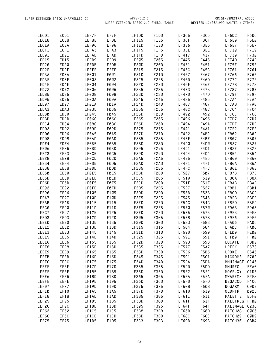| LECD1 | ECD1             | LEF7F        | EF7F | LF1DD | F1DD        | LF3C5 | F3C5 | LF6DC          | F6DC        |
|-------|------------------|--------------|------|-------|-------------|-------|------|----------------|-------------|
| LECE8 | ECE8             | LEF8E        | EF8E | LF1E5 | F1E5        | LF3CF | F3CF | LF6EØ          | F6EØ        |
| LECEA | ECEA             | LEF96        | EF96 | LF1ED | F1ED        | LF3E6 | F3E6 | LF6E7          | F6E7        |
| LECF1 | ECF1             | LEFA3        | EFA3 | LF1F5 | F1F5        | LF3EE | F3EE | LF719          | F719        |
|       |                  |              |      |       |             |       |      |                |             |
| LEDØ1 | EDØ1             | LEFAD        | EFAD | LF1FD | F1FD        | LF417 | F417 | LF730          | F730        |
| LED15 | ED15             | LEFD9        | EFD9 | LF205 | F205        | LF445 | F445 | LF74D          | F74D        |
| LED2Ø | ED2Ø             | LEFDB        | EFDB | LF2ØD | F2ØD        | LF451 | F451 | LF75E          | <b>F75E</b> |
| LED2E | ED2E             | LEFFE        | EFFE | LF215 | F215        | LF45C | F45C | LF761          | F761        |
|       |                  |              |      |       |             |       |      |                |             |
| LED3A | ED3A             | LFØØ1        | FØØ1 | LF21D | F21D        | LF467 | F467 | LF766          | F766        |
| LED3F | ED3F             | LFØØ2        | FØØ2 | LF225 | F225        | LF46D | F46D | <b>LF772</b>   | F772        |
| LED4E | ED4E             | LFØØ4        | FØØ4 | LF22D | F22D        | LF46F | F46F | LF778          | F778        |
| LED72 | ED72             | LFØØ6        | FØØ6 | LF235 | F235        | LF473 | F473 | <b>LF787</b>   | F787        |
| LED85 | ED85             | LFØØ8        | FØØ8 | LF23D | F23D        | LF47D | F47D | LF79F          | F79F        |
| LED95 | ED95             | <b>LFØØA</b> |      | LF245 | F245        | LF485 | F485 | LF7A4          | F7A4        |
|       |                  |              | FØØA |       |             |       |      |                |             |
| LED97 | ED97             | LFØ1A        | FØ1A | LF24D | F24D        | LF487 | F487 | LF7A8          | <b>F7A8</b> |
| LEDA3 | EDA3             | LFØ35        | FØ35 | LF255 | F255        | LF48C | F48C | LF7C4          | F7C4        |
| LEDBØ | EDBØ             | LFØ45        | FØ45 | LF25D | F25D        | LF492 | F492 | LF7CC          | F7CC        |
| LEDBD | EDBD             | LFØ6C        | FØ6C | LF265 | F265        | LF496 | F496 | LF7D7          | F7D7        |
| LEDC4 | EDC4             | LFØ8C        | FØ8C | LF26D | F26D        | LF49A | F49A | LF7DE          | F7DE        |
|       |                  |              |      |       |             |       |      |                |             |
| LEDD2 | EDD <sub>2</sub> | LFØ9D        | FØ9D | LF275 | F275        | LF4A1 | F4A1 | LF7E2          | F7E2        |
| LEDD6 | EDD6             | LFØA5        | FØA5 | LF27D | F27D        | LF4B2 | F4B2 | LF802          | F802        |
| LEDD8 | EDD8             | LFØAD        | FØAD | LF285 | F285        | LF4BF | F4BF | LF807          | F807        |
| LEDF4 | EDF4             | LFØB5        | FØB5 | LF28D | F28D        | LF4DØ | F4DØ | LF827          | F827        |
| LEEØ6 | EEØ6             | LFØBD        | FØBD | LF295 | F295        | LF4D1 | F4D1 | LF82E          | F82E        |
|       |                  |              |      |       |             |       |      |                |             |
| LEE23 | EE23             | LFØC5        | FØC5 | LF29D | F29D        | LF4D4 | F4D4 | LF854          | F854        |
| LEE28 | <b>EE28</b>      | LFØCD        | FØCD | LF2A5 | F2A5        | LF4E5 | F4E5 | LF86Ø          | F86Ø        |
| LEE34 | EE34             | LFØD5        | FØD5 | LF2AD | F2AD        | LF4F1 | F4F1 | LF86A          | F86A        |
| LEE38 | EE38             | LFØDD        | FØDD | LF2B5 | F2B5        | LF4FC | F4FC | LF86E          | F86E        |
| LEE5Ø | EE5Ø             | LFØE5        | FØE5 | LF2BD | F2BD        | LF507 | F507 | LF87B          | F87B        |
|       |                  |              |      |       |             |       |      |                |             |
| LEE5D | EE5D             | LFØED        | FØED | LF2C5 | F2C5        | LF51Ø | F510 | LF88A          | F88A        |
| LEE6D | EE6D             | LFØF5        | FØF5 | LF2CD | F2CD        | LF51F | F51F | LF8AB          | F8AB        |
| LEE92 | EE92             | LFØFD        | FØFD | LF2D5 | F2D5        | LF527 | F527 | LF8B1          | F8B1        |
| LEE96 | EE96             | LF105        | F105 | LF2DD | F2DD        | LF53B | F53B | LF8CD          | F8CD        |
| LEEA7 | EEA7             | LF1ØD        | F1ØD | LF2E5 | <b>F2E5</b> | LF545 | F545 | LF8EB          | F8EB        |
|       |                  |              |      |       |             |       |      |                |             |
| LEEAB | EEAB             | LF115        | F115 | LF2ED | F2ED        | LF54C | F54C | LF8ED          | F8ED        |
| LEECØ | EECØ             | LF11D        | F11D | LF2F5 | F2F5        | LF570 | F57Ø | LF963          | F963        |
| LEEC7 | EEC7             | LF125        | F125 | LF2FD | F2FD        | LF575 | F575 | LF9E3          | F9E3        |
| LEED3 | EED3             | LF12D        | F12D | LF305 | F305        | LF578 | F578 | LF9F6          | F9F6        |
| LEEEØ | EEEØ             | LF135        | F135 | LF3ØD | F3ØD        | LF583 | F583 | LFAØ6          | FAØ6        |
|       |                  |              |      |       |             |       | F584 |                |             |
| LEEE2 | EEE2             | LF13D        | F13D | LF315 | F315        | LF584 |      | LFAØC          | FAØC        |
| LEEE3 | EEE3             | LF145        | F145 | LF31D | F31D        | LF590 | F590 | <b>LFEØØ</b>   | FEØØ        |
| LEEE5 | EEE5             | LF14D        | F14D | LF325 | F325        | LF591 | F591 | <b>LFFØØ</b>   | FFØØ        |
| LEEE6 | EEE6             | LF155        | F155 | LF32D | F32D        | LF593 | F593 | LOCATE         | F8D2        |
| LEEE8 | EEE8             | LF15D        | F15D | LF335 | F335        | LF5A7 | F5A7 | LPEEK          | E573        |
| LEEE9 | EEE9             | LF165        | F165 | LF33D | F33D        | LF5B6 | F5B6 | LPOKE          | E545        |
|       |                  |              |      |       |             |       |      |                |             |
| LEEEB | EEEB             | LF16D        | F16D | LF345 | F345        | LF5C1 | F5C1 | MICROMS        | F702        |
| LEEEC | EEEC             | LF175        | F175 | LF34D | F34D        | LF5DA | F5DA | MMUIMAGE C246  |             |
| LEEEE | EEEE             | LF17D        | F17D | LF355 | F355        | LF5DD | F5DD | MMUREG         | FFAØ        |
| LEEEF | EEEF             | LF185        | F185 | LF35D | F35D        | LF5F2 | F5F2 | MOVE.XY        | C1D6        |
| LEEF6 | EEF6             | LF18D        | F18D | LF365 | F365        | LF5FA | F5FA | <b>MWAREMS</b> | E2F8        |
|       |                  |              |      |       |             |       |      |                |             |
| LEEFE | EEFE             | LF195        | F195 | LF36D | F36D        | LF5FD | F5FD | NEGACCD        | F4CC        |
| LEFØ7 | EFØ7             | LF19D        | F19D | LF375 | F375        | LF6Ø8 | F608 | NOWARM         | CØDE        |
| LEF1Ø | EF1Ø             | LF1A5        | F1A5 | LF37D | F37D        | LF61Ø | F61Ø | OLDPTR         | ØØ2D        |
| LEF18 | EF18             | LF1AD        | F1AD | LF385 | F385        | LF611 | F611 | PALETTE        | E5FØ        |
| LEF25 | EF25             | LF1B5        | F1B5 | LF38D | F38D        | LF61F | F61F | PALETREG FFBØ  |             |
|       |                  |              |      |       |             |       |      |                |             |
| LEF2C | EF2C             | LF1BD        | F1BD | LF395 | F395        | LF64F | F64F | PALIMAGE C236  |             |
| LEF62 | EF62             | LF1C5        | F1C5 | LF3B8 | F3B8        | LF66D | F66D | PATCH28        | CØC6        |
| LEF6C | EF6C             | LF1CD        | F1CD | LF3BD | F3BD        | LF68C | F68C | PATCH29        | CØD9        |
| LEF75 | <b>EF75</b>      | LF1D5        | F1D5 | LF3C3 | F3C3        | LF69B | F69B | PATCH3Ø        | C8B4        |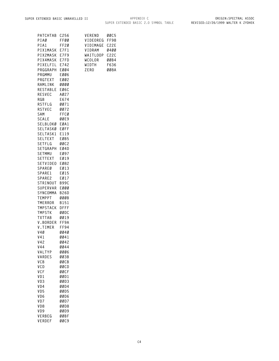| PATCHTAB                  | C256         | VEREND                    | ØØC5                     |
|---------------------------|--------------|---------------------------|--------------------------|
| PIAØ                      | FFØØ         | VIDEOREG                  | FF98                     |
| PIA1                      | FF2Ø         | VIDIMAGE<br><b>VIDRAM</b> | C <sub>22E</sub><br>0400 |
| PIX1MASK E7F1<br>PIX2MASK | E7F9         | <b>WAITLOOP</b>           | C22C                     |
| PIX4MASK E7FD             |              | WCOLOR                    | ØØB4                     |
| PIXELFIL E742             |              | WIDTH                     | F636                     |
| PRGGRAPH EØØ4             |              | ZER <sub>0</sub>          | 008A                     |
| PRGMMU                    | EØØ6         |                           |                          |
| PRGTEXT                   | EØØ2         |                           |                          |
| RAMLINK                   | <b>0000</b>  |                           |                          |
| <b>RESTABLE</b>           | EØ6C         |                           |                          |
| RESVEC                    | AØ27         |                           |                          |
| RGB                       | E674         |                           |                          |
| RSTFLG<br>RSTVEC          | 0071<br>0072 |                           |                          |
| SAM                       | FFCØ         |                           |                          |
| SCALE                     | ØØE9         |                           |                          |
| SELBLOKØ EØA1             |              |                           |                          |
| SELTASKØ EØFF             |              |                           |                          |
| SELTASK1                  | E119         |                           |                          |
| SELTEXT                   | EØB5         |                           |                          |
| SETFLG                    | ØØC2         |                           |                          |
| SETGRAPH EØ4D             |              |                           |                          |
| SETMMU<br>SETTEXT         | EØ97         |                           |                          |
| SETVIDEO                  | EØ19<br>EØ82 |                           |                          |
| SPAREØ                    | EØ13         |                           |                          |
| SPARE1                    | EØ15         |                           |                          |
| SPARE2                    | EØ17         |                           |                          |
| STRINOUT B99C             |              |                           |                          |
| SUPERVAR                  | EØØØ         |                           |                          |
| SYNCOMMA                  | <b>B26D</b>  |                           |                          |
| TEMPPT                    | ØØØB         |                           |                          |
| TMERROR                   | B151         |                           |                          |
| <b>TMPSTACK</b>           | <b>DFFF</b>  |                           |                          |
| <b>TMPSTK</b><br>TXTTAB   | øødc<br>0019 |                           |                          |
| V.BORDER FF9A             |              |                           |                          |
| V.TIMER                   | FF94         |                           |                          |
| V4Ø                       | 0040         |                           |                          |
| V41                       | 0041         |                           |                          |
| V42                       | ØØ42         |                           |                          |
| V44                       | 0044         |                           |                          |
| VALTYP                    | 0006         |                           |                          |
| VARDES                    | <b>ØØ3B</b>  |                           |                          |
| VCB<br>VCD                | ØØCB<br>ØØCD |                           |                          |
| <b>VCF</b>                | ØØCF         |                           |                          |
| VD1                       | ØØD1         |                           |                          |
| VD3                       | ØØD3         |                           |                          |
| VD4                       | ØØD4         |                           |                          |
| VD5                       | ØØD5         |                           |                          |
| VD6                       | ØØD6         |                           |                          |
| VD7                       | ØØD7         |                           |                          |
| VD8                       | ØØD8         |                           |                          |
| VD9                       | ØØD9         |                           |                          |
| VERBEG                    | ØØBF         |                           |                          |
| VERDEF                    | ØØC9         |                           |                          |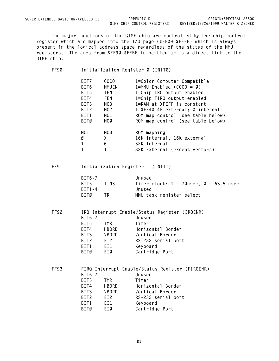**GIME CHIP CONTROL REGISTERS**

**The major functions of the GIME chip are controlled by the chip control register which are mapped into the I/O page (\$FF00-\$FFFF) which is always present in the logical address space regardless of the status of the MMU registers. The area from \$FF90-\$FFBF in particular is a direct link to the GIME chip.**

**FF90 Initialization Register 0 (INIT0)**

| BIT7             | COCO            | 1=Color Computer Compatible           |
|------------------|-----------------|---------------------------------------|
| BIT6             | MMUEN           | $1=MMU$ Enabled (COCO = $\emptyset$ ) |
| BIT5             | I EN            | 1=Chip IRQ output enabled             |
| BIT4             | <b>FEN</b>      | 1=Chip FIRQ output enabled            |
| BIT3             | MC3             | 1=RAM at XFEFF is constant            |
| BIT <sub>2</sub> | MC <sub>2</sub> | 1=\$FF40-4F external; Ø=internal      |
| BIT1             | MC 1            | ROM map control (see table below)     |
| BITØ             | MCØ             | ROM map control (see table below)     |
|                  |                 |                                       |
| MC1              | MCØ             | ROM mapping                           |
| Ø                | X               | 16K Internal, 16K external            |
| $\mathbf{1}$     | Ø               | 32K Internal                          |
| 1                | 1               | 32K External (except vectors)         |

## **FF91 Initialization Register 1 (INIT1)**

| BIT6-7 |      | Unused                                                |
|--------|------|-------------------------------------------------------|
| BIT5 - | TINS | Timer clock: $1 = 70$ nsec, $\varnothing = 63.5$ usec |
| BIT1-4 |      | Unused                                                |
| BITØ   | TR.  | MMU task register select                              |

| FF92 |        |                 | IRQ Interrupt Enable/Status Register (IRQENR) |
|------|--------|-----------------|-----------------------------------------------|
|      | BIT6-7 |                 | Unused                                        |
|      | BIT5   | TMR             | Timer                                         |
|      | BIT4   | <b>HBORD</b>    | Horizontal Border                             |
|      | BIT3   | <b>VBORD</b>    | Vertical Border                               |
|      | BIT2   | EI <sub>2</sub> | RS-232 serial port                            |
|      | BIT1   | EI1             | Keyboard                                      |
|      | BITØ   | E I Ø           | Cartridge Port                                |

**FF93 FIRQ Interrupt Enable/Status Register (FIRQENR) BIT6-7 Unused BIT5 TMR Timer BIT4 HBORD Horizontal Border BIT3 VBORD Vertical Border BIT2 EI2 RS-232 serial port BIT1 EI1 Keyboard BIT0 EI0 Cartridge Port**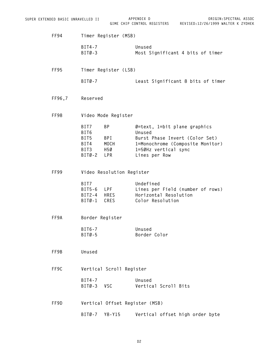| FF94   | Timer Register (MSB)                                                            |                                                                                                                                                                  |  |  |  |
|--------|---------------------------------------------------------------------------------|------------------------------------------------------------------------------------------------------------------------------------------------------------------|--|--|--|
|        | BIT4-7<br>BITØ-3                                                                | Unused<br>Most Significant 4 bits of timer                                                                                                                       |  |  |  |
| FF95   | Timer Register (LSB)                                                            |                                                                                                                                                                  |  |  |  |
|        | $BITØ-7$                                                                        | Least Significant 8 bits of timer                                                                                                                                |  |  |  |
| FF96,7 | Reserved                                                                        |                                                                                                                                                                  |  |  |  |
| FF98   | Video Mode Register                                                             |                                                                                                                                                                  |  |  |  |
|        | BIT7<br><b>BP</b><br>BIT6<br>BIT5 BPI<br>BIT4<br>MOCH<br>BIT3 H5Ø<br>BITØ-2 LPR | $\emptyset$ =text, 1=bit plane graphics<br>Unused<br>Burst Phase Invert (Color Set)<br>1=Monochrome (Composite Monitor)<br>1=50Hz vertical sync<br>Lines per Row |  |  |  |
| FF99   | Video Resolution Register                                                       |                                                                                                                                                                  |  |  |  |
|        | BIT7<br>BIT5-6 LPF<br>BIT2-4 HRES<br>BITØ-1 CRES                                | Undefined<br>Lines per Field (number of rows)<br>Horizontal Resolution<br>Color Resolution                                                                       |  |  |  |
| FF9A   | Border Register                                                                 |                                                                                                                                                                  |  |  |  |
|        | BIT6-7<br>BITØ-5                                                                | Unused<br>Border Color                                                                                                                                           |  |  |  |
| FF9B   | Unused                                                                          |                                                                                                                                                                  |  |  |  |
| FF9C   | Vertical Scroll Register                                                        |                                                                                                                                                                  |  |  |  |
|        | BIT4-7<br>BITØ-3 VSC                                                            | Unused<br>Vertical Scroll Bits                                                                                                                                   |  |  |  |
| FF9D   | Vertical Offset Register (MSB)                                                  |                                                                                                                                                                  |  |  |  |
|        | BITØ-7 Y8-Y15                                                                   | Vertical offset high order byte                                                                                                                                  |  |  |  |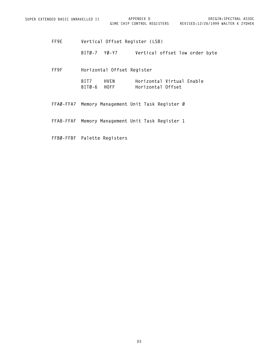**GIME CHIP CONTROL REGISTERS REVISED:12/26/1999 WALTER K ZYDHEK ORIGIN:SPECTRAL ASSOC**

| FF9E | Vertical Offset Register (LSB)                   |                                                |  |
|------|--------------------------------------------------|------------------------------------------------|--|
|      | BITØ-7 YØ-Y7                                     | Vertical offset low order byte                 |  |
| FF9F | Horizontal Offset Register                       |                                                |  |
|      | BIT7 HVEN<br>BITØ-6 HOFF                         | Horizontal Virtual Enable<br>Horizontal Offset |  |
|      | FFAØ-FFA7 Memory Management Unit Task Register Ø |                                                |  |
|      | FFA8-FFAF Memory Management Unit Task Register 1 |                                                |  |
|      | FFBØ-FFBF Palette Registers                      |                                                |  |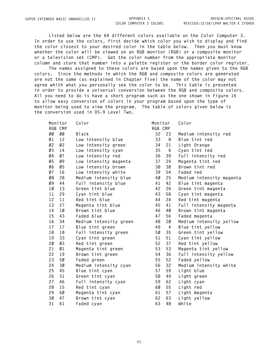**Listed below are the 64 different colors available on the Color Computer 3. In order to use the colors, first decide which color you wish to display and find the color closest to your desired color in the table below. Then you must know whether the color will be viewed on an RGB monitor (RGB) or a composite monitor or a television set (CMP). Get the color number from the appropriate monitor column and store that number into a palette register or the border color register.**

**The names assigned to these colors are based upon the names given to the RGB colors. Since the methods in which the RGB and composite colors are generated are not the same (as explained in Chapter Five) the name of the color may not agree whith what you personally see the color to be. This table is presented in order to provide a universal conversion between the RGB and composite colors. All you need to do is have a short program such as the one shown in Figure 16 to allow easy conversion of colors in your program based upon the type of monitor being used to view the program. The table of colors given below is the conversion used in OS-9 Level Two.**

|    | Monitor | Color                  | Monitor |                | Color                    |
|----|---------|------------------------|---------|----------------|--------------------------|
|    | RGB CMP |                        | RGB CMP |                |                          |
| ØØ | ØØ      | <b>Black</b>           | 32      | 23             | Medium intensity red     |
| Ø1 | 12      | Low intensity blue     | 33      | 8              | Blue tint red            |
| Ø2 | Ø2      | Low intensity green    | 34      | 21             | Light Orange             |
| Ø3 | 14      | Low intensity cyan     | 35      | 6              | Cyan tint red            |
| Ø4 | Ø7      | Low intensity red      | 36      | 39             | Full intensity red       |
| Ø5 | Ø9      | Low intensity magenta  | 37      | 24             | Magenta tint red         |
| Ø6 | Ø5      | Low intensity brown    | 38      | 38             | Brown tint red           |
| Ø7 | 16      | Low intensity white    | 39      | 54             | Faded red                |
| Ø8 | 28      | Medium intensity blue  | 4Ø      | 25             | Medium intensity magenta |
| Ø9 | 44      | Full intensity blue    | 41      | 42             | Blue tint magenta        |
| 1Ø | 13      | Green tint blue        | 42      | 26             | Green tint magenta       |
| 11 | 29      | Cyan tint blue         | 43      | 58             | Cyan tint magenta        |
| 12 | 11      | Red tint blue          | 44      | 24             | Red tint magenta         |
| 13 | 27      | Magenta tint blue      | 45      | 41             | Full intensity magenta   |
| 14 | 10      | Brown tint blue        | 46      | 4Ø             | Brown tint magenta       |
| 15 | 43      | Faded blue             | 47      | 56             | Faded magenta            |
| 16 | 34      | Medium intensity green | 48      | 20             | Medium intensity yellow  |
| 17 | 17      | Blue tint green        | 49      | $\overline{4}$ | Blue tint yellow         |
| 18 | 18      | Full intensity green   | 50      | 35             | Green tint yellow        |
| 19 | 33      | Cyan tint green        | 51      | 51             | Cyan tint yellow         |
| 20 | Ø3      | Red tint green         | 52      | 37             | Red tint yellow          |
| 21 | Ø1      | Magenta tint green     | 53      | 53             | Magenta tint yellow      |
| 22 | 19      | Brown tint green       | 54      | 36             | Full intensity yellow    |
| 23 | 5Ø      | Faded green            | 55      | 52             | Faded yellow             |
| 24 | 30      | Medium intensity cyan  | 56      | 32             | Medium intensity white   |
| 25 | 45      | Blue tint cyan         | 57      | 59             | Light blue               |
| 26 | 31      | Green tint cyan        | 58      | 49             | Light green              |
| 27 | 46      | Full intensity cyan    | 59      | 62             | Light cyan               |
| 28 | 15      | Red tint cyan          | 6Ø      | 55             | Light red                |
| 29 | 6Ø      | Magenta tint cyan      | 61      | 57             | Light magenta            |
| 30 | 47      | Brown tint cyan        | 62      | 63             | Light yellow             |
| 31 | 61      | Faded cyan             | 63      | 48             | White                    |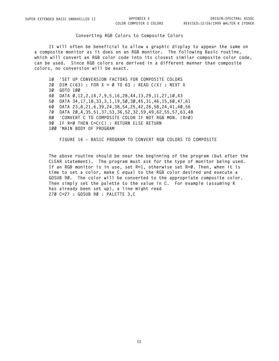**COLOR COMPUTER 3 COLORS**

## **Converting RGB Colors to Composite Colors**

**It will often be beneficial to allow a graphic display to appear the same on a composite monitor as it does on an RGB monitor. The following Basic routine, which will convert an RGB color code into its closest similar composite color code, can be used. Since RGB colors are derived in a different manner than composite colors, no conversion will be exact.**

 **'SET UP CONVERSION FACTORS FOR COMPOSITE COLORS DIM C(63) : FOR X = 0 TO 63 : READ C(X) : NEXT X 30 GOTO 100 DATA 0,12,2,14,7,9,5,16,28,44,13,29,11,27,10,43 DATA 34,17,18,33,3,1,19,50,30,45,31,46,15,60,47,61 DATA 23,8,21,6,39,24,38,54,25,42,26,58,24,41,40,56 DATA 20,4,35,51,37,53,36,52,32,59,49,62,55,57,63,48 'CONVERT C TO COMPOSITE COLOR IF NOT RGB MON. (R=0) IF R=0 THEN C=C(C) : RETURN ELSE RETURN 'MAIN BODY OF PROGRAM**

**FIGURE 16 - BASIC PROGRAM TO CONVERT RGB COLORS TO COMPOSITE**

**The above routine should be near the beginning of the program (but after the CLEAR statement). The program must ask for the type of monitor being used. If an RGB monitor is in use, set R=1, otherwise set R=0. Then, when it is time to set a color, make C equal to the RGB color desired and execute a GOSUB 90. The color will be converted to the appropriate composite color. Then simply set the palette to the value in C. For example (assuming R has already been set up), a line might read 270 C=27 : GOSUB 90 : PALETTE 3,C**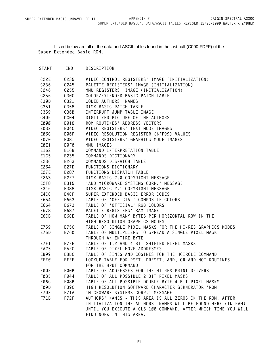Listed below are all of the data and ASCII tables found in the last half (C000-FDFF) of the **Super Extended Basic ROM.**

| START            | END  | DESCRIPTION                                                    |
|------------------|------|----------------------------------------------------------------|
| C22E             | C235 | VIDEO CONTROL REGISTERS' IMAGE (INITIALIZATION)                |
| C <sub>236</sub> | C245 | PALETTE REGISTERS' IMAGE (INITIALIZATION)                      |
| C246             | C255 | MMU REGISTERS' IMAGE (INITIALIZATION)                          |
| C256             | C3ØC | COLOR/EXTENDED BASIC PATCH TABLE                               |
| C3ØD             | C321 | CODED AUTHORS' NAMES                                           |
| C351             | C358 | DISK BASIC PATCH TABLE                                         |
| C359             | C36B | INTERRUPT JUMP TABLE IMAGE                                     |
| C405             | DCØ4 | DIGITIZED PICTURE OF THE AUTHORS                               |
| EØØØ             | EØ18 | ROM ROUTINES' ADDRESS VECTORS                                  |
| EØ32             | EØ4C | VIDEO REGISTERS' TEXT MODE IMAGES                              |
| EØ6C             | EØ6F | VIDEO RESOLUTION REGISTER (\$FF99) VALUES                      |
| EØ7Ø             | EØ81 | VIDEO REGISTERS' GRAPHICS MODE IMAGES                          |
| EØE1             | EØFØ | MMU IMAGES                                                     |
| E162             | E16B | COMMAND INTERPRETATION TABLE                                   |
| E1C5             | E235 | COMMANDS DICTIONARY                                            |
| E236             | E263 | COMMANDS DISPATCH TABLE                                        |
| E264             | E27D | FUNCTIONS DICTIONARY                                           |
| E27E             | E287 | FUNCTIONS DISPATCH TABLE                                       |
| E2A3             | E2F7 | DISK BASIC 2.0 COPYRIGHT MESSAGE                               |
| E2F8             | E315 | 'AND MICROWARE SYSTEMS CORP.' MESSAGE                          |
| E316             | E388 | DISK BASIC 2.1 COPYRIGHT MESSAGE                               |
| E4CC             | E4CF | SUPER EXTENDED BASIC ERROR CODES                               |
| E654             | E663 | TABLE OF 'OFFICIAL' COMPOSITE COLORS                           |
| E664             | E673 | TABLE OF 'OFFICIAL' RGB COLORS                                 |
| E678             | E687 | PALETTE REGISTERS' RAM IMAGE                                   |
| E6CB             | E6CE | TABLE OF HOW MANY BYTES PER HORIZONTAL ROW IN THE              |
|                  |      | HIGH RESOLUTION GRAPHICS MODES                                 |
| E759             | E75C | TABLE OF SINGLE PIXEL MASKS FOR THE HI-RES GRAPHICS MODES      |
| E75D             | E760 | TABLE OF MULTIPLIERS TO SPREAD A SINGLE PIXEL MASK             |
|                  |      | THROUGH AN ENTIRE BYTE                                         |
| E7F1             | E7FE | TABLE OF 1,2 AND 4 BIT SHIFTED PIXEL MASKS                     |
| EA25             | EA2C | TABLE OF PIXEL MOVE ADDRESSES                                  |
| EB99             | EBBC | TABLE OF SINES AND COSINES FOR THE HCIRCLE COMMAND             |
| EEEØ             | EEEE | LOOKUP TABLE FOR PSET, PRESET, AND, OR AND NOT ROUTINES        |
|                  |      | FOR THE HPUT COMMAND                                           |
| FØØ2             | FØØB | TABLE OF ADDRESSES FOR THE HI-RES PRINT DRIVERS                |
| FØ35             | FØ44 | TABLE OF ALL POSSIBLE 2 BIT PIXEL MASKS                        |
| FØ6C             | FØ8B | TABLE OF ALL POSSIBLE DOUBLE BYTE 4 BIT PIXEL MASKS            |
| FØ9D             | F39C | HIGH RESOLUTION SOFTWARE CHARACTER GERNERATOR 'ROM'            |
| F702             | F71A | 'MICROWARE SYSTEMS CORP.' MESSAGE                              |
| F71B             | F72F | AUTHORS' NAMES - THIS AREA IS ALL ZEROS IN THE ROM. AFTER      |
|                  |      | INITIALIZATION THE AUTHORS' NAMES WILL BE FOUND HERE (IN RAM)  |
|                  |      | UNTIL YOU EXECUTE A CLS 100 COMMAND, AFTER WHICH TIME YOU WILL |
|                  |      | FIND NOPs IN THIS AREA.                                        |
|                  |      |                                                                |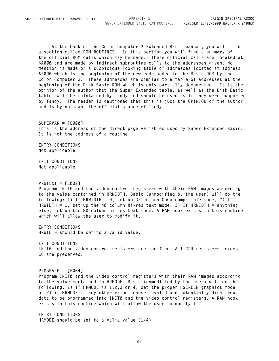**At the back of the Color Computer 3 Extended Basic manual, you will find a section called ROM ROUTINES. In this section you will find a summary of the official ROM calls which may be made. These official calls are located at \$A000 and are made by indirect subroutine calls to the addresses given. No mention is made of a suspicious looking table of addresses located at address \$E000 which is the beginning of the new code added to the Basic ROM by the Color Computer 3. These addresses are similar to a table of addresses at the beginning of the Disk Basic ROM which is only partially documented. It is the opinion of the author that the Super Extended table, as well as the Disk Basic table, will be maintained by Tandy and should be used as if they were supported by Tandy. The reader is cautioned that this is just the OPINION of the author and is by no means the official stance of Tandy.**

**SUPERVAR = [E000] This is the address of the direct page variables used by Super Extended Basic. It is not the address of a routine.**

**ENTRY CONDITIONS Not applicable**

**EXIT CONDITIONS Not applicable**

**PRGTEXT = [E002]**

**Program INIT0 and the video control registers with their RAM images according to the value contained in HRWIDTH. Basic (unmodified by the user) will do the following: 1) If HRWIDTH = 0, set up 32 column CoCo compatible mode, 2) If HRWIDTH = 1, set up the 40 column hi-res text mode, 3) If HRWIDTH = anything else, set up the 80 column hi-res text mode. A RAM hook exists in this routine which will allow the user to modify it.**

**ENTRY CONDITIONS HRWIDTH should be set to a valid value.**

**EXIT CONDITIONS INIT0 and the video control registers are modified. All CPU registers, except CC are preserved.**

**PRGGRAPH = [E004] Program INIT0 and the video control registers with their RAM images according to the value contained in HRMODE. Basic (unmodified by the user) will do the following: 1) If HRMODE is 1,2,3 or 4, set the proper HSCREEN graphics mode or 2) if HRMODE is any other value, cause invalid and potentially disastrous data to be programmed into INIT0 and the video control registers. A RAM hook exists in this routine which will allow the user to modify it.**

**ENTRY CONDITIONS HRMODE should be set to a valid value (1-4)**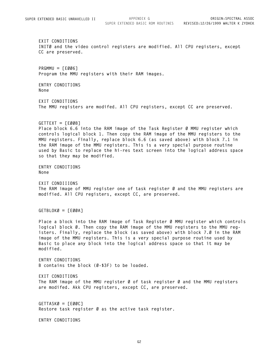SUPER EXTENDED BASIC ROM ROUTINES **REVISED:12/26/1999 WALTER K ZYDHEK**

**EXIT CONDITIONS INIT0 and the video control registers are modified. All CPU registers, except CC are preserved.**  $PRGMMU = FEØ961$ **Program the MMU registers with their RAM images. ENTRY CONDITIONS None EXIT CONDITIONS The MMU registers are modifed. All CPU registers, except CC are preserved. GETTEXT = [E008] Place block 6.6 into the RAM image of the Task Register 0 MMU register which controls logical block 1. Then copy the RAM image of the MMU registers to the MMU registers. Finally, replace block 6.6 (as saved above) with block 7.1 in the RAM image of the MMU registers. This is a very special purpose routine used by Basic to replace the hi-res text screen into the logical address space so that they may be modified. ENTRY CONDITIONS None EXIT CONDIIIONS The RAM image of MMU register one of task register 0 and the MMU registers are modified. All CPU registers, except CC, are preserved. GETBLOK0 = [E00A] Place a block into the RAM image of Task Register 0 MMU register which controls logical block 0. Then copy the RAM image of the MMU registers to the MMU registers. Finally, replace the block (as saved above) with block 7.0 in the RAM image of the MMU registers. This is a very special purpose routine used by Basic to place any block into the logical address space so that it may be modified. ENTRY CONDITIONS B contains the block (0-\$3F) to be loaded. EXIT CONDITIONS** The RAM image of the MMU register Ø of task register Ø and the MMU registers **are modifed. Akk CPU registers, except CC, are preserved. GETTASK0 = [E00C] Restore task register 0 as the active task register. ENTRY CONDITIONS**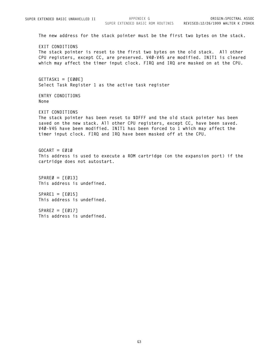**The new address for the stack pointer must be the first two bytes on the stack. EXIT CONDITIONS The stack pointer is reset to the first two bytes on the old stack. All other CPU registers, except CC, are preserved. V40-V45 are modified. INIT1 is cleared which may affect the timer input clock. FIRQ and IRQ are masked on at the CPU. GETTASK1 = [E00E] Select Task Register 1 as the active task register ENTRY CONDITIONS None EXIT CONDITIONS The stack pointer has been reset to \$DFFF and the old stack pointer has been saved on the new stack. All other CPU registers, except CC, have been saved. V40-V45 have been modified. INIT1 has been forced to 1 which may affect the timer input clock. FIRQ and IRQ have been masked off at the CPU. GOCART = E010 This address is used to execute a ROM cartridge (on the expansion port) if the cartridge does not autostart. SPARE0 = [E013] This address is undefined. SPARE1 = [E015] This address is undefined.**

**SPARE2 = [E017] This address is undefined.**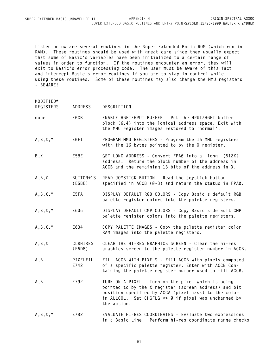**Listed below are several routines in the Super Extended Basic ROM (which run in RAM). These routines should be used with great care since they usually expect that some of Basic's variables have been initialized to a certain range of values in order to function. If the routines encounter an error, they will exit to Basic's error processing code. The user must be aware of this fact and intercept Basic's error routines if you are to stay in control while using these routines. Some of these routines may also change the MMU registers - BEWARE!**

| MODIFIED*<br>REGISTERS | ADDRESS             | DESCRIPTION                                                                                                                                                                                                                                |
|------------------------|---------------------|--------------------------------------------------------------------------------------------------------------------------------------------------------------------------------------------------------------------------------------------|
| none                   | EØCB                | ENABLE HGET/HPUT BUFFER - Put the HPUT/HGET buffer<br>block (6.4) into the logical address space. Exit with<br>the MMU register images restored to 'normal'.                                                                               |
| A, B, X, Y             | EØF1                | PROGRAM MMU REGISTERS - Program the 16 MMU registers<br>with the 16 bytes pointed to by the X register.                                                                                                                                    |
| B,X                    | E58E                | GET LONG ADDRESS - Convert FPAØ into a 'long' (512K)<br>Return the block number of the address in<br>address.<br>ACCB and the remaining 13 bits of the address in X.                                                                       |
| A, B, X                | BUTTON+13<br>(E5BE) | READ JOYSTICK BUTTON - Read the joystick button<br>specified in ACCB (Ø-3) and return the status in FPAØ.                                                                                                                                  |
| A, B, X, Y             | E5FA                | DISPLAY DEFAULT RGB COLORS - Copy Basic's default RGB<br>palette register colors into the palette registers.                                                                                                                               |
| A, B, X, Y             | E606                | DISPLAY DEFAULT CMP COLORS - Copy Basic's default CMP<br>palette register colors into the palette registers.                                                                                                                               |
| A, B, X, Y             | E634                | COPY PALETTE IMAGES - Copy the palette register color<br>RAM images into the palette registers.                                                                                                                                            |
| A, B, X                | CLRHIRES<br>(E6D8)  | CLEAR THE HI-RES GRAPHICS SCREEN - Clear the hi-res<br>graphics screen to the palette register number in ACCB.                                                                                                                             |
| A, B                   | PIXELFIL<br>E742    | FILL ACCB WITH PIXELS - Fill ACCB with pixels composed<br>of a specific palette register. Enter with ACCB Con-<br>taining the palette register number used to fill ACCB.                                                                   |
| A, B                   | E792                | TURN ON A PIXEL - Turn on the pixel which is being<br>pointed to by the X register (screen address) and bit<br>position specified by ACCA (pixel mask) to the color<br>in ALLCOL. Set CHGFLG <> Ø if pixel was unchanged by<br>the action. |
| A, B, X, Y             | E7B2                | EVALUATE HI-RES COORDINATES - Evaluate two expressions<br>Perform hi-res coordinate range checks<br>in a Basic Line.                                                                                                                       |

**H1**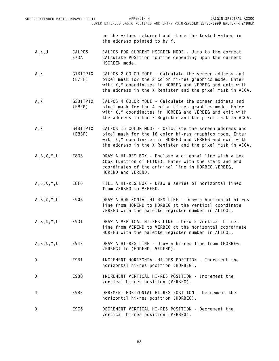**on the values returned and store the tested values in the address pointed to by Y. A,X,U CALPOS CALPOS FOR CURRENT HSCREEN MODE - Jump to the correct E7DA CALculate POSition routine depending upon the current HSCREEN mode. A,X G1BITPIX CALPOS 2 COLOR MODE - Calculate the screen address and (E7FF) pixel mask for the 2 color hi-res graphics mode. Enter with X,Y coordinates in HORBEG and VERBEG and exit with the address in the X Register and the pixel mask in ACCA. A,X G2BITPIX CALPOS 4 COLOR MODE - Calculate the screen address and (E820) pixel mask for the 4 color hi-res graphics mode. Enter with X,Y coordinates in HORBEG and VERBEG and exit with the address in the X Register and the pixel mask in ACCA. A,X G4BITPIX CALPOS 16 COLOR MODE - Calculate the screen address and (E83F) pixel mask for the 16 color hi-res graphics mode. Enter with X,Y coordinates in HORBEG and VERBEG and exit with the address in the X Register and the pixel mask in ACCA. A,B,X,Y,U E8D3 DRAW A HI-RES BOX - Enclose a diagonal line with a box (box function of HLINE). Enter with the start and end coordinates of the original line in HORBEG,VERBEG, HOREND and VEREND. A,B,X,Y,U E8F6 FILL A HI-RES BOX - Draw a series of horizontal lines from VERBEG to VEREND. A,B,X,Y,U E906 DRAW A HORIZONTAL HI-RES LINE - Draw a horizontal hi-res line from HOREND to HORBEG at the vertical coordinate VERBEG with the palette register number in ALLCOL. A,B,X,Y,U E931 DRAW A VERTICAL HI-RES LINE - Draw a vertical hi-res line from VEREND to VERBEG at the horizontal coordinate HORBEG with the palette register number in ALLCOL. A,B,X,Y,U E94E DRAW A HI-RES LINE - Draw a hi-res line from (HORBEG, VERBEG) to (HOREND, VEREND). X E9B1 INCREMENT HORIZONTAL HI-RES POSITION - Increment the horizontal hi-res position (HORBEG). X E9B8 INCREMENT VERTICAL HI-RES POSITION - Increment the vertical hi-res position (VERBEG). X E9BF DEREMENT HORIZONTAL HI-RES POSITION - Decrement the horizontal hi-res position (HORBEG). X E9C6 DECREMENT VERTICAL HI-RES POSITION - Decrement the vertical hi-res position (VERBEG).**

SUPER EXTENDED BASIC ROUTINES AND ENTRY POINTS **REVISED:12/26/1999 WALTER K ZYDHEK**

**ORIGIN:SPECTRAL ASSOC**

SUPER EXTENDED BASIC UNRAVELLED II **APPENDIX H**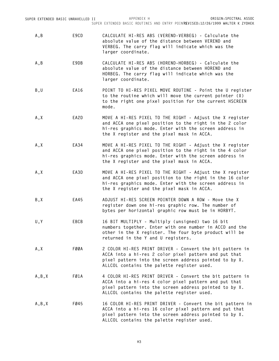|         | SUPER EXTENDED BASIC UNRAVELLED II | APPENDIX H                                                                                                                                                                            | ORIGIN: SPECTRAL ASSOC<br>SUPER EXTENDED BASIC ROUTINES AND ENTRY POINREVISED:12/26/1999 WALTER K ZYDHEK                                                                       |
|---------|------------------------------------|---------------------------------------------------------------------------------------------------------------------------------------------------------------------------------------|--------------------------------------------------------------------------------------------------------------------------------------------------------------------------------|
| A,B     | E9CD                               | CALCULATE HI-RES ABS (VEREND-VERBEG) - Calculate the<br>absolute value of the distance between VEREND and<br>VERBEG. The carry flag will indicate which was the<br>larger coordinate. |                                                                                                                                                                                |
| A,B     | E9DB                               | CALCULATE HI-RES ABS (HOREND-HORBEG) - Calculate the<br>absolute value of the distance between HOREND and<br>HORBEG. The carry flag will indicate which was the<br>larger coordinate. |                                                                                                                                                                                |
| B,U     | EA16                               | mode.                                                                                                                                                                                 | POINT TO HI-RES PIXEL MOVE ROUTINE - Point the U register<br>to the routine which will move the current pointer (X)<br>to the right one pixel position for the current HSCREEN |
| A,X     | EA2D                               | the X register and the pixel mask in ACCA.                                                                                                                                            | MOVE A HI-RES PIXEL TO THE RIGHT - Adjust the X register<br>and ACCA one pixel position to the right in the 2 color<br>hi-res graphics mode. Enter with the screen address in  |
| A,X     | EA34                               | the X register and the pixel mask in ACCA.                                                                                                                                            | MOVE A HI-RES PIXEL TO THE RIGHT - Adjust the X register<br>and ACCA one pixel position to the right in the 4 color<br>hi-res graphics mode. Enter with the screen address in  |
| A,X     | EA3D                               | the X register and the pixel mask in ACCA.                                                                                                                                            | MOVE A HI-RES PIXEL TO THE RIGHT - Adjust the X register<br>and ACCA one pixel position to the right in the 16 color<br>hi-res graphics mode. Enter with the screen address in |
| B,X     | EA45                               | ADJUST HI-RES SCREEN POINTER DOWN A ROW - Move the X<br>register down one hi-res graphic row. The number of<br>bytes per horizontal graphic row must be in HORBYT.                    |                                                                                                                                                                                |
| U, Y    | EBCB                               | 16 BIT MULTIPLY - Multiply (unsigned) two 16 bit<br>returned in the Y and U registers.                                                                                                | numbers together. Enter with one number in ACCD and the<br>other in the X register. The four byte product will be                                                              |
| A,X     | FØØA                               | ALLCOL contains the palette register used.                                                                                                                                            | 2 COLOR HI-RES PRINT DRIVER - Convert the bit pattern in<br>ACCA into a hi-res 2 color pixel pattern and put that<br>pixel pattern into the screen address pointed to by X.    |
| A, B, X | FØ1A                               | ALLCOL contains the palette register used.                                                                                                                                            | 4 COLOR HI-RES PRINT DRIVER - Convert the bit pattern in<br>ACCA into a hi-res 4 color pixel pattern and put that<br>pixel pattern into the screen address pointed to by X.    |
| A, B, X | FØ45                               | ALLCOL contains the palette register used.                                                                                                                                            | 16 COLOR HI-RES PRINT DRIVER - Convert the bit pattern in<br>ACCA into a hi-res 16 color pixel pattern and put that<br>pixel pattern into the screen address pointed to by X.  |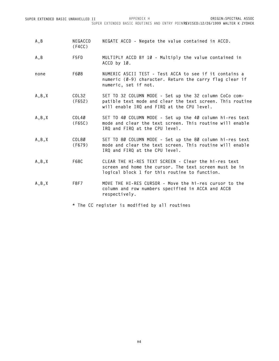**A,B NEGACCD NEGATE ACCD - Negate the value contained in ACCD.**

**(F4CC)**

- **A,B F5FD MULTIPLY ACCD BY 10 Multiply the value contained in ACCD by 10.**
- **none F608 NUMERIC ASCII TEST Test ACCA to see if it contains a numeric (0-9) character. Return the carry flag clear if numeric, set if not.**
- **A,B,X COL32 SET TO 32 COLUMN MODE Set up the 32 column CoCo com- (F652) patible text mode and clear the text screen. This routine will enable IRQ and FIRQ at the CPU level.**
- **A,B,X COL40 SET TO 40 COLUMN MODE Set up the 40 column hi-res text (F65C) mode and clear the text screen. This routine will enable IRQ and FIRQ at the CPU level.**
- **A,B,X COL80 SET TO 80 COLUMN MODE Set up the 80 column hi-res text (F679) mode and clear the text screen. This routine will enable IRQ and FIRQ at the CPU level.**
- **A,B,X F68C CLEAR THE HI-RES TEXT SCREEN Clear the hi-res text screen and home the cursor. The text screen must be in logical block 1 for this routine to function.**
- **A,B,X F8F7 MOVE THE HI-RES CURSOR Move the hi-res cursor to the column and row numbers specified in ACCA and ACCB respectively.**

**\* The CC register is modified by all routines**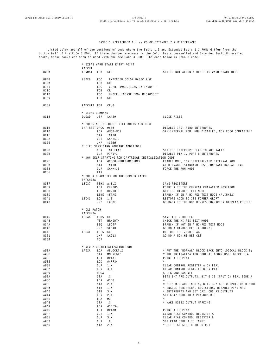## **BASIC 1.2/EXTENDED 1.1 vs COLOR EXTENDED 2.0 DIFFERENCES**

 **Listed below are all of the sections of code where the Basic 1.2 and Extended Basic 1.1 ROMs differ from the bottom half of the CoCo 3 ROM. If these changes are made in the Color Basic Unravelled and Extended Basic Unravelled books, those books can then be used with the new CoCo 3 ROM. The code below is CoCo 3 code.**

|      |                     |            | * EXBAS WARM START ENTRY POINT                        |                                                       |
|------|---------------------|------------|-------------------------------------------------------|-------------------------------------------------------|
|      | PATCH1              |            |                                                       |                                                       |
| 80CØ | XBWMST              | FCB        | \$FF                                                  | SET TO NOT ALLOW A RESET TO WARM START HERE           |
| 80E8 | L8ØE8               | <b>FCC</b> | 'EXTENDED COLOR BASIC 2.0'                            |                                                       |
| 8100 |                     | FCB        | CR                                                    |                                                       |
| 8101 |                     | <b>FCC</b> | 'COPR. 1982, 1986 BY TANDY '                          |                                                       |
| 811C |                     | FCB        | CR                                                    |                                                       |
| 811D |                     | <b>FCC</b> | 'UNDER LICENSE FROM MICROSOFT'                        |                                                       |
|      |                     |            |                                                       |                                                       |
| 8139 |                     | FCB        | CR                                                    |                                                       |
| 813A | PATCH13 FCB         |            | CR,Ø                                                  |                                                       |
|      | * DLOAD COMMAND     |            |                                                       |                                                       |
| 8C18 | DLOAD               | JSR        | LA429                                                 | CLOSE FILES                                           |
|      |                     |            | * PRESSING THE RESET WILL BRING YOU HERE              |                                                       |
| 8C1B | INT.RSET ORCC #\$50 |            |                                                       | DISABLE IRQ, FIRQ INTERRUPTS                          |
| 8C1D |                     | LDA        | #MC3+MC1                                              | 32K INTERNAL ROM, MMU DISABLED, NON COCO COMPATIBLE   |
| 8C1F |                     | STA        | INITØ                                                 |                                                       |
|      |                     |            |                                                       |                                                       |
| 8C22 |                     | CLR        | SAM+\$1E                                              |                                                       |
| 8C25 |                     | JMP        | \$CØØØ                                                |                                                       |
|      |                     |            | * FIRQ SERVICING ROUTINE ADDITIONS                    |                                                       |
| 8C28 |                     | CLR        | INT.FLAG                                              | SET THE INTERRUPT FLAG TO NOT VALID                   |
| 8C2B |                     | CLR        | PIA1+3                                                | DISABLE PIA 1. PORT B INTERRUPTS                      |
|      |                     |            | * NON SELF-STARTING ROM CARTRIDGE INITIALIZATION CODE |                                                       |
| 8C2E |                     | LDA        | #COCO+MMUEN+MC3+MC2                                   | ENABLE MMU, 16K INTERNAL/16K EXTERNAL ROM             |
| 8C3Ø |                     | STA        | INITØ                                                 | ALSO ENABLE STANDARD SCS, CONSTANT RAM AT FEØØ        |
| 8C33 |                     | CLR        | SAM+\$1E                                              | FORCE THE ROM MODE                                    |
| 8C36 |                     | <b>RTS</b> |                                                       |                                                       |
|      |                     |            |                                                       |                                                       |
|      |                     |            | * PUT A CHARACTER ON THE SCREEN PATCH                 |                                                       |
|      | PATCH22A            |            |                                                       |                                                       |
| 8C37 | L8C37               |            | PSHS A, B, X                                          | SAVE REGISTERS                                        |
| 8C39 |                     | LDX        | CURPOS                                                | POINT X TO THE CURRENT CHARACTER POSITION             |
| 8C3B |                     | LDB        | HRWIDTH                                               | GET THE HI-RES TEXT MODE                              |
| 8C3D |                     |            | LBNE \$F7AE                                           | BRANCH IF IN A HI-RES TEXT MODE (ALINK22)             |
| 8C41 | L8C41               | LDB        | 1, S                                                  | RESTORE ACCB TO ITS FORMER GLORY                      |
| 8C43 |                     | JMP        | LA3ØE                                                 | GO BACK TO THE NON HI-RES CHARACTER DISPLAY ROUTINE   |
|      |                     |            |                                                       |                                                       |
|      | * CLS PATCH         |            |                                                       |                                                       |
|      | PATCH23A            |            |                                                       |                                                       |
| 8C46 | L8C46               | PSHS CC    |                                                       | SAVE THE ZERO FLAG                                    |
| 8C48 |                     | TST        | HRWIDTH                                               | CHECK THE HI-RES TEXT MODE                            |
| 8C4A |                     | BEQ        | L8C4F                                                 | BRANCH IF NOT IN A HI-RES TEXT MODE                   |
|      |                     |            |                                                       |                                                       |
| 8C4C |                     | JMP        | \$F6AD                                                | GO DO A HI-RES CLS (ALINK23)                          |
| 8C4F | L8C4F               | PULS CC    |                                                       | RESTORE THE ZERO FLAG                                 |
| 8C51 |                     | JMP        | LA913                                                 | GO DO A NON HI-RES CLS                                |
| 8C54 |                     | <b>NOP</b> |                                                       |                                                       |
|      |                     |            |                                                       |                                                       |
|      |                     |            | * NEW 2.0 INITIALIZATION CODE                         |                                                       |
| AØ2A | LAØ2A               | LDA        | #BLOCK7.2                                             | * PUT THE 'NORMAL' BLOCK BACK INTO LOGICAL BLOCK 2;   |
| A02C |                     | STA        | MMUREG+2                                              | * THE INITIALIZATION CODE AT \$C000 USES BLOCK 6.4.   |
| AØ2F |                     | <b>LDX</b> | #PIA1                                                 | POINT X TO PIA1                                       |
| A032 |                     | LDD        | #\$FF34                                               |                                                       |
| AØ35 |                     |            | $CLR$ 1, $X$                                          | CLEAR CONTROL REGISTER A ON PIA1                      |
| AØ37 |                     | CLR        | 3, X                                                  | CLEAR CONTROL REGISTER B ON PIA1                      |
| A039 |                     | DECA       |                                                       | A REG NOW HAS \$FE                                    |
| AØ3A |                     | STA        | , X                                                   | BITS 1-7 ARE OUTPUTS, BIT Ø IS INPUT ON PIA1 SIDE A   |
|      |                     |            |                                                       |                                                       |
| AØ3C |                     | LDA        | #\$F8                                                 |                                                       |
| AØ3E |                     | STA        | 2, X                                                  | = BITS Ø-2 ARE INPUTS, BITS 3-7 ARE OUTPUTS ON B SIDE |
| A040 |                     | <b>STB</b> | 1, X                                                  | * ENABLE PERIPHERAL REGISTERS, DISABLE PIA1 MPU       |
| AØ42 |                     | <b>STB</b> | 3, X                                                  | * INTERRUPTS AND SET CA2, CB2 AS OUTPUTS              |
| AØ44 |                     | CLR        | 2, X                                                  | SET 6847 MODE TO ALPHA-NUMERIC                        |
| A046 |                     | LDA        | #2                                                    |                                                       |
| A048 |                     | STA        | , X                                                   | * MAKE RS232 OUTPUT MARKING                           |
| A04A |                     | LDA        | #\$FF34                                               |                                                       |
|      |                     | <b>LDX</b> |                                                       |                                                       |
| AØ4C |                     |            | #PIAØ                                                 | POINT X TO PIAØ                                       |
| AØ4F |                     | CLR        | 1, X                                                  | CLEAR PIAØ CONTROL REGISTER A                         |
| AØ51 |                     | CLR        | 3, X                                                  | CLEAR PIAØ CONTROL REGISTER B                         |
| A053 |                     | CLR        | , X                                                   | SET PIAØ SIDE A TO INPUT                              |
| AØ55 |                     | STA        | 2, X                                                  | * SET PIAØ SIDE B TO OUTPUT                           |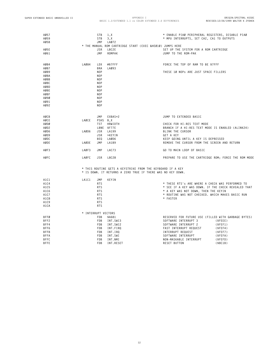| AØ57<br>A059               |                     | <b>STB</b><br><b>STB</b>       | 1, X<br>3, X                                                                                                              | * ENABLE PIAØ PERIPHERAL REGISTERS, DISABLE PIAØ<br>* MPU INTERRUPTS, SET CA2, CA1 TO OUTPUTS |                     |
|----------------------------|---------------------|--------------------------------|---------------------------------------------------------------------------------------------------------------------------|-----------------------------------------------------------------------------------------------|---------------------|
| A05B                       |                     | JMP                            | LA072                                                                                                                     |                                                                                               |                     |
|                            |                     |                                | * THE MANUAL ROM CARTRIDGE START (EXEC &HEØ1Ø) JUMPS HERE                                                                 |                                                                                               |                     |
| A05E<br>AØ61               |                     | <b>JSR</b><br>JMP              | LBC2E<br>ROMPAK                                                                                                           | SET UP THE SYSTEM FOR A ROM CARTRIDGE<br>JUMP TO THE ROM-PAK                                  |                     |
|                            |                     |                                |                                                                                                                           |                                                                                               |                     |
| AØ84                       | LAØ84               | LDX                            | #\$7FFF                                                                                                                   | FORCE THE TOP OF RAM TO BE \$7FFF                                                             |                     |
| AØ87                       |                     | <b>BRA</b>                     | LA093                                                                                                                     |                                                                                               |                     |
| AØ89                       |                     | <b>NOP</b><br>N <sub>O</sub> P |                                                                                                                           | THESE 10 NOPs ARE JUST SPACE FILLERS                                                          |                     |
| AØ8A<br>AØ8B               |                     | <b>NOP</b>                     |                                                                                                                           |                                                                                               |                     |
| A08C                       |                     | NOP                            |                                                                                                                           |                                                                                               |                     |
| AØ8D                       |                     | <b>NOP</b>                     |                                                                                                                           |                                                                                               |                     |
| A08E                       |                     | <b>NOP</b>                     |                                                                                                                           |                                                                                               |                     |
| A08F                       |                     | <b>NOP</b>                     |                                                                                                                           |                                                                                               |                     |
| A090                       |                     | <b>NOP</b>                     |                                                                                                                           |                                                                                               |                     |
| AØ91                       |                     | N <sub>O</sub> P               |                                                                                                                           |                                                                                               |                     |
| AØ92                       |                     | NOP                            |                                                                                                                           |                                                                                               |                     |
| AØCB                       |                     | JMP                            | EXBAS+2                                                                                                                   | JUMP TO EXTENDED BASIC                                                                        |                     |
| AØCE                       | LAØCE               | PSHS B, X                      |                                                                                                                           |                                                                                               |                     |
| AØDØ                       |                     | <b>TST</b>                     | HRWIDTH                                                                                                                   | CHECK FOR HI-RES TEXT MODE                                                                    |                     |
| AØD2                       |                     |                                | LBNE \$F77E                                                                                                               | BRANCH IF A HI-RES TEXT MODE IS ENABLED (ALINK24)                                             |                     |
| AØD6                       | LAØD6               | <b>JSR</b>                     | LA199                                                                                                                     | <b>BLINK THE CURSOR</b>                                                                       |                     |
| AØD9                       |                     | <b>JSR</b>                     | $>$ KEYIN                                                                                                                 | GET A KEY                                                                                     |                     |
| AØDC                       |                     | <b>BEQ</b>                     | LAØD6                                                                                                                     | KEEP GOING UNTIL A KEY IS DEPRESSED                                                           |                     |
| AØDE                       | LAØDE               | JMP                            | LA1B9                                                                                                                     | REMOVE THE CURSOR FROM THE SCREEN AND RETURN                                                  |                     |
| AØF3                       | LAØF3               | JMP                            | LAC73                                                                                                                     | GO TO MAIN LOOP OF BASIC                                                                      |                     |
| AØFC                       | LAØFC               | JSR                            | L8C28                                                                                                                     | PREPARE TO USE THE CARTRIDGE ROM; FORCE THE ROM MODE                                          |                     |
|                            |                     |                                | * THIS ROUTINE GETS A KEYSTRIKE FROM THE KEYBOARD IF A KEY<br>* IS DOWN. IT RETURNS A ZERO TRUE IF THERE WAS NO KEY DOWN. |                                                                                               |                     |
| A1C1                       | LA1C1               | JMP                            | KEYIN                                                                                                                     |                                                                                               |                     |
| A1C4                       |                     | <b>RTS</b>                     |                                                                                                                           | * THESE RTS's ARE WHERE A CHECK WAS PERFORMED TO                                              |                     |
| A1C5                       |                     | <b>RTS</b>                     |                                                                                                                           | * SEE IF A KEY WAS DOWN. IF THE CHECK REVEALED THAT                                           |                     |
| A1C6                       |                     | <b>RTS</b>                     |                                                                                                                           | * A KEY WAS NOT DOWN, THEN THE KEYIN                                                          |                     |
| A1C7                       |                     | <b>RTS</b>                     |                                                                                                                           | * ROUTINE WAS NOT CHECKED. WHICH MAKES BASIC RUN                                              |                     |
| A1C8                       |                     | <b>RTS</b>                     |                                                                                                                           | * FASTER                                                                                      |                     |
| A1C9                       |                     | <b>RTS</b>                     |                                                                                                                           |                                                                                               |                     |
| A1CA                       |                     | <b>RTS</b>                     |                                                                                                                           |                                                                                               |                     |
|                            | * INTERRUPT VECTORS |                                |                                                                                                                           |                                                                                               |                     |
| <b>BFFØ</b>                |                     | <b>FDB</b>                     | \$A681                                                                                                                    | RESERVED FOR FUTURE USE (FILLED WITH GARBAGE BYTES)                                           |                     |
| BFF2                       |                     | <b>FDB</b>                     | INT.SWI3                                                                                                                  | SOFTWARE INTERRUPT 3                                                                          | (SFEEE)             |
| BFF4                       |                     | <b>FDB</b>                     | INT.SWI2                                                                                                                  | SOFTWARE INTERRUPT 2                                                                          | (SFEF1)             |
| BFF6                       |                     | FDB                            | INT.FIRQ                                                                                                                  | FAST INTERRUPT REQUEST                                                                        | (sFEF4)             |
| BFF8                       |                     | <b>FDB</b>                     | INT.IRQ                                                                                                                   | INTERRUPT REQUEST                                                                             | (SFEF7)             |
| <b>BFFA</b>                |                     | FDB                            | INT.SWI                                                                                                                   | SOFTWARE INTERRUPT                                                                            | \$FEFA)             |
| <b>BFFC</b><br><b>BFFE</b> |                     | <b>FDB</b><br><b>FDB</b>       | INT.NMI<br>INT.RESET                                                                                                      | NON-MASKABLE INTERRUPT<br>RESET BUTTON                                                        | (SFEFD)<br>(\$BC1B) |
|                            |                     |                                |                                                                                                                           |                                                                                               |                     |